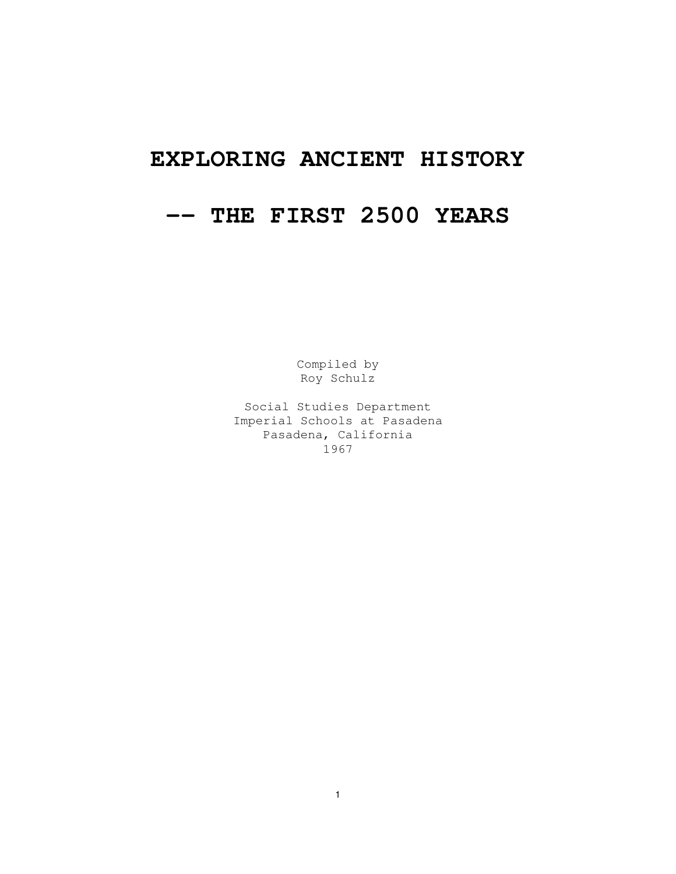# **EXPLORING ANCIENT HISTORY**

# **-- THE FIRST 2500 YEARS**

Compiled by Roy Schulz

Social Studies Department Imperial Schools at Pasadena Pasadena, California 1967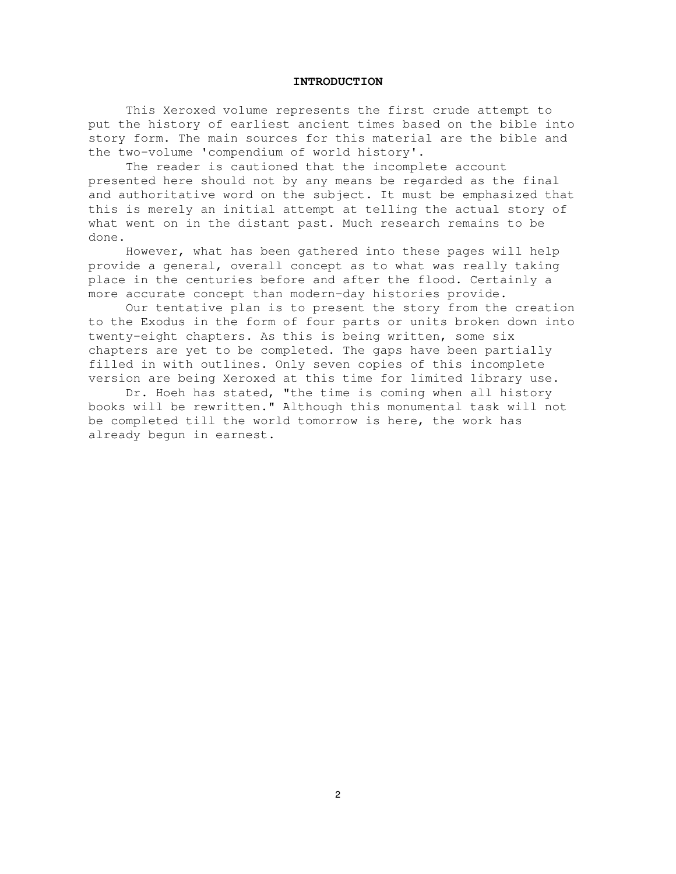#### **INTRODUCTION**

This Xeroxed volume represents the first crude attempt to put the history of earliest ancient times based on the bible into story form. The main sources for this material are the bible and the two-volume 'compendium of world history'.

The reader is cautioned that the incomplete account presented here should not by any means be regarded as the final and authoritative word on the subject. It must be emphasized that this is merely an initial attempt at telling the actual story of what went on in the distant past. Much research remains to be done.

However, what has been gathered into these pages will help provide a general, overall concept as to what was really taking place in the centuries before and after the flood. Certainly a more accurate concept than modern-day histories provide.

Our tentative plan is to present the story from the creation to the Exodus in the form of four parts or units broken down into twenty-eight chapters. As this is being written, some six chapters are yet to be completed. The gaps have been partially filled in with outlines. Only seven copies of this incomplete version are being Xeroxed at this time for limited library use.

Dr. Hoeh has stated, "the time is coming when all history books will be rewritten." Although this monumental task will not be completed till the world tomorrow is here, the work has already begun in earnest.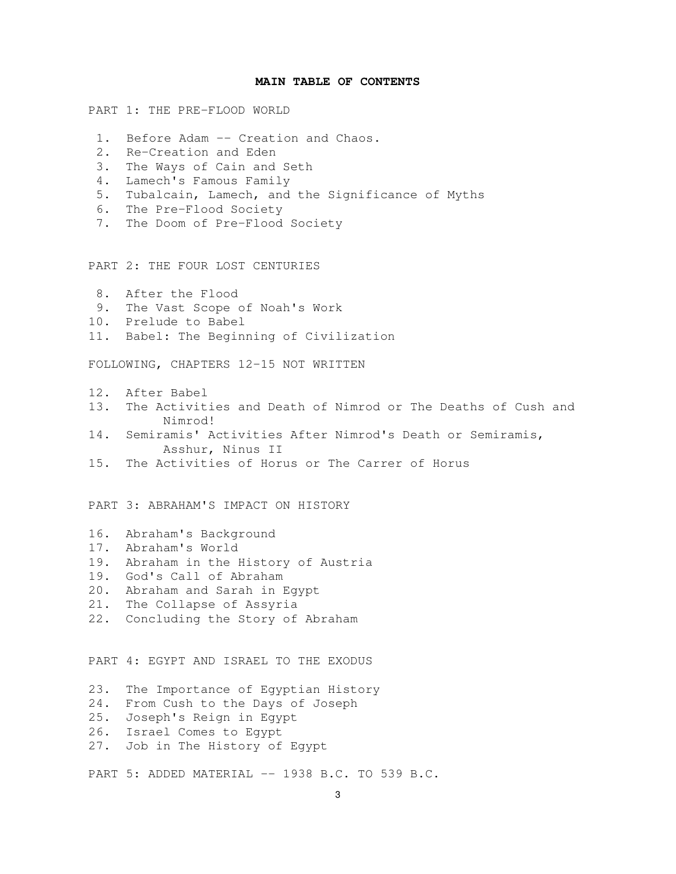#### **MAIN TABLE OF CONTENTS**

PART 1: THE PRE-FLOOD WORLD

- 1. Before Adam -- Creation and Chaos.
- 2. Re-Creation and Eden
- 3. The Ways of Cain and Seth
- 4. Lamech's Famous Family
- 5. Tubalcain, Lamech, and the Significance of Myths
- 6. The Pre-Flood Society
- 7. The Doom of Pre-Flood Society

PART 2: THE FOUR LOST CENTURIES

- 8. After the Flood
- 9. The Vast Scope of Noah's Work
- 10. Prelude to Babel
- 11. Babel: The Beginning of Civilization

FOLLOWING, CHAPTERS 12-15 NOT WRITTEN

- 12. After Babel
- 13. The Activities and Death of Nimrod or The Deaths of Cush and Nimrod!
- 14. Semiramis' Activities After Nimrod's Death or Semiramis, Asshur, Ninus II
- 15. The Activities of Horus or The Carrer of Horus

PART 3: ABRAHAM'S IMPACT ON HISTORY

- 16. Abraham's Background
- 17. Abraham's World
- 19. Abraham in the History of Austria
- 19. God's Call of Abraham
- 20. Abraham and Sarah in Egypt
- 21. The Collapse of Assyria
- 22. Concluding the Story of Abraham

PART 4: EGYPT AND ISRAEL TO THE EXODUS

- 23. The Importance of Egyptian History
- 24. From Cush to the Days of Joseph
- 25. Joseph's Reign in Egypt
- 26. Israel Comes to Egypt
- 27. Job in The History of Egypt

PART 5: ADDED MATERIAL -- 1938 B.C. TO 539 B.C.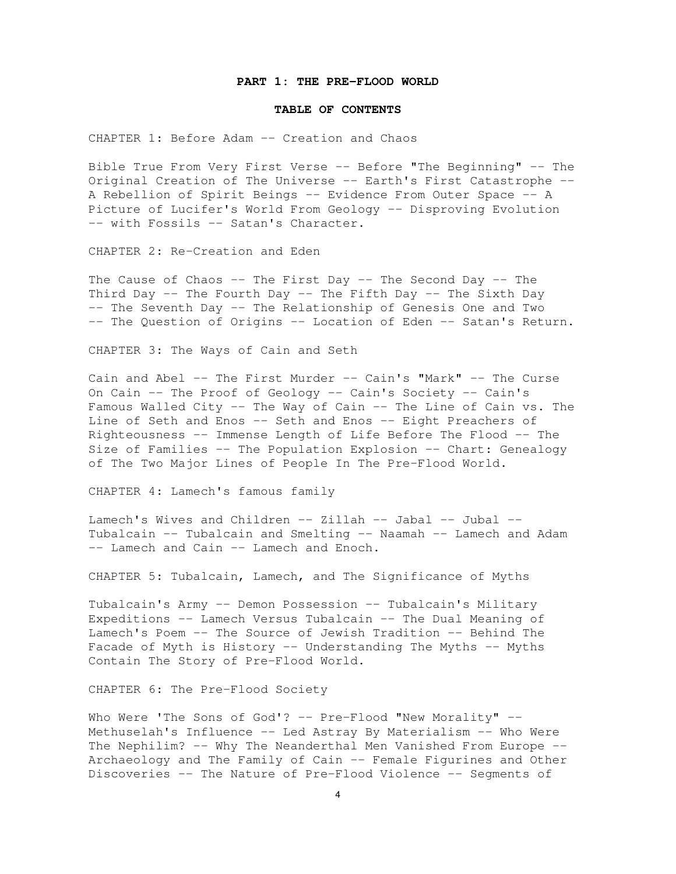#### **PART 1: THE PRE-FLOOD WORLD**

#### **TABLE OF CONTENTS**

CHAPTER 1: Before Adam -- Creation and Chaos

Bible True From Very First Verse -- Before "The Beginning" -- The Original Creation of The Universe -- Earth's First Catastrophe -- A Rebellion of Spirit Beings -- Evidence From Outer Space -- A Picture of Lucifer's World From Geology -- Disproving Evolution -- with Fossils -- Satan's Character.

CHAPTER 2: Re-Creation and Eden

The Cause of Chaos  $--$  The First Day  $--$  The Second Day  $--$  The Third Day -- The Fourth Day -- The Fifth Day -- The Sixth Day -- The Seventh Day -- The Relationship of Genesis One and Two -- The Question of Origins -- Location of Eden -- Satan's Return.

CHAPTER 3: The Ways of Cain and Seth

Cain and Abel -- The First Murder -- Cain's "Mark" -- The Curse On Cain -- The Proof of Geology -- Cain's Society -- Cain's Famous Walled City -- The Way of Cain -- The Line of Cain vs. The Line of Seth and Enos -- Seth and Enos -- Eight Preachers of Righteousness -- Immense Length of Life Before The Flood -- The Size of Families -- The Population Explosion -- Chart: Genealogy of The Two Major Lines of People In The Pre-Flood World.

CHAPTER 4: Lamech's famous family

Lamech's Wives and Children -- Zillah -- Jabal -- Jubal -- Tubalcain -- Tubalcain and Smelting -- Naamah -- Lamech and Adam -- Lamech and Cain -- Lamech and Enoch.

CHAPTER 5: Tubalcain, Lamech, and The Significance of Myths

Tubalcain's Army -- Demon Possession -- Tubalcain's Military Expeditions -- Lamech Versus Tubalcain -- The Dual Meaning of Lamech's Poem -- The Source of Jewish Tradition -- Behind The Facade of Myth is History -- Understanding The Myths -- Myths Contain The Story of Pre-Flood World.

CHAPTER 6: The Pre-Flood Society

Who Were 'The Sons of God'? -- Pre-Flood "New Morality" --Methuselah's Influence -- Led Astray By Materialism -- Who Were The Nephilim? -- Why The Neanderthal Men Vanished From Europe --Archaeology and The Family of Cain -- Female Figurines and Other Discoveries -- The Nature of Pre-Flood Violence -- Segments of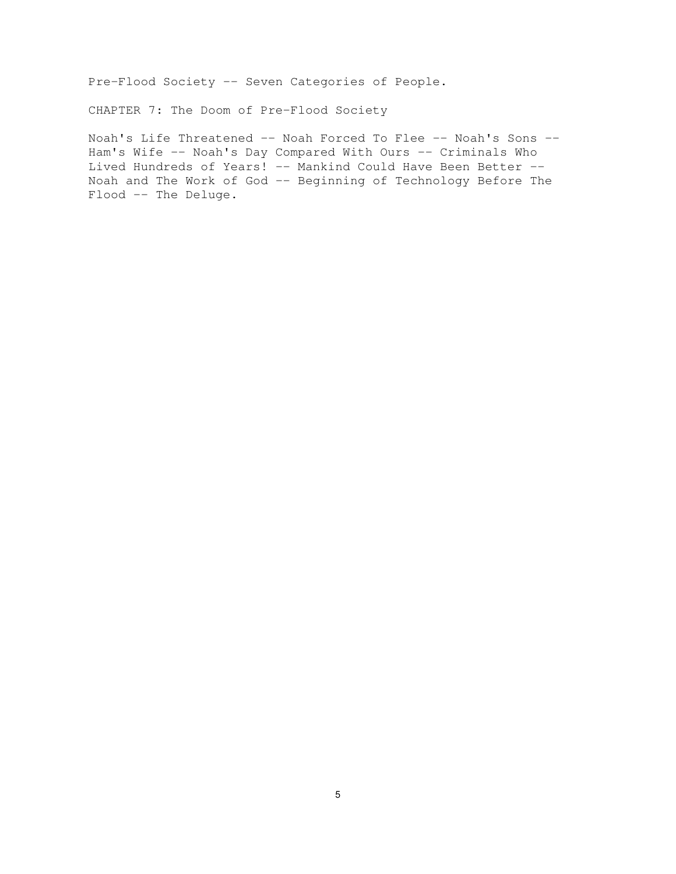Pre-Flood Society -- Seven Categories of People.

CHAPTER 7: The Doom of Pre-Flood Society

Noah's Life Threatened -- Noah Forced To Flee -- Noah's Sons -- Ham's Wife -- Noah's Day Compared With Ours -- Criminals Who Lived Hundreds of Years! -- Mankind Could Have Been Better --Noah and The Work of God -- Beginning of Technology Before The Flood -- The Deluge.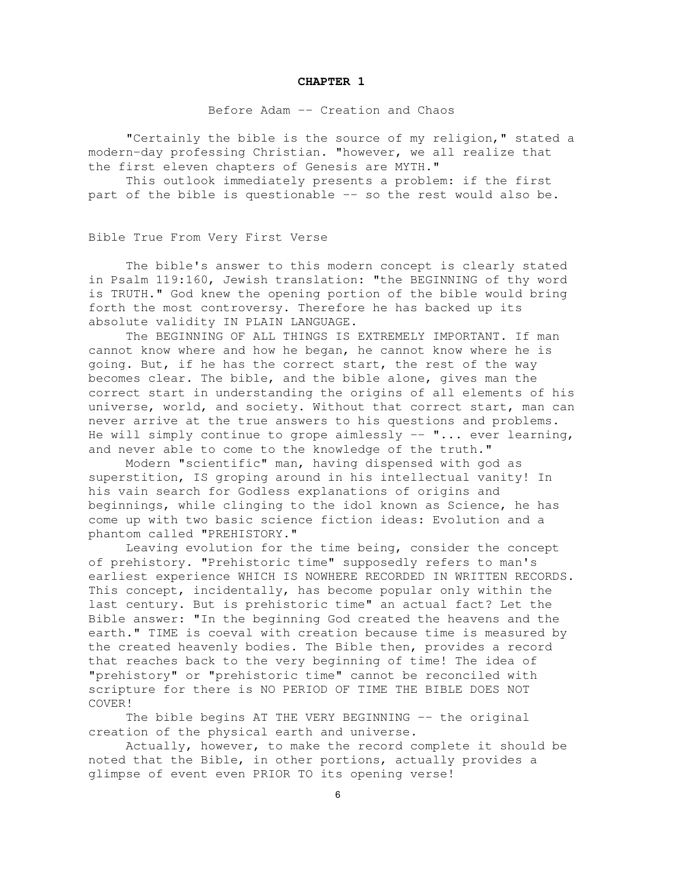#### **CHAPTER 1**

Before Adam -- Creation and Chaos

"Certainly the bible is the source of my religion," stated a modern-day professing Christian. "however, we all realize that the first eleven chapters of Genesis are MYTH."

This outlook immediately presents a problem: if the first part of the bible is questionable -- so the rest would also be.

Bible True From Very First Verse

The bible's answer to this modern concept is clearly stated in Psalm 119:160, Jewish translation: "the BEGINNING of thy word is TRUTH." God knew the opening portion of the bible would bring forth the most controversy. Therefore he has backed up its absolute validity IN PLAIN LANGUAGE.

The BEGINNING OF ALL THINGS IS EXTREMELY IMPORTANT. If man cannot know where and how he began, he cannot know where he is going. But, if he has the correct start, the rest of the way becomes clear. The bible, and the bible alone, gives man the correct start in understanding the origins of all elements of his universe, world, and society. Without that correct start, man can never arrive at the true answers to his questions and problems. He will simply continue to grope aimlessly  $--$  "... ever learning, and never able to come to the knowledge of the truth."

Modern "scientific" man, having dispensed with god as superstition, IS groping around in his intellectual vanity! In his vain search for Godless explanations of origins and beginnings, while clinging to the idol known as Science, he has come up with two basic science fiction ideas: Evolution and a phantom called "PREHISTORY."

Leaving evolution for the time being, consider the concept of prehistory. "Prehistoric time" supposedly refers to man's earliest experience WHICH IS NOWHERE RECORDED IN WRITTEN RECORDS. This concept, incidentally, has become popular only within the last century. But is prehistoric time" an actual fact? Let the Bible answer: "In the beginning God created the heavens and the earth." TIME is coeval with creation because time is measured by the created heavenly bodies. The Bible then, provides a record that reaches back to the very beginning of time! The idea of "prehistory" or "prehistoric time" cannot be reconciled with scripture for there is NO PERIOD OF TIME THE BIBLE DOES NOT COVER!

The bible begins AT THE VERY BEGINNING -- the original creation of the physical earth and universe.

Actually, however, to make the record complete it should be noted that the Bible, in other portions, actually provides a glimpse of event even PRIOR TO its opening verse!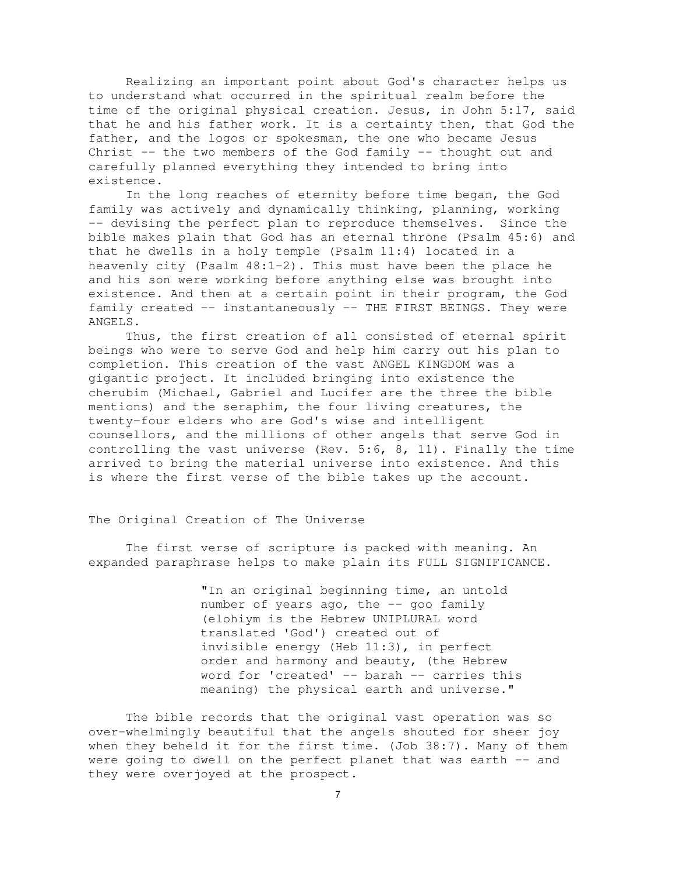Realizing an important point about God's character helps us to understand what occurred in the spiritual realm before the time of the original physical creation. Jesus, in John 5:17, said that he and his father work. It is a certainty then, that God the father, and the logos or spokesman, the one who became Jesus Christ  $-$ - the two members of the God family  $-$ - thought out and carefully planned everything they intended to bring into existence.

In the long reaches of eternity before time began, the God family was actively and dynamically thinking, planning, working -- devising the perfect plan to reproduce themselves. Since the bible makes plain that God has an eternal throne (Psalm 45:6) and that he dwells in a holy temple (Psalm 11:4) located in a heavenly city (Psalm 48:1-2). This must have been the place he and his son were working before anything else was brought into existence. And then at a certain point in their program, the God family created -- instantaneously -- THE FIRST BEINGS. They were ANGELS.

Thus, the first creation of all consisted of eternal spirit beings who were to serve God and help him carry out his plan to completion. This creation of the vast ANGEL KINGDOM was a gigantic project. It included bringing into existence the cherubim (Michael, Gabriel and Lucifer are the three the bible mentions) and the seraphim, the four living creatures, the twenty-four elders who are God's wise and intelligent counsellors, and the millions of other angels that serve God in controlling the vast universe (Rev. 5:6, 8, 11). Finally the time arrived to bring the material universe into existence. And this is where the first verse of the bible takes up the account.

#### The Original Creation of The Universe

The first verse of scripture is packed with meaning. An expanded paraphrase helps to make plain its FULL SIGNIFICANCE.

> "In an original beginning time, an untold number of years ago, the -- goo family (elohiym is the Hebrew UNIPLURAL word translated 'God') created out of invisible energy (Heb 11:3), in perfect order and harmony and beauty, (the Hebrew word for 'created' -- barah -- carries this meaning) the physical earth and universe."

The bible records that the original vast operation was so over-whelmingly beautiful that the angels shouted for sheer joy when they beheld it for the first time. (Job 38:7). Many of them were going to dwell on the perfect planet that was earth -- and they were overjoyed at the prospect.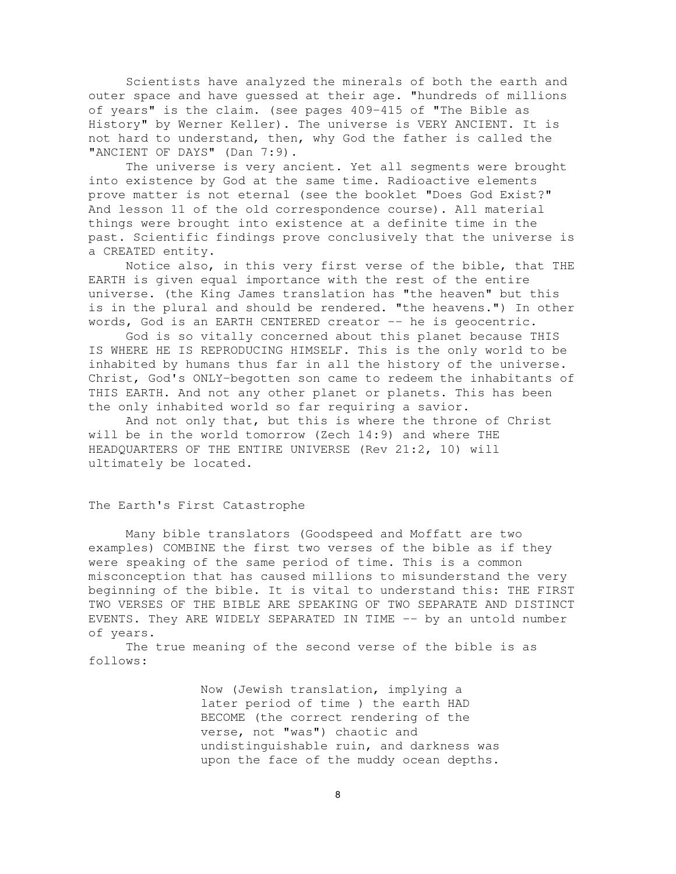Scientists have analyzed the minerals of both the earth and outer space and have guessed at their age. "hundreds of millions of years" is the claim. (see pages 409-415 of "The Bible as History" by Werner Keller). The universe is VERY ANCIENT. It is not hard to understand, then, why God the father is called the "ANCIENT OF DAYS" (Dan 7:9).

The universe is very ancient. Yet all segments were brought into existence by God at the same time. Radioactive elements prove matter is not eternal (see the booklet "Does God Exist?" And lesson 11 of the old correspondence course). All material things were brought into existence at a definite time in the past. Scientific findings prove conclusively that the universe is a CREATED entity.

Notice also, in this very first verse of the bible, that THE EARTH is given equal importance with the rest of the entire universe. (the King James translation has "the heaven" but this is in the plural and should be rendered. "the heavens.") In other words, God is an EARTH CENTERED creator -- he is geocentric.

God is so vitally concerned about this planet because THIS IS WHERE HE IS REPRODUCING HIMSELF. This is the only world to be inhabited by humans thus far in all the history of the universe. Christ, God's ONLY-begotten son came to redeem the inhabitants of THIS EARTH. And not any other planet or planets. This has been the only inhabited world so far requiring a savior.

And not only that, but this is where the throne of Christ will be in the world tomorrow (Zech 14:9) and where THE HEADQUARTERS OF THE ENTIRE UNIVERSE (Rev 21:2, 10) will ultimately be located.

#### The Earth's First Catastrophe

Many bible translators (Goodspeed and Moffatt are two examples) COMBINE the first two verses of the bible as if they were speaking of the same period of time. This is a common misconception that has caused millions to misunderstand the very beginning of the bible. It is vital to understand this: THE FIRST TWO VERSES OF THE BIBLE ARE SPEAKING OF TWO SEPARATE AND DISTINCT EVENTS. They ARE WIDELY SEPARATED IN TIME -- by an untold number of years.

The true meaning of the second verse of the bible is as follows:

> Now (Jewish translation, implying a later period of time ) the earth HAD BECOME (the correct rendering of the verse, not "was") chaotic and undistinguishable ruin, and darkness was upon the face of the muddy ocean depths.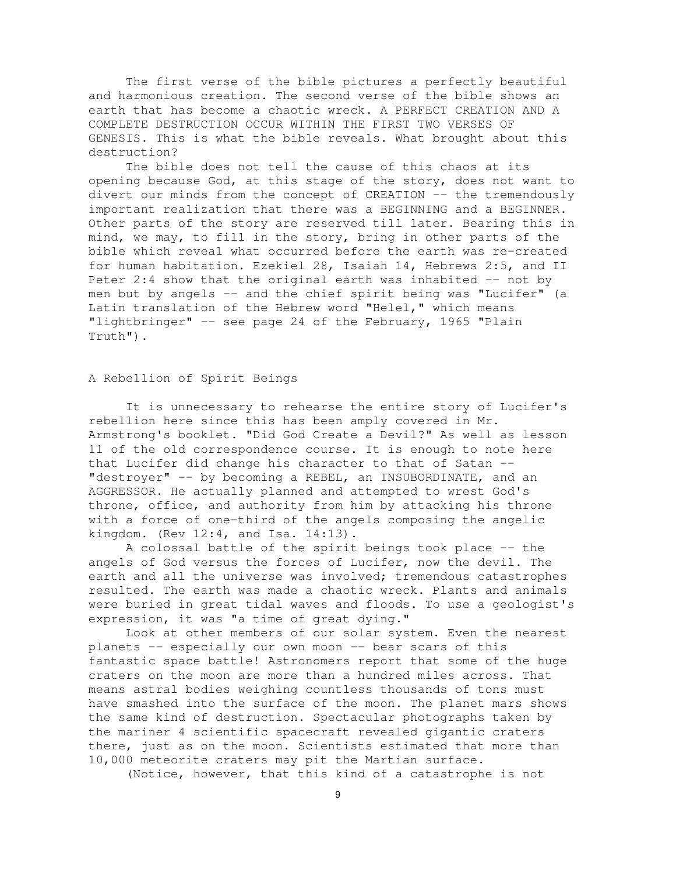The first verse of the bible pictures a perfectly beautiful and harmonious creation. The second verse of the bible shows an earth that has become a chaotic wreck. A PERFECT CREATION AND A COMPLETE DESTRUCTION OCCUR WITHIN THE FIRST TWO VERSES OF GENESIS. This is what the bible reveals. What brought about this destruction?

The bible does not tell the cause of this chaos at its opening because God, at this stage of the story, does not want to divert our minds from the concept of CREATION -- the tremendously important realization that there was a BEGINNING and a BEGINNER. Other parts of the story are reserved till later. Bearing this in mind, we may, to fill in the story, bring in other parts of the bible which reveal what occurred before the earth was re-created for human habitation. Ezekiel 28, Isaiah 14, Hebrews 2:5, and II Peter 2:4 show that the original earth was inhabited -- not by men but by angels -- and the chief spirit being was "Lucifer" (a Latin translation of the Hebrew word "Helel," which means "lightbringer" -- see page 24 of the February, 1965 "Plain Truth").

# A Rebellion of Spirit Beings

It is unnecessary to rehearse the entire story of Lucifer's rebellion here since this has been amply covered in Mr. Armstrong's booklet. "Did God Create a Devil?" As well as lesson 11 of the old correspondence course. It is enough to note here that Lucifer did change his character to that of Satan -- "destroyer" -- by becoming a REBEL, an INSUBORDINATE, and an AGGRESSOR. He actually planned and attempted to wrest God's throne, office, and authority from him by attacking his throne with a force of one-third of the angels composing the angelic kingdom. (Rev 12:4, and Isa. 14:13).

A colossal battle of the spirit beings took place -- the angels of God versus the forces of Lucifer, now the devil. The earth and all the universe was involved; tremendous catastrophes resulted. The earth was made a chaotic wreck. Plants and animals were buried in great tidal waves and floods. To use a geologist's expression, it was "a time of great dying."

Look at other members of our solar system. Even the nearest planets -- especially our own moon -- bear scars of this fantastic space battle! Astronomers report that some of the huge craters on the moon are more than a hundred miles across. That means astral bodies weighing countless thousands of tons must have smashed into the surface of the moon. The planet mars shows the same kind of destruction. Spectacular photographs taken by the mariner 4 scientific spacecraft revealed gigantic craters there, just as on the moon. Scientists estimated that more than 10,000 meteorite craters may pit the Martian surface.

(Notice, however, that this kind of a catastrophe is not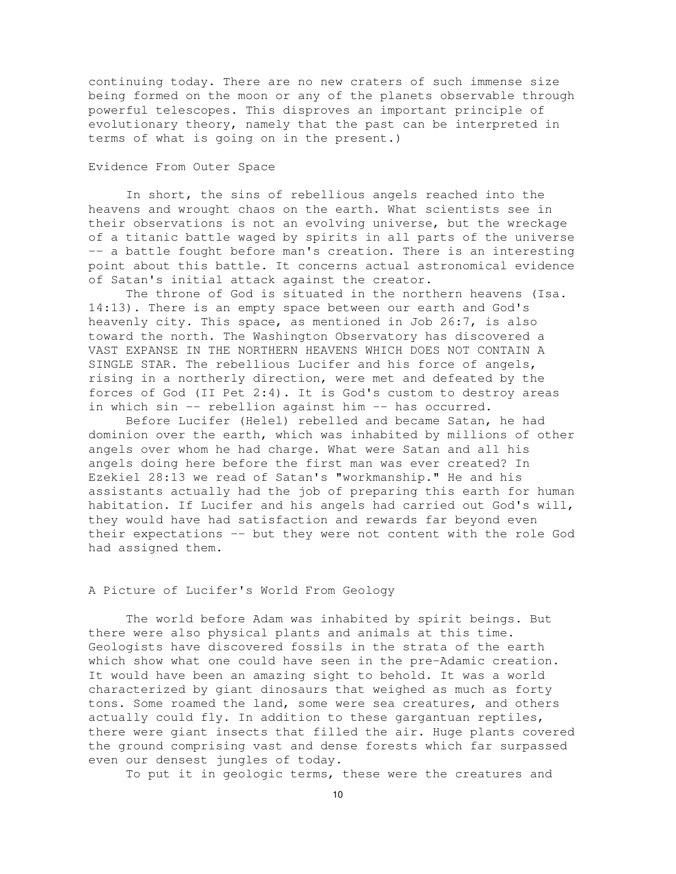continuing today. There are no new craters of such immense size being formed on the moon or any of the planets observable through powerful telescopes. This disproves an important principle of evolutionary theory, namely that the past can be interpreted in terms of what is going on in the present.)

# Evidence From Outer Space

In short, the sins of rebellious angels reached into the heavens and wrought chaos on the earth. What scientists see in their observations is not an evolving universe, but the wreckage of a titanic battle waged by spirits in all parts of the universe -- a battle fought before man's creation. There is an interesting point about this battle. It concerns actual astronomical evidence of Satan's initial attack against the creator.

The throne of God is situated in the northern heavens (Isa. 14:13). There is an empty space between our earth and God's heavenly city. This space, as mentioned in Job 26:7, is also toward the north. The Washington Observatory has discovered a VAST EXPANSE IN THE NORTHERN HEAVENS WHICH DOES NOT CONTAIN A SINGLE STAR. The rebellious Lucifer and his force of angels, rising in a northerly direction, were met and defeated by the forces of God (II Pet 2:4). It is God's custom to destroy areas in which sin -- rebellion against him -- has occurred.

Before Lucifer (Helel) rebelled and became Satan, he had dominion over the earth, which was inhabited by millions of other angels over whom he had charge. What were Satan and all his angels doing here before the first man was ever created? In Ezekiel 28:13 we read of Satan's "workmanship." He and his assistants actually had the job of preparing this earth for human habitation. If Lucifer and his angels had carried out God's will, they would have had satisfaction and rewards far beyond even their expectations -- but they were not content with the role God had assigned them.

A Picture of Lucifer's World From Geology

The world before Adam was inhabited by spirit beings. But there were also physical plants and animals at this time. Geologists have discovered fossils in the strata of the earth which show what one could have seen in the pre-Adamic creation. It would have been an amazing sight to behold. It was a world characterized by giant dinosaurs that weighed as much as forty tons. Some roamed the land, some were sea creatures, and others actually could fly. In addition to these gargantuan reptiles, there were giant insects that filled the air. Huge plants covered the ground comprising vast and dense forests which far surpassed even our densest jungles of today.

To put it in geologic terms, these were the creatures and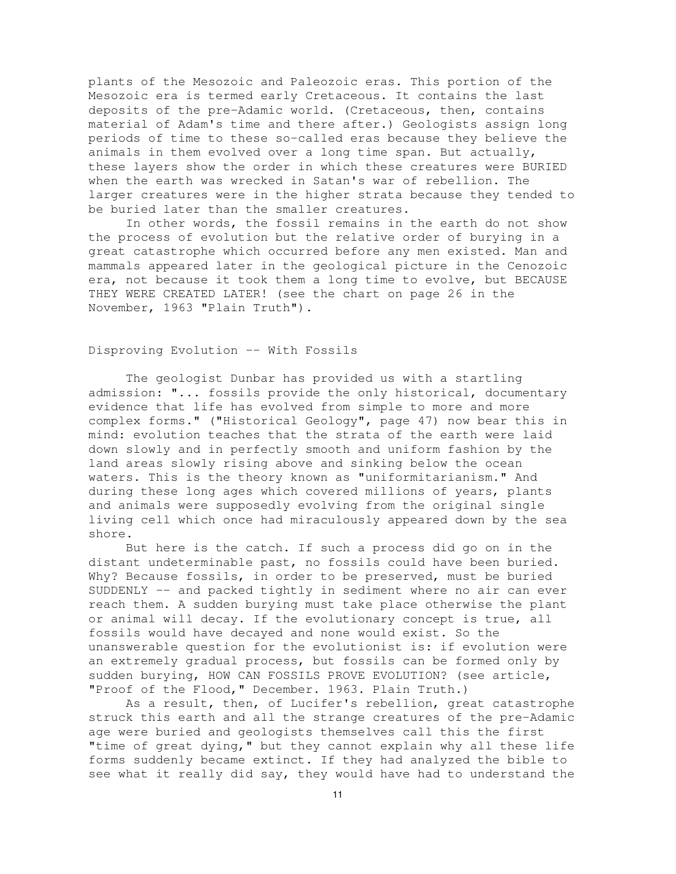plants of the Mesozoic and Paleozoic eras. This portion of the Mesozoic era is termed early Cretaceous. It contains the last deposits of the pre-Adamic world. (Cretaceous, then, contains material of Adam's time and there after.) Geologists assign long periods of time to these so-called eras because they believe the animals in them evolved over a long time span. But actually, these layers show the order in which these creatures were BURIED when the earth was wrecked in Satan's war of rebellion. The larger creatures were in the higher strata because they tended to be buried later than the smaller creatures.

In other words, the fossil remains in the earth do not show the process of evolution but the relative order of burying in a great catastrophe which occurred before any men existed. Man and mammals appeared later in the geological picture in the Cenozoic era, not because it took them a long time to evolve, but BECAUSE THEY WERE CREATED LATER! (see the chart on page 26 in the November, 1963 "Plain Truth").

# Disproving Evolution -- With Fossils

The geologist Dunbar has provided us with a startling admission: "... fossils provide the only historical, documentary evidence that life has evolved from simple to more and more complex forms." ("Historical Geology", page 47) now bear this in mind: evolution teaches that the strata of the earth were laid down slowly and in perfectly smooth and uniform fashion by the land areas slowly rising above and sinking below the ocean waters. This is the theory known as "uniformitarianism." And during these long ages which covered millions of years, plants and animals were supposedly evolving from the original single living cell which once had miraculously appeared down by the sea shore.

But here is the catch. If such a process did go on in the distant undeterminable past, no fossils could have been buried. Why? Because fossils, in order to be preserved, must be buried SUDDENLY -- and packed tightly in sediment where no air can ever reach them. A sudden burying must take place otherwise the plant or animal will decay. If the evolutionary concept is true, all fossils would have decayed and none would exist. So the unanswerable question for the evolutionist is: if evolution were an extremely gradual process, but fossils can be formed only by sudden burying, HOW CAN FOSSILS PROVE EVOLUTION? (see article, "Proof of the Flood," December. 1963. Plain Truth.)

As a result, then, of Lucifer's rebellion, great catastrophe struck this earth and all the strange creatures of the pre-Adamic age were buried and geologists themselves call this the first "time of great dying," but they cannot explain why all these life forms suddenly became extinct. If they had analyzed the bible to see what it really did say, they would have had to understand the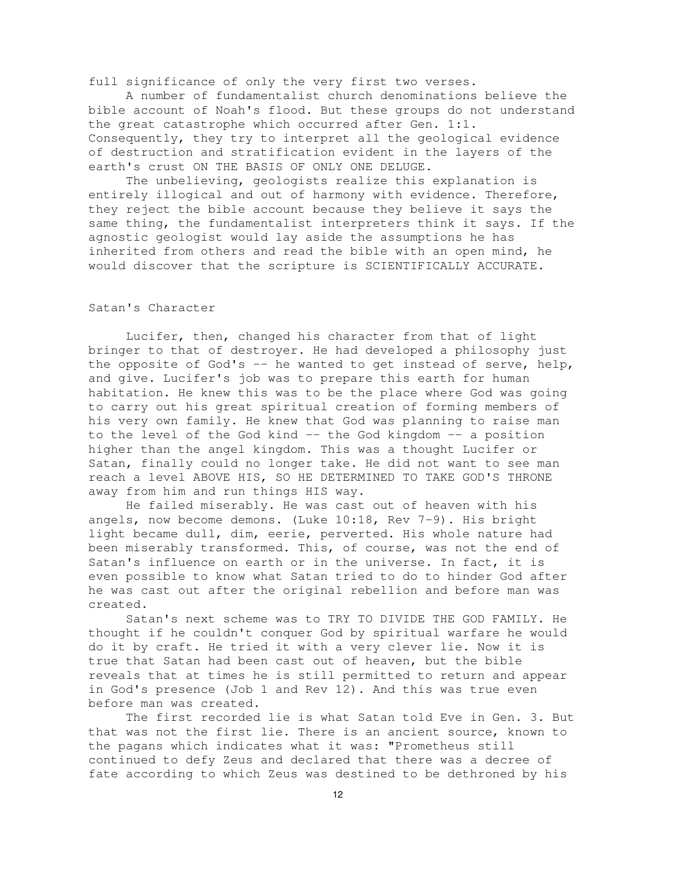full significance of only the very first two verses.

A number of fundamentalist church denominations believe the bible account of Noah's flood. But these groups do not understand the great catastrophe which occurred after Gen. 1:1. Consequently, they try to interpret all the geological evidence of destruction and stratification evident in the layers of the earth's crust ON THE BASIS OF ONLY ONE DELUGE.

The unbelieving, geologists realize this explanation is entirely illogical and out of harmony with evidence. Therefore, they reject the bible account because they believe it says the same thing, the fundamentalist interpreters think it says. If the agnostic geologist would lay aside the assumptions he has inherited from others and read the bible with an open mind, he would discover that the scripture is SCIENTIFICALLY ACCURATE.

# Satan's Character

Lucifer, then, changed his character from that of light bringer to that of destroyer. He had developed a philosophy just the opposite of God's -- he wanted to get instead of serve, help, and give. Lucifer's job was to prepare this earth for human habitation. He knew this was to be the place where God was going to carry out his great spiritual creation of forming members of his very own family. He knew that God was planning to raise man to the level of the God kind -- the God kingdom -- a position higher than the angel kingdom. This was a thought Lucifer or Satan, finally could no longer take. He did not want to see man reach a level ABOVE HIS, SO HE DETERMINED TO TAKE GOD'S THRONE away from him and run things HIS way.

He failed miserably. He was cast out of heaven with his angels, now become demons. (Luke 10:18, Rev 7-9). His bright light became dull, dim, eerie, perverted. His whole nature had been miserably transformed. This, of course, was not the end of Satan's influence on earth or in the universe. In fact, it is even possible to know what Satan tried to do to hinder God after he was cast out after the original rebellion and before man was created.

Satan's next scheme was to TRY TO DIVIDE THE GOD FAMILY. He thought if he couldn't conquer God by spiritual warfare he would do it by craft. He tried it with a very clever lie. Now it is true that Satan had been cast out of heaven, but the bible reveals that at times he is still permitted to return and appear in God's presence (Job 1 and Rev 12). And this was true even before man was created.

The first recorded lie is what Satan told Eve in Gen. 3. But that was not the first lie. There is an ancient source, known to the pagans which indicates what it was: "Prometheus still continued to defy Zeus and declared that there was a decree of fate according to which Zeus was destined to be dethroned by his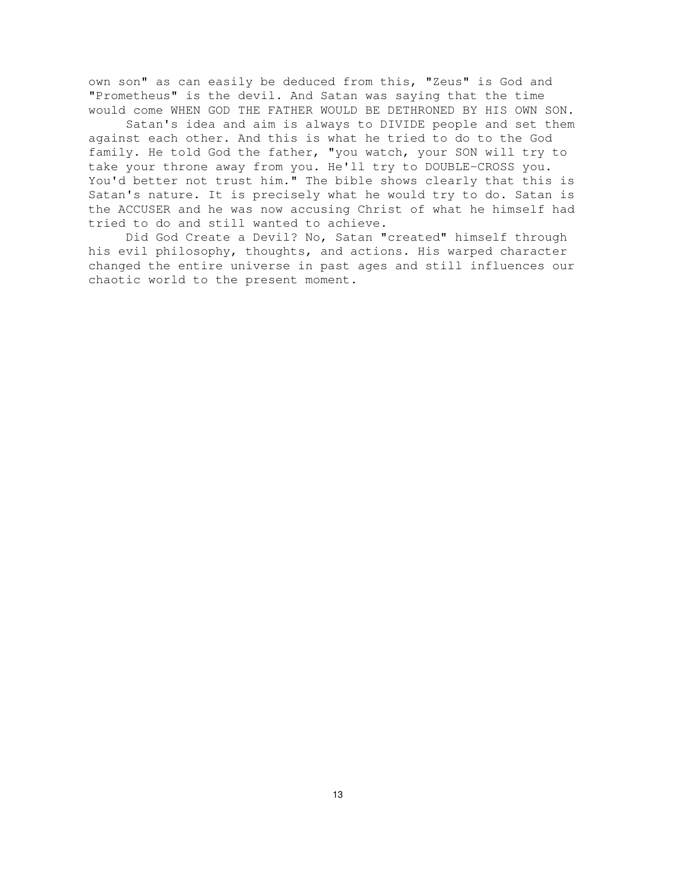own son" as can easily be deduced from this, "Zeus" is God and "Prometheus" is the devil. And Satan was saying that the time would come WHEN GOD THE FATHER WOULD BE DETHRONED BY HIS OWN SON.

Satan's idea and aim is always to DIVIDE people and set them against each other. And this is what he tried to do to the God family. He told God the father, "you watch, your SON will try to take your throne away from you. He'll try to DOUBLE-CROSS you. You'd better not trust him." The bible shows clearly that this is Satan's nature. It is precisely what he would try to do. Satan is the ACCUSER and he was now accusing Christ of what he himself had tried to do and still wanted to achieve.

Did God Create a Devil? No, Satan "created" himself through his evil philosophy, thoughts, and actions. His warped character changed the entire universe in past ages and still influences our chaotic world to the present moment.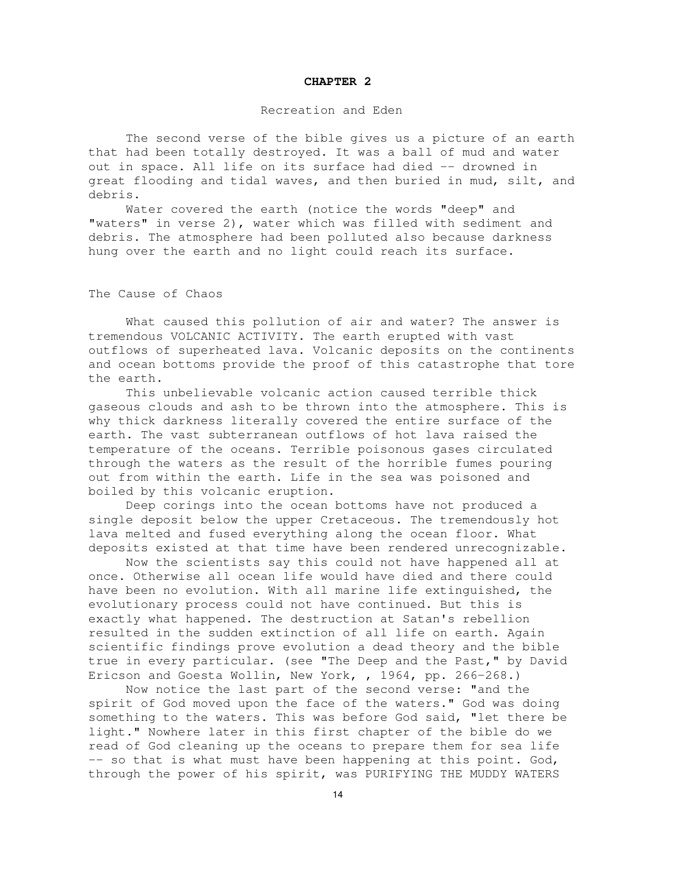#### **CHAPTER 2**

# Recreation and Eden

The second verse of the bible gives us a picture of an earth that had been totally destroyed. It was a ball of mud and water out in space. All life on its surface had died -- drowned in great flooding and tidal waves, and then buried in mud, silt, and debris.

Water covered the earth (notice the words "deep" and "waters" in verse 2), water which was filled with sediment and debris. The atmosphere had been polluted also because darkness hung over the earth and no light could reach its surface.

The Cause of Chaos

What caused this pollution of air and water? The answer is tremendous VOLCANIC ACTIVITY. The earth erupted with vast outflows of superheated lava. Volcanic deposits on the continents and ocean bottoms provide the proof of this catastrophe that tore the earth.

This unbelievable volcanic action caused terrible thick gaseous clouds and ash to be thrown into the atmosphere. This is why thick darkness literally covered the entire surface of the earth. The vast subterranean outflows of hot lava raised the temperature of the oceans. Terrible poisonous gases circulated through the waters as the result of the horrible fumes pouring out from within the earth. Life in the sea was poisoned and boiled by this volcanic eruption.

Deep corings into the ocean bottoms have not produced a single deposit below the upper Cretaceous. The tremendously hot lava melted and fused everything along the ocean floor. What deposits existed at that time have been rendered unrecognizable.

Now the scientists say this could not have happened all at once. Otherwise all ocean life would have died and there could have been no evolution. With all marine life extinguished, the evolutionary process could not have continued. But this is exactly what happened. The destruction at Satan's rebellion resulted in the sudden extinction of all life on earth. Again scientific findings prove evolution a dead theory and the bible true in every particular. (see "The Deep and the Past," by David Ericson and Goesta Wollin, New York, , 1964, pp. 266-268.)

Now notice the last part of the second verse: "and the spirit of God moved upon the face of the waters." God was doing something to the waters. This was before God said, "let there be light." Nowhere later in this first chapter of the bible do we read of God cleaning up the oceans to prepare them for sea life -- so that is what must have been happening at this point. God, through the power of his spirit, was PURIFYING THE MUDDY WATERS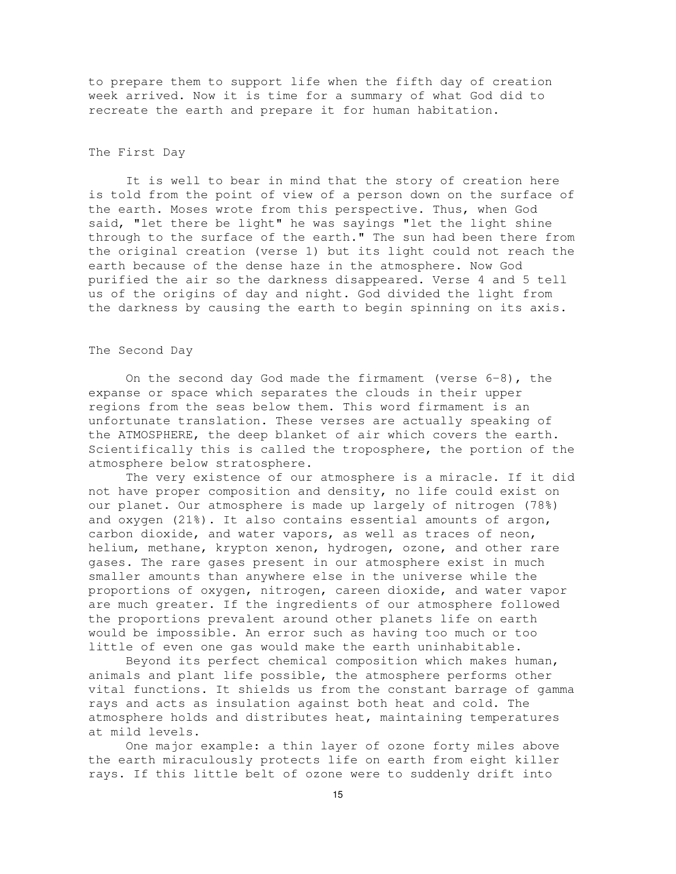to prepare them to support life when the fifth day of creation week arrived. Now it is time for a summary of what God did to recreate the earth and prepare it for human habitation.

# The First Day

It is well to bear in mind that the story of creation here is told from the point of view of a person down on the surface of the earth. Moses wrote from this perspective. Thus, when God said, "let there be light" he was sayings "let the light shine through to the surface of the earth." The sun had been there from the original creation (verse 1) but its light could not reach the earth because of the dense haze in the atmosphere. Now God purified the air so the darkness disappeared. Verse 4 and 5 tell us of the origins of day and night. God divided the light from the darkness by causing the earth to begin spinning on its axis.

#### The Second Day

On the second day God made the firmament (verse  $6-8$ ), the expanse or space which separates the clouds in their upper regions from the seas below them. This word firmament is an unfortunate translation. These verses are actually speaking of the ATMOSPHERE, the deep blanket of air which covers the earth. Scientifically this is called the troposphere, the portion of the atmosphere below stratosphere.

The very existence of our atmosphere is a miracle. If it did not have proper composition and density, no life could exist on our planet. Our atmosphere is made up largely of nitrogen (78%) and oxygen (21%). It also contains essential amounts of argon, carbon dioxide, and water vapors, as well as traces of neon, helium, methane, krypton xenon, hydrogen, ozone, and other rare gases. The rare gases present in our atmosphere exist in much smaller amounts than anywhere else in the universe while the proportions of oxygen, nitrogen, careen dioxide, and water vapor are much greater. If the ingredients of our atmosphere followed the proportions prevalent around other planets life on earth would be impossible. An error such as having too much or too little of even one gas would make the earth uninhabitable.

Beyond its perfect chemical composition which makes human, animals and plant life possible, the atmosphere performs other vital functions. It shields us from the constant barrage of gamma rays and acts as insulation against both heat and cold. The atmosphere holds and distributes heat, maintaining temperatures at mild levels.

One major example: a thin layer of ozone forty miles above the earth miraculously protects life on earth from eight killer rays. If this little belt of ozone were to suddenly drift into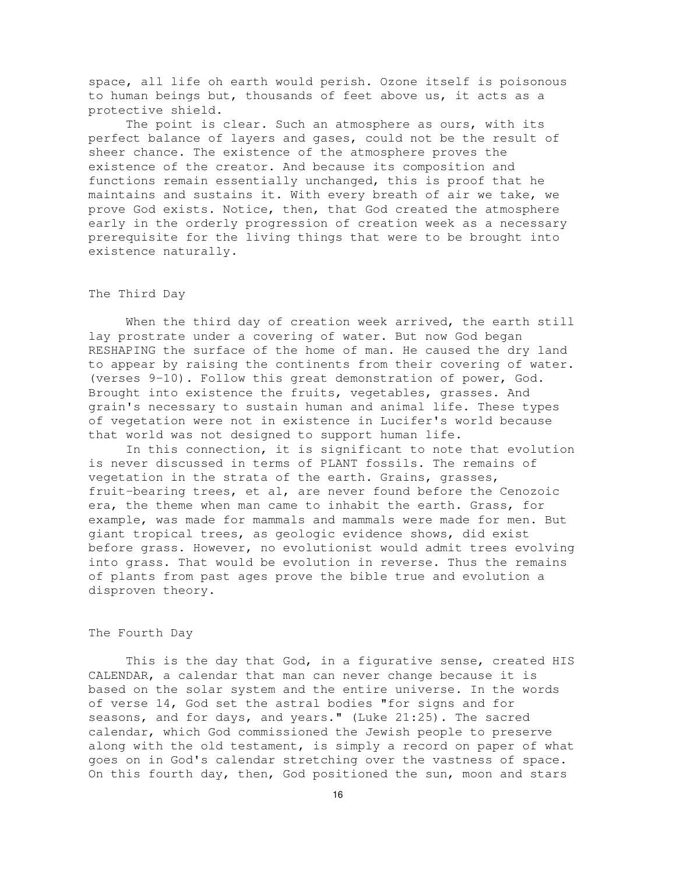space, all life oh earth would perish. Ozone itself is poisonous to human beings but, thousands of feet above us, it acts as a protective shield.

The point is clear. Such an atmosphere as ours, with its perfect balance of layers and gases, could not be the result of sheer chance. The existence of the atmosphere proves the existence of the creator. And because its composition and functions remain essentially unchanged, this is proof that he maintains and sustains it. With every breath of air we take, we prove God exists. Notice, then, that God created the atmosphere early in the orderly progression of creation week as a necessary prerequisite for the living things that were to be brought into existence naturally.

#### The Third Day

When the third day of creation week arrived, the earth still lay prostrate under a covering of water. But now God began RESHAPING the surface of the home of man. He caused the dry land to appear by raising the continents from their covering of water. (verses 9-10). Follow this great demonstration of power, God. Brought into existence the fruits, vegetables, grasses. And grain's necessary to sustain human and animal life. These types of vegetation were not in existence in Lucifer's world because that world was not designed to support human life.

In this connection, it is significant to note that evolution is never discussed in terms of PLANT fossils. The remains of vegetation in the strata of the earth. Grains, grasses, fruit-bearing trees, et al, are never found before the Cenozoic era, the theme when man came to inhabit the earth. Grass, for example, was made for mammals and mammals were made for men. But giant tropical trees, as geologic evidence shows, did exist before grass. However, no evolutionist would admit trees evolving into grass. That would be evolution in reverse. Thus the remains of plants from past ages prove the bible true and evolution a disproven theory.

# The Fourth Day

This is the day that God, in a figurative sense, created HIS CALENDAR, a calendar that man can never change because it is based on the solar system and the entire universe. In the words of verse 14, God set the astral bodies "for signs and for seasons, and for days, and years." (Luke 21:25). The sacred calendar, which God commissioned the Jewish people to preserve along with the old testament, is simply a record on paper of what goes on in God's calendar stretching over the vastness of space. On this fourth day, then, God positioned the sun, moon and stars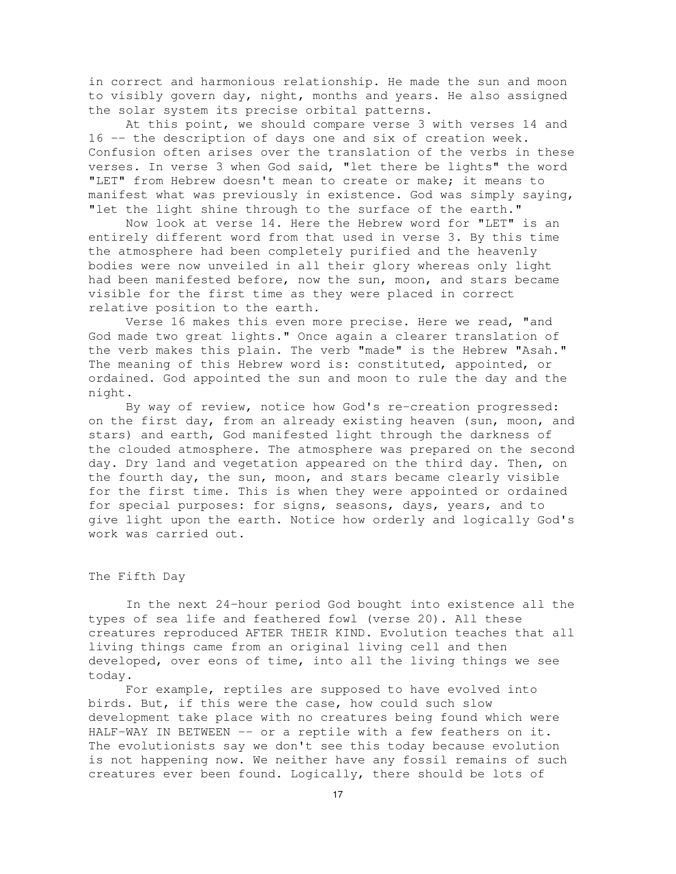in correct and harmonious relationship. He made the sun and moon to visibly govern day, night, months and years. He also assigned the solar system its precise orbital patterns.

At this point, we should compare verse 3 with verses 14 and 16 -- the description of days one and six of creation week. Confusion often arises over the translation of the verbs in these verses. In verse 3 when God said, "let there be lights" the word "LET" from Hebrew doesn't mean to create or make; it means to manifest what was previously in existence. God was simply saying, "let the light shine through to the surface of the earth."

Now look at verse 14. Here the Hebrew word for "LET" is an entirely different word from that used in verse 3. By this time the atmosphere had been completely purified and the heavenly bodies were now unveiled in all their glory whereas only light had been manifested before, now the sun, moon, and stars became visible for the first time as they were placed in correct relative position to the earth.

Verse 16 makes this even more precise. Here we read, "and God made two great lights." Once again a clearer translation of the verb makes this plain. The verb "made" is the Hebrew "Asah." The meaning of this Hebrew word is: constituted, appointed, or ordained. God appointed the sun and moon to rule the day and the night.

By way of review, notice how God's re-creation progressed: on the first day, from an already existing heaven (sun, moon, and stars) and earth, God manifested light through the darkness of the clouded atmosphere. The atmosphere was prepared on the second day. Dry land and vegetation appeared on the third day. Then, on the fourth day, the sun, moon, and stars became clearly visible for the first time. This is when they were appointed or ordained for special purposes: for signs, seasons, days, years, and to give light upon the earth. Notice how orderly and logically God's work was carried out.

# The Fifth Day

In the next 24-hour period God bought into existence all the types of sea life and feathered fowl (verse 20). All these creatures reproduced AFTER THEIR KIND. Evolution teaches that all living things came from an original living cell and then developed, over eons of time, into all the living things we see today.

For example, reptiles are supposed to have evolved into birds. But, if this were the case, how could such slow development take place with no creatures being found which were HALF-WAY IN BETWEEN -- or a reptile with a few feathers on it. The evolutionists say we don't see this today because evolution is not happening now. We neither have any fossil remains of such creatures ever been found. Logically, there should be lots of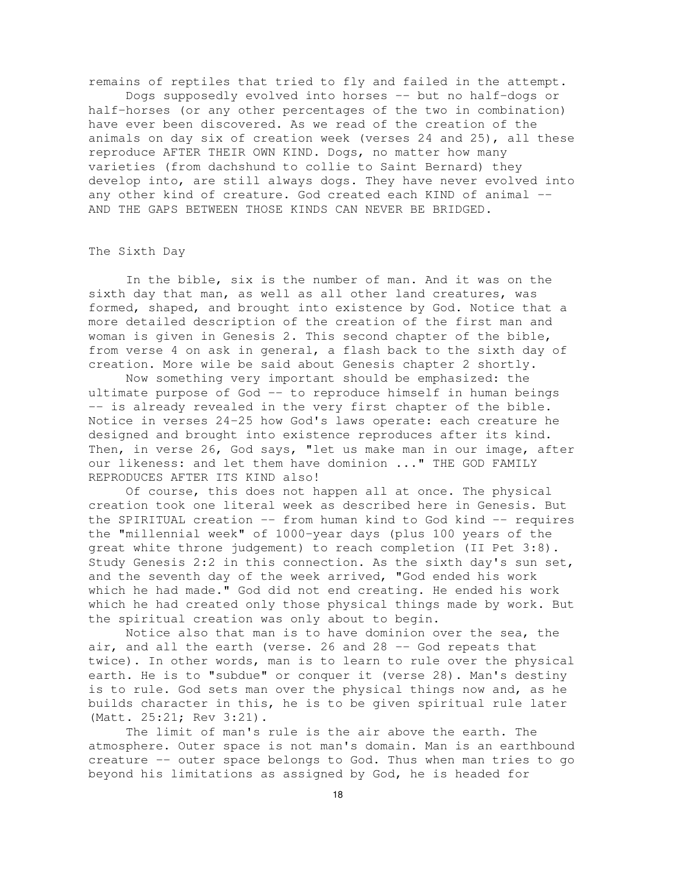remains of reptiles that tried to fly and failed in the attempt. Dogs supposedly evolved into horses -- but no half-dogs or half-horses (or any other percentages of the two in combination) have ever been discovered. As we read of the creation of the animals on day six of creation week (verses 24 and 25), all these reproduce AFTER THEIR OWN KIND. Dogs, no matter how many varieties (from dachshund to collie to Saint Bernard) they develop into, are still always dogs. They have never evolved into any other kind of creature. God created each KIND of animal -- AND THE GAPS BETWEEN THOSE KINDS CAN NEVER BE BRIDGED.

#### The Sixth Day

In the bible, six is the number of man. And it was on the sixth day that man, as well as all other land creatures, was formed, shaped, and brought into existence by God. Notice that a more detailed description of the creation of the first man and woman is given in Genesis 2. This second chapter of the bible, from verse 4 on ask in general, a flash back to the sixth day of creation. More wile be said about Genesis chapter 2 shortly.

Now something very important should be emphasized: the ultimate purpose of God -- to reproduce himself in human beings -- is already revealed in the very first chapter of the bible. Notice in verses 24-25 how God's laws operate: each creature he designed and brought into existence reproduces after its kind. Then, in verse 26, God says, "let us make man in our image, after our likeness: and let them have dominion ..." THE GOD FAMILY REPRODUCES AFTER ITS KIND also!

Of course, this does not happen all at once. The physical creation took one literal week as described here in Genesis. But the SPIRITUAL creation -- from human kind to God kind -- requires the "millennial week" of 1000-year days (plus 100 years of the great white throne judgement) to reach completion (II Pet 3:8). Study Genesis 2:2 in this connection. As the sixth day's sun set, and the seventh day of the week arrived, "God ended his work which he had made." God did not end creating. He ended his work which he had created only those physical things made by work. But the spiritual creation was only about to begin.

Notice also that man is to have dominion over the sea, the air, and all the earth (verse. 26 and 28 -- God repeats that twice). In other words, man is to learn to rule over the physical earth. He is to "subdue" or conquer it (verse 28). Man's destiny is to rule. God sets man over the physical things now and, as he builds character in this, he is to be given spiritual rule later (Matt. 25:21; Rev 3:21).

The limit of man's rule is the air above the earth. The atmosphere. Outer space is not man's domain. Man is an earthbound creature -- outer space belongs to God. Thus when man tries to go beyond his limitations as assigned by God, he is headed for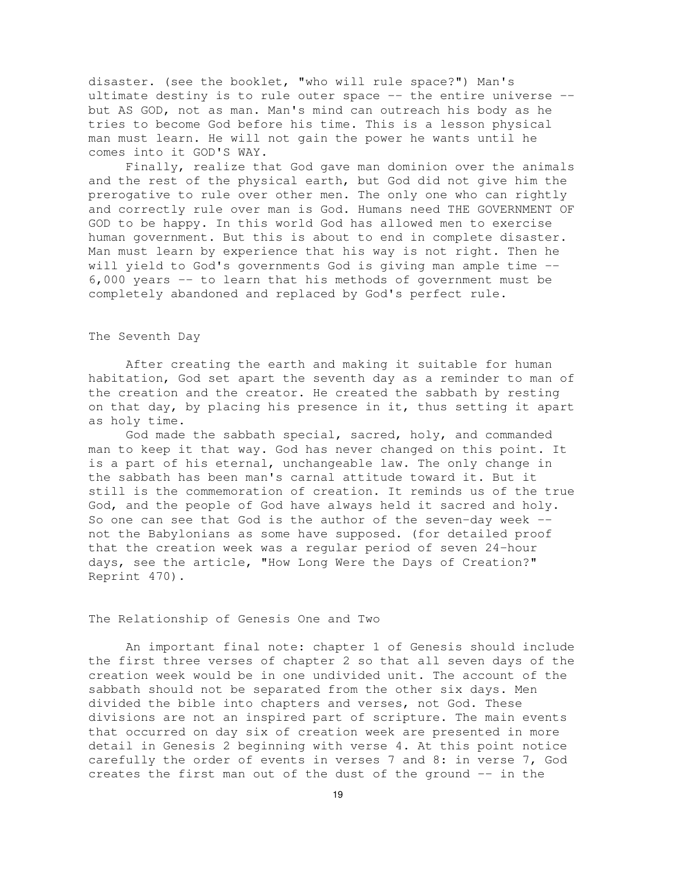disaster. (see the booklet, "who will rule space?") Man's ultimate destiny is to rule outer space -- the entire universe - but AS GOD, not as man. Man's mind can outreach his body as he tries to become God before his time. This is a lesson physical man must learn. He will not gain the power he wants until he comes into it GOD'S WAY.

Finally, realize that God gave man dominion over the animals and the rest of the physical earth, but God did not give him the prerogative to rule over other men. The only one who can rightly and correctly rule over man is God. Humans need THE GOVERNMENT OF GOD to be happy. In this world God has allowed men to exercise human government. But this is about to end in complete disaster. Man must learn by experience that his way is not right. Then he will yield to God's governments God is giving man ample time -- 6,000 years -- to learn that his methods of government must be completely abandoned and replaced by God's perfect rule.

#### The Seventh Day

After creating the earth and making it suitable for human habitation, God set apart the seventh day as a reminder to man of the creation and the creator. He created the sabbath by resting on that day, by placing his presence in it, thus setting it apart as holy time.

God made the sabbath special, sacred, holy, and commanded man to keep it that way. God has never changed on this point. It is a part of his eternal, unchangeable law. The only change in the sabbath has been man's carnal attitude toward it. But it still is the commemoration of creation. It reminds us of the true God, and the people of God have always held it sacred and holy. So one can see that God is the author of the seven-day week  $$ not the Babylonians as some have supposed. (for detailed proof that the creation week was a regular period of seven 24-hour days, see the article, "How Long Were the Days of Creation?" Reprint 470).

# The Relationship of Genesis One and Two

An important final note: chapter 1 of Genesis should include the first three verses of chapter 2 so that all seven days of the creation week would be in one undivided unit. The account of the sabbath should not be separated from the other six days. Men divided the bible into chapters and verses, not God. These divisions are not an inspired part of scripture. The main events that occurred on day six of creation week are presented in more detail in Genesis 2 beginning with verse 4. At this point notice carefully the order of events in verses 7 and 8: in verse 7, God creates the first man out of the dust of the ground -- in the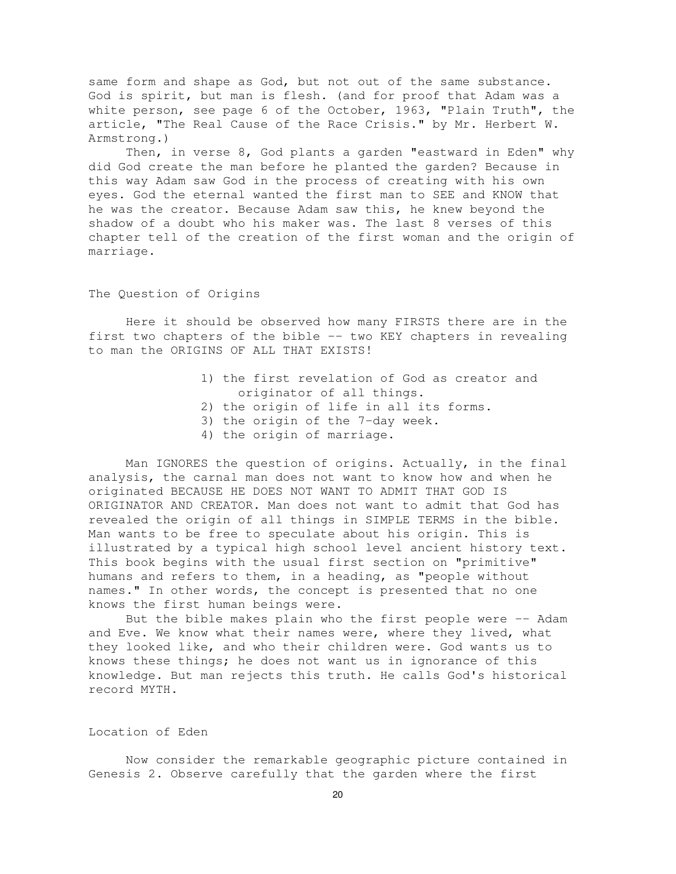same form and shape as God, but not out of the same substance. God is spirit, but man is flesh. (and for proof that Adam was a white person, see page 6 of the October, 1963, "Plain Truth", the article, "The Real Cause of the Race Crisis." by Mr. Herbert W. Armstrong.)

Then, in verse 8, God plants a garden "eastward in Eden" why did God create the man before he planted the garden? Because in this way Adam saw God in the process of creating with his own eyes. God the eternal wanted the first man to SEE and KNOW that he was the creator. Because Adam saw this, he knew beyond the shadow of a doubt who his maker was. The last 8 verses of this chapter tell of the creation of the first woman and the origin of marriage.

The Question of Origins

Here it should be observed how many FIRSTS there are in the first two chapters of the bible -- two KEY chapters in revealing to man the ORIGINS OF ALL THAT EXISTS!

- 1) the first revelation of God as creator and originator of all things. 2) the origin of life in all its forms.
- 3) the origin of the 7-day week.
- 4) the origin of marriage.

Man IGNORES the question of origins. Actually, in the final analysis, the carnal man does not want to know how and when he originated BECAUSE HE DOES NOT WANT TO ADMIT THAT GOD IS ORIGINATOR AND CREATOR. Man does not want to admit that God has revealed the origin of all things in SIMPLE TERMS in the bible. Man wants to be free to speculate about his origin. This is illustrated by a typical high school level ancient history text. This book begins with the usual first section on "primitive" humans and refers to them, in a heading, as "people without names." In other words, the concept is presented that no one knows the first human beings were.

But the bible makes plain who the first people were -- Adam and Eve. We know what their names were, where they lived, what they looked like, and who their children were. God wants us to knows these things; he does not want us in ignorance of this knowledge. But man rejects this truth. He calls God's historical record MYTH.

#### Location of Eden

Now consider the remarkable geographic picture contained in Genesis 2. Observe carefully that the garden where the first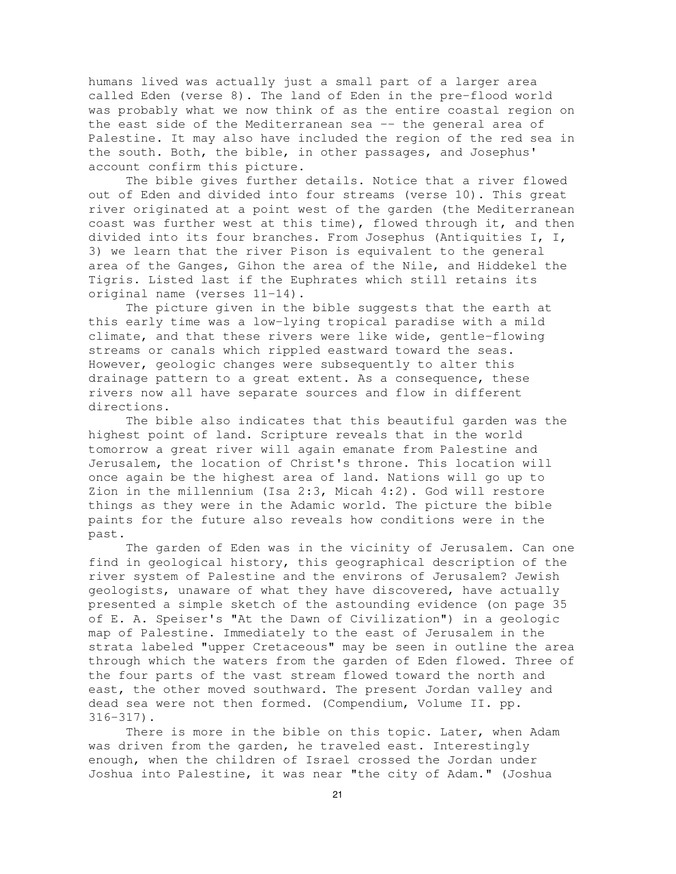humans lived was actually just a small part of a larger area called Eden (verse 8). The land of Eden in the pre-flood world was probably what we now think of as the entire coastal region on the east side of the Mediterranean sea -- the general area of Palestine. It may also have included the region of the red sea in the south. Both, the bible, in other passages, and Josephus' account confirm this picture.

The bible gives further details. Notice that a river flowed out of Eden and divided into four streams (verse 10). This great river originated at a point west of the garden (the Mediterranean coast was further west at this time), flowed through it, and then divided into its four branches. From Josephus (Antiquities I, I, 3) we learn that the river Pison is equivalent to the general area of the Ganges, Gihon the area of the Nile, and Hiddekel the Tigris. Listed last if the Euphrates which still retains its original name (verses 11-14).

The picture given in the bible suggests that the earth at this early time was a low-lying tropical paradise with a mild climate, and that these rivers were like wide, gentle-flowing streams or canals which rippled eastward toward the seas. However, geologic changes were subsequently to alter this drainage pattern to a great extent. As a consequence, these rivers now all have separate sources and flow in different directions.

The bible also indicates that this beautiful garden was the highest point of land. Scripture reveals that in the world tomorrow a great river will again emanate from Palestine and Jerusalem, the location of Christ's throne. This location will once again be the highest area of land. Nations will go up to Zion in the millennium (Isa 2:3, Micah 4:2). God will restore things as they were in the Adamic world. The picture the bible paints for the future also reveals how conditions were in the past.

The garden of Eden was in the vicinity of Jerusalem. Can one find in geological history, this geographical description of the river system of Palestine and the environs of Jerusalem? Jewish geologists, unaware of what they have discovered, have actually presented a simple sketch of the astounding evidence (on page 35 of E. A. Speiser's "At the Dawn of Civilization") in a geologic map of Palestine. Immediately to the east of Jerusalem in the strata labeled "upper Cretaceous" may be seen in outline the area through which the waters from the garden of Eden flowed. Three of the four parts of the vast stream flowed toward the north and east, the other moved southward. The present Jordan valley and dead sea were not then formed. (Compendium, Volume II. pp. 316-317).

There is more in the bible on this topic. Later, when Adam was driven from the garden, he traveled east. Interestingly enough, when the children of Israel crossed the Jordan under Joshua into Palestine, it was near "the city of Adam." (Joshua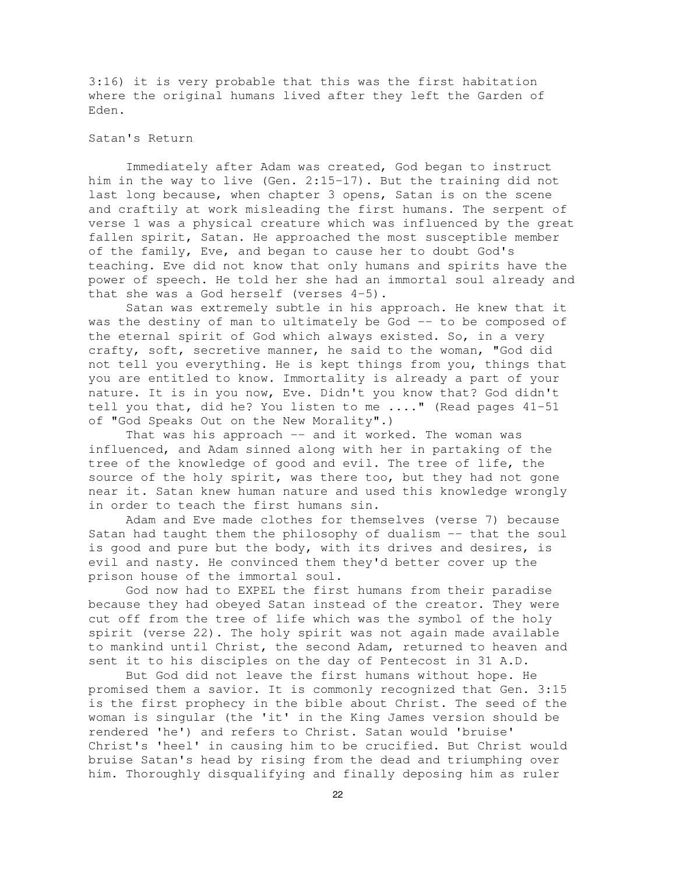3:16) it is very probable that this was the first habitation where the original humans lived after they left the Garden of Eden.

# Satan's Return

Immediately after Adam was created, God began to instruct him in the way to live (Gen. 2:15-17). But the training did not last long because, when chapter 3 opens, Satan is on the scene and craftily at work misleading the first humans. The serpent of verse 1 was a physical creature which was influenced by the great fallen spirit, Satan. He approached the most susceptible member of the family, Eve, and began to cause her to doubt God's teaching. Eve did not know that only humans and spirits have the power of speech. He told her she had an immortal soul already and that she was a God herself (verses 4-5).

Satan was extremely subtle in his approach. He knew that it was the destiny of man to ultimately be God -- to be composed of the eternal spirit of God which always existed. So, in a very crafty, soft, secretive manner, he said to the woman, "God did not tell you everything. He is kept things from you, things that you are entitled to know. Immortality is already a part of your nature. It is in you now, Eve. Didn't you know that? God didn't tell you that, did he? You listen to me ...." (Read pages 41-51 of "God Speaks Out on the New Morality".)

That was his approach -- and it worked. The woman was influenced, and Adam sinned along with her in partaking of the tree of the knowledge of good and evil. The tree of life, the source of the holy spirit, was there too, but they had not gone near it. Satan knew human nature and used this knowledge wrongly in order to teach the first humans sin.

Adam and Eve made clothes for themselves (verse 7) because Satan had taught them the philosophy of dualism -- that the soul is good and pure but the body, with its drives and desires, is evil and nasty. He convinced them they'd better cover up the prison house of the immortal soul.

God now had to EXPEL the first humans from their paradise because they had obeyed Satan instead of the creator. They were cut off from the tree of life which was the symbol of the holy spirit (verse 22). The holy spirit was not again made available to mankind until Christ, the second Adam, returned to heaven and sent it to his disciples on the day of Pentecost in 31 A.D.

But God did not leave the first humans without hope. He promised them a savior. It is commonly recognized that Gen. 3:15 is the first prophecy in the bible about Christ. The seed of the woman is singular (the 'it' in the King James version should be rendered 'he') and refers to Christ. Satan would 'bruise' Christ's 'heel' in causing him to be crucified. But Christ would bruise Satan's head by rising from the dead and triumphing over him. Thoroughly disqualifying and finally deposing him as ruler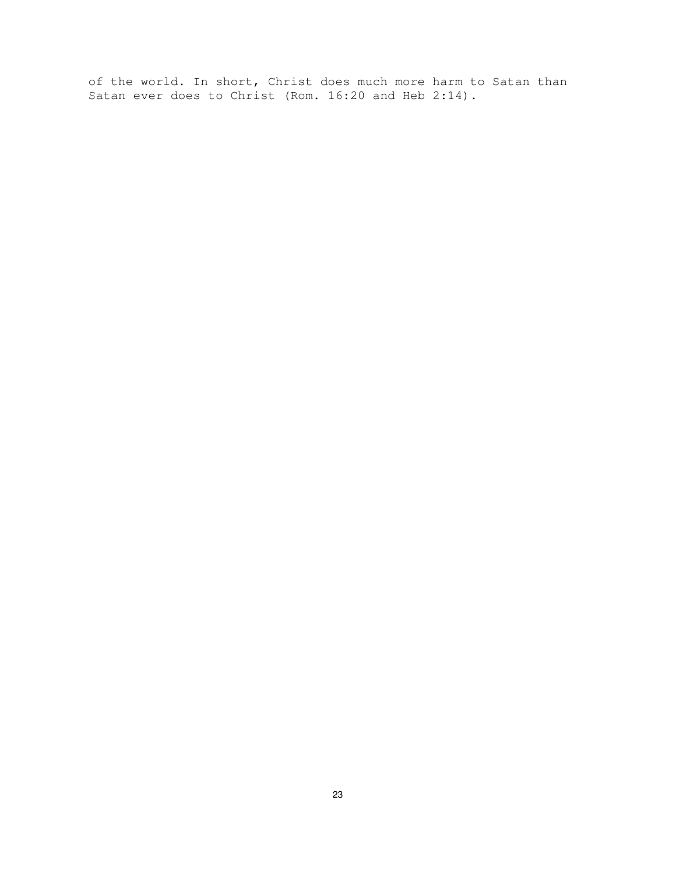of the world. In short, Christ does much more harm to Satan than Satan ever does to Christ (Rom. 16:20 and Heb 2:14).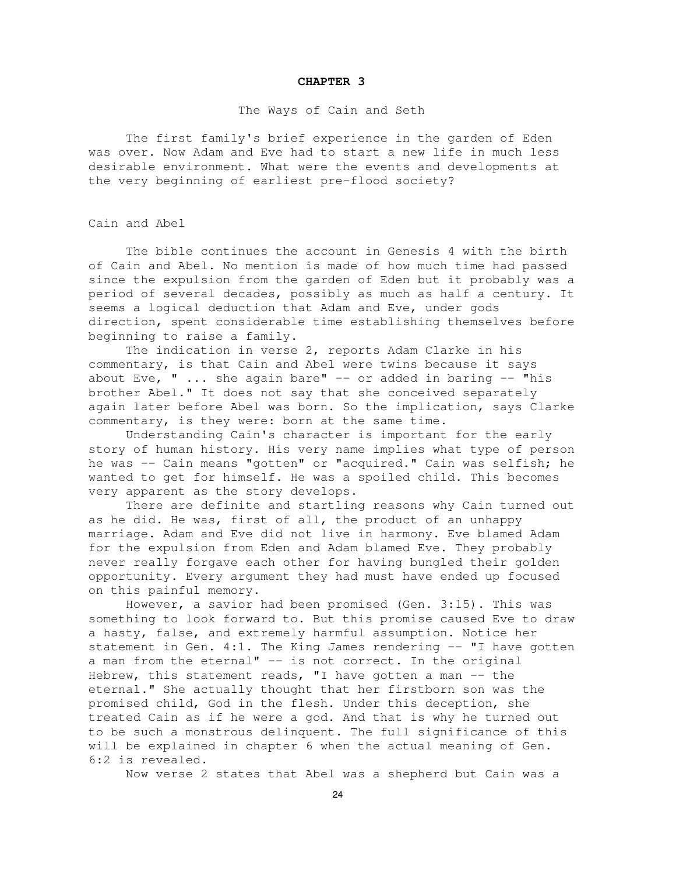#### **CHAPTER 3**

#### The Ways of Cain and Seth

The first family's brief experience in the garden of Eden was over. Now Adam and Eve had to start a new life in much less desirable environment. What were the events and developments at the very beginning of earliest pre-flood society?

#### Cain and Abel

The bible continues the account in Genesis 4 with the birth of Cain and Abel. No mention is made of how much time had passed since the expulsion from the garden of Eden but it probably was a period of several decades, possibly as much as half a century. It seems a logical deduction that Adam and Eve, under gods direction, spent considerable time establishing themselves before beginning to raise a family.

The indication in verse 2, reports Adam Clarke in his commentary, is that Cain and Abel were twins because it says about Eve, "  $\ldots$  she again bare" -- or added in baring -- "his brother Abel." It does not say that she conceived separately again later before Abel was born. So the implication, says Clarke commentary, is they were: born at the same time.

Understanding Cain's character is important for the early story of human history. His very name implies what type of person he was -- Cain means "gotten" or "acquired." Cain was selfish; he wanted to get for himself. He was a spoiled child. This becomes very apparent as the story develops.

There are definite and startling reasons why Cain turned out as he did. He was, first of all, the product of an unhappy marriage. Adam and Eve did not live in harmony. Eve blamed Adam for the expulsion from Eden and Adam blamed Eve. They probably never really forgave each other for having bungled their golden opportunity. Every argument they had must have ended up focused on this painful memory.

However, a savior had been promised (Gen. 3:15). This was something to look forward to. But this promise caused Eve to draw a hasty, false, and extremely harmful assumption. Notice her statement in Gen.  $4:1$ . The King James rendering  $--$  "I have gotten a man from the eternal" -- is not correct. In the original Hebrew, this statement reads, "I have gotten a man  $-$ - the eternal." She actually thought that her firstborn son was the promised child, God in the flesh. Under this deception, she treated Cain as if he were a god. And that is why he turned out to be such a monstrous delinquent. The full significance of this will be explained in chapter 6 when the actual meaning of Gen. 6:2 is revealed.

Now verse 2 states that Abel was a shepherd but Cain was a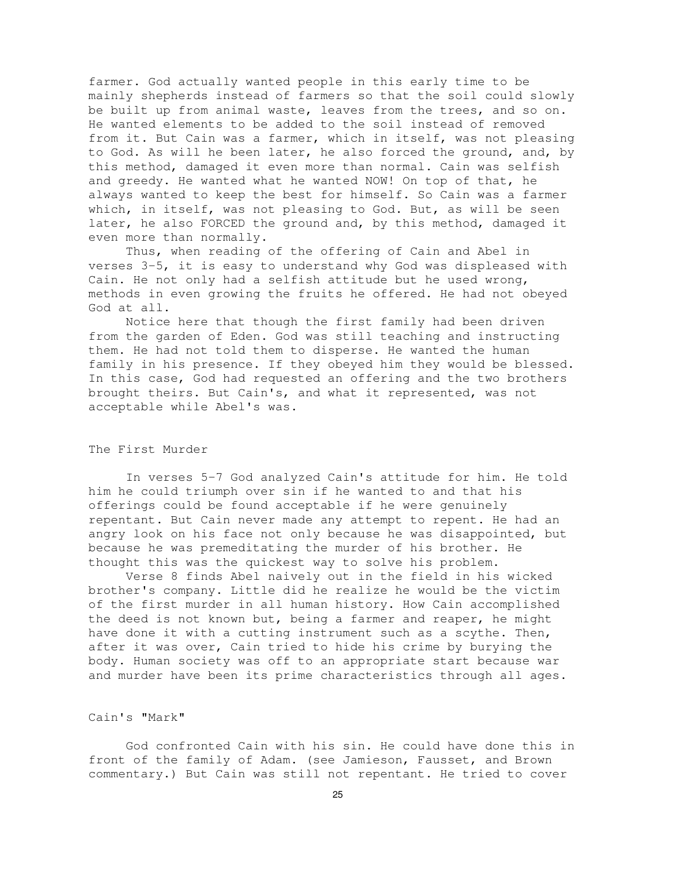farmer. God actually wanted people in this early time to be mainly shepherds instead of farmers so that the soil could slowly be built up from animal waste, leaves from the trees, and so on. He wanted elements to be added to the soil instead of removed from it. But Cain was a farmer, which in itself, was not pleasing to God. As will he been later, he also forced the ground, and, by this method, damaged it even more than normal. Cain was selfish and greedy. He wanted what he wanted NOW! On top of that, he always wanted to keep the best for himself. So Cain was a farmer which, in itself, was not pleasing to God. But, as will be seen later, he also FORCED the ground and, by this method, damaged it even more than normally.

Thus, when reading of the offering of Cain and Abel in verses 3-5, it is easy to understand why God was displeased with Cain. He not only had a selfish attitude but he used wrong, methods in even growing the fruits he offered. He had not obeyed God at all.

Notice here that though the first family had been driven from the garden of Eden. God was still teaching and instructing them. He had not told them to disperse. He wanted the human family in his presence. If they obeyed him they would be blessed. In this case, God had requested an offering and the two brothers brought theirs. But Cain's, and what it represented, was not acceptable while Abel's was.

# The First Murder

In verses 5-7 God analyzed Cain's attitude for him. He told him he could triumph over sin if he wanted to and that his offerings could be found acceptable if he were genuinely repentant. But Cain never made any attempt to repent. He had an angry look on his face not only because he was disappointed, but because he was premeditating the murder of his brother. He thought this was the quickest way to solve his problem.

Verse 8 finds Abel naively out in the field in his wicked brother's company. Little did he realize he would be the victim of the first murder in all human history. How Cain accomplished the deed is not known but, being a farmer and reaper, he might have done it with a cutting instrument such as a scythe. Then, after it was over, Cain tried to hide his crime by burying the body. Human society was off to an appropriate start because war and murder have been its prime characteristics through all ages.

#### Cain's "Mark"

God confronted Cain with his sin. He could have done this in front of the family of Adam. (see Jamieson, Fausset, and Brown commentary.) But Cain was still not repentant. He tried to cover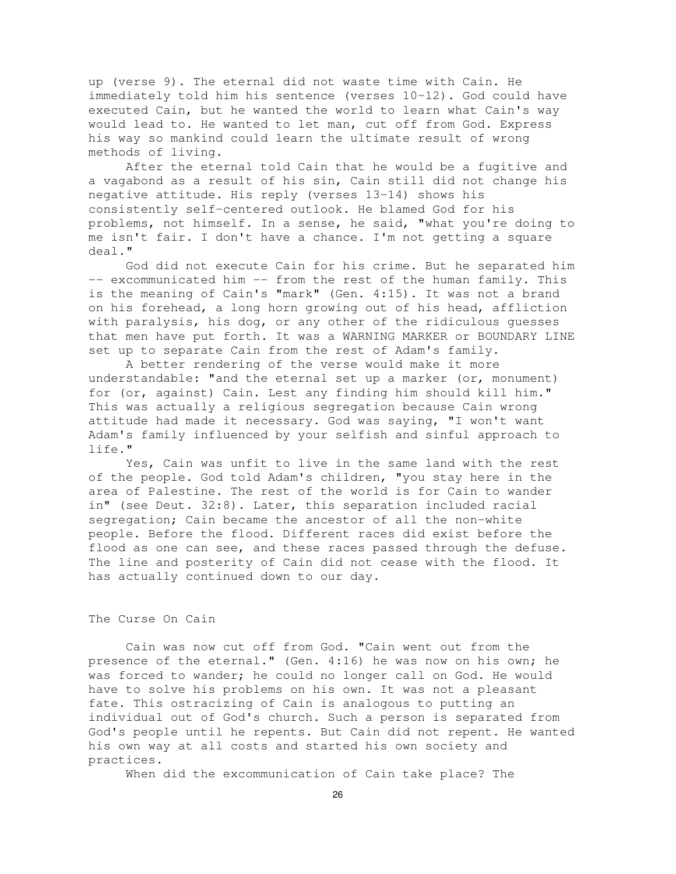up (verse 9). The eternal did not waste time with Cain. He immediately told him his sentence (verses 10-12). God could have executed Cain, but he wanted the world to learn what Cain's way would lead to. He wanted to let man, cut off from God. Express his way so mankind could learn the ultimate result of wrong methods of living.

After the eternal told Cain that he would be a fugitive and a vagabond as a result of his sin, Cain still did not change his negative attitude. His reply (verses 13-14) shows his consistently self-centered outlook. He blamed God for his problems, not himself. In a sense, he said, "what you're doing to me isn't fair. I don't have a chance. I'm not getting a square deal."

God did not execute Cain for his crime. But he separated him -- excommunicated him -- from the rest of the human family. This is the meaning of Cain's "mark" (Gen. 4:15). It was not a brand on his forehead, a long horn growing out of his head, affliction with paralysis, his dog, or any other of the ridiculous guesses that men have put forth. It was a WARNING MARKER or BOUNDARY LINE set up to separate Cain from the rest of Adam's family.

A better rendering of the verse would make it more understandable: "and the eternal set up a marker (or, monument) for (or, against) Cain. Lest any finding him should kill him." This was actually a religious segregation because Cain wrong attitude had made it necessary. God was saying, "I won't want Adam's family influenced by your selfish and sinful approach to life."

Yes, Cain was unfit to live in the same land with the rest of the people. God told Adam's children, "you stay here in the area of Palestine. The rest of the world is for Cain to wander in" (see Deut. 32:8). Later, this separation included racial segregation; Cain became the ancestor of all the non-white people. Before the flood. Different races did exist before the flood as one can see, and these races passed through the defuse. The line and posterity of Cain did not cease with the flood. It has actually continued down to our day.

# The Curse On Cain

Cain was now cut off from God. "Cain went out from the presence of the eternal." (Gen. 4:16) he was now on his own; he was forced to wander; he could no longer call on God. He would have to solve his problems on his own. It was not a pleasant fate. This ostracizing of Cain is analogous to putting an individual out of God's church. Such a person is separated from God's people until he repents. But Cain did not repent. He wanted his own way at all costs and started his own society and practices.

When did the excommunication of Cain take place? The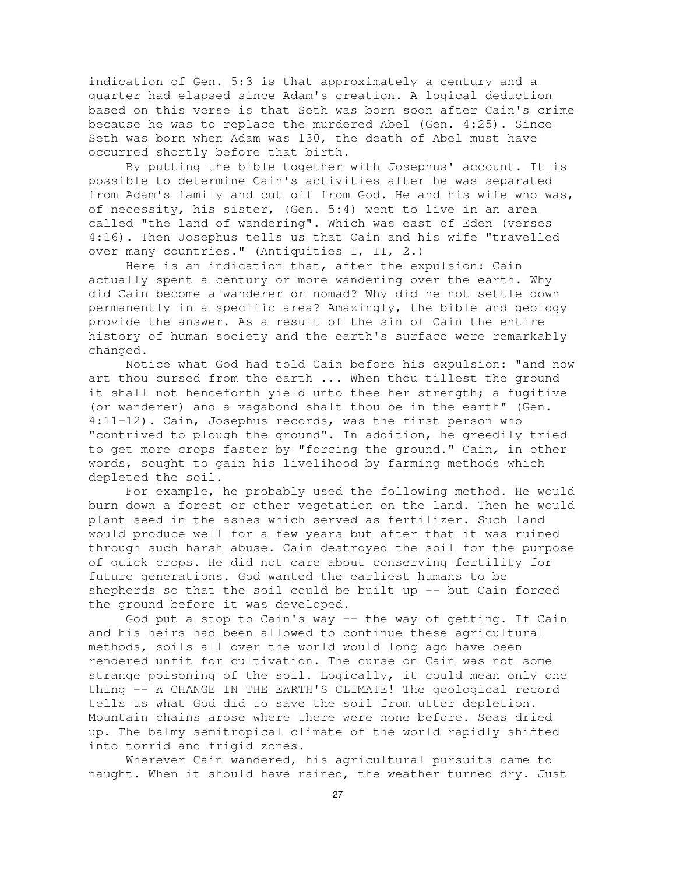indication of Gen. 5:3 is that approximately a century and a quarter had elapsed since Adam's creation. A logical deduction based on this verse is that Seth was born soon after Cain's crime because he was to replace the murdered Abel (Gen. 4:25). Since Seth was born when Adam was 130, the death of Abel must have occurred shortly before that birth.

By putting the bible together with Josephus' account. It is possible to determine Cain's activities after he was separated from Adam's family and cut off from God. He and his wife who was, of necessity, his sister, (Gen. 5:4) went to live in an area called "the land of wandering". Which was east of Eden (verses 4:16). Then Josephus tells us that Cain and his wife "travelled over many countries." (Antiquities I, II, 2.)

Here is an indication that, after the expulsion: Cain actually spent a century or more wandering over the earth. Why did Cain become a wanderer or nomad? Why did he not settle down permanently in a specific area? Amazingly, the bible and geology provide the answer. As a result of the sin of Cain the entire history of human society and the earth's surface were remarkably changed.

Notice what God had told Cain before his expulsion: "and now art thou cursed from the earth ... When thou tillest the ground it shall not henceforth yield unto thee her strength; a fugitive (or wanderer) and a vagabond shalt thou be in the earth" (Gen. 4:11-12). Cain, Josephus records, was the first person who "contrived to plough the ground". In addition, he greedily tried to get more crops faster by "forcing the ground." Cain, in other words, sought to gain his livelihood by farming methods which depleted the soil.

For example, he probably used the following method. He would burn down a forest or other vegetation on the land. Then he would plant seed in the ashes which served as fertilizer. Such land would produce well for a few years but after that it was ruined through such harsh abuse. Cain destroyed the soil for the purpose of quick crops. He did not care about conserving fertility for future generations. God wanted the earliest humans to be shepherds so that the soil could be built up  $-$ - but Cain forced the ground before it was developed.

God put a stop to Cain's way -- the way of getting. If Cain and his heirs had been allowed to continue these agricultural methods, soils all over the world would long ago have been rendered unfit for cultivation. The curse on Cain was not some strange poisoning of the soil. Logically, it could mean only one thing -- A CHANGE IN THE EARTH'S CLIMATE! The geological record tells us what God did to save the soil from utter depletion. Mountain chains arose where there were none before. Seas dried up. The balmy semitropical climate of the world rapidly shifted into torrid and frigid zones.

Wherever Cain wandered, his agricultural pursuits came to naught. When it should have rained, the weather turned dry. Just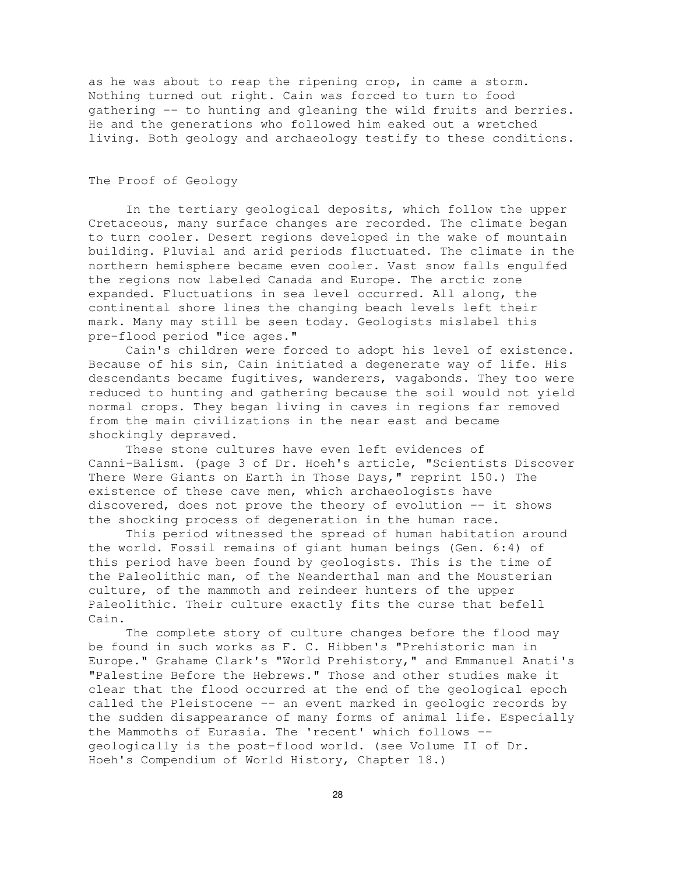as he was about to reap the ripening crop, in came a storm. Nothing turned out right. Cain was forced to turn to food gathering -- to hunting and gleaning the wild fruits and berries. He and the generations who followed him eaked out a wretched living. Both geology and archaeology testify to these conditions.

# The Proof of Geology

In the tertiary geological deposits, which follow the upper Cretaceous, many surface changes are recorded. The climate began to turn cooler. Desert regions developed in the wake of mountain building. Pluvial and arid periods fluctuated. The climate in the northern hemisphere became even cooler. Vast snow falls engulfed the regions now labeled Canada and Europe. The arctic zone expanded. Fluctuations in sea level occurred. All along, the continental shore lines the changing beach levels left their mark. Many may still be seen today. Geologists mislabel this pre-flood period "ice ages."

Cain's children were forced to adopt his level of existence. Because of his sin, Cain initiated a degenerate way of life. His descendants became fugitives, wanderers, vagabonds. They too were reduced to hunting and gathering because the soil would not yield normal crops. They began living in caves in regions far removed from the main civilizations in the near east and became shockingly depraved.

These stone cultures have even left evidences of Canni-Balism. (page 3 of Dr. Hoeh's article, "Scientists Discover There Were Giants on Earth in Those Days," reprint 150.) The existence of these cave men, which archaeologists have discovered, does not prove the theory of evolution -- it shows the shocking process of degeneration in the human race.

This period witnessed the spread of human habitation around the world. Fossil remains of giant human beings (Gen. 6:4) of this period have been found by geologists. This is the time of the Paleolithic man, of the Neanderthal man and the Mousterian culture, of the mammoth and reindeer hunters of the upper Paleolithic. Their culture exactly fits the curse that befell Cain.

The complete story of culture changes before the flood may be found in such works as F. C. Hibben's "Prehistoric man in Europe." Grahame Clark's "World Prehistory," and Emmanuel Anati's "Palestine Before the Hebrews." Those and other studies make it clear that the flood occurred at the end of the geological epoch called the Pleistocene -- an event marked in geologic records by the sudden disappearance of many forms of animal life. Especially the Mammoths of Eurasia. The 'recent' which follows - geologically is the post-flood world. (see Volume II of Dr. Hoeh's Compendium of World History, Chapter 18.)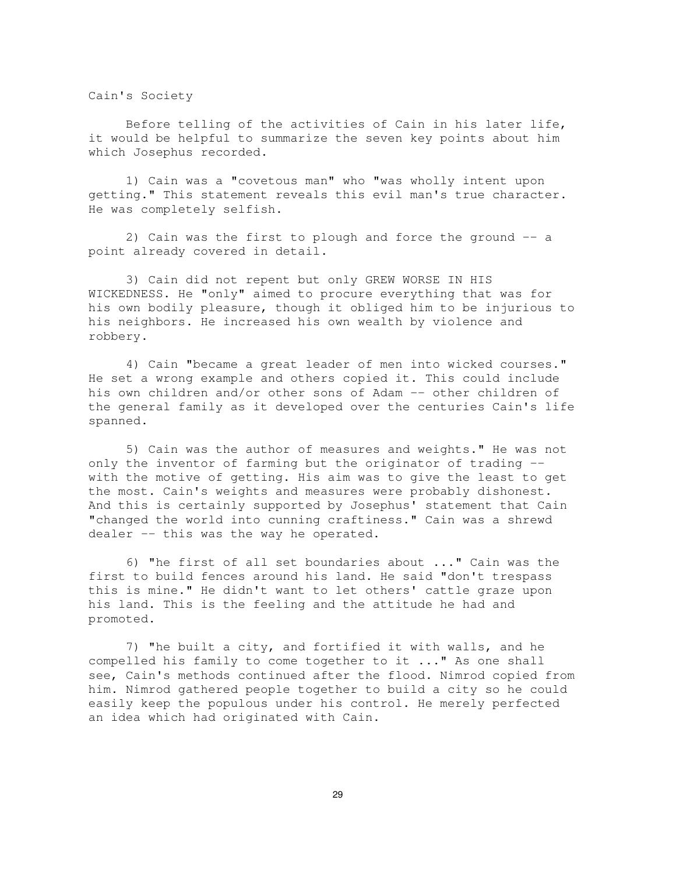Cain's Society

Before telling of the activities of Cain in his later life, it would be helpful to summarize the seven key points about him which Josephus recorded.

1) Cain was a "covetous man" who "was wholly intent upon getting." This statement reveals this evil man's true character. He was completely selfish.

2) Cain was the first to plough and force the ground -- a point already covered in detail.

3) Cain did not repent but only GREW WORSE IN HIS WICKEDNESS. He "only" aimed to procure everything that was for his own bodily pleasure, though it obliged him to be injurious to his neighbors. He increased his own wealth by violence and robbery.

4) Cain "became a great leader of men into wicked courses." He set a wrong example and others copied it. This could include his own children and/or other sons of Adam -- other children of the general family as it developed over the centuries Cain's life spanned.

5) Cain was the author of measures and weights." He was not only the inventor of farming but the originator of trading - with the motive of getting. His aim was to give the least to get the most. Cain's weights and measures were probably dishonest. And this is certainly supported by Josephus' statement that Cain "changed the world into cunning craftiness." Cain was a shrewd dealer -- this was the way he operated.

6) "he first of all set boundaries about ..." Cain was the first to build fences around his land. He said "don't trespass this is mine." He didn't want to let others' cattle graze upon his land. This is the feeling and the attitude he had and promoted.

7) "he built a city, and fortified it with walls, and he compelled his family to come together to it ..." As one shall see, Cain's methods continued after the flood. Nimrod copied from him. Nimrod gathered people together to build a city so he could easily keep the populous under his control. He merely perfected an idea which had originated with Cain.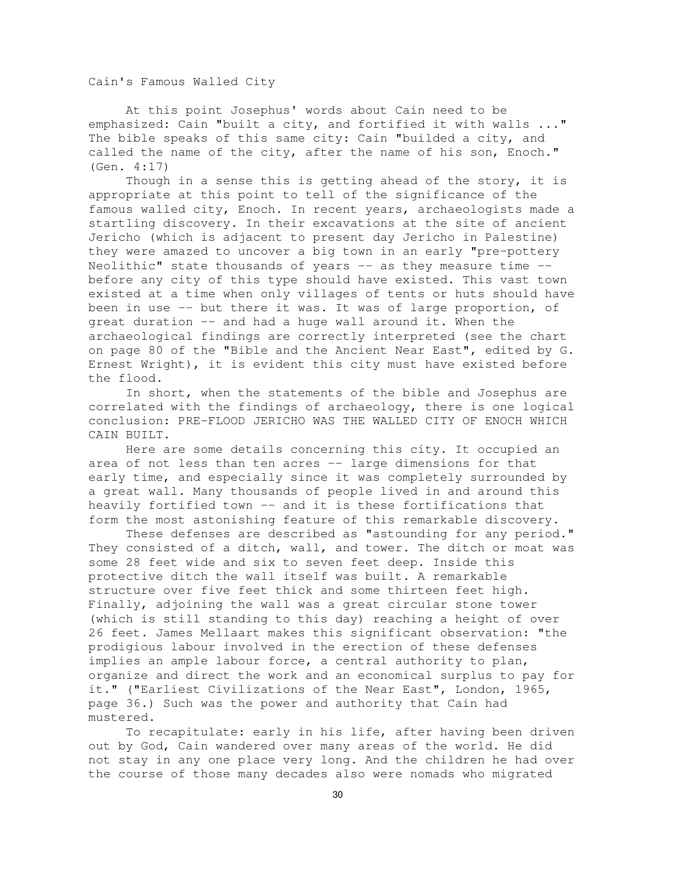Cain's Famous Walled City

At this point Josephus' words about Cain need to be emphasized: Cain "built a city, and fortified it with walls ..." The bible speaks of this same city: Cain "builded a city, and called the name of the city, after the name of his son, Enoch." (Gen. 4:17)

Though in a sense this is getting ahead of the story, it is appropriate at this point to tell of the significance of the famous walled city, Enoch. In recent years, archaeologists made a startling discovery. In their excavations at the site of ancient Jericho (which is adjacent to present day Jericho in Palestine) they were amazed to uncover a big town in an early "pre-pottery Neolithic" state thousands of years  $-$  as they measure time  $$ before any city of this type should have existed. This vast town existed at a time when only villages of tents or huts should have been in use -- but there it was. It was of large proportion, of great duration -- and had a huge wall around it. When the archaeological findings are correctly interpreted (see the chart on page 80 of the "Bible and the Ancient Near East", edited by G. Ernest Wright), it is evident this city must have existed before the flood.

In short, when the statements of the bible and Josephus are correlated with the findings of archaeology, there is one logical conclusion: PRE-FLOOD JERICHO WAS THE WALLED CITY OF ENOCH WHICH CAIN BUILT.

Here are some details concerning this city. It occupied an area of not less than ten acres -- large dimensions for that early time, and especially since it was completely surrounded by a great wall. Many thousands of people lived in and around this heavily fortified town -- and it is these fortifications that form the most astonishing feature of this remarkable discovery.

These defenses are described as "astounding for any period." They consisted of a ditch, wall, and tower. The ditch or moat was some 28 feet wide and six to seven feet deep. Inside this protective ditch the wall itself was built. A remarkable structure over five feet thick and some thirteen feet high. Finally, adjoining the wall was a great circular stone tower (which is still standing to this day) reaching a height of over 26 feet. James Mellaart makes this significant observation: "the prodigious labour involved in the erection of these defenses implies an ample labour force, a central authority to plan, organize and direct the work and an economical surplus to pay for it." ("Earliest Civilizations of the Near East", London, 1965, page 36.) Such was the power and authority that Cain had mustered.

To recapitulate: early in his life, after having been driven out by God, Cain wandered over many areas of the world. He did not stay in any one place very long. And the children he had over the course of those many decades also were nomads who migrated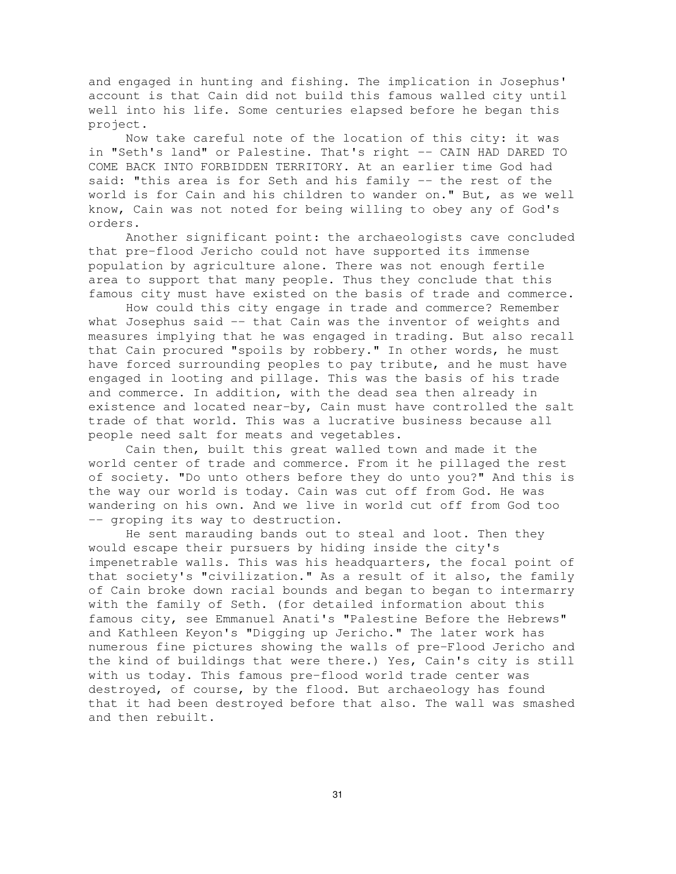and engaged in hunting and fishing. The implication in Josephus' account is that Cain did not build this famous walled city until well into his life. Some centuries elapsed before he began this project.

Now take careful note of the location of this city: it was in "Seth's land" or Palestine. That's right -- CAIN HAD DARED TO COME BACK INTO FORBIDDEN TERRITORY. At an earlier time God had said: "this area is for Seth and his family -- the rest of the world is for Cain and his children to wander on." But, as we well know, Cain was not noted for being willing to obey any of God's orders.

Another significant point: the archaeologists cave concluded that pre-flood Jericho could not have supported its immense population by agriculture alone. There was not enough fertile area to support that many people. Thus they conclude that this famous city must have existed on the basis of trade and commerce.

How could this city engage in trade and commerce? Remember what Josephus said -- that Cain was the inventor of weights and measures implying that he was engaged in trading. But also recall that Cain procured "spoils by robbery." In other words, he must have forced surrounding peoples to pay tribute, and he must have engaged in looting and pillage. This was the basis of his trade and commerce. In addition, with the dead sea then already in existence and located near-by, Cain must have controlled the salt trade of that world. This was a lucrative business because all people need salt for meats and vegetables.

Cain then, built this great walled town and made it the world center of trade and commerce. From it he pillaged the rest of society. "Do unto others before they do unto you?" And this is the way our world is today. Cain was cut off from God. He was wandering on his own. And we live in world cut off from God too -- groping its way to destruction.

He sent marauding bands out to steal and loot. Then they would escape their pursuers by hiding inside the city's impenetrable walls. This was his headquarters, the focal point of that society's "civilization." As a result of it also, the family of Cain broke down racial bounds and began to began to intermarry with the family of Seth. (for detailed information about this famous city, see Emmanuel Anati's "Palestine Before the Hebrews" and Kathleen Keyon's "Digging up Jericho." The later work has numerous fine pictures showing the walls of pre-Flood Jericho and the kind of buildings that were there.) Yes, Cain's city is still with us today. This famous pre-flood world trade center was destroyed, of course, by the flood. But archaeology has found that it had been destroyed before that also. The wall was smashed and then rebuilt.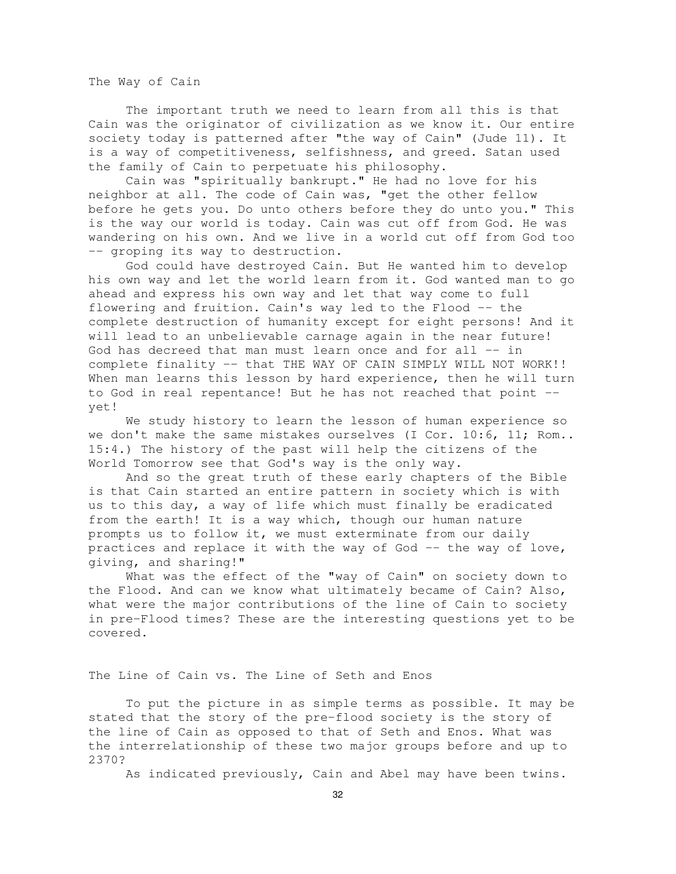The Way of Cain

The important truth we need to learn from all this is that Cain was the originator of civilization as we know it. Our entire society today is patterned after "the way of Cain" (Jude 11). It is a way of competitiveness, selfishness, and greed. Satan used the family of Cain to perpetuate his philosophy.

Cain was "spiritually bankrupt." He had no love for his neighbor at all. The code of Cain was, "get the other fellow before he gets you. Do unto others before they do unto you." This is the way our world is today. Cain was cut off from God. He was wandering on his own. And we live in a world cut off from God too -- groping its way to destruction.

God could have destroyed Cain. But He wanted him to develop his own way and let the world learn from it. God wanted man to go ahead and express his own way and let that way come to full flowering and fruition. Cain's way led to the Flood -- the complete destruction of humanity except for eight persons! And it will lead to an unbelievable carnage again in the near future! God has decreed that man must learn once and for all -- in complete finality -- that THE WAY OF CAIN SIMPLY WILL NOT WORK!! When man learns this lesson by hard experience, then he will turn to God in real repentance! But he has not reached that point - yet!

We study history to learn the lesson of human experience so we don't make the same mistakes ourselves (I Cor. 10:6, 11; Rom.. 15:4.) The history of the past will help the citizens of the World Tomorrow see that God's way is the only way.

And so the great truth of these early chapters of the Bible is that Cain started an entire pattern in society which is with us to this day, a way of life which must finally be eradicated from the earth! It is a way which, though our human nature prompts us to follow it, we must exterminate from our daily practices and replace it with the way of God -- the way of love, giving, and sharing!"

What was the effect of the "way of Cain" on society down to the Flood. And can we know what ultimately became of Cain? Also, what were the major contributions of the line of Cain to society in pre-Flood times? These are the interesting questions yet to be covered.

The Line of Cain vs. The Line of Seth and Enos

To put the picture in as simple terms as possible. It may be stated that the story of the pre-flood society is the story of the line of Cain as opposed to that of Seth and Enos. What was the interrelationship of these two major groups before and up to 2370?

As indicated previously, Cain and Abel may have been twins.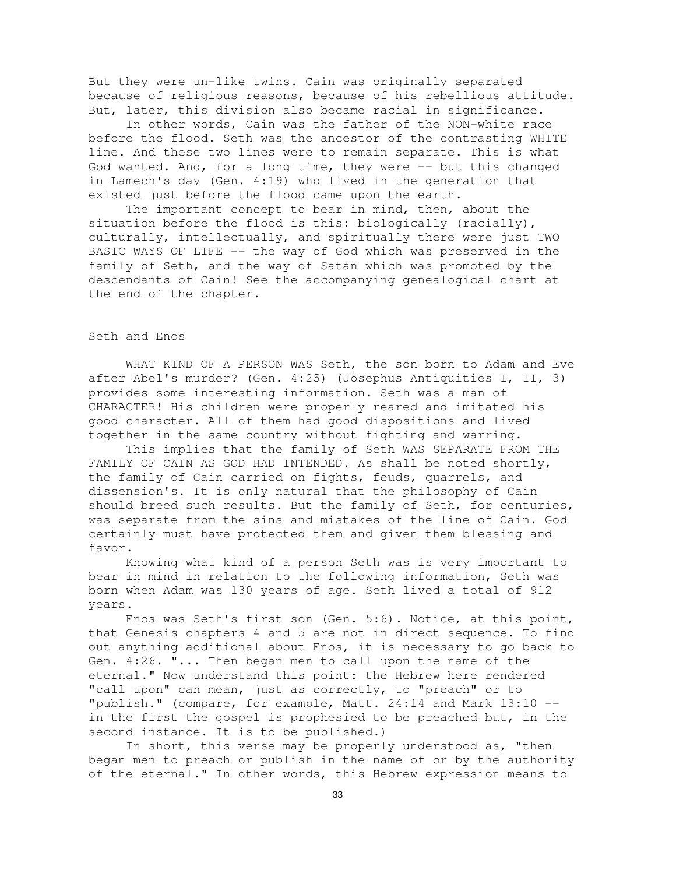But they were un-like twins. Cain was originally separated because of religious reasons, because of his rebellious attitude. But, later, this division also became racial in significance.

In other words, Cain was the father of the NON-white race before the flood. Seth was the ancestor of the contrasting WHITE line. And these two lines were to remain separate. This is what God wanted. And, for a long time, they were -- but this changed in Lamech's day (Gen. 4:19) who lived in the generation that existed just before the flood came upon the earth.

The important concept to bear in mind, then, about the situation before the flood is this: biologically (racially), culturally, intellectually, and spiritually there were just TWO BASIC WAYS OF LIFE -- the way of God which was preserved in the family of Seth, and the way of Satan which was promoted by the descendants of Cain! See the accompanying genealogical chart at the end of the chapter.

# Seth and Enos

WHAT KIND OF A PERSON WAS Seth, the son born to Adam and Eve after Abel's murder? (Gen. 4:25) (Josephus Antiquities I, II, 3) provides some interesting information. Seth was a man of CHARACTER! His children were properly reared and imitated his good character. All of them had good dispositions and lived together in the same country without fighting and warring.

This implies that the family of Seth WAS SEPARATE FROM THE FAMILY OF CAIN AS GOD HAD INTENDED. As shall be noted shortly, the family of Cain carried on fights, feuds, quarrels, and dissension's. It is only natural that the philosophy of Cain should breed such results. But the family of Seth, for centuries, was separate from the sins and mistakes of the line of Cain. God certainly must have protected them and given them blessing and favor.

Knowing what kind of a person Seth was is very important to bear in mind in relation to the following information, Seth was born when Adam was 130 years of age. Seth lived a total of 912 years.

Enos was Seth's first son (Gen. 5:6). Notice, at this point, that Genesis chapters 4 and 5 are not in direct sequence. To find out anything additional about Enos, it is necessary to go back to Gen. 4:26. "... Then began men to call upon the name of the eternal." Now understand this point: the Hebrew here rendered "call upon" can mean, just as correctly, to "preach" or to "publish." (compare, for example, Matt. 24:14 and Mark 13:10 - in the first the gospel is prophesied to be preached but, in the second instance. It is to be published.)

In short, this verse may be properly understood as, "then began men to preach or publish in the name of or by the authority of the eternal." In other words, this Hebrew expression means to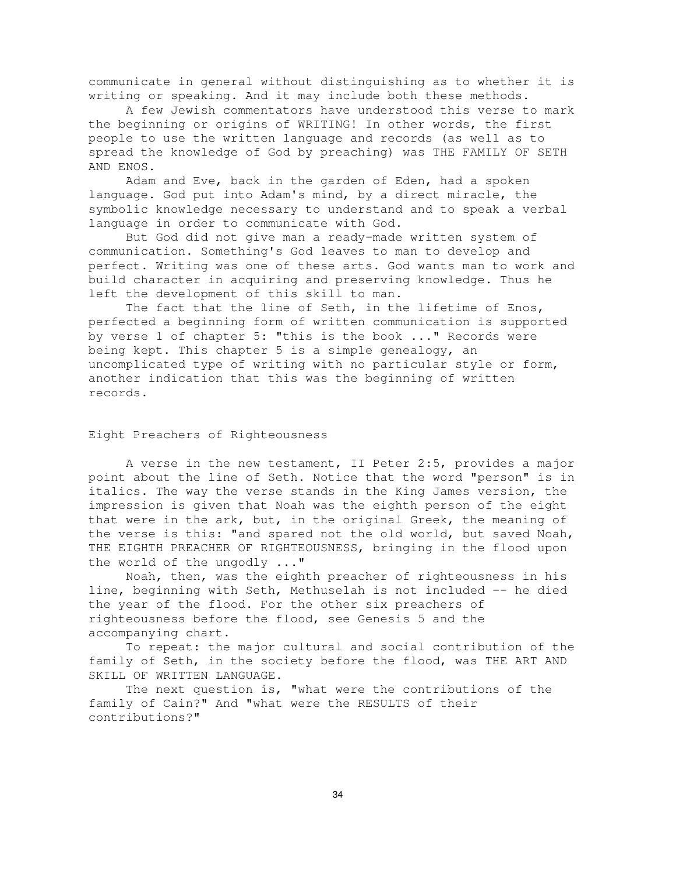communicate in general without distinguishing as to whether it is writing or speaking. And it may include both these methods.

A few Jewish commentators have understood this verse to mark the beginning or origins of WRITING! In other words, the first people to use the written language and records (as well as to spread the knowledge of God by preaching) was THE FAMILY OF SETH AND ENOS.

Adam and Eve, back in the garden of Eden, had a spoken language. God put into Adam's mind, by a direct miracle, the symbolic knowledge necessary to understand and to speak a verbal language in order to communicate with God.

But God did not give man a ready-made written system of communication. Something's God leaves to man to develop and perfect. Writing was one of these arts. God wants man to work and build character in acquiring and preserving knowledge. Thus he left the development of this skill to man.

The fact that the line of Seth, in the lifetime of Enos, perfected a beginning form of written communication is supported by verse 1 of chapter 5: "this is the book ..." Records were being kept. This chapter 5 is a simple genealogy, an uncomplicated type of writing with no particular style or form, another indication that this was the beginning of written records.

# Eight Preachers of Righteousness

A verse in the new testament, II Peter 2:5, provides a major point about the line of Seth. Notice that the word "person" is in italics. The way the verse stands in the King James version, the impression is given that Noah was the eighth person of the eight that were in the ark, but, in the original Greek, the meaning of the verse is this: "and spared not the old world, but saved Noah, THE EIGHTH PREACHER OF RIGHTEOUSNESS, bringing in the flood upon the world of the ungodly ..."

Noah, then, was the eighth preacher of righteousness in his line, beginning with Seth, Methuselah is not included -- he died the year of the flood. For the other six preachers of righteousness before the flood, see Genesis 5 and the accompanying chart.

To repeat: the major cultural and social contribution of the family of Seth, in the society before the flood, was THE ART AND SKILL OF WRITTEN LANGUAGE.

The next question is, "what were the contributions of the family of Cain?" And "what were the RESULTS of their contributions?"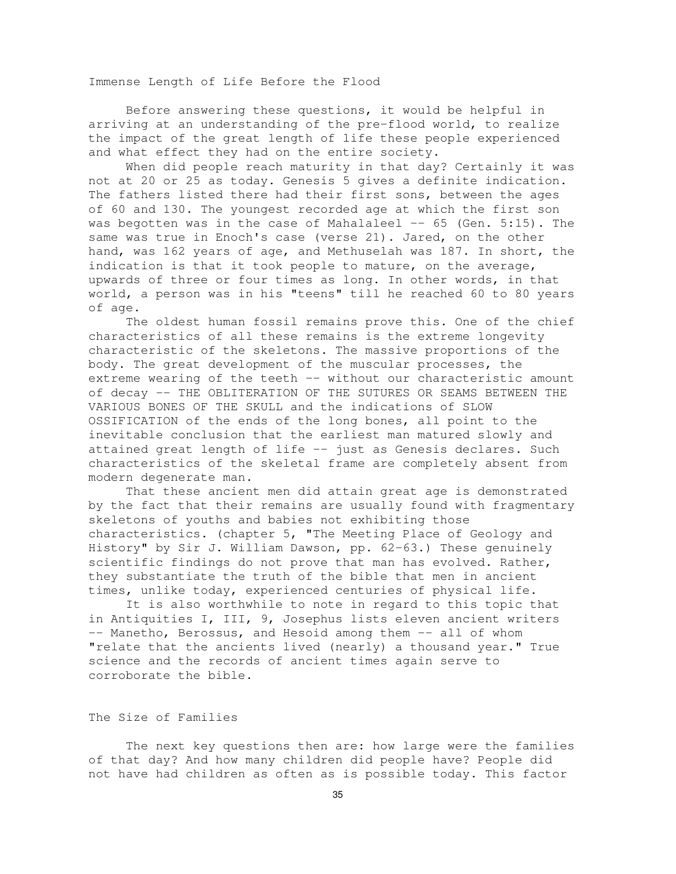Immense Length of Life Before the Flood

Before answering these questions, it would be helpful in arriving at an understanding of the pre-flood world, to realize the impact of the great length of life these people experienced and what effect they had on the entire society.

When did people reach maturity in that day? Certainly it was not at 20 or 25 as today. Genesis 5 gives a definite indication. The fathers listed there had their first sons, between the ages of 60 and 130. The youngest recorded age at which the first son was begotten was in the case of Mahalaleel  $-$  65 (Gen. 5:15). The same was true in Enoch's case (verse 21). Jared, on the other hand, was 162 years of age, and Methuselah was 187. In short, the indication is that it took people to mature, on the average, upwards of three or four times as long. In other words, in that world, a person was in his "teens" till he reached 60 to 80 years of age.

The oldest human fossil remains prove this. One of the chief characteristics of all these remains is the extreme longevity characteristic of the skeletons. The massive proportions of the body. The great development of the muscular processes, the extreme wearing of the teeth -- without our characteristic amount of decay -- THE OBLITERATION OF THE SUTURES OR SEAMS BETWEEN THE VARIOUS BONES OF THE SKULL and the indications of SLOW OSSIFICATION of the ends of the long bones, all point to the inevitable conclusion that the earliest man matured slowly and attained great length of life -- just as Genesis declares. Such characteristics of the skeletal frame are completely absent from modern degenerate man.

That these ancient men did attain great age is demonstrated by the fact that their remains are usually found with fragmentary skeletons of youths and babies not exhibiting those characteristics. (chapter 5, "The Meeting Place of Geology and History" by Sir J. William Dawson, pp. 62-63.) These genuinely scientific findings do not prove that man has evolved. Rather, they substantiate the truth of the bible that men in ancient times, unlike today, experienced centuries of physical life.

It is also worthwhile to note in regard to this topic that in Antiquities I, III, 9, Josephus lists eleven ancient writers -- Manetho, Berossus, and Hesoid among them -- all of whom "relate that the ancients lived (nearly) a thousand year." True science and the records of ancient times again serve to corroborate the bible.

# The Size of Families

The next key questions then are: how large were the families of that day? And how many children did people have? People did not have had children as often as is possible today. This factor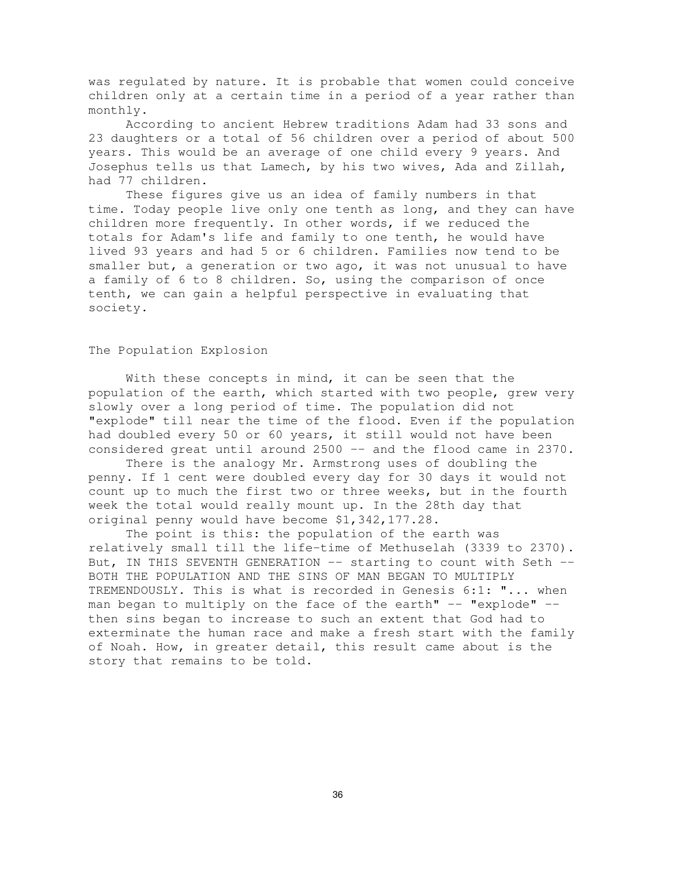was regulated by nature. It is probable that women could conceive children only at a certain time in a period of a year rather than monthly.

According to ancient Hebrew traditions Adam had 33 sons and 23 daughters or a total of 56 children over a period of about 500 years. This would be an average of one child every 9 years. And Josephus tells us that Lamech, by his two wives, Ada and Zillah, had 77 children.

These figures give us an idea of family numbers in that time. Today people live only one tenth as long, and they can have children more frequently. In other words, if we reduced the totals for Adam's life and family to one tenth, he would have lived 93 years and had 5 or 6 children. Families now tend to be smaller but, a generation or two ago, it was not unusual to have a family of 6 to 8 children. So, using the comparison of once tenth, we can gain a helpful perspective in evaluating that society.

#### The Population Explosion

With these concepts in mind, it can be seen that the population of the earth, which started with two people, grew very slowly over a long period of time. The population did not "explode" till near the time of the flood. Even if the population had doubled every 50 or 60 years, it still would not have been considered great until around 2500 -- and the flood came in 2370.

There is the analogy Mr. Armstrong uses of doubling the penny. If 1 cent were doubled every day for 30 days it would not count up to much the first two or three weeks, but in the fourth week the total would really mount up. In the 28th day that original penny would have become \$1,342,177.28.

The point is this: the population of the earth was relatively small till the life-time of Methuselah (3339 to 2370). But, IN THIS SEVENTH GENERATION -- starting to count with Seth --BOTH THE POPULATION AND THE SINS OF MAN BEGAN TO MULTIPLY TREMENDOUSLY. This is what is recorded in Genesis 6:1: "... when man began to multiply on the face of the earth" -- "explode" -then sins began to increase to such an extent that God had to exterminate the human race and make a fresh start with the family of Noah. How, in greater detail, this result came about is the story that remains to be told.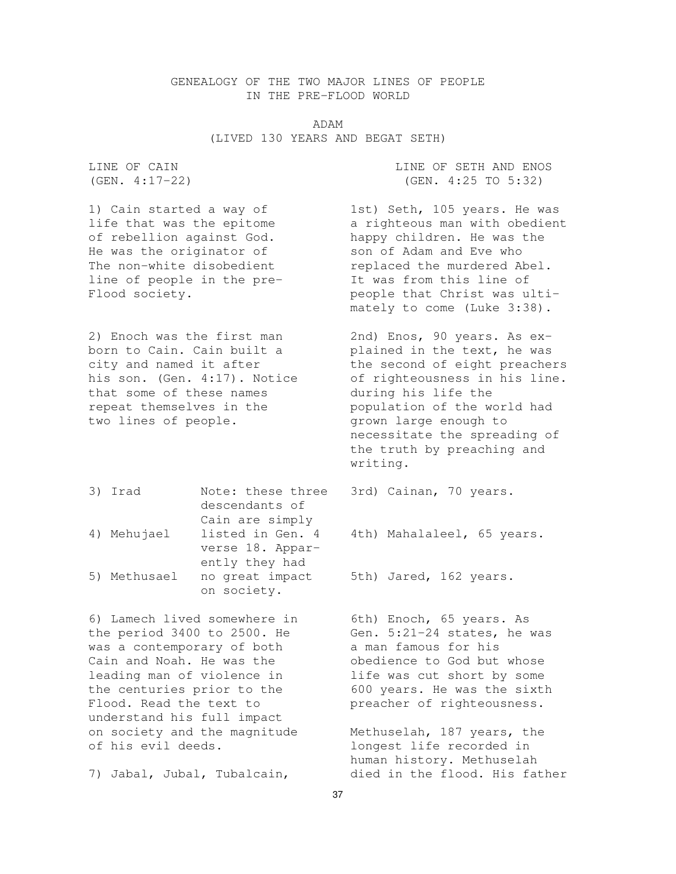# GENEALOGY OF THE TWO MAJOR LINES OF PEOPLE IN THE PRE-FLOOD WORLD

ADAM (LIVED 130 YEARS AND BEGAT SETH)

He was the originator of son of Adam and Eve who line of people in the pre- It was from this line of

born to Cain. Cain built a blained in the text, he was that some of these names during his life the repeat themselves in the population of the world had two lines of people. grown large enough to

3) Irad Note: these three 3rd) Cainan, 70 years. descendants of Cain are simply 4) Mehujael listed in Gen. 4 4th) Mahalaleel, 65 years. verse 18. Apparently they had 5) Methusael no great impact 5th) Jared, 162 years. on society.

6) Lamech lived somewhere in 6th) Enoch, 65 years. As the period  $3400$  to  $2500$ . He Gen.  $5:21-24$  states, he was was a contemporary of both a man famous for his Cain and Noah. He was the obedience to God but whose leading man of violence in life was cut short by some the centuries prior to the 600 years. He was the sixth Flood. Read the text to preacher of righteousness. understand his full impact on society and the magnitude Methuselah, 187 years, the of his evil deeds. longest life recorded in

LINE OF CAIN LINE OF SETH AND ENOS (GEN. 4:17-22) (GEN. 4:25 TO 5:32)

1) Cain started a way of 1st) Seth, 105 years. He was life that was the epitome a righteous man with obedient of rebellion against God. happy children. He was the The non-white disobedient replaced the murdered Abel. Flood society. The second people that Christ was ultimately to come (Luke 3:38).

2) Enoch was the first man 2nd) Enos, 90 years. As excity and named it after the second of eight preachers his son. (Gen. 4:17). Notice of righteousness in his line. necessitate the spreading of the truth by preaching and writing.

human history. Methuselah 7) Jabal, Jubal, Tubalcain, died in the flood. His father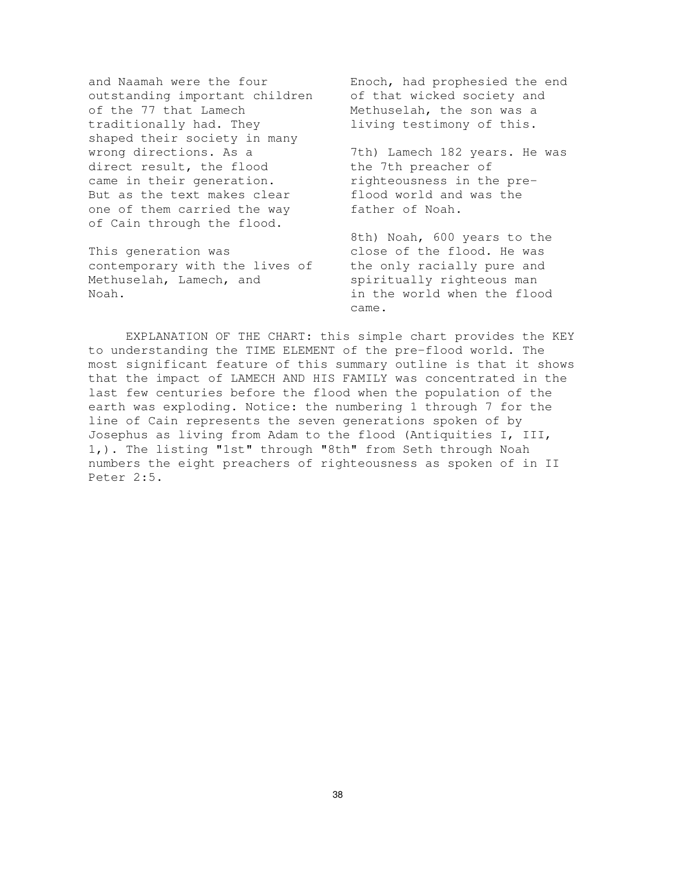outstanding important children of that wicked society and of the 77 that Lamech Methuselah, the son was a traditionally had. They living testimony of this. shaped their society in many wrong directions. As a 32 7th) Lamech 182 years. He was direct result, the flood the 7th preacher of came in their generation. The righteousness in the pre-But as the text makes clear flood world and was the one of them carried the way father of Noah. of Cain through the flood.

contemporary with the lives of the only racially pure and Methuselah, Lamech, and spiritually righteous man Noah. in the world when the flood

and Naamah were the four Enoch, had prophesied the end

8th) Noah, 600 years to the This generation was This elose of the flood. He was came.

EXPLANATION OF THE CHART: this simple chart provides the KEY to understanding the TIME ELEMENT of the pre-flood world. The most significant feature of this summary outline is that it shows that the impact of LAMECH AND HIS FAMILY was concentrated in the last few centuries before the flood when the population of the earth was exploding. Notice: the numbering 1 through 7 for the line of Cain represents the seven generations spoken of by Josephus as living from Adam to the flood (Antiquities I, III, 1,). The listing "1st" through "8th" from Seth through Noah numbers the eight preachers of righteousness as spoken of in II Peter 2:5.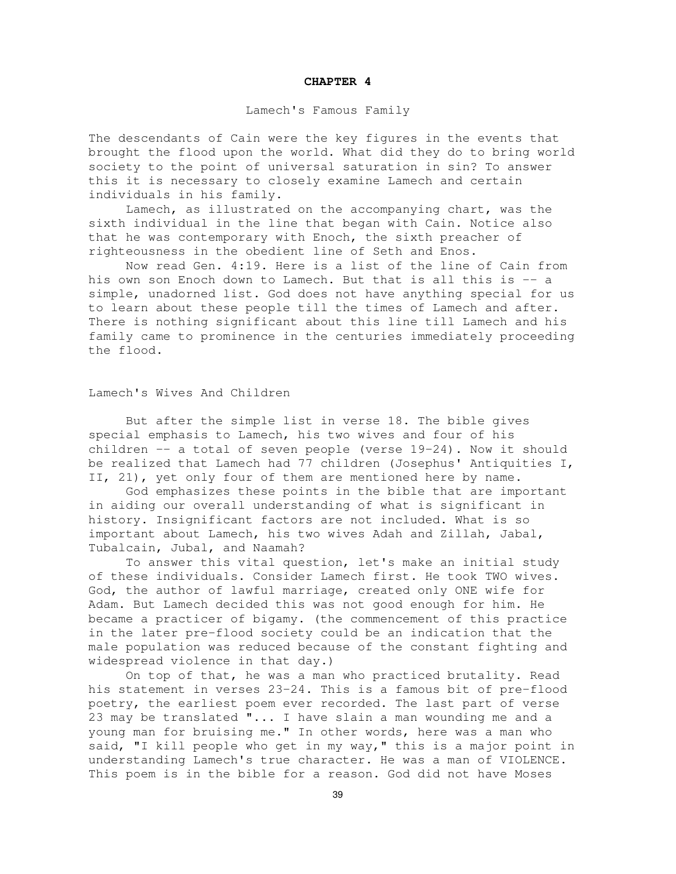#### **CHAPTER 4**

#### Lamech's Famous Family

The descendants of Cain were the key figures in the events that brought the flood upon the world. What did they do to bring world society to the point of universal saturation in sin? To answer this it is necessary to closely examine Lamech and certain individuals in his family.

Lamech, as illustrated on the accompanying chart, was the sixth individual in the line that began with Cain. Notice also that he was contemporary with Enoch, the sixth preacher of righteousness in the obedient line of Seth and Enos.

Now read Gen. 4:19. Here is a list of the line of Cain from his own son Enoch down to Lamech. But that is all this is -- a simple, unadorned list. God does not have anything special for us to learn about these people till the times of Lamech and after. There is nothing significant about this line till Lamech and his family came to prominence in the centuries immediately proceeding the flood.

#### Lamech's Wives And Children

But after the simple list in verse 18. The bible gives special emphasis to Lamech, his two wives and four of his children -- a total of seven people (verse 19-24). Now it should be realized that Lamech had 77 children (Josephus' Antiquities I, II, 21), yet only four of them are mentioned here by name.

God emphasizes these points in the bible that are important in aiding our overall understanding of what is significant in history. Insignificant factors are not included. What is so important about Lamech, his two wives Adah and Zillah, Jabal, Tubalcain, Jubal, and Naamah?

To answer this vital question, let's make an initial study of these individuals. Consider Lamech first. He took TWO wives. God, the author of lawful marriage, created only ONE wife for Adam. But Lamech decided this was not good enough for him. He became a practicer of bigamy. (the commencement of this practice in the later pre-flood society could be an indication that the male population was reduced because of the constant fighting and widespread violence in that day.)

On top of that, he was a man who practiced brutality. Read his statement in verses 23-24. This is a famous bit of pre-flood poetry, the earliest poem ever recorded. The last part of verse 23 may be translated "... I have slain a man wounding me and a young man for bruising me." In other words, here was a man who said, "I kill people who get in my way," this is a major point in understanding Lamech's true character. He was a man of VIOLENCE. This poem is in the bible for a reason. God did not have Moses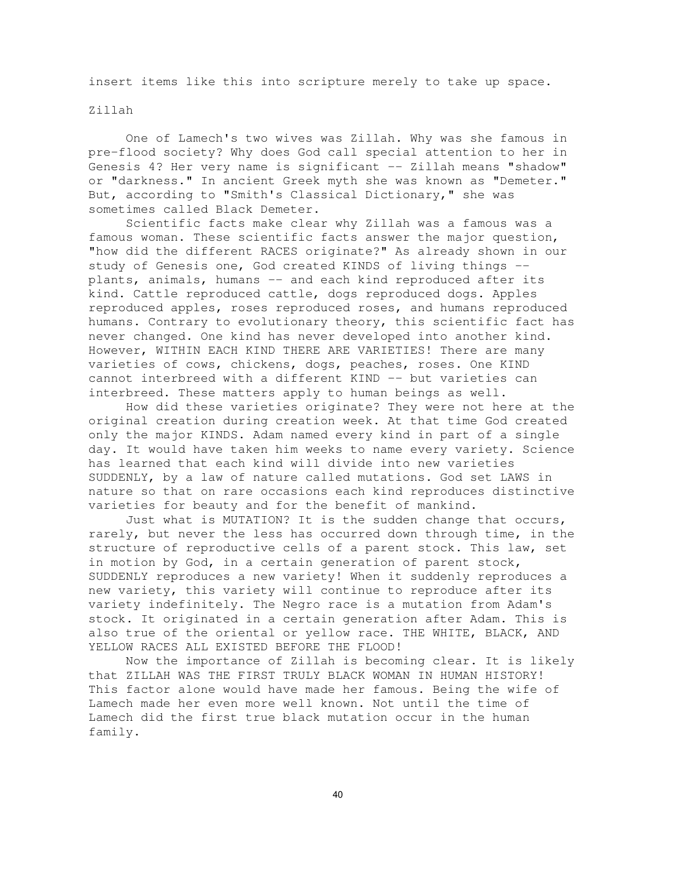insert items like this into scripture merely to take up space.

## Zillah

One of Lamech's two wives was Zillah. Why was she famous in pre-flood society? Why does God call special attention to her in Genesis 4? Her very name is significant -- Zillah means "shadow" or "darkness." In ancient Greek myth she was known as "Demeter." But, according to "Smith's Classical Dictionary," she was sometimes called Black Demeter.

Scientific facts make clear why Zillah was a famous was a famous woman. These scientific facts answer the major question, "how did the different RACES originate?" As already shown in our study of Genesis one, God created KINDS of living things - plants, animals, humans -- and each kind reproduced after its kind. Cattle reproduced cattle, dogs reproduced dogs. Apples reproduced apples, roses reproduced roses, and humans reproduced humans. Contrary to evolutionary theory, this scientific fact has never changed. One kind has never developed into another kind. However, WITHIN EACH KIND THERE ARE VARIETIES! There are many varieties of cows, chickens, dogs, peaches, roses. One KIND cannot interbreed with a different KIND -- but varieties can interbreed. These matters apply to human beings as well.

How did these varieties originate? They were not here at the original creation during creation week. At that time God created only the major KINDS. Adam named every kind in part of a single day. It would have taken him weeks to name every variety. Science has learned that each kind will divide into new varieties SUDDENLY, by a law of nature called mutations. God set LAWS in nature so that on rare occasions each kind reproduces distinctive varieties for beauty and for the benefit of mankind.

Just what is MUTATION? It is the sudden change that occurs, rarely, but never the less has occurred down through time, in the structure of reproductive cells of a parent stock. This law, set in motion by God, in a certain generation of parent stock, SUDDENLY reproduces a new variety! When it suddenly reproduces a new variety, this variety will continue to reproduce after its variety indefinitely. The Negro race is a mutation from Adam's stock. It originated in a certain generation after Adam. This is also true of the oriental or yellow race. THE WHITE, BLACK, AND YELLOW RACES ALL EXISTED BEFORE THE FLOOD!

Now the importance of Zillah is becoming clear. It is likely that ZILLAH WAS THE FIRST TRULY BLACK WOMAN IN HUMAN HISTORY! This factor alone would have made her famous. Being the wife of Lamech made her even more well known. Not until the time of Lamech did the first true black mutation occur in the human family.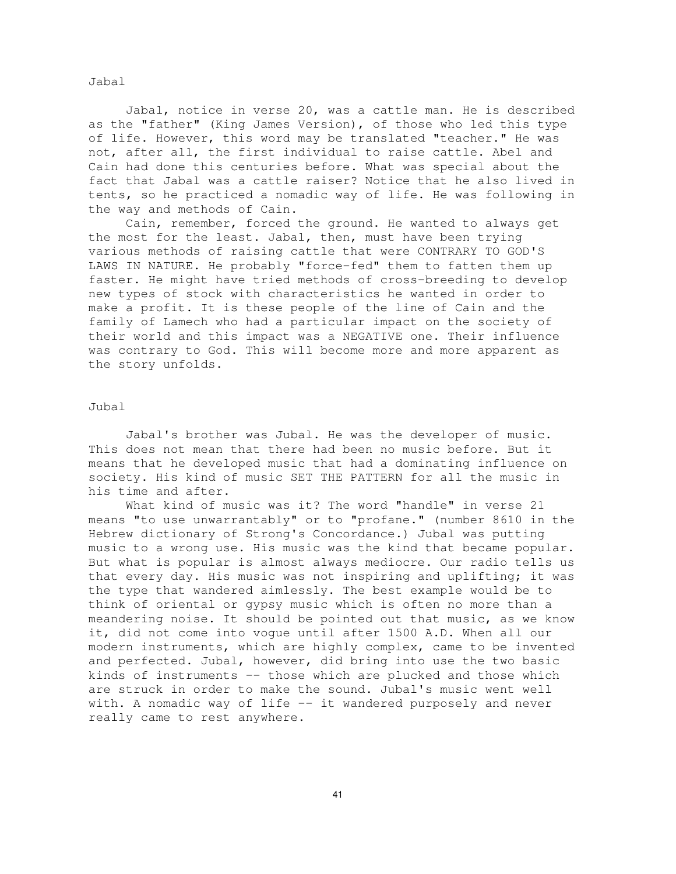Jabal

Jabal, notice in verse 20, was a cattle man. He is described as the "father" (King James Version), of those who led this type of life. However, this word may be translated "teacher." He was not, after all, the first individual to raise cattle. Abel and Cain had done this centuries before. What was special about the fact that Jabal was a cattle raiser? Notice that he also lived in tents, so he practiced a nomadic way of life. He was following in the way and methods of Cain.

Cain, remember, forced the ground. He wanted to always get the most for the least. Jabal, then, must have been trying various methods of raising cattle that were CONTRARY TO GOD'S LAWS IN NATURE. He probably "force-fed" them to fatten them up faster. He might have tried methods of cross-breeding to develop new types of stock with characteristics he wanted in order to make a profit. It is these people of the line of Cain and the family of Lamech who had a particular impact on the society of their world and this impact was a NEGATIVE one. Their influence was contrary to God. This will become more and more apparent as the story unfolds.

# Jubal

Jabal's brother was Jubal. He was the developer of music. This does not mean that there had been no music before. But it means that he developed music that had a dominating influence on society. His kind of music SET THE PATTERN for all the music in his time and after.

What kind of music was it? The word "handle" in verse 21 means "to use unwarrantably" or to "profane." (number 8610 in the Hebrew dictionary of Strong's Concordance.) Jubal was putting music to a wrong use. His music was the kind that became popular. But what is popular is almost always mediocre. Our radio tells us that every day. His music was not inspiring and uplifting; it was the type that wandered aimlessly. The best example would be to think of oriental or gypsy music which is often no more than a meandering noise. It should be pointed out that music, as we know it, did not come into vogue until after 1500 A.D. When all our modern instruments, which are highly complex, came to be invented and perfected. Jubal, however, did bring into use the two basic kinds of instruments -- those which are plucked and those which are struck in order to make the sound. Jubal's music went well with. A nomadic way of life -- it wandered purposely and never really came to rest anywhere.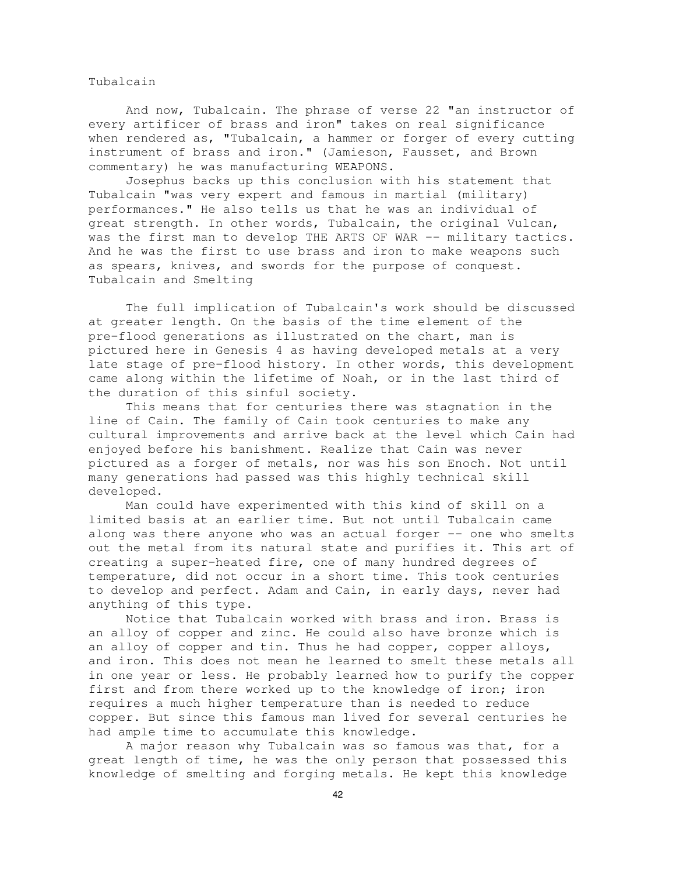Tubalcain

And now, Tubalcain. The phrase of verse 22 "an instructor of every artificer of brass and iron" takes on real significance when rendered as, "Tubalcain, a hammer or forger of every cutting instrument of brass and iron." (Jamieson, Fausset, and Brown commentary) he was manufacturing WEAPONS.

Josephus backs up this conclusion with his statement that Tubalcain "was very expert and famous in martial (military) performances." He also tells us that he was an individual of great strength. In other words, Tubalcain, the original Vulcan, was the first man to develop THE ARTS OF WAR -- military tactics. And he was the first to use brass and iron to make weapons such as spears, knives, and swords for the purpose of conquest. Tubalcain and Smelting

The full implication of Tubalcain's work should be discussed at greater length. On the basis of the time element of the pre-flood generations as illustrated on the chart, man is pictured here in Genesis 4 as having developed metals at a very late stage of pre-flood history. In other words, this development came along within the lifetime of Noah, or in the last third of the duration of this sinful society.

This means that for centuries there was stagnation in the line of Cain. The family of Cain took centuries to make any cultural improvements and arrive back at the level which Cain had enjoyed before his banishment. Realize that Cain was never pictured as a forger of metals, nor was his son Enoch. Not until many generations had passed was this highly technical skill developed.

Man could have experimented with this kind of skill on a limited basis at an earlier time. But not until Tubalcain came along was there anyone who was an actual forger -- one who smelts out the metal from its natural state and purifies it. This art of creating a super-heated fire, one of many hundred degrees of temperature, did not occur in a short time. This took centuries to develop and perfect. Adam and Cain, in early days, never had anything of this type.

Notice that Tubalcain worked with brass and iron. Brass is an alloy of copper and zinc. He could also have bronze which is an alloy of copper and tin. Thus he had copper, copper alloys, and iron. This does not mean he learned to smelt these metals all in one year or less. He probably learned how to purify the copper first and from there worked up to the knowledge of iron; iron requires a much higher temperature than is needed to reduce copper. But since this famous man lived for several centuries he had ample time to accumulate this knowledge.

A major reason why Tubalcain was so famous was that, for a great length of time, he was the only person that possessed this knowledge of smelting and forging metals. He kept this knowledge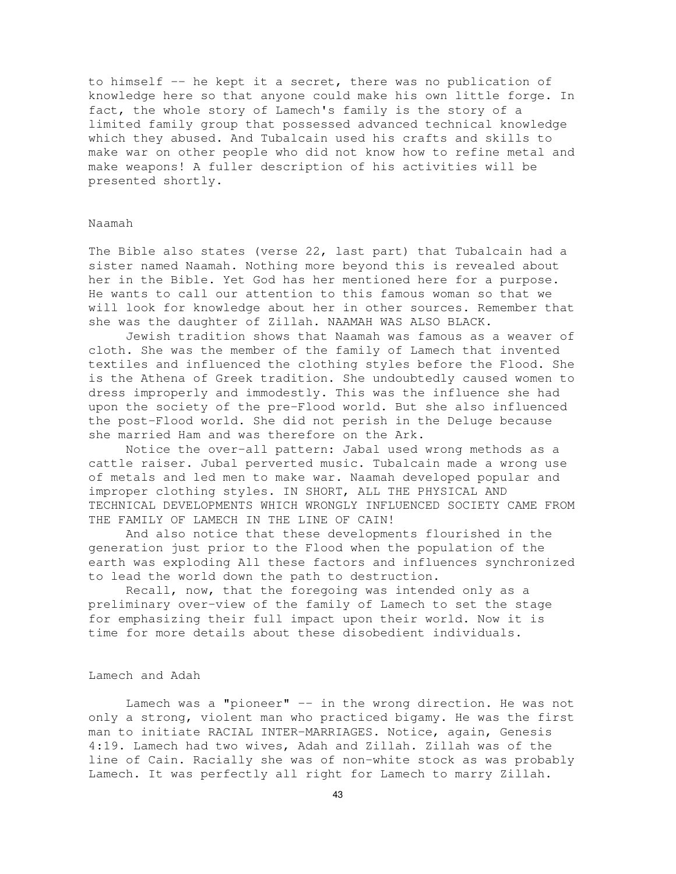to himself -- he kept it a secret, there was no publication of knowledge here so that anyone could make his own little forge. In fact, the whole story of Lamech's family is the story of a limited family group that possessed advanced technical knowledge which they abused. And Tubalcain used his crafts and skills to make war on other people who did not know how to refine metal and make weapons! A fuller description of his activities will be presented shortly.

#### Naamah

The Bible also states (verse 22, last part) that Tubalcain had a sister named Naamah. Nothing more beyond this is revealed about her in the Bible. Yet God has her mentioned here for a purpose. He wants to call our attention to this famous woman so that we will look for knowledge about her in other sources. Remember that she was the daughter of Zillah. NAAMAH WAS ALSO BLACK.

Jewish tradition shows that Naamah was famous as a weaver of cloth. She was the member of the family of Lamech that invented textiles and influenced the clothing styles before the Flood. She is the Athena of Greek tradition. She undoubtedly caused women to dress improperly and immodestly. This was the influence she had upon the society of the pre-Flood world. But she also influenced the post-Flood world. She did not perish in the Deluge because she married Ham and was therefore on the Ark.

Notice the over-all pattern: Jabal used wrong methods as a cattle raiser. Jubal perverted music. Tubalcain made a wrong use of metals and led men to make war. Naamah developed popular and improper clothing styles. IN SHORT, ALL THE PHYSICAL AND TECHNICAL DEVELOPMENTS WHICH WRONGLY INFLUENCED SOCIETY CAME FROM THE FAMILY OF LAMECH IN THE LINE OF CAIN!

And also notice that these developments flourished in the generation just prior to the Flood when the population of the earth was exploding All these factors and influences synchronized to lead the world down the path to destruction.

Recall, now, that the foregoing was intended only as a preliminary over-view of the family of Lamech to set the stage for emphasizing their full impact upon their world. Now it is time for more details about these disobedient individuals.

# Lamech and Adah

Lamech was a "pioneer" -- in the wrong direction. He was not only a strong, violent man who practiced bigamy. He was the first man to initiate RACIAL INTER-MARRIAGES. Notice, again, Genesis 4:19. Lamech had two wives, Adah and Zillah. Zillah was of the line of Cain. Racially she was of non-white stock as was probably Lamech. It was perfectly all right for Lamech to marry Zillah.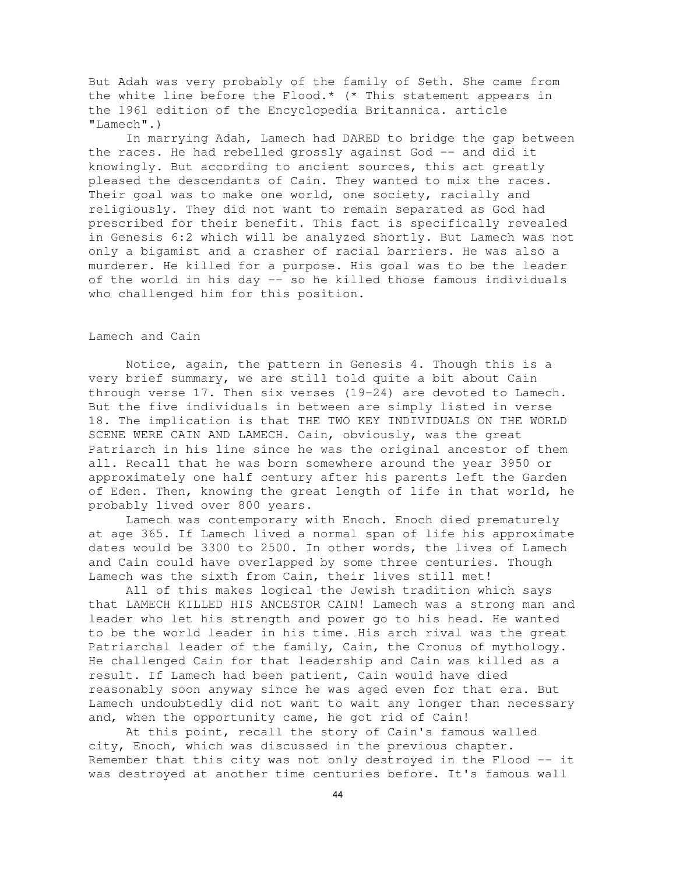But Adah was very probably of the family of Seth. She came from the white line before the Flood.\* (\* This statement appears in the 1961 edition of the Encyclopedia Britannica. article "Lamech".)

In marrying Adah, Lamech had DARED to bridge the gap between the races. He had rebelled grossly against God -- and did it knowingly. But according to ancient sources, this act greatly pleased the descendants of Cain. They wanted to mix the races. Their goal was to make one world, one society, racially and religiously. They did not want to remain separated as God had prescribed for their benefit. This fact is specifically revealed in Genesis 6:2 which will be analyzed shortly. But Lamech was not only a bigamist and a crasher of racial barriers. He was also a murderer. He killed for a purpose. His goal was to be the leader of the world in his day -- so he killed those famous individuals who challenged him for this position.

# Lamech and Cain

Notice, again, the pattern in Genesis 4. Though this is a very brief summary, we are still told quite a bit about Cain through verse 17. Then six verses (19-24) are devoted to Lamech. But the five individuals in between are simply listed in verse 18. The implication is that THE TWO KEY INDIVIDUALS ON THE WORLD SCENE WERE CAIN AND LAMECH. Cain, obviously, was the great Patriarch in his line since he was the original ancestor of them all. Recall that he was born somewhere around the year 3950 or approximately one half century after his parents left the Garden of Eden. Then, knowing the great length of life in that world, he probably lived over 800 years.

Lamech was contemporary with Enoch. Enoch died prematurely at age 365. If Lamech lived a normal span of life his approximate dates would be 3300 to 2500. In other words, the lives of Lamech and Cain could have overlapped by some three centuries. Though Lamech was the sixth from Cain, their lives still met!

All of this makes logical the Jewish tradition which says that LAMECH KILLED HIS ANCESTOR CAIN! Lamech was a strong man and leader who let his strength and power go to his head. He wanted to be the world leader in his time. His arch rival was the great Patriarchal leader of the family, Cain, the Cronus of mythology. He challenged Cain for that leadership and Cain was killed as a result. If Lamech had been patient, Cain would have died reasonably soon anyway since he was aged even for that era. But Lamech undoubtedly did not want to wait any longer than necessary and, when the opportunity came, he got rid of Cain!

At this point, recall the story of Cain's famous walled city, Enoch, which was discussed in the previous chapter. Remember that this city was not only destroyed in the Flood -- it was destroyed at another time centuries before. It's famous wall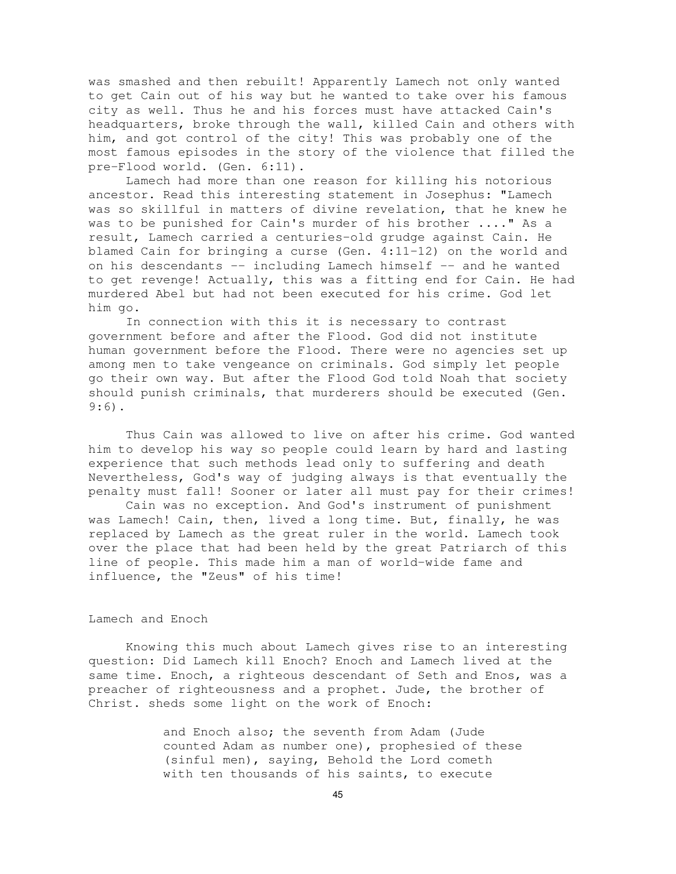was smashed and then rebuilt! Apparently Lamech not only wanted to get Cain out of his way but he wanted to take over his famous city as well. Thus he and his forces must have attacked Cain's headquarters, broke through the wall, killed Cain and others with him, and got control of the city! This was probably one of the most famous episodes in the story of the violence that filled the pre-Flood world. (Gen. 6:11).

Lamech had more than one reason for killing his notorious ancestor. Read this interesting statement in Josephus: "Lamech was so skillful in matters of divine revelation, that he knew he was to be punished for Cain's murder of his brother ...." As a result, Lamech carried a centuries-old grudge against Cain. He blamed Cain for bringing a curse (Gen. 4:11-12) on the world and on his descendants -- including Lamech himself -- and he wanted to get revenge! Actually, this was a fitting end for Cain. He had murdered Abel but had not been executed for his crime. God let him go.

In connection with this it is necessary to contrast government before and after the Flood. God did not institute human government before the Flood. There were no agencies set up among men to take vengeance on criminals. God simply let people go their own way. But after the Flood God told Noah that society should punish criminals, that murderers should be executed (Gen. 9:6).

Thus Cain was allowed to live on after his crime. God wanted him to develop his way so people could learn by hard and lasting experience that such methods lead only to suffering and death Nevertheless, God's way of judging always is that eventually the penalty must fall! Sooner or later all must pay for their crimes!

Cain was no exception. And God's instrument of punishment was Lamech! Cain, then, lived a long time. But, finally, he was replaced by Lamech as the great ruler in the world. Lamech took over the place that had been held by the great Patriarch of this line of people. This made him a man of world-wide fame and influence, the "Zeus" of his time!

#### Lamech and Enoch

Knowing this much about Lamech gives rise to an interesting question: Did Lamech kill Enoch? Enoch and Lamech lived at the same time. Enoch, a righteous descendant of Seth and Enos, was a preacher of righteousness and a prophet. Jude, the brother of Christ. sheds some light on the work of Enoch:

> and Enoch also; the seventh from Adam (Jude counted Adam as number one), prophesied of these (sinful men), saying, Behold the Lord cometh with ten thousands of his saints, to execute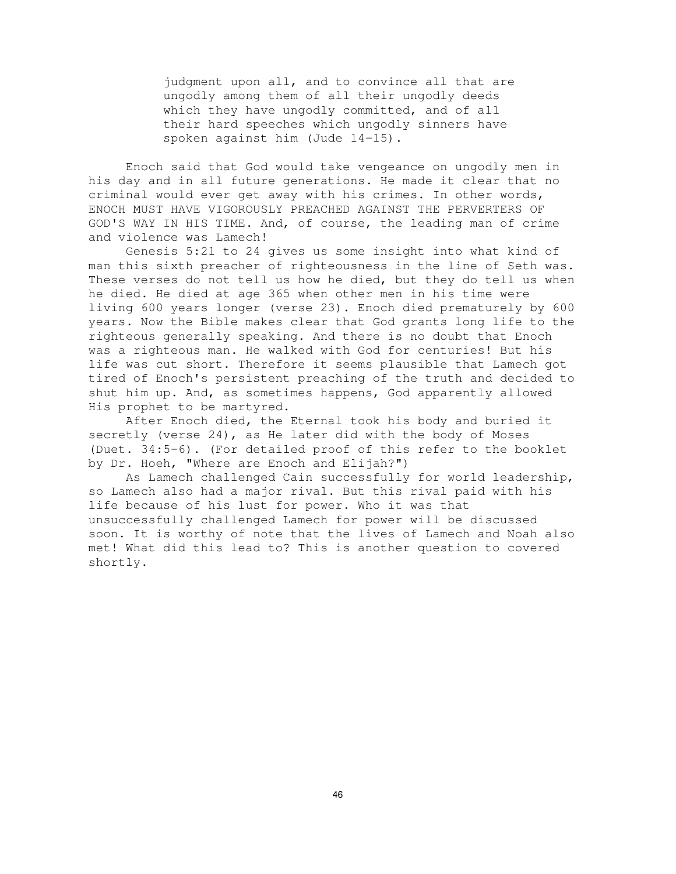judgment upon all, and to convince all that are ungodly among them of all their ungodly deeds which they have ungodly committed, and of all their hard speeches which ungodly sinners have spoken against him (Jude 14-15).

Enoch said that God would take vengeance on ungodly men in his day and in all future generations. He made it clear that no criminal would ever get away with his crimes. In other words, ENOCH MUST HAVE VIGOROUSLY PREACHED AGAINST THE PERVERTERS OF GOD'S WAY IN HIS TIME. And, of course, the leading man of crime and violence was Lamech!

Genesis 5:21 to 24 gives us some insight into what kind of man this sixth preacher of righteousness in the line of Seth was. These verses do not tell us how he died, but they do tell us when he died. He died at age 365 when other men in his time were living 600 years longer (verse 23). Enoch died prematurely by 600 years. Now the Bible makes clear that God grants long life to the righteous generally speaking. And there is no doubt that Enoch was a righteous man. He walked with God for centuries! But his life was cut short. Therefore it seems plausible that Lamech got tired of Enoch's persistent preaching of the truth and decided to shut him up. And, as sometimes happens, God apparently allowed His prophet to be martyred.

After Enoch died, the Eternal took his body and buried it secretly (verse 24), as He later did with the body of Moses (Duet. 34:5-6). (For detailed proof of this refer to the booklet by Dr. Hoeh, "Where are Enoch and Elijah?")

As Lamech challenged Cain successfully for world leadership, so Lamech also had a major rival. But this rival paid with his life because of his lust for power. Who it was that unsuccessfully challenged Lamech for power will be discussed soon. It is worthy of note that the lives of Lamech and Noah also met! What did this lead to? This is another question to covered shortly.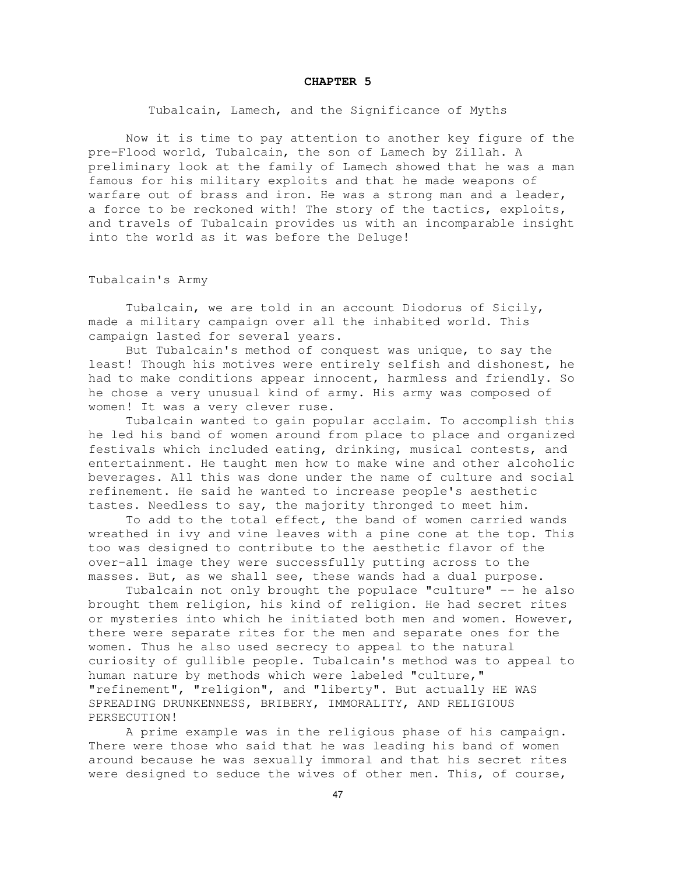#### **CHAPTER 5**

Tubalcain, Lamech, and the Significance of Myths

Now it is time to pay attention to another key figure of the pre-Flood world, Tubalcain, the son of Lamech by Zillah. A preliminary look at the family of Lamech showed that he was a man famous for his military exploits and that he made weapons of warfare out of brass and iron. He was a strong man and a leader, a force to be reckoned with! The story of the tactics, exploits, and travels of Tubalcain provides us with an incomparable insight into the world as it was before the Deluge!

Tubalcain's Army

Tubalcain, we are told in an account Diodorus of Sicily, made a military campaign over all the inhabited world. This campaign lasted for several years.

But Tubalcain's method of conquest was unique, to say the least! Though his motives were entirely selfish and dishonest, he had to make conditions appear innocent, harmless and friendly. So he chose a very unusual kind of army. His army was composed of women! It was a very clever ruse.

Tubalcain wanted to gain popular acclaim. To accomplish this he led his band of women around from place to place and organized festivals which included eating, drinking, musical contests, and entertainment. He taught men how to make wine and other alcoholic beverages. All this was done under the name of culture and social refinement. He said he wanted to increase people's aesthetic tastes. Needless to say, the majority thronged to meet him.

To add to the total effect, the band of women carried wands wreathed in ivy and vine leaves with a pine cone at the top. This too was designed to contribute to the aesthetic flavor of the over-all image they were successfully putting across to the masses. But, as we shall see, these wands had a dual purpose.

Tubalcain not only brought the populace "culture" -- he also brought them religion, his kind of religion. He had secret rites or mysteries into which he initiated both men and women. However, there were separate rites for the men and separate ones for the women. Thus he also used secrecy to appeal to the natural curiosity of gullible people. Tubalcain's method was to appeal to human nature by methods which were labeled "culture," "refinement", "religion", and "liberty". But actually HE WAS SPREADING DRUNKENNESS, BRIBERY, IMMORALITY, AND RELIGIOUS PERSECUTION!

A prime example was in the religious phase of his campaign. There were those who said that he was leading his band of women around because he was sexually immoral and that his secret rites were designed to seduce the wives of other men. This, of course,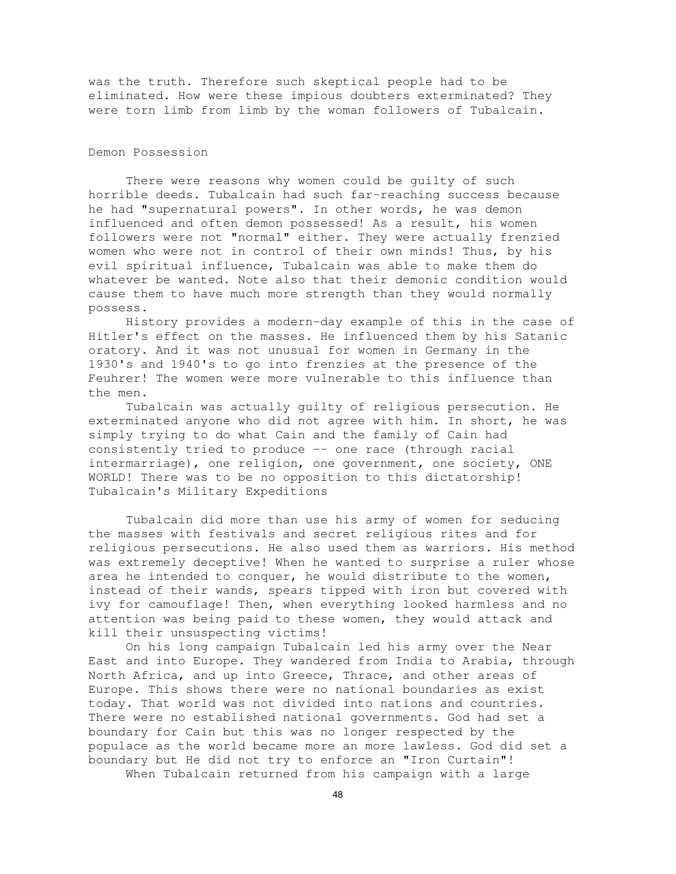was the truth. Therefore such skeptical people had to be eliminated. How were these impious doubters exterminated? They were torn limb from limb by the woman followers of Tubalcain.

# Demon Possession

There were reasons why women could be guilty of such horrible deeds. Tubalcain had such far-reaching success because he had "supernatural powers". In other words, he was demon influenced and often demon possessed! As a result, his women followers were not "normal" either. They were actually frenzied women who were not in control of their own minds! Thus, by his evil spiritual influence, Tubalcain was able to make them do whatever be wanted. Note also that their demonic condition would cause them to have much more strength than they would normally possess.

History provides a modern-day example of this in the case of Hitler's effect on the masses. He influenced them by his Satanic oratory. And it was not unusual for women in Germany in the 1930's and 1940's to go into frenzies at the presence of the Feuhrer! The women were more vulnerable to this influence than the men.

Tubalcain was actually guilty of religious persecution. He exterminated anyone who did not agree with him. In short, he was simply trying to do what Cain and the family of Cain had consistently tried to produce -- one race (through racial intermarriage), one religion, one government, one society, ONE WORLD! There was to be no opposition to this dictatorship! Tubalcain's Military Expeditions

Tubalcain did more than use his army of women for seducing the masses with festivals and secret religious rites and for religious persecutions. He also used them as warriors. His method was extremely deceptive! When he wanted to surprise a ruler whose area he intended to conquer, he would distribute to the women, instead of their wands, spears tipped with iron but covered with ivy for camouflage! Then, when everything looked harmless and no attention was being paid to these women, they would attack and kill their unsuspecting victims!

On his long campaign Tubalcain led his army over the Near East and into Europe. They wandered from India to Arabia, through North Africa, and up into Greece, Thrace, and other areas of Europe. This shows there were no national boundaries as exist today. That world was not divided into nations and countries. There were no established national governments. God had set a boundary for Cain but this was no longer respected by the populace as the world became more an more lawless. God did set a boundary but He did not try to enforce an "Iron Curtain"!

When Tubalcain returned from his campaign with a large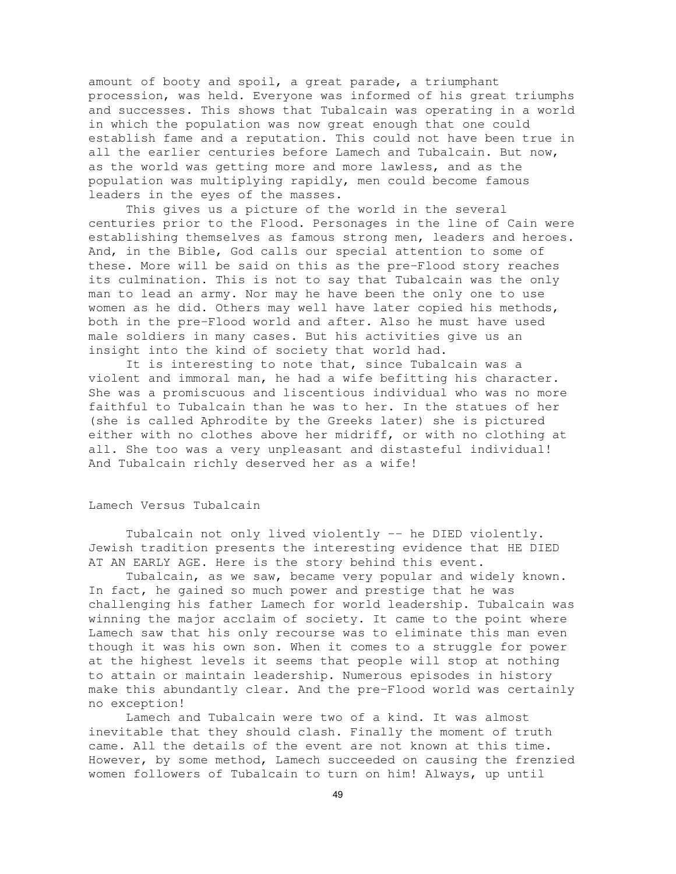amount of booty and spoil, a great parade, a triumphant procession, was held. Everyone was informed of his great triumphs and successes. This shows that Tubalcain was operating in a world in which the population was now great enough that one could establish fame and a reputation. This could not have been true in all the earlier centuries before Lamech and Tubalcain. But now, as the world was getting more and more lawless, and as the population was multiplying rapidly, men could become famous leaders in the eyes of the masses.

This gives us a picture of the world in the several centuries prior to the Flood. Personages in the line of Cain were establishing themselves as famous strong men, leaders and heroes. And, in the Bible, God calls our special attention to some of these. More will be said on this as the pre-Flood story reaches its culmination. This is not to say that Tubalcain was the only man to lead an army. Nor may he have been the only one to use women as he did. Others may well have later copied his methods, both in the pre-Flood world and after. Also he must have used male soldiers in many cases. But his activities give us an insight into the kind of society that world had.

It is interesting to note that, since Tubalcain was a violent and immoral man, he had a wife befitting his character. She was a promiscuous and liscentious individual who was no more faithful to Tubalcain than he was to her. In the statues of her (she is called Aphrodite by the Greeks later) she is pictured either with no clothes above her midriff, or with no clothing at all. She too was a very unpleasant and distasteful individual! And Tubalcain richly deserved her as a wife!

#### Lamech Versus Tubalcain

Tubalcain not only lived violently -- he DIED violently. Jewish tradition presents the interesting evidence that HE DIED AT AN EARLY AGE. Here is the story behind this event.

Tubalcain, as we saw, became very popular and widely known. In fact, he gained so much power and prestige that he was challenging his father Lamech for world leadership. Tubalcain was winning the major acclaim of society. It came to the point where Lamech saw that his only recourse was to eliminate this man even though it was his own son. When it comes to a struggle for power at the highest levels it seems that people will stop at nothing to attain or maintain leadership. Numerous episodes in history make this abundantly clear. And the pre-Flood world was certainly no exception!

Lamech and Tubalcain were two of a kind. It was almost inevitable that they should clash. Finally the moment of truth came. All the details of the event are not known at this time. However, by some method, Lamech succeeded on causing the frenzied women followers of Tubalcain to turn on him! Always, up until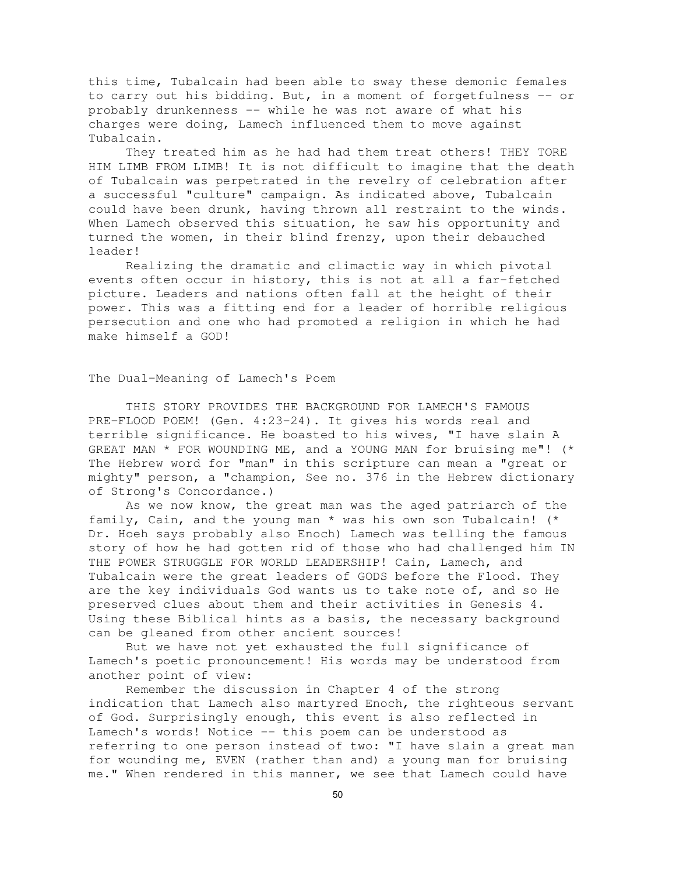this time, Tubalcain had been able to sway these demonic females to carry out his bidding. But, in a moment of forgetfulness -- or probably drunkenness -- while he was not aware of what his charges were doing, Lamech influenced them to move against Tubalcain.

They treated him as he had had them treat others! THEY TORE HIM LIMB FROM LIMB! It is not difficult to imagine that the death of Tubalcain was perpetrated in the revelry of celebration after a successful "culture" campaign. As indicated above, Tubalcain could have been drunk, having thrown all restraint to the winds. When Lamech observed this situation, he saw his opportunity and turned the women, in their blind frenzy, upon their debauched leader!

Realizing the dramatic and climactic way in which pivotal events often occur in history, this is not at all a far-fetched picture. Leaders and nations often fall at the height of their power. This was a fitting end for a leader of horrible religious persecution and one who had promoted a religion in which he had make himself a GOD!

## The Dual-Meaning of Lamech's Poem

THIS STORY PROVIDES THE BACKGROUND FOR LAMECH'S FAMOUS PRE-FLOOD POEM! (Gen. 4:23-24). It gives his words real and terrible significance. He boasted to his wives, "I have slain A GREAT MAN \* FOR WOUNDING ME, and a YOUNG MAN for bruising me"! (\* The Hebrew word for "man" in this scripture can mean a "great or mighty" person, a "champion, See no. 376 in the Hebrew dictionary of Strong's Concordance.)

As we now know, the great man was the aged patriarch of the family, Cain, and the young man \* was his own son Tubalcain! (\* Dr. Hoeh says probably also Enoch) Lamech was telling the famous story of how he had gotten rid of those who had challenged him IN THE POWER STRUGGLE FOR WORLD LEADERSHIP! Cain, Lamech, and Tubalcain were the great leaders of GODS before the Flood. They are the key individuals God wants us to take note of, and so He preserved clues about them and their activities in Genesis 4. Using these Biblical hints as a basis, the necessary background can be gleaned from other ancient sources!

But we have not yet exhausted the full significance of Lamech's poetic pronouncement! His words may be understood from another point of view:

Remember the discussion in Chapter 4 of the strong indication that Lamech also martyred Enoch, the righteous servant of God. Surprisingly enough, this event is also reflected in Lamech's words! Notice -- this poem can be understood as referring to one person instead of two: "I have slain a great man for wounding me, EVEN (rather than and) a young man for bruising me." When rendered in this manner, we see that Lamech could have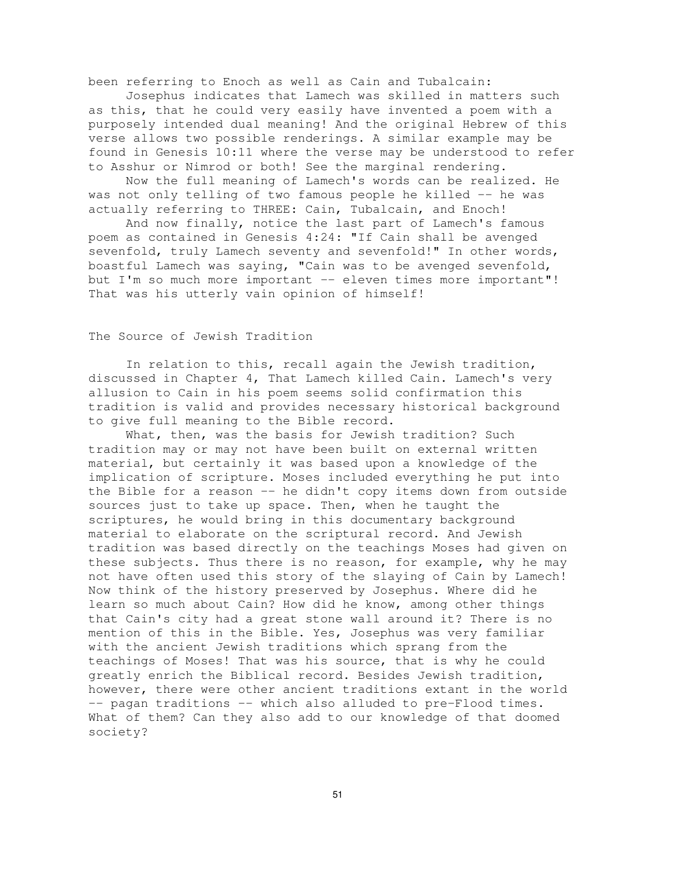been referring to Enoch as well as Cain and Tubalcain:

Josephus indicates that Lamech was skilled in matters such as this, that he could very easily have invented a poem with a purposely intended dual meaning! And the original Hebrew of this verse allows two possible renderings. A similar example may be found in Genesis 10:11 where the verse may be understood to refer to Asshur or Nimrod or both! See the marginal rendering.

Now the full meaning of Lamech's words can be realized. He was not only telling of two famous people he killed -- he was actually referring to THREE: Cain, Tubalcain, and Enoch!

And now finally, notice the last part of Lamech's famous poem as contained in Genesis 4:24: "If Cain shall be avenged sevenfold, truly Lamech seventy and sevenfold!" In other words, boastful Lamech was saying, "Cain was to be avenged sevenfold, but I'm so much more important -- eleven times more important"! That was his utterly vain opinion of himself!

# The Source of Jewish Tradition

In relation to this, recall again the Jewish tradition, discussed in Chapter 4, That Lamech killed Cain. Lamech's very allusion to Cain in his poem seems solid confirmation this tradition is valid and provides necessary historical background to give full meaning to the Bible record.

What, then, was the basis for Jewish tradition? Such tradition may or may not have been built on external written material, but certainly it was based upon a knowledge of the implication of scripture. Moses included everything he put into the Bible for a reason -- he didn't copy items down from outside sources just to take up space. Then, when he taught the scriptures, he would bring in this documentary background material to elaborate on the scriptural record. And Jewish tradition was based directly on the teachings Moses had given on these subjects. Thus there is no reason, for example, why he may not have often used this story of the slaying of Cain by Lamech! Now think of the history preserved by Josephus. Where did he learn so much about Cain? How did he know, among other things that Cain's city had a great stone wall around it? There is no mention of this in the Bible. Yes, Josephus was very familiar with the ancient Jewish traditions which sprang from the teachings of Moses! That was his source, that is why he could greatly enrich the Biblical record. Besides Jewish tradition, however, there were other ancient traditions extant in the world -- pagan traditions -- which also alluded to pre-Flood times. What of them? Can they also add to our knowledge of that doomed society?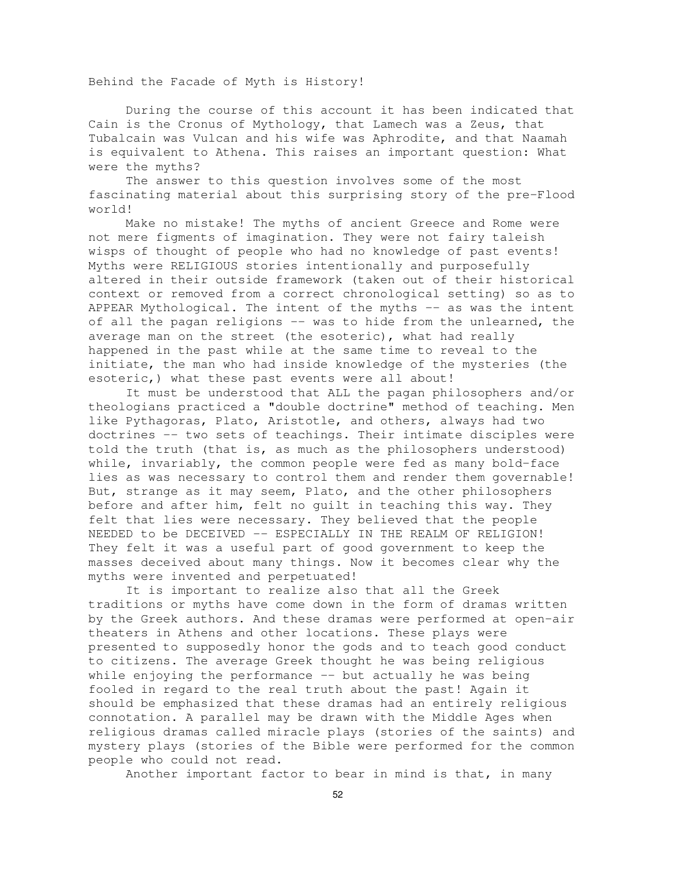Behind the Facade of Myth is History!

During the course of this account it has been indicated that Cain is the Cronus of Mythology, that Lamech was a Zeus, that Tubalcain was Vulcan and his wife was Aphrodite, and that Naamah is equivalent to Athena. This raises an important question: What were the myths?

The answer to this question involves some of the most fascinating material about this surprising story of the pre-Flood world!

Make no mistake! The myths of ancient Greece and Rome were not mere figments of imagination. They were not fairy taleish wisps of thought of people who had no knowledge of past events! Myths were RELIGIOUS stories intentionally and purposefully altered in their outside framework (taken out of their historical context or removed from a correct chronological setting) so as to APPEAR Mythological. The intent of the myths -- as was the intent of all the pagan religions -- was to hide from the unlearned, the average man on the street (the esoteric), what had really happened in the past while at the same time to reveal to the initiate, the man who had inside knowledge of the mysteries (the esoteric, ) what these past events were all about!

It must be understood that ALL the pagan philosophers and/or theologians practiced a "double doctrine" method of teaching. Men like Pythagoras, Plato, Aristotle, and others, always had two doctrines -- two sets of teachings. Their intimate disciples were told the truth (that is, as much as the philosophers understood) while, invariably, the common people were fed as many bold-face lies as was necessary to control them and render them governable! But, strange as it may seem, Plato, and the other philosophers before and after him, felt no guilt in teaching this way. They felt that lies were necessary. They believed that the people NEEDED to be DECEIVED -- ESPECIALLY IN THE REALM OF RELIGION! They felt it was a useful part of good government to keep the masses deceived about many things. Now it becomes clear why the myths were invented and perpetuated!

It is important to realize also that all the Greek traditions or myths have come down in the form of dramas written by the Greek authors. And these dramas were performed at open-air theaters in Athens and other locations. These plays were presented to supposedly honor the gods and to teach good conduct to citizens. The average Greek thought he was being religious while enjoying the performance -- but actually he was being fooled in regard to the real truth about the past! Again it should be emphasized that these dramas had an entirely religious connotation. A parallel may be drawn with the Middle Ages when religious dramas called miracle plays (stories of the saints) and mystery plays (stories of the Bible were performed for the common people who could not read.

Another important factor to bear in mind is that, in many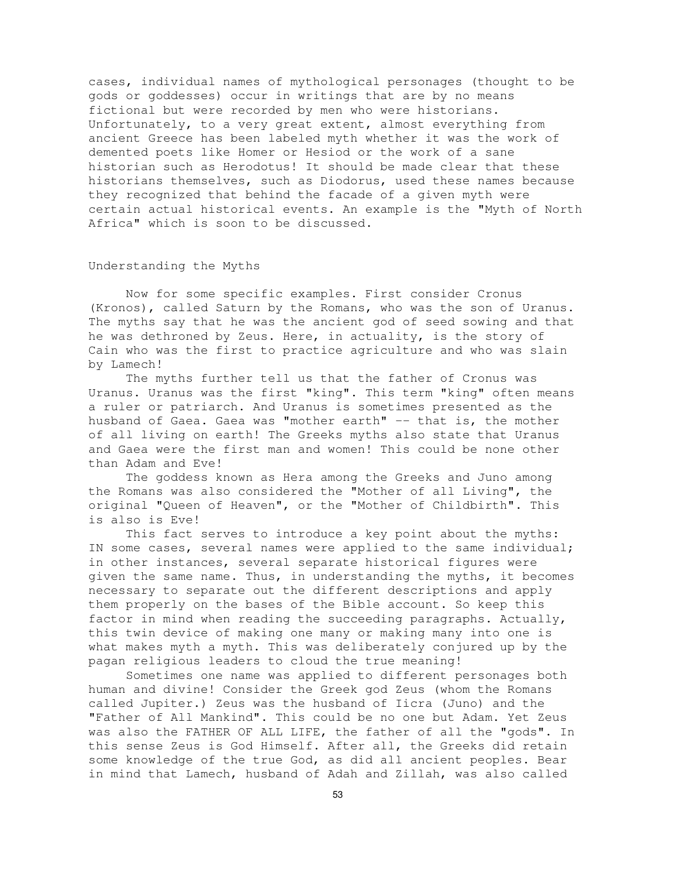cases, individual names of mythological personages (thought to be gods or goddesses) occur in writings that are by no means fictional but were recorded by men who were historians. Unfortunately, to a very great extent, almost everything from ancient Greece has been labeled myth whether it was the work of demented poets like Homer or Hesiod or the work of a sane historian such as Herodotus! It should be made clear that these historians themselves, such as Diodorus, used these names because they recognized that behind the facade of a given myth were certain actual historical events. An example is the "Myth of North Africa" which is soon to be discussed.

#### Understanding the Myths

Now for some specific examples. First consider Cronus (Kronos), called Saturn by the Romans, who was the son of Uranus. The myths say that he was the ancient god of seed sowing and that he was dethroned by Zeus. Here, in actuality, is the story of Cain who was the first to practice agriculture and who was slain by Lamech!

The myths further tell us that the father of Cronus was Uranus. Uranus was the first "king". This term "king" often means a ruler or patriarch. And Uranus is sometimes presented as the husband of Gaea. Gaea was "mother earth" -- that is, the mother of all living on earth! The Greeks myths also state that Uranus and Gaea were the first man and women! This could be none other than Adam and Eve!

The goddess known as Hera among the Greeks and Juno among the Romans was also considered the "Mother of all Living", the original "Queen of Heaven", or the "Mother of Childbirth". This is also is Eve!

This fact serves to introduce a key point about the myths: IN some cases, several names were applied to the same individual; in other instances, several separate historical figures were given the same name. Thus, in understanding the myths, it becomes necessary to separate out the different descriptions and apply them properly on the bases of the Bible account. So keep this factor in mind when reading the succeeding paragraphs. Actually, this twin device of making one many or making many into one is what makes myth a myth. This was deliberately conjured up by the pagan religious leaders to cloud the true meaning!

Sometimes one name was applied to different personages both human and divine! Consider the Greek god Zeus (whom the Romans called Jupiter.) Zeus was the husband of Iicra (Juno) and the "Father of All Mankind". This could be no one but Adam. Yet Zeus was also the FATHER OF ALL LIFE, the father of all the "gods". In this sense Zeus is God Himself. After all, the Greeks did retain some knowledge of the true God, as did all ancient peoples. Bear in mind that Lamech, husband of Adah and Zillah, was also called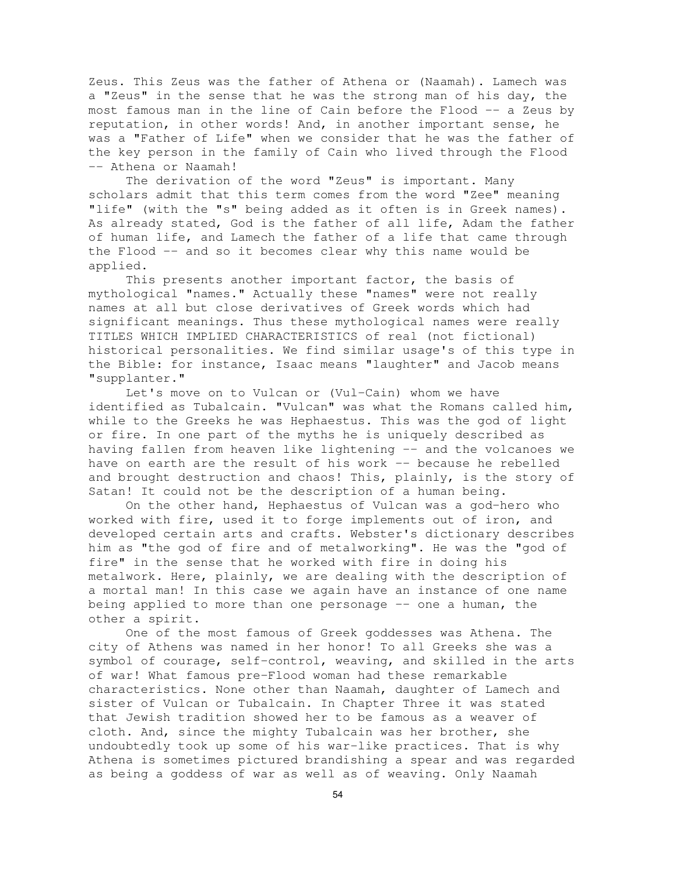Zeus. This Zeus was the father of Athena or (Naamah). Lamech was a "Zeus" in the sense that he was the strong man of his day, the most famous man in the line of Cain before the Flood -- a Zeus by reputation, in other words! And, in another important sense, he was a "Father of Life" when we consider that he was the father of the key person in the family of Cain who lived through the Flood -- Athena or Naamah!

The derivation of the word "Zeus" is important. Many scholars admit that this term comes from the word "Zee" meaning "life" (with the "s" being added as it often is in Greek names). As already stated, God is the father of all life, Adam the father of human life, and Lamech the father of a life that came through the Flood -- and so it becomes clear why this name would be applied.

This presents another important factor, the basis of mythological "names." Actually these "names" were not really names at all but close derivatives of Greek words which had significant meanings. Thus these mythological names were really TITLES WHICH IMPLIED CHARACTERISTICS of real (not fictional) historical personalities. We find similar usage's of this type in the Bible: for instance, Isaac means "laughter" and Jacob means "supplanter."

Let's move on to Vulcan or (Vul-Cain) whom we have identified as Tubalcain. "Vulcan" was what the Romans called him, while to the Greeks he was Hephaestus. This was the god of light or fire. In one part of the myths he is uniquely described as having fallen from heaven like lightening -- and the volcanoes we have on earth are the result of his work -- because he rebelled and brought destruction and chaos! This, plainly, is the story of Satan! It could not be the description of a human being.

On the other hand, Hephaestus of Vulcan was a god-hero who worked with fire, used it to forge implements out of iron, and developed certain arts and crafts. Webster's dictionary describes him as "the god of fire and of metalworking". He was the "god of fire" in the sense that he worked with fire in doing his metalwork. Here, plainly, we are dealing with the description of a mortal man! In this case we again have an instance of one name being applied to more than one personage -- one a human, the other a spirit.

One of the most famous of Greek goddesses was Athena. The city of Athens was named in her honor! To all Greeks she was a symbol of courage, self-control, weaving, and skilled in the arts of war! What famous pre-Flood woman had these remarkable characteristics. None other than Naamah, daughter of Lamech and sister of Vulcan or Tubalcain. In Chapter Three it was stated that Jewish tradition showed her to be famous as a weaver of cloth. And, since the mighty Tubalcain was her brother, she undoubtedly took up some of his war-like practices. That is why Athena is sometimes pictured brandishing a spear and was regarded as being a goddess of war as well as of weaving. Only Naamah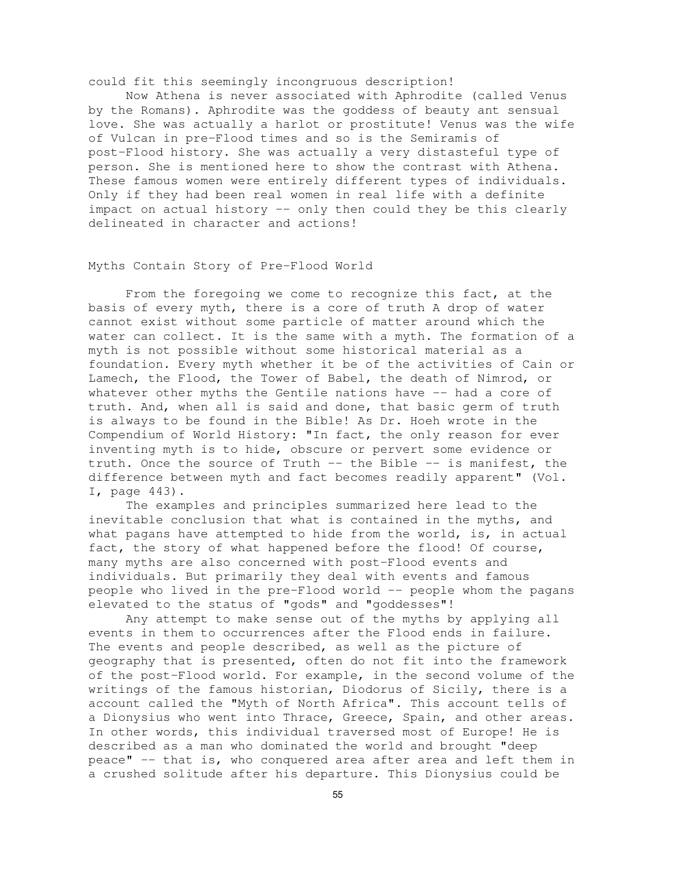could fit this seemingly incongruous description!

Now Athena is never associated with Aphrodite (called Venus by the Romans). Aphrodite was the goddess of beauty ant sensual love. She was actually a harlot or prostitute! Venus was the wife of Vulcan in pre-Flood times and so is the Semiramis of post-Flood history. She was actually a very distasteful type of person. She is mentioned here to show the contrast with Athena. These famous women were entirely different types of individuals. Only if they had been real women in real life with a definite impact on actual history -- only then could they be this clearly delineated in character and actions!

## Myths Contain Story of Pre-Flood World

From the foregoing we come to recognize this fact, at the basis of every myth, there is a core of truth A drop of water cannot exist without some particle of matter around which the water can collect. It is the same with a myth. The formation of a myth is not possible without some historical material as a foundation. Every myth whether it be of the activities of Cain or Lamech, the Flood, the Tower of Babel, the death of Nimrod, or whatever other myths the Gentile nations have -- had a core of truth. And, when all is said and done, that basic germ of truth is always to be found in the Bible! As Dr. Hoeh wrote in the Compendium of World History: "In fact, the only reason for ever inventing myth is to hide, obscure or pervert some evidence or truth. Once the source of Truth -- the Bible -- is manifest, the difference between myth and fact becomes readily apparent" (Vol. I, page 443).

The examples and principles summarized here lead to the inevitable conclusion that what is contained in the myths, and what pagans have attempted to hide from the world, is, in actual fact, the story of what happened before the flood! Of course, many myths are also concerned with post-Flood events and individuals. But primarily they deal with events and famous people who lived in the pre-Flood world -- people whom the pagans elevated to the status of "gods" and "goddesses"!

Any attempt to make sense out of the myths by applying all events in them to occurrences after the Flood ends in failure. The events and people described, as well as the picture of geography that is presented, often do not fit into the framework of the post-Flood world. For example, in the second volume of the writings of the famous historian, Diodorus of Sicily, there is a account called the "Myth of North Africa". This account tells of a Dionysius who went into Thrace, Greece, Spain, and other areas. In other words, this individual traversed most of Europe! He is described as a man who dominated the world and brought "deep peace" -- that is, who conquered area after area and left them in a crushed solitude after his departure. This Dionysius could be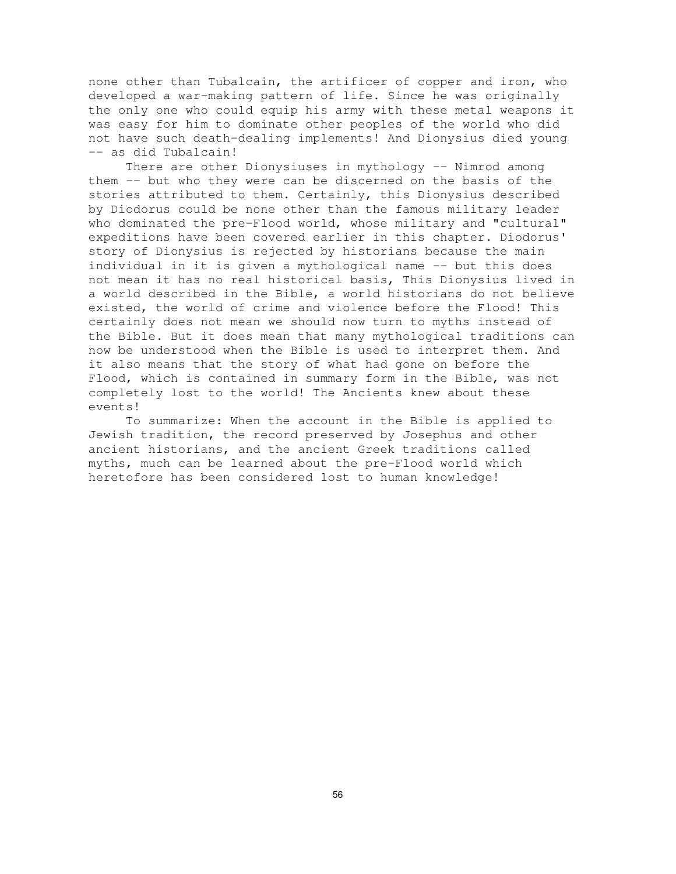none other than Tubalcain, the artificer of copper and iron, who developed a war-making pattern of life. Since he was originally the only one who could equip his army with these metal weapons it was easy for him to dominate other peoples of the world who did not have such death-dealing implements! And Dionysius died young -- as did Tubalcain!

There are other Dionysiuses in mythology -- Nimrod among them -- but who they were can be discerned on the basis of the stories attributed to them. Certainly, this Dionysius described by Diodorus could be none other than the famous military leader who dominated the pre-Flood world, whose military and "cultural" expeditions have been covered earlier in this chapter. Diodorus' story of Dionysius is rejected by historians because the main individual in it is given a mythological name -- but this does not mean it has no real historical basis, This Dionysius lived in a world described in the Bible, a world historians do not believe existed, the world of crime and violence before the Flood! This certainly does not mean we should now turn to myths instead of the Bible. But it does mean that many mythological traditions can now be understood when the Bible is used to interpret them. And it also means that the story of what had gone on before the Flood, which is contained in summary form in the Bible, was not completely lost to the world! The Ancients knew about these events!

To summarize: When the account in the Bible is applied to Jewish tradition, the record preserved by Josephus and other ancient historians, and the ancient Greek traditions called myths, much can be learned about the pre-Flood world which heretofore has been considered lost to human knowledge!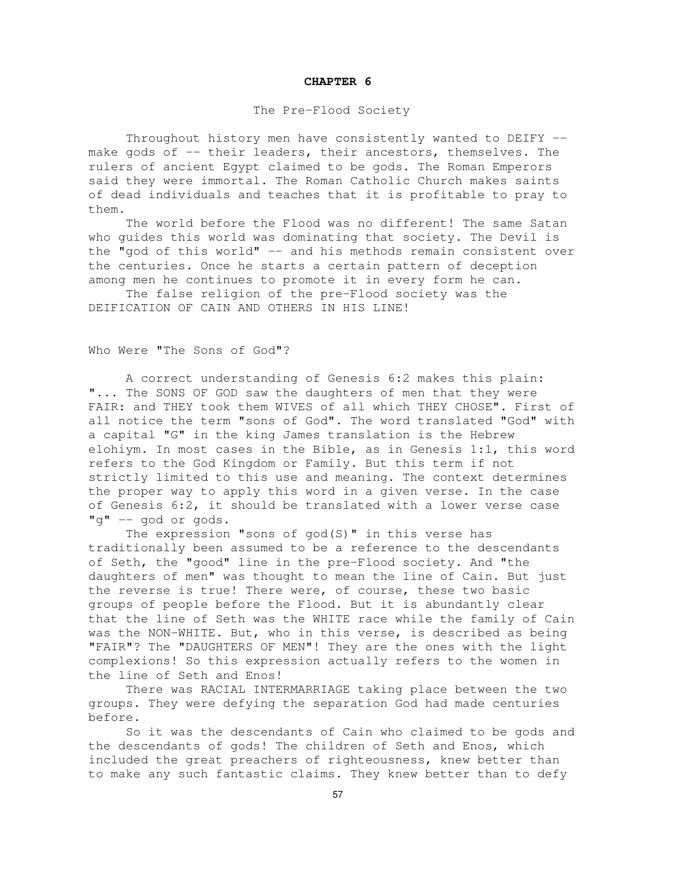#### **CHAPTER 6**

### The Pre-Flood Society

Throughout history men have consistently wanted to DEIFY - make gods of -- their leaders, their ancestors, themselves. The rulers of ancient Egypt claimed to be gods. The Roman Emperors said they were immortal. The Roman Catholic Church makes saints of dead individuals and teaches that it is profitable to pray to them.

The world before the Flood was no different! The same Satan who guides this world was dominating that society. The Devil is the "god of this world" -- and his methods remain consistent over the centuries. Once he starts a certain pattern of deception among men he continues to promote it in every form he can.

The false religion of the pre-Flood society was the DEIFICATION OF CAIN AND OTHERS IN HIS LINE!

Who Were "The Sons of God"?

A correct understanding of Genesis 6:2 makes this plain: "... The SONS OF GOD saw the daughters of men that they were FAIR: and THEY took them WIVES of all which THEY CHOSE". First of all notice the term "sons of God". The word translated "God" with a capital "G" in the king James translation is the Hebrew elohiym. In most cases in the Bible, as in Genesis 1:1, this word refers to the God Kingdom or Family. But this term if not strictly limited to this use and meaning. The context determines the proper way to apply this word in a given verse. In the case of Genesis 6:2, it should be translated with a lower verse case "g" -- god or gods.

The expression "sons of god(S)" in this verse has traditionally been assumed to be a reference to the descendants of Seth, the "good" line in the pre-Flood society. And "the daughters of men" was thought to mean the line of Cain. But just the reverse is true! There were, of course, these two basic groups of people before the Flood. But it is abundantly clear that the line of Seth was the WHITE race while the family of Cain was the NON-WHITE. But, who in this verse, is described as being "FAIR"? The "DAUGHTERS OF MEN"! They are the ones with the light complexions! So this expression actually refers to the women in the line of Seth and Enos!

There was RACIAL INTERMARRIAGE taking place between the two groups. They were defying the separation God had made centuries before.

So it was the descendants of Cain who claimed to be gods and the descendants of gods! The children of Seth and Enos, which included the great preachers of righteousness, knew better than to make any such fantastic claims. They knew better than to defy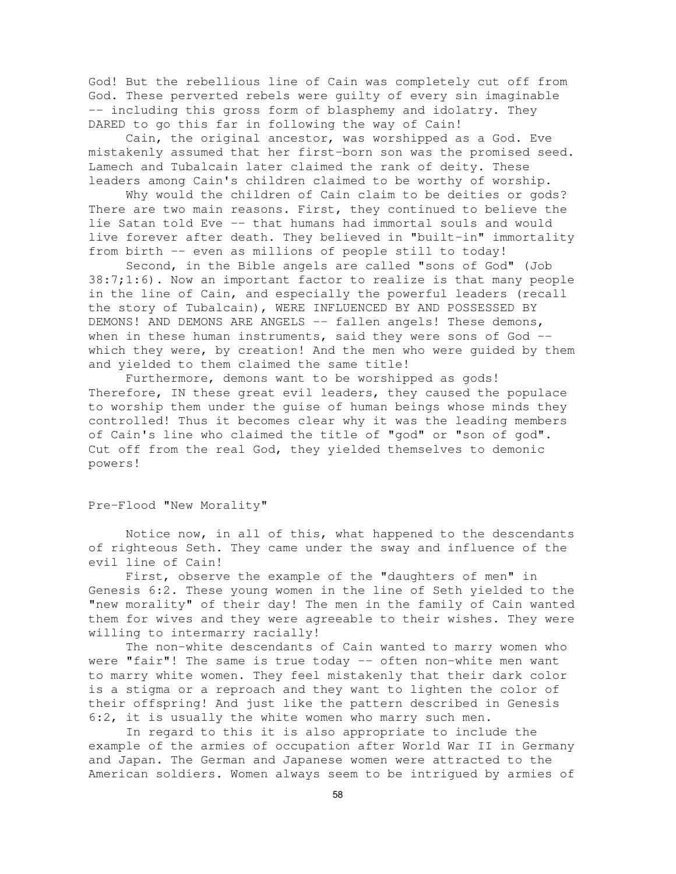God! But the rebellious line of Cain was completely cut off from God. These perverted rebels were guilty of every sin imaginable -- including this gross form of blasphemy and idolatry. They DARED to go this far in following the way of Cain!

Cain, the original ancestor, was worshipped as a God. Eve mistakenly assumed that her first-born son was the promised seed. Lamech and Tubalcain later claimed the rank of deity. These leaders among Cain's children claimed to be worthy of worship.

Why would the children of Cain claim to be deities or gods? There are two main reasons. First, they continued to believe the lie Satan told Eve -- that humans had immortal souls and would live forever after death. They believed in "built-in" immortality from birth -- even as millions of people still to today!

Second, in the Bible angels are called "sons of God" (Job 38:7;1:6). Now an important factor to realize is that many people in the line of Cain, and especially the powerful leaders (recall the story of Tubalcain), WERE INFLUENCED BY AND POSSESSED BY DEMONS! AND DEMONS ARE ANGELS -- fallen angels! These demons, when in these human instruments, said they were sons of God -which they were, by creation! And the men who were guided by them and yielded to them claimed the same title!

Furthermore, demons want to be worshipped as gods! Therefore, IN these great evil leaders, they caused the populace to worship them under the guise of human beings whose minds they controlled! Thus it becomes clear why it was the leading members of Cain's line who claimed the title of "god" or "son of god". Cut off from the real God, they yielded themselves to demonic powers!

## Pre-Flood "New Morality"

Notice now, in all of this, what happened to the descendants of righteous Seth. They came under the sway and influence of the evil line of Cain!

First, observe the example of the "daughters of men" in Genesis 6:2. These young women in the line of Seth yielded to the "new morality" of their day! The men in the family of Cain wanted them for wives and they were agreeable to their wishes. They were willing to intermarry racially!

The non-white descendants of Cain wanted to marry women who were "fair"! The same is true today -- often non-white men want to marry white women. They feel mistakenly that their dark color is a stigma or a reproach and they want to lighten the color of their offspring! And just like the pattern described in Genesis 6:2, it is usually the white women who marry such men.

In regard to this it is also appropriate to include the example of the armies of occupation after World War II in Germany and Japan. The German and Japanese women were attracted to the American soldiers. Women always seem to be intrigued by armies of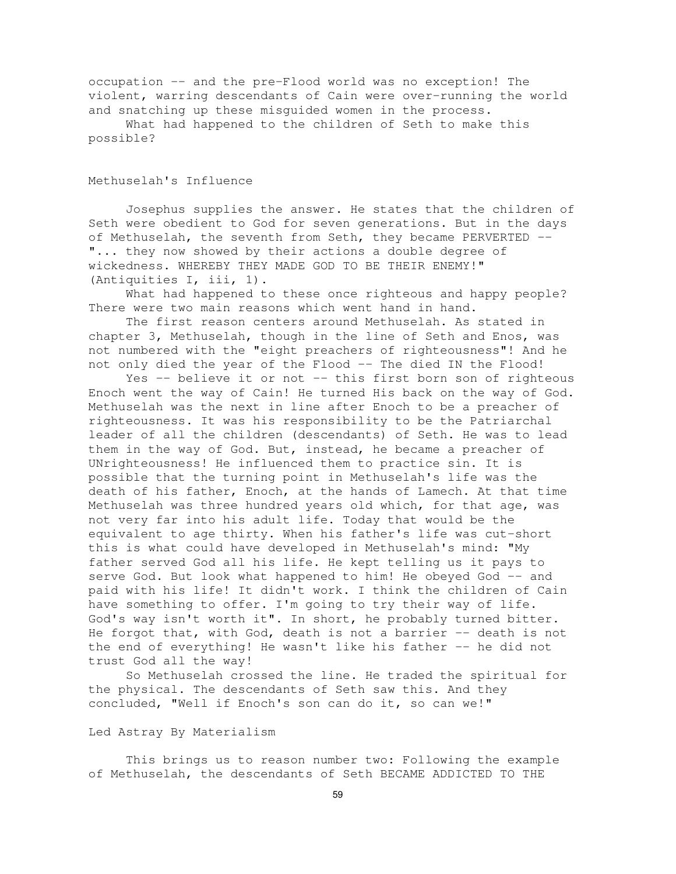occupation -- and the pre-Flood world was no exception! The violent, warring descendants of Cain were over-running the world and snatching up these misguided women in the process.

What had happened to the children of Seth to make this possible?

## Methuselah's Influence

Josephus supplies the answer. He states that the children of Seth were obedient to God for seven generations. But in the days of Methuselah, the seventh from Seth, they became PERVERTED -- "... they now showed by their actions a double degree of wickedness. WHEREBY THEY MADE GOD TO BE THEIR ENEMY!" (Antiquities I, iii, 1).

What had happened to these once righteous and happy people? There were two main reasons which went hand in hand.

The first reason centers around Methuselah. As stated in chapter 3, Methuselah, though in the line of Seth and Enos, was not numbered with the "eight preachers of righteousness"! And he not only died the year of the Flood -- The died IN the Flood!

Yes -- believe it or not -- this first born son of righteous Enoch went the way of Cain! He turned His back on the way of God. Methuselah was the next in line after Enoch to be a preacher of righteousness. It was his responsibility to be the Patriarchal leader of all the children (descendants) of Seth. He was to lead them in the way of God. But, instead, he became a preacher of UNrighteousness! He influenced them to practice sin. It is possible that the turning point in Methuselah's life was the death of his father, Enoch, at the hands of Lamech. At that time Methuselah was three hundred years old which, for that age, was not very far into his adult life. Today that would be the equivalent to age thirty. When his father's life was cut-short this is what could have developed in Methuselah's mind: "My father served God all his life. He kept telling us it pays to serve God. But look what happened to him! He obeyed God -- and paid with his life! It didn't work. I think the children of Cain have something to offer. I'm going to try their way of life. God's way isn't worth it". In short, he probably turned bitter. He forgot that, with God, death is not a barrier -- death is not the end of everything! He wasn't like his father -- he did not trust God all the way!

So Methuselah crossed the line. He traded the spiritual for the physical. The descendants of Seth saw this. And they concluded, "Well if Enoch's son can do it, so can we!"

### Led Astray By Materialism

This brings us to reason number two: Following the example of Methuselah, the descendants of Seth BECAME ADDICTED TO THE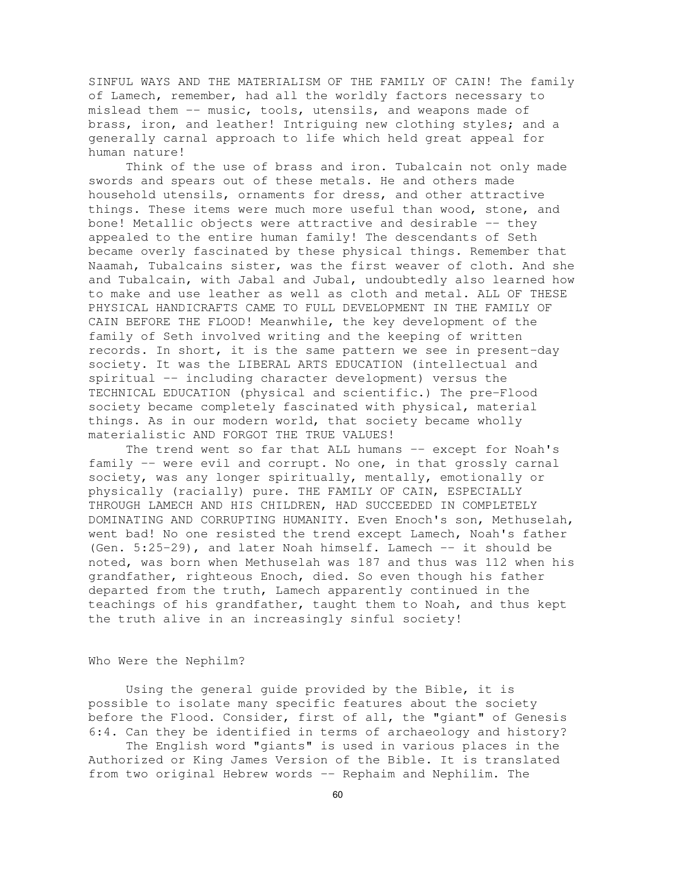SINFUL WAYS AND THE MATERIALISM OF THE FAMILY OF CAIN! The family of Lamech, remember, had all the worldly factors necessary to mislead them -- music, tools, utensils, and weapons made of brass, iron, and leather! Intriguing new clothing styles; and a generally carnal approach to life which held great appeal for human nature!

Think of the use of brass and iron. Tubalcain not only made swords and spears out of these metals. He and others made household utensils, ornaments for dress, and other attractive things. These items were much more useful than wood, stone, and bone! Metallic objects were attractive and desirable -- they appealed to the entire human family! The descendants of Seth became overly fascinated by these physical things. Remember that Naamah, Tubalcains sister, was the first weaver of cloth. And she and Tubalcain, with Jabal and Jubal, undoubtedly also learned how to make and use leather as well as cloth and metal. ALL OF THESE PHYSICAL HANDICRAFTS CAME TO FULL DEVELOPMENT IN THE FAMILY OF CAIN BEFORE THE FLOOD! Meanwhile, the key development of the family of Seth involved writing and the keeping of written records. In short, it is the same pattern we see in present-day society. It was the LIBERAL ARTS EDUCATION (intellectual and spiritual -- including character development) versus the TECHNICAL EDUCATION (physical and scientific.) The pre-Flood society became completely fascinated with physical, material things. As in our modern world, that society became wholly materialistic AND FORGOT THE TRUE VALUES!

The trend went so far that ALL humans -- except for Noah's family -- were evil and corrupt. No one, in that grossly carnal society, was any longer spiritually, mentally, emotionally or physically (racially) pure. THE FAMILY OF CAIN, ESPECIALLY THROUGH LAMECH AND HIS CHILDREN, HAD SUCCEEDED IN COMPLETELY DOMINATING AND CORRUPTING HUMANITY. Even Enoch's son, Methuselah, went bad! No one resisted the trend except Lamech, Noah's father (Gen. 5:25-29), and later Noah himself. Lamech -- it should be noted, was born when Methuselah was 187 and thus was 112 when his grandfather, righteous Enoch, died. So even though his father departed from the truth, Lamech apparently continued in the teachings of his grandfather, taught them to Noah, and thus kept the truth alive in an increasingly sinful society!

### Who Were the Nephilm?

Using the general guide provided by the Bible, it is possible to isolate many specific features about the society before the Flood. Consider, first of all, the "giant" of Genesis 6:4. Can they be identified in terms of archaeology and history?

The English word "giants" is used in various places in the Authorized or King James Version of the Bible. It is translated from two original Hebrew words -- Rephaim and Nephilim. The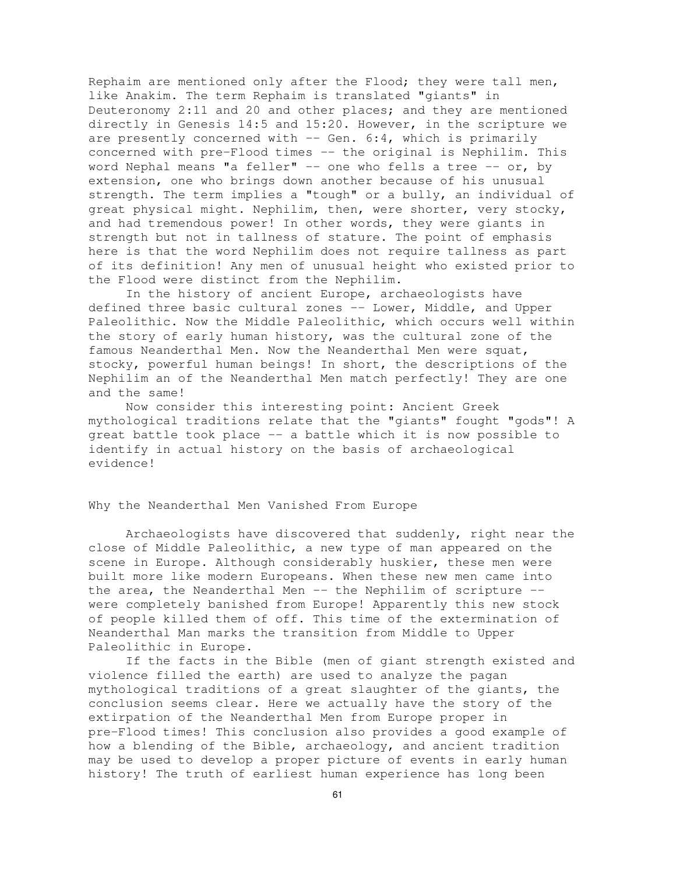Rephaim are mentioned only after the Flood; they were tall men, like Anakim. The term Rephaim is translated "giants" in Deuteronomy 2:11 and 20 and other places; and they are mentioned directly in Genesis 14:5 and 15:20. However, in the scripture we are presently concerned with  $--$  Gen. 6:4, which is primarily concerned with pre-Flood times -- the original is Nephilim. This word Nephal means "a feller" -- one who fells a tree -- or, by extension, one who brings down another because of his unusual strength. The term implies a "tough" or a bully, an individual of great physical might. Nephilim, then, were shorter, very stocky, and had tremendous power! In other words, they were giants in strength but not in tallness of stature. The point of emphasis here is that the word Nephilim does not require tallness as part of its definition! Any men of unusual height who existed prior to the Flood were distinct from the Nephilim.

In the history of ancient Europe, archaeologists have defined three basic cultural zones -- Lower, Middle, and Upper Paleolithic. Now the Middle Paleolithic, which occurs well within the story of early human history, was the cultural zone of the famous Neanderthal Men. Now the Neanderthal Men were squat, stocky, powerful human beings! In short, the descriptions of the Nephilim an of the Neanderthal Men match perfectly! They are one and the same!

Now consider this interesting point: Ancient Greek mythological traditions relate that the "giants" fought "gods"! A great battle took place -- a battle which it is now possible to identify in actual history on the basis of archaeological evidence!

## Why the Neanderthal Men Vanished From Europe

Archaeologists have discovered that suddenly, right near the close of Middle Paleolithic, a new type of man appeared on the scene in Europe. Although considerably huskier, these men were built more like modern Europeans. When these new men came into the area, the Neanderthal Men -- the Nephilim of scripture -were completely banished from Europe! Apparently this new stock of people killed them of off. This time of the extermination of Neanderthal Man marks the transition from Middle to Upper Paleolithic in Europe.

If the facts in the Bible (men of giant strength existed and violence filled the earth) are used to analyze the pagan mythological traditions of a great slaughter of the giants, the conclusion seems clear. Here we actually have the story of the extirpation of the Neanderthal Men from Europe proper in pre-Flood times! This conclusion also provides a good example of how a blending of the Bible, archaeology, and ancient tradition may be used to develop a proper picture of events in early human history! The truth of earliest human experience has long been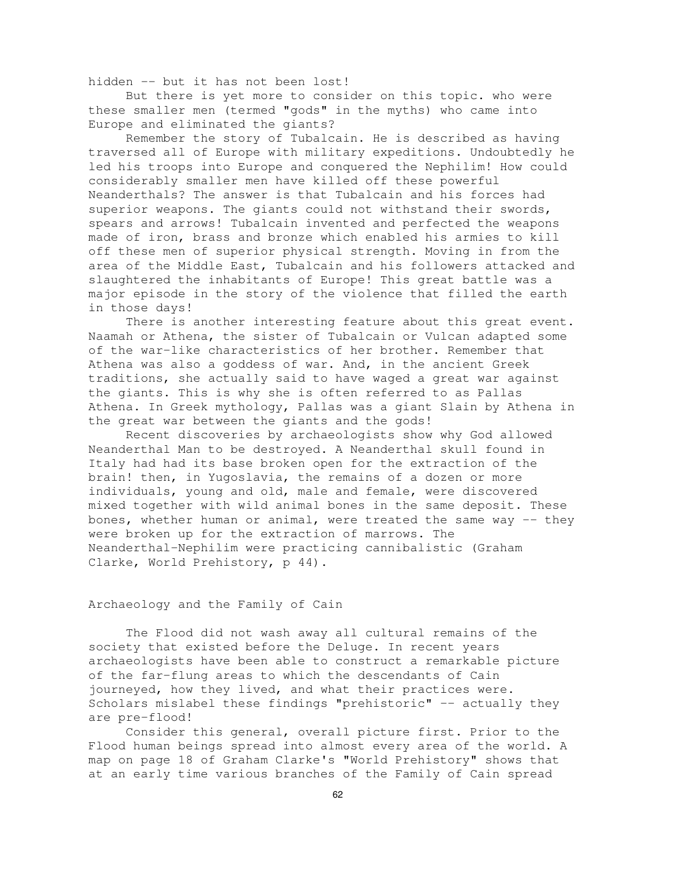hidden -- but it has not been lost!

But there is yet more to consider on this topic. who were these smaller men (termed "gods" in the myths) who came into Europe and eliminated the giants?

Remember the story of Tubalcain. He is described as having traversed all of Europe with military expeditions. Undoubtedly he led his troops into Europe and conquered the Nephilim! How could considerably smaller men have killed off these powerful Neanderthals? The answer is that Tubalcain and his forces had superior weapons. The giants could not withstand their swords, spears and arrows! Tubalcain invented and perfected the weapons made of iron, brass and bronze which enabled his armies to kill off these men of superior physical strength. Moving in from the area of the Middle East, Tubalcain and his followers attacked and slaughtered the inhabitants of Europe! This great battle was a major episode in the story of the violence that filled the earth in those days!

There is another interesting feature about this great event. Naamah or Athena, the sister of Tubalcain or Vulcan adapted some of the war-like characteristics of her brother. Remember that Athena was also a goddess of war. And, in the ancient Greek traditions, she actually said to have waged a great war against the giants. This is why she is often referred to as Pallas Athena. In Greek mythology, Pallas was a giant Slain by Athena in the great war between the giants and the gods!

Recent discoveries by archaeologists show why God allowed Neanderthal Man to be destroyed. A Neanderthal skull found in Italy had had its base broken open for the extraction of the brain! then, in Yugoslavia, the remains of a dozen or more individuals, young and old, male and female, were discovered mixed together with wild animal bones in the same deposit. These bones, whether human or animal, were treated the same way -- they were broken up for the extraction of marrows. The Neanderthal-Nephilim were practicing cannibalistic (Graham Clarke, World Prehistory, p 44).

# Archaeology and the Family of Cain

The Flood did not wash away all cultural remains of the society that existed before the Deluge. In recent years archaeologists have been able to construct a remarkable picture of the far-flung areas to which the descendants of Cain journeyed, how they lived, and what their practices were. Scholars mislabel these findings "prehistoric" -- actually they are pre-flood!

Consider this general, overall picture first. Prior to the Flood human beings spread into almost every area of the world. A map on page 18 of Graham Clarke's "World Prehistory" shows that at an early time various branches of the Family of Cain spread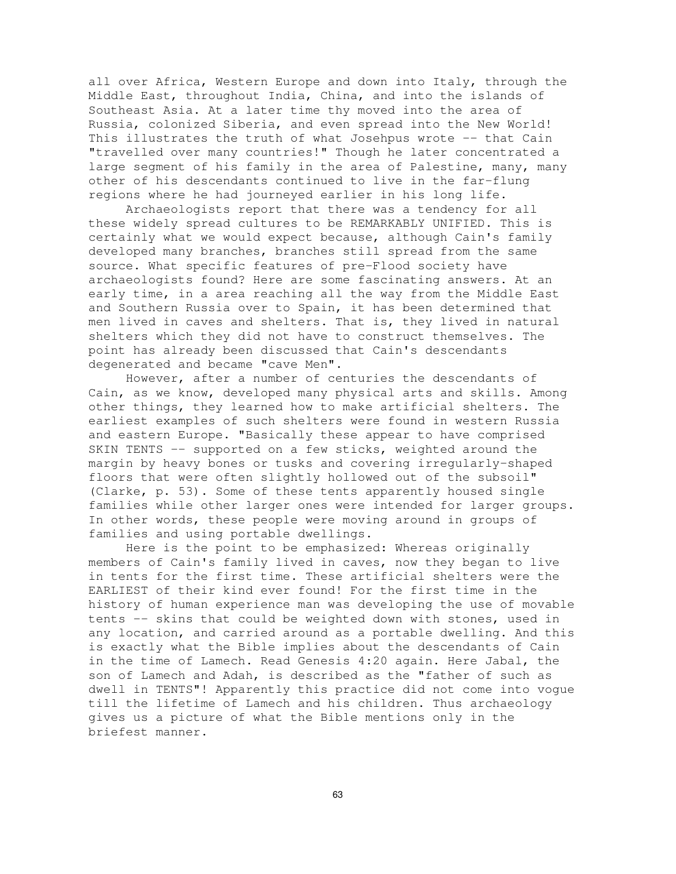all over Africa, Western Europe and down into Italy, through the Middle East, throughout India, China, and into the islands of Southeast Asia. At a later time thy moved into the area of Russia, colonized Siberia, and even spread into the New World! This illustrates the truth of what Josehpus wrote -- that Cain "travelled over many countries!" Though he later concentrated a large segment of his family in the area of Palestine, many, many other of his descendants continued to live in the far-flung regions where he had journeyed earlier in his long life.

Archaeologists report that there was a tendency for all these widely spread cultures to be REMARKABLY UNIFIED. This is certainly what we would expect because, although Cain's family developed many branches, branches still spread from the same source. What specific features of pre-Flood society have archaeologists found? Here are some fascinating answers. At an early time, in a area reaching all the way from the Middle East and Southern Russia over to Spain, it has been determined that men lived in caves and shelters. That is, they lived in natural shelters which they did not have to construct themselves. The point has already been discussed that Cain's descendants degenerated and became "cave Men".

However, after a number of centuries the descendants of Cain, as we know, developed many physical arts and skills. Among other things, they learned how to make artificial shelters. The earliest examples of such shelters were found in western Russia and eastern Europe. "Basically these appear to have comprised SKIN TENTS -- supported on a few sticks, weighted around the margin by heavy bones or tusks and covering irregularly-shaped floors that were often slightly hollowed out of the subsoil" (Clarke, p. 53). Some of these tents apparently housed single families while other larger ones were intended for larger groups. In other words, these people were moving around in groups of families and using portable dwellings.

Here is the point to be emphasized: Whereas originally members of Cain's family lived in caves, now they began to live in tents for the first time. These artificial shelters were the EARLIEST of their kind ever found! For the first time in the history of human experience man was developing the use of movable tents -- skins that could be weighted down with stones, used in any location, and carried around as a portable dwelling. And this is exactly what the Bible implies about the descendants of Cain in the time of Lamech. Read Genesis 4:20 again. Here Jabal, the son of Lamech and Adah, is described as the "father of such as dwell in TENTS"! Apparently this practice did not come into vogue till the lifetime of Lamech and his children. Thus archaeology gives us a picture of what the Bible mentions only in the briefest manner.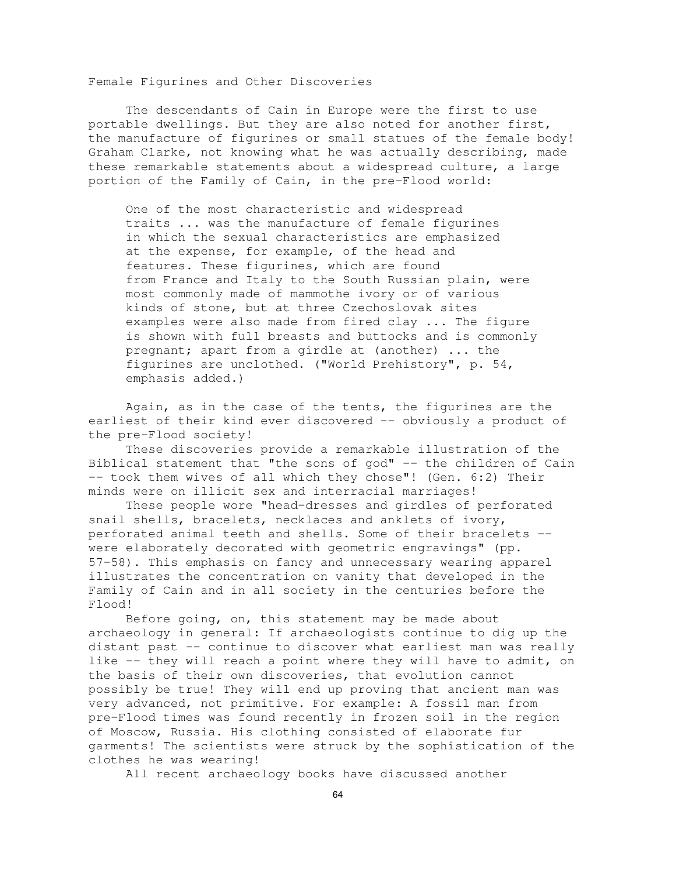Female Figurines and Other Discoveries

The descendants of Cain in Europe were the first to use portable dwellings. But they are also noted for another first, the manufacture of figurines or small statues of the female body! Graham Clarke, not knowing what he was actually describing, made these remarkable statements about a widespread culture, a large portion of the Family of Cain, in the pre-Flood world:

One of the most characteristic and widespread traits ... was the manufacture of female figurines in which the sexual characteristics are emphasized at the expense, for example, of the head and features. These figurines, which are found from France and Italy to the South Russian plain, were most commonly made of mammothe ivory or of various kinds of stone, but at three Czechoslovak sites examples were also made from fired clay ... The figure is shown with full breasts and buttocks and is commonly pregnant; apart from a girdle at (another) ... the figurines are unclothed. ("World Prehistory", p. 54, emphasis added.)

Again, as in the case of the tents, the figurines are the earliest of their kind ever discovered -- obviously a product of the pre-Flood society!

These discoveries provide a remarkable illustration of the Biblical statement that "the sons of god" -- the children of Cain -- took them wives of all which they chose"! (Gen. 6:2) Their minds were on illicit sex and interracial marriages!

These people wore "head-dresses and girdles of perforated snail shells, bracelets, necklaces and anklets of ivory, perforated animal teeth and shells. Some of their bracelets - were elaborately decorated with geometric engravings" (pp. 57-58). This emphasis on fancy and unnecessary wearing apparel illustrates the concentration on vanity that developed in the Family of Cain and in all society in the centuries before the Flood!

Before going, on, this statement may be made about archaeology in general: If archaeologists continue to dig up the distant past -- continue to discover what earliest man was really like -- they will reach a point where they will have to admit, on the basis of their own discoveries, that evolution cannot possibly be true! They will end up proving that ancient man was very advanced, not primitive. For example: A fossil man from pre-Flood times was found recently in frozen soil in the region of Moscow, Russia. His clothing consisted of elaborate fur garments! The scientists were struck by the sophistication of the clothes he was wearing!

All recent archaeology books have discussed another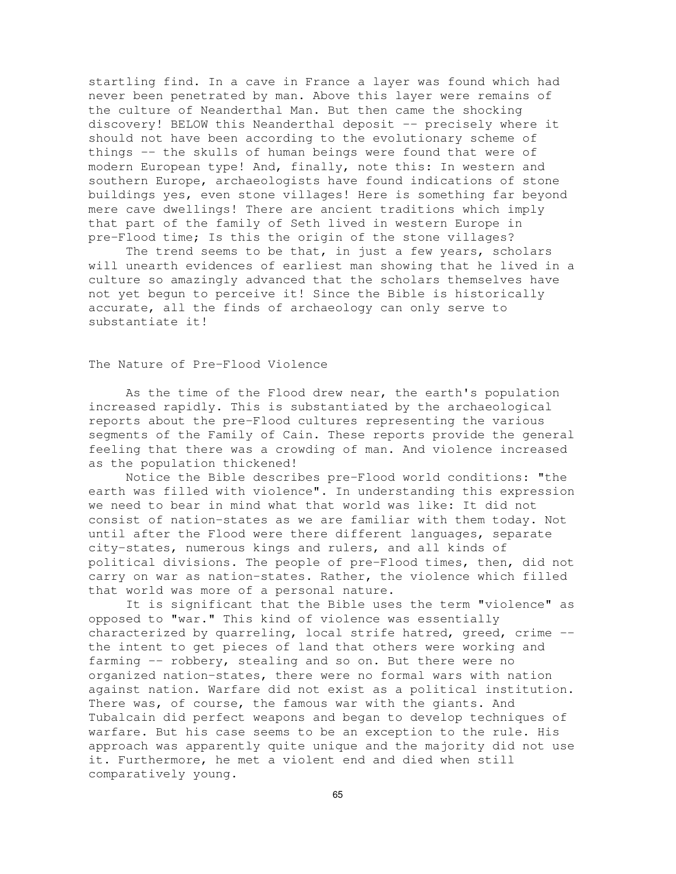startling find. In a cave in France a layer was found which had never been penetrated by man. Above this layer were remains of the culture of Neanderthal Man. But then came the shocking discovery! BELOW this Neanderthal deposit -- precisely where it should not have been according to the evolutionary scheme of things -- the skulls of human beings were found that were of modern European type! And, finally, note this: In western and southern Europe, archaeologists have found indications of stone buildings yes, even stone villages! Here is something far beyond mere cave dwellings! There are ancient traditions which imply that part of the family of Seth lived in western Europe in pre-Flood time; Is this the origin of the stone villages?

The trend seems to be that, in just a few years, scholars will unearth evidences of earliest man showing that he lived in a culture so amazingly advanced that the scholars themselves have not yet begun to perceive it! Since the Bible is historically accurate, all the finds of archaeology can only serve to substantiate it!

# The Nature of Pre-Flood Violence

As the time of the Flood drew near, the earth's population increased rapidly. This is substantiated by the archaeological reports about the pre-Flood cultures representing the various segments of the Family of Cain. These reports provide the general feeling that there was a crowding of man. And violence increased as the population thickened!

Notice the Bible describes pre-Flood world conditions: "the earth was filled with violence". In understanding this expression we need to bear in mind what that world was like: It did not consist of nation-states as we are familiar with them today. Not until after the Flood were there different languages, separate city-states, numerous kings and rulers, and all kinds of political divisions. The people of pre-Flood times, then, did not carry on war as nation-states. Rather, the violence which filled that world was more of a personal nature.

It is significant that the Bible uses the term "violence" as opposed to "war." This kind of violence was essentially characterized by quarreling, local strife hatred, greed, crime - the intent to get pieces of land that others were working and farming -- robbery, stealing and so on. But there were no organized nation-states, there were no formal wars with nation against nation. Warfare did not exist as a political institution. There was, of course, the famous war with the giants. And Tubalcain did perfect weapons and began to develop techniques of warfare. But his case seems to be an exception to the rule. His approach was apparently quite unique and the majority did not use it. Furthermore, he met a violent end and died when still comparatively young.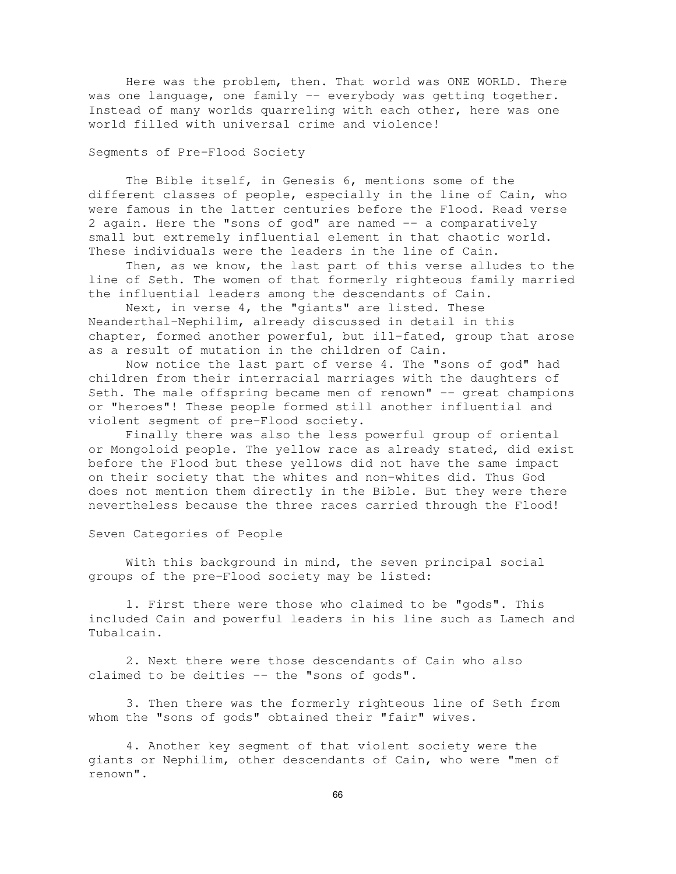Here was the problem, then. That world was ONE WORLD. There was one language, one family -- everybody was getting together. Instead of many worlds quarreling with each other, here was one world filled with universal crime and violence!

# Segments of Pre-Flood Society

The Bible itself, in Genesis 6, mentions some of the different classes of people, especially in the line of Cain, who were famous in the latter centuries before the Flood. Read verse 2 again. Here the "sons of god" are named -- a comparatively small but extremely influential element in that chaotic world. These individuals were the leaders in the line of Cain.

Then, as we know, the last part of this verse alludes to the line of Seth. The women of that formerly righteous family married the influential leaders among the descendants of Cain.

Next, in verse 4, the "giants" are listed. These Neanderthal-Nephilim, already discussed in detail in this chapter, formed another powerful, but ill-fated, group that arose as a result of mutation in the children of Cain.

Now notice the last part of verse 4. The "sons of god" had children from their interracial marriages with the daughters of Seth. The male offspring became men of renown" -- great champions or "heroes"! These people formed still another influential and violent segment of pre-Flood society.

Finally there was also the less powerful group of oriental or Mongoloid people. The yellow race as already stated, did exist before the Flood but these yellows did not have the same impact on their society that the whites and non-whites did. Thus God does not mention them directly in the Bible. But they were there nevertheless because the three races carried through the Flood!

Seven Categories of People

With this background in mind, the seven principal social groups of the pre-Flood society may be listed:

1. First there were those who claimed to be "gods". This included Cain and powerful leaders in his line such as Lamech and Tubalcain.

2. Next there were those descendants of Cain who also claimed to be deities -- the "sons of gods".

3. Then there was the formerly righteous line of Seth from whom the "sons of gods" obtained their "fair" wives.

4. Another key segment of that violent society were the giants or Nephilim, other descendants of Cain, who were "men of renown".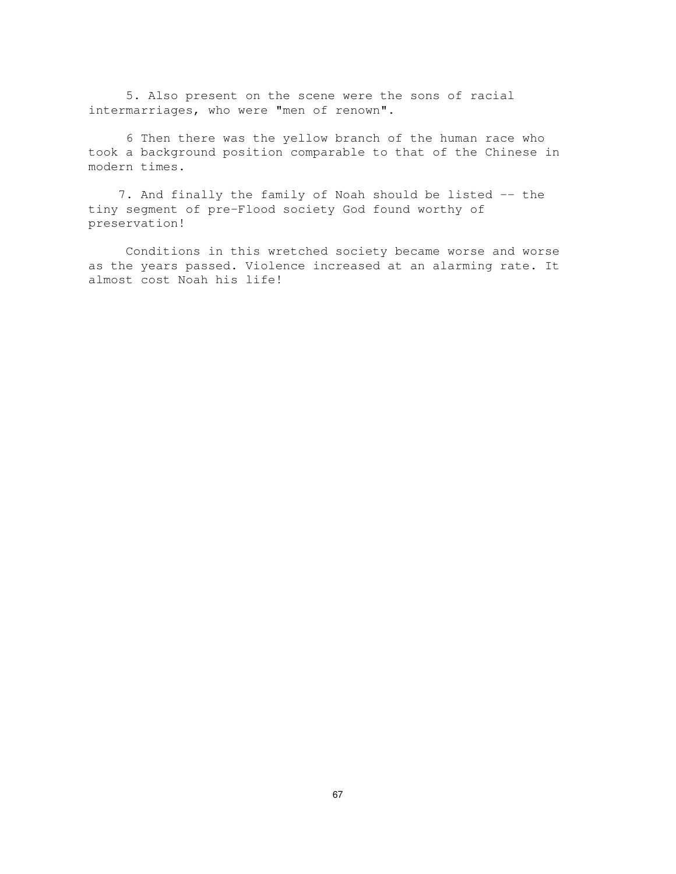5. Also present on the scene were the sons of racial intermarriages, who were "men of renown".

6 Then there was the yellow branch of the human race who took a background position comparable to that of the Chinese in modern times.

7. And finally the family of Noah should be listed -- the tiny segment of pre-Flood society God found worthy of preservation!

Conditions in this wretched society became worse and worse as the years passed. Violence increased at an alarming rate. It almost cost Noah his life!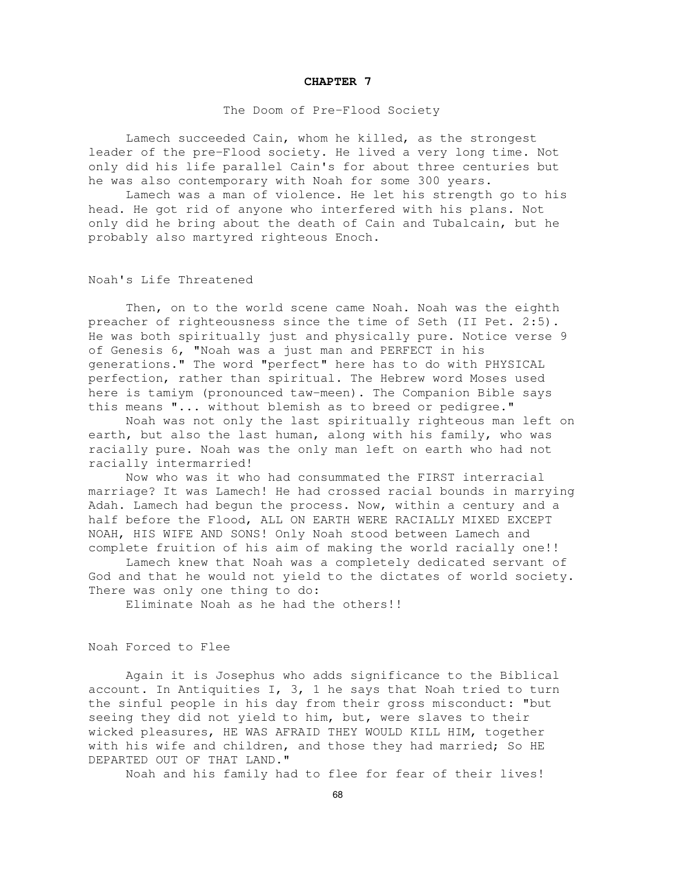#### **CHAPTER 7**

#### The Doom of Pre-Flood Society

Lamech succeeded Cain, whom he killed, as the strongest leader of the pre-Flood society. He lived a very long time. Not only did his life parallel Cain's for about three centuries but he was also contemporary with Noah for some 300 years.

Lamech was a man of violence. He let his strength go to his head. He got rid of anyone who interfered with his plans. Not only did he bring about the death of Cain and Tubalcain, but he probably also martyred righteous Enoch.

#### Noah's Life Threatened

Then, on to the world scene came Noah. Noah was the eighth preacher of righteousness since the time of Seth (II Pet. 2:5). He was both spiritually just and physically pure. Notice verse 9 of Genesis 6, "Noah was a just man and PERFECT in his generations." The word "perfect" here has to do with PHYSICAL perfection, rather than spiritual. The Hebrew word Moses used here is tamiym (pronounced taw-meen). The Companion Bible says this means "... without blemish as to breed or pedigree."

Noah was not only the last spiritually righteous man left on earth, but also the last human, along with his family, who was racially pure. Noah was the only man left on earth who had not racially intermarried!

Now who was it who had consummated the FIRST interracial marriage? It was Lamech! He had crossed racial bounds in marrying Adah. Lamech had begun the process. Now, within a century and a half before the Flood, ALL ON EARTH WERE RACIALLY MIXED EXCEPT NOAH, HIS WIFE AND SONS! Only Noah stood between Lamech and complete fruition of his aim of making the world racially one!!

Lamech knew that Noah was a completely dedicated servant of God and that he would not yield to the dictates of world society. There was only one thing to do:

Eliminate Noah as he had the others!!

#### Noah Forced to Flee

Again it is Josephus who adds significance to the Biblical account. In Antiquities I, 3, 1 he says that Noah tried to turn the sinful people in his day from their gross misconduct: "but seeing they did not yield to him, but, were slaves to their wicked pleasures, HE WAS AFRAID THEY WOULD KILL HIM, together with his wife and children, and those they had married; So HE DEPARTED OUT OF THAT LAND."

Noah and his family had to flee for fear of their lives!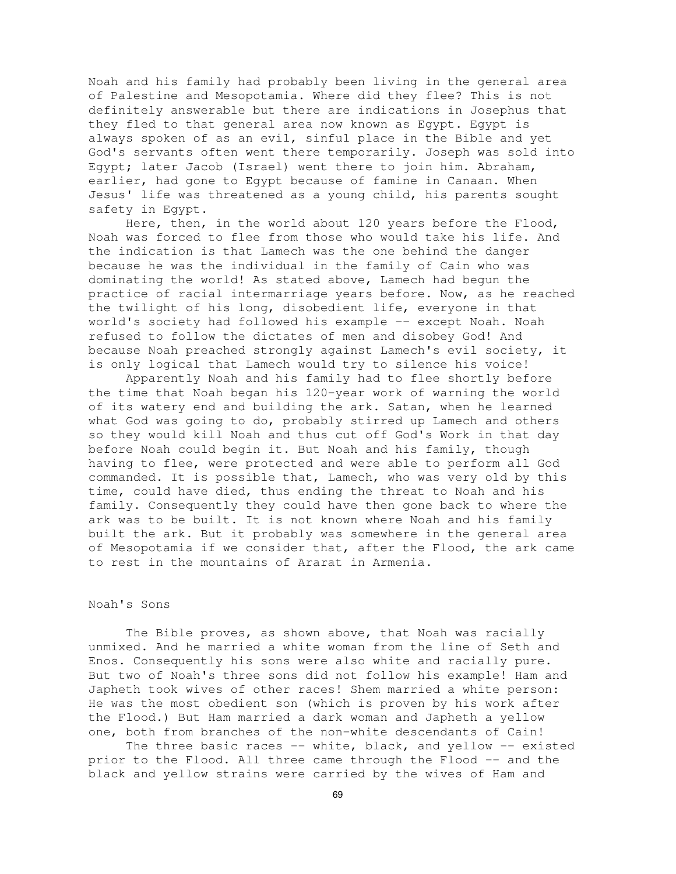Noah and his family had probably been living in the general area of Palestine and Mesopotamia. Where did they flee? This is not definitely answerable but there are indications in Josephus that they fled to that general area now known as Egypt. Egypt is always spoken of as an evil, sinful place in the Bible and yet God's servants often went there temporarily. Joseph was sold into Egypt; later Jacob (Israel) went there to join him. Abraham, earlier, had gone to Egypt because of famine in Canaan. When Jesus' life was threatened as a young child, his parents sought safety in Egypt.

Here, then, in the world about 120 years before the Flood, Noah was forced to flee from those who would take his life. And the indication is that Lamech was the one behind the danger because he was the individual in the family of Cain who was dominating the world! As stated above, Lamech had begun the practice of racial intermarriage years before. Now, as he reached the twilight of his long, disobedient life, everyone in that world's society had followed his example -- except Noah. Noah refused to follow the dictates of men and disobey God! And because Noah preached strongly against Lamech's evil society, it is only logical that Lamech would try to silence his voice!

Apparently Noah and his family had to flee shortly before the time that Noah began his 120-year work of warning the world of its watery end and building the ark. Satan, when he learned what God was going to do, probably stirred up Lamech and others so they would kill Noah and thus cut off God's Work in that day before Noah could begin it. But Noah and his family, though having to flee, were protected and were able to perform all God commanded. It is possible that, Lamech, who was very old by this time, could have died, thus ending the threat to Noah and his family. Consequently they could have then gone back to where the ark was to be built. It is not known where Noah and his family built the ark. But it probably was somewhere in the general area of Mesopotamia if we consider that, after the Flood, the ark came to rest in the mountains of Ararat in Armenia.

# Noah's Sons

The Bible proves, as shown above, that Noah was racially unmixed. And he married a white woman from the line of Seth and Enos. Consequently his sons were also white and racially pure. But two of Noah's three sons did not follow his example! Ham and Japheth took wives of other races! Shem married a white person: He was the most obedient son (which is proven by his work after the Flood.) But Ham married a dark woman and Japheth a yellow one, both from branches of the non-white descendants of Cain!

The three basic races -- white, black, and yellow -- existed prior to the Flood. All three came through the Flood -- and the black and yellow strains were carried by the wives of Ham and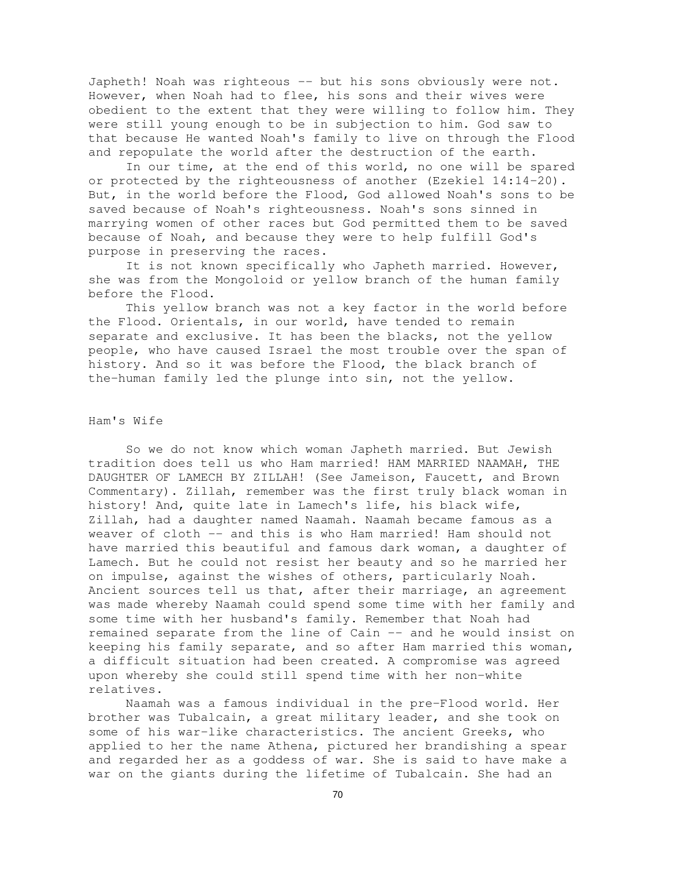Japheth! Noah was righteous -- but his sons obviously were not. However, when Noah had to flee, his sons and their wives were obedient to the extent that they were willing to follow him. They were still young enough to be in subjection to him. God saw to that because He wanted Noah's family to live on through the Flood and repopulate the world after the destruction of the earth.

In our time, at the end of this world, no one will be spared or protected by the righteousness of another (Ezekiel 14:14-20). But, in the world before the Flood, God allowed Noah's sons to be saved because of Noah's righteousness. Noah's sons sinned in marrying women of other races but God permitted them to be saved because of Noah, and because they were to help fulfill God's purpose in preserving the races.

It is not known specifically who Japheth married. However, she was from the Mongoloid or yellow branch of the human family before the Flood.

This yellow branch was not a key factor in the world before the Flood. Orientals, in our world, have tended to remain separate and exclusive. It has been the blacks, not the yellow people, who have caused Israel the most trouble over the span of history. And so it was before the Flood, the black branch of the-human family led the plunge into sin, not the yellow.

## Ham's Wife

So we do not know which woman Japheth married. But Jewish tradition does tell us who Ham married! HAM MARRIED NAAMAH, THE DAUGHTER OF LAMECH BY ZILLAH! (See Jameison, Faucett, and Brown Commentary). Zillah, remember was the first truly black woman in history! And, quite late in Lamech's life, his black wife, Zillah, had a daughter named Naamah. Naamah became famous as a weaver of cloth -- and this is who Ham married! Ham should not have married this beautiful and famous dark woman, a daughter of Lamech. But he could not resist her beauty and so he married her on impulse, against the wishes of others, particularly Noah. Ancient sources tell us that, after their marriage, an agreement was made whereby Naamah could spend some time with her family and some time with her husband's family. Remember that Noah had remained separate from the line of Cain -- and he would insist on keeping his family separate, and so after Ham married this woman, a difficult situation had been created. A compromise was agreed upon whereby she could still spend time with her non-white relatives.

Naamah was a famous individual in the pre-Flood world. Her brother was Tubalcain, a great military leader, and she took on some of his war-like characteristics. The ancient Greeks, who applied to her the name Athena, pictured her brandishing a spear and regarded her as a goddess of war. She is said to have make a war on the giants during the lifetime of Tubalcain. She had an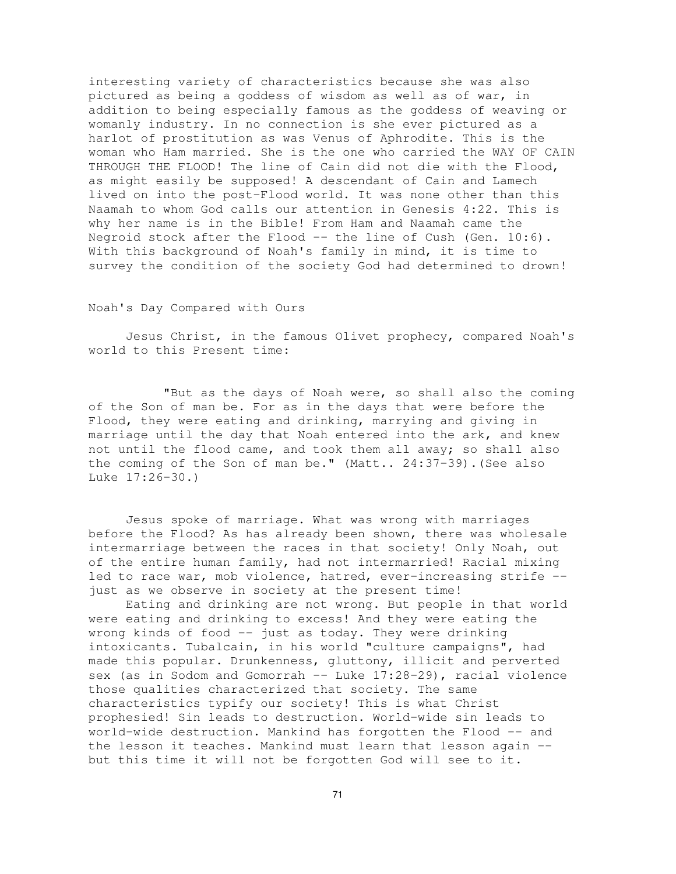interesting variety of characteristics because she was also pictured as being a goddess of wisdom as well as of war, in addition to being especially famous as the goddess of weaving or womanly industry. In no connection is she ever pictured as a harlot of prostitution as was Venus of Aphrodite. This is the woman who Ham married. She is the one who carried the WAY OF CAIN THROUGH THE FLOOD! The line of Cain did not die with the Flood, as might easily be supposed! A descendant of Cain and Lamech lived on into the post-Flood world. It was none other than this Naamah to whom God calls our attention in Genesis 4:22. This is why her name is in the Bible! From Ham and Naamah came the Negroid stock after the Flood -- the line of Cush (Gen. 10:6). With this background of Noah's family in mind, it is time to survey the condition of the society God had determined to drown!

## Noah's Day Compared with Ours

Jesus Christ, in the famous Olivet prophecy, compared Noah's world to this Present time:

"But as the days of Noah were, so shall also the coming of the Son of man be. For as in the days that were before the Flood, they were eating and drinking, marrying and giving in marriage until the day that Noah entered into the ark, and knew not until the flood came, and took them all away; so shall also the coming of the Son of man be." (Matt.. 24:37-39).(See also Luke 17:26-30.)

Jesus spoke of marriage. What was wrong with marriages before the Flood? As has already been shown, there was wholesale intermarriage between the races in that society! Only Noah, out of the entire human family, had not intermarried! Racial mixing led to race war, mob violence, hatred, ever-increasing strife - just as we observe in society at the present time!

Eating and drinking are not wrong. But people in that world were eating and drinking to excess! And they were eating the wrong kinds of food -- just as today. They were drinking intoxicants. Tubalcain, in his world "culture campaigns", had made this popular. Drunkenness, gluttony, illicit and perverted sex (as in Sodom and Gomorrah  $--$  Luke  $17:28-29$ ), racial violence those qualities characterized that society. The same characteristics typify our society! This is what Christ prophesied! Sin leads to destruction. World-wide sin leads to world-wide destruction. Mankind has forgotten the Flood -- and the lesson it teaches. Mankind must learn that lesson again - but this time it will not be forgotten God will see to it.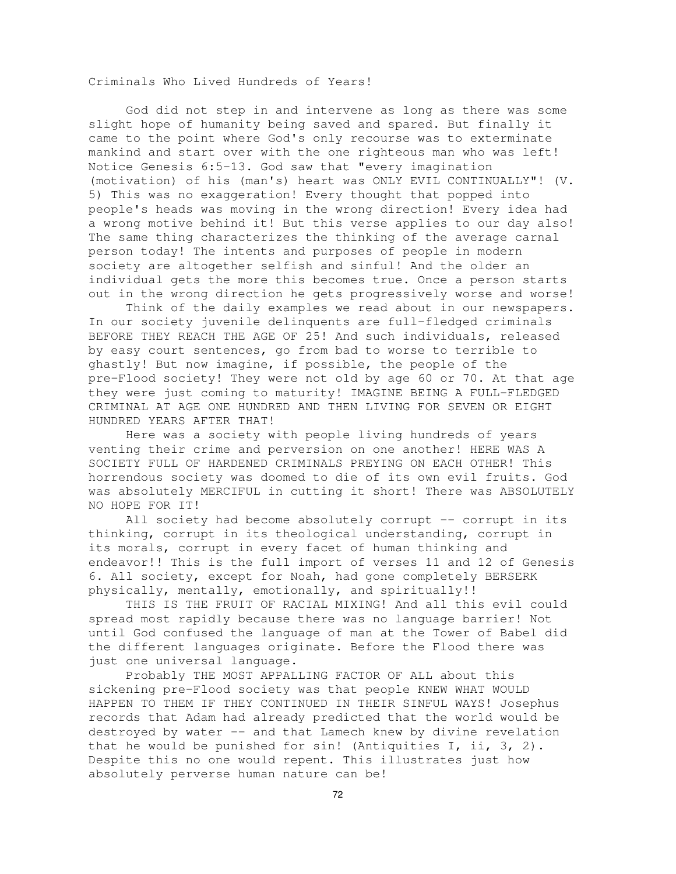Criminals Who Lived Hundreds of Years!

God did not step in and intervene as long as there was some slight hope of humanity being saved and spared. But finally it came to the point where God's only recourse was to exterminate mankind and start over with the one righteous man who was left! Notice Genesis 6:5-13. God saw that "every imagination (motivation) of his (man's) heart was ONLY EVIL CONTINUALLY"! (V. 5) This was no exaggeration! Every thought that popped into people's heads was moving in the wrong direction! Every idea had a wrong motive behind it! But this verse applies to our day also! The same thing characterizes the thinking of the average carnal person today! The intents and purposes of people in modern society are altogether selfish and sinful! And the older an individual gets the more this becomes true. Once a person starts out in the wrong direction he gets progressively worse and worse!

Think of the daily examples we read about in our newspapers. In our society juvenile delinquents are full-fledged criminals BEFORE THEY REACH THE AGE OF 25! And such individuals, released by easy court sentences, go from bad to worse to terrible to ghastly! But now imagine, if possible, the people of the pre-Flood society! They were not old by age 60 or 70. At that age they were just coming to maturity! IMAGINE BEING A FULL-FLEDGED CRIMINAL AT AGE ONE HUNDRED AND THEN LIVING FOR SEVEN OR EIGHT HUNDRED YEARS AFTER THAT!

Here was a society with people living hundreds of years venting their crime and perversion on one another! HERE WAS A SOCIETY FULL OF HARDENED CRIMINALS PREYING ON EACH OTHER! This horrendous society was doomed to die of its own evil fruits. God was absolutely MERCIFUL in cutting it short! There was ABSOLUTELY NO HOPE FOR IT!

All society had become absolutely corrupt -- corrupt in its thinking, corrupt in its theological understanding, corrupt in its morals, corrupt in every facet of human thinking and endeavor!! This is the full import of verses 11 and 12 of Genesis 6. All society, except for Noah, had gone completely BERSERK physically, mentally, emotionally, and spiritually!!

THIS IS THE FRUIT OF RACIAL MIXING! And all this evil could spread most rapidly because there was no language barrier! Not until God confused the language of man at the Tower of Babel did the different languages originate. Before the Flood there was just one universal language.

Probably THE MOST APPALLING FACTOR OF ALL about this sickening pre-Flood society was that people KNEW WHAT WOULD HAPPEN TO THEM IF THEY CONTINUED IN THEIR SINFUL WAYS! Josephus records that Adam had already predicted that the world would be destroyed by water -- and that Lamech knew by divine revelation that he would be punished for sin! (Antiquities  $I$ , ii,  $3$ ,  $2$ ). Despite this no one would repent. This illustrates just how absolutely perverse human nature can be!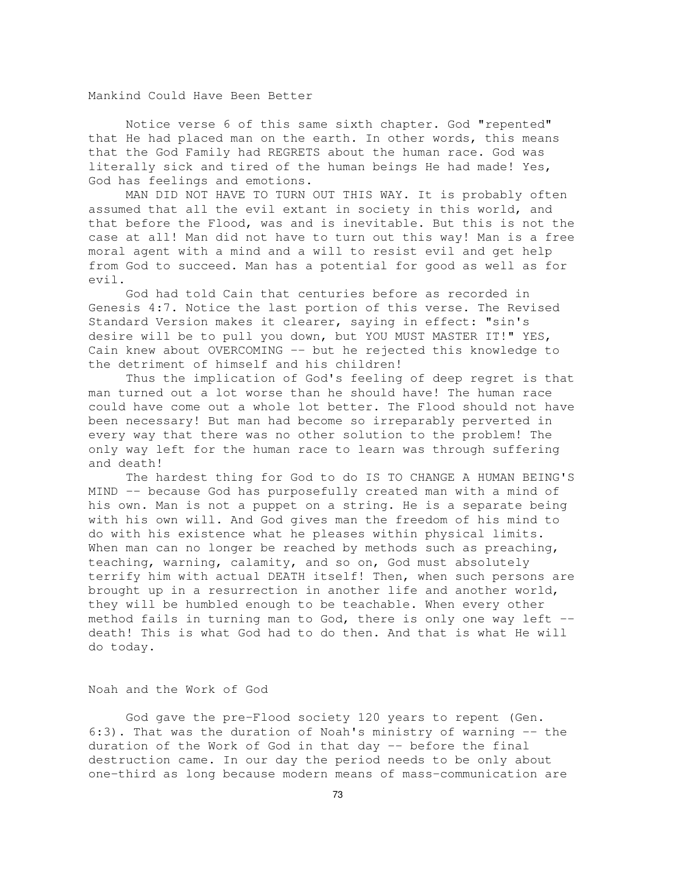Mankind Could Have Been Better

Notice verse 6 of this same sixth chapter. God "repented" that He had placed man on the earth. In other words, this means that the God Family had REGRETS about the human race. God was literally sick and tired of the human beings He had made! Yes, God has feelings and emotions.

MAN DID NOT HAVE TO TURN OUT THIS WAY. It is probably often assumed that all the evil extant in society in this world, and that before the Flood, was and is inevitable. But this is not the case at all! Man did not have to turn out this way! Man is a free moral agent with a mind and a will to resist evil and get help from God to succeed. Man has a potential for good as well as for evil.

God had told Cain that centuries before as recorded in Genesis 4:7. Notice the last portion of this verse. The Revised Standard Version makes it clearer, saying in effect: "sin's desire will be to pull you down, but YOU MUST MASTER IT!" YES, Cain knew about OVERCOMING -- but he rejected this knowledge to the detriment of himself and his children!

Thus the implication of God's feeling of deep regret is that man turned out a lot worse than he should have! The human race could have come out a whole lot better. The Flood should not have been necessary! But man had become so irreparably perverted in every way that there was no other solution to the problem! The only way left for the human race to learn was through suffering and death!

The hardest thing for God to do IS TO CHANGE A HUMAN BEING'S MIND -- because God has purposefully created man with a mind of his own. Man is not a puppet on a string. He is a separate being with his own will. And God gives man the freedom of his mind to do with his existence what he pleases within physical limits. When man can no longer be reached by methods such as preaching, teaching, warning, calamity, and so on, God must absolutely terrify him with actual DEATH itself! Then, when such persons are brought up in a resurrection in another life and another world, they will be humbled enough to be teachable. When every other method fails in turning man to God, there is only one way left - death! This is what God had to do then. And that is what He will do today.

Noah and the Work of God

God gave the pre-Flood society 120 years to repent (Gen. 6:3). That was the duration of Noah's ministry of warning -- the duration of the Work of God in that day -- before the final destruction came. In our day the period needs to be only about one-third as long because modern means of mass-communication are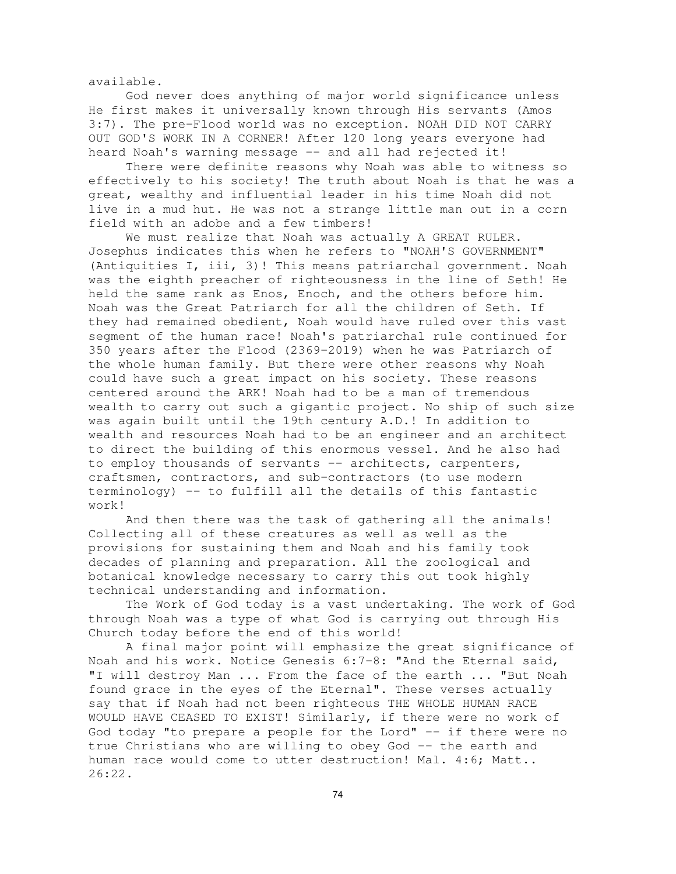available.

God never does anything of major world significance unless He first makes it universally known through His servants (Amos 3:7). The pre-Flood world was no exception. NOAH DID NOT CARRY OUT GOD'S WORK IN A CORNER! After 120 long years everyone had heard Noah's warning message -- and all had rejected it!

There were definite reasons why Noah was able to witness so effectively to his society! The truth about Noah is that he was a great, wealthy and influential leader in his time Noah did not live in a mud hut. He was not a strange little man out in a corn field with an adobe and a few timbers!

We must realize that Noah was actually A GREAT RULER. Josephus indicates this when he refers to "NOAH'S GOVERNMENT" (Antiquities I, iii, 3)! This means patriarchal government. Noah was the eighth preacher of righteousness in the line of Seth! He held the same rank as Enos, Enoch, and the others before him. Noah was the Great Patriarch for all the children of Seth. If they had remained obedient, Noah would have ruled over this vast segment of the human race! Noah's patriarchal rule continued for 350 years after the Flood (2369-2019) when he was Patriarch of the whole human family. But there were other reasons why Noah could have such a great impact on his society. These reasons centered around the ARK! Noah had to be a man of tremendous wealth to carry out such a gigantic project. No ship of such size was again built until the 19th century A.D.! In addition to wealth and resources Noah had to be an engineer and an architect to direct the building of this enormous vessel. And he also had to employ thousands of servants -- architects, carpenters, craftsmen, contractors, and sub-contractors (to use modern terminology) -- to fulfill all the details of this fantastic work!

And then there was the task of gathering all the animals! Collecting all of these creatures as well as well as the provisions for sustaining them and Noah and his family took decades of planning and preparation. All the zoological and botanical knowledge necessary to carry this out took highly technical understanding and information.

The Work of God today is a vast undertaking. The work of God through Noah was a type of what God is carrying out through His Church today before the end of this world!

A final major point will emphasize the great significance of Noah and his work. Notice Genesis 6:7-8: "And the Eternal said, "I will destroy Man ... From the face of the earth ... "But Noah found grace in the eyes of the Eternal". These verses actually say that if Noah had not been righteous THE WHOLE HUMAN RACE WOULD HAVE CEASED TO EXIST! Similarly, if there were no work of God today "to prepare a people for the Lord" -- if there were no true Christians who are willing to obey God -- the earth and human race would come to utter destruction! Mal. 4:6; Matt.. 26:22.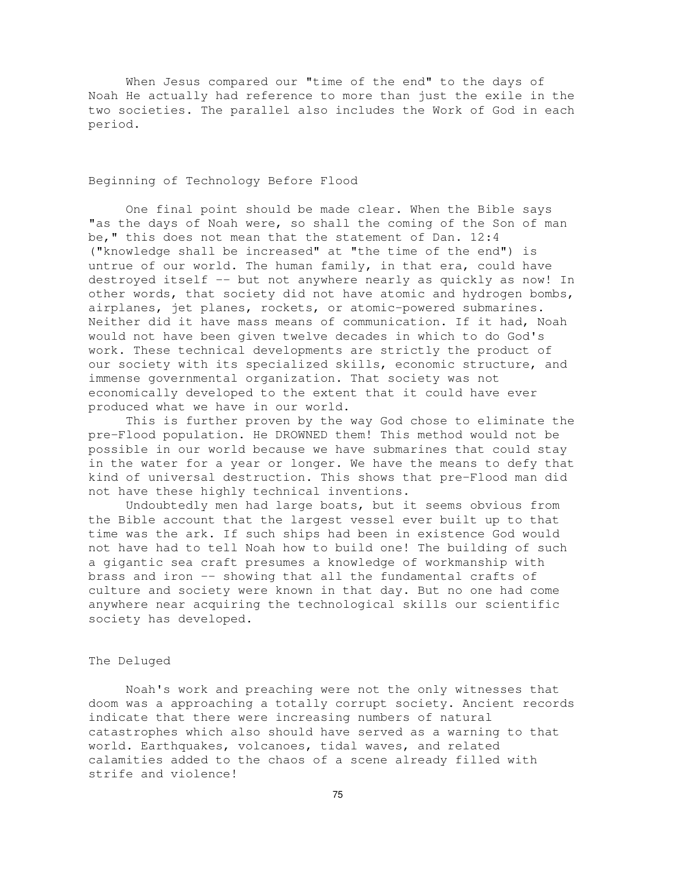When Jesus compared our "time of the end" to the days of Noah He actually had reference to more than just the exile in the two societies. The parallel also includes the Work of God in each period.

# Beginning of Technology Before Flood

One final point should be made clear. When the Bible says "as the days of Noah were, so shall the coming of the Son of man be," this does not mean that the statement of Dan. 12:4 ("knowledge shall be increased" at "the time of the end") is untrue of our world. The human family, in that era, could have destroyed itself -- but not anywhere nearly as quickly as now! In other words, that society did not have atomic and hydrogen bombs, airplanes, jet planes, rockets, or atomic-powered submarines. Neither did it have mass means of communication. If it had, Noah would not have been given twelve decades in which to do God's work. These technical developments are strictly the product of our society with its specialized skills, economic structure, and immense governmental organization. That society was not economically developed to the extent that it could have ever produced what we have in our world.

This is further proven by the way God chose to eliminate the pre-Flood population. He DROWNED them! This method would not be possible in our world because we have submarines that could stay in the water for a year or longer. We have the means to defy that kind of universal destruction. This shows that pre-Flood man did not have these highly technical inventions.

Undoubtedly men had large boats, but it seems obvious from the Bible account that the largest vessel ever built up to that time was the ark. If such ships had been in existence God would not have had to tell Noah how to build one! The building of such a gigantic sea craft presumes a knowledge of workmanship with brass and iron -- showing that all the fundamental crafts of culture and society were known in that day. But no one had come anywhere near acquiring the technological skills our scientific society has developed.

#### The Deluged

Noah's work and preaching were not the only witnesses that doom was a approaching a totally corrupt society. Ancient records indicate that there were increasing numbers of natural catastrophes which also should have served as a warning to that world. Earthquakes, volcanoes, tidal waves, and related calamities added to the chaos of a scene already filled with strife and violence!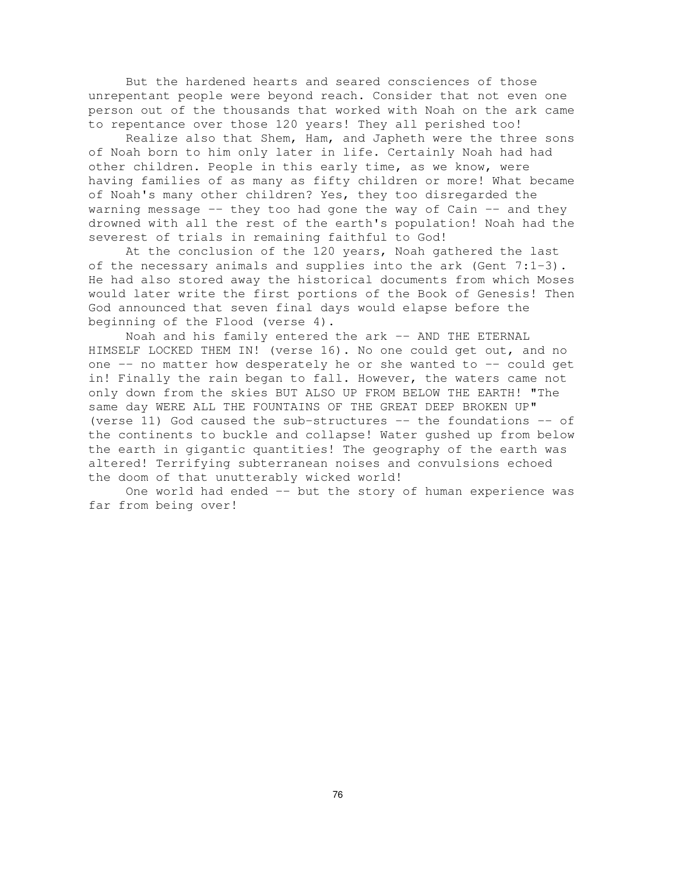But the hardened hearts and seared consciences of those unrepentant people were beyond reach. Consider that not even one person out of the thousands that worked with Noah on the ark came to repentance over those 120 years! They all perished too!

Realize also that Shem, Ham, and Japheth were the three sons of Noah born to him only later in life. Certainly Noah had had other children. People in this early time, as we know, were having families of as many as fifty children or more! What became of Noah's many other children? Yes, they too disregarded the warning message  $-$ - they too had gone the way of Cain  $-$ - and they drowned with all the rest of the earth's population! Noah had the severest of trials in remaining faithful to God!

At the conclusion of the 120 years, Noah gathered the last of the necessary animals and supplies into the ark (Gent  $7:1-3$ ). He had also stored away the historical documents from which Moses would later write the first portions of the Book of Genesis! Then God announced that seven final days would elapse before the beginning of the Flood (verse 4).

Noah and his family entered the ark -- AND THE ETERNAL HIMSELF LOCKED THEM IN! (verse 16). No one could get out, and no one -- no matter how desperately he or she wanted to -- could get in! Finally the rain began to fall. However, the waters came not only down from the skies BUT ALSO UP FROM BELOW THE EARTH! "The same day WERE ALL THE FOUNTAINS OF THE GREAT DEEP BROKEN UP" (verse 11) God caused the sub-structures -- the foundations -- of the continents to buckle and collapse! Water gushed up from below the earth in gigantic quantities! The geography of the earth was altered! Terrifying subterranean noises and convulsions echoed the doom of that unutterably wicked world!

One world had ended -- but the story of human experience was far from being over!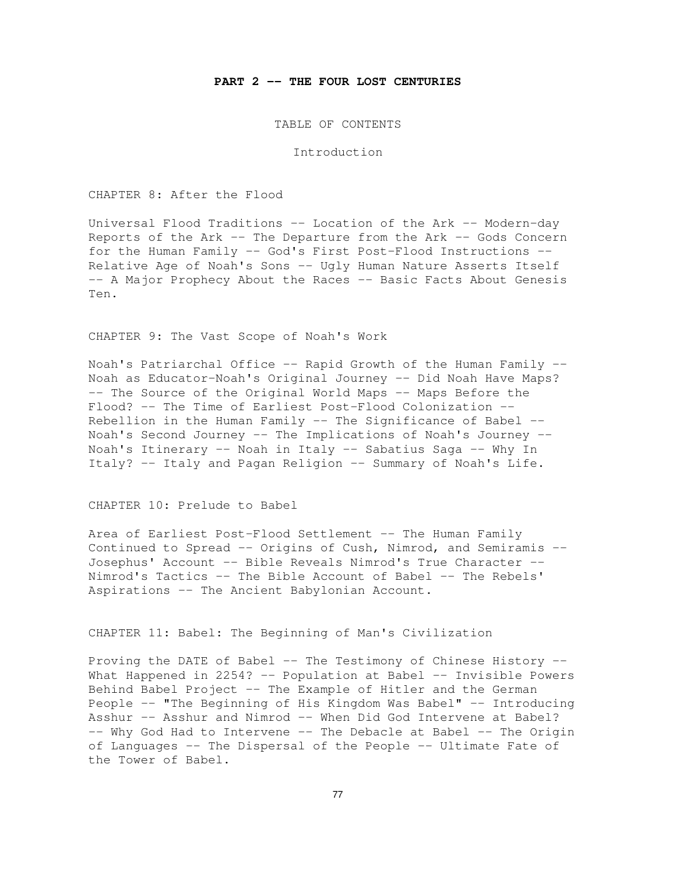#### **PART 2 -- THE FOUR LOST CENTURIES**

TABLE OF CONTENTS

Introduction

CHAPTER 8: After the Flood

Universal Flood Traditions -- Location of the Ark -- Modern-day Reports of the Ark -- The Departure from the Ark -- Gods Concern for the Human Family -- God's First Post-Flood Instructions -- Relative Age of Noah's Sons -- Ugly Human Nature Asserts Itself -- A Major Prophecy About the Races -- Basic Facts About Genesis Ten.

CHAPTER 9: The Vast Scope of Noah's Work

Noah's Patriarchal Office -- Rapid Growth of the Human Family -- Noah as Educator-Noah's Original Journey -- Did Noah Have Maps? -- The Source of the Original World Maps -- Maps Before the Flood? -- The Time of Earliest Post-Flood Colonization -- Rebellion in the Human Family  $-$  The Significance of Babel  $-$ Noah's Second Journey -- The Implications of Noah's Journey -- Noah's Itinerary -- Noah in Italy -- Sabatius Saga -- Why In Italy? -- Italy and Pagan Religion -- Summary of Noah's Life.

CHAPTER 10: Prelude to Babel

Area of Earliest Post-Flood Settlement -- The Human Family Continued to Spread -- Origins of Cush, Nimrod, and Semiramis -- Josephus' Account -- Bible Reveals Nimrod's True Character -- Nimrod's Tactics -- The Bible Account of Babel -- The Rebels' Aspirations -- The Ancient Babylonian Account.

CHAPTER 11: Babel: The Beginning of Man's Civilization

Proving the DATE of Babel -- The Testimony of Chinese History -- What Happened in 2254? -- Population at Babel -- Invisible Powers Behind Babel Project -- The Example of Hitler and the German People -- "The Beginning of His Kingdom Was Babel" -- Introducing Asshur -- Asshur and Nimrod -- When Did God Intervene at Babel? -- Why God Had to Intervene -- The Debacle at Babel -- The Origin of Languages -- The Dispersal of the People -- Ultimate Fate of the Tower of Babel.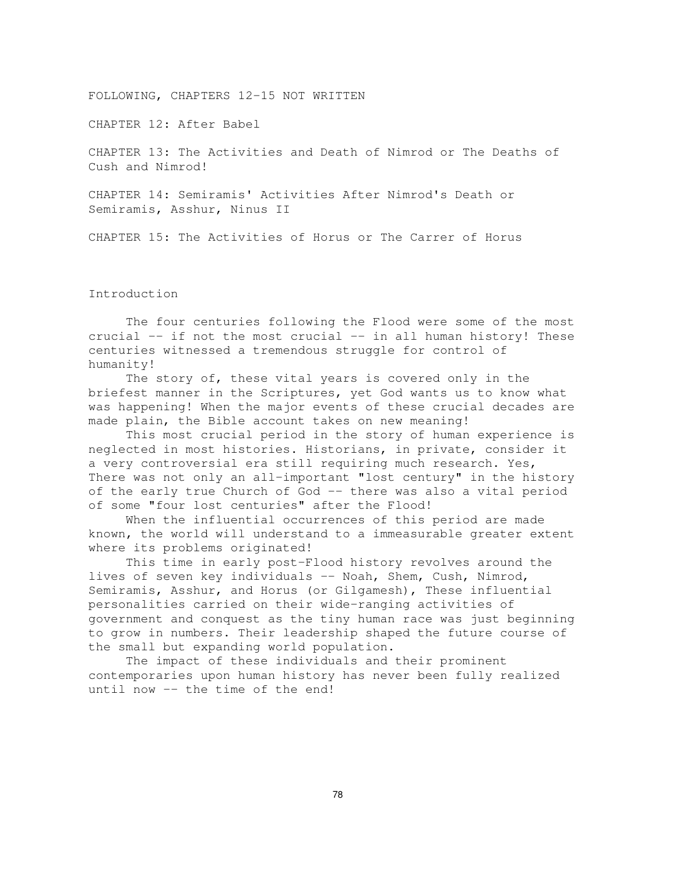FOLLOWING, CHAPTERS 12-15 NOT WRITTEN

CHAPTER 12: After Babel

CHAPTER 13: The Activities and Death of Nimrod or The Deaths of Cush and Nimrod!

CHAPTER 14: Semiramis' Activities After Nimrod's Death or Semiramis, Asshur, Ninus II

CHAPTER 15: The Activities of Horus or The Carrer of Horus

Introduction

The four centuries following the Flood were some of the most crucial -- if not the most crucial -- in all human history! These centuries witnessed a tremendous struggle for control of humanity!

The story of, these vital years is covered only in the briefest manner in the Scriptures, yet God wants us to know what was happening! When the major events of these crucial decades are made plain, the Bible account takes on new meaning!

This most crucial period in the story of human experience is neglected in most histories. Historians, in private, consider it a very controversial era still requiring much research. Yes, There was not only an all-important "lost century" in the history of the early true Church of God -- there was also a vital period of some "four lost centuries" after the Flood!

When the influential occurrences of this period are made known, the world will understand to a immeasurable greater extent where its problems originated!

This time in early post-Flood history revolves around the lives of seven key individuals -- Noah, Shem, Cush, Nimrod, Semiramis, Asshur, and Horus (or Gilgamesh), These influential personalities carried on their wide-ranging activities of government and conquest as the tiny human race was just beginning to grow in numbers. Their leadership shaped the future course of the small but expanding world population.

The impact of these individuals and their prominent contemporaries upon human history has never been fully realized until now -- the time of the end!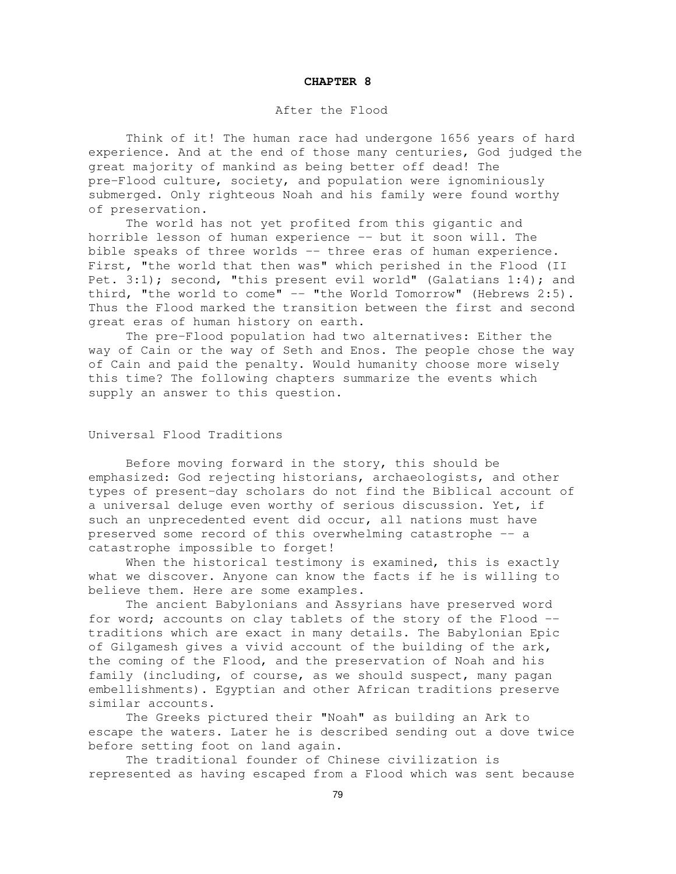#### **CHAPTER 8**

### After the Flood

Think of it! The human race had undergone 1656 years of hard experience. And at the end of those many centuries, God judged the great majority of mankind as being better off dead! The pre-Flood culture, society, and population were ignominiously submerged. Only righteous Noah and his family were found worthy of preservation.

The world has not yet profited from this gigantic and horrible lesson of human experience -- but it soon will. The bible speaks of three worlds -- three eras of human experience. First, "the world that then was" which perished in the Flood (II Pet. 3:1); second, "this present evil world" (Galatians 1:4); and third, "the world to come" -- "the World Tomorrow" (Hebrews 2:5). Thus the Flood marked the transition between the first and second great eras of human history on earth.

The pre-Flood population had two alternatives: Either the way of Cain or the way of Seth and Enos. The people chose the way of Cain and paid the penalty. Would humanity choose more wisely this time? The following chapters summarize the events which supply an answer to this question.

# Universal Flood Traditions

Before moving forward in the story, this should be emphasized: God rejecting historians, archaeologists, and other types of present-day scholars do not find the Biblical account of a universal deluge even worthy of serious discussion. Yet, if such an unprecedented event did occur, all nations must have preserved some record of this overwhelming catastrophe -- a catastrophe impossible to forget!

When the historical testimony is examined, this is exactly what we discover. Anyone can know the facts if he is willing to believe them. Here are some examples.

The ancient Babylonians and Assyrians have preserved word for word; accounts on clay tablets of the story of the Flood -traditions which are exact in many details. The Babylonian Epic of Gilgamesh gives a vivid account of the building of the ark, the coming of the Flood, and the preservation of Noah and his family (including, of course, as we should suspect, many pagan embellishments). Egyptian and other African traditions preserve similar accounts.

The Greeks pictured their "Noah" as building an Ark to escape the waters. Later he is described sending out a dove twice before setting foot on land again.

The traditional founder of Chinese civilization is represented as having escaped from a Flood which was sent because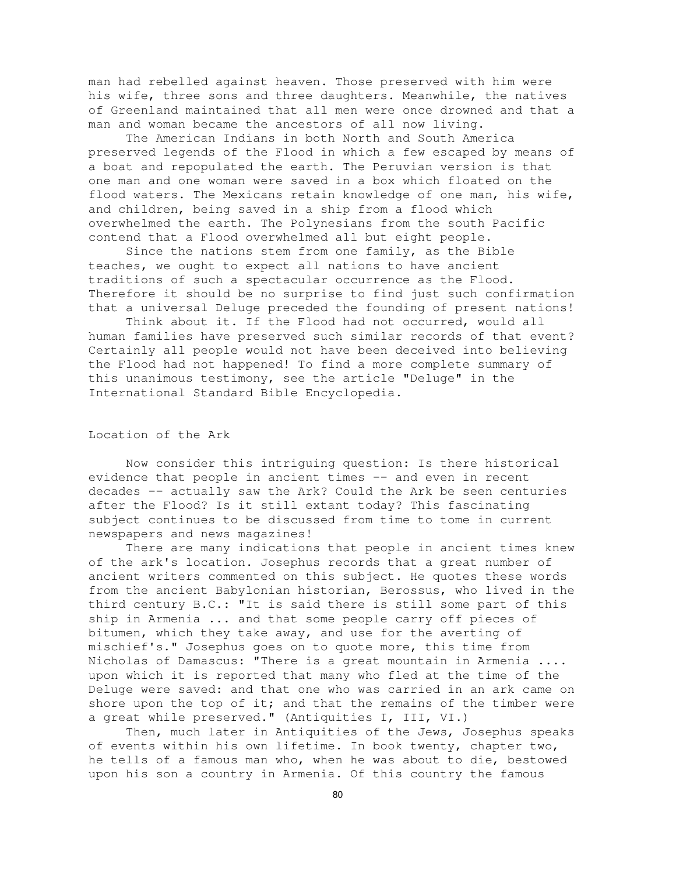man had rebelled against heaven. Those preserved with him were his wife, three sons and three daughters. Meanwhile, the natives of Greenland maintained that all men were once drowned and that a man and woman became the ancestors of all now living.

The American Indians in both North and South America preserved legends of the Flood in which a few escaped by means of a boat and repopulated the earth. The Peruvian version is that one man and one woman were saved in a box which floated on the flood waters. The Mexicans retain knowledge of one man, his wife, and children, being saved in a ship from a flood which overwhelmed the earth. The Polynesians from the south Pacific contend that a Flood overwhelmed all but eight people.

Since the nations stem from one family, as the Bible teaches, we ought to expect all nations to have ancient traditions of such a spectacular occurrence as the Flood. Therefore it should be no surprise to find just such confirmation that a universal Deluge preceded the founding of present nations!

Think about it. If the Flood had not occurred, would all human families have preserved such similar records of that event? Certainly all people would not have been deceived into believing the Flood had not happened! To find a more complete summary of this unanimous testimony, see the article "Deluge" in the International Standard Bible Encyclopedia.

# Location of the Ark

Now consider this intriguing question: Is there historical evidence that people in ancient times -- and even in recent decades -- actually saw the Ark? Could the Ark be seen centuries after the Flood? Is it still extant today? This fascinating subject continues to be discussed from time to tome in current newspapers and news magazines!

There are many indications that people in ancient times knew of the ark's location. Josephus records that a great number of ancient writers commented on this subject. He quotes these words from the ancient Babylonian historian, Berossus, who lived in the third century B.C.: "It is said there is still some part of this ship in Armenia ... and that some people carry off pieces of bitumen, which they take away, and use for the averting of mischief's." Josephus goes on to quote more, this time from Nicholas of Damascus: "There is a great mountain in Armenia .... upon which it is reported that many who fled at the time of the Deluge were saved: and that one who was carried in an ark came on shore upon the top of it; and that the remains of the timber were a great while preserved." (Antiquities I, III, VI.)

Then, much later in Antiquities of the Jews, Josephus speaks of events within his own lifetime. In book twenty, chapter two, he tells of a famous man who, when he was about to die, bestowed upon his son a country in Armenia. Of this country the famous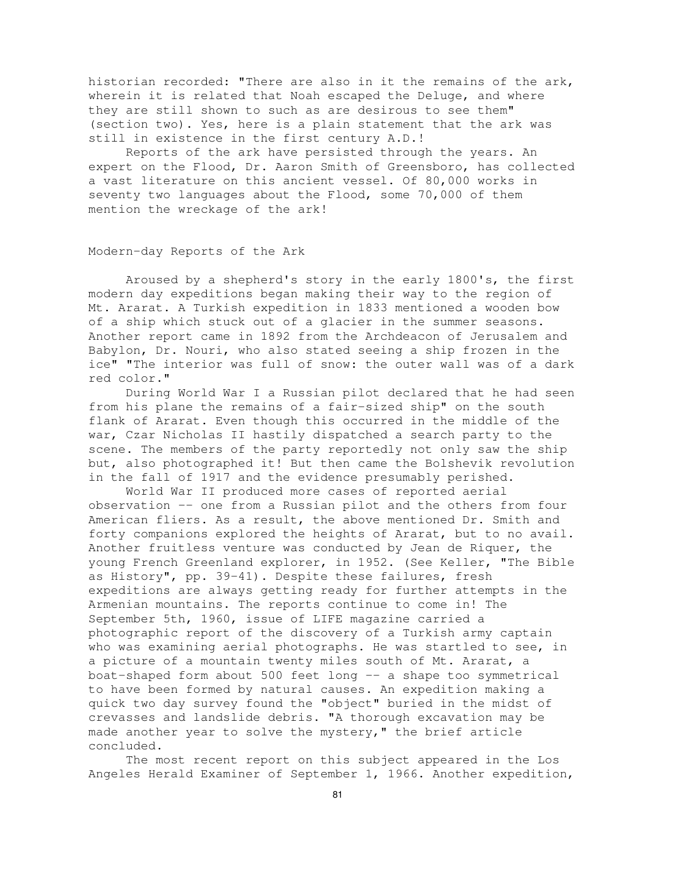historian recorded: "There are also in it the remains of the ark, wherein it is related that Noah escaped the Deluge, and where they are still shown to such as are desirous to see them" (section two). Yes, here is a plain statement that the ark was still in existence in the first century A.D.!

Reports of the ark have persisted through the years. An expert on the Flood, Dr. Aaron Smith of Greensboro, has collected a vast literature on this ancient vessel. Of 80,000 works in seventy two languages about the Flood, some 70,000 of them mention the wreckage of the ark!

# Modern-day Reports of the Ark

Aroused by a shepherd's story in the early 1800's, the first modern day expeditions began making their way to the region of Mt. Ararat. A Turkish expedition in 1833 mentioned a wooden bow of a ship which stuck out of a glacier in the summer seasons. Another report came in 1892 from the Archdeacon of Jerusalem and Babylon, Dr. Nouri, who also stated seeing a ship frozen in the ice" "The interior was full of snow: the outer wall was of a dark red color."

During World War I a Russian pilot declared that he had seen from his plane the remains of a fair-sized ship" on the south flank of Ararat. Even though this occurred in the middle of the war, Czar Nicholas II hastily dispatched a search party to the scene. The members of the party reportedly not only saw the ship but, also photographed it! But then came the Bolshevik revolution in the fall of 1917 and the evidence presumably perished.

World War II produced more cases of reported aerial observation -- one from a Russian pilot and the others from four American fliers. As a result, the above mentioned Dr. Smith and forty companions explored the heights of Ararat, but to no avail. Another fruitless venture was conducted by Jean de Riquer, the young French Greenland explorer, in 1952. (See Keller, "The Bible as History", pp. 39-41). Despite these failures, fresh expeditions are always getting ready for further attempts in the Armenian mountains. The reports continue to come in! The September 5th, 1960, issue of LIFE magazine carried a photographic report of the discovery of a Turkish army captain who was examining aerial photographs. He was startled to see, in a picture of a mountain twenty miles south of Mt. Ararat, a boat-shaped form about 500 feet long -- a shape too symmetrical to have been formed by natural causes. An expedition making a quick two day survey found the "object" buried in the midst of crevasses and landslide debris. "A thorough excavation may be made another year to solve the mystery," the brief article concluded.

The most recent report on this subject appeared in the Los Angeles Herald Examiner of September 1, 1966. Another expedition,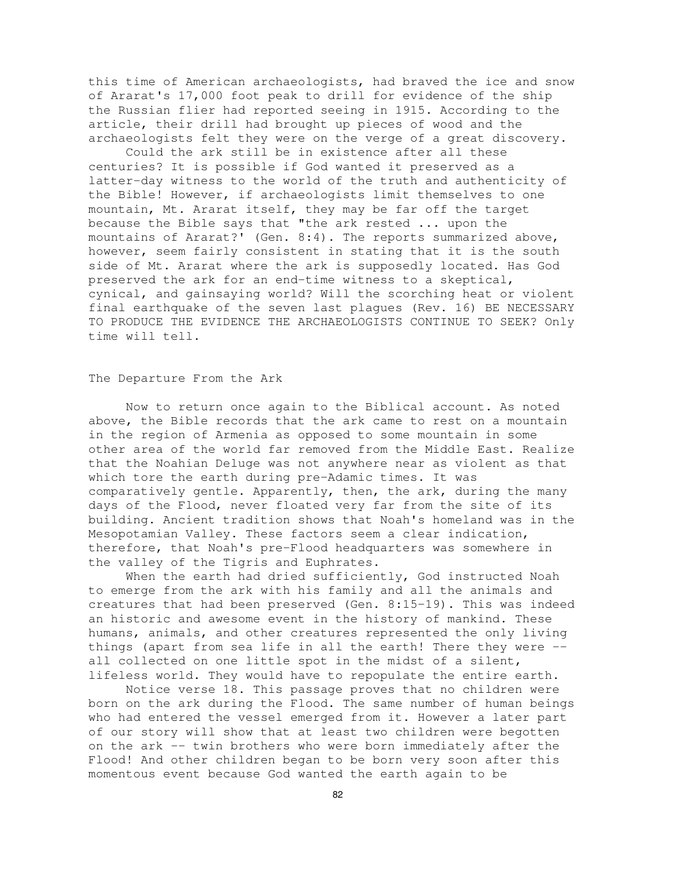this time of American archaeologists, had braved the ice and snow of Ararat's 17,000 foot peak to drill for evidence of the ship the Russian flier had reported seeing in 1915. According to the article, their drill had brought up pieces of wood and the archaeologists felt they were on the verge of a great discovery.

Could the ark still be in existence after all these centuries? It is possible if God wanted it preserved as a latter-day witness to the world of the truth and authenticity of the Bible! However, if archaeologists limit themselves to one mountain, Mt. Ararat itself, they may be far off the target because the Bible says that "the ark rested ... upon the mountains of Ararat?' (Gen. 8:4). The reports summarized above, however, seem fairly consistent in stating that it is the south side of Mt. Ararat where the ark is supposedly located. Has God preserved the ark for an end-time witness to a skeptical, cynical, and gainsaying world? Will the scorching heat or violent final earthquake of the seven last plagues (Rev. 16) BE NECESSARY TO PRODUCE THE EVIDENCE THE ARCHAEOLOGISTS CONTINUE TO SEEK? Only time will tell.

#### The Departure From the Ark

Now to return once again to the Biblical account. As noted above, the Bible records that the ark came to rest on a mountain in the region of Armenia as opposed to some mountain in some other area of the world far removed from the Middle East. Realize that the Noahian Deluge was not anywhere near as violent as that which tore the earth during pre-Adamic times. It was comparatively gentle. Apparently, then, the ark, during the many days of the Flood, never floated very far from the site of its building. Ancient tradition shows that Noah's homeland was in the Mesopotamian Valley. These factors seem a clear indication, therefore, that Noah's pre-Flood headquarters was somewhere in the valley of the Tigris and Euphrates.

When the earth had dried sufficiently, God instructed Noah to emerge from the ark with his family and all the animals and creatures that had been preserved (Gen. 8:15-19). This was indeed an historic and awesome event in the history of mankind. These humans, animals, and other creatures represented the only living things (apart from sea life in all the earth! There they were - all collected on one little spot in the midst of a silent, lifeless world. They would have to repopulate the entire earth.

Notice verse 18. This passage proves that no children were born on the ark during the Flood. The same number of human beings who had entered the vessel emerged from it. However a later part of our story will show that at least two children were begotten on the ark -- twin brothers who were born immediately after the Flood! And other children began to be born very soon after this momentous event because God wanted the earth again to be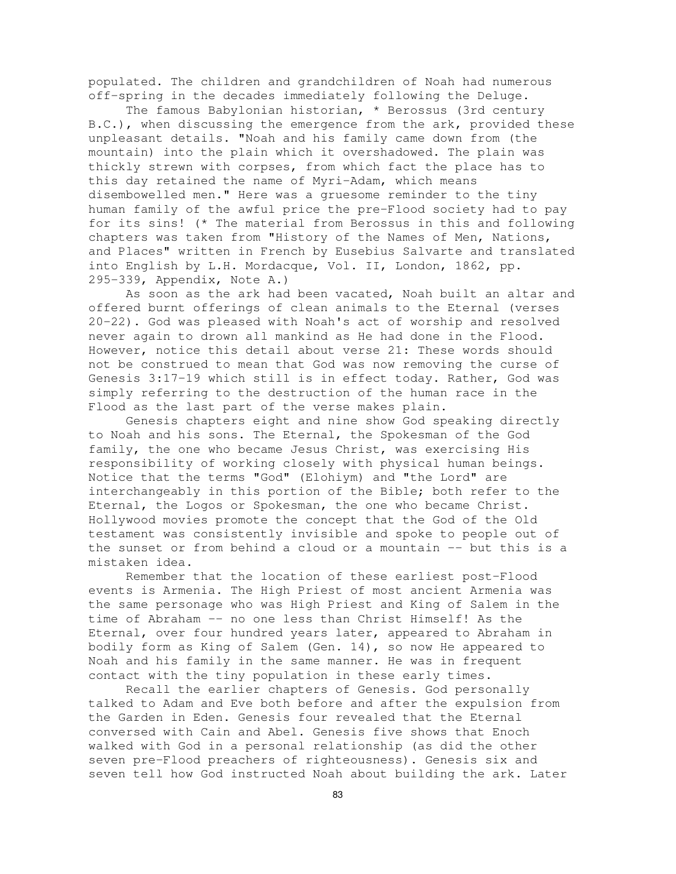populated. The children and grandchildren of Noah had numerous off-spring in the decades immediately following the Deluge.

The famous Babylonian historian, \* Berossus (3rd century B.C.), when discussing the emergence from the ark, provided these unpleasant details. "Noah and his family came down from (the mountain) into the plain which it overshadowed. The plain was thickly strewn with corpses, from which fact the place has to this day retained the name of Myri-Adam, which means disembowelled men." Here was a gruesome reminder to the tiny human family of the awful price the pre-Flood society had to pay for its sins! (\* The material from Berossus in this and following chapters was taken from "History of the Names of Men, Nations, and Places" written in French by Eusebius Salvarte and translated into English by L.H. Mordacque, Vol. II, London, 1862, pp. 295-339, Appendix, Note A.)

As soon as the ark had been vacated, Noah built an altar and offered burnt offerings of clean animals to the Eternal (verses 20-22). God was pleased with Noah's act of worship and resolved never again to drown all mankind as He had done in the Flood. However, notice this detail about verse 21: These words should not be construed to mean that God was now removing the curse of Genesis 3:17-19 which still is in effect today. Rather, God was simply referring to the destruction of the human race in the Flood as the last part of the verse makes plain.

Genesis chapters eight and nine show God speaking directly to Noah and his sons. The Eternal, the Spokesman of the God family, the one who became Jesus Christ, was exercising His responsibility of working closely with physical human beings. Notice that the terms "God" (Elohiym) and "the Lord" are interchangeably in this portion of the Bible; both refer to the Eternal, the Logos or Spokesman, the one who became Christ. Hollywood movies promote the concept that the God of the Old testament was consistently invisible and spoke to people out of the sunset or from behind a cloud or a mountain -- but this is a mistaken idea.

Remember that the location of these earliest post-Flood events is Armenia. The High Priest of most ancient Armenia was the same personage who was High Priest and King of Salem in the time of Abraham -- no one less than Christ Himself! As the Eternal, over four hundred years later, appeared to Abraham in bodily form as King of Salem (Gen. 14), so now He appeared to Noah and his family in the same manner. He was in frequent contact with the tiny population in these early times.

Recall the earlier chapters of Genesis. God personally talked to Adam and Eve both before and after the expulsion from the Garden in Eden. Genesis four revealed that the Eternal conversed with Cain and Abel. Genesis five shows that Enoch walked with God in a personal relationship (as did the other seven pre-Flood preachers of righteousness). Genesis six and seven tell how God instructed Noah about building the ark. Later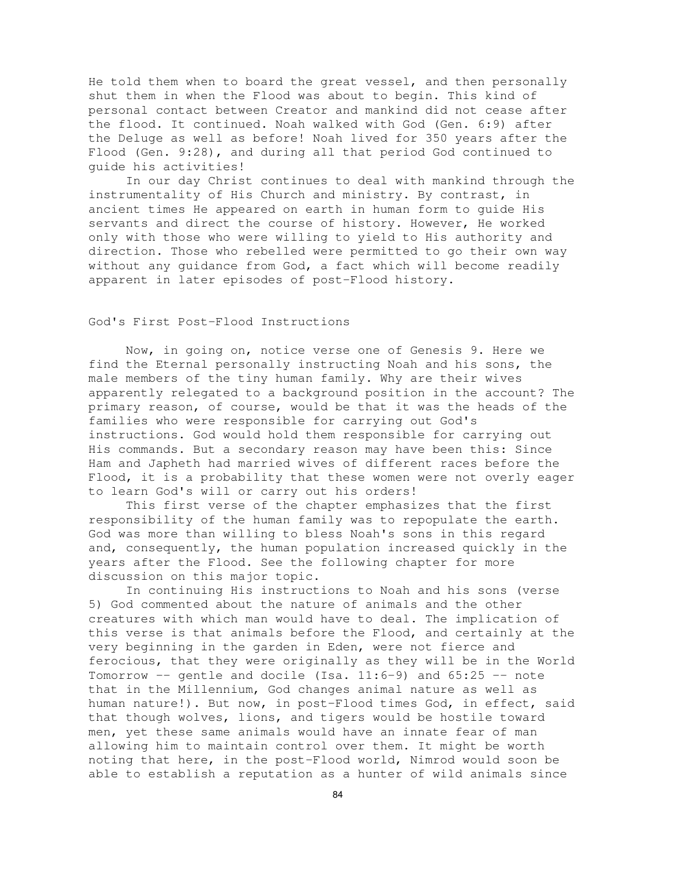He told them when to board the great vessel, and then personally shut them in when the Flood was about to begin. This kind of personal contact between Creator and mankind did not cease after the flood. It continued. Noah walked with God (Gen. 6:9) after the Deluge as well as before! Noah lived for 350 years after the Flood (Gen. 9:28), and during all that period God continued to guide his activities!

In our day Christ continues to deal with mankind through the instrumentality of His Church and ministry. By contrast, in ancient times He appeared on earth in human form to guide His servants and direct the course of history. However, He worked only with those who were willing to yield to His authority and direction. Those who rebelled were permitted to go their own way without any guidance from God, a fact which will become readily apparent in later episodes of post-Flood history.

# God's First Post-Flood Instructions

Now, in going on, notice verse one of Genesis 9. Here we find the Eternal personally instructing Noah and his sons, the male members of the tiny human family. Why are their wives apparently relegated to a background position in the account? The primary reason, of course, would be that it was the heads of the families who were responsible for carrying out God's instructions. God would hold them responsible for carrying out His commands. But a secondary reason may have been this: Since Ham and Japheth had married wives of different races before the Flood, it is a probability that these women were not overly eager to learn God's will or carry out his orders!

This first verse of the chapter emphasizes that the first responsibility of the human family was to repopulate the earth. God was more than willing to bless Noah's sons in this regard and, consequently, the human population increased quickly in the years after the Flood. See the following chapter for more discussion on this major topic.

In continuing His instructions to Noah and his sons (verse 5) God commented about the nature of animals and the other creatures with which man would have to deal. The implication of this verse is that animals before the Flood, and certainly at the very beginning in the garden in Eden, were not fierce and ferocious, that they were originally as they will be in the World Tomorrow  $--$  gentle and docile (Isa.  $11:6-9$ ) and  $65:25--$  note that in the Millennium, God changes animal nature as well as human nature!). But now, in post-Flood times God, in effect, said that though wolves, lions, and tigers would be hostile toward men, yet these same animals would have an innate fear of man allowing him to maintain control over them. It might be worth noting that here, in the post-Flood world, Nimrod would soon be able to establish a reputation as a hunter of wild animals since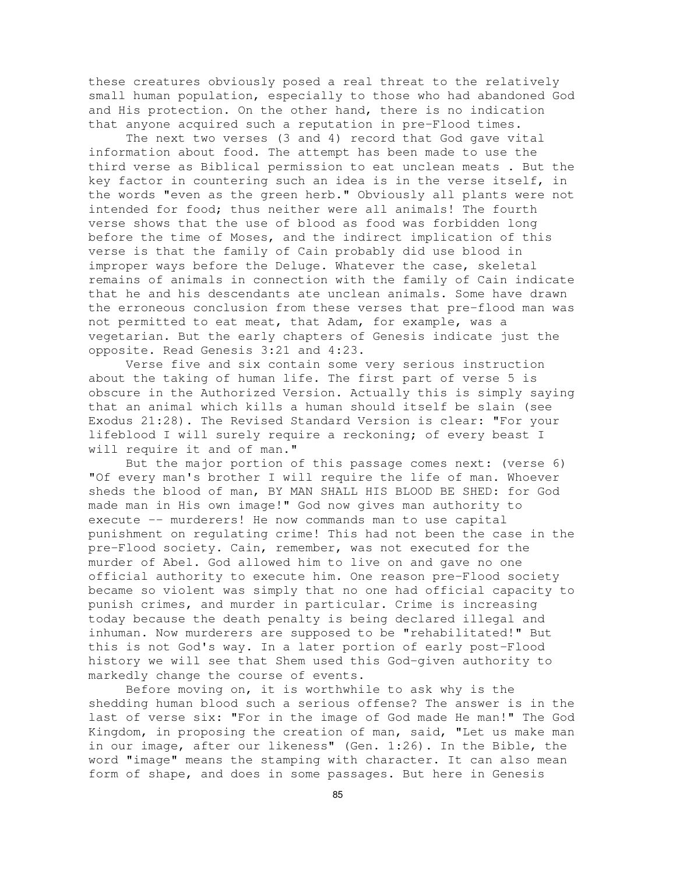these creatures obviously posed a real threat to the relatively small human population, especially to those who had abandoned God and His protection. On the other hand, there is no indication that anyone acquired such a reputation in pre-Flood times.

The next two verses (3 and 4) record that God gave vital information about food. The attempt has been made to use the third verse as Biblical permission to eat unclean meats . But the key factor in countering such an idea is in the verse itself, in the words "even as the green herb." Obviously all plants were not intended for food; thus neither were all animals! The fourth verse shows that the use of blood as food was forbidden long before the time of Moses, and the indirect implication of this verse is that the family of Cain probably did use blood in improper ways before the Deluge. Whatever the case, skeletal remains of animals in connection with the family of Cain indicate that he and his descendants ate unclean animals. Some have drawn the erroneous conclusion from these verses that pre-flood man was not permitted to eat meat, that Adam, for example, was a vegetarian. But the early chapters of Genesis indicate just the opposite. Read Genesis 3:21 and 4:23.

Verse five and six contain some very serious instruction about the taking of human life. The first part of verse 5 is obscure in the Authorized Version. Actually this is simply saying that an animal which kills a human should itself be slain (see Exodus 21:28). The Revised Standard Version is clear: "For your lifeblood I will surely require a reckoning; of every beast I will require it and of man."

But the major portion of this passage comes next: (verse 6) "Of every man's brother I will require the life of man. Whoever sheds the blood of man, BY MAN SHALL HIS BLOOD BE SHED: for God made man in His own image!" God now gives man authority to execute -- murderers! He now commands man to use capital punishment on regulating crime! This had not been the case in the pre-Flood society. Cain, remember, was not executed for the murder of Abel. God allowed him to live on and gave no one official authority to execute him. One reason pre-Flood society became so violent was simply that no one had official capacity to punish crimes, and murder in particular. Crime is increasing today because the death penalty is being declared illegal and inhuman. Now murderers are supposed to be "rehabilitated!" But this is not God's way. In a later portion of early post-Flood history we will see that Shem used this God-given authority to markedly change the course of events.

Before moving on, it is worthwhile to ask why is the shedding human blood such a serious offense? The answer is in the last of verse six: "For in the image of God made He man!" The God Kingdom, in proposing the creation of man, said, "Let us make man in our image, after our likeness" (Gen. 1:26). In the Bible, the word "image" means the stamping with character. It can also mean form of shape, and does in some passages. But here in Genesis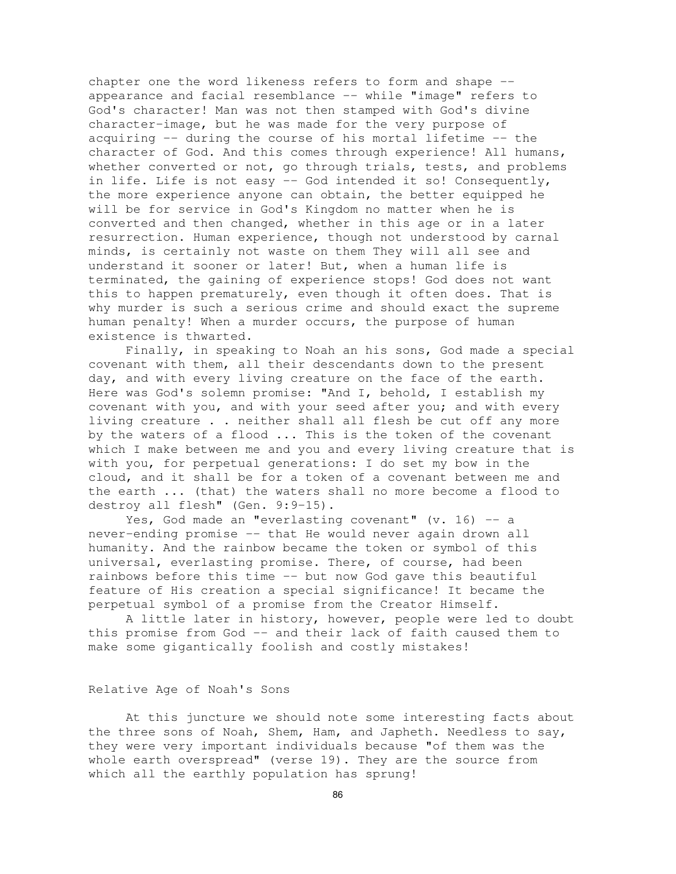chapter one the word likeness refers to form and shape - appearance and facial resemblance -- while "image" refers to God's character! Man was not then stamped with God's divine character-image, but he was made for the very purpose of acquiring -- during the course of his mortal lifetime -- the character of God. And this comes through experience! All humans, whether converted or not, go through trials, tests, and problems in life. Life is not easy -- God intended it so! Consequently, the more experience anyone can obtain, the better equipped he will be for service in God's Kingdom no matter when he is converted and then changed, whether in this age or in a later resurrection. Human experience, though not understood by carnal minds, is certainly not waste on them They will all see and understand it sooner or later! But, when a human life is terminated, the gaining of experience stops! God does not want this to happen prematurely, even though it often does. That is why murder is such a serious crime and should exact the supreme human penalty! When a murder occurs, the purpose of human existence is thwarted.

Finally, in speaking to Noah an his sons, God made a special covenant with them, all their descendants down to the present day, and with every living creature on the face of the earth. Here was God's solemn promise: "And I, behold, I establish my covenant with you, and with your seed after you; and with every living creature . . neither shall all flesh be cut off any more by the waters of a flood ... This is the token of the covenant which I make between me and you and every living creature that is with you, for perpetual generations: I do set my bow in the cloud, and it shall be for a token of a covenant between me and the earth ... (that) the waters shall no more become a flood to destroy all flesh" (Gen. 9:9-15).

Yes, God made an "everlasting covenant"  $(v. 16)$  -- a never-ending promise -- that He would never again drown all humanity. And the rainbow became the token or symbol of this universal, everlasting promise. There, of course, had been rainbows before this time -- but now God gave this beautiful feature of His creation a special significance! It became the perpetual symbol of a promise from the Creator Himself.

A little later in history, however, people were led to doubt this promise from God -- and their lack of faith caused them to make some gigantically foolish and costly mistakes!

Relative Age of Noah's Sons

At this juncture we should note some interesting facts about the three sons of Noah, Shem, Ham, and Japheth. Needless to say, they were very important individuals because "of them was the whole earth overspread" (verse 19). They are the source from which all the earthly population has sprung!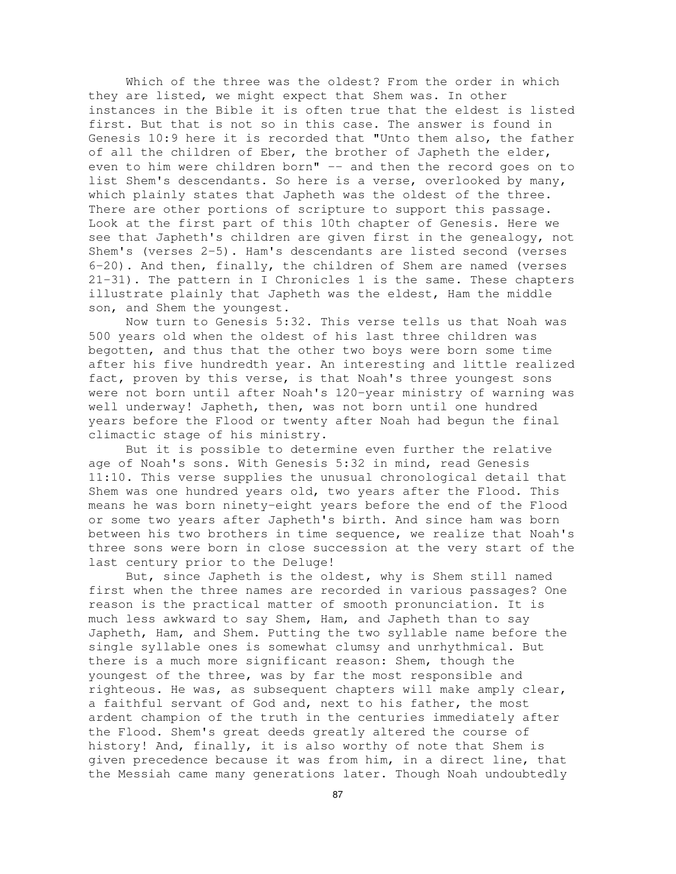Which of the three was the oldest? From the order in which they are listed, we might expect that Shem was. In other instances in the Bible it is often true that the eldest is listed first. But that is not so in this case. The answer is found in Genesis 10:9 here it is recorded that "Unto them also, the father of all the children of Eber, the brother of Japheth the elder, even to him were children born" -- and then the record goes on to list Shem's descendants. So here is a verse, overlooked by many, which plainly states that Japheth was the oldest of the three. There are other portions of scripture to support this passage. Look at the first part of this 10th chapter of Genesis. Here we see that Japheth's children are given first in the genealogy, not Shem's (verses 2-5). Ham's descendants are listed second (verses 6-20). And then, finally, the children of Shem are named (verses 21-31). The pattern in I Chronicles 1 is the same. These chapters illustrate plainly that Japheth was the eldest, Ham the middle son, and Shem the youngest.

Now turn to Genesis 5:32. This verse tells us that Noah was 500 years old when the oldest of his last three children was begotten, and thus that the other two boys were born some time after his five hundredth year. An interesting and little realized fact, proven by this verse, is that Noah's three youngest sons were not born until after Noah's 120-year ministry of warning was well underway! Japheth, then, was not born until one hundred years before the Flood or twenty after Noah had begun the final climactic stage of his ministry.

But it is possible to determine even further the relative age of Noah's sons. With Genesis 5:32 in mind, read Genesis 11:10. This verse supplies the unusual chronological detail that Shem was one hundred years old, two years after the Flood. This means he was born ninety-eight years before the end of the Flood or some two years after Japheth's birth. And since ham was born between his two brothers in time sequence, we realize that Noah's three sons were born in close succession at the very start of the last century prior to the Deluge!

But, since Japheth is the oldest, why is Shem still named first when the three names are recorded in various passages? One reason is the practical matter of smooth pronunciation. It is much less awkward to say Shem, Ham, and Japheth than to say Japheth, Ham, and Shem. Putting the two syllable name before the single syllable ones is somewhat clumsy and unrhythmical. But there is a much more significant reason: Shem, though the youngest of the three, was by far the most responsible and righteous. He was, as subsequent chapters will make amply clear, a faithful servant of God and, next to his father, the most ardent champion of the truth in the centuries immediately after the Flood. Shem's great deeds greatly altered the course of history! And, finally, it is also worthy of note that Shem is given precedence because it was from him, in a direct line, that the Messiah came many generations later. Though Noah undoubtedly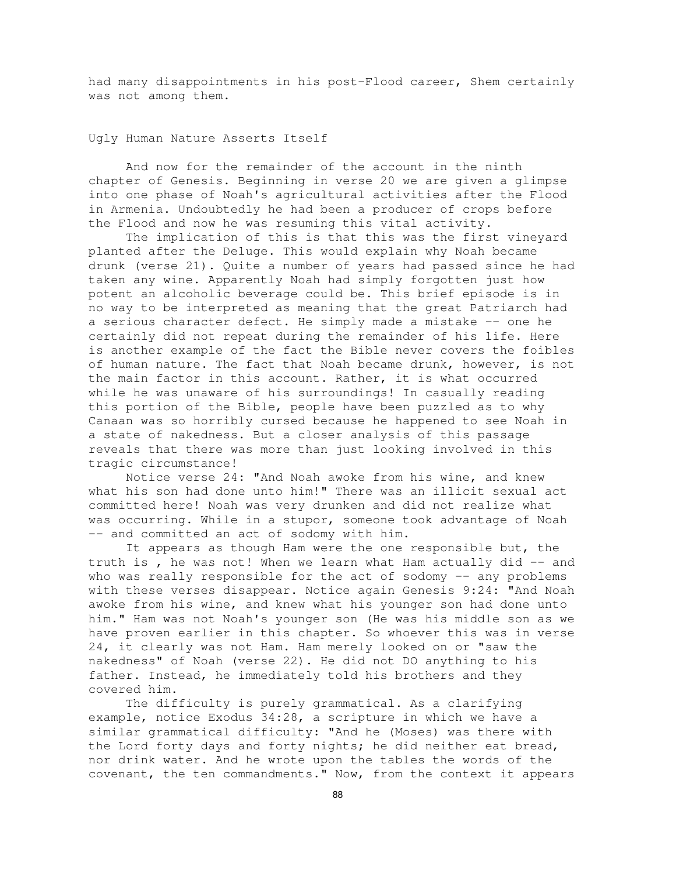had many disappointments in his post-Flood career, Shem certainly was not among them.

Ugly Human Nature Asserts Itself

And now for the remainder of the account in the ninth chapter of Genesis. Beginning in verse 20 we are given a glimpse into one phase of Noah's agricultural activities after the Flood in Armenia. Undoubtedly he had been a producer of crops before the Flood and now he was resuming this vital activity.

The implication of this is that this was the first vineyard planted after the Deluge. This would explain why Noah became drunk (verse 21). Quite a number of years had passed since he had taken any wine. Apparently Noah had simply forgotten just how potent an alcoholic beverage could be. This brief episode is in no way to be interpreted as meaning that the great Patriarch had a serious character defect. He simply made a mistake -- one he certainly did not repeat during the remainder of his life. Here is another example of the fact the Bible never covers the foibles of human nature. The fact that Noah became drunk, however, is not the main factor in this account. Rather, it is what occurred while he was unaware of his surroundings! In casually reading this portion of the Bible, people have been puzzled as to why Canaan was so horribly cursed because he happened to see Noah in a state of nakedness. But a closer analysis of this passage reveals that there was more than just looking involved in this tragic circumstance!

Notice verse 24: "And Noah awoke from his wine, and knew what his son had done unto him!" There was an illicit sexual act committed here! Noah was very drunken and did not realize what was occurring. While in a stupor, someone took advantage of Noah -- and committed an act of sodomy with him.

It appears as though Ham were the one responsible but, the truth is, he was not! When we learn what Ham actually did -- and who was really responsible for the act of sodomy -- any problems with these verses disappear. Notice again Genesis 9:24: "And Noah awoke from his wine, and knew what his younger son had done unto him." Ham was not Noah's younger son (He was his middle son as we have proven earlier in this chapter. So whoever this was in verse 24, it clearly was not Ham. Ham merely looked on or "saw the nakedness" of Noah (verse 22). He did not DO anything to his father. Instead, he immediately told his brothers and they covered him.

The difficulty is purely grammatical. As a clarifying example, notice Exodus 34:28, a scripture in which we have a similar grammatical difficulty: "And he (Moses) was there with the Lord forty days and forty nights; he did neither eat bread, nor drink water. And he wrote upon the tables the words of the covenant, the ten commandments." Now, from the context it appears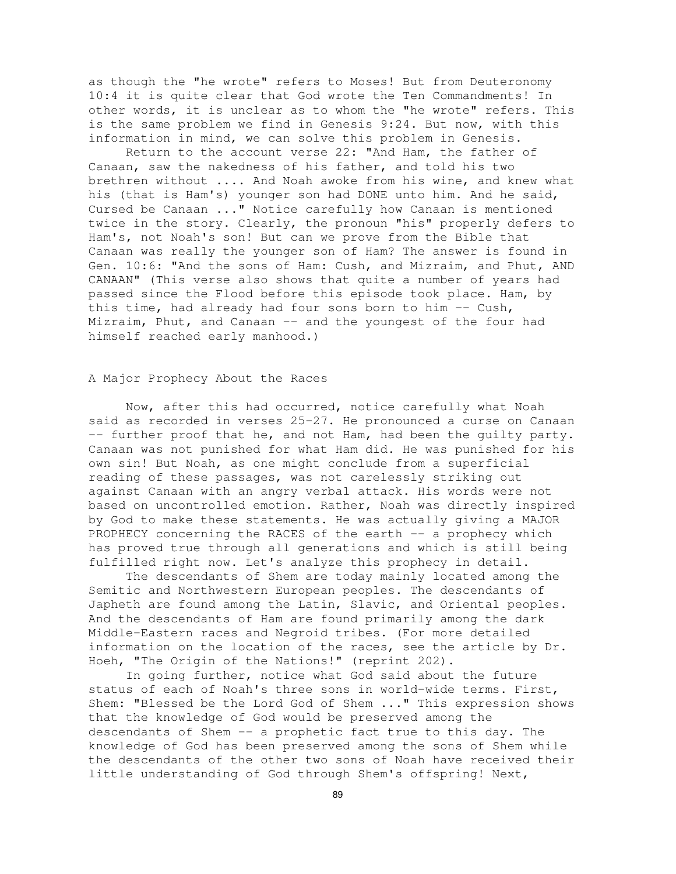as though the "he wrote" refers to Moses! But from Deuteronomy 10:4 it is quite clear that God wrote the Ten Commandments! In other words, it is unclear as to whom the "he wrote" refers. This is the same problem we find in Genesis 9:24. But now, with this information in mind, we can solve this problem in Genesis.

Return to the account verse 22: "And Ham, the father of Canaan, saw the nakedness of his father, and told his two brethren without .... And Noah awoke from his wine, and knew what his (that is Ham's) younger son had DONE unto him. And he said, Cursed be Canaan ..." Notice carefully how Canaan is mentioned twice in the story. Clearly, the pronoun "his" properly defers to Ham's, not Noah's son! But can we prove from the Bible that Canaan was really the younger son of Ham? The answer is found in Gen. 10:6: "And the sons of Ham: Cush, and Mizraim, and Phut, AND CANAAN" (This verse also shows that quite a number of years had passed since the Flood before this episode took place. Ham, by this time, had already had four sons born to him -- Cush, Mizraim, Phut, and Canaan -- and the youngest of the four had himself reached early manhood.)

# A Major Prophecy About the Races

Now, after this had occurred, notice carefully what Noah said as recorded in verses 25-27. He pronounced a curse on Canaan -- further proof that he, and not Ham, had been the guilty party. Canaan was not punished for what Ham did. He was punished for his own sin! But Noah, as one might conclude from a superficial reading of these passages, was not carelessly striking out against Canaan with an angry verbal attack. His words were not based on uncontrolled emotion. Rather, Noah was directly inspired by God to make these statements. He was actually giving a MAJOR PROPHECY concerning the RACES of the earth -- a prophecy which has proved true through all generations and which is still being fulfilled right now. Let's analyze this prophecy in detail.

The descendants of Shem are today mainly located among the Semitic and Northwestern European peoples. The descendants of Japheth are found among the Latin, Slavic, and Oriental peoples. And the descendants of Ham are found primarily among the dark Middle-Eastern races and Negroid tribes. (For more detailed information on the location of the races, see the article by Dr. Hoeh, "The Origin of the Nations!" (reprint 202).

In going further, notice what God said about the future status of each of Noah's three sons in world-wide terms. First, Shem: "Blessed be the Lord God of Shem ..." This expression shows that the knowledge of God would be preserved among the descendants of Shem -- a prophetic fact true to this day. The knowledge of God has been preserved among the sons of Shem while the descendants of the other two sons of Noah have received their little understanding of God through Shem's offspring! Next,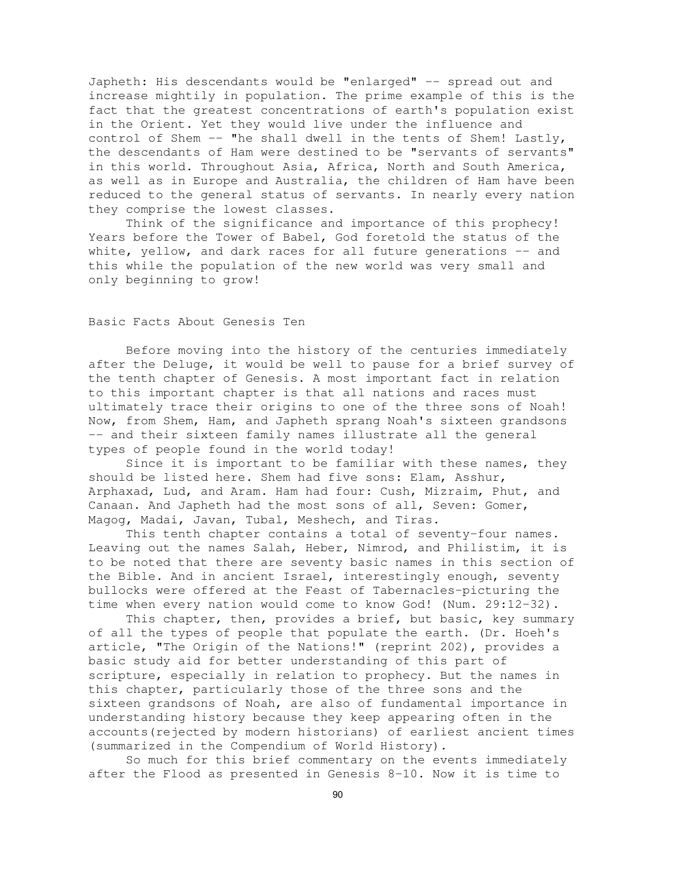Japheth: His descendants would be "enlarged" -- spread out and increase mightily in population. The prime example of this is the fact that the greatest concentrations of earth's population exist in the Orient. Yet they would live under the influence and control of Shem -- "he shall dwell in the tents of Shem! Lastly, the descendants of Ham were destined to be "servants of servants" in this world. Throughout Asia, Africa, North and South America, as well as in Europe and Australia, the children of Ham have been reduced to the general status of servants. In nearly every nation they comprise the lowest classes.

Think of the significance and importance of this prophecy! Years before the Tower of Babel, God foretold the status of the white, yellow, and dark races for all future generations -- and this while the population of the new world was very small and only beginning to grow!

# Basic Facts About Genesis Ten

Before moving into the history of the centuries immediately after the Deluge, it would be well to pause for a brief survey of the tenth chapter of Genesis. A most important fact in relation to this important chapter is that all nations and races must ultimately trace their origins to one of the three sons of Noah! Now, from Shem, Ham, and Japheth sprang Noah's sixteen grandsons -- and their sixteen family names illustrate all the general types of people found in the world today!

Since it is important to be familiar with these names, they should be listed here. Shem had five sons: Elam, Asshur, Arphaxad, Lud, and Aram. Ham had four: Cush, Mizraim, Phut, and Canaan. And Japheth had the most sons of all, Seven: Gomer, Magog, Madai, Javan, Tubal, Meshech, and Tiras.

This tenth chapter contains a total of seventy-four names. Leaving out the names Salah, Heber, Nimrod, and Philistim, it is to be noted that there are seventy basic names in this section of the Bible. And in ancient Israel, interestingly enough, seventy bullocks were offered at the Feast of Tabernacles-picturing the time when every nation would come to know God! (Num. 29:12-32).

This chapter, then, provides a brief, but basic, key summary of all the types of people that populate the earth. (Dr. Hoeh's article, "The Origin of the Nations!" (reprint 202), provides a basic study aid for better understanding of this part of scripture, especially in relation to prophecy. But the names in this chapter, particularly those of the three sons and the sixteen grandsons of Noah, are also of fundamental importance in understanding history because they keep appearing often in the accounts(rejected by modern historians) of earliest ancient times (summarized in the Compendium of World History).

So much for this brief commentary on the events immediately after the Flood as presented in Genesis 8-10. Now it is time to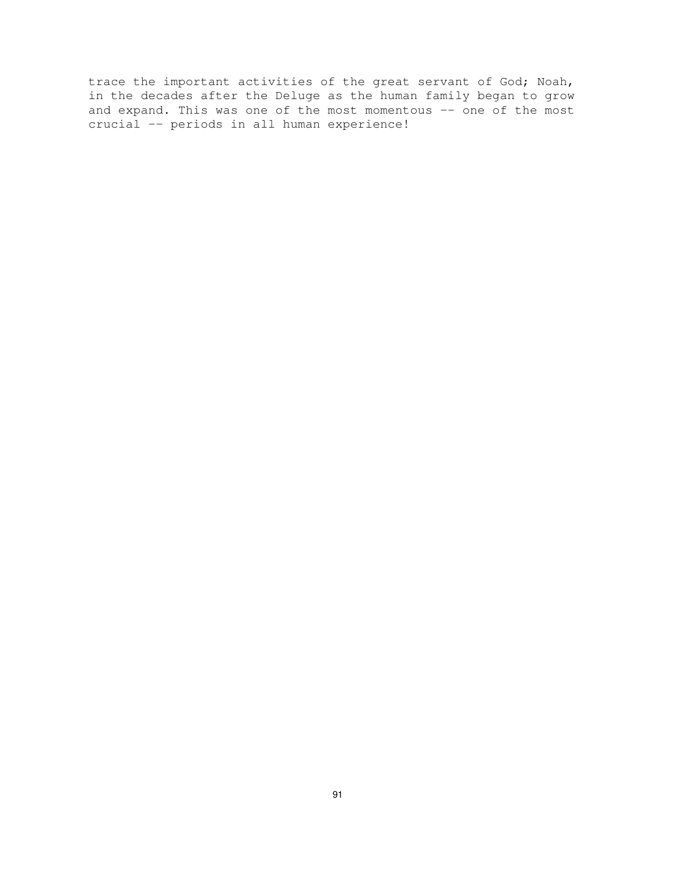trace the important activities of the great servant of God; Noah, in the decades after the Deluge as the human family began to grow and expand. This was one of the most momentous  $-\frac{1}{2}$  one of the most crucial -- periods in all human experience!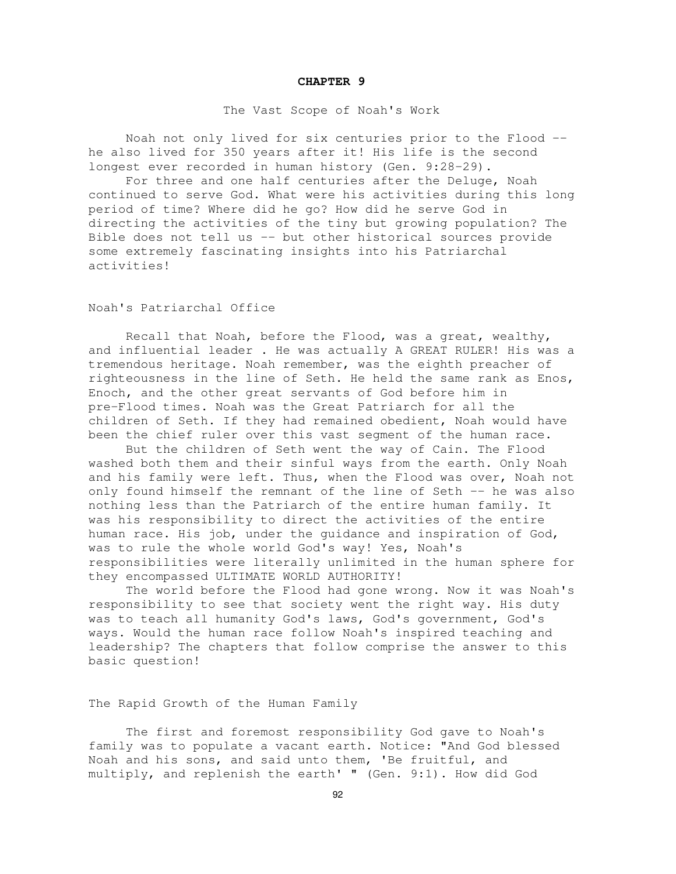#### **CHAPTER 9**

#### The Vast Scope of Noah's Work

Noah not only lived for six centuries prior to the Flood - he also lived for 350 years after it! His life is the second longest ever recorded in human history (Gen. 9:28-29).

For three and one half centuries after the Deluge, Noah continued to serve God. What were his activities during this long period of time? Where did he go? How did he serve God in directing the activities of the tiny but growing population? The Bible does not tell us -- but other historical sources provide some extremely fascinating insights into his Patriarchal activities!

# Noah's Patriarchal Office

Recall that Noah, before the Flood, was a great, wealthy, and influential leader . He was actually A GREAT RULER! His was a tremendous heritage. Noah remember, was the eighth preacher of righteousness in the line of Seth. He held the same rank as Enos, Enoch, and the other great servants of God before him in pre-Flood times. Noah was the Great Patriarch for all the children of Seth. If they had remained obedient, Noah would have been the chief ruler over this vast segment of the human race.

But the children of Seth went the way of Cain. The Flood washed both them and their sinful ways from the earth. Only Noah and his family were left. Thus, when the Flood was over, Noah not only found himself the remnant of the line of Seth -- he was also nothing less than the Patriarch of the entire human family. It was his responsibility to direct the activities of the entire human race. His job, under the guidance and inspiration of God, was to rule the whole world God's way! Yes, Noah's responsibilities were literally unlimited in the human sphere for they encompassed ULTIMATE WORLD AUTHORITY!

The world before the Flood had gone wrong. Now it was Noah's responsibility to see that society went the right way. His duty was to teach all humanity God's laws, God's government, God's ways. Would the human race follow Noah's inspired teaching and leadership? The chapters that follow comprise the answer to this basic question!

The Rapid Growth of the Human Family

The first and foremost responsibility God gave to Noah's family was to populate a vacant earth. Notice: "And God blessed Noah and his sons, and said unto them, 'Be fruitful, and multiply, and replenish the earth' " (Gen. 9:1). How did God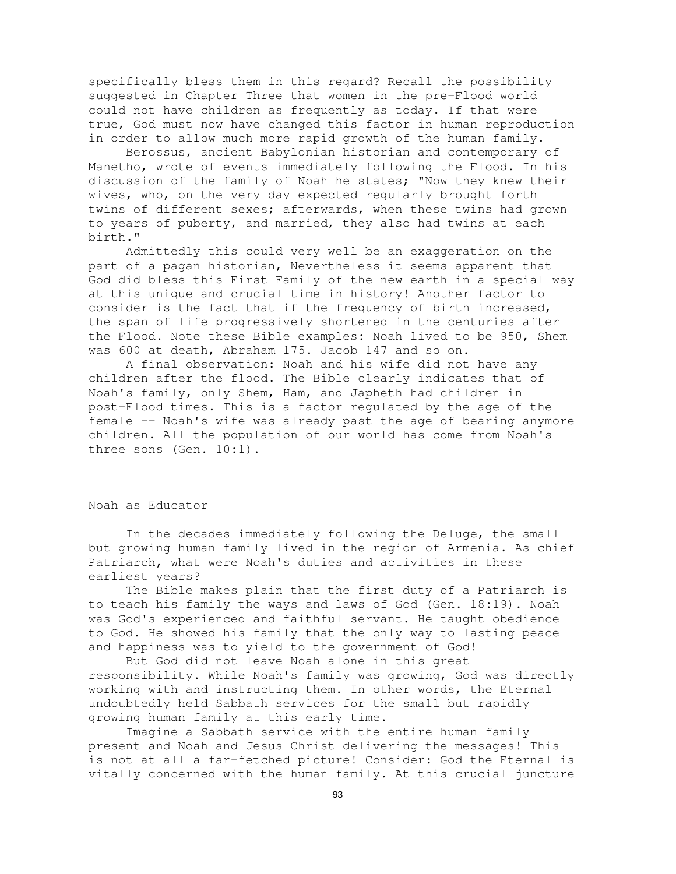specifically bless them in this regard? Recall the possibility suggested in Chapter Three that women in the pre-Flood world could not have children as frequently as today. If that were true, God must now have changed this factor in human reproduction in order to allow much more rapid growth of the human family.

Berossus, ancient Babylonian historian and contemporary of Manetho, wrote of events immediately following the Flood. In his discussion of the family of Noah he states; "Now they knew their wives, who, on the very day expected regularly brought forth twins of different sexes; afterwards, when these twins had grown to years of puberty, and married, they also had twins at each birth."

Admittedly this could very well be an exaggeration on the part of a pagan historian, Nevertheless it seems apparent that God did bless this First Family of the new earth in a special way at this unique and crucial time in history! Another factor to consider is the fact that if the frequency of birth increased, the span of life progressively shortened in the centuries after the Flood. Note these Bible examples: Noah lived to be 950, Shem was 600 at death, Abraham 175. Jacob 147 and so on.

A final observation: Noah and his wife did not have any children after the flood. The Bible clearly indicates that of Noah's family, only Shem, Ham, and Japheth had children in post-Flood times. This is a factor regulated by the age of the female -- Noah's wife was already past the age of bearing anymore children. All the population of our world has come from Noah's three sons (Gen. 10:1).

#### Noah as Educator

In the decades immediately following the Deluge, the small but growing human family lived in the region of Armenia. As chief Patriarch, what were Noah's duties and activities in these earliest years?

The Bible makes plain that the first duty of a Patriarch is to teach his family the ways and laws of God (Gen. 18:19). Noah was God's experienced and faithful servant. He taught obedience to God. He showed his family that the only way to lasting peace and happiness was to yield to the government of God!

But God did not leave Noah alone in this great responsibility. While Noah's family was growing, God was directly working with and instructing them. In other words, the Eternal undoubtedly held Sabbath services for the small but rapidly growing human family at this early time.

Imagine a Sabbath service with the entire human family present and Noah and Jesus Christ delivering the messages! This is not at all a far-fetched picture! Consider: God the Eternal is vitally concerned with the human family. At this crucial juncture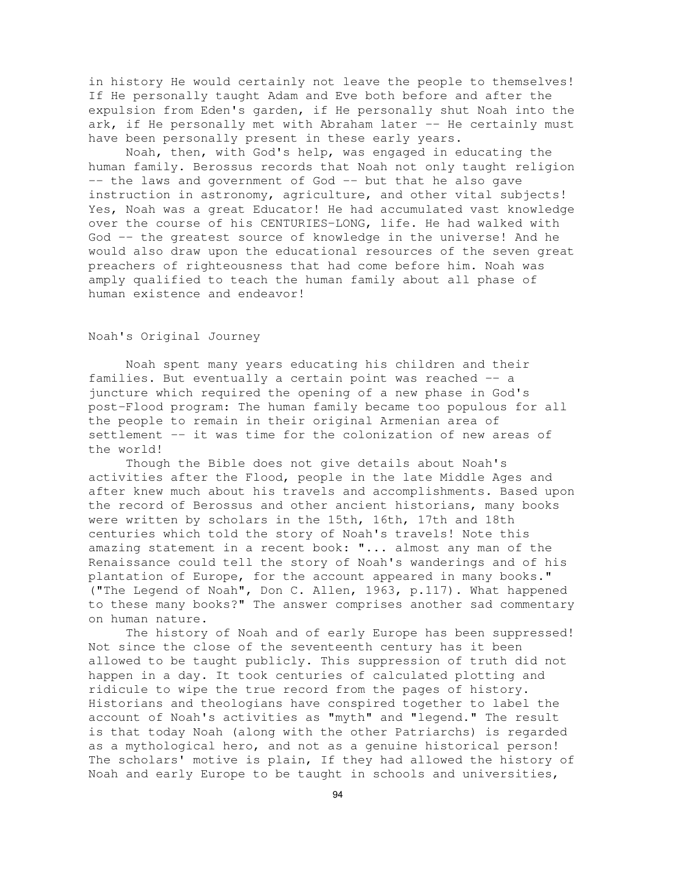in history He would certainly not leave the people to themselves! If He personally taught Adam and Eve both before and after the expulsion from Eden's garden, if He personally shut Noah into the ark, if He personally met with Abraham later  $-$ - He certainly must have been personally present in these early years.

Noah, then, with God's help, was engaged in educating the human family. Berossus records that Noah not only taught religion -- the laws and government of God -- but that he also gave instruction in astronomy, agriculture, and other vital subjects! Yes, Noah was a great Educator! He had accumulated vast knowledge over the course of his CENTURIES-LONG, life. He had walked with God -- the greatest source of knowledge in the universe! And he would also draw upon the educational resources of the seven great preachers of righteousness that had come before him. Noah was amply qualified to teach the human family about all phase of human existence and endeavor!

# Noah's Original Journey

Noah spent many years educating his children and their families. But eventually a certain point was reached -- a juncture which required the opening of a new phase in God's post-Flood program: The human family became too populous for all the people to remain in their original Armenian area of settlement -- it was time for the colonization of new areas of the world!

Though the Bible does not give details about Noah's activities after the Flood, people in the late Middle Ages and after knew much about his travels and accomplishments. Based upon the record of Berossus and other ancient historians, many books were written by scholars in the 15th, 16th, 17th and 18th centuries which told the story of Noah's travels! Note this amazing statement in a recent book: "... almost any man of the Renaissance could tell the story of Noah's wanderings and of his plantation of Europe, for the account appeared in many books." ("The Legend of Noah", Don C. Allen, 1963, p.117). What happened to these many books?" The answer comprises another sad commentary on human nature.

The history of Noah and of early Europe has been suppressed! Not since the close of the seventeenth century has it been allowed to be taught publicly. This suppression of truth did not happen in a day. It took centuries of calculated plotting and ridicule to wipe the true record from the pages of history. Historians and theologians have conspired together to label the account of Noah's activities as "myth" and "legend." The result is that today Noah (along with the other Patriarchs) is regarded as a mythological hero, and not as a genuine historical person! The scholars' motive is plain, If they had allowed the history of Noah and early Europe to be taught in schools and universities,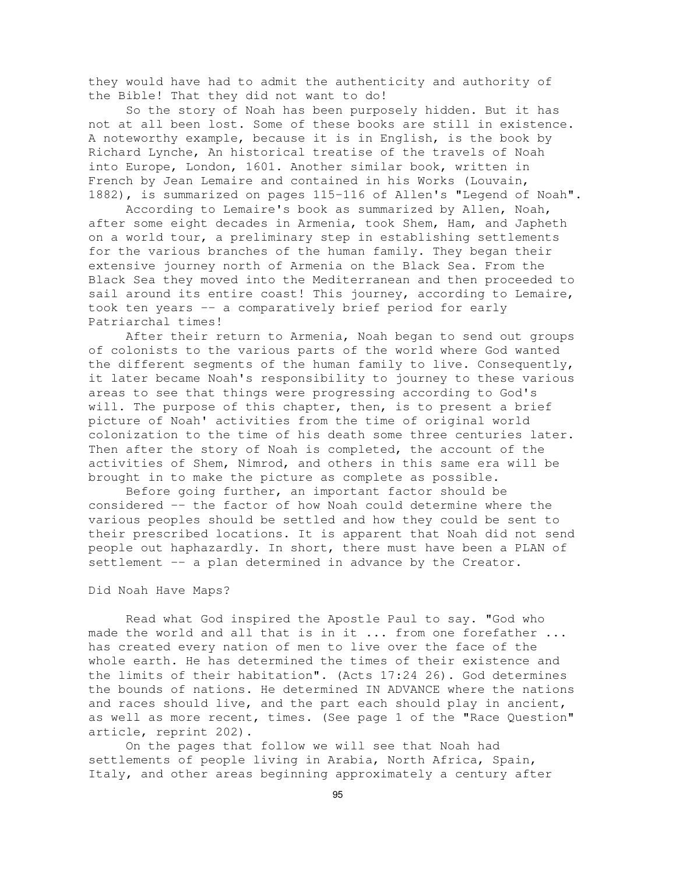they would have had to admit the authenticity and authority of the Bible! That they did not want to do!

So the story of Noah has been purposely hidden. But it has not at all been lost. Some of these books are still in existence. A noteworthy example, because it is in English, is the book by Richard Lynche, An historical treatise of the travels of Noah into Europe, London, 1601. Another similar book, written in French by Jean Lemaire and contained in his Works (Louvain, 1882), is summarized on pages 115-116 of Allen's "Legend of Noah".

According to Lemaire's book as summarized by Allen, Noah, after some eight decades in Armenia, took Shem, Ham, and Japheth on a world tour, a preliminary step in establishing settlements for the various branches of the human family. They began their extensive journey north of Armenia on the Black Sea. From the Black Sea they moved into the Mediterranean and then proceeded to sail around its entire coast! This journey, according to Lemaire, took ten years -- a comparatively brief period for early Patriarchal times!

After their return to Armenia, Noah began to send out groups of colonists to the various parts of the world where God wanted the different segments of the human family to live. Consequently, it later became Noah's responsibility to journey to these various areas to see that things were progressing according to God's will. The purpose of this chapter, then, is to present a brief picture of Noah' activities from the time of original world colonization to the time of his death some three centuries later. Then after the story of Noah is completed, the account of the activities of Shem, Nimrod, and others in this same era will be brought in to make the picture as complete as possible.

Before going further, an important factor should be considered -- the factor of how Noah could determine where the various peoples should be settled and how they could be sent to their prescribed locations. It is apparent that Noah did not send people out haphazardly. In short, there must have been a PLAN of settlement -- a plan determined in advance by the Creator.

### Did Noah Have Maps?

Read what God inspired the Apostle Paul to say. "God who made the world and all that is in it ... from one forefather ... has created every nation of men to live over the face of the whole earth. He has determined the times of their existence and the limits of their habitation". (Acts 17:24 26). God determines the bounds of nations. He determined IN ADVANCE where the nations and races should live, and the part each should play in ancient, as well as more recent, times. (See page 1 of the "Race Question" article, reprint 202).

On the pages that follow we will see that Noah had settlements of people living in Arabia, North Africa, Spain, Italy, and other areas beginning approximately a century after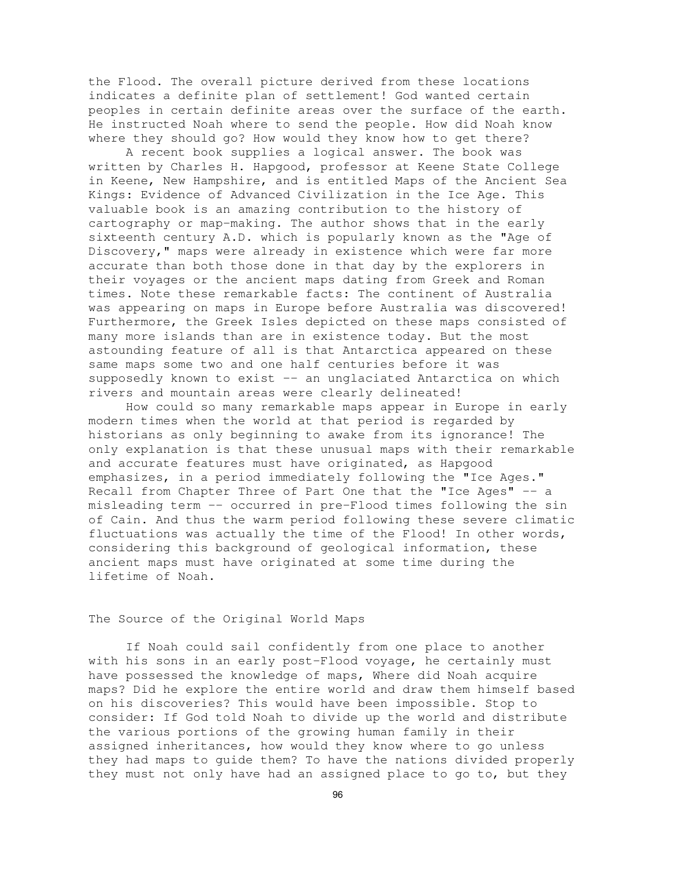the Flood. The overall picture derived from these locations indicates a definite plan of settlement! God wanted certain peoples in certain definite areas over the surface of the earth. He instructed Noah where to send the people. How did Noah know where they should go? How would they know how to get there?

A recent book supplies a logical answer. The book was written by Charles H. Hapgood, professor at Keene State College in Keene, New Hampshire, and is entitled Maps of the Ancient Sea Kings: Evidence of Advanced Civilization in the Ice Age. This valuable book is an amazing contribution to the history of cartography or map-making. The author shows that in the early sixteenth century A.D. which is popularly known as the "Age of Discovery," maps were already in existence which were far more accurate than both those done in that day by the explorers in their voyages or the ancient maps dating from Greek and Roman times. Note these remarkable facts: The continent of Australia was appearing on maps in Europe before Australia was discovered! Furthermore, the Greek Isles depicted on these maps consisted of many more islands than are in existence today. But the most astounding feature of all is that Antarctica appeared on these same maps some two and one half centuries before it was supposedly known to exist -- an unglaciated Antarctica on which rivers and mountain areas were clearly delineated!

How could so many remarkable maps appear in Europe in early modern times when the world at that period is regarded by historians as only beginning to awake from its ignorance! The only explanation is that these unusual maps with their remarkable and accurate features must have originated, as Hapgood emphasizes, in a period immediately following the "Ice Ages." Recall from Chapter Three of Part One that the "Ice Ages" -- a misleading term -- occurred in pre-Flood times following the sin of Cain. And thus the warm period following these severe climatic fluctuations was actually the time of the Flood! In other words, considering this background of geological information, these ancient maps must have originated at some time during the lifetime of Noah.

# The Source of the Original World Maps

If Noah could sail confidently from one place to another with his sons in an early post-Flood voyage, he certainly must have possessed the knowledge of maps, Where did Noah acquire maps? Did he explore the entire world and draw them himself based on his discoveries? This would have been impossible. Stop to consider: If God told Noah to divide up the world and distribute the various portions of the growing human family in their assigned inheritances, how would they know where to go unless they had maps to guide them? To have the nations divided properly they must not only have had an assigned place to go to, but they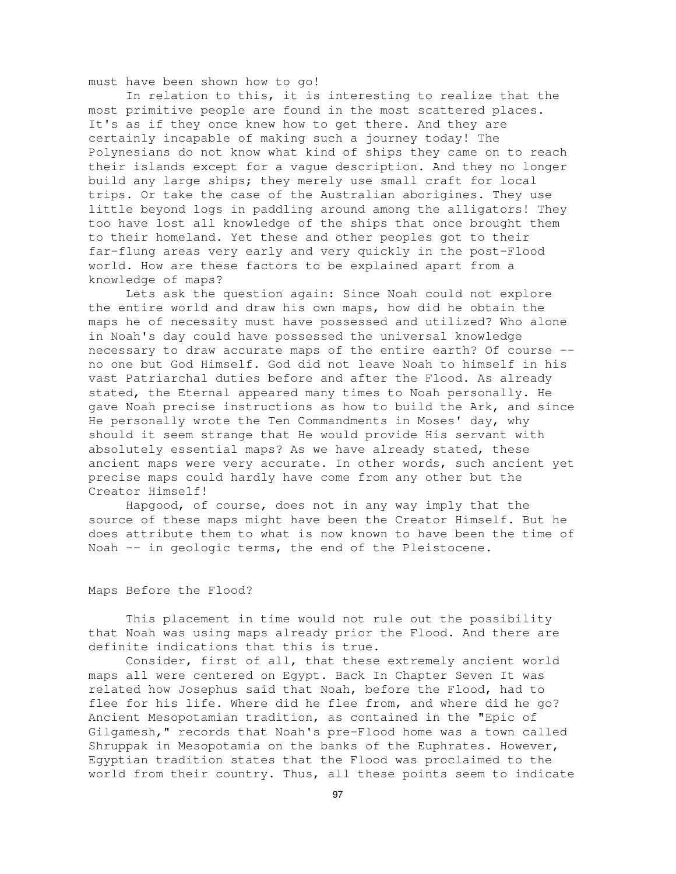must have been shown how to go!

In relation to this, it is interesting to realize that the most primitive people are found in the most scattered places. It's as if they once knew how to get there. And they are certainly incapable of making such a journey today! The Polynesians do not know what kind of ships they came on to reach their islands except for a vague description. And they no longer build any large ships; they merely use small craft for local trips. Or take the case of the Australian aborigines. They use little beyond logs in paddling around among the alligators! They too have lost all knowledge of the ships that once brought them to their homeland. Yet these and other peoples got to their far-flung areas very early and very quickly in the post-Flood world. How are these factors to be explained apart from a knowledge of maps?

Lets ask the question again: Since Noah could not explore the entire world and draw his own maps, how did he obtain the maps he of necessity must have possessed and utilized? Who alone in Noah's day could have possessed the universal knowledge necessary to draw accurate maps of the entire earth? Of course - no one but God Himself. God did not leave Noah to himself in his vast Patriarchal duties before and after the Flood. As already stated, the Eternal appeared many times to Noah personally. He gave Noah precise instructions as how to build the Ark, and since He personally wrote the Ten Commandments in Moses' day, why should it seem strange that He would provide His servant with absolutely essential maps? As we have already stated, these ancient maps were very accurate. In other words, such ancient yet precise maps could hardly have come from any other but the Creator Himself!

Hapgood, of course, does not in any way imply that the source of these maps might have been the Creator Himself. But he does attribute them to what is now known to have been the time of Noah -- in geologic terms, the end of the Pleistocene.

#### Maps Before the Flood?

This placement in time would not rule out the possibility that Noah was using maps already prior the Flood. And there are definite indications that this is true.

Consider, first of all, that these extremely ancient world maps all were centered on Egypt. Back In Chapter Seven It was related how Josephus said that Noah, before the Flood, had to flee for his life. Where did he flee from, and where did he go? Ancient Mesopotamian tradition, as contained in the "Epic of Gilgamesh," records that Noah's pre-Flood home was a town called Shruppak in Mesopotamia on the banks of the Euphrates. However, Egyptian tradition states that the Flood was proclaimed to the world from their country. Thus, all these points seem to indicate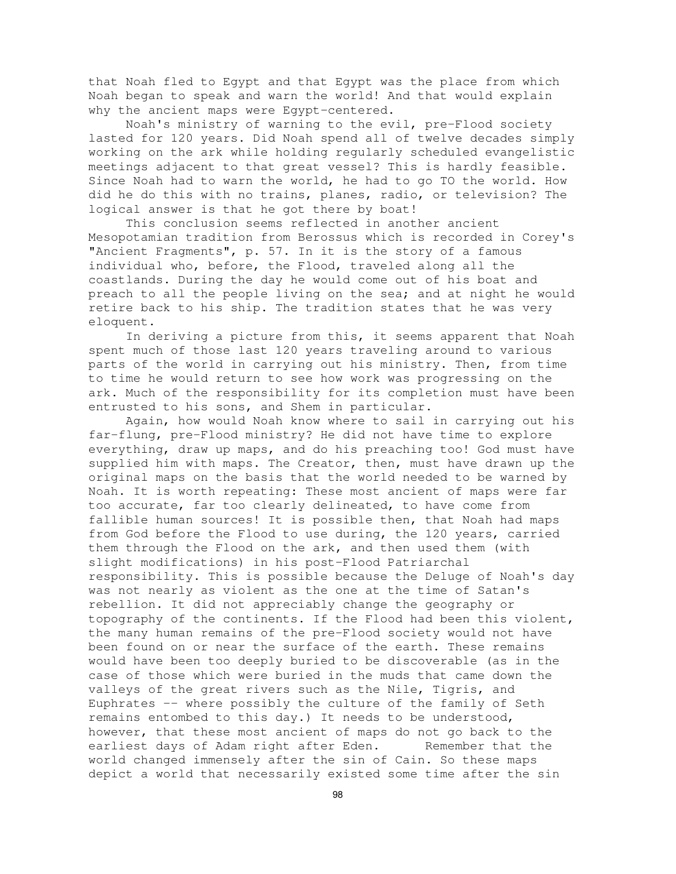that Noah fled to Egypt and that Egypt was the place from which Noah began to speak and warn the world! And that would explain why the ancient maps were Egypt-centered.

Noah's ministry of warning to the evil, pre-Flood society lasted for 120 years. Did Noah spend all of twelve decades simply working on the ark while holding regularly scheduled evangelistic meetings adjacent to that great vessel? This is hardly feasible. Since Noah had to warn the world, he had to go TO the world. How did he do this with no trains, planes, radio, or television? The logical answer is that he got there by boat!

This conclusion seems reflected in another ancient Mesopotamian tradition from Berossus which is recorded in Corey's "Ancient Fragments", p. 57. In it is the story of a famous individual who, before, the Flood, traveled along all the coastlands. During the day he would come out of his boat and preach to all the people living on the sea; and at night he would retire back to his ship. The tradition states that he was very eloquent.

In deriving a picture from this, it seems apparent that Noah spent much of those last 120 years traveling around to various parts of the world in carrying out his ministry. Then, from time to time he would return to see how work was progressing on the ark. Much of the responsibility for its completion must have been entrusted to his sons, and Shem in particular.

Again, how would Noah know where to sail in carrying out his far-flung, pre-Flood ministry? He did not have time to explore everything, draw up maps, and do his preaching too! God must have supplied him with maps. The Creator, then, must have drawn up the original maps on the basis that the world needed to be warned by Noah. It is worth repeating: These most ancient of maps were far too accurate, far too clearly delineated, to have come from fallible human sources! It is possible then, that Noah had maps from God before the Flood to use during, the 120 years, carried them through the Flood on the ark, and then used them (with slight modifications) in his post-Flood Patriarchal responsibility. This is possible because the Deluge of Noah's day was not nearly as violent as the one at the time of Satan's rebellion. It did not appreciably change the geography or topography of the continents. If the Flood had been this violent, the many human remains of the pre-Flood society would not have been found on or near the surface of the earth. These remains would have been too deeply buried to be discoverable (as in the case of those which were buried in the muds that came down the valleys of the great rivers such as the Nile, Tigris, and Euphrates -- where possibly the culture of the family of Seth remains entombed to this day.) It needs to be understood, however, that these most ancient of maps do not go back to the earliest days of Adam right after Eden. Remember that the world changed immensely after the sin of Cain. So these maps depict a world that necessarily existed some time after the sin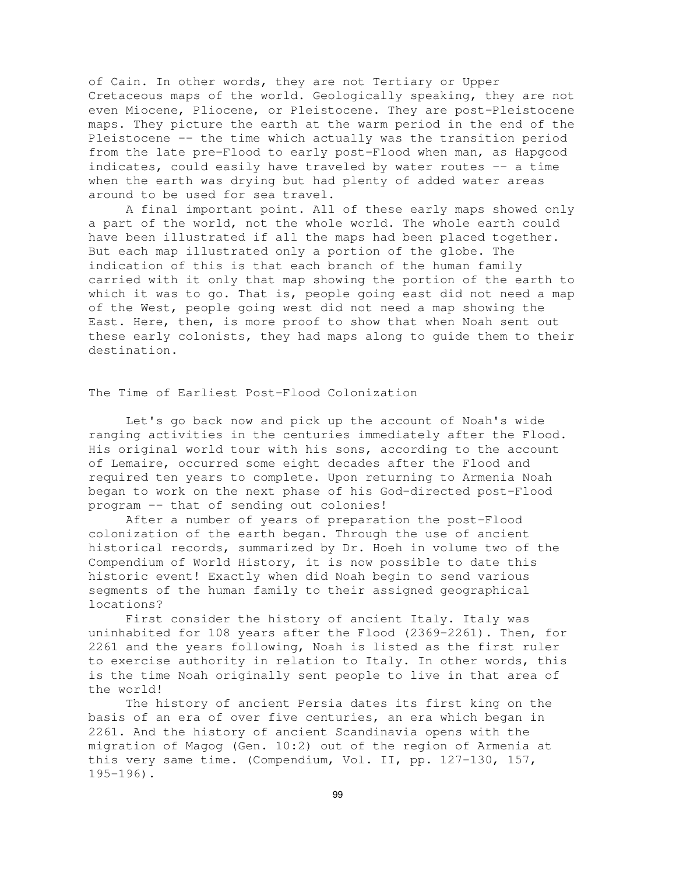of Cain. In other words, they are not Tertiary or Upper Cretaceous maps of the world. Geologically speaking, they are not even Miocene, Pliocene, or Pleistocene. They are post-Pleistocene maps. They picture the earth at the warm period in the end of the Pleistocene -- the time which actually was the transition period from the late pre-Flood to early post-Flood when man, as Hapgood indicates, could easily have traveled by water routes -- a time when the earth was drying but had plenty of added water areas around to be used for sea travel.

A final important point. All of these early maps showed only a part of the world, not the whole world. The whole earth could have been illustrated if all the maps had been placed together. But each map illustrated only a portion of the globe. The indication of this is that each branch of the human family carried with it only that map showing the portion of the earth to which it was to go. That is, people going east did not need a map of the West, people going west did not need a map showing the East. Here, then, is more proof to show that when Noah sent out these early colonists, they had maps along to guide them to their destination.

The Time of Earliest Post-Flood Colonization

Let's go back now and pick up the account of Noah's wide ranging activities in the centuries immediately after the Flood. His original world tour with his sons, according to the account of Lemaire, occurred some eight decades after the Flood and required ten years to complete. Upon returning to Armenia Noah began to work on the next phase of his God-directed post-Flood program -- that of sending out colonies!

After a number of years of preparation the post-Flood colonization of the earth began. Through the use of ancient historical records, summarized by Dr. Hoeh in volume two of the Compendium of World History, it is now possible to date this historic event! Exactly when did Noah begin to send various segments of the human family to their assigned geographical locations?

First consider the history of ancient Italy. Italy was uninhabited for 108 years after the Flood (2369-2261). Then, for 2261 and the years following, Noah is listed as the first ruler to exercise authority in relation to Italy. In other words, this is the time Noah originally sent people to live in that area of the world!

The history of ancient Persia dates its first king on the basis of an era of over five centuries, an era which began in 2261. And the history of ancient Scandinavia opens with the migration of Magog (Gen. 10:2) out of the region of Armenia at this very same time. (Compendium, Vol. II, pp. 127-130, 157,  $195 - 196$ ).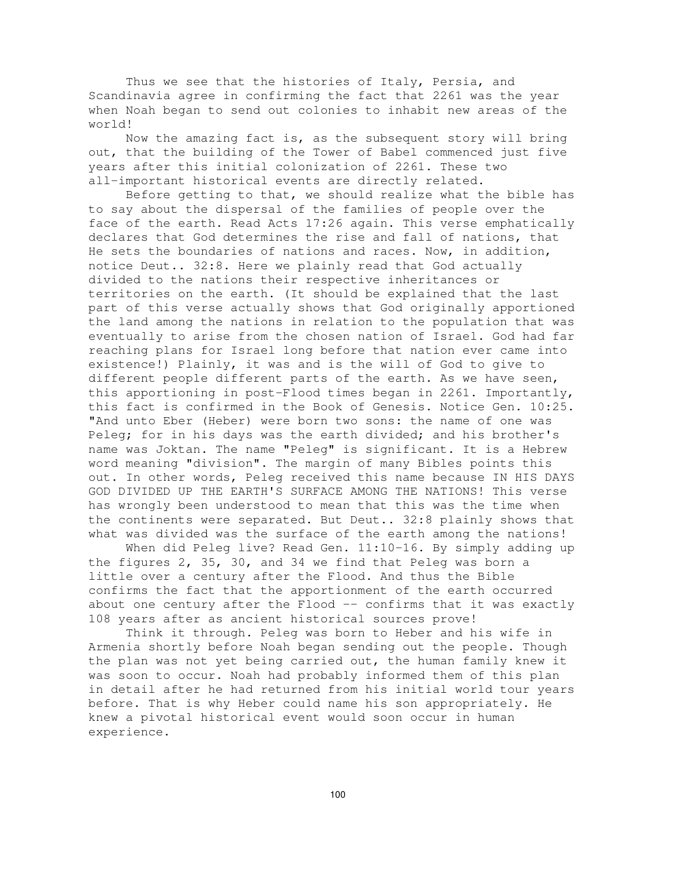Thus we see that the histories of Italy, Persia, and Scandinavia agree in confirming the fact that 2261 was the year when Noah began to send out colonies to inhabit new areas of the world!

Now the amazing fact is, as the subsequent story will bring out, that the building of the Tower of Babel commenced just five years after this initial colonization of 2261. These two all-important historical events are directly related.

Before getting to that, we should realize what the bible has to say about the dispersal of the families of people over the face of the earth. Read Acts 17:26 again. This verse emphatically declares that God determines the rise and fall of nations, that He sets the boundaries of nations and races. Now, in addition, notice Deut.. 32:8. Here we plainly read that God actually divided to the nations their respective inheritances or territories on the earth. (It should be explained that the last part of this verse actually shows that God originally apportioned the land among the nations in relation to the population that was eventually to arise from the chosen nation of Israel. God had far reaching plans for Israel long before that nation ever came into existence!) Plainly, it was and is the will of God to give to different people different parts of the earth. As we have seen, this apportioning in post-Flood times began in 2261. Importantly, this fact is confirmed in the Book of Genesis. Notice Gen. 10:25. "And unto Eber (Heber) were born two sons: the name of one was Peleg; for in his days was the earth divided; and his brother's name was Joktan. The name "Peleg" is significant. It is a Hebrew word meaning "division". The margin of many Bibles points this out. In other words, Peleg received this name because IN HIS DAYS GOD DIVIDED UP THE EARTH'S SURFACE AMONG THE NATIONS! This verse has wrongly been understood to mean that this was the time when the continents were separated. But Deut.. 32:8 plainly shows that what was divided was the surface of the earth among the nations!

When did Peleg live? Read Gen. 11:10-16. By simply adding up the figures 2, 35, 30, and 34 we find that Peleg was born a little over a century after the Flood. And thus the Bible confirms the fact that the apportionment of the earth occurred about one century after the Flood -- confirms that it was exactly 108 years after as ancient historical sources prove!

Think it through. Peleg was born to Heber and his wife in Armenia shortly before Noah began sending out the people. Though the plan was not yet being carried out, the human family knew it was soon to occur. Noah had probably informed them of this plan in detail after he had returned from his initial world tour years before. That is why Heber could name his son appropriately. He knew a pivotal historical event would soon occur in human experience.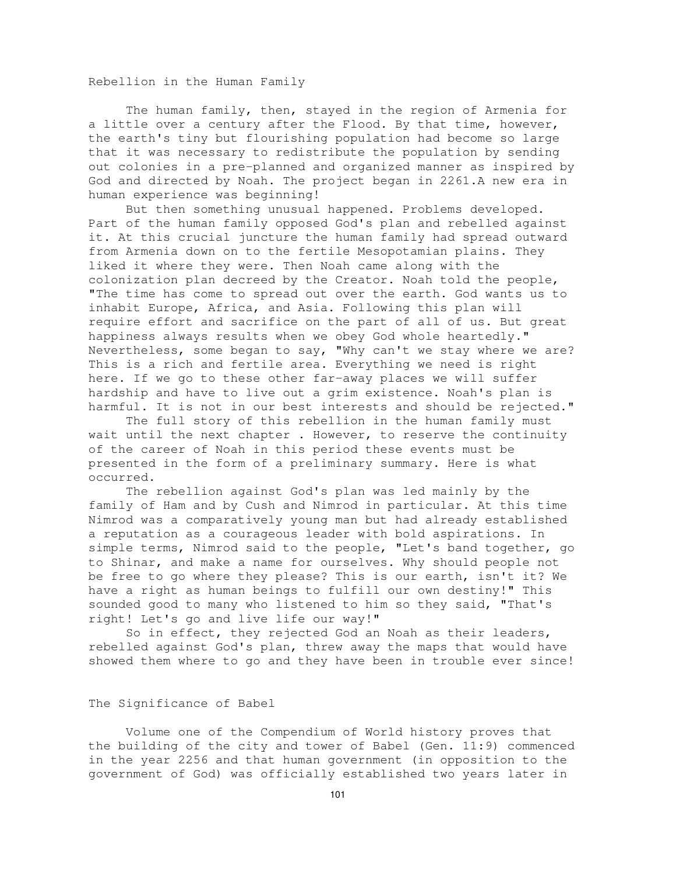Rebellion in the Human Family

The human family, then, stayed in the region of Armenia for a little over a century after the Flood. By that time, however, the earth's tiny but flourishing population had become so large that it was necessary to redistribute the population by sending out colonies in a pre-planned and organized manner as inspired by God and directed by Noah. The project began in 2261.A new era in human experience was beginning!

But then something unusual happened. Problems developed. Part of the human family opposed God's plan and rebelled against it. At this crucial juncture the human family had spread outward from Armenia down on to the fertile Mesopotamian plains. They liked it where they were. Then Noah came along with the colonization plan decreed by the Creator. Noah told the people, "The time has come to spread out over the earth. God wants us to inhabit Europe, Africa, and Asia. Following this plan will require effort and sacrifice on the part of all of us. But great happiness always results when we obey God whole heartedly." Nevertheless, some began to say, "Why can't we stay where we are? This is a rich and fertile area. Everything we need is right here. If we go to these other far-away places we will suffer hardship and have to live out a grim existence. Noah's plan is harmful. It is not in our best interests and should be rejected."

The full story of this rebellion in the human family must wait until the next chapter. However, to reserve the continuity of the career of Noah in this period these events must be presented in the form of a preliminary summary. Here is what occurred.

The rebellion against God's plan was led mainly by the family of Ham and by Cush and Nimrod in particular. At this time Nimrod was a comparatively young man but had already established a reputation as a courageous leader with bold aspirations. In simple terms, Nimrod said to the people, "Let's band together, go to Shinar, and make a name for ourselves. Why should people not be free to go where they please? This is our earth, isn't it? We have a right as human beings to fulfill our own destiny!" This sounded good to many who listened to him so they said, "That's right! Let's go and live life our way!"

So in effect, they rejected God an Noah as their leaders, rebelled against God's plan, threw away the maps that would have showed them where to go and they have been in trouble ever since!

### The Significance of Babel

Volume one of the Compendium of World history proves that the building of the city and tower of Babel (Gen. 11:9) commenced in the year 2256 and that human government (in opposition to the government of God) was officially established two years later in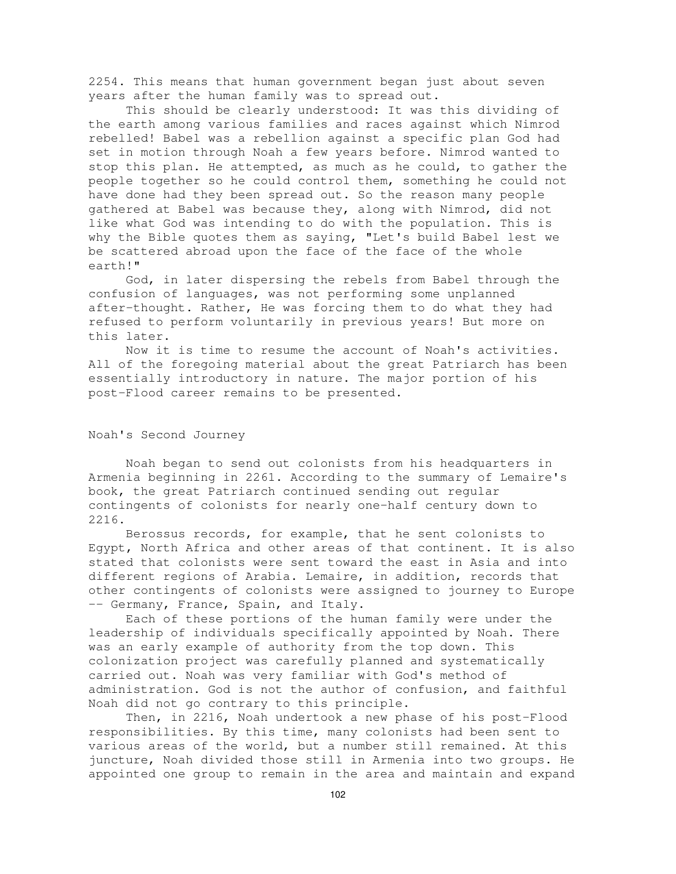2254. This means that human government began just about seven years after the human family was to spread out.

This should be clearly understood: It was this dividing of the earth among various families and races against which Nimrod rebelled! Babel was a rebellion against a specific plan God had set in motion through Noah a few years before. Nimrod wanted to stop this plan. He attempted, as much as he could, to gather the people together so he could control them, something he could not have done had they been spread out. So the reason many people gathered at Babel was because they, along with Nimrod, did not like what God was intending to do with the population. This is why the Bible quotes them as saying, "Let's build Babel lest we be scattered abroad upon the face of the face of the whole earth!"

God, in later dispersing the rebels from Babel through the confusion of languages, was not performing some unplanned after-thought. Rather, He was forcing them to do what they had refused to perform voluntarily in previous years! But more on this later.

Now it is time to resume the account of Noah's activities. All of the foregoing material about the great Patriarch has been essentially introductory in nature. The major portion of his post-Flood career remains to be presented.

#### Noah's Second Journey

Noah began to send out colonists from his headquarters in Armenia beginning in 2261. According to the summary of Lemaire's book, the great Patriarch continued sending out regular contingents of colonists for nearly one-half century down to 2216.

Berossus records, for example, that he sent colonists to Egypt, North Africa and other areas of that continent. It is also stated that colonists were sent toward the east in Asia and into different regions of Arabia. Lemaire, in addition, records that other contingents of colonists were assigned to journey to Europe -- Germany, France, Spain, and Italy.

Each of these portions of the human family were under the leadership of individuals specifically appointed by Noah. There was an early example of authority from the top down. This colonization project was carefully planned and systematically carried out. Noah was very familiar with God's method of administration. God is not the author of confusion, and faithful Noah did not go contrary to this principle.

Then, in 2216, Noah undertook a new phase of his post-Flood responsibilities. By this time, many colonists had been sent to various areas of the world, but a number still remained. At this juncture, Noah divided those still in Armenia into two groups. He appointed one group to remain in the area and maintain and expand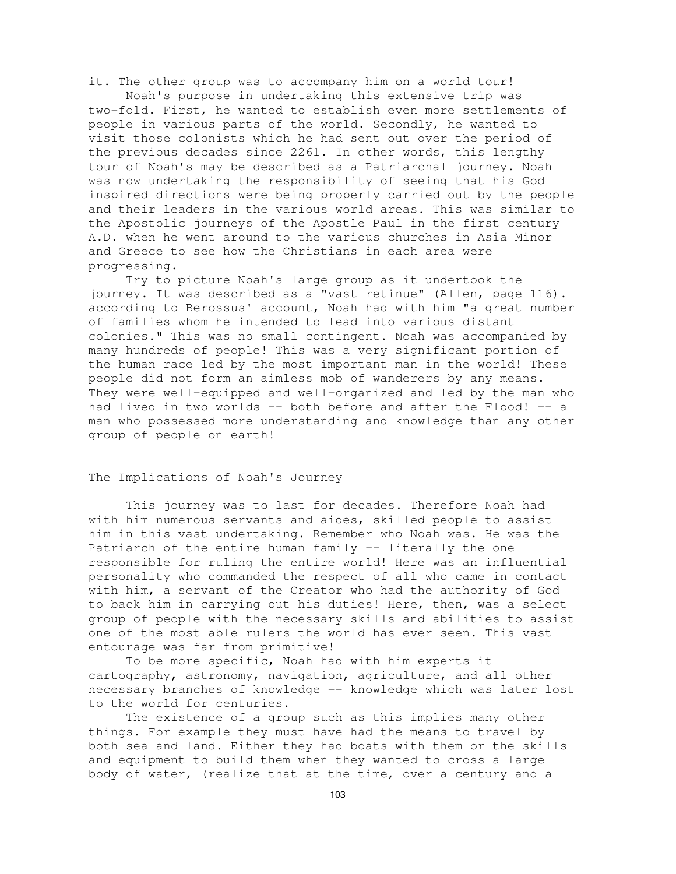it. The other group was to accompany him on a world tour!

Noah's purpose in undertaking this extensive trip was two-fold. First, he wanted to establish even more settlements of people in various parts of the world. Secondly, he wanted to visit those colonists which he had sent out over the period of the previous decades since 2261. In other words, this lengthy tour of Noah's may be described as a Patriarchal journey. Noah was now undertaking the responsibility of seeing that his God inspired directions were being properly carried out by the people and their leaders in the various world areas. This was similar to the Apostolic journeys of the Apostle Paul in the first century A.D. when he went around to the various churches in Asia Minor and Greece to see how the Christians in each area were progressing.

Try to picture Noah's large group as it undertook the journey. It was described as a "vast retinue" (Allen, page 116). according to Berossus' account, Noah had with him "a great number of families whom he intended to lead into various distant colonies." This was no small contingent. Noah was accompanied by many hundreds of people! This was a very significant portion of the human race led by the most important man in the world! These people did not form an aimless mob of wanderers by any means. They were well-equipped and well-organized and led by the man who had lived in two worlds -- both before and after the Flood! -- a man who possessed more understanding and knowledge than any other group of people on earth!

The Implications of Noah's Journey

This journey was to last for decades. Therefore Noah had with him numerous servants and aides, skilled people to assist him in this vast undertaking. Remember who Noah was. He was the Patriarch of the entire human family -- literally the one responsible for ruling the entire world! Here was an influential personality who commanded the respect of all who came in contact with him, a servant of the Creator who had the authority of God to back him in carrying out his duties! Here, then, was a select group of people with the necessary skills and abilities to assist one of the most able rulers the world has ever seen. This vast entourage was far from primitive!

To be more specific, Noah had with him experts it cartography, astronomy, navigation, agriculture, and all other necessary branches of knowledge -- knowledge which was later lost to the world for centuries.

The existence of a group such as this implies many other things. For example they must have had the means to travel by both sea and land. Either they had boats with them or the skills and equipment to build them when they wanted to cross a large body of water, (realize that at the time, over a century and a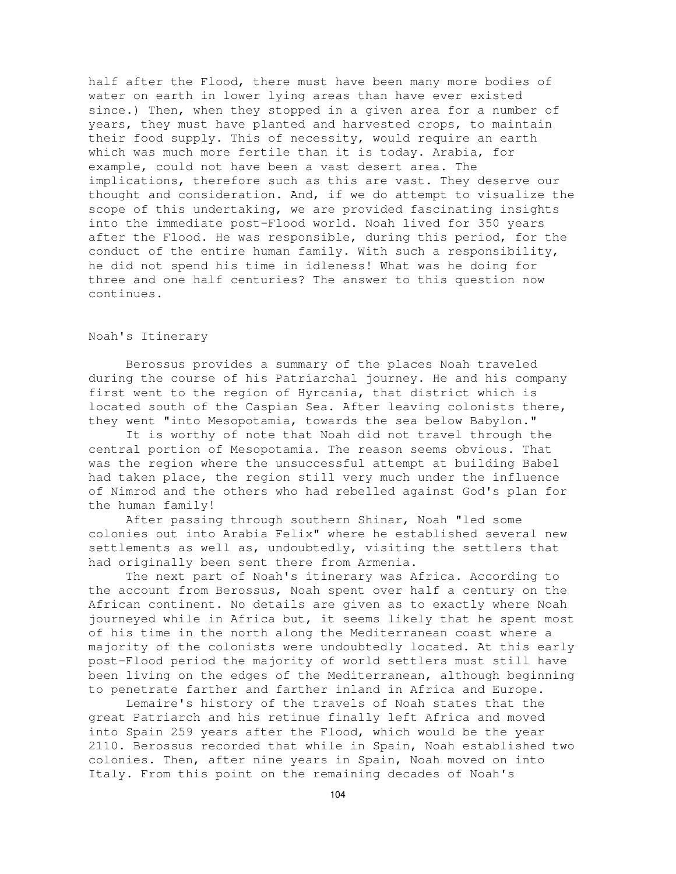half after the Flood, there must have been many more bodies of water on earth in lower lying areas than have ever existed since.) Then, when they stopped in a given area for a number of years, they must have planted and harvested crops, to maintain their food supply. This of necessity, would require an earth which was much more fertile than it is today. Arabia, for example, could not have been a vast desert area. The implications, therefore such as this are vast. They deserve our thought and consideration. And, if we do attempt to visualize the scope of this undertaking, we are provided fascinating insights into the immediate post-Flood world. Noah lived for 350 years after the Flood. He was responsible, during this period, for the conduct of the entire human family. With such a responsibility, he did not spend his time in idleness! What was he doing for three and one half centuries? The answer to this question now continues.

## Noah's Itinerary

Berossus provides a summary of the places Noah traveled during the course of his Patriarchal journey. He and his company first went to the region of Hyrcania, that district which is located south of the Caspian Sea. After leaving colonists there, they went "into Mesopotamia, towards the sea below Babylon."

It is worthy of note that Noah did not travel through the central portion of Mesopotamia. The reason seems obvious. That was the region where the unsuccessful attempt at building Babel had taken place, the region still very much under the influence of Nimrod and the others who had rebelled against God's plan for the human family!

After passing through southern Shinar, Noah "led some colonies out into Arabia Felix" where he established several new settlements as well as, undoubtedly, visiting the settlers that had originally been sent there from Armenia.

The next part of Noah's itinerary was Africa. According to the account from Berossus, Noah spent over half a century on the African continent. No details are given as to exactly where Noah journeyed while in Africa but, it seems likely that he spent most of his time in the north along the Mediterranean coast where a majority of the colonists were undoubtedly located. At this early post-Flood period the majority of world settlers must still have been living on the edges of the Mediterranean, although beginning to penetrate farther and farther inland in Africa and Europe.

Lemaire's history of the travels of Noah states that the great Patriarch and his retinue finally left Africa and moved into Spain 259 years after the Flood, which would be the year 2110. Berossus recorded that while in Spain, Noah established two colonies. Then, after nine years in Spain, Noah moved on into Italy. From this point on the remaining decades of Noah's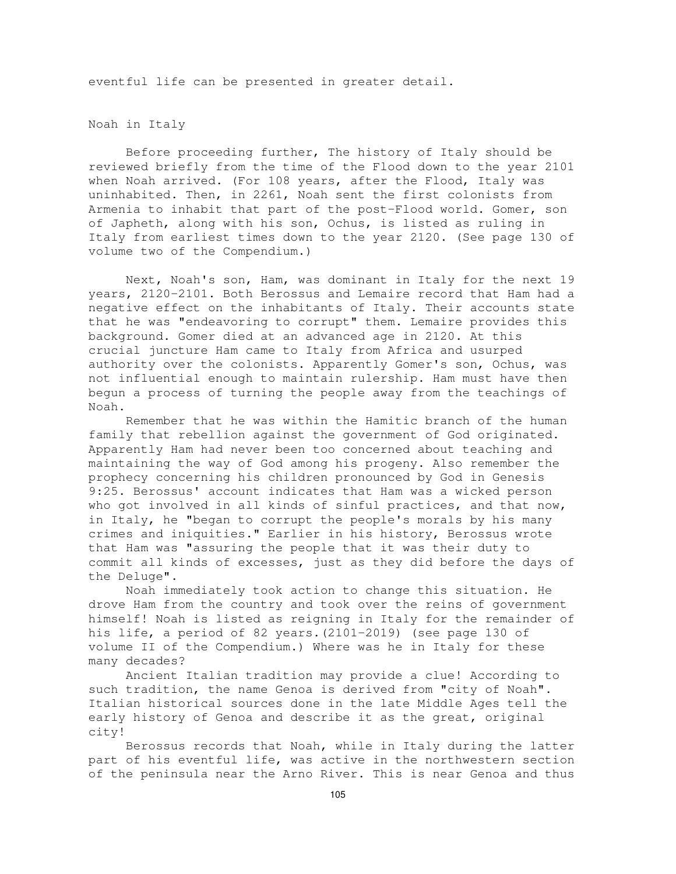eventful life can be presented in greater detail.

Noah in Italy

Before proceeding further, The history of Italy should be reviewed briefly from the time of the Flood down to the year 2101 when Noah arrived. (For 108 years, after the Flood, Italy was uninhabited. Then, in 2261, Noah sent the first colonists from Armenia to inhabit that part of the post-Flood world. Gomer, son of Japheth, along with his son, Ochus, is listed as ruling in Italy from earliest times down to the year 2120. (See page 130 of volume two of the Compendium.)

Next, Noah's son, Ham, was dominant in Italy for the next 19 years, 2120-2101. Both Berossus and Lemaire record that Ham had a negative effect on the inhabitants of Italy. Their accounts state that he was "endeavoring to corrupt" them. Lemaire provides this background. Gomer died at an advanced age in 2120. At this crucial juncture Ham came to Italy from Africa and usurped authority over the colonists. Apparently Gomer's son, Ochus, was not influential enough to maintain rulership. Ham must have then begun a process of turning the people away from the teachings of Noah.

Remember that he was within the Hamitic branch of the human family that rebellion against the government of God originated. Apparently Ham had never been too concerned about teaching and maintaining the way of God among his progeny. Also remember the prophecy concerning his children pronounced by God in Genesis 9:25. Berossus' account indicates that Ham was a wicked person who got involved in all kinds of sinful practices, and that now, in Italy, he "began to corrupt the people's morals by his many crimes and iniquities." Earlier in his history, Berossus wrote that Ham was "assuring the people that it was their duty to commit all kinds of excesses, just as they did before the days of the Deluge".

Noah immediately took action to change this situation. He drove Ham from the country and took over the reins of government himself! Noah is listed as reigning in Italy for the remainder of his life, a period of 82 years.(2101-2019) (see page 130 of volume II of the Compendium.) Where was he in Italy for these many decades?

Ancient Italian tradition may provide a clue! According to such tradition, the name Genoa is derived from "city of Noah". Italian historical sources done in the late Middle Ages tell the early history of Genoa and describe it as the great, original city!

Berossus records that Noah, while in Italy during the latter part of his eventful life, was active in the northwestern section of the peninsula near the Arno River. This is near Genoa and thus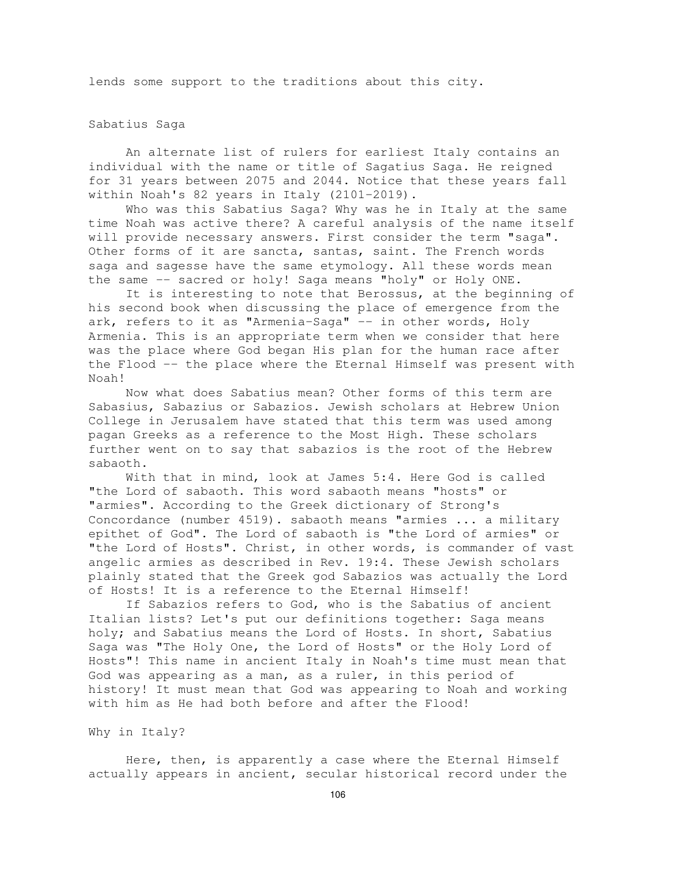lends some support to the traditions about this city.

### Sabatius Saga

An alternate list of rulers for earliest Italy contains an individual with the name or title of Sagatius Saga. He reigned for 31 years between 2075 and 2044. Notice that these years fall within Noah's 82 years in Italy (2101-2019).

Who was this Sabatius Saga? Why was he in Italy at the same time Noah was active there? A careful analysis of the name itself will provide necessary answers. First consider the term "saga". Other forms of it are sancta, santas, saint. The French words saga and sagesse have the same etymology. All these words mean the same -- sacred or holy! Saga means "holy" or Holy ONE.

It is interesting to note that Berossus, at the beginning of his second book when discussing the place of emergence from the ark, refers to it as "Armenia-Saga" -- in other words, Holy Armenia. This is an appropriate term when we consider that here was the place where God began His plan for the human race after the Flood -- the place where the Eternal Himself was present with Noah!

Now what does Sabatius mean? Other forms of this term are Sabasius, Sabazius or Sabazios. Jewish scholars at Hebrew Union College in Jerusalem have stated that this term was used among pagan Greeks as a reference to the Most High. These scholars further went on to say that sabazios is the root of the Hebrew sabaoth.

With that in mind, look at James 5:4. Here God is called "the Lord of sabaoth. This word sabaoth means "hosts" or "armies". According to the Greek dictionary of Strong's Concordance (number 4519). sabaoth means "armies ... a military epithet of God". The Lord of sabaoth is "the Lord of armies" or "the Lord of Hosts". Christ, in other words, is commander of vast angelic armies as described in Rev. 19:4. These Jewish scholars plainly stated that the Greek god Sabazios was actually the Lord of Hosts! It is a reference to the Eternal Himself!

If Sabazios refers to God, who is the Sabatius of ancient Italian lists? Let's put our definitions together: Saga means holy; and Sabatius means the Lord of Hosts. In short, Sabatius Saga was "The Holy One, the Lord of Hosts" or the Holy Lord of Hosts"! This name in ancient Italy in Noah's time must mean that God was appearing as a man, as a ruler, in this period of history! It must mean that God was appearing to Noah and working with him as He had both before and after the Flood!

## Why in Italy?

Here, then, is apparently a case where the Eternal Himself actually appears in ancient, secular historical record under the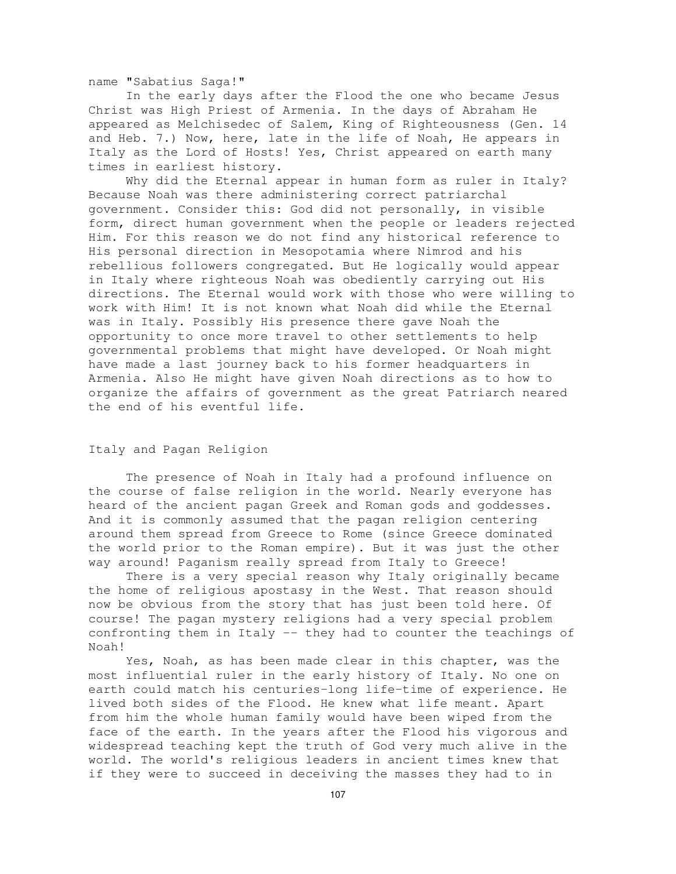name "Sabatius Saga!"

In the early days after the Flood the one who became Jesus Christ was High Priest of Armenia. In the days of Abraham He appeared as Melchisedec of Salem, King of Righteousness (Gen. 14 and Heb. 7.) Now, here, late in the life of Noah, He appears in Italy as the Lord of Hosts! Yes, Christ appeared on earth many times in earliest history.

Why did the Eternal appear in human form as ruler in Italy? Because Noah was there administering correct patriarchal government. Consider this: God did not personally, in visible form, direct human government when the people or leaders rejected Him. For this reason we do not find any historical reference to His personal direction in Mesopotamia where Nimrod and his rebellious followers congregated. But He logically would appear in Italy where righteous Noah was obediently carrying out His directions. The Eternal would work with those who were willing to work with Him! It is not known what Noah did while the Eternal was in Italy. Possibly His presence there gave Noah the opportunity to once more travel to other settlements to help governmental problems that might have developed. Or Noah might have made a last journey back to his former headquarters in Armenia. Also He might have given Noah directions as to how to organize the affairs of government as the great Patriarch neared the end of his eventful life.

# Italy and Pagan Religion

The presence of Noah in Italy had a profound influence on the course of false religion in the world. Nearly everyone has heard of the ancient pagan Greek and Roman gods and goddesses. And it is commonly assumed that the pagan religion centering around them spread from Greece to Rome (since Greece dominated the world prior to the Roman empire). But it was just the other way around! Paganism really spread from Italy to Greece!

There is a very special reason why Italy originally became the home of religious apostasy in the West. That reason should now be obvious from the story that has just been told here. Of course! The pagan mystery religions had a very special problem confronting them in Italy -- they had to counter the teachings of Noah!

Yes, Noah, as has been made clear in this chapter, was the most influential ruler in the early history of Italy. No one on earth could match his centuries-long life-time of experience. He lived both sides of the Flood. He knew what life meant. Apart from him the whole human family would have been wiped from the face of the earth. In the years after the Flood his vigorous and widespread teaching kept the truth of God very much alive in the world. The world's religious leaders in ancient times knew that if they were to succeed in deceiving the masses they had to in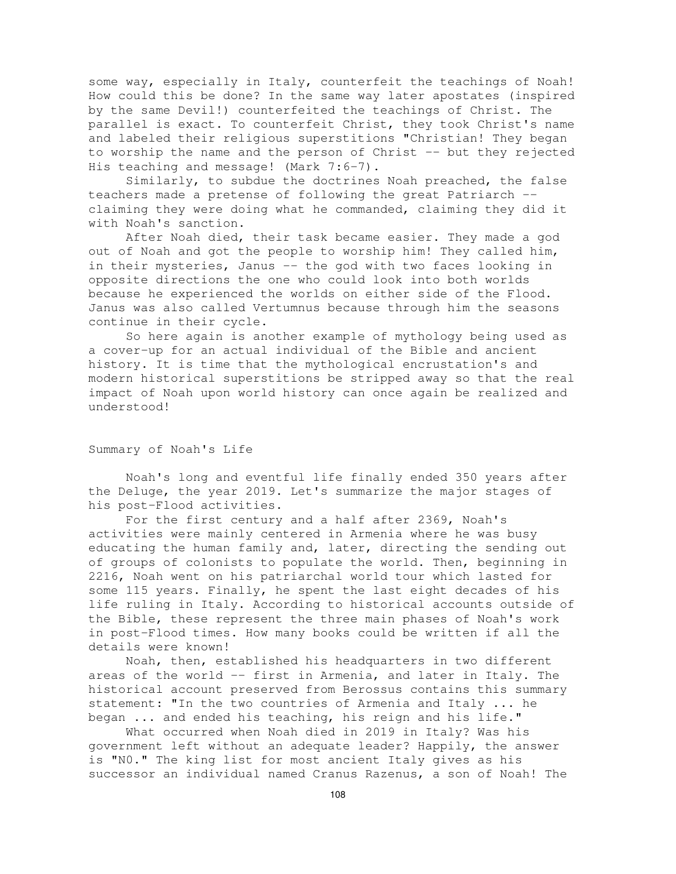some way, especially in Italy, counterfeit the teachings of Noah! How could this be done? In the same way later apostates (inspired by the same Devil!) counterfeited the teachings of Christ. The parallel is exact. To counterfeit Christ, they took Christ's name and labeled their religious superstitions "Christian! They began to worship the name and the person of Christ -- but they rejected His teaching and message! (Mark 7:6-7).

Similarly, to subdue the doctrines Noah preached, the false teachers made a pretense of following the great Patriarch - claiming they were doing what he commanded, claiming they did it with Noah's sanction.

After Noah died, their task became easier. They made a god out of Noah and got the people to worship him! They called him, in their mysteries, Janus -- the god with two faces looking in opposite directions the one who could look into both worlds because he experienced the worlds on either side of the Flood. Janus was also called Vertumnus because through him the seasons continue in their cycle.

So here again is another example of mythology being used as a cover-up for an actual individual of the Bible and ancient history. It is time that the mythological encrustation's and modern historical superstitions be stripped away so that the real impact of Noah upon world history can once again be realized and understood!

# Summary of Noah's Life

Noah's long and eventful life finally ended 350 years after the Deluge, the year 2019. Let's summarize the major stages of his post-Flood activities.

For the first century and a half after 2369, Noah's activities were mainly centered in Armenia where he was busy educating the human family and, later, directing the sending out of groups of colonists to populate the world. Then, beginning in 2216, Noah went on his patriarchal world tour which lasted for some 115 years. Finally, he spent the last eight decades of his life ruling in Italy. According to historical accounts outside of the Bible, these represent the three main phases of Noah's work in post-Flood times. How many books could be written if all the details were known!

Noah, then, established his headquarters in two different areas of the world -- first in Armenia, and later in Italy. The historical account preserved from Berossus contains this summary statement: "In the two countries of Armenia and Italy ... he began ... and ended his teaching, his reign and his life."

What occurred when Noah died in 2019 in Italy? Was his government left without an adequate leader? Happily, the answer is "N0." The king list for most ancient Italy gives as his successor an individual named Cranus Razenus, a son of Noah! The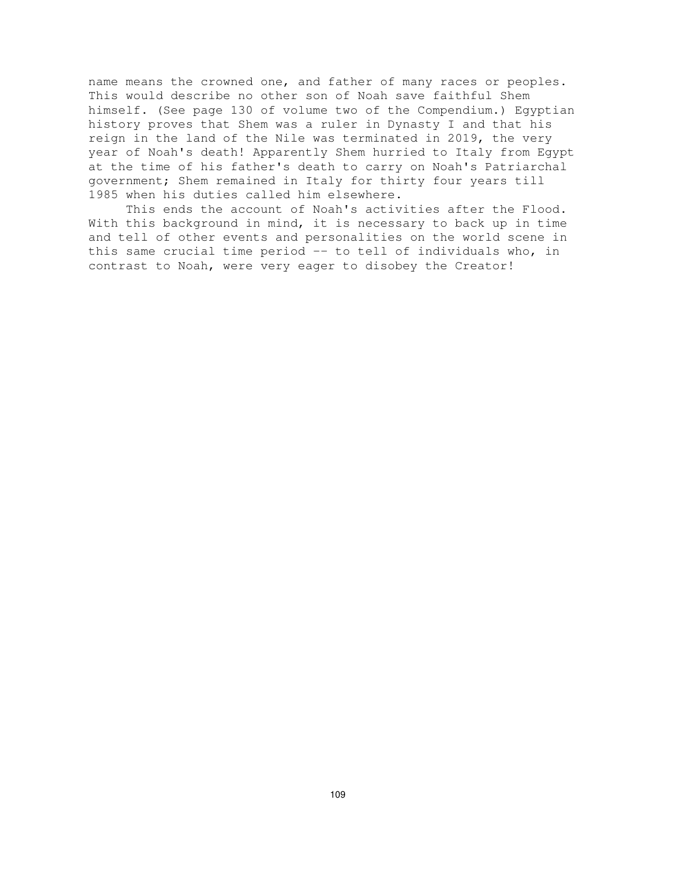name means the crowned one, and father of many races or peoples. This would describe no other son of Noah save faithful Shem himself. (See page 130 of volume two of the Compendium.) Egyptian history proves that Shem was a ruler in Dynasty I and that his reign in the land of the Nile was terminated in 2019, the very year of Noah's death! Apparently Shem hurried to Italy from Egypt at the time of his father's death to carry on Noah's Patriarchal government; Shem remained in Italy for thirty four years till 1985 when his duties called him elsewhere.

This ends the account of Noah's activities after the Flood. With this background in mind, it is necessary to back up in time and tell of other events and personalities on the world scene in this same crucial time period -- to tell of individuals who, in contrast to Noah, were very eager to disobey the Creator!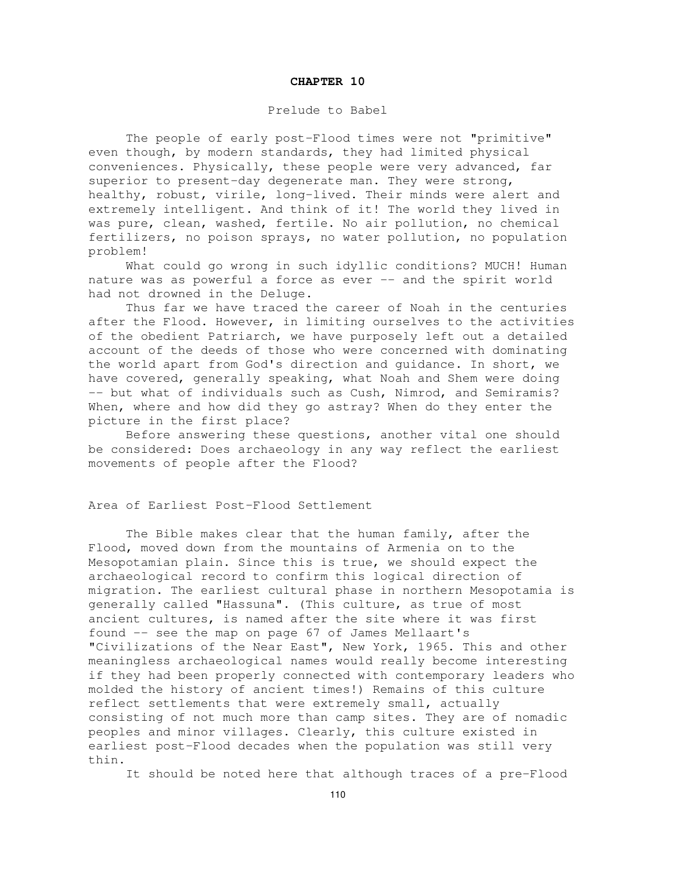# Prelude to Babel

The people of early post-Flood times were not "primitive" even though, by modern standards, they had limited physical conveniences. Physically, these people were very advanced, far superior to present-day degenerate man. They were strong, healthy, robust, virile, long-lived. Their minds were alert and extremely intelligent. And think of it! The world they lived in was pure, clean, washed, fertile. No air pollution, no chemical fertilizers, no poison sprays, no water pollution, no population problem!

What could go wrong in such idyllic conditions? MUCH! Human nature was as powerful a force as ever -- and the spirit world had not drowned in the Deluge.

Thus far we have traced the career of Noah in the centuries after the Flood. However, in limiting ourselves to the activities of the obedient Patriarch, we have purposely left out a detailed account of the deeds of those who were concerned with dominating the world apart from God's direction and guidance. In short, we have covered, generally speaking, what Noah and Shem were doing -- but what of individuals such as Cush, Nimrod, and Semiramis? When, where and how did they go astray? When do they enter the picture in the first place?

Before answering these questions, another vital one should be considered: Does archaeology in any way reflect the earliest movements of people after the Flood?

Area of Earliest Post-Flood Settlement

The Bible makes clear that the human family, after the Flood, moved down from the mountains of Armenia on to the Mesopotamian plain. Since this is true, we should expect the archaeological record to confirm this logical direction of migration. The earliest cultural phase in northern Mesopotamia is generally called "Hassuna". (This culture, as true of most ancient cultures, is named after the site where it was first found -- see the map on page 67 of James Mellaart's "Civilizations of the Near East", New York, 1965. This and other meaningless archaeological names would really become interesting if they had been properly connected with contemporary leaders who molded the history of ancient times!) Remains of this culture reflect settlements that were extremely small, actually consisting of not much more than camp sites. They are of nomadic peoples and minor villages. Clearly, this culture existed in earliest post-Flood decades when the population was still very thin.

It should be noted here that although traces of a pre-Flood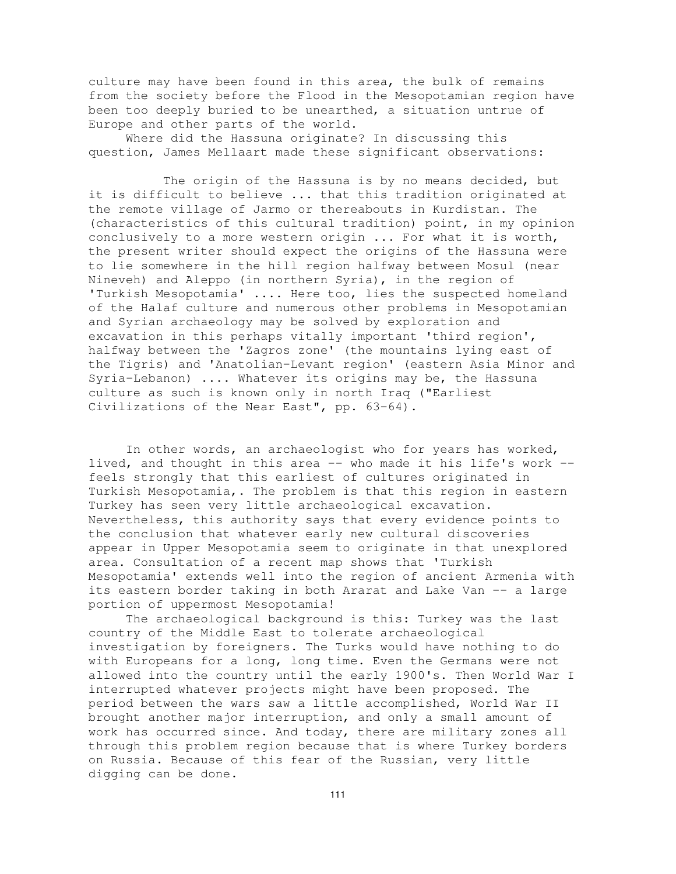culture may have been found in this area, the bulk of remains from the society before the Flood in the Mesopotamian region have been too deeply buried to be unearthed, a situation untrue of Europe and other parts of the world.

Where did the Hassuna originate? In discussing this question, James Mellaart made these significant observations:

The origin of the Hassuna is by no means decided, but it is difficult to believe ... that this tradition originated at the remote village of Jarmo or thereabouts in Kurdistan. The (characteristics of this cultural tradition) point, in my opinion conclusively to a more western origin ... For what it is worth, the present writer should expect the origins of the Hassuna were to lie somewhere in the hill region halfway between Mosul (near Nineveh) and Aleppo (in northern Syria), in the region of 'Turkish Mesopotamia' .... Here too, lies the suspected homeland of the Halaf culture and numerous other problems in Mesopotamian and Syrian archaeology may be solved by exploration and excavation in this perhaps vitally important 'third region', halfway between the 'Zagros zone' (the mountains lying east of the Tigris) and 'Anatolian-Levant region' (eastern Asia Minor and Syria-Lebanon) .... Whatever its origins may be, the Hassuna culture as such is known only in north Iraq ("Earliest Civilizations of the Near East", pp. 63-64).

In other words, an archaeologist who for years has worked, lived, and thought in this area -- who made it his life's work - feels strongly that this earliest of cultures originated in Turkish Mesopotamia,. The problem is that this region in eastern Turkey has seen very little archaeological excavation. Nevertheless, this authority says that every evidence points to the conclusion that whatever early new cultural discoveries appear in Upper Mesopotamia seem to originate in that unexplored area. Consultation of a recent map shows that 'Turkish Mesopotamia' extends well into the region of ancient Armenia with its eastern border taking in both Ararat and Lake Van -- a large portion of uppermost Mesopotamia!

The archaeological background is this: Turkey was the last country of the Middle East to tolerate archaeological investigation by foreigners. The Turks would have nothing to do with Europeans for a long, long time. Even the Germans were not allowed into the country until the early 1900's. Then World War I interrupted whatever projects might have been proposed. The period between the wars saw a little accomplished, World War II brought another major interruption, and only a small amount of work has occurred since. And today, there are military zones all through this problem region because that is where Turkey borders on Russia. Because of this fear of the Russian, very little digging can be done.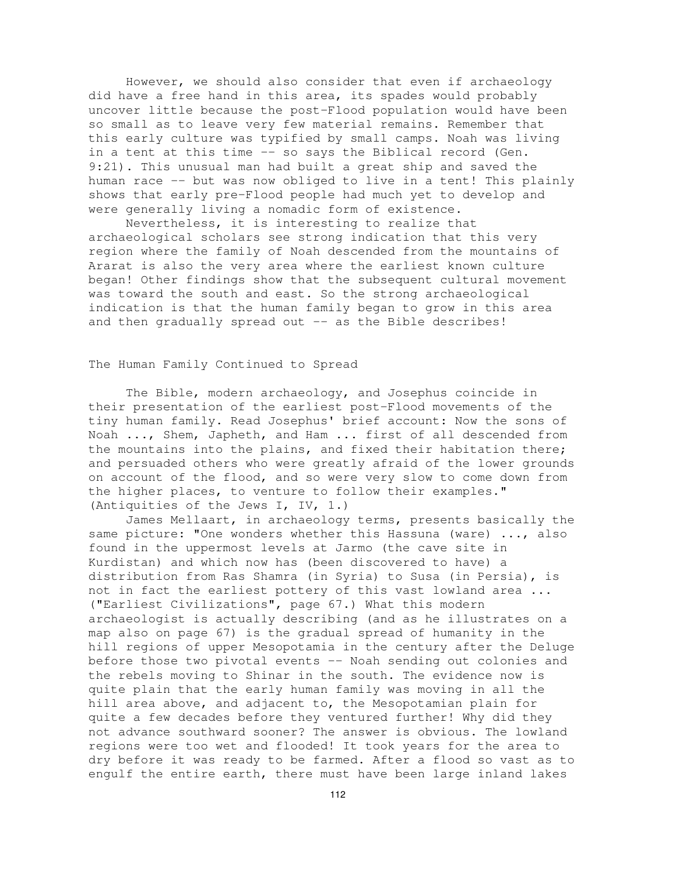However, we should also consider that even if archaeology did have a free hand in this area, its spades would probably uncover little because the post-Flood population would have been so small as to leave very few material remains. Remember that this early culture was typified by small camps. Noah was living in a tent at this time -- so says the Biblical record (Gen. 9:21). This unusual man had built a great ship and saved the human race -- but was now obliged to live in a tent! This plainly shows that early pre-Flood people had much yet to develop and were generally living a nomadic form of existence.

Nevertheless, it is interesting to realize that archaeological scholars see strong indication that this very region where the family of Noah descended from the mountains of Ararat is also the very area where the earliest known culture began! Other findings show that the subsequent cultural movement was toward the south and east. So the strong archaeological indication is that the human family began to grow in this area and then gradually spread out -- as the Bible describes!

## The Human Family Continued to Spread

The Bible, modern archaeology, and Josephus coincide in their presentation of the earliest post-Flood movements of the tiny human family. Read Josephus' brief account: Now the sons of Noah ..., Shem, Japheth, and Ham ... first of all descended from the mountains into the plains, and fixed their habitation there; and persuaded others who were greatly afraid of the lower grounds on account of the flood, and so were very slow to come down from the higher places, to venture to follow their examples." (Antiquities of the Jews I, IV, 1.)

James Mellaart, in archaeology terms, presents basically the same picture: "One wonders whether this Hassuna (ware) ..., also found in the uppermost levels at Jarmo (the cave site in Kurdistan) and which now has (been discovered to have) a distribution from Ras Shamra (in Syria) to Susa (in Persia), is not in fact the earliest pottery of this vast lowland area ... ("Earliest Civilizations", page 67.) What this modern archaeologist is actually describing (and as he illustrates on a map also on page 67) is the gradual spread of humanity in the hill regions of upper Mesopotamia in the century after the Deluge before those two pivotal events -- Noah sending out colonies and the rebels moving to Shinar in the south. The evidence now is quite plain that the early human family was moving in all the hill area above, and adjacent to, the Mesopotamian plain for quite a few decades before they ventured further! Why did they not advance southward sooner? The answer is obvious. The lowland regions were too wet and flooded! It took years for the area to dry before it was ready to be farmed. After a flood so vast as to engulf the entire earth, there must have been large inland lakes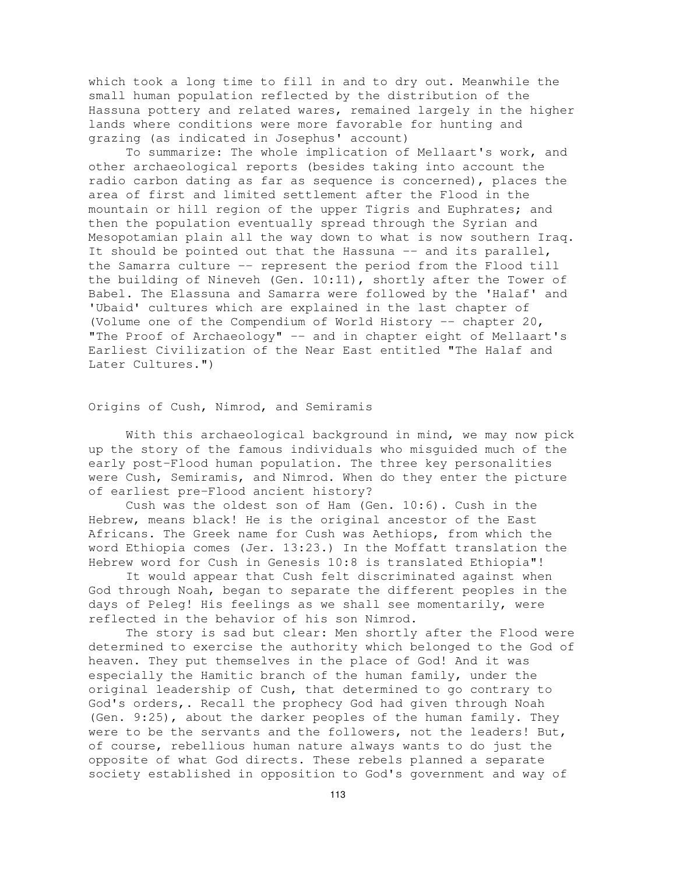which took a long time to fill in and to dry out. Meanwhile the small human population reflected by the distribution of the Hassuna pottery and related wares, remained largely in the higher lands where conditions were more favorable for hunting and grazing (as indicated in Josephus' account)

To summarize: The whole implication of Mellaart's work, and other archaeological reports (besides taking into account the radio carbon dating as far as sequence is concerned), places the area of first and limited settlement after the Flood in the mountain or hill region of the upper Tigris and Euphrates; and then the population eventually spread through the Syrian and Mesopotamian plain all the way down to what is now southern Iraq. It should be pointed out that the Hassuna -- and its parallel, the Samarra culture -- represent the period from the Flood till the building of Nineveh (Gen. 10:11), shortly after the Tower of Babel. The Elassuna and Samarra were followed by the 'Halaf' and 'Ubaid' cultures which are explained in the last chapter of (Volume one of the Compendium of World History -- chapter 20, "The Proof of Archaeology" -- and in chapter eight of Mellaart's Earliest Civilization of the Near East entitled "The Halaf and Later Cultures.")

Origins of Cush, Nimrod, and Semiramis

With this archaeological background in mind, we may now pick up the story of the famous individuals who misguided much of the early post-Flood human population. The three key personalities were Cush, Semiramis, and Nimrod. When do they enter the picture of earliest pre-Flood ancient history?

Cush was the oldest son of Ham (Gen. 10:6). Cush in the Hebrew, means black! He is the original ancestor of the East Africans. The Greek name for Cush was Aethiops, from which the word Ethiopia comes (Jer. 13:23.) In the Moffatt translation the Hebrew word for Cush in Genesis 10:8 is translated Ethiopia"!

It would appear that Cush felt discriminated against when God through Noah, began to separate the different peoples in the days of Peleg! His feelings as we shall see momentarily, were reflected in the behavior of his son Nimrod.

The story is sad but clear: Men shortly after the Flood were determined to exercise the authority which belonged to the God of heaven. They put themselves in the place of God! And it was especially the Hamitic branch of the human family, under the original leadership of Cush, that determined to go contrary to God's orders,. Recall the prophecy God had given through Noah (Gen. 9:25), about the darker peoples of the human family. They were to be the servants and the followers, not the leaders! But, of course, rebellious human nature always wants to do just the opposite of what God directs. These rebels planned a separate society established in opposition to God's government and way of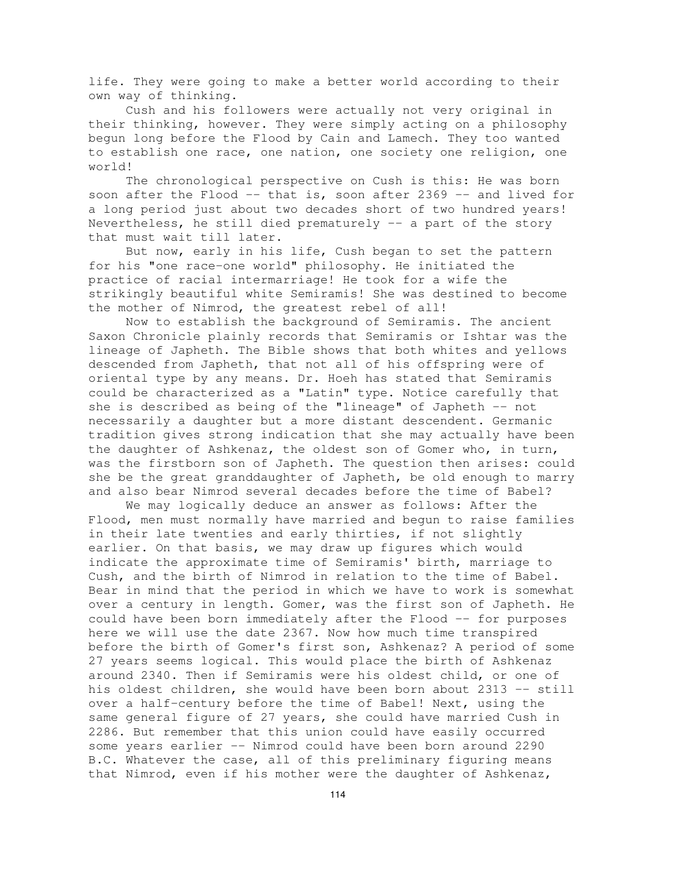life. They were going to make a better world according to their own way of thinking.

Cush and his followers were actually not very original in their thinking, however. They were simply acting on a philosophy begun long before the Flood by Cain and Lamech. They too wanted to establish one race, one nation, one society one religion, one world!

The chronological perspective on Cush is this: He was born soon after the Flood -- that is, soon after 2369 -- and lived for a long period just about two decades short of two hundred years! Nevertheless, he still died prematurely -- a part of the story that must wait till later.

But now, early in his life, Cush began to set the pattern for his "one race-one world" philosophy. He initiated the practice of racial intermarriage! He took for a wife the strikingly beautiful white Semiramis! She was destined to become the mother of Nimrod, the greatest rebel of all!

Now to establish the background of Semiramis. The ancient Saxon Chronicle plainly records that Semiramis or Ishtar was the lineage of Japheth. The Bible shows that both whites and yellows descended from Japheth, that not all of his offspring were of oriental type by any means. Dr. Hoeh has stated that Semiramis could be characterized as a "Latin" type. Notice carefully that she is described as being of the "lineage" of Japheth -- not necessarily a daughter but a more distant descendent. Germanic tradition gives strong indication that she may actually have been the daughter of Ashkenaz, the oldest son of Gomer who, in turn, was the firstborn son of Japheth. The question then arises: could she be the great granddaughter of Japheth, be old enough to marry and also bear Nimrod several decades before the time of Babel?

We may logically deduce an answer as follows: After the Flood, men must normally have married and begun to raise families in their late twenties and early thirties, if not slightly earlier. On that basis, we may draw up figures which would indicate the approximate time of Semiramis' birth, marriage to Cush, and the birth of Nimrod in relation to the time of Babel. Bear in mind that the period in which we have to work is somewhat over a century in length. Gomer, was the first son of Japheth. He could have been born immediately after the Flood -- for purposes here we will use the date 2367. Now how much time transpired before the birth of Gomer's first son, Ashkenaz? A period of some 27 years seems logical. This would place the birth of Ashkenaz around 2340. Then if Semiramis were his oldest child, or one of his oldest children, she would have been born about 2313 -- still over a half-century before the time of Babel! Next, using the same general figure of 27 years, she could have married Cush in 2286. But remember that this union could have easily occurred some years earlier -- Nimrod could have been born around 2290 B.C. Whatever the case, all of this preliminary figuring means that Nimrod, even if his mother were the daughter of Ashkenaz,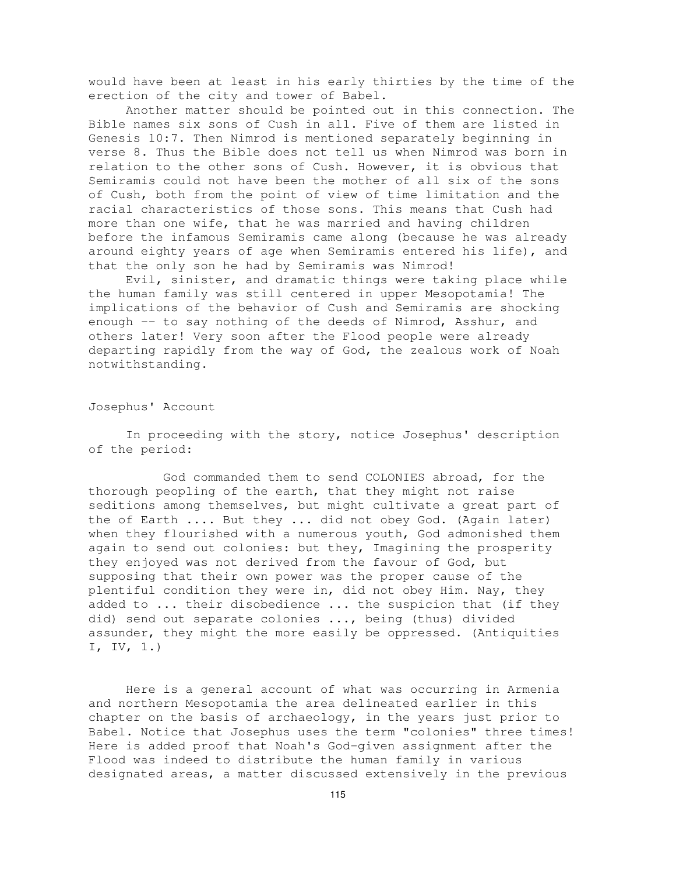would have been at least in his early thirties by the time of the erection of the city and tower of Babel.

Another matter should be pointed out in this connection. The Bible names six sons of Cush in all. Five of them are listed in Genesis 10:7. Then Nimrod is mentioned separately beginning in verse 8. Thus the Bible does not tell us when Nimrod was born in relation to the other sons of Cush. However, it is obvious that Semiramis could not have been the mother of all six of the sons of Cush, both from the point of view of time limitation and the racial characteristics of those sons. This means that Cush had more than one wife, that he was married and having children before the infamous Semiramis came along (because he was already around eighty years of age when Semiramis entered his life), and that the only son he had by Semiramis was Nimrod!

Evil, sinister, and dramatic things were taking place while the human family was still centered in upper Mesopotamia! The implications of the behavior of Cush and Semiramis are shocking enough -- to say nothing of the deeds of Nimrod, Asshur, and others later! Very soon after the Flood people were already departing rapidly from the way of God, the zealous work of Noah notwithstanding.

Josephus' Account

In proceeding with the story, notice Josephus' description of the period:

God commanded them to send COLONIES abroad, for the thorough peopling of the earth, that they might not raise seditions among themselves, but might cultivate a great part of the of Earth .... But they ... did not obey God. (Again later) when they flourished with a numerous youth, God admonished them again to send out colonies: but they, Imagining the prosperity they enjoyed was not derived from the favour of God, but supposing that their own power was the proper cause of the plentiful condition they were in, did not obey Him. Nay, they added to ... their disobedience ... the suspicion that (if they did) send out separate colonies ..., being (thus) divided assunder, they might the more easily be oppressed. (Antiquities I, IV, 1.)

Here is a general account of what was occurring in Armenia and northern Mesopotamia the area delineated earlier in this chapter on the basis of archaeology, in the years just prior to Babel. Notice that Josephus uses the term "colonies" three times! Here is added proof that Noah's God-given assignment after the Flood was indeed to distribute the human family in various designated areas, a matter discussed extensively in the previous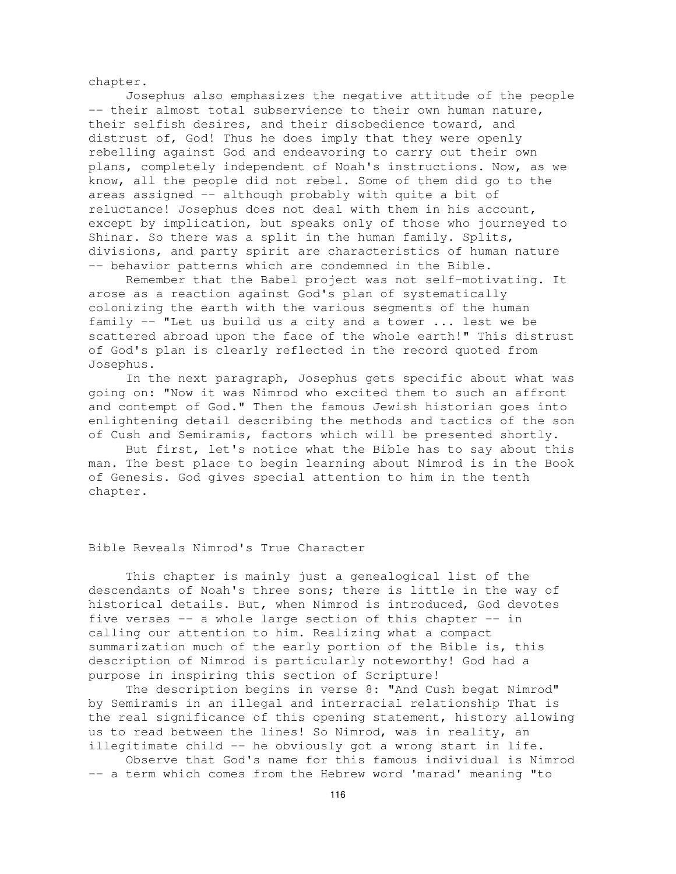chapter.

Josephus also emphasizes the negative attitude of the people -- their almost total subservience to their own human nature, their selfish desires, and their disobedience toward, and distrust of, God! Thus he does imply that they were openly rebelling against God and endeavoring to carry out their own plans, completely independent of Noah's instructions. Now, as we know, all the people did not rebel. Some of them did go to the areas assigned -- although probably with quite a bit of reluctance! Josephus does not deal with them in his account, except by implication, but speaks only of those who journeyed to Shinar. So there was a split in the human family. Splits, divisions, and party spirit are characteristics of human nature -- behavior patterns which are condemned in the Bible.

Remember that the Babel project was not self-motivating. It arose as a reaction against God's plan of systematically colonizing the earth with the various segments of the human family -- "Let us build us a city and a tower ... lest we be scattered abroad upon the face of the whole earth!" This distrust of God's plan is clearly reflected in the record quoted from Josephus.

In the next paragraph, Josephus gets specific about what was going on: "Now it was Nimrod who excited them to such an affront and contempt of God." Then the famous Jewish historian goes into enlightening detail describing the methods and tactics of the son of Cush and Semiramis, factors which will be presented shortly.

But first, let's notice what the Bible has to say about this man. The best place to begin learning about Nimrod is in the Book of Genesis. God gives special attention to him in the tenth chapter.

## Bible Reveals Nimrod's True Character

This chapter is mainly just a genealogical list of the descendants of Noah's three sons; there is little in the way of historical details. But, when Nimrod is introduced, God devotes five verses -- a whole large section of this chapter -- in calling our attention to him. Realizing what a compact summarization much of the early portion of the Bible is, this description of Nimrod is particularly noteworthy! God had a purpose in inspiring this section of Scripture!

The description begins in verse 8: "And Cush begat Nimrod" by Semiramis in an illegal and interracial relationship That is the real significance of this opening statement, history allowing us to read between the lines! So Nimrod, was in reality, an illegitimate child -- he obviously got a wrong start in life.

Observe that God's name for this famous individual is Nimrod -- a term which comes from the Hebrew word 'marad' meaning "to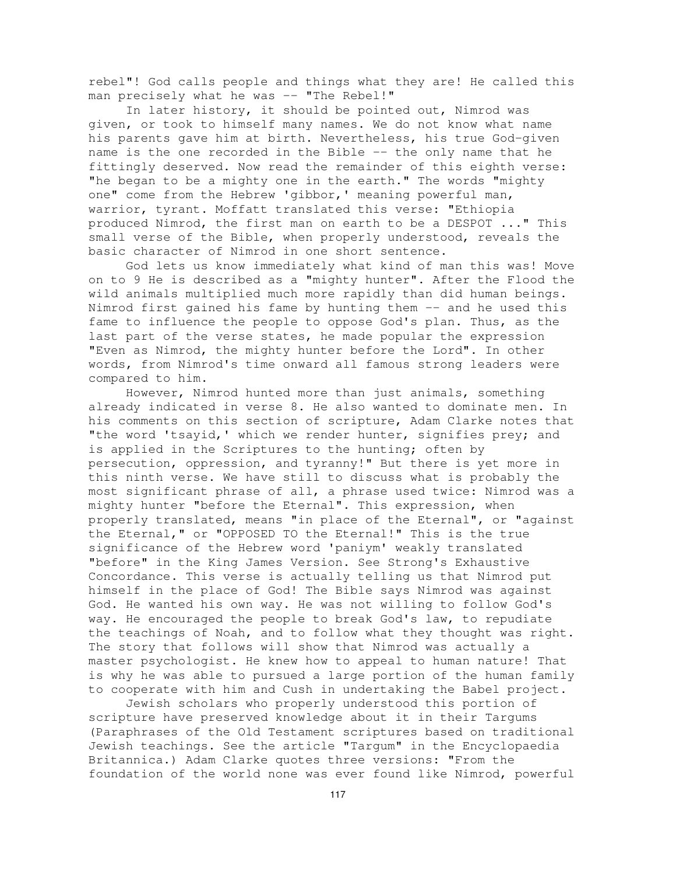rebel"! God calls people and things what they are! He called this man precisely what he was -- "The Rebel!"

In later history, it should be pointed out, Nimrod was given, or took to himself many names. We do not know what name his parents gave him at birth. Nevertheless, his true God-given name is the one recorded in the Bible -- the only name that he fittingly deserved. Now read the remainder of this eighth verse: "he began to be a mighty one in the earth." The words "mighty one" come from the Hebrew 'gibbor,' meaning powerful man, warrior, tyrant. Moffatt translated this verse: "Ethiopia produced Nimrod, the first man on earth to be a DESPOT ..." This small verse of the Bible, when properly understood, reveals the basic character of Nimrod in one short sentence.

God lets us know immediately what kind of man this was! Move on to 9 He is described as a "mighty hunter". After the Flood the wild animals multiplied much more rapidly than did human beings. Nimrod first gained his fame by hunting them -- and he used this fame to influence the people to oppose God's plan. Thus, as the last part of the verse states, he made popular the expression "Even as Nimrod, the mighty hunter before the Lord". In other words, from Nimrod's time onward all famous strong leaders were compared to him.

However, Nimrod hunted more than just animals, something already indicated in verse 8. He also wanted to dominate men. In his comments on this section of scripture, Adam Clarke notes that "the word 'tsayid,' which we render hunter, signifies prey; and is applied in the Scriptures to the hunting; often by persecution, oppression, and tyranny!" But there is yet more in this ninth verse. We have still to discuss what is probably the most significant phrase of all, a phrase used twice: Nimrod was a mighty hunter "before the Eternal". This expression, when properly translated, means "in place of the Eternal", or "against the Eternal," or "OPPOSED TO the Eternal!" This is the true significance of the Hebrew word 'paniym' weakly translated "before" in the King James Version. See Strong's Exhaustive Concordance. This verse is actually telling us that Nimrod put himself in the place of God! The Bible says Nimrod was against God. He wanted his own way. He was not willing to follow God's way. He encouraged the people to break God's law, to repudiate the teachings of Noah, and to follow what they thought was right. The story that follows will show that Nimrod was actually a master psychologist. He knew how to appeal to human nature! That is why he was able to pursued a large portion of the human family to cooperate with him and Cush in undertaking the Babel project.

Jewish scholars who properly understood this portion of scripture have preserved knowledge about it in their Targums (Paraphrases of the Old Testament scriptures based on traditional Jewish teachings. See the article "Targum" in the Encyclopaedia Britannica.) Adam Clarke quotes three versions: "From the foundation of the world none was ever found like Nimrod, powerful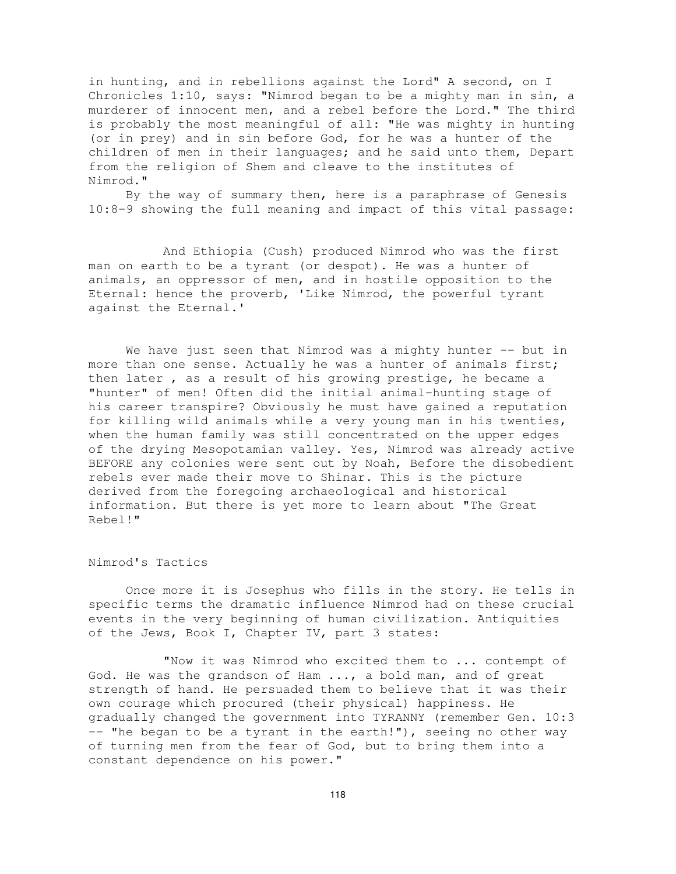in hunting, and in rebellions against the Lord" A second, on I Chronicles 1:10, says: "Nimrod began to be a mighty man in sin, a murderer of innocent men, and a rebel before the Lord." The third is probably the most meaningful of all: "He was mighty in hunting (or in prey) and in sin before God, for he was a hunter of the children of men in their languages; and he said unto them, Depart from the religion of Shem and cleave to the institutes of Nimrod."

By the way of summary then, here is a paraphrase of Genesis 10:8-9 showing the full meaning and impact of this vital passage:

And Ethiopia (Cush) produced Nimrod who was the first man on earth to be a tyrant (or despot). He was a hunter of animals, an oppressor of men, and in hostile opposition to the Eternal: hence the proverb, 'Like Nimrod, the powerful tyrant against the Eternal.'

We have just seen that Nimrod was a mighty hunter -- but in more than one sense. Actually he was a hunter of animals first; then later , as a result of his growing prestige, he became a "hunter" of men! Often did the initial animal-hunting stage of his career transpire? Obviously he must have gained a reputation for killing wild animals while a very young man in his twenties, when the human family was still concentrated on the upper edges of the drying Mesopotamian valley. Yes, Nimrod was already active BEFORE any colonies were sent out by Noah, Before the disobedient rebels ever made their move to Shinar. This is the picture derived from the foregoing archaeological and historical information. But there is yet more to learn about "The Great Rebel!"

#### Nimrod's Tactics

Once more it is Josephus who fills in the story. He tells in specific terms the dramatic influence Nimrod had on these crucial events in the very beginning of human civilization. Antiquities of the Jews, Book I, Chapter IV, part 3 states:

"Now it was Nimrod who excited them to ... contempt of God. He was the grandson of Ham ..., a bold man, and of great strength of hand. He persuaded them to believe that it was their own courage which procured (their physical) happiness. He gradually changed the government into TYRANNY (remember Gen. 10:3  $--$  "he began to be a tyrant in the earth!"), seeing no other way of turning men from the fear of God, but to bring them into a constant dependence on his power."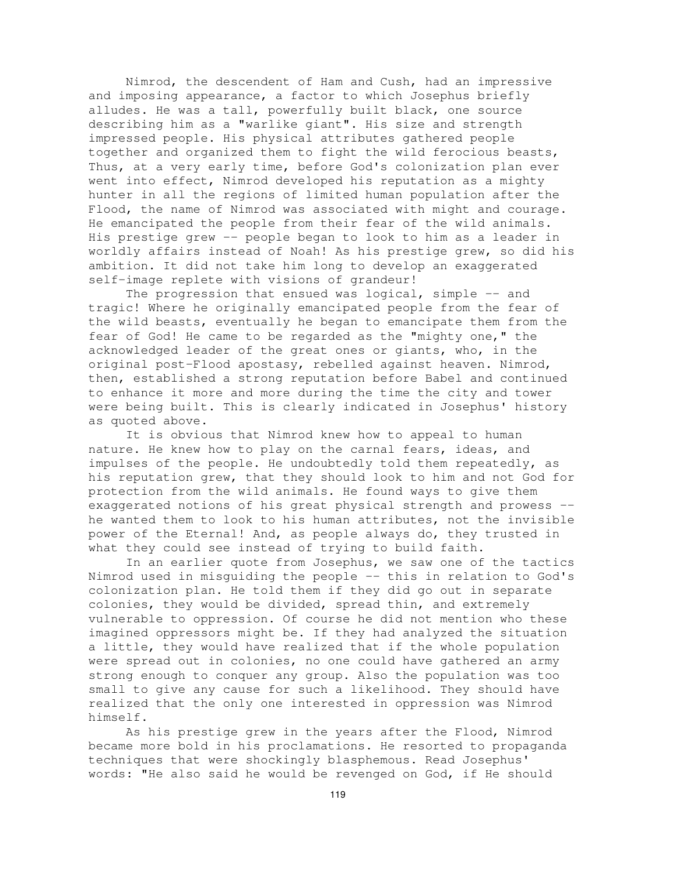Nimrod, the descendent of Ham and Cush, had an impressive and imposing appearance, a factor to which Josephus briefly alludes. He was a tall, powerfully built black, one source describing him as a "warlike giant". His size and strength impressed people. His physical attributes gathered people together and organized them to fight the wild ferocious beasts, Thus, at a very early time, before God's colonization plan ever went into effect, Nimrod developed his reputation as a mighty hunter in all the regions of limited human population after the Flood, the name of Nimrod was associated with might and courage. He emancipated the people from their fear of the wild animals. His prestige grew -- people began to look to him as a leader in worldly affairs instead of Noah! As his prestige grew, so did his ambition. It did not take him long to develop an exaggerated self-image replete with visions of grandeur!

The progression that ensued was logical, simple -- and tragic! Where he originally emancipated people from the fear of the wild beasts, eventually he began to emancipate them from the fear of God! He came to be regarded as the "mighty one," the acknowledged leader of the great ones or giants, who, in the original post-Flood apostasy, rebelled against heaven. Nimrod, then, established a strong reputation before Babel and continued to enhance it more and more during the time the city and tower were being built. This is clearly indicated in Josephus' history as quoted above.

It is obvious that Nimrod knew how to appeal to human nature. He knew how to play on the carnal fears, ideas, and impulses of the people. He undoubtedly told them repeatedly, as his reputation grew, that they should look to him and not God for protection from the wild animals. He found ways to give them exaggerated notions of his great physical strength and prowess - he wanted them to look to his human attributes, not the invisible power of the Eternal! And, as people always do, they trusted in what they could see instead of trying to build faith.

In an earlier quote from Josephus, we saw one of the tactics Nimrod used in misguiding the people -- this in relation to God's colonization plan. He told them if they did go out in separate colonies, they would be divided, spread thin, and extremely vulnerable to oppression. Of course he did not mention who these imagined oppressors might be. If they had analyzed the situation a little, they would have realized that if the whole population were spread out in colonies, no one could have gathered an army strong enough to conquer any group. Also the population was too small to give any cause for such a likelihood. They should have realized that the only one interested in oppression was Nimrod himself.

As his prestige grew in the years after the Flood, Nimrod became more bold in his proclamations. He resorted to propaganda techniques that were shockingly blasphemous. Read Josephus' words: "He also said he would be revenged on God, if He should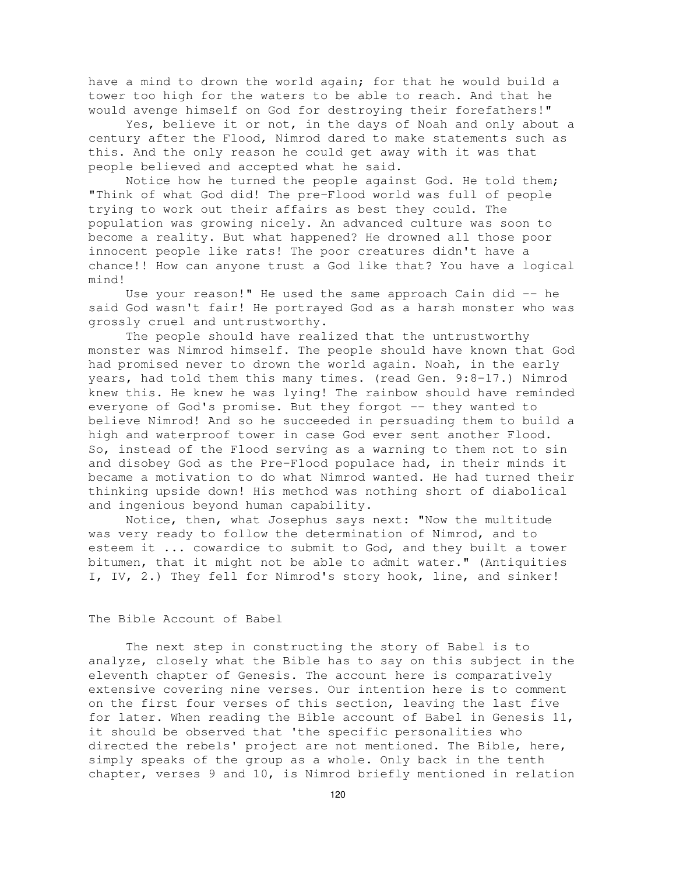have a mind to drown the world again; for that he would build a tower too high for the waters to be able to reach. And that he would avenge himself on God for destroying their forefathers!"

Yes, believe it or not, in the days of Noah and only about a century after the Flood, Nimrod dared to make statements such as this. And the only reason he could get away with it was that people believed and accepted what he said.

Notice how he turned the people against God. He told them; "Think of what God did! The pre-Flood world was full of people trying to work out their affairs as best they could. The population was growing nicely. An advanced culture was soon to become a reality. But what happened? He drowned all those poor innocent people like rats! The poor creatures didn't have a chance!! How can anyone trust a God like that? You have a logical mind!

Use your reason!" He used the same approach Cain did  $-$  he said God wasn't fair! He portrayed God as a harsh monster who was grossly cruel and untrustworthy.

The people should have realized that the untrustworthy monster was Nimrod himself. The people should have known that God had promised never to drown the world again. Noah, in the early years, had told them this many times. (read Gen. 9:8-17.) Nimrod knew this. He knew he was lying! The rainbow should have reminded everyone of God's promise. But they forgot -- they wanted to believe Nimrod! And so he succeeded in persuading them to build a high and waterproof tower in case God ever sent another Flood. So, instead of the Flood serving as a warning to them not to sin and disobey God as the Pre-Flood populace had, in their minds it became a motivation to do what Nimrod wanted. He had turned their thinking upside down! His method was nothing short of diabolical and ingenious beyond human capability.

Notice, then, what Josephus says next: "Now the multitude was very ready to follow the determination of Nimrod, and to esteem it ... cowardice to submit to God, and they built a tower bitumen, that it might not be able to admit water." (Antiquities I, IV, 2.) They fell for Nimrod's story hook, line, and sinker!

## The Bible Account of Babel

The next step in constructing the story of Babel is to analyze, closely what the Bible has to say on this subject in the eleventh chapter of Genesis. The account here is comparatively extensive covering nine verses. Our intention here is to comment on the first four verses of this section, leaving the last five for later. When reading the Bible account of Babel in Genesis 11, it should be observed that 'the specific personalities who directed the rebels' project are not mentioned. The Bible, here, simply speaks of the group as a whole. Only back in the tenth chapter, verses 9 and 10, is Nimrod briefly mentioned in relation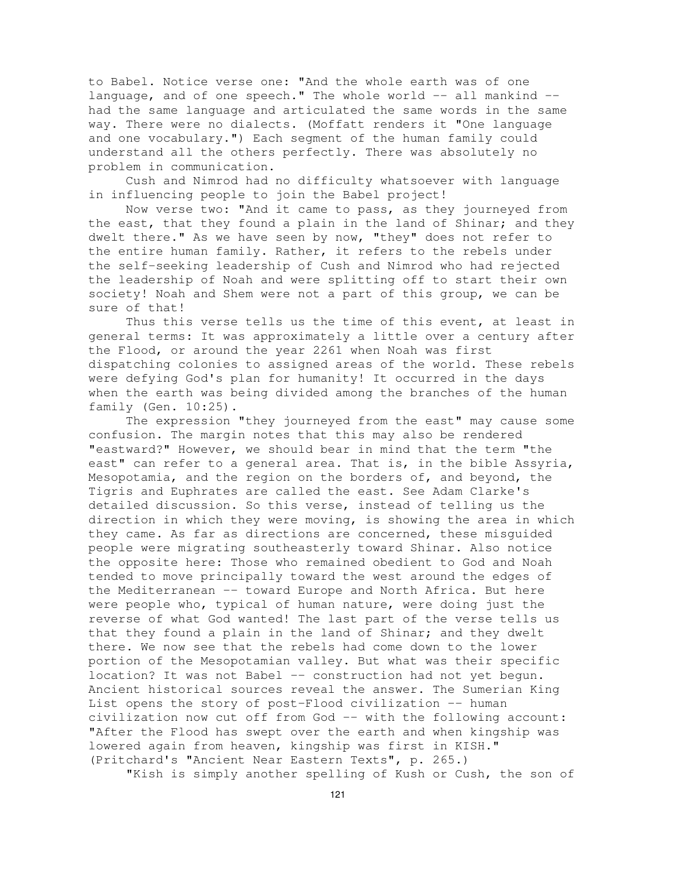to Babel. Notice verse one: "And the whole earth was of one language, and of one speech." The whole world  $--$  all mankind  $-$ had the same language and articulated the same words in the same way. There were no dialects. (Moffatt renders it "One language and one vocabulary.") Each segment of the human family could understand all the others perfectly. There was absolutely no problem in communication.

Cush and Nimrod had no difficulty whatsoever with language in influencing people to join the Babel project!

Now verse two: "And it came to pass, as they journeyed from the east, that they found a plain in the land of Shinar; and they dwelt there." As we have seen by now, "they" does not refer to the entire human family. Rather, it refers to the rebels under the self-seeking leadership of Cush and Nimrod who had rejected the leadership of Noah and were splitting off to start their own society! Noah and Shem were not a part of this group, we can be sure of that!

Thus this verse tells us the time of this event, at least in general terms: It was approximately a little over a century after the Flood, or around the year 2261 when Noah was first dispatching colonies to assigned areas of the world. These rebels were defying God's plan for humanity! It occurred in the days when the earth was being divided among the branches of the human family (Gen. 10:25).

The expression "they journeyed from the east" may cause some confusion. The margin notes that this may also be rendered "eastward?" However, we should bear in mind that the term "the east" can refer to a general area. That is, in the bible Assyria, Mesopotamia, and the region on the borders of, and beyond, the Tigris and Euphrates are called the east. See Adam Clarke's detailed discussion. So this verse, instead of telling us the direction in which they were moving, is showing the area in which they came. As far as directions are concerned, these misguided people were migrating southeasterly toward Shinar. Also notice the opposite here: Those who remained obedient to God and Noah tended to move principally toward the west around the edges of the Mediterranean -- toward Europe and North Africa. But here were people who, typical of human nature, were doing just the reverse of what God wanted! The last part of the verse tells us that they found a plain in the land of Shinar; and they dwelt there. We now see that the rebels had come down to the lower portion of the Mesopotamian valley. But what was their specific location? It was not Babel -- construction had not yet begun. Ancient historical sources reveal the answer. The Sumerian King List opens the story of post-Flood civilization -- human civilization now cut off from God -- with the following account: "After the Flood has swept over the earth and when kingship was lowered again from heaven, kingship was first in KISH." (Pritchard's "Ancient Near Eastern Texts", p. 265.)

"Kish is simply another spelling of Kush or Cush, the son of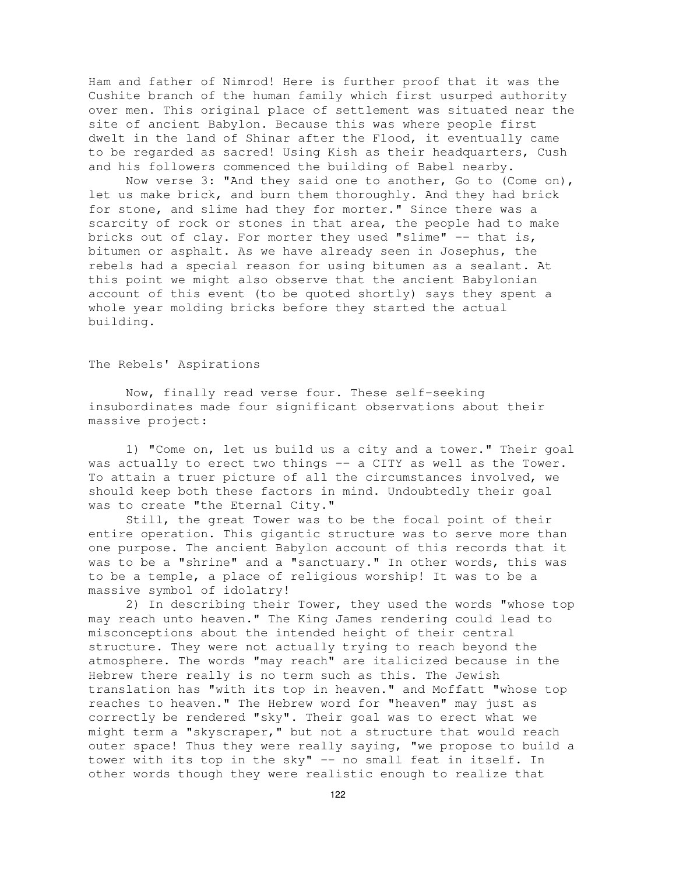Ham and father of Nimrod! Here is further proof that it was the Cushite branch of the human family which first usurped authority over men. This original place of settlement was situated near the site of ancient Babylon. Because this was where people first dwelt in the land of Shinar after the Flood, it eventually came to be regarded as sacred! Using Kish as their headquarters, Cush and his followers commenced the building of Babel nearby.

Now verse 3: "And they said one to another, Go to (Come on), let us make brick, and burn them thoroughly. And they had brick for stone, and slime had they for morter." Since there was a scarcity of rock or stones in that area, the people had to make bricks out of clay. For morter they used "slime" -- that is, bitumen or asphalt. As we have already seen in Josephus, the rebels had a special reason for using bitumen as a sealant. At this point we might also observe that the ancient Babylonian account of this event (to be quoted shortly) says they spent a whole year molding bricks before they started the actual building.

## The Rebels' Aspirations

Now, finally read verse four. These self-seeking insubordinates made four significant observations about their massive project:

1) "Come on, let us build us a city and a tower." Their goal was actually to erect two things -- a CITY as well as the Tower. To attain a truer picture of all the circumstances involved, we should keep both these factors in mind. Undoubtedly their goal was to create "the Eternal City."

Still, the great Tower was to be the focal point of their entire operation. This gigantic structure was to serve more than one purpose. The ancient Babylon account of this records that it was to be a "shrine" and a "sanctuary." In other words, this was to be a temple, a place of religious worship! It was to be a massive symbol of idolatry!

2) In describing their Tower, they used the words "whose top may reach unto heaven." The King James rendering could lead to misconceptions about the intended height of their central structure. They were not actually trying to reach beyond the atmosphere. The words "may reach" are italicized because in the Hebrew there really is no term such as this. The Jewish translation has "with its top in heaven." and Moffatt "whose top reaches to heaven." The Hebrew word for "heaven" may just as correctly be rendered "sky". Their goal was to erect what we might term a "skyscraper," but not a structure that would reach outer space! Thus they were really saying, "we propose to build a tower with its top in the sky" -- no small feat in itself. In other words though they were realistic enough to realize that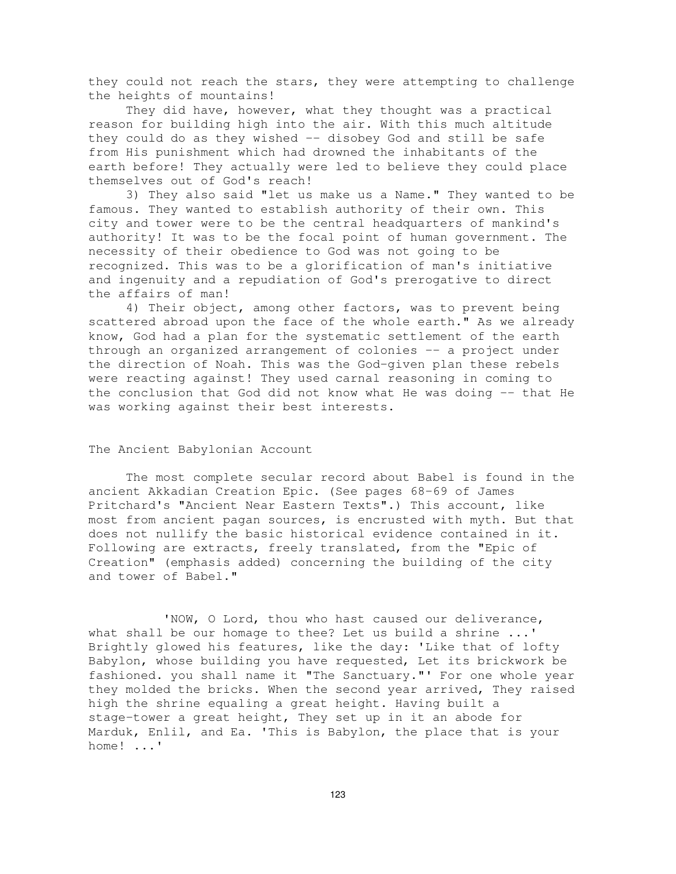they could not reach the stars, they were attempting to challenge the heights of mountains!

They did have, however, what they thought was a practical reason for building high into the air. With this much altitude they could do as they wished -- disobey God and still be safe from His punishment which had drowned the inhabitants of the earth before! They actually were led to believe they could place themselves out of God's reach!

3) They also said "let us make us a Name." They wanted to be famous. They wanted to establish authority of their own. This city and tower were to be the central headquarters of mankind's authority! It was to be the focal point of human government. The necessity of their obedience to God was not going to be recognized. This was to be a glorification of man's initiative and ingenuity and a repudiation of God's prerogative to direct the affairs of man!

4) Their object, among other factors, was to prevent being scattered abroad upon the face of the whole earth." As we already know, God had a plan for the systematic settlement of the earth through an organized arrangement of colonies -- a project under the direction of Noah. This was the God-given plan these rebels were reacting against! They used carnal reasoning in coming to the conclusion that God did not know what He was doing -- that He was working against their best interests.

## The Ancient Babylonian Account

The most complete secular record about Babel is found in the ancient Akkadian Creation Epic. (See pages 68-69 of James Pritchard's "Ancient Near Eastern Texts".) This account, like most from ancient pagan sources, is encrusted with myth. But that does not nullify the basic historical evidence contained in it. Following are extracts, freely translated, from the "Epic of Creation" (emphasis added) concerning the building of the city and tower of Babel."

'NOW, O Lord, thou who hast caused our deliverance, what shall be our homage to thee? Let us build a shrine ...' Brightly glowed his features, like the day: 'Like that of lofty Babylon, whose building you have requested, Let its brickwork be fashioned. you shall name it "The Sanctuary."' For one whole year they molded the bricks. When the second year arrived, They raised high the shrine equaling a great height. Having built a stage-tower a great height, They set up in it an abode for Marduk, Enlil, and Ea. 'This is Babylon, the place that is your home! ...'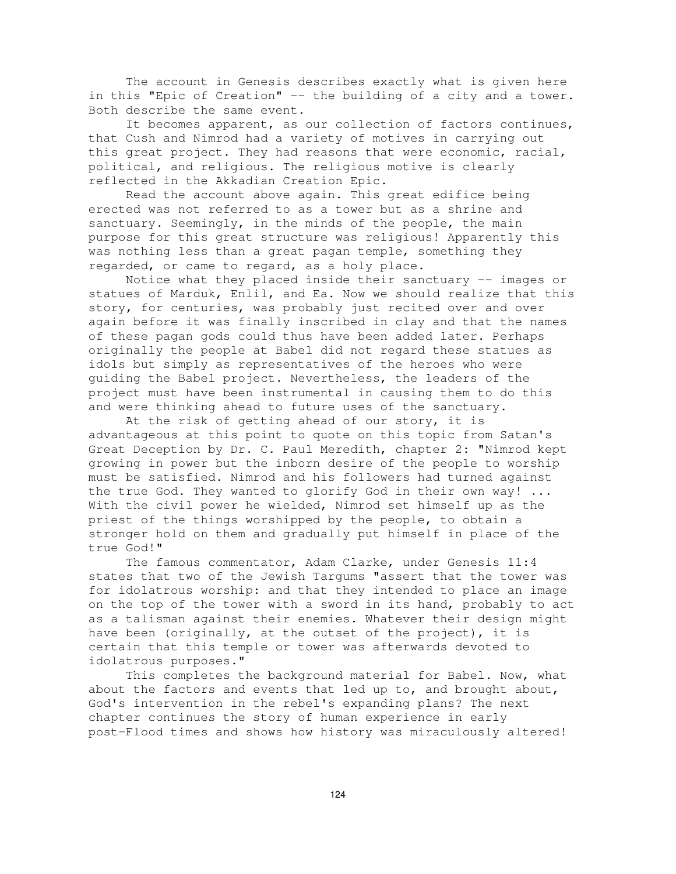The account in Genesis describes exactly what is given here in this "Epic of Creation" -- the building of a city and a tower. Both describe the same event.

It becomes apparent, as our collection of factors continues, that Cush and Nimrod had a variety of motives in carrying out this great project. They had reasons that were economic, racial, political, and religious. The religious motive is clearly reflected in the Akkadian Creation Epic.

Read the account above again. This great edifice being erected was not referred to as a tower but as a shrine and sanctuary. Seemingly, in the minds of the people, the main purpose for this great structure was religious! Apparently this was nothing less than a great pagan temple, something they regarded, or came to regard, as a holy place.

Notice what they placed inside their sanctuary -- images or statues of Marduk, Enlil, and Ea. Now we should realize that this story, for centuries, was probably just recited over and over again before it was finally inscribed in clay and that the names of these pagan gods could thus have been added later. Perhaps originally the people at Babel did not regard these statues as idols but simply as representatives of the heroes who were guiding the Babel project. Nevertheless, the leaders of the project must have been instrumental in causing them to do this and were thinking ahead to future uses of the sanctuary.

At the risk of getting ahead of our story, it is advantageous at this point to quote on this topic from Satan's Great Deception by Dr. C. Paul Meredith, chapter 2: "Nimrod kept growing in power but the inborn desire of the people to worship must be satisfied. Nimrod and his followers had turned against the true God. They wanted to glorify God in their own way! ... With the civil power he wielded, Nimrod set himself up as the priest of the things worshipped by the people, to obtain a stronger hold on them and gradually put himself in place of the true God!"

The famous commentator, Adam Clarke, under Genesis 11:4 states that two of the Jewish Targums "assert that the tower was for idolatrous worship: and that they intended to place an image on the top of the tower with a sword in its hand, probably to act as a talisman against their enemies. Whatever their design might have been (originally, at the outset of the project), it is certain that this temple or tower was afterwards devoted to idolatrous purposes."

This completes the background material for Babel. Now, what about the factors and events that led up to, and brought about, God's intervention in the rebel's expanding plans? The next chapter continues the story of human experience in early post-Flood times and shows how history was miraculously altered!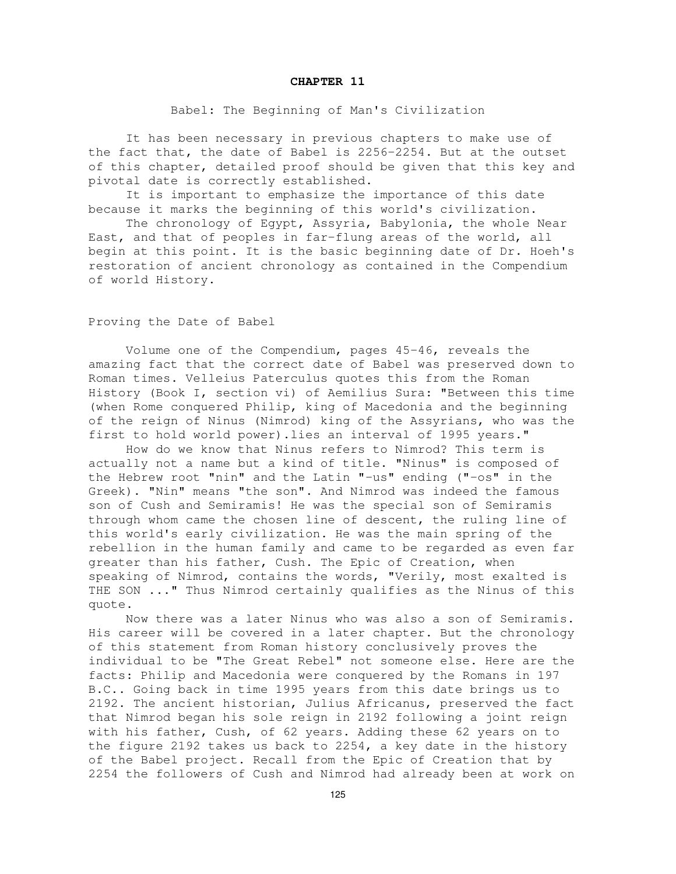#### **CHAPTER 11**

#### Babel: The Beginning of Man's Civilization

It has been necessary in previous chapters to make use of the fact that, the date of Babel is 2256-2254. But at the outset of this chapter, detailed proof should be given that this key and pivotal date is correctly established.

It is important to emphasize the importance of this date because it marks the beginning of this world's civilization.

The chronology of Egypt, Assyria, Babylonia, the whole Near East, and that of peoples in far-flung areas of the world, all begin at this point. It is the basic beginning date of Dr. Hoeh's restoration of ancient chronology as contained in the Compendium of world History.

### Proving the Date of Babel

Volume one of the Compendium, pages 45-46, reveals the amazing fact that the correct date of Babel was preserved down to Roman times. Velleius Paterculus quotes this from the Roman History (Book I, section vi) of Aemilius Sura: "Between this time (when Rome conquered Philip, king of Macedonia and the beginning of the reign of Ninus (Nimrod) king of the Assyrians, who was the first to hold world power).lies an interval of 1995 years."

How do we know that Ninus refers to Nimrod? This term is actually not a name but a kind of title. "Ninus" is composed of the Hebrew root "nin" and the Latin "-us" ending ("-os" in the Greek). "Nin" means "the son". And Nimrod was indeed the famous son of Cush and Semiramis! He was the special son of Semiramis through whom came the chosen line of descent, the ruling line of this world's early civilization. He was the main spring of the rebellion in the human family and came to be regarded as even far greater than his father, Cush. The Epic of Creation, when speaking of Nimrod, contains the words, "Verily, most exalted is THE SON ..." Thus Nimrod certainly qualifies as the Ninus of this quote.

Now there was a later Ninus who was also a son of Semiramis. His career will be covered in a later chapter. But the chronology of this statement from Roman history conclusively proves the individual to be "The Great Rebel" not someone else. Here are the facts: Philip and Macedonia were conquered by the Romans in 197 B.C.. Going back in time 1995 years from this date brings us to 2192. The ancient historian, Julius Africanus, preserved the fact that Nimrod began his sole reign in 2192 following a joint reign with his father, Cush, of 62 years. Adding these 62 years on to the figure 2192 takes us back to 2254, a key date in the history of the Babel project. Recall from the Epic of Creation that by 2254 the followers of Cush and Nimrod had already been at work on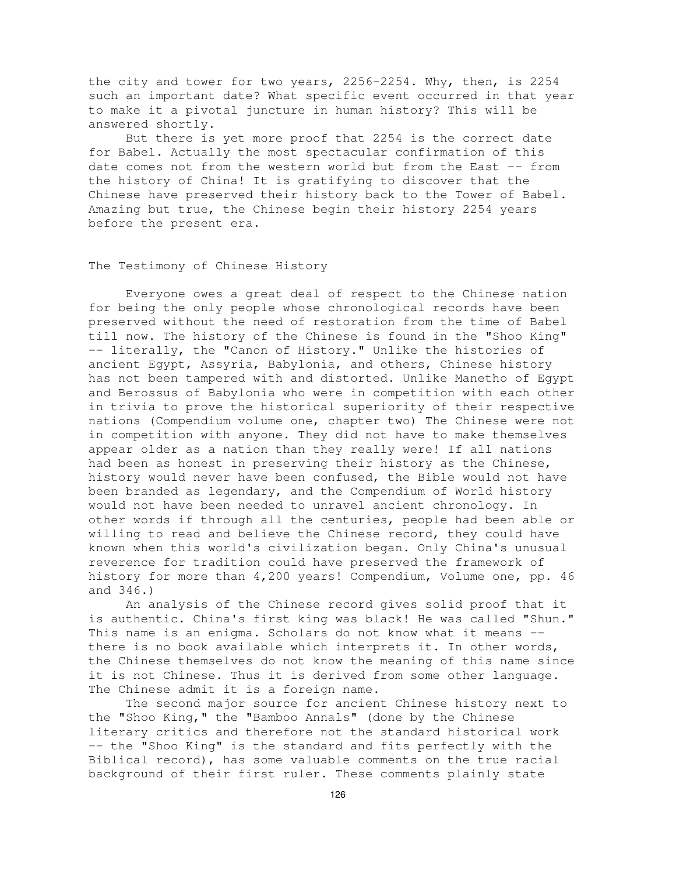the city and tower for two years, 2256-2254. Why, then, is 2254 such an important date? What specific event occurred in that year to make it a pivotal juncture in human history? This will be answered shortly.

But there is yet more proof that 2254 is the correct date for Babel. Actually the most spectacular confirmation of this date comes not from the western world but from the East -- from the history of China! It is gratifying to discover that the Chinese have preserved their history back to the Tower of Babel. Amazing but true, the Chinese begin their history 2254 years before the present era.

#### The Testimony of Chinese History

Everyone owes a great deal of respect to the Chinese nation for being the only people whose chronological records have been preserved without the need of restoration from the time of Babel till now. The history of the Chinese is found in the "Shoo King" -- literally, the "Canon of History." Unlike the histories of ancient Egypt, Assyria, Babylonia, and others, Chinese history has not been tampered with and distorted. Unlike Manetho of Egypt and Berossus of Babylonia who were in competition with each other in trivia to prove the historical superiority of their respective nations (Compendium volume one, chapter two) The Chinese were not in competition with anyone. They did not have to make themselves appear older as a nation than they really were! If all nations had been as honest in preserving their history as the Chinese, history would never have been confused, the Bible would not have been branded as legendary, and the Compendium of World history would not have been needed to unravel ancient chronology. In other words if through all the centuries, people had been able or willing to read and believe the Chinese record, they could have known when this world's civilization began. Only China's unusual reverence for tradition could have preserved the framework of history for more than 4,200 years! Compendium, Volume one, pp. 46 and 346.)

An analysis of the Chinese record gives solid proof that it is authentic. China's first king was black! He was called "Shun." This name is an enigma. Scholars do not know what it means - there is no book available which interprets it. In other words, the Chinese themselves do not know the meaning of this name since it is not Chinese. Thus it is derived from some other language. The Chinese admit it is a foreign name.

The second major source for ancient Chinese history next to the "Shoo King," the "Bamboo Annals" (done by the Chinese literary critics and therefore not the standard historical work -- the "Shoo King" is the standard and fits perfectly with the Biblical record), has some valuable comments on the true racial background of their first ruler. These comments plainly state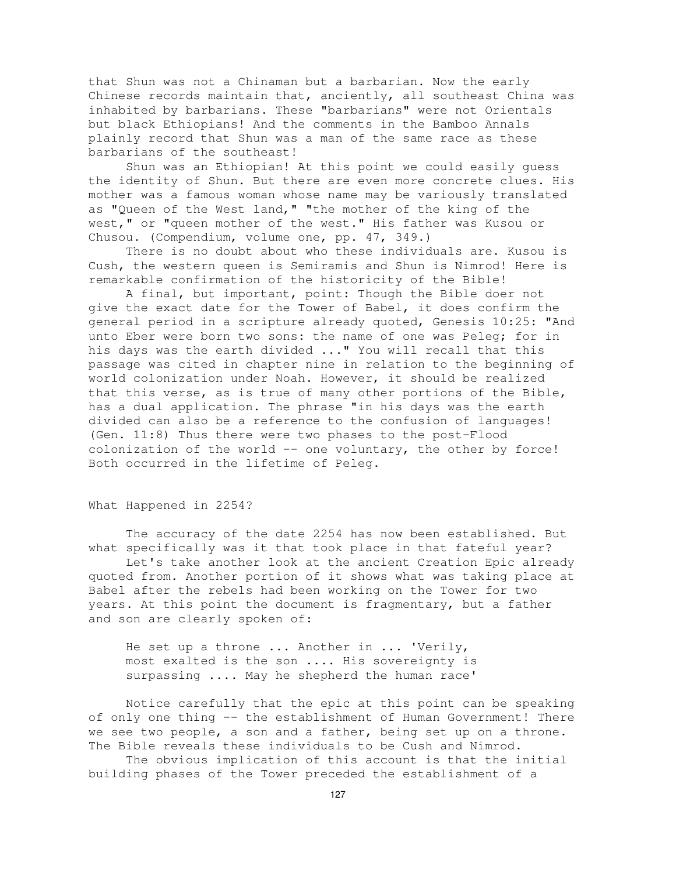that Shun was not a Chinaman but a barbarian. Now the early Chinese records maintain that, anciently, all southeast China was inhabited by barbarians. These "barbarians" were not Orientals but black Ethiopians! And the comments in the Bamboo Annals plainly record that Shun was a man of the same race as these barbarians of the southeast!

Shun was an Ethiopian! At this point we could easily guess the identity of Shun. But there are even more concrete clues. His mother was a famous woman whose name may be variously translated as "Queen of the West land," "the mother of the king of the west," or "queen mother of the west." His father was Kusou or Chusou. (Compendium, volume one, pp. 47, 349.)

There is no doubt about who these individuals are. Kusou is Cush, the western queen is Semiramis and Shun is Nimrod! Here is remarkable confirmation of the historicity of the Bible!

A final, but important, point: Though the Bible doer not give the exact date for the Tower of Babel, it does confirm the general period in a scripture already quoted, Genesis 10:25: "And unto Eber were born two sons: the name of one was Peleg; for in his days was the earth divided ..." You will recall that this passage was cited in chapter nine in relation to the beginning of world colonization under Noah. However, it should be realized that this verse, as is true of many other portions of the Bible, has a dual application. The phrase "in his days was the earth divided can also be a reference to the confusion of languages! (Gen. 11:8) Thus there were two phases to the post-Flood colonization of the world -- one voluntary, the other by force! Both occurred in the lifetime of Peleg.

### What Happened in 2254?

The accuracy of the date 2254 has now been established. But what specifically was it that took place in that fateful year? Let's take another look at the ancient Creation Epic already quoted from. Another portion of it shows what was taking place at Babel after the rebels had been working on the Tower for two years. At this point the document is fragmentary, but a father and son are clearly spoken of:

He set up a throne ... Another in ... 'Verily, most exalted is the son .... His sovereignty is surpassing .... May he shepherd the human race'

Notice carefully that the epic at this point can be speaking of only one thing -- the establishment of Human Government! There we see two people, a son and a father, being set up on a throne. The Bible reveals these individuals to be Cush and Nimrod.

The obvious implication of this account is that the initial building phases of the Tower preceded the establishment of a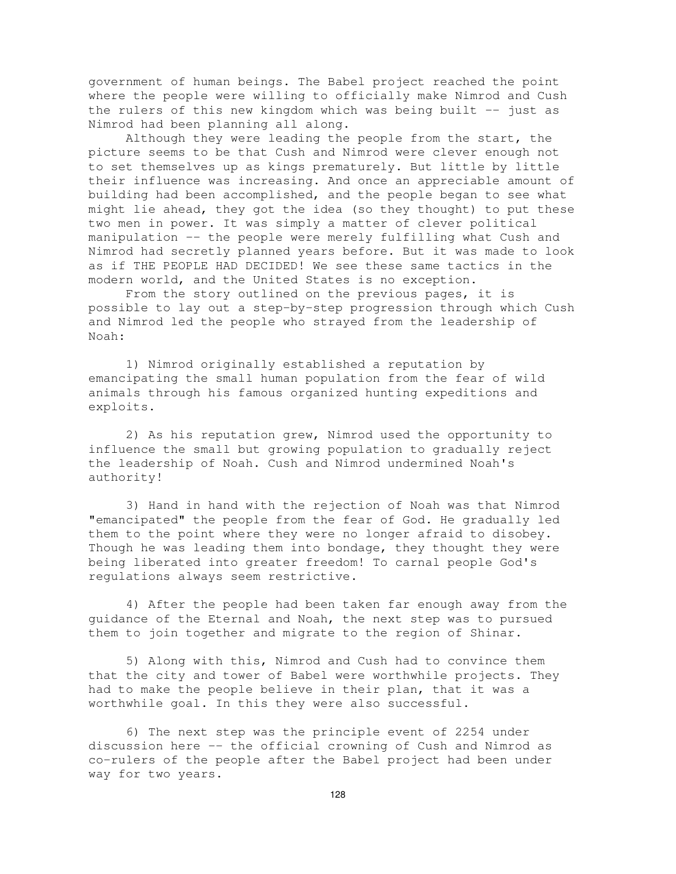government of human beings. The Babel project reached the point where the people were willing to officially make Nimrod and Cush the rulers of this new kingdom which was being built  $-$  just as Nimrod had been planning all along.

Although they were leading the people from the start, the picture seems to be that Cush and Nimrod were clever enough not to set themselves up as kings prematurely. But little by little their influence was increasing. And once an appreciable amount of building had been accomplished, and the people began to see what might lie ahead, they got the idea (so they thought) to put these two men in power. It was simply a matter of clever political manipulation -- the people were merely fulfilling what Cush and Nimrod had secretly planned years before. But it was made to look as if THE PEOPLE HAD DECIDED! We see these same tactics in the modern world, and the United States is no exception.

From the story outlined on the previous pages, it is possible to lay out a step-by-step progression through which Cush and Nimrod led the people who strayed from the leadership of Noah:

1) Nimrod originally established a reputation by emancipating the small human population from the fear of wild animals through his famous organized hunting expeditions and exploits.

2) As his reputation grew, Nimrod used the opportunity to influence the small but growing population to gradually reject the leadership of Noah. Cush and Nimrod undermined Noah's authority!

3) Hand in hand with the rejection of Noah was that Nimrod "emancipated" the people from the fear of God. He gradually led them to the point where they were no longer afraid to disobey. Though he was leading them into bondage, they thought they were being liberated into greater freedom! To carnal people God's regulations always seem restrictive.

4) After the people had been taken far enough away from the guidance of the Eternal and Noah, the next step was to pursued them to join together and migrate to the region of Shinar.

5) Along with this, Nimrod and Cush had to convince them that the city and tower of Babel were worthwhile projects. They had to make the people believe in their plan, that it was a worthwhile goal. In this they were also successful.

6) The next step was the principle event of 2254 under discussion here -- the official crowning of Cush and Nimrod as co-rulers of the people after the Babel project had been under way for two years.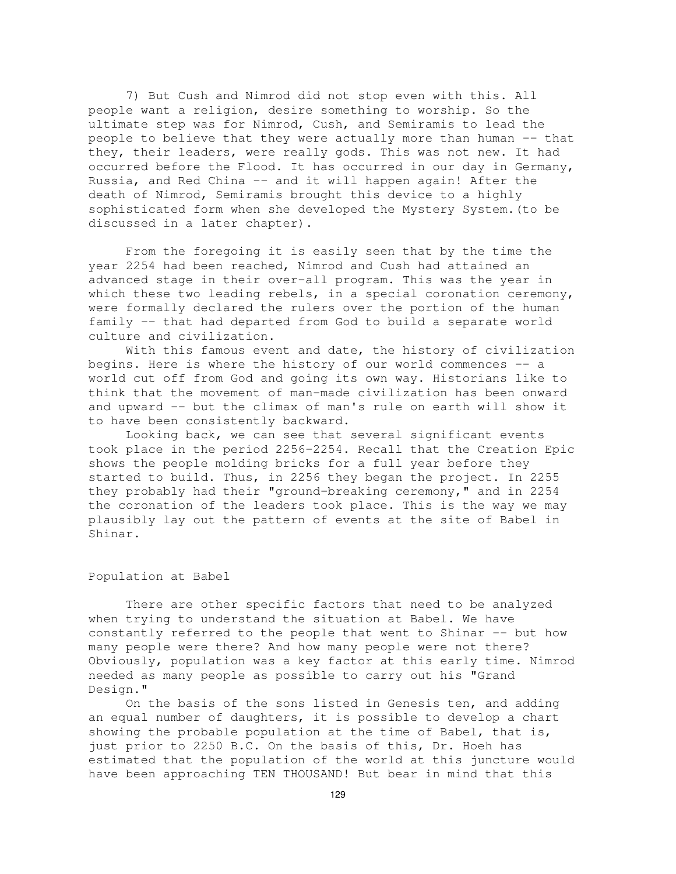7) But Cush and Nimrod did not stop even with this. All people want a religion, desire something to worship. So the ultimate step was for Nimrod, Cush, and Semiramis to lead the people to believe that they were actually more than human -- that they, their leaders, were really gods. This was not new. It had occurred before the Flood. It has occurred in our day in Germany, Russia, and Red China -- and it will happen again! After the death of Nimrod, Semiramis brought this device to a highly sophisticated form when she developed the Mystery System.(to be discussed in a later chapter).

From the foregoing it is easily seen that by the time the year 2254 had been reached, Nimrod and Cush had attained an advanced stage in their over-all program. This was the year in which these two leading rebels, in a special coronation ceremony, were formally declared the rulers over the portion of the human family -- that had departed from God to build a separate world culture and civilization.

With this famous event and date, the history of civilization begins. Here is where the history of our world commences -- a world cut off from God and going its own way. Historians like to think that the movement of man-made civilization has been onward and upward -- but the climax of man's rule on earth will show it to have been consistently backward.

Looking back, we can see that several significant events took place in the period 2256-2254. Recall that the Creation Epic shows the people molding bricks for a full year before they started to build. Thus, in 2256 they began the project. In 2255 they probably had their "ground-breaking ceremony," and in 2254 the coronation of the leaders took place. This is the way we may plausibly lay out the pattern of events at the site of Babel in Shinar.

## Population at Babel

There are other specific factors that need to be analyzed when trying to understand the situation at Babel. We have constantly referred to the people that went to Shinar -- but how many people were there? And how many people were not there? Obviously, population was a key factor at this early time. Nimrod needed as many people as possible to carry out his "Grand Design."

On the basis of the sons listed in Genesis ten, and adding an equal number of daughters, it is possible to develop a chart showing the probable population at the time of Babel, that is, just prior to 2250 B.C. On the basis of this, Dr. Hoeh has estimated that the population of the world at this juncture would have been approaching TEN THOUSAND! But bear in mind that this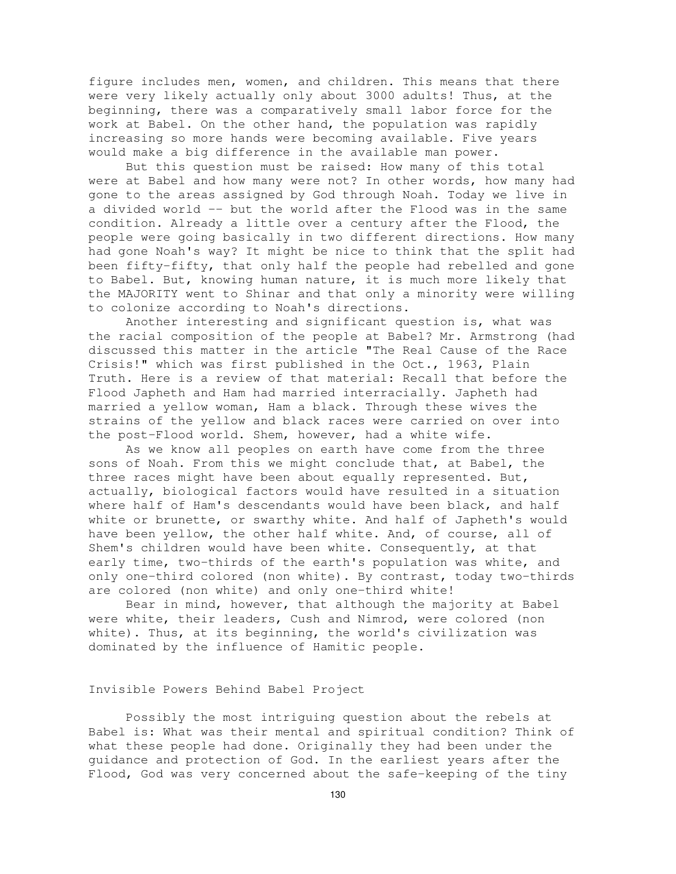figure includes men, women, and children. This means that there were very likely actually only about 3000 adults! Thus, at the beginning, there was a comparatively small labor force for the work at Babel. On the other hand, the population was rapidly increasing so more hands were becoming available. Five years would make a big difference in the available man power.

But this question must be raised: How many of this total were at Babel and how many were not? In other words, how many had gone to the areas assigned by God through Noah. Today we live in a divided world -- but the world after the Flood was in the same condition. Already a little over a century after the Flood, the people were going basically in two different directions. How many had gone Noah's way? It might be nice to think that the split had been fifty-fifty, that only half the people had rebelled and gone to Babel. But, knowing human nature, it is much more likely that the MAJORITY went to Shinar and that only a minority were willing to colonize according to Noah's directions.

Another interesting and significant question is, what was the racial composition of the people at Babel? Mr. Armstrong (had discussed this matter in the article "The Real Cause of the Race Crisis!" which was first published in the Oct., 1963, Plain Truth. Here is a review of that material: Recall that before the Flood Japheth and Ham had married interracially. Japheth had married a yellow woman, Ham a black. Through these wives the strains of the yellow and black races were carried on over into the post-Flood world. Shem, however, had a white wife.

As we know all peoples on earth have come from the three sons of Noah. From this we might conclude that, at Babel, the three races might have been about equally represented. But, actually, biological factors would have resulted in a situation where half of Ham's descendants would have been black, and half white or brunette, or swarthy white. And half of Japheth's would have been yellow, the other half white. And, of course, all of Shem's children would have been white. Consequently, at that early time, two-thirds of the earth's population was white, and only one-third colored (non white). By contrast, today two-thirds are colored (non white) and only one-third white!

Bear in mind, however, that although the majority at Babel were white, their leaders, Cush and Nimrod, were colored (non white). Thus, at its beginning, the world's civilization was dominated by the influence of Hamitic people.

### Invisible Powers Behind Babel Project

Possibly the most intriguing question about the rebels at Babel is: What was their mental and spiritual condition? Think of what these people had done. Originally they had been under the guidance and protection of God. In the earliest years after the Flood, God was very concerned about the safe-keeping of the tiny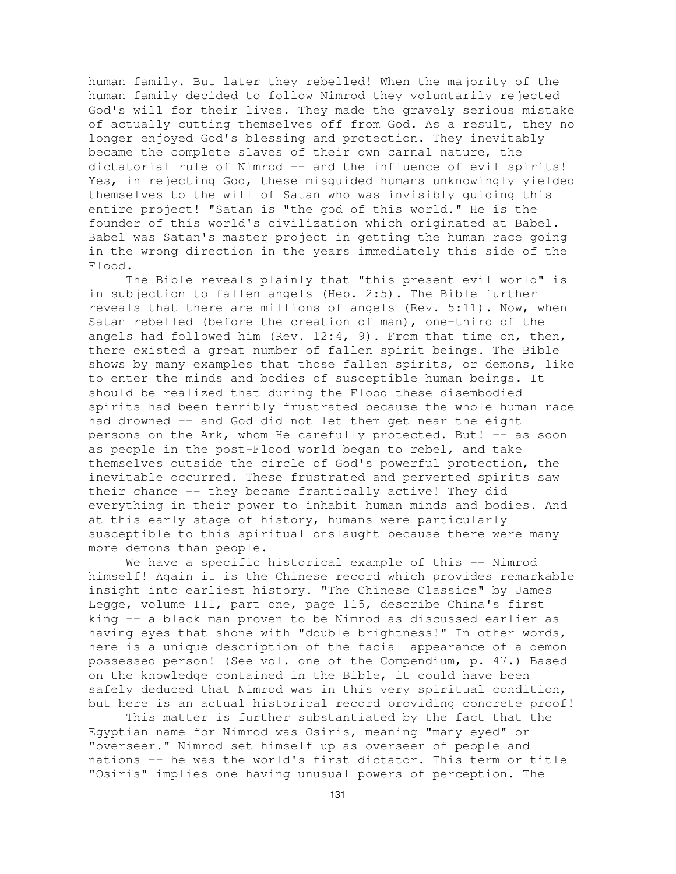human family. But later they rebelled! When the majority of the human family decided to follow Nimrod they voluntarily rejected God's will for their lives. They made the gravely serious mistake of actually cutting themselves off from God. As a result, they no longer enjoyed God's blessing and protection. They inevitably became the complete slaves of their own carnal nature, the dictatorial rule of Nimrod -- and the influence of evil spirits! Yes, in rejecting God, these misguided humans unknowingly yielded themselves to the will of Satan who was invisibly guiding this entire project! "Satan is "the god of this world." He is the founder of this world's civilization which originated at Babel. Babel was Satan's master project in getting the human race going in the wrong direction in the years immediately this side of the Flood.

The Bible reveals plainly that "this present evil world" is in subjection to fallen angels (Heb. 2:5). The Bible further reveals that there are millions of angels (Rev. 5:11). Now, when Satan rebelled (before the creation of man), one-third of the angels had followed him (Rev.  $12:4$ , 9). From that time on, then, there existed a great number of fallen spirit beings. The Bible shows by many examples that those fallen spirits, or demons, like to enter the minds and bodies of susceptible human beings. It should be realized that during the Flood these disembodied spirits had been terribly frustrated because the whole human race had drowned -- and God did not let them get near the eight persons on the Ark, whom He carefully protected. But! -- as soon as people in the post-Flood world began to rebel, and take themselves outside the circle of God's powerful protection, the inevitable occurred. These frustrated and perverted spirits saw their chance -- they became frantically active! They did everything in their power to inhabit human minds and bodies. And at this early stage of history, humans were particularly susceptible to this spiritual onslaught because there were many more demons than people.

We have a specific historical example of this -- Nimrod himself! Again it is the Chinese record which provides remarkable insight into earliest history. "The Chinese Classics" by James Legge, volume III, part one, page 115, describe China's first king -- a black man proven to be Nimrod as discussed earlier as having eyes that shone with "double brightness!" In other words, here is a unique description of the facial appearance of a demon possessed person! (See vol. one of the Compendium, p. 47.) Based on the knowledge contained in the Bible, it could have been safely deduced that Nimrod was in this very spiritual condition, but here is an actual historical record providing concrete proof!

This matter is further substantiated by the fact that the Egyptian name for Nimrod was Osiris, meaning "many eyed" or "overseer." Nimrod set himself up as overseer of people and nations -- he was the world's first dictator. This term or title "Osiris" implies one having unusual powers of perception. The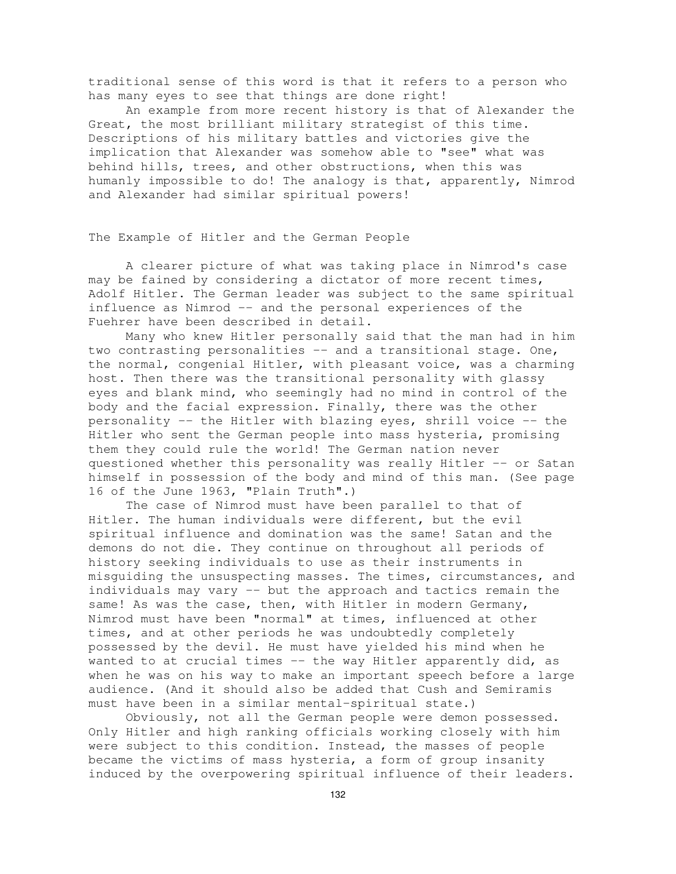traditional sense of this word is that it refers to a person who has many eyes to see that things are done right!

An example from more recent history is that of Alexander the Great, the most brilliant military strategist of this time. Descriptions of his military battles and victories give the implication that Alexander was somehow able to "see" what was behind hills, trees, and other obstructions, when this was humanly impossible to do! The analogy is that, apparently, Nimrod and Alexander had similar spiritual powers!

The Example of Hitler and the German People

A clearer picture of what was taking place in Nimrod's case may be fained by considering a dictator of more recent times, Adolf Hitler. The German leader was subject to the same spiritual influence as Nimrod -- and the personal experiences of the Fuehrer have been described in detail.

Many who knew Hitler personally said that the man had in him two contrasting personalities -- and a transitional stage. One, the normal, congenial Hitler, with pleasant voice, was a charming host. Then there was the transitional personality with glassy eyes and blank mind, who seemingly had no mind in control of the body and the facial expression. Finally, there was the other personality -- the Hitler with blazing eyes, shrill voice -- the Hitler who sent the German people into mass hysteria, promising them they could rule the world! The German nation never questioned whether this personality was really Hitler -- or Satan himself in possession of the body and mind of this man. (See page 16 of the June 1963, "Plain Truth".)

The case of Nimrod must have been parallel to that of Hitler. The human individuals were different, but the evil spiritual influence and domination was the same! Satan and the demons do not die. They continue on throughout all periods of history seeking individuals to use as their instruments in misguiding the unsuspecting masses. The times, circumstances, and individuals may vary -- but the approach and tactics remain the same! As was the case, then, with Hitler in modern Germany, Nimrod must have been "normal" at times, influenced at other times, and at other periods he was undoubtedly completely possessed by the devil. He must have yielded his mind when he wanted to at crucial times -- the way Hitler apparently did, as when he was on his way to make an important speech before a large audience. (And it should also be added that Cush and Semiramis must have been in a similar mental-spiritual state.)

Obviously, not all the German people were demon possessed. Only Hitler and high ranking officials working closely with him were subject to this condition. Instead, the masses of people became the victims of mass hysteria, a form of group insanity induced by the overpowering spiritual influence of their leaders.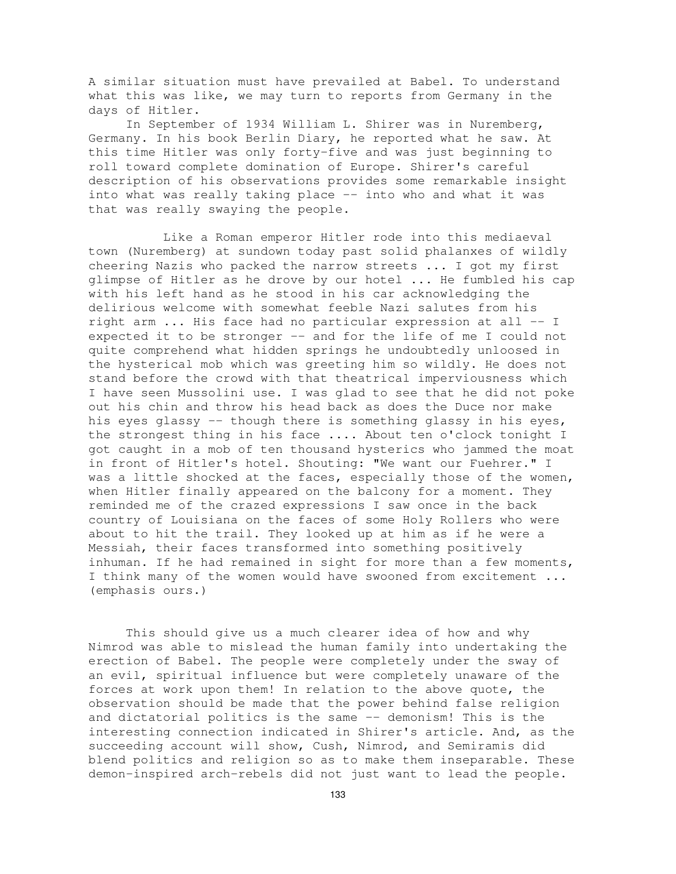A similar situation must have prevailed at Babel. To understand what this was like, we may turn to reports from Germany in the days of Hitler.

In September of 1934 William L. Shirer was in Nuremberg, Germany. In his book Berlin Diary, he reported what he saw. At this time Hitler was only forty-five and was just beginning to roll toward complete domination of Europe. Shirer's careful description of his observations provides some remarkable insight into what was really taking place -- into who and what it was that was really swaying the people.

Like a Roman emperor Hitler rode into this mediaeval town (Nuremberg) at sundown today past solid phalanxes of wildly cheering Nazis who packed the narrow streets ... I got my first glimpse of Hitler as he drove by our hotel ... He fumbled his cap with his left hand as he stood in his car acknowledging the delirious welcome with somewhat feeble Nazi salutes from his right arm ... His face had no particular expression at all -- I expected it to be stronger -- and for the life of me I could not quite comprehend what hidden springs he undoubtedly unloosed in the hysterical mob which was greeting him so wildly. He does not stand before the crowd with that theatrical imperviousness which I have seen Mussolini use. I was glad to see that he did not poke out his chin and throw his head back as does the Duce nor make his eyes glassy -- though there is something glassy in his eyes, the strongest thing in his face .... About ten o'clock tonight I got caught in a mob of ten thousand hysterics who jammed the moat in front of Hitler's hotel. Shouting: "We want our Fuehrer." I was a little shocked at the faces, especially those of the women, when Hitler finally appeared on the balcony for a moment. They reminded me of the crazed expressions I saw once in the back country of Louisiana on the faces of some Holy Rollers who were about to hit the trail. They looked up at him as if he were a Messiah, their faces transformed into something positively inhuman. If he had remained in sight for more than a few moments, I think many of the women would have swooned from excitement ... (emphasis ours.)

This should give us a much clearer idea of how and why Nimrod was able to mislead the human family into undertaking the erection of Babel. The people were completely under the sway of an evil, spiritual influence but were completely unaware of the forces at work upon them! In relation to the above quote, the observation should be made that the power behind false religion and dictatorial politics is the same -- demonism! This is the interesting connection indicated in Shirer's article. And, as the succeeding account will show, Cush, Nimrod, and Semiramis did blend politics and religion so as to make them inseparable. These demon-inspired arch-rebels did not just want to lead the people.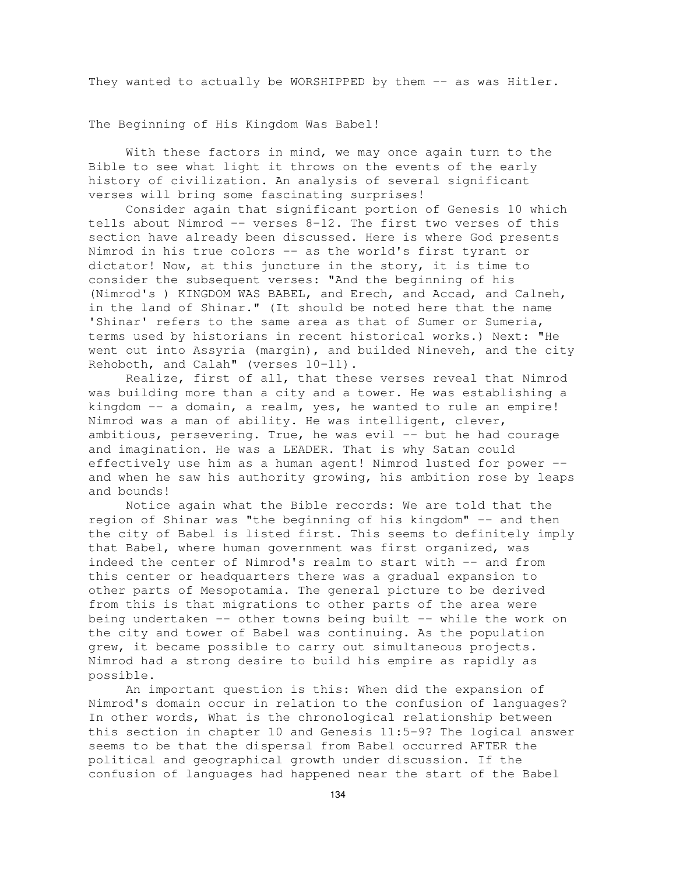They wanted to actually be WORSHIPPED by them -- as was Hitler.

The Beginning of His Kingdom Was Babel!

With these factors in mind, we may once again turn to the Bible to see what light it throws on the events of the early history of civilization. An analysis of several significant verses will bring some fascinating surprises!

Consider again that significant portion of Genesis 10 which tells about Nimrod  $-$ - verses  $8-12$ . The first two verses of this section have already been discussed. Here is where God presents Nimrod in his true colors -- as the world's first tyrant or dictator! Now, at this juncture in the story, it is time to consider the subsequent verses: "And the beginning of his (Nimrod's ) KINGDOM WAS BABEL, and Erech, and Accad, and Calneh, in the land of Shinar." (It should be noted here that the name 'Shinar' refers to the same area as that of Sumer or Sumeria, terms used by historians in recent historical works.) Next: "He went out into Assyria (margin), and builded Nineveh, and the city Rehoboth, and Calah" (verses 10-11).

Realize, first of all, that these verses reveal that Nimrod was building more than a city and a tower. He was establishing a kingdom -- a domain, a realm, yes, he wanted to rule an empire! Nimrod was a man of ability. He was intelligent, clever, ambitious, persevering. True, he was evil -- but he had courage and imagination. He was a LEADER. That is why Satan could effectively use him as a human agent! Nimrod lusted for power - and when he saw his authority growing, his ambition rose by leaps and bounds!

Notice again what the Bible records: We are told that the region of Shinar was "the beginning of his kingdom" -- and then the city of Babel is listed first. This seems to definitely imply that Babel, where human government was first organized, was indeed the center of Nimrod's realm to start with -- and from this center or headquarters there was a gradual expansion to other parts of Mesopotamia. The general picture to be derived from this is that migrations to other parts of the area were being undertaken -- other towns being built -- while the work on the city and tower of Babel was continuing. As the population grew, it became possible to carry out simultaneous projects. Nimrod had a strong desire to build his empire as rapidly as possible.

An important question is this: When did the expansion of Nimrod's domain occur in relation to the confusion of languages? In other words, What is the chronological relationship between this section in chapter 10 and Genesis 11:5-9? The logical answer seems to be that the dispersal from Babel occurred AFTER the political and geographical growth under discussion. If the confusion of languages had happened near the start of the Babel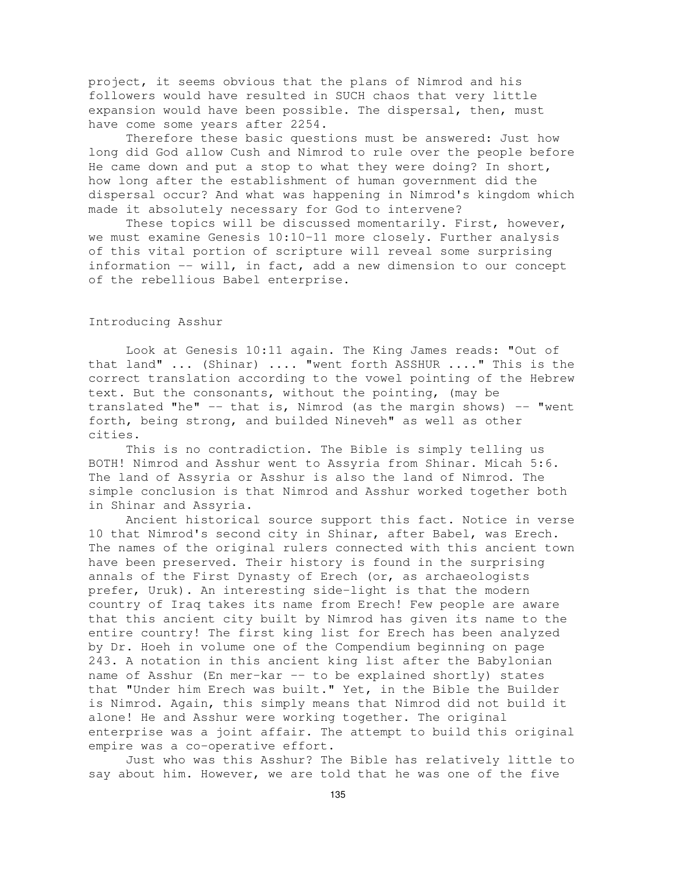project, it seems obvious that the plans of Nimrod and his followers would have resulted in SUCH chaos that very little expansion would have been possible. The dispersal, then, must have come some years after 2254.

Therefore these basic questions must be answered: Just how long did God allow Cush and Nimrod to rule over the people before He came down and put a stop to what they were doing? In short, how long after the establishment of human government did the dispersal occur? And what was happening in Nimrod's kingdom which made it absolutely necessary for God to intervene?

These topics will be discussed momentarily. First, however, we must examine Genesis 10:10-11 more closely. Further analysis of this vital portion of scripture will reveal some surprising information -- will, in fact, add a new dimension to our concept of the rebellious Babel enterprise.

## Introducing Asshur

Look at Genesis 10:11 again. The King James reads: "Out of that land" ... (Shinar) .... "went forth ASSHUR ...." This is the correct translation according to the vowel pointing of the Hebrew text. But the consonants, without the pointing, (may be translated "he"  $--$  that is, Nimrod (as the margin shows)  $--$  "went forth, being strong, and builded Nineveh" as well as other cities.

This is no contradiction. The Bible is simply telling us BOTH! Nimrod and Asshur went to Assyria from Shinar. Micah 5:6. The land of Assyria or Asshur is also the land of Nimrod. The simple conclusion is that Nimrod and Asshur worked together both in Shinar and Assyria.

Ancient historical source support this fact. Notice in verse 10 that Nimrod's second city in Shinar, after Babel, was Erech. The names of the original rulers connected with this ancient town have been preserved. Their history is found in the surprising annals of the First Dynasty of Erech (or, as archaeologists prefer, Uruk). An interesting side-light is that the modern country of Iraq takes its name from Erech! Few people are aware that this ancient city built by Nimrod has given its name to the entire country! The first king list for Erech has been analyzed by Dr. Hoeh in volume one of the Compendium beginning on page 243. A notation in this ancient king list after the Babylonian name of Asshur (En mer-kar -- to be explained shortly) states that "Under him Erech was built." Yet, in the Bible the Builder is Nimrod. Again, this simply means that Nimrod did not build it alone! He and Asshur were working together. The original enterprise was a joint affair. The attempt to build this original empire was a co-operative effort.

Just who was this Asshur? The Bible has relatively little to say about him. However, we are told that he was one of the five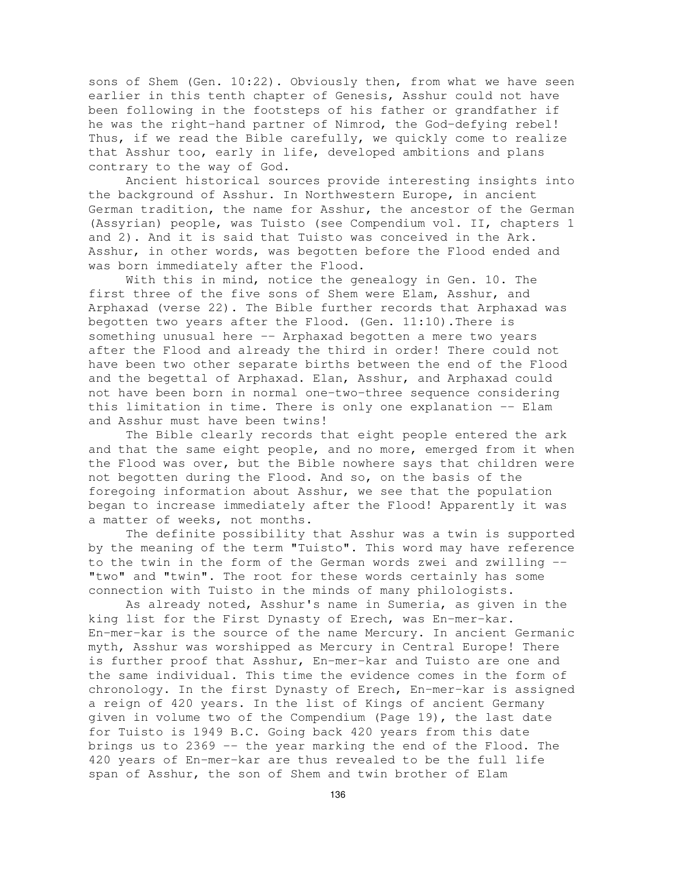sons of Shem (Gen. 10:22). Obviously then, from what we have seen earlier in this tenth chapter of Genesis, Asshur could not have been following in the footsteps of his father or grandfather if he was the right-hand partner of Nimrod, the God-defying rebel! Thus, if we read the Bible carefully, we quickly come to realize that Asshur too, early in life, developed ambitions and plans contrary to the way of God.

Ancient historical sources provide interesting insights into the background of Asshur. In Northwestern Europe, in ancient German tradition, the name for Asshur, the ancestor of the German (Assyrian) people, was Tuisto (see Compendium vol. II, chapters 1 and 2). And it is said that Tuisto was conceived in the Ark. Asshur, in other words, was begotten before the Flood ended and was born immediately after the Flood.

With this in mind, notice the genealogy in Gen. 10. The first three of the five sons of Shem were Elam, Asshur, and Arphaxad (verse 22). The Bible further records that Arphaxad was begotten two years after the Flood. (Gen. 11:10).There is something unusual here -- Arphaxad begotten a mere two years after the Flood and already the third in order! There could not have been two other separate births between the end of the Flood and the begettal of Arphaxad. Elan, Asshur, and Arphaxad could not have been born in normal one-two-three sequence considering this limitation in time. There is only one explanation -- Elam and Asshur must have been twins!

The Bible clearly records that eight people entered the ark and that the same eight people, and no more, emerged from it when the Flood was over, but the Bible nowhere says that children were not begotten during the Flood. And so, on the basis of the foregoing information about Asshur, we see that the population began to increase immediately after the Flood! Apparently it was a matter of weeks, not months.

The definite possibility that Asshur was a twin is supported by the meaning of the term "Tuisto". This word may have reference to the twin in the form of the German words zwei and zwilling -- "two" and "twin". The root for these words certainly has some connection with Tuisto in the minds of many philologists.

As already noted, Asshur's name in Sumeria, as given in the king list for the First Dynasty of Erech, was En-mer-kar. En-mer-kar is the source of the name Mercury. In ancient Germanic myth, Asshur was worshipped as Mercury in Central Europe! There is further proof that Asshur, En-mer-kar and Tuisto are one and the same individual. This time the evidence comes in the form of chronology. In the first Dynasty of Erech, En-mer-kar is assigned a reign of 420 years. In the list of Kings of ancient Germany given in volume two of the Compendium (Page 19), the last date for Tuisto is 1949 B.C. Going back 420 years from this date brings us to 2369 -- the year marking the end of the Flood. The 420 years of En-mer-kar are thus revealed to be the full life span of Asshur, the son of Shem and twin brother of Elam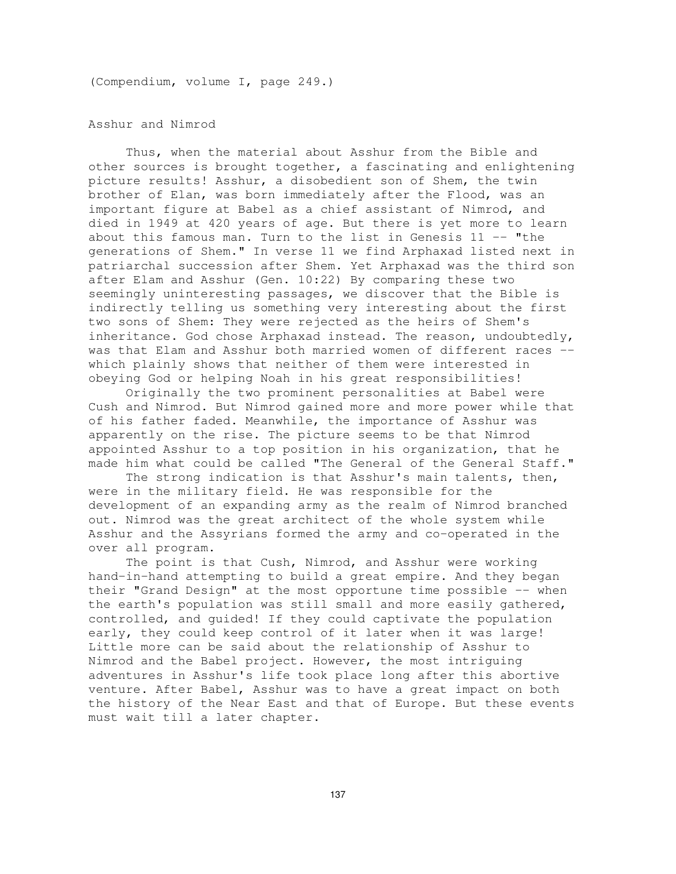(Compendium, volume I, page 249.)

Asshur and Nimrod

Thus, when the material about Asshur from the Bible and other sources is brought together, a fascinating and enlightening picture results! Asshur, a disobedient son of Shem, the twin brother of Elan, was born immediately after the Flood, was an important figure at Babel as a chief assistant of Nimrod, and died in 1949 at 420 years of age. But there is yet more to learn about this famous man. Turn to the list in Genesis  $11$  -- "the generations of Shem." In verse 11 we find Arphaxad listed next in patriarchal succession after Shem. Yet Arphaxad was the third son after Elam and Asshur (Gen. 10:22) By comparing these two seemingly uninteresting passages, we discover that the Bible is indirectly telling us something very interesting about the first two sons of Shem: They were rejected as the heirs of Shem's inheritance. God chose Arphaxad instead. The reason, undoubtedly, was that Elam and Asshur both married women of different races - which plainly shows that neither of them were interested in obeying God or helping Noah in his great responsibilities!

Originally the two prominent personalities at Babel were Cush and Nimrod. But Nimrod gained more and more power while that of his father faded. Meanwhile, the importance of Asshur was apparently on the rise. The picture seems to be that Nimrod appointed Asshur to a top position in his organization, that he made him what could be called "The General of the General Staff."

The strong indication is that Asshur's main talents, then, were in the military field. He was responsible for the development of an expanding army as the realm of Nimrod branched out. Nimrod was the great architect of the whole system while Asshur and the Assyrians formed the army and co-operated in the over all program.

The point is that Cush, Nimrod, and Asshur were working hand-in-hand attempting to build a great empire. And they began their "Grand Design" at the most opportune time possible -- when the earth's population was still small and more easily gathered, controlled, and guided! If they could captivate the population early, they could keep control of it later when it was large! Little more can be said about the relationship of Asshur to Nimrod and the Babel project. However, the most intriguing adventures in Asshur's life took place long after this abortive venture. After Babel, Asshur was to have a great impact on both the history of the Near East and that of Europe. But these events must wait till a later chapter.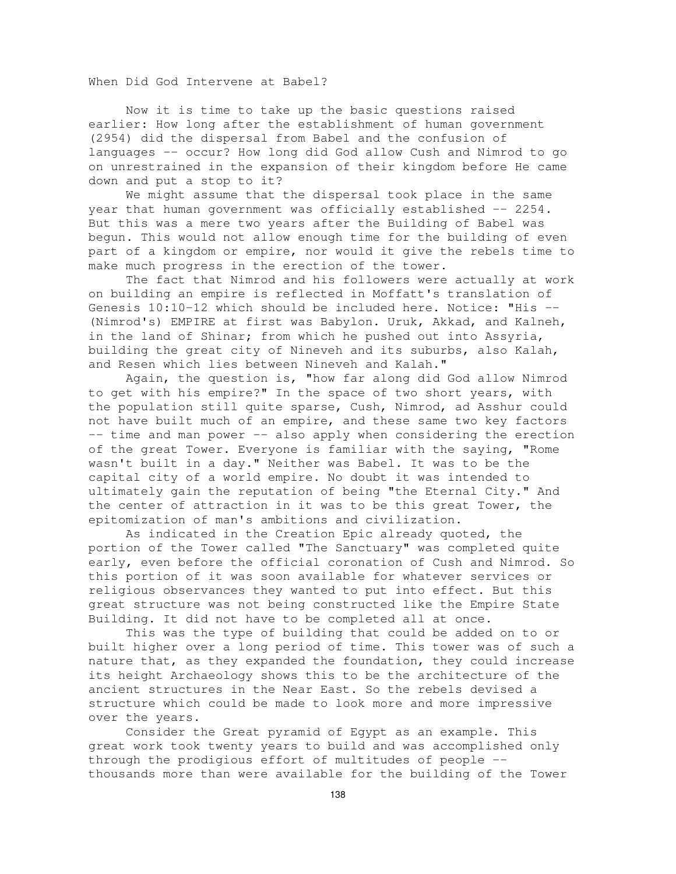When Did God Intervene at Babel?

Now it is time to take up the basic questions raised earlier: How long after the establishment of human government (2954) did the dispersal from Babel and the confusion of languages -- occur? How long did God allow Cush and Nimrod to go on unrestrained in the expansion of their kingdom before He came down and put a stop to it?

We might assume that the dispersal took place in the same year that human government was officially established -- 2254. But this was a mere two years after the Building of Babel was begun. This would not allow enough time for the building of even part of a kingdom or empire, nor would it give the rebels time to make much progress in the erection of the tower.

The fact that Nimrod and his followers were actually at work on building an empire is reflected in Moffatt's translation of Genesis 10:10-12 which should be included here. Notice: "His -- (Nimrod's) EMPIRE at first was Babylon. Uruk, Akkad, and Kalneh, in the land of Shinar; from which he pushed out into Assyria, building the great city of Nineveh and its suburbs, also Kalah, and Resen which lies between Nineveh and Kalah."

Again, the question is, "how far along did God allow Nimrod to get with his empire?" In the space of two short years, with the population still quite sparse, Cush, Nimrod, ad Asshur could not have built much of an empire, and these same two key factors -- time and man power -- also apply when considering the erection of the great Tower. Everyone is familiar with the saying, "Rome wasn't built in a day." Neither was Babel. It was to be the capital city of a world empire. No doubt it was intended to ultimately gain the reputation of being "the Eternal City." And the center of attraction in it was to be this great Tower, the epitomization of man's ambitions and civilization.

As indicated in the Creation Epic already quoted, the portion of the Tower called "The Sanctuary" was completed quite early, even before the official coronation of Cush and Nimrod. So this portion of it was soon available for whatever services or religious observances they wanted to put into effect. But this great structure was not being constructed like the Empire State Building. It did not have to be completed all at once.

This was the type of building that could be added on to or built higher over a long period of time. This tower was of such a nature that, as they expanded the foundation, they could increase its height Archaeology shows this to be the architecture of the ancient structures in the Near East. So the rebels devised a structure which could be made to look more and more impressive over the years.

Consider the Great pyramid of Egypt as an example. This great work took twenty years to build and was accomplished only through the prodigious effort of multitudes of people - thousands more than were available for the building of the Tower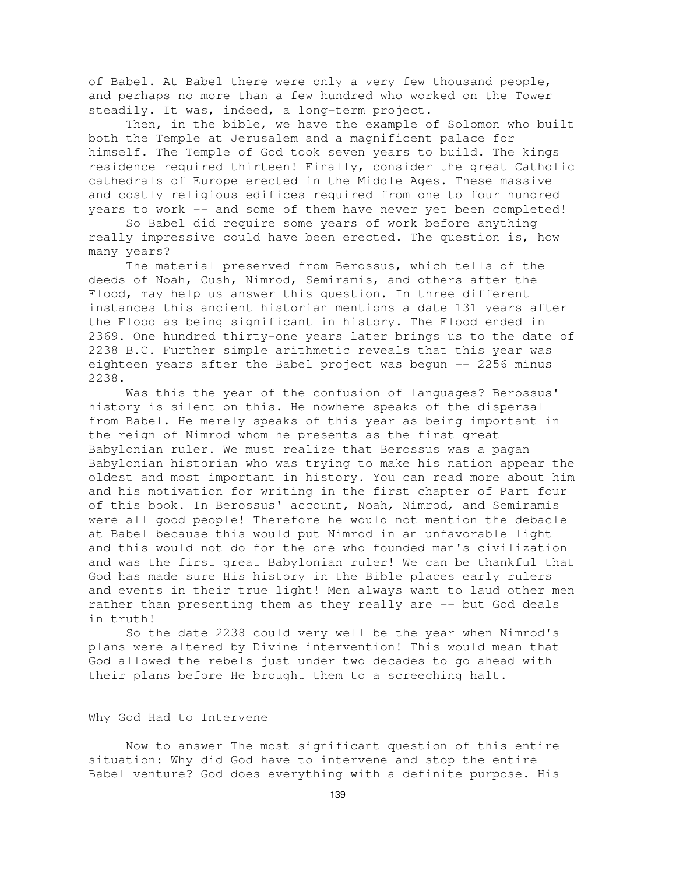of Babel. At Babel there were only a very few thousand people, and perhaps no more than a few hundred who worked on the Tower steadily. It was, indeed, a long-term project.

Then, in the bible, we have the example of Solomon who built both the Temple at Jerusalem and a magnificent palace for himself. The Temple of God took seven years to build. The kings residence required thirteen! Finally, consider the great Catholic cathedrals of Europe erected in the Middle Ages. These massive and costly religious edifices required from one to four hundred years to work -- and some of them have never yet been completed!

So Babel did require some years of work before anything really impressive could have been erected. The question is, how many years?

The material preserved from Berossus, which tells of the deeds of Noah, Cush, Nimrod, Semiramis, and others after the Flood, may help us answer this question. In three different instances this ancient historian mentions a date 131 years after the Flood as being significant in history. The Flood ended in 2369. One hundred thirty-one years later brings us to the date of 2238 B.C. Further simple arithmetic reveals that this year was eighteen years after the Babel project was begun -- 2256 minus 2238.

Was this the year of the confusion of languages? Berossus' history is silent on this. He nowhere speaks of the dispersal from Babel. He merely speaks of this year as being important in the reign of Nimrod whom he presents as the first great Babylonian ruler. We must realize that Berossus was a pagan Babylonian historian who was trying to make his nation appear the oldest and most important in history. You can read more about him and his motivation for writing in the first chapter of Part four of this book. In Berossus' account, Noah, Nimrod, and Semiramis were all good people! Therefore he would not mention the debacle at Babel because this would put Nimrod in an unfavorable light and this would not do for the one who founded man's civilization and was the first great Babylonian ruler! We can be thankful that God has made sure His history in the Bible places early rulers and events in their true light! Men always want to laud other men rather than presenting them as they really are -- but God deals in truth!

So the date 2238 could very well be the year when Nimrod's plans were altered by Divine intervention! This would mean that God allowed the rebels just under two decades to go ahead with their plans before He brought them to a screeching halt.

#### Why God Had to Intervene

Now to answer The most significant question of this entire situation: Why did God have to intervene and stop the entire Babel venture? God does everything with a definite purpose. His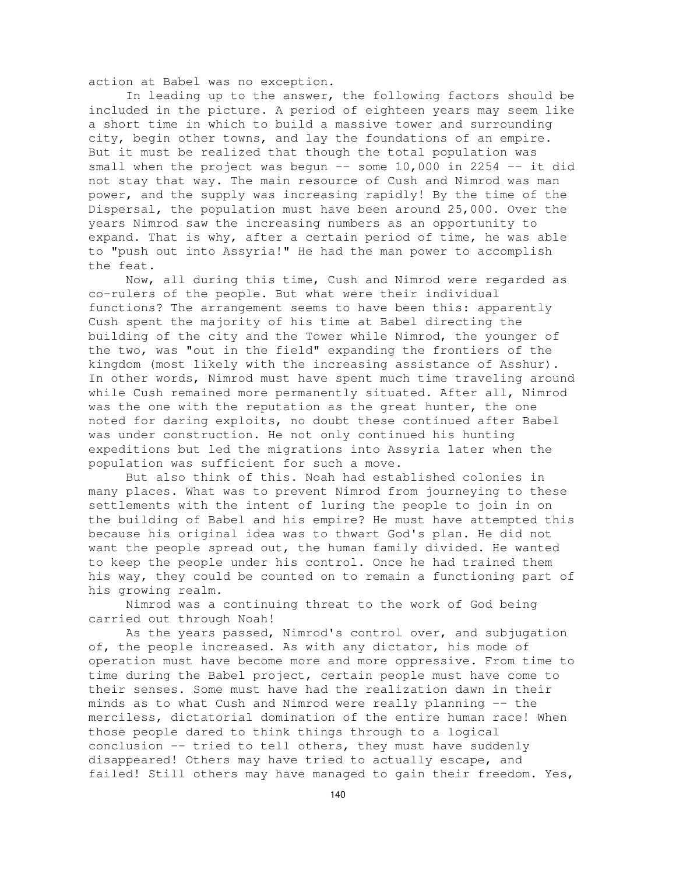action at Babel was no exception.

In leading up to the answer, the following factors should be included in the picture. A period of eighteen years may seem like a short time in which to build a massive tower and surrounding city, begin other towns, and lay the foundations of an empire. But it must be realized that though the total population was small when the project was begun  $--$  some 10,000 in 2254  $--$  it did not stay that way. The main resource of Cush and Nimrod was man power, and the supply was increasing rapidly! By the time of the Dispersal, the population must have been around 25,000. Over the years Nimrod saw the increasing numbers as an opportunity to expand. That is why, after a certain period of time, he was able to "push out into Assyria!" He had the man power to accomplish the feat.

Now, all during this time, Cush and Nimrod were regarded as co-rulers of the people. But what were their individual functions? The arrangement seems to have been this: apparently Cush spent the majority of his time at Babel directing the building of the city and the Tower while Nimrod, the younger of the two, was "out in the field" expanding the frontiers of the kingdom (most likely with the increasing assistance of Asshur). In other words, Nimrod must have spent much time traveling around while Cush remained more permanently situated. After all, Nimrod was the one with the reputation as the great hunter, the one noted for daring exploits, no doubt these continued after Babel was under construction. He not only continued his hunting expeditions but led the migrations into Assyria later when the population was sufficient for such a move.

But also think of this. Noah had established colonies in many places. What was to prevent Nimrod from journeying to these settlements with the intent of luring the people to join in on the building of Babel and his empire? He must have attempted this because his original idea was to thwart God's plan. He did not want the people spread out, the human family divided. He wanted to keep the people under his control. Once he had trained them his way, they could be counted on to remain a functioning part of his growing realm.

Nimrod was a continuing threat to the work of God being carried out through Noah!

As the years passed, Nimrod's control over, and subjugation of, the people increased. As with any dictator, his mode of operation must have become more and more oppressive. From time to time during the Babel project, certain people must have come to their senses. Some must have had the realization dawn in their minds as to what Cush and Nimrod were really planning -- the merciless, dictatorial domination of the entire human race! When those people dared to think things through to a logical conclusion -- tried to tell others, they must have suddenly disappeared! Others may have tried to actually escape, and failed! Still others may have managed to gain their freedom. Yes,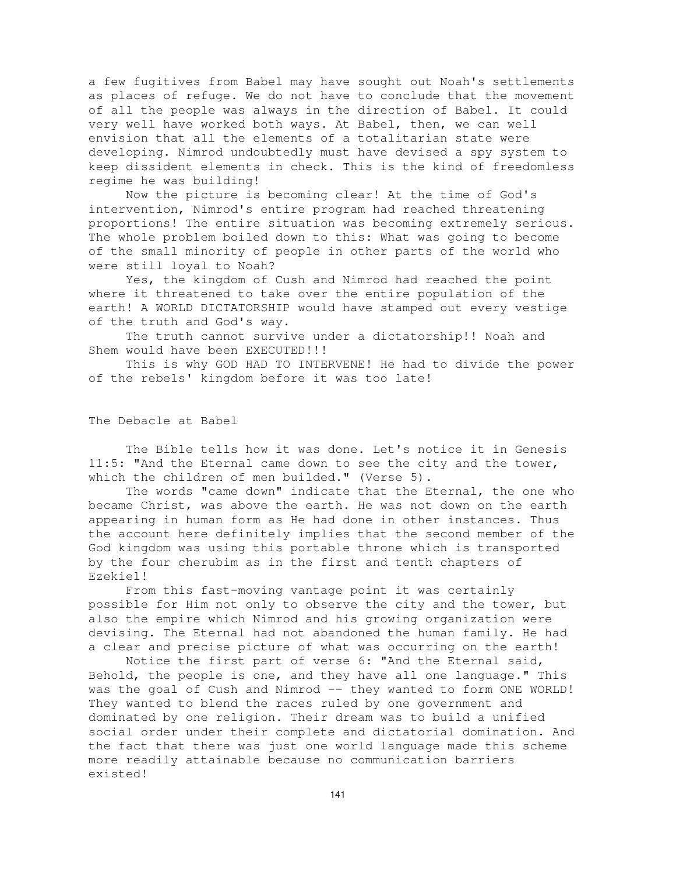a few fugitives from Babel may have sought out Noah's settlements as places of refuge. We do not have to conclude that the movement of all the people was always in the direction of Babel. It could very well have worked both ways. At Babel, then, we can well envision that all the elements of a totalitarian state were developing. Nimrod undoubtedly must have devised a spy system to keep dissident elements in check. This is the kind of freedomless regime he was building!

Now the picture is becoming clear! At the time of God's intervention, Nimrod's entire program had reached threatening proportions! The entire situation was becoming extremely serious. The whole problem boiled down to this: What was going to become of the small minority of people in other parts of the world who were still loyal to Noah?

Yes, the kingdom of Cush and Nimrod had reached the point where it threatened to take over the entire population of the earth! A WORLD DICTATORSHIP would have stamped out every vestige of the truth and God's way.

The truth cannot survive under a dictatorship!! Noah and Shem would have been EXECUTED!!!

This is why GOD HAD TO INTERVENE! He had to divide the power of the rebels' kingdom before it was too late!

The Debacle at Babel

The Bible tells how it was done. Let's notice it in Genesis 11:5: "And the Eternal came down to see the city and the tower, which the children of men builded." (Verse 5).

The words "came down" indicate that the Eternal, the one who became Christ, was above the earth. He was not down on the earth appearing in human form as He had done in other instances. Thus the account here definitely implies that the second member of the God kingdom was using this portable throne which is transported by the four cherubim as in the first and tenth chapters of Ezekiel!

From this fast-moving vantage point it was certainly possible for Him not only to observe the city and the tower, but also the empire which Nimrod and his growing organization were devising. The Eternal had not abandoned the human family. He had a clear and precise picture of what was occurring on the earth!

Notice the first part of verse 6: "And the Eternal said, Behold, the people is one, and they have all one language." This was the goal of Cush and Nimrod -- they wanted to form ONE WORLD! They wanted to blend the races ruled by one government and dominated by one religion. Their dream was to build a unified social order under their complete and dictatorial domination. And the fact that there was just one world language made this scheme more readily attainable because no communication barriers existed!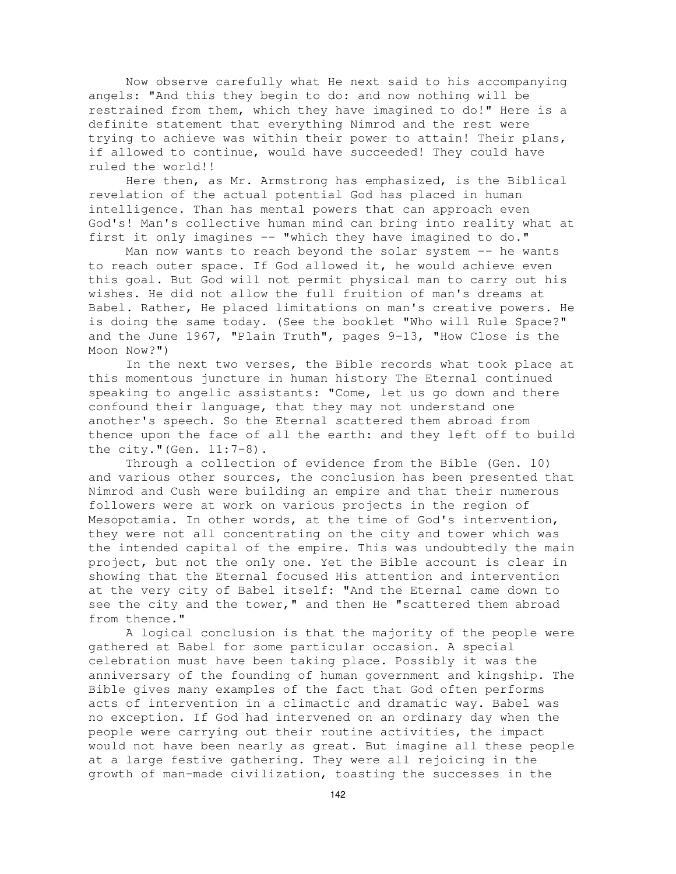Now observe carefully what He next said to his accompanying angels: "And this they begin to do: and now nothing will be restrained from them, which they have imagined to do!" Here is a definite statement that everything Nimrod and the rest were trying to achieve was within their power to attain! Their plans, if allowed to continue, would have succeeded! They could have ruled the world!!

Here then, as Mr. Armstrong has emphasized, is the Biblical revelation of the actual potential God has placed in human intelligence. Than has mental powers that can approach even God's! Man's collective human mind can bring into reality what at first it only imagines -- "which they have imagined to do."

Man now wants to reach beyond the solar system -- he wants to reach outer space. If God allowed it, he would achieve even this goal. But God will not permit physical man to carry out his wishes. He did not allow the full fruition of man's dreams at Babel. Rather, He placed limitations on man's creative powers. He is doing the same today. (See the booklet "Who will Rule Space?" and the June 1967, "Plain Truth", pages 9-13, "How Close is the Moon Now?")

In the next two verses, the Bible records what took place at this momentous juncture in human history The Eternal continued speaking to angelic assistants: "Come, let us go down and there confound their language, that they may not understand one another's speech. So the Eternal scattered them abroad from thence upon the face of all the earth: and they left off to build the city."(Gen. 11:7-8).

Through a collection of evidence from the Bible (Gen. 10) and various other sources, the conclusion has been presented that Nimrod and Cush were building an empire and that their numerous followers were at work on various projects in the region of Mesopotamia. In other words, at the time of God's intervention, they were not all concentrating on the city and tower which was the intended capital of the empire. This was undoubtedly the main project, but not the only one. Yet the Bible account is clear in showing that the Eternal focused His attention and intervention at the very city of Babel itself: "And the Eternal came down to see the city and the tower," and then He "scattered them abroad from thence."

A logical conclusion is that the majority of the people were gathered at Babel for some particular occasion. A special celebration must have been taking place. Possibly it was the anniversary of the founding of human government and kingship. The Bible gives many examples of the fact that God often performs acts of intervention in a climactic and dramatic way. Babel was no exception. If God had intervened on an ordinary day when the people were carrying out their routine activities, the impact would not have been nearly as great. But imagine all these people at a large festive gathering. They were all rejoicing in the growth of man-made civilization, toasting the successes in the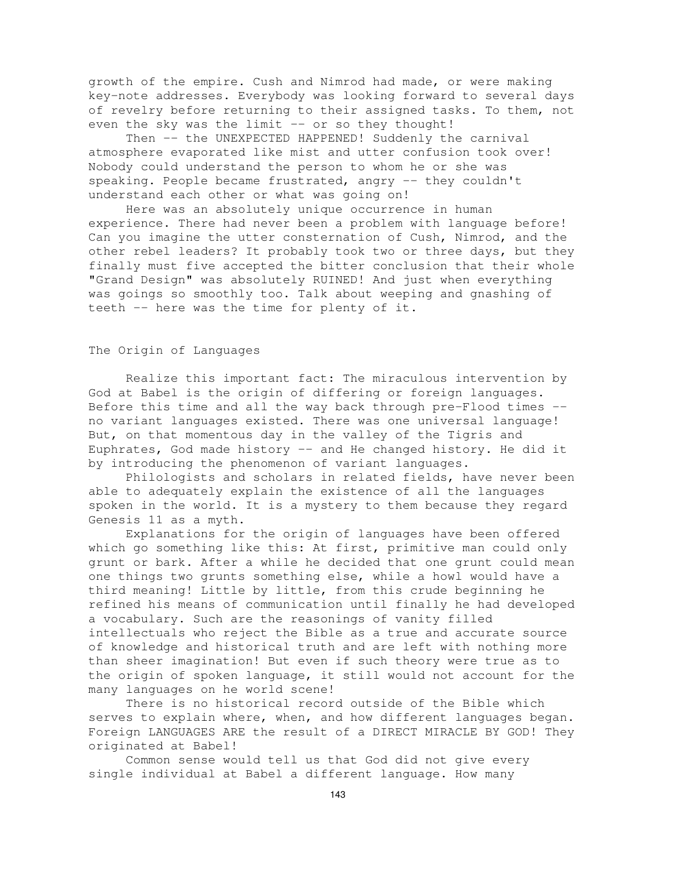growth of the empire. Cush and Nimrod had made, or were making key-note addresses. Everybody was looking forward to several days of revelry before returning to their assigned tasks. To them, not even the sky was the limit  $-$  or so they thought!

Then -- the UNEXPECTED HAPPENED! Suddenly the carnival atmosphere evaporated like mist and utter confusion took over! Nobody could understand the person to whom he or she was speaking. People became frustrated, angry -- they couldn't understand each other or what was going on!

Here was an absolutely unique occurrence in human experience. There had never been a problem with language before! Can you imagine the utter consternation of Cush, Nimrod, and the other rebel leaders? It probably took two or three days, but they finally must five accepted the bitter conclusion that their whole "Grand Design" was absolutely RUINED! And just when everything was goings so smoothly too. Talk about weeping and gnashing of teeth -- here was the time for plenty of it.

# The Origin of Languages

Realize this important fact: The miraculous intervention by God at Babel is the origin of differing or foreign languages. Before this time and all the way back through pre-Flood times - no variant languages existed. There was one universal language! But, on that momentous day in the valley of the Tigris and Euphrates, God made history -- and He changed history. He did it by introducing the phenomenon of variant languages.

Philologists and scholars in related fields, have never been able to adequately explain the existence of all the languages spoken in the world. It is a mystery to them because they regard Genesis 11 as a myth.

Explanations for the origin of languages have been offered which go something like this: At first, primitive man could only grunt or bark. After a while he decided that one grunt could mean one things two grunts something else, while a howl would have a third meaning! Little by little, from this crude beginning he refined his means of communication until finally he had developed a vocabulary. Such are the reasonings of vanity filled intellectuals who reject the Bible as a true and accurate source of knowledge and historical truth and are left with nothing more than sheer imagination! But even if such theory were true as to the origin of spoken language, it still would not account for the many languages on he world scene!

There is no historical record outside of the Bible which serves to explain where, when, and how different languages began. Foreign LANGUAGES ARE the result of a DIRECT MIRACLE BY GOD! They originated at Babel!

Common sense would tell us that God did not give every single individual at Babel a different language. How many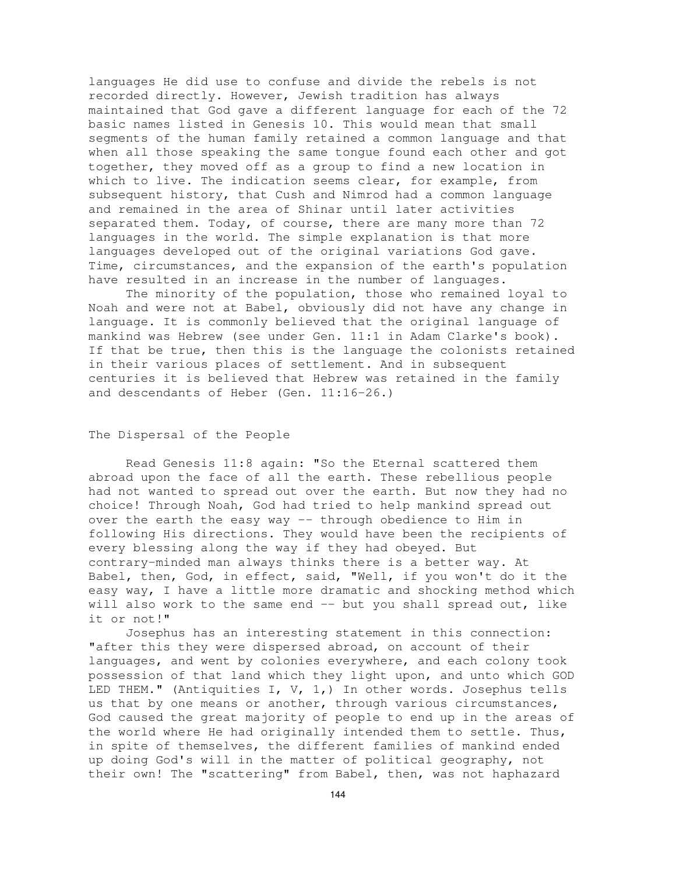languages He did use to confuse and divide the rebels is not recorded directly. However, Jewish tradition has always maintained that God gave a different language for each of the 72 basic names listed in Genesis 10. This would mean that small segments of the human family retained a common language and that when all those speaking the same tongue found each other and got together, they moved off as a group to find a new location in which to live. The indication seems clear, for example, from subsequent history, that Cush and Nimrod had a common language and remained in the area of Shinar until later activities separated them. Today, of course, there are many more than 72 languages in the world. The simple explanation is that more languages developed out of the original variations God gave. Time, circumstances, and the expansion of the earth's population have resulted in an increase in the number of languages.

The minority of the population, those who remained loyal to Noah and were not at Babel, obviously did not have any change in language. It is commonly believed that the original language of mankind was Hebrew (see under Gen. 11:1 in Adam Clarke's book). If that be true, then this is the language the colonists retained in their various places of settlement. And in subsequent centuries it is believed that Hebrew was retained in the family and descendants of Heber (Gen. 11:16-26.)

## The Dispersal of the People

Read Genesis 11:8 again: "So the Eternal scattered them abroad upon the face of all the earth. These rebellious people had not wanted to spread out over the earth. But now they had no choice! Through Noah, God had tried to help mankind spread out over the earth the easy way -- through obedience to Him in following His directions. They would have been the recipients of every blessing along the way if they had obeyed. But contrary-minded man always thinks there is a better way. At Babel, then, God, in effect, said, "Well, if you won't do it the easy way, I have a little more dramatic and shocking method which will also work to the same end -- but you shall spread out, like it or not!"

Josephus has an interesting statement in this connection: "after this they were dispersed abroad, on account of their languages, and went by colonies everywhere, and each colony took possession of that land which they light upon, and unto which GOD LED THEM." (Antiquities I, V, 1,) In other words. Josephus tells us that by one means or another, through various circumstances, God caused the great majority of people to end up in the areas of the world where He had originally intended them to settle. Thus, in spite of themselves, the different families of mankind ended up doing God's will in the matter of political geography, not their own! The "scattering" from Babel, then, was not haphazard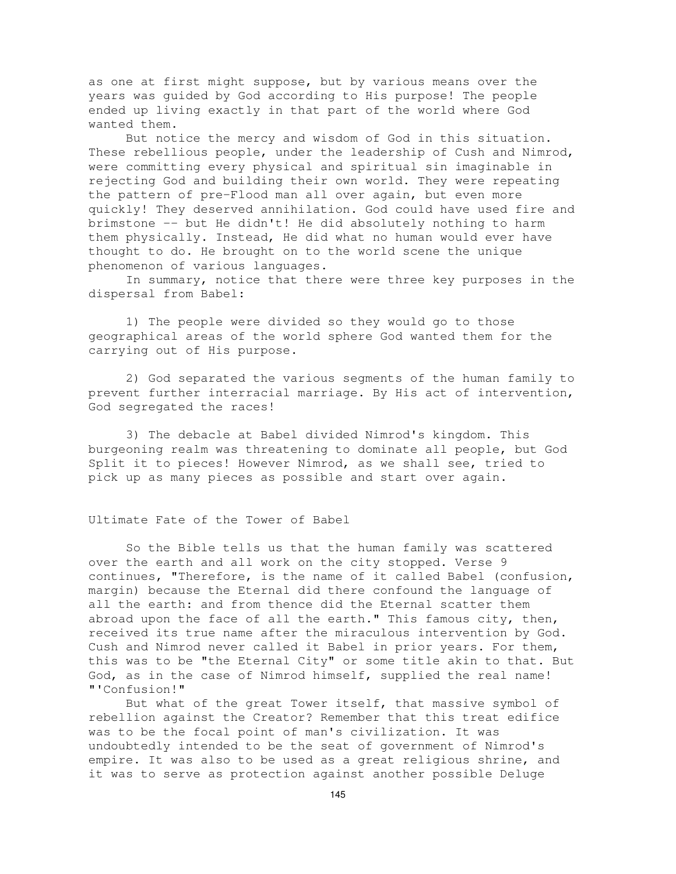as one at first might suppose, but by various means over the years was guided by God according to His purpose! The people ended up living exactly in that part of the world where God wanted them.

But notice the mercy and wisdom of God in this situation. These rebellious people, under the leadership of Cush and Nimrod, were committing every physical and spiritual sin imaginable in rejecting God and building their own world. They were repeating the pattern of pre-Flood man all over again, but even more quickly! They deserved annihilation. God could have used fire and brimstone -- but He didn't! He did absolutely nothing to harm them physically. Instead, He did what no human would ever have thought to do. He brought on to the world scene the unique phenomenon of various languages.

In summary, notice that there were three key purposes in the dispersal from Babel:

1) The people were divided so they would go to those geographical areas of the world sphere God wanted them for the carrying out of His purpose.

2) God separated the various segments of the human family to prevent further interracial marriage. By His act of intervention, God segregated the races!

3) The debacle at Babel divided Nimrod's kingdom. This burgeoning realm was threatening to dominate all people, but God Split it to pieces! However Nimrod, as we shall see, tried to pick up as many pieces as possible and start over again.

## Ultimate Fate of the Tower of Babel

So the Bible tells us that the human family was scattered over the earth and all work on the city stopped. Verse 9 continues, "Therefore, is the name of it called Babel (confusion, margin) because the Eternal did there confound the language of all the earth: and from thence did the Eternal scatter them abroad upon the face of all the earth." This famous city, then, received its true name after the miraculous intervention by God. Cush and Nimrod never called it Babel in prior years. For them, this was to be "the Eternal City" or some title akin to that. But God, as in the case of Nimrod himself, supplied the real name! "'Confusion!"

But what of the great Tower itself, that massive symbol of rebellion against the Creator? Remember that this treat edifice was to be the focal point of man's civilization. It was undoubtedly intended to be the seat of government of Nimrod's empire. It was also to be used as a great religious shrine, and it was to serve as protection against another possible Deluge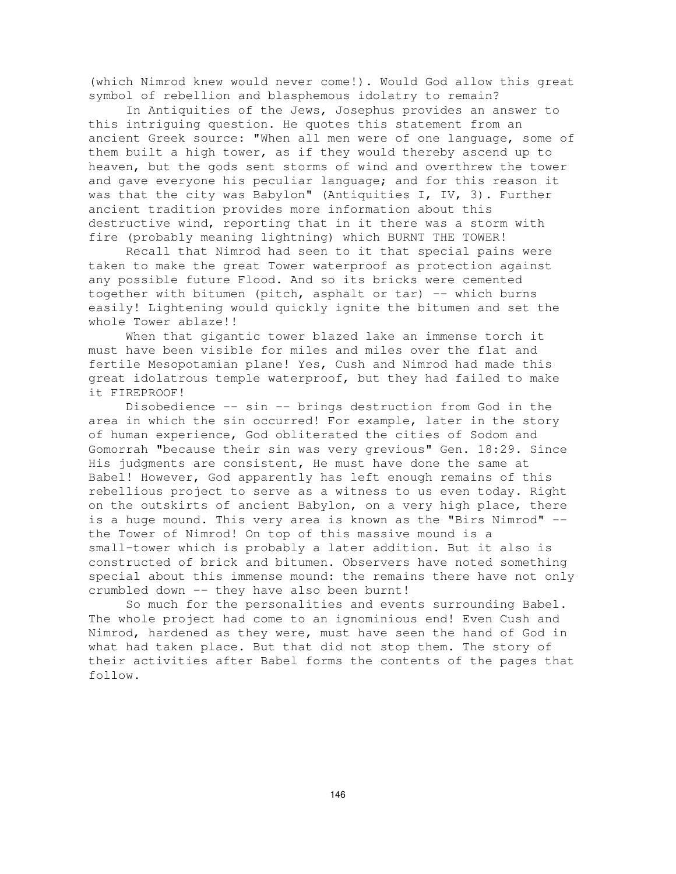(which Nimrod knew would never come!). Would God allow this great symbol of rebellion and blasphemous idolatry to remain?

In Antiquities of the Jews, Josephus provides an answer to this intriguing question. He quotes this statement from an ancient Greek source: "When all men were of one language, some of them built a high tower, as if they would thereby ascend up to heaven, but the gods sent storms of wind and overthrew the tower and gave everyone his peculiar language; and for this reason it was that the city was Babylon" (Antiquities I, IV, 3). Further ancient tradition provides more information about this destructive wind, reporting that in it there was a storm with fire (probably meaning lightning) which BURNT THE TOWER!

Recall that Nimrod had seen to it that special pains were taken to make the great Tower waterproof as protection against any possible future Flood. And so its bricks were cemented together with bitumen (pitch, asphalt or tar) -- which burns easily! Lightening would quickly ignite the bitumen and set the whole Tower ablaze!!

When that gigantic tower blazed lake an immense torch it must have been visible for miles and miles over the flat and fertile Mesopotamian plane! Yes, Cush and Nimrod had made this great idolatrous temple waterproof, but they had failed to make it FIREPROOF!

Disobedience -- sin -- brings destruction from God in the area in which the sin occurred! For example, later in the story of human experience, God obliterated the cities of Sodom and Gomorrah "because their sin was very grevious" Gen. 18:29. Since His judgments are consistent, He must have done the same at Babel! However, God apparently has left enough remains of this rebellious project to serve as a witness to us even today. Right on the outskirts of ancient Babylon, on a very high place, there is a huge mound. This very area is known as the "Birs Nimrod" - the Tower of Nimrod! On top of this massive mound is a small-tower which is probably a later addition. But it also is constructed of brick and bitumen. Observers have noted something special about this immense mound: the remains there have not only crumbled down -- they have also been burnt!

So much for the personalities and events surrounding Babel. The whole project had come to an ignominious end! Even Cush and Nimrod, hardened as they were, must have seen the hand of God in what had taken place. But that did not stop them. The story of their activities after Babel forms the contents of the pages that follow.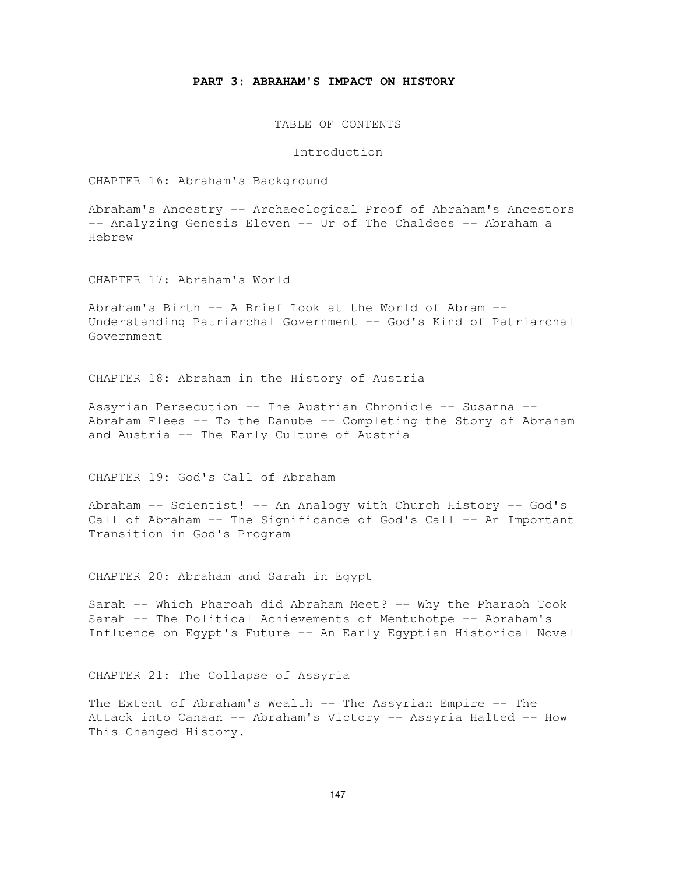## **PART 3: ABRAHAM'S IMPACT ON HISTORY**

TABLE OF CONTENTS

Introduction

CHAPTER 16: Abraham's Background

Abraham's Ancestry -- Archaeological Proof of Abraham's Ancestors -- Analyzing Genesis Eleven -- Ur of The Chaldees -- Abraham a Hebrew

CHAPTER 17: Abraham's World

Abraham's Birth -- A Brief Look at the World of Abram -- Understanding Patriarchal Government -- God's Kind of Patriarchal Government

CHAPTER 18: Abraham in the History of Austria

Assyrian Persecution -- The Austrian Chronicle -- Susanna -- Abraham Flees -- To the Danube -- Completing the Story of Abraham and Austria -- The Early Culture of Austria

CHAPTER 19: God's Call of Abraham

Abraham -- Scientist! -- An Analogy with Church History -- God's Call of Abraham -- The Significance of God's Call -- An Important Transition in God's Program

CHAPTER 20: Abraham and Sarah in Egypt

Sarah -- Which Pharoah did Abraham Meet? -- Why the Pharaoh Took Sarah -- The Political Achievements of Mentuhotpe -- Abraham's Influence on Egypt's Future -- An Early Egyptian Historical Novel

CHAPTER 21: The Collapse of Assyria

The Extent of Abraham's Wealth -- The Assyrian Empire -- The Attack into Canaan -- Abraham's Victory -- Assyria Halted -- How This Changed History.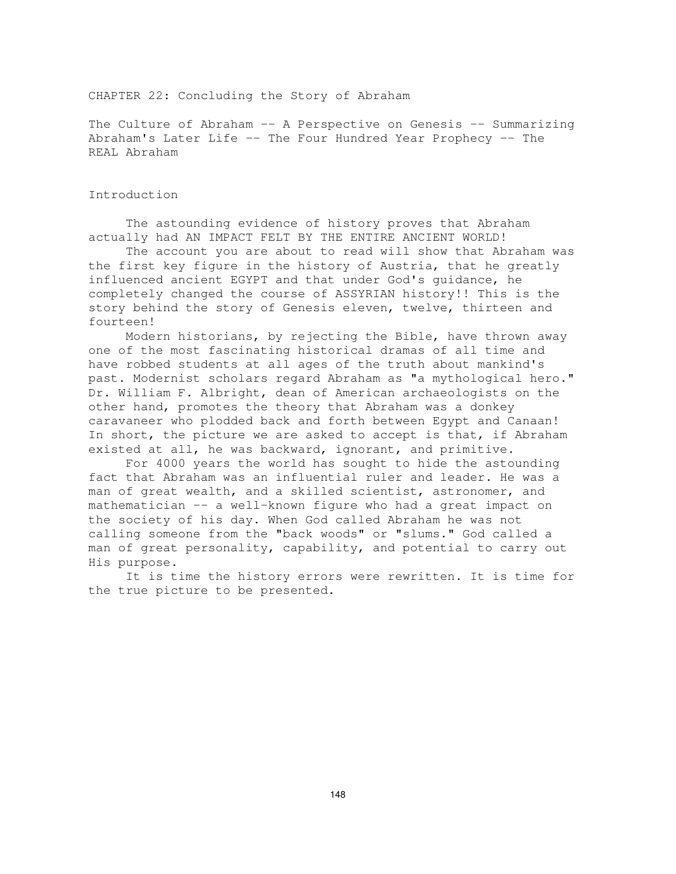CHAPTER 22: Concluding the Story of Abraham

The Culture of Abraham -- A Perspective on Genesis -- Summarizing Abraham's Later Life -- The Four Hundred Year Prophecy -- The REAL Abraham

## Introduction

The astounding evidence of history proves that Abraham actually had AN IMPACT FELT BY THE ENTIRE ANCIENT WORLD!

The account you are about to read will show that Abraham was the first key figure in the history of Austria, that he greatly influenced ancient EGYPT and that under God's guidance, he completely changed the course of ASSYRIAN history!! This is the story behind the story of Genesis eleven, twelve, thirteen and fourteen!

Modern historians, by rejecting the Bible, have thrown away one of the most fascinating historical dramas of all time and have robbed students at all ages of the truth about mankind's past. Modernist scholars regard Abraham as "a mythological hero." Dr. William F. Albright, dean of American archaeologists on the other hand, promotes the theory that Abraham was a donkey caravaneer who plodded back and forth between Egypt and Canaan! In short, the picture we are asked to accept is that, if Abraham existed at all, he was backward, ignorant, and primitive.

For 4000 years the world has sought to hide the astounding fact that Abraham was an influential ruler and leader. He was a man of great wealth, and a skilled scientist, astronomer, and mathematician -- a well-known figure who had a great impact on the society of his day. When God called Abraham he was not calling someone from the "back woods" or "slums." God called a man of great personality, capability, and potential to carry out His purpose.

It is time the history errors were rewritten. It is time for the true picture to be presented.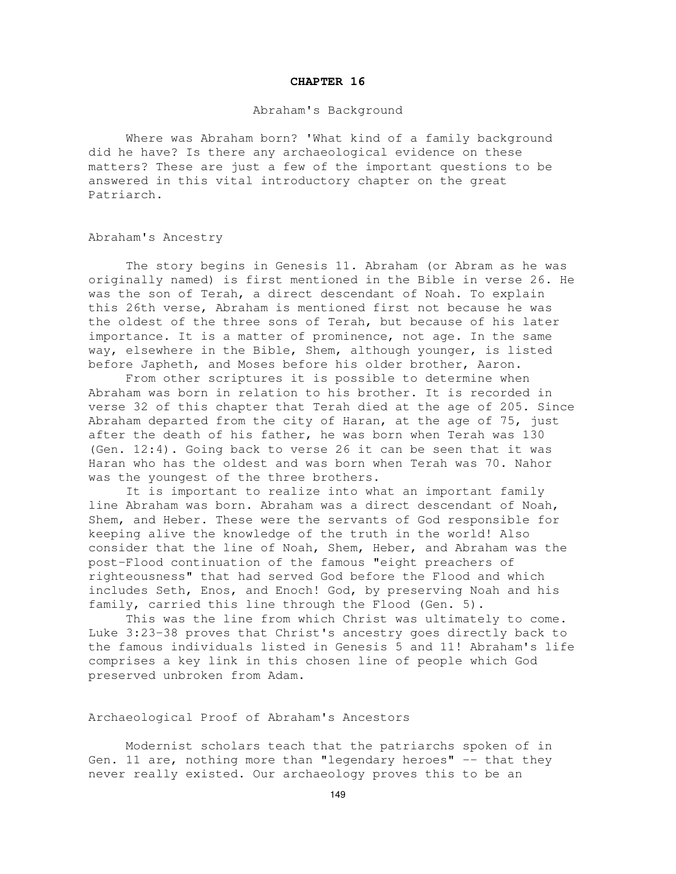#### **CHAPTER 16**

### Abraham's Background

Where was Abraham born? 'What kind of a family background did he have? Is there any archaeological evidence on these matters? These are just a few of the important questions to be answered in this vital introductory chapter on the great Patriarch.

# Abraham's Ancestry

The story begins in Genesis 11. Abraham (or Abram as he was originally named) is first mentioned in the Bible in verse 26. He was the son of Terah, a direct descendant of Noah. To explain this 26th verse, Abraham is mentioned first not because he was the oldest of the three sons of Terah, but because of his later importance. It is a matter of prominence, not age. In the same way, elsewhere in the Bible, Shem, although younger, is listed before Japheth, and Moses before his older brother, Aaron.

From other scriptures it is possible to determine when Abraham was born in relation to his brother. It is recorded in verse 32 of this chapter that Terah died at the age of 205. Since Abraham departed from the city of Haran, at the age of 75, just after the death of his father, he was born when Terah was 130 (Gen. 12:4). Going back to verse 26 it can be seen that it was Haran who has the oldest and was born when Terah was 70. Nahor was the youngest of the three brothers.

It is important to realize into what an important family line Abraham was born. Abraham was a direct descendant of Noah, Shem, and Heber. These were the servants of God responsible for keeping alive the knowledge of the truth in the world! Also consider that the line of Noah, Shem, Heber, and Abraham was the post-Flood continuation of the famous "eight preachers of righteousness" that had served God before the Flood and which includes Seth, Enos, and Enoch! God, by preserving Noah and his family, carried this line through the Flood (Gen. 5).

This was the line from which Christ was ultimately to come. Luke 3:23-38 proves that Christ's ancestry goes directly back to the famous individuals listed in Genesis 5 and 11! Abraham's life comprises a key link in this chosen line of people which God preserved unbroken from Adam.

## Archaeological Proof of Abraham's Ancestors

Modernist scholars teach that the patriarchs spoken of in Gen. 11 are, nothing more than "legendary heroes" -- that they never really existed. Our archaeology proves this to be an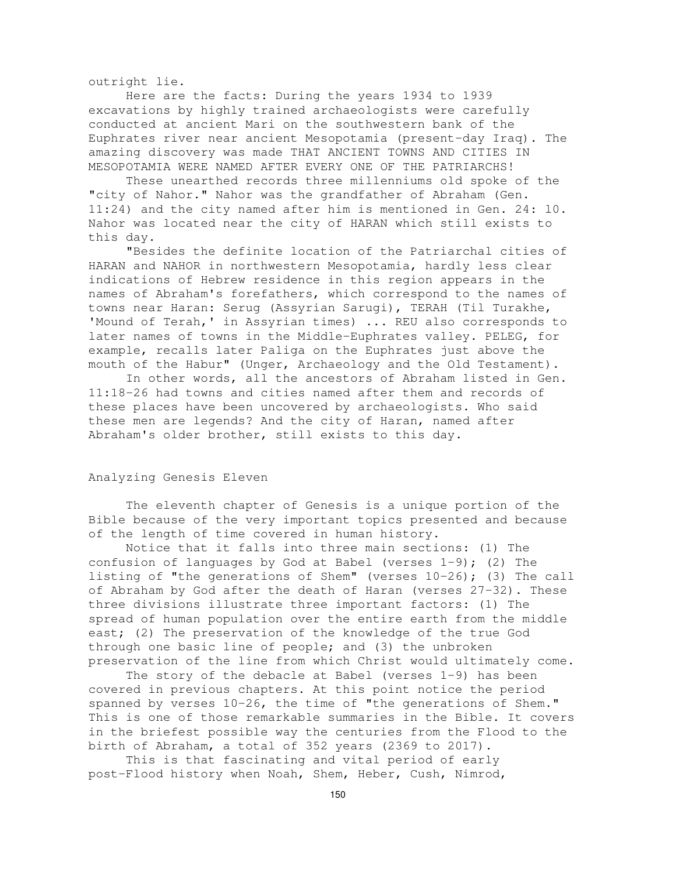outright lie.

Here are the facts: During the years 1934 to 1939 excavations by highly trained archaeologists were carefully conducted at ancient Mari on the southwestern bank of the Euphrates river near ancient Mesopotamia (present-day Iraq). The amazing discovery was made THAT ANCIENT TOWNS AND CITIES IN MESOPOTAMIA WERE NAMED AFTER EVERY ONE OF THE PATRIARCHS!

These unearthed records three millenniums old spoke of the "city of Nahor." Nahor was the grandfather of Abraham (Gen. 11:24) and the city named after him is mentioned in Gen. 24: l0. Nahor was located near the city of HARAN which still exists to this day.

"Besides the definite location of the Patriarchal cities of HARAN and NAHOR in northwestern Mesopotamia, hardly less clear indications of Hebrew residence in this region appears in the names of Abraham's forefathers, which correspond to the names of towns near Haran: Serug (Assyrian Sarugi), TERAH (Til Turakhe, 'Mound of Terah,' in Assyrian times) ... REU also corresponds to later names of towns in the Middle-Euphrates valley. PELEG, for example, recalls later Paliga on the Euphrates just above the mouth of the Habur" (Unger, Archaeology and the Old Testament).

In other words, all the ancestors of Abraham listed in Gen. 11:18-26 had towns and cities named after them and records of these places have been uncovered by archaeologists. Who said these men are legends? And the city of Haran, named after Abraham's older brother, still exists to this day.

#### Analyzing Genesis Eleven

The eleventh chapter of Genesis is a unique portion of the Bible because of the very important topics presented and because of the length of time covered in human history.

Notice that it falls into three main sections: (1) The confusion of languages by God at Babel (verses 1-9); (2) The listing of "the generations of Shem" (verses 10-26); (3) The call of Abraham by God after the death of Haran (verses 27-32). These three divisions illustrate three important factors: (1) The spread of human population over the entire earth from the middle east; (2) The preservation of the knowledge of the true God through one basic line of people; and (3) the unbroken preservation of the line from which Christ would ultimately come.

The story of the debacle at Babel (verses 1-9) has been covered in previous chapters. At this point notice the period spanned by verses 10-26, the time of "the generations of Shem." This is one of those remarkable summaries in the Bible. It covers in the briefest possible way the centuries from the Flood to the birth of Abraham, a total of 352 years (2369 to 2017).

This is that fascinating and vital period of early post-Flood history when Noah, Shem, Heber, Cush, Nimrod,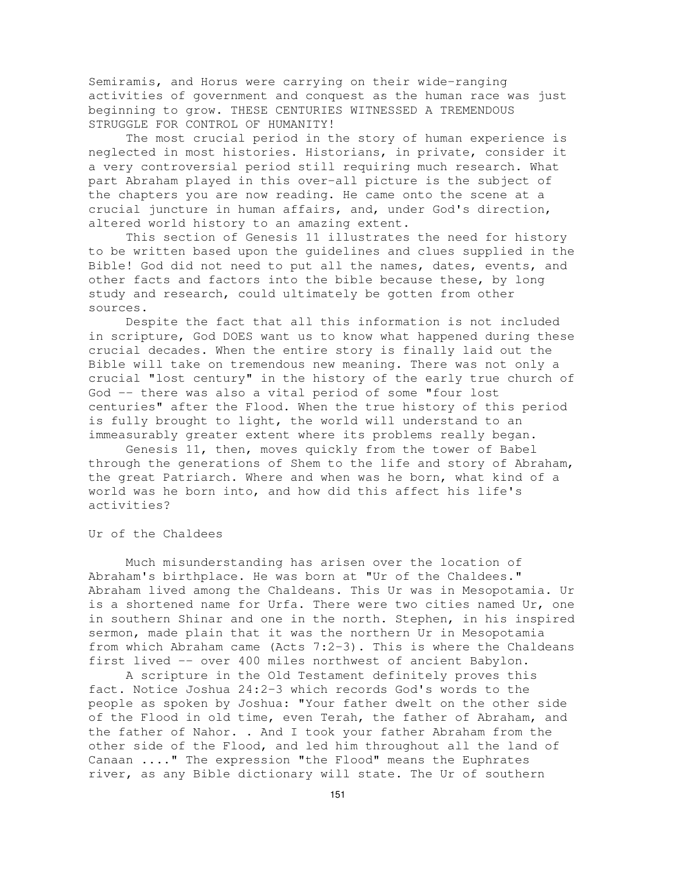Semiramis, and Horus were carrying on their wide-ranging activities of government and conquest as the human race was just beginning to grow. THESE CENTURIES WITNESSED A TREMENDOUS STRUGGLE FOR CONTROL OF HUMANITY!

The most crucial period in the story of human experience is neglected in most histories. Historians, in private, consider it a very controversial period still requiring much research. What part Abraham played in this over-all picture is the subject of the chapters you are now reading. He came onto the scene at a crucial juncture in human affairs, and, under God's direction, altered world history to an amazing extent.

This section of Genesis 11 illustrates the need for history to be written based upon the guidelines and clues supplied in the Bible! God did not need to put all the names, dates, events, and other facts and factors into the bible because these, by long study and research, could ultimately be gotten from other sources.

Despite the fact that all this information is not included in scripture, God DOES want us to know what happened during these crucial decades. When the entire story is finally laid out the Bible will take on tremendous new meaning. There was not only a crucial "lost century" in the history of the early true church of God -- there was also a vital period of some "four lost centuries" after the Flood. When the true history of this period is fully brought to light, the world will understand to an immeasurably greater extent where its problems really began.

Genesis 11, then, moves quickly from the tower of Babel through the generations of Shem to the life and story of Abraham, the great Patriarch. Where and when was he born, what kind of a world was he born into, and how did this affect his life's activities?

Ur of the Chaldees

Much misunderstanding has arisen over the location of Abraham's birthplace. He was born at "Ur of the Chaldees." Abraham lived among the Chaldeans. This Ur was in Mesopotamia. Ur is a shortened name for Urfa. There were two cities named Ur, one in southern Shinar and one in the north. Stephen, in his inspired sermon, made plain that it was the northern Ur in Mesopotamia from which Abraham came (Acts 7:2-3). This is where the Chaldeans first lived -- over 400 miles northwest of ancient Babylon.

A scripture in the Old Testament definitely proves this fact. Notice Joshua 24:2-3 which records God's words to the people as spoken by Joshua: "Your father dwelt on the other side of the Flood in old time, even Terah, the father of Abraham, and the father of Nahor. . And I took your father Abraham from the other side of the Flood, and led him throughout all the land of Canaan ...." The expression "the Flood" means the Euphrates river, as any Bible dictionary will state. The Ur of southern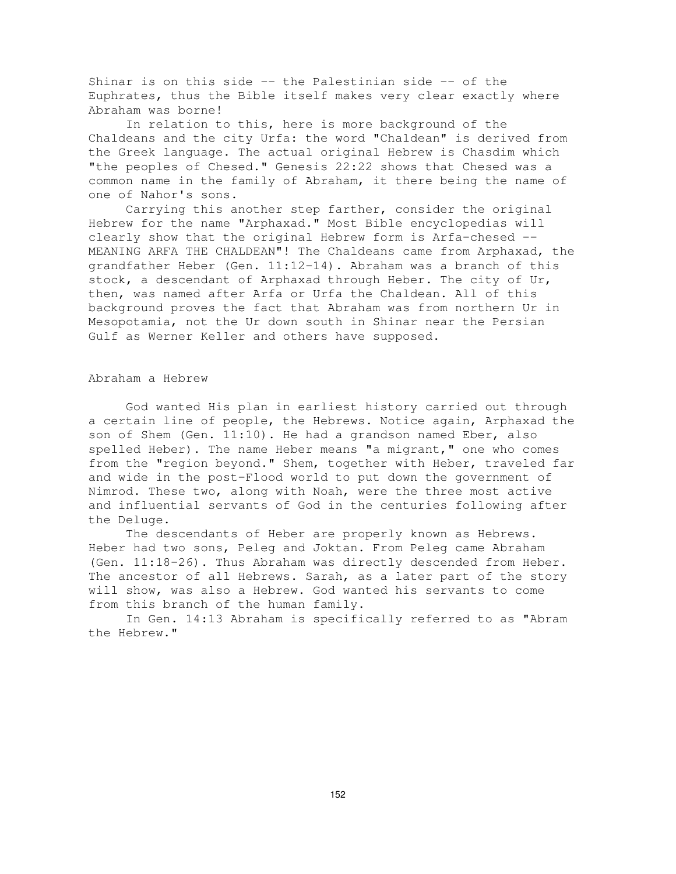Shinar is on this side -- the Palestinian side -- of the Euphrates, thus the Bible itself makes very clear exactly where Abraham was borne!

In relation to this, here is more background of the Chaldeans and the city Urfa: the word "Chaldean" is derived from the Greek language. The actual original Hebrew is Chasdim which "the peoples of Chesed." Genesis 22:22 shows that Chesed was a common name in the family of Abraham, it there being the name of one of Nahor's sons.

Carrying this another step farther, consider the original Hebrew for the name "Arphaxad." Most Bible encyclopedias will clearly show that the original Hebrew form is Arfa-chesed -- MEANING ARFA THE CHALDEAN"! The Chaldeans came from Arphaxad, the grandfather Heber (Gen. 11:12-14). Abraham was a branch of this stock, a descendant of Arphaxad through Heber. The city of Ur, then, was named after Arfa or Urfa the Chaldean. All of this background proves the fact that Abraham was from northern Ur in Mesopotamia, not the Ur down south in Shinar near the Persian Gulf as Werner Keller and others have supposed.

#### Abraham a Hebrew

God wanted His plan in earliest history carried out through a certain line of people, the Hebrews. Notice again, Arphaxad the son of Shem (Gen. 11:10). He had a grandson named Eber, also spelled Heber). The name Heber means "a migrant," one who comes from the "region beyond." Shem, together with Heber, traveled far and wide in the post-Flood world to put down the government of Nimrod. These two, along with Noah, were the three most active and influential servants of God in the centuries following after the Deluge.

The descendants of Heber are properly known as Hebrews. Heber had two sons, Peleg and Joktan. From Peleg came Abraham (Gen. 11:18-26). Thus Abraham was directly descended from Heber. The ancestor of all Hebrews. Sarah, as a later part of the story will show, was also a Hebrew. God wanted his servants to come from this branch of the human family.

In Gen. 14:13 Abraham is specifically referred to as "Abram the Hebrew."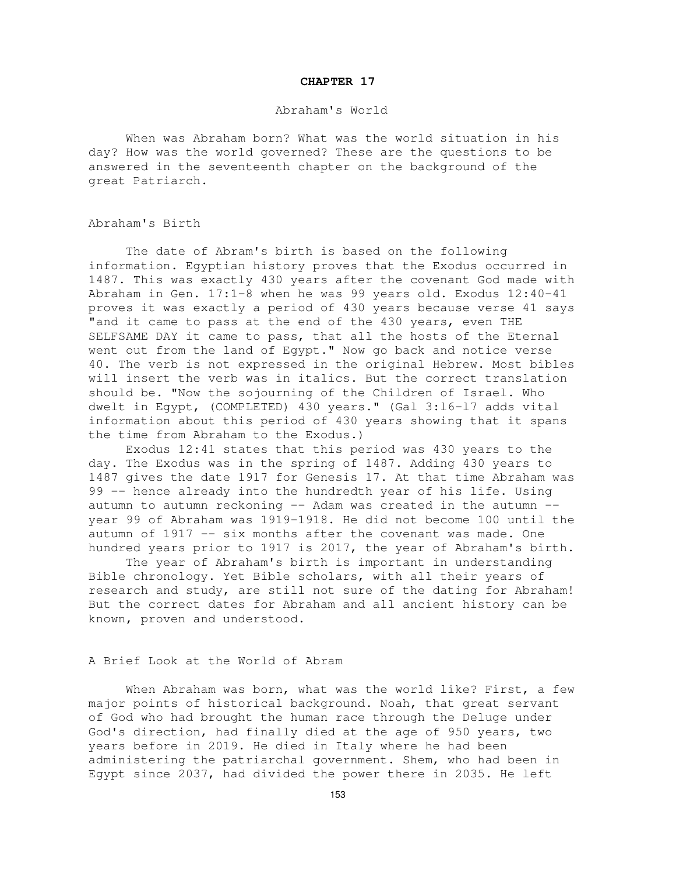#### **CHAPTER 17**

## Abraham's World

When was Abraham born? What was the world situation in his day? How was the world governed? These are the questions to be answered in the seventeenth chapter on the background of the great Patriarch.

#### Abraham's Birth

The date of Abram's birth is based on the following information. Egyptian history proves that the Exodus occurred in 1487. This was exactly 430 years after the covenant God made with Abraham in Gen. 17:1-8 when he was 99 years old. Exodus 12:40-41 proves it was exactly a period of 430 years because verse 41 says "and it came to pass at the end of the 430 years, even THE SELFSAME DAY it came to pass, that all the hosts of the Eternal went out from the land of Egypt." Now go back and notice verse 40. The verb is not expressed in the original Hebrew. Most bibles will insert the verb was in italics. But the correct translation should be. "Now the sojourning of the Children of Israel. Who dwelt in Egypt, (COMPLETED) 430 years." (Gal 3:l6-l7 adds vital information about this period of 430 years showing that it spans the time from Abraham to the Exodus.)

Exodus 12:41 states that this period was 430 years to the day. The Exodus was in the spring of 1487. Adding 430 years to 1487 gives the date 1917 for Genesis 17. At that time Abraham was 99 -- hence already into the hundredth year of his life. Using autumn to autumn reckoning -- Adam was created in the autumn - year 99 of Abraham was 1919-1918. He did not become 100 until the autumn of 1917 -- six months after the covenant was made. One hundred years prior to 1917 is 2017, the year of Abraham's birth.

The year of Abraham's birth is important in understanding Bible chronology. Yet Bible scholars, with all their years of research and study, are still not sure of the dating for Abraham! But the correct dates for Abraham and all ancient history can be known, proven and understood.

#### A Brief Look at the World of Abram

When Abraham was born, what was the world like? First, a few major points of historical background. Noah, that great servant of God who had brought the human race through the Deluge under God's direction, had finally died at the age of 950 years, two years before in 2019. He died in Italy where he had been administering the patriarchal government. Shem, who had been in Egypt since 2037, had divided the power there in 2035. He left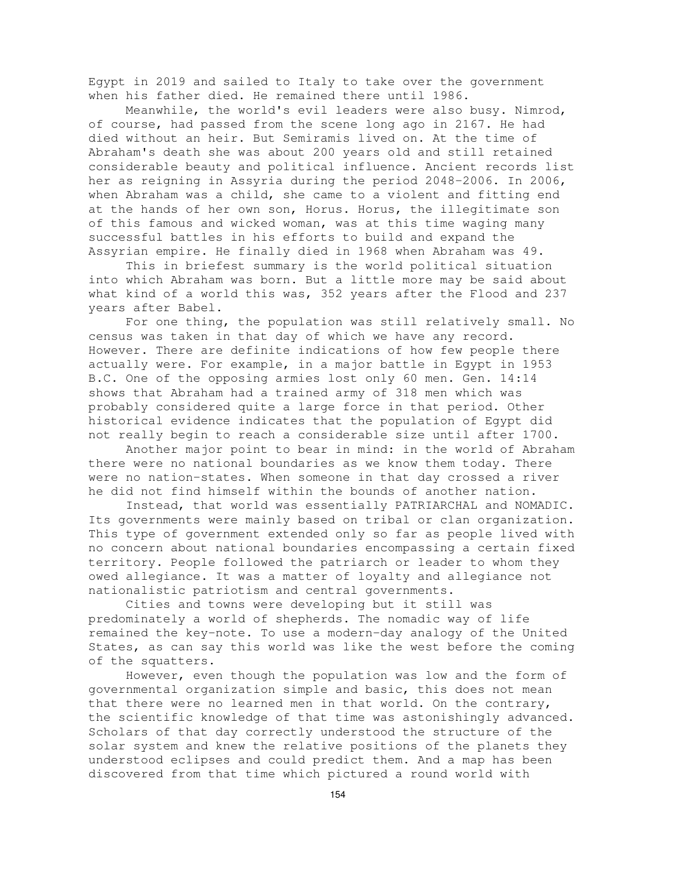Egypt in 2019 and sailed to Italy to take over the government when his father died. He remained there until 1986.

Meanwhile, the world's evil leaders were also busy. Nimrod, of course, had passed from the scene long ago in 2167. He had died without an heir. But Semiramis lived on. At the time of Abraham's death she was about 200 years old and still retained considerable beauty and political influence. Ancient records list her as reigning in Assyria during the period 2048-2006. In 2006, when Abraham was a child, she came to a violent and fitting end at the hands of her own son, Horus. Horus, the illegitimate son of this famous and wicked woman, was at this time waging many successful battles in his efforts to build and expand the Assyrian empire. He finally died in 1968 when Abraham was 49.

This in briefest summary is the world political situation into which Abraham was born. But a little more may be said about what kind of a world this was, 352 years after the Flood and 237 years after Babel.

For one thing, the population was still relatively small. No census was taken in that day of which we have any record. However. There are definite indications of how few people there actually were. For example, in a major battle in Egypt in 1953 B.C. One of the opposing armies lost only 60 men. Gen. 14:14 shows that Abraham had a trained army of 318 men which was probably considered quite a large force in that period. Other historical evidence indicates that the population of Egypt did not really begin to reach a considerable size until after 1700.

Another major point to bear in mind: in the world of Abraham there were no national boundaries as we know them today. There were no nation-states. When someone in that day crossed a river he did not find himself within the bounds of another nation.

Instead, that world was essentially PATRIARCHAL and NOMADIC. Its governments were mainly based on tribal or clan organization. This type of government extended only so far as people lived with no concern about national boundaries encompassing a certain fixed territory. People followed the patriarch or leader to whom they owed allegiance. It was a matter of loyalty and allegiance not nationalistic patriotism and central governments.

Cities and towns were developing but it still was predominately a world of shepherds. The nomadic way of life remained the key-note. To use a modern-day analogy of the United States, as can say this world was like the west before the coming of the squatters.

However, even though the population was low and the form of governmental organization simple and basic, this does not mean that there were no learned men in that world. On the contrary, the scientific knowledge of that time was astonishingly advanced. Scholars of that day correctly understood the structure of the solar system and knew the relative positions of the planets they understood eclipses and could predict them. And a map has been discovered from that time which pictured a round world with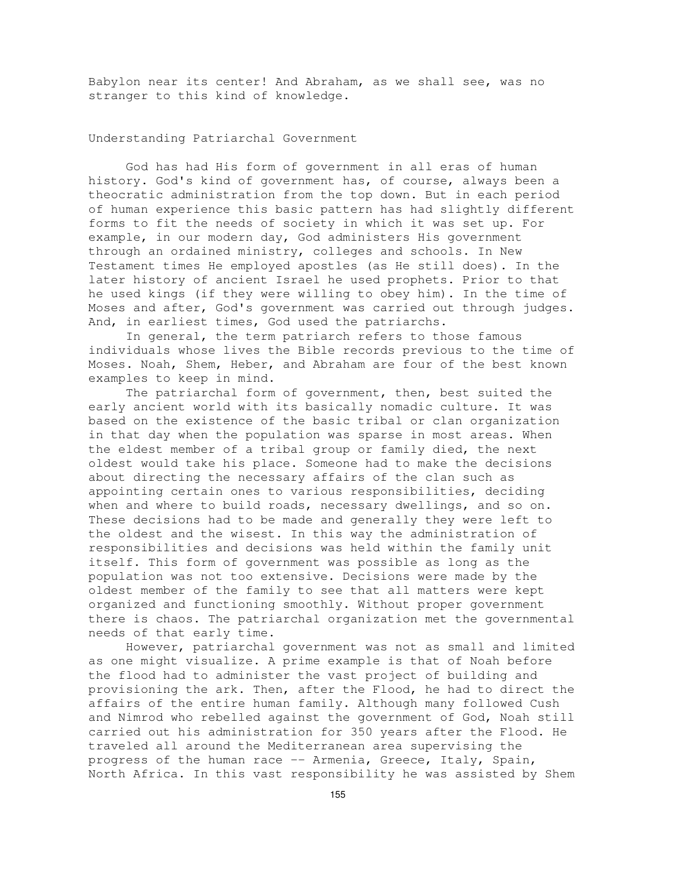Babylon near its center! And Abraham, as we shall see, was no stranger to this kind of knowledge.

Understanding Patriarchal Government

God has had His form of government in all eras of human history. God's kind of government has, of course, always been a theocratic administration from the top down. But in each period of human experience this basic pattern has had slightly different forms to fit the needs of society in which it was set up. For example, in our modern day, God administers His government through an ordained ministry, colleges and schools. In New Testament times He employed apostles (as He still does). In the later history of ancient Israel he used prophets. Prior to that he used kings (if they were willing to obey him). In the time of Moses and after, God's government was carried out through judges. And, in earliest times, God used the patriarchs.

In general, the term patriarch refers to those famous individuals whose lives the Bible records previous to the time of Moses. Noah, Shem, Heber, and Abraham are four of the best known examples to keep in mind.

The patriarchal form of government, then, best suited the early ancient world with its basically nomadic culture. It was based on the existence of the basic tribal or clan organization in that day when the population was sparse in most areas. When the eldest member of a tribal group or family died, the next oldest would take his place. Someone had to make the decisions about directing the necessary affairs of the clan such as appointing certain ones to various responsibilities, deciding when and where to build roads, necessary dwellings, and so on. These decisions had to be made and generally they were left to the oldest and the wisest. In this way the administration of responsibilities and decisions was held within the family unit itself. This form of government was possible as long as the population was not too extensive. Decisions were made by the oldest member of the family to see that all matters were kept organized and functioning smoothly. Without proper government there is chaos. The patriarchal organization met the governmental needs of that early time.

However, patriarchal government was not as small and limited as one might visualize. A prime example is that of Noah before the flood had to administer the vast project of building and provisioning the ark. Then, after the Flood, he had to direct the affairs of the entire human family. Although many followed Cush and Nimrod who rebelled against the government of God, Noah still carried out his administration for 350 years after the Flood. He traveled all around the Mediterranean area supervising the progress of the human race -- Armenia, Greece, Italy, Spain, North Africa. In this vast responsibility he was assisted by Shem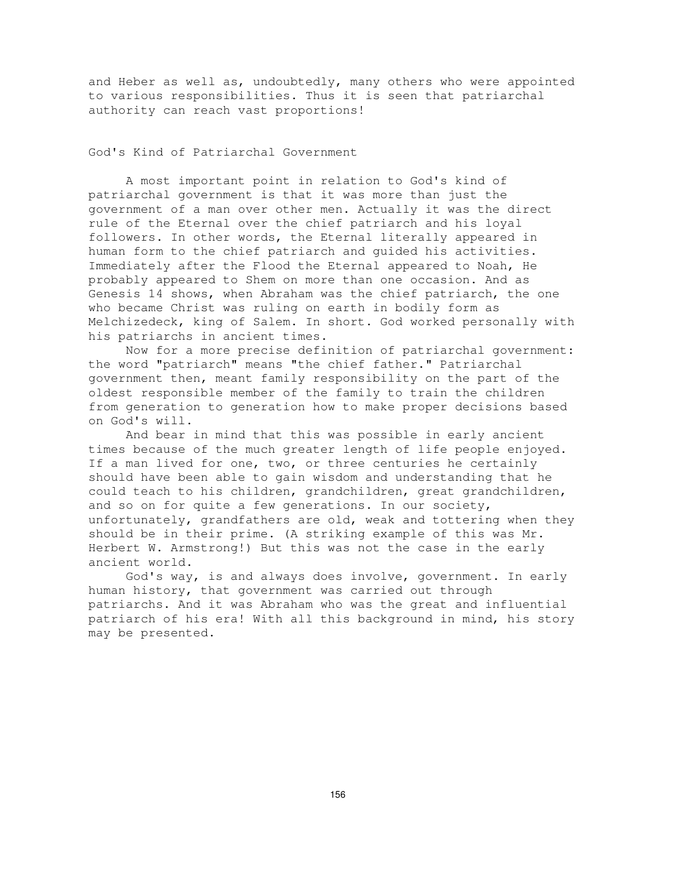and Heber as well as, undoubtedly, many others who were appointed to various responsibilities. Thus it is seen that patriarchal authority can reach vast proportions!

God's Kind of Patriarchal Government

A most important point in relation to God's kind of patriarchal government is that it was more than just the government of a man over other men. Actually it was the direct rule of the Eternal over the chief patriarch and his loyal followers. In other words, the Eternal literally appeared in human form to the chief patriarch and guided his activities. Immediately after the Flood the Eternal appeared to Noah, He probably appeared to Shem on more than one occasion. And as Genesis 14 shows, when Abraham was the chief patriarch, the one who became Christ was ruling on earth in bodily form as Melchizedeck, king of Salem. In short. God worked personally with his patriarchs in ancient times.

Now for a more precise definition of patriarchal government: the word "patriarch" means "the chief father." Patriarchal government then, meant family responsibility on the part of the oldest responsible member of the family to train the children from generation to generation how to make proper decisions based on God's will.

And bear in mind that this was possible in early ancient times because of the much greater length of life people enjoyed. If a man lived for one, two, or three centuries he certainly should have been able to gain wisdom and understanding that he could teach to his children, grandchildren, great grandchildren, and so on for quite a few generations. In our society, unfortunately, grandfathers are old, weak and tottering when they should be in their prime. (A striking example of this was Mr. Herbert W. Armstrong!) But this was not the case in the early ancient world.

God's way, is and always does involve, government. In early human history, that government was carried out through patriarchs. And it was Abraham who was the great and influential patriarch of his era! With all this background in mind, his story may be presented.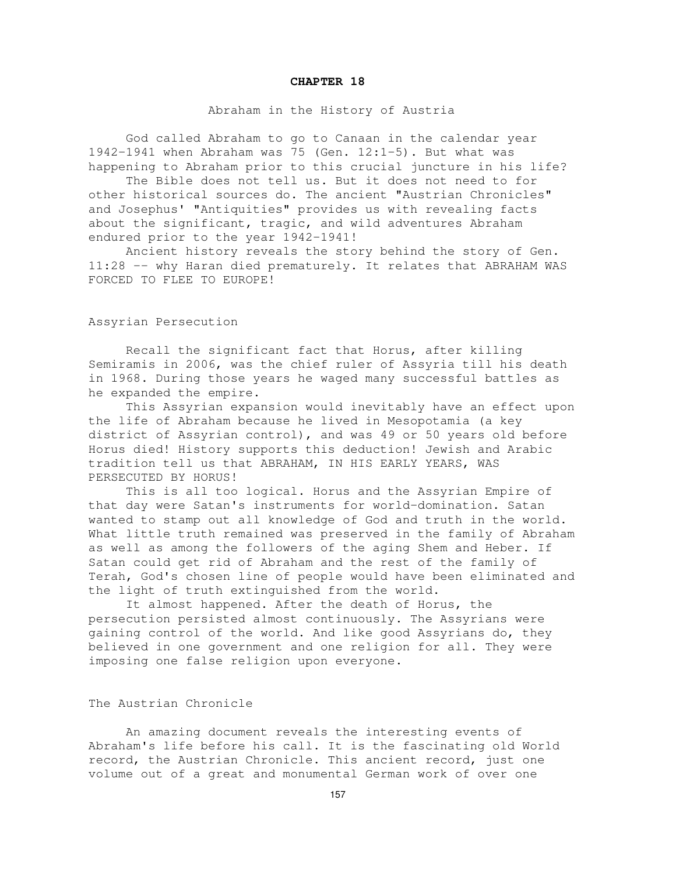#### **CHAPTER 18**

### Abraham in the History of Austria

God called Abraham to go to Canaan in the calendar year 1942-1941 when Abraham was 75 (Gen. 12:1-5). But what was happening to Abraham prior to this crucial juncture in his life?

The Bible does not tell us. But it does not need to for other historical sources do. The ancient "Austrian Chronicles" and Josephus' "Antiquities" provides us with revealing facts about the significant, tragic, and wild adventures Abraham endured prior to the year 1942-1941!

Ancient history reveals the story behind the story of Gen. 11:28 -- why Haran died prematurely. It relates that ABRAHAM WAS FORCED TO FLEE TO EUROPE!

Assyrian Persecution

Recall the significant fact that Horus, after killing Semiramis in 2006, was the chief ruler of Assyria till his death in 1968. During those years he waged many successful battles as he expanded the empire.

This Assyrian expansion would inevitably have an effect upon the life of Abraham because he lived in Mesopotamia (a key district of Assyrian control), and was 49 or 50 years old before Horus died! History supports this deduction! Jewish and Arabic tradition tell us that ABRAHAM, IN HIS EARLY YEARS, WAS PERSECUTED BY HORUS!

This is all too logical. Horus and the Assyrian Empire of that day were Satan's instruments for world-domination. Satan wanted to stamp out all knowledge of God and truth in the world. What little truth remained was preserved in the family of Abraham as well as among the followers of the aging Shem and Heber. If Satan could get rid of Abraham and the rest of the family of Terah, God's chosen line of people would have been eliminated and the light of truth extinguished from the world.

It almost happened. After the death of Horus, the persecution persisted almost continuously. The Assyrians were gaining control of the world. And like good Assyrians do, they believed in one government and one religion for all. They were imposing one false religion upon everyone.

## The Austrian Chronicle

An amazing document reveals the interesting events of Abraham's life before his call. It is the fascinating old World record, the Austrian Chronicle. This ancient record, just one volume out of a great and monumental German work of over one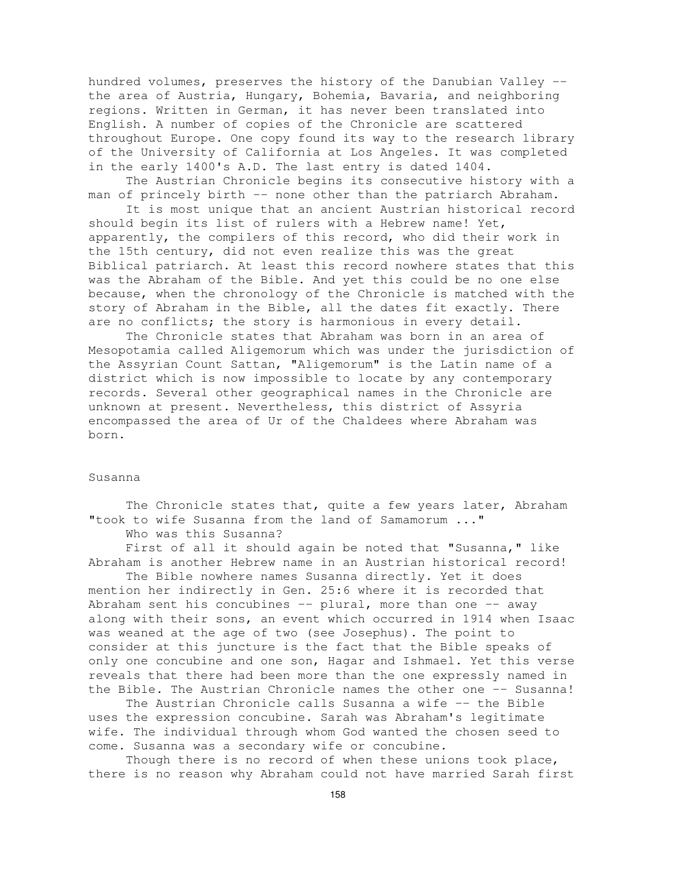hundred volumes, preserves the history of the Danubian Valley - the area of Austria, Hungary, Bohemia, Bavaria, and neighboring regions. Written in German, it has never been translated into English. A number of copies of the Chronicle are scattered throughout Europe. One copy found its way to the research library of the University of California at Los Angeles. It was completed in the early 1400's A.D. The last entry is dated 1404.

The Austrian Chronicle begins its consecutive history with a man of princely birth -- none other than the patriarch Abraham.

It is most unique that an ancient Austrian historical record should begin its list of rulers with a Hebrew name! Yet, apparently, the compilers of this record, who did their work in the 15th century, did not even realize this was the great Biblical patriarch. At least this record nowhere states that this was the Abraham of the Bible. And yet this could be no one else because, when the chronology of the Chronicle is matched with the story of Abraham in the Bible, all the dates fit exactly. There are no conflicts; the story is harmonious in every detail.

The Chronicle states that Abraham was born in an area of Mesopotamia called Aligemorum which was under the jurisdiction of the Assyrian Count Sattan, "Aligemorum" is the Latin name of a district which is now impossible to locate by any contemporary records. Several other geographical names in the Chronicle are unknown at present. Nevertheless, this district of Assyria encompassed the area of Ur of the Chaldees where Abraham was born.

#### Susanna

The Chronicle states that, quite a few years later, Abraham "took to wife Susanna from the land of Samamorum ..."

Who was this Susanna?

First of all it should again be noted that "Susanna," like Abraham is another Hebrew name in an Austrian historical record!

The Bible nowhere names Susanna directly. Yet it does mention her indirectly in Gen. 25:6 where it is recorded that Abraham sent his concubines  $--$  plural, more than one  $--$  away along with their sons, an event which occurred in 1914 when Isaac was weaned at the age of two (see Josephus). The point to consider at this juncture is the fact that the Bible speaks of only one concubine and one son, Hagar and Ishmael. Yet this verse reveals that there had been more than the one expressly named in the Bible. The Austrian Chronicle names the other one -- Susanna!

The Austrian Chronicle calls Susanna a wife -- the Bible uses the expression concubine. Sarah was Abraham's legitimate wife. The individual through whom God wanted the chosen seed to come. Susanna was a secondary wife or concubine.

Though there is no record of when these unions took place, there is no reason why Abraham could not have married Sarah first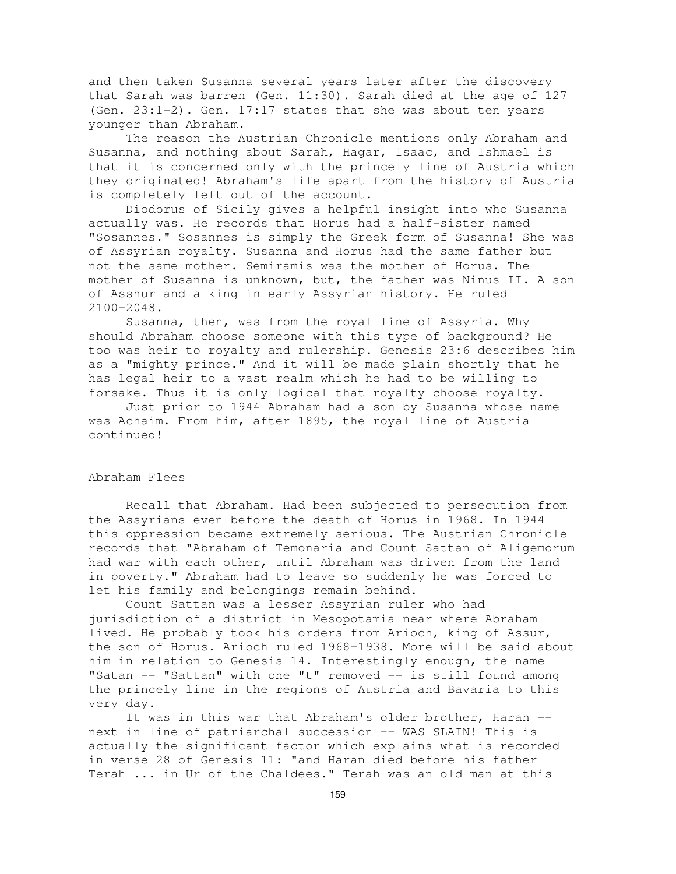and then taken Susanna several years later after the discovery that Sarah was barren (Gen. 11:30). Sarah died at the age of 127 (Gen. 23:1-2). Gen. 17:17 states that she was about ten years younger than Abraham.

The reason the Austrian Chronicle mentions only Abraham and Susanna, and nothing about Sarah, Hagar, Isaac, and Ishmael is that it is concerned only with the princely line of Austria which they originated! Abraham's life apart from the history of Austria is completely left out of the account.

Diodorus of Sicily gives a helpful insight into who Susanna actually was. He records that Horus had a half-sister named "Sosannes." Sosannes is simply the Greek form of Susanna! She was of Assyrian royalty. Susanna and Horus had the same father but not the same mother. Semiramis was the mother of Horus. The mother of Susanna is unknown, but, the father was Ninus II. A son of Asshur and a king in early Assyrian history. He ruled 2100-2048.

Susanna, then, was from the royal line of Assyria. Why should Abraham choose someone with this type of background? He too was heir to royalty and rulership. Genesis 23:6 describes him as a "mighty prince." And it will be made plain shortly that he has legal heir to a vast realm which he had to be willing to forsake. Thus it is only logical that royalty choose royalty.

Just prior to 1944 Abraham had a son by Susanna whose name was Achaim. From him, after 1895, the royal line of Austria continued!

# Abraham Flees

Recall that Abraham. Had been subjected to persecution from the Assyrians even before the death of Horus in 1968. In 1944 this oppression became extremely serious. The Austrian Chronicle records that "Abraham of Temonaria and Count Sattan of Aligemorum had war with each other, until Abraham was driven from the land in poverty." Abraham had to leave so suddenly he was forced to let his family and belongings remain behind.

Count Sattan was a lesser Assyrian ruler who had jurisdiction of a district in Mesopotamia near where Abraham lived. He probably took his orders from Arioch, king of Assur, the son of Horus. Arioch ruled 1968-1938. More will be said about him in relation to Genesis 14. Interestingly enough, the name "Satan -- "Sattan" with one "t" removed -- is still found among the princely line in the regions of Austria and Bavaria to this very day.

It was in this war that Abraham's older brother, Haran - next in line of patriarchal succession -- WAS SLAIN! This is actually the significant factor which explains what is recorded in verse 28 of Genesis 11: "and Haran died before his father Terah ... in Ur of the Chaldees." Terah was an old man at this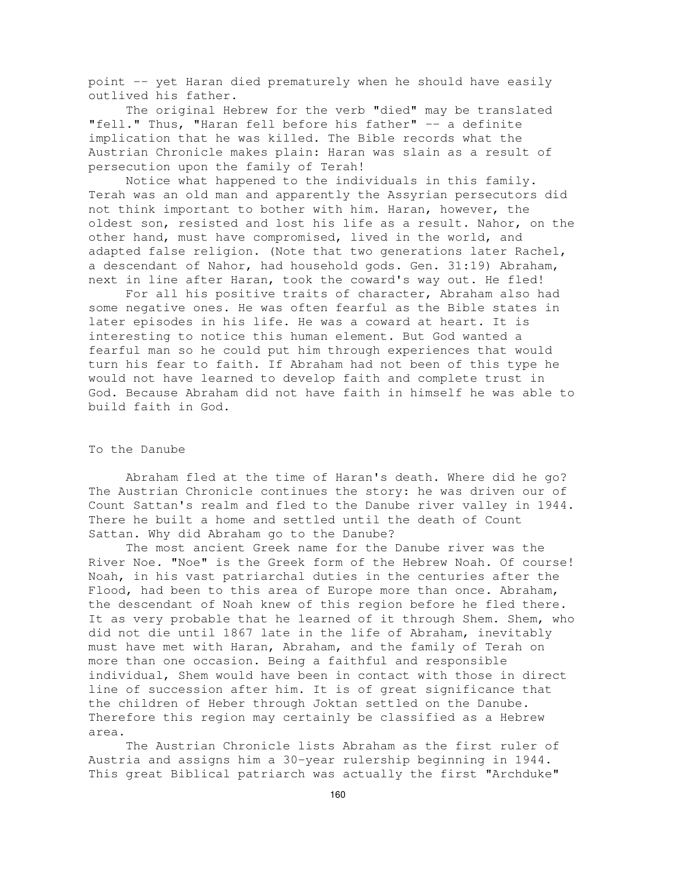point -- yet Haran died prematurely when he should have easily outlived his father.

The original Hebrew for the verb "died" may be translated "fell." Thus, "Haran fell before his father" -- a definite implication that he was killed. The Bible records what the Austrian Chronicle makes plain: Haran was slain as a result of persecution upon the family of Terah!

Notice what happened to the individuals in this family. Terah was an old man and apparently the Assyrian persecutors did not think important to bother with him. Haran, however, the oldest son, resisted and lost his life as a result. Nahor, on the other hand, must have compromised, lived in the world, and adapted false religion. (Note that two generations later Rachel, a descendant of Nahor, had household gods. Gen. 31:19) Abraham, next in line after Haran, took the coward's way out. He fled!

For all his positive traits of character, Abraham also had some negative ones. He was often fearful as the Bible states in later episodes in his life. He was a coward at heart. It is interesting to notice this human element. But God wanted a fearful man so he could put him through experiences that would turn his fear to faith. If Abraham had not been of this type he would not have learned to develop faith and complete trust in God. Because Abraham did not have faith in himself he was able to build faith in God.

## To the Danube

Abraham fled at the time of Haran's death. Where did he go? The Austrian Chronicle continues the story: he was driven our of Count Sattan's realm and fled to the Danube river valley in 1944. There he built a home and settled until the death of Count Sattan. Why did Abraham go to the Danube?

The most ancient Greek name for the Danube river was the River Noe. "Noe" is the Greek form of the Hebrew Noah. Of course! Noah, in his vast patriarchal duties in the centuries after the Flood, had been to this area of Europe more than once. Abraham, the descendant of Noah knew of this region before he fled there. It as very probable that he learned of it through Shem. Shem, who did not die until 1867 late in the life of Abraham, inevitably must have met with Haran, Abraham, and the family of Terah on more than one occasion. Being a faithful and responsible individual, Shem would have been in contact with those in direct line of succession after him. It is of great significance that the children of Heber through Joktan settled on the Danube. Therefore this region may certainly be classified as a Hebrew area.

The Austrian Chronicle lists Abraham as the first ruler of Austria and assigns him a 30-year rulership beginning in 1944. This great Biblical patriarch was actually the first "Archduke"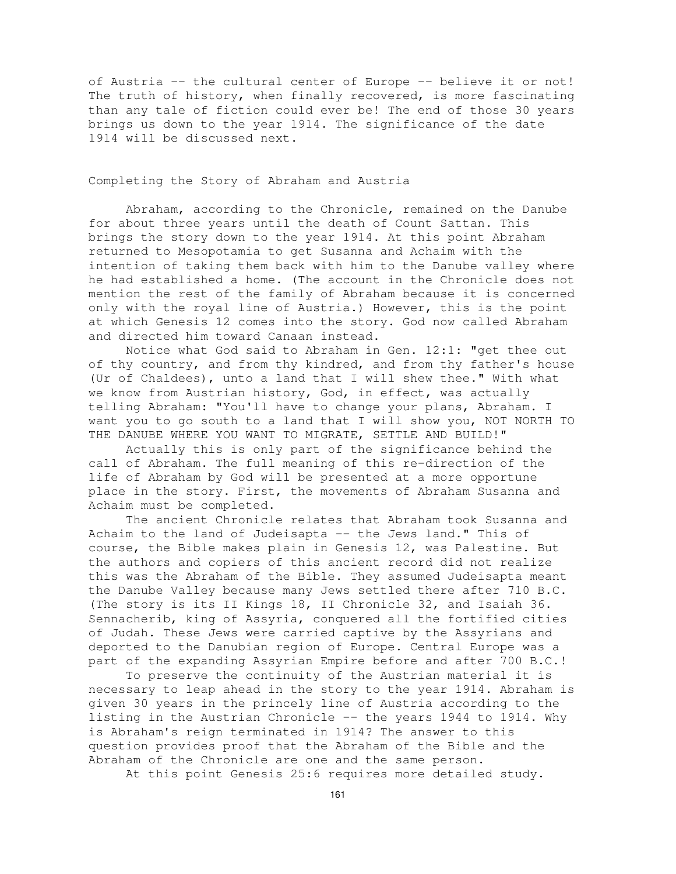of Austria -- the cultural center of Europe -- believe it or not! The truth of history, when finally recovered, is more fascinating than any tale of fiction could ever be! The end of those 30 years brings us down to the year 1914. The significance of the date 1914 will be discussed next.

Completing the Story of Abraham and Austria

Abraham, according to the Chronicle, remained on the Danube for about three years until the death of Count Sattan. This brings the story down to the year 1914. At this point Abraham returned to Mesopotamia to get Susanna and Achaim with the intention of taking them back with him to the Danube valley where he had established a home. (The account in the Chronicle does not mention the rest of the family of Abraham because it is concerned only with the royal line of Austria.) However, this is the point at which Genesis 12 comes into the story. God now called Abraham and directed him toward Canaan instead.

Notice what God said to Abraham in Gen. 12:1: "get thee out of thy country, and from thy kindred, and from thy father's house (Ur of Chaldees), unto a land that I will shew thee." With what we know from Austrian history, God, in effect, was actually telling Abraham: "You'll have to change your plans, Abraham. I want you to go south to a land that I will show you, NOT NORTH TO THE DANUBE WHERE YOU WANT TO MIGRATE, SETTLE AND BUILD!"

Actually this is only part of the significance behind the call of Abraham. The full meaning of this re-direction of the life of Abraham by God will be presented at a more opportune place in the story. First, the movements of Abraham Susanna and Achaim must be completed.

The ancient Chronicle relates that Abraham took Susanna and Achaim to the land of Judeisapta -- the Jews land." This of course, the Bible makes plain in Genesis 12, was Palestine. But the authors and copiers of this ancient record did not realize this was the Abraham of the Bible. They assumed Judeisapta meant the Danube Valley because many Jews settled there after 710 B.C. (The story is its II Kings 18, II Chronicle 32, and Isaiah 36. Sennacherib, king of Assyria, conquered all the fortified cities of Judah. These Jews were carried captive by the Assyrians and deported to the Danubian region of Europe. Central Europe was a part of the expanding Assyrian Empire before and after 700 B.C.!

To preserve the continuity of the Austrian material it is necessary to leap ahead in the story to the year 1914. Abraham is given 30 years in the princely line of Austria according to the listing in the Austrian Chronicle -- the years 1944 to 1914. Why is Abraham's reign terminated in 1914? The answer to this question provides proof that the Abraham of the Bible and the Abraham of the Chronicle are one and the same person.

At this point Genesis 25:6 requires more detailed study.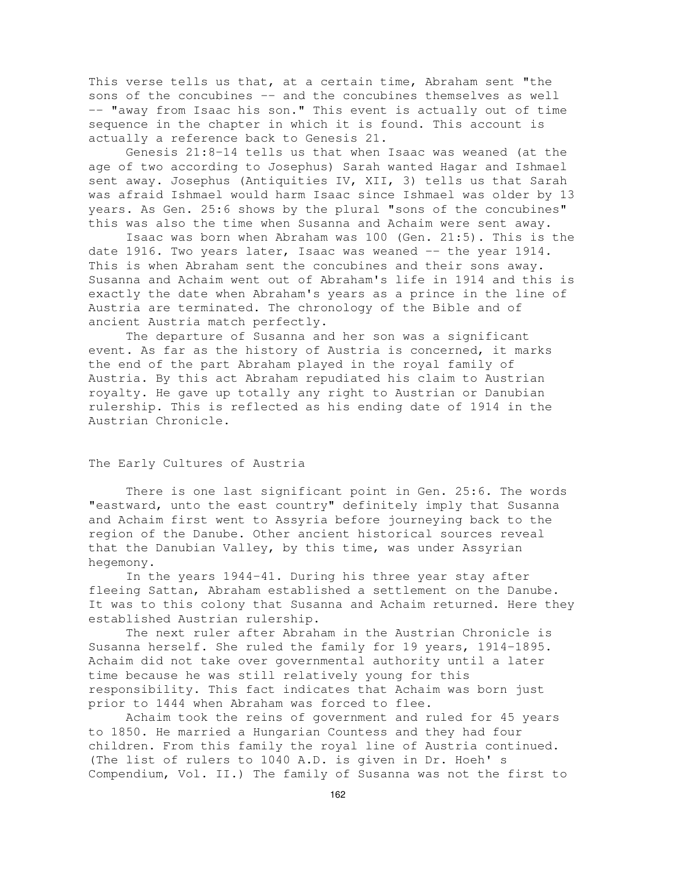This verse tells us that, at a certain time, Abraham sent "the sons of the concubines -- and the concubines themselves as well -- "away from Isaac his son." This event is actually out of time sequence in the chapter in which it is found. This account is actually a reference back to Genesis 21.

Genesis 21:8-14 tells us that when Isaac was weaned (at the age of two according to Josephus) Sarah wanted Hagar and Ishmael sent away. Josephus (Antiquities IV, XII, 3) tells us that Sarah was afraid Ishmael would harm Isaac since Ishmael was older by 13 years. As Gen. 25:6 shows by the plural "sons of the concubines" this was also the time when Susanna and Achaim were sent away.

Isaac was born when Abraham was 100 (Gen. 21:5). This is the date 1916. Two years later, Isaac was weaned  $-$  the year 1914. This is when Abraham sent the concubines and their sons away. Susanna and Achaim went out of Abraham's life in 1914 and this is exactly the date when Abraham's years as a prince in the line of Austria are terminated. The chronology of the Bible and of ancient Austria match perfectly.

The departure of Susanna and her son was a significant event. As far as the history of Austria is concerned, it marks the end of the part Abraham played in the royal family of Austria. By this act Abraham repudiated his claim to Austrian royalty. He gave up totally any right to Austrian or Danubian rulership. This is reflected as his ending date of 1914 in the Austrian Chronicle.

## The Early Cultures of Austria

There is one last significant point in Gen. 25:6. The words "eastward, unto the east country" definitely imply that Susanna and Achaim first went to Assyria before journeying back to the region of the Danube. Other ancient historical sources reveal that the Danubian Valley, by this time, was under Assyrian hegemony.

In the years 1944-41. During his three year stay after fleeing Sattan, Abraham established a settlement on the Danube. It was to this colony that Susanna and Achaim returned. Here they established Austrian rulership.

The next ruler after Abraham in the Austrian Chronicle is Susanna herself. She ruled the family for 19 years, 1914-1895. Achaim did not take over governmental authority until a later time because he was still relatively young for this responsibility. This fact indicates that Achaim was born just prior to 1444 when Abraham was forced to flee.

Achaim took the reins of government and ruled for 45 years to 1850. He married a Hungarian Countess and they had four children. From this family the royal line of Austria continued. (The list of rulers to 1040 A.D. is given in Dr. Hoeh' s Compendium, Vol. II.) The family of Susanna was not the first to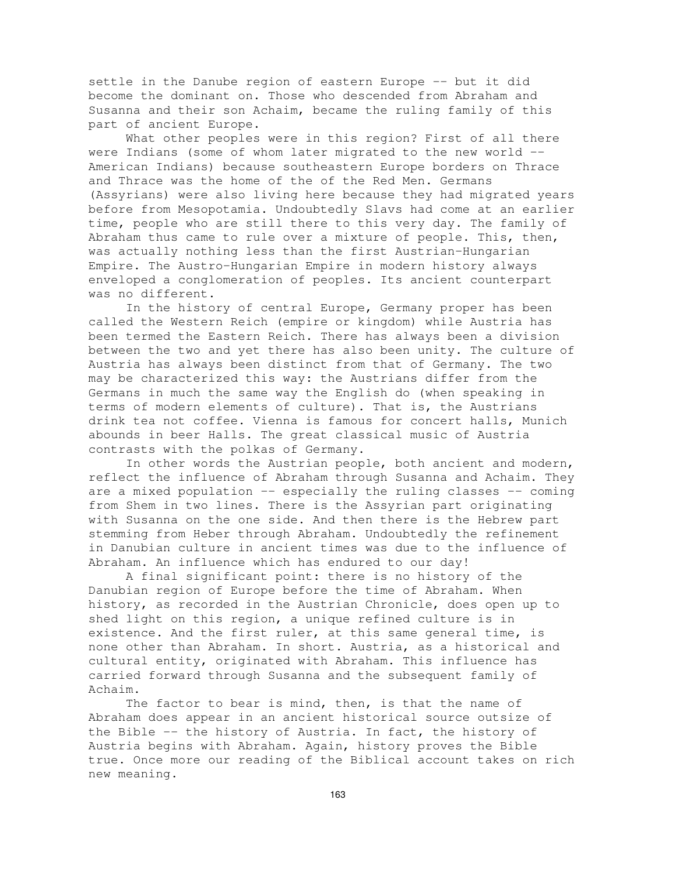settle in the Danube region of eastern Europe -- but it did become the dominant on. Those who descended from Abraham and Susanna and their son Achaim, became the ruling family of this part of ancient Europe.

What other peoples were in this region? First of all there were Indians (some of whom later migrated to the new world --American Indians) because southeastern Europe borders on Thrace and Thrace was the home of the of the Red Men. Germans (Assyrians) were also living here because they had migrated years before from Mesopotamia. Undoubtedly Slavs had come at an earlier time, people who are still there to this very day. The family of Abraham thus came to rule over a mixture of people. This, then, was actually nothing less than the first Austrian-Hungarian Empire. The Austro-Hungarian Empire in modern history always enveloped a conglomeration of peoples. Its ancient counterpart was no different.

In the history of central Europe, Germany proper has been called the Western Reich (empire or kingdom) while Austria has been termed the Eastern Reich. There has always been a division between the two and yet there has also been unity. The culture of Austria has always been distinct from that of Germany. The two may be characterized this way: the Austrians differ from the Germans in much the same way the English do (when speaking in terms of modern elements of culture). That is, the Austrians drink tea not coffee. Vienna is famous for concert halls, Munich abounds in beer Halls. The great classical music of Austria contrasts with the polkas of Germany.

In other words the Austrian people, both ancient and modern, reflect the influence of Abraham through Susanna and Achaim. They are a mixed population  $--$  especially the ruling classes  $--$  coming from Shem in two lines. There is the Assyrian part originating with Susanna on the one side. And then there is the Hebrew part stemming from Heber through Abraham. Undoubtedly the refinement in Danubian culture in ancient times was due to the influence of Abraham. An influence which has endured to our day!

A final significant point: there is no history of the Danubian region of Europe before the time of Abraham. When history, as recorded in the Austrian Chronicle, does open up to shed light on this region, a unique refined culture is in existence. And the first ruler, at this same general time, is none other than Abraham. In short. Austria, as a historical and cultural entity, originated with Abraham. This influence has carried forward through Susanna and the subsequent family of Achaim.

The factor to bear is mind, then, is that the name of Abraham does appear in an ancient historical source outsize of the Bible -- the history of Austria. In fact, the history of Austria begins with Abraham. Again, history proves the Bible true. Once more our reading of the Biblical account takes on rich new meaning.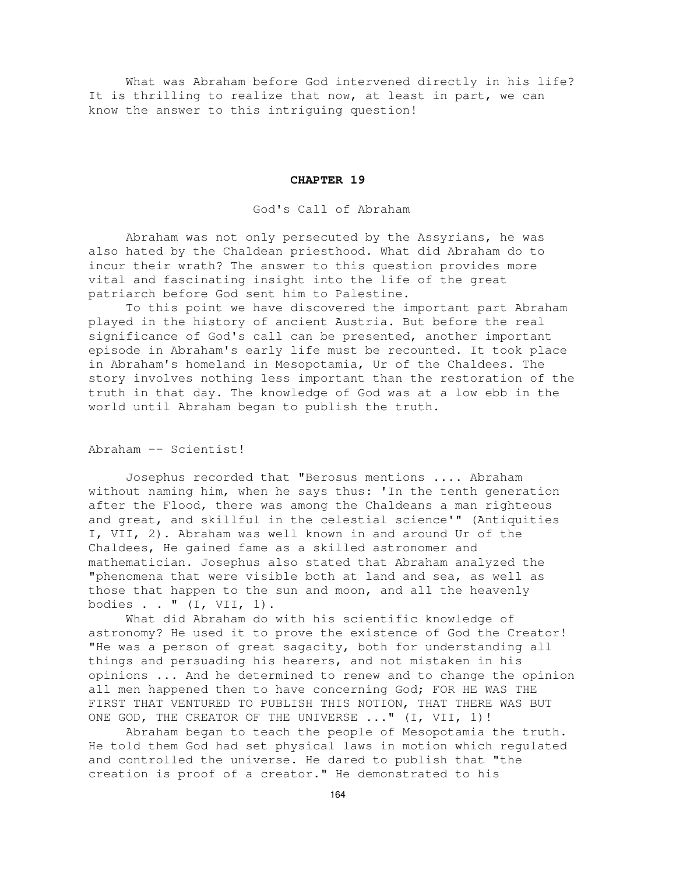What was Abraham before God intervened directly in his life? It is thrilling to realize that now, at least in part, we can know the answer to this intriguing question!

#### **CHAPTER 19**

God's Call of Abraham

Abraham was not only persecuted by the Assyrians, he was also hated by the Chaldean priesthood. What did Abraham do to incur their wrath? The answer to this question provides more vital and fascinating insight into the life of the great patriarch before God sent him to Palestine.

To this point we have discovered the important part Abraham played in the history of ancient Austria. But before the real significance of God's call can be presented, another important episode in Abraham's early life must be recounted. It took place in Abraham's homeland in Mesopotamia, Ur of the Chaldees. The story involves nothing less important than the restoration of the truth in that day. The knowledge of God was at a low ebb in the world until Abraham began to publish the truth.

Abraham -- Scientist!

Josephus recorded that "Berosus mentions .... Abraham without naming him, when he says thus: 'In the tenth generation after the Flood, there was among the Chaldeans a man righteous and great, and skillful in the celestial science'" (Antiquities I, VII, 2). Abraham was well known in and around Ur of the Chaldees, He gained fame as a skilled astronomer and mathematician. Josephus also stated that Abraham analyzed the "phenomena that were visible both at land and sea, as well as those that happen to the sun and moon, and all the heavenly bodies . . " (I, VII, 1).

What did Abraham do with his scientific knowledge of astronomy? He used it to prove the existence of God the Creator! "He was a person of great sagacity, both for understanding all things and persuading his hearers, and not mistaken in his opinions ... And he determined to renew and to change the opinion all men happened then to have concerning God; FOR HE WAS THE FIRST THAT VENTURED TO PUBLISH THIS NOTION, THAT THERE WAS BUT ONE GOD, THE CREATOR OF THE UNIVERSE ..." (I, VII, 1)!

Abraham began to teach the people of Mesopotamia the truth. He told them God had set physical laws in motion which regulated and controlled the universe. He dared to publish that "the creation is proof of a creator." He demonstrated to his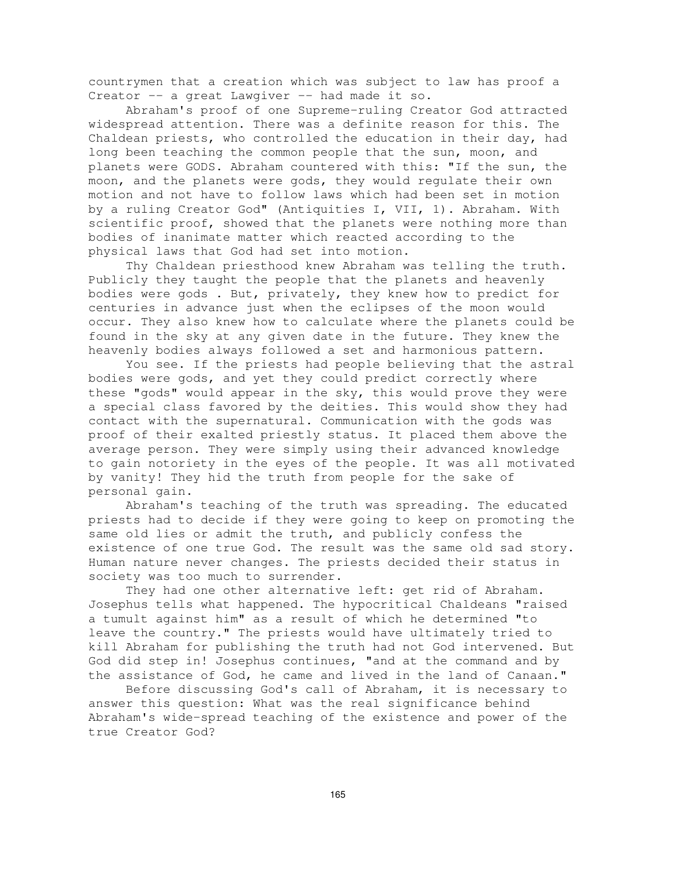countrymen that a creation which was subject to law has proof a Creator -- a great Lawgiver -- had made it so.

Abraham's proof of one Supreme-ruling Creator God attracted widespread attention. There was a definite reason for this. The Chaldean priests, who controlled the education in their day, had long been teaching the common people that the sun, moon, and planets were GODS. Abraham countered with this: "If the sun, the moon, and the planets were gods, they would regulate their own motion and not have to follow laws which had been set in motion by a ruling Creator God" (Antiquities I, VII, 1). Abraham. With scientific proof, showed that the planets were nothing more than bodies of inanimate matter which reacted according to the physical laws that God had set into motion.

Thy Chaldean priesthood knew Abraham was telling the truth. Publicly they taught the people that the planets and heavenly bodies were gods . But, privately, they knew how to predict for centuries in advance just when the eclipses of the moon would occur. They also knew how to calculate where the planets could be found in the sky at any given date in the future. They knew the heavenly bodies always followed a set and harmonious pattern.

You see. If the priests had people believing that the astral bodies were gods, and yet they could predict correctly where these "gods" would appear in the sky, this would prove they were a special class favored by the deities. This would show they had contact with the supernatural. Communication with the gods was proof of their exalted priestly status. It placed them above the average person. They were simply using their advanced knowledge to gain notoriety in the eyes of the people. It was all motivated by vanity! They hid the truth from people for the sake of personal gain.

Abraham's teaching of the truth was spreading. The educated priests had to decide if they were going to keep on promoting the same old lies or admit the truth, and publicly confess the existence of one true God. The result was the same old sad story. Human nature never changes. The priests decided their status in society was too much to surrender.

They had one other alternative left: get rid of Abraham. Josephus tells what happened. The hypocritical Chaldeans "raised a tumult against him" as a result of which he determined "to leave the country." The priests would have ultimately tried to kill Abraham for publishing the truth had not God intervened. But God did step in! Josephus continues, "and at the command and by the assistance of God, he came and lived in the land of Canaan."

Before discussing God's call of Abraham, it is necessary to answer this question: What was the real significance behind Abraham's wide-spread teaching of the existence and power of the true Creator God?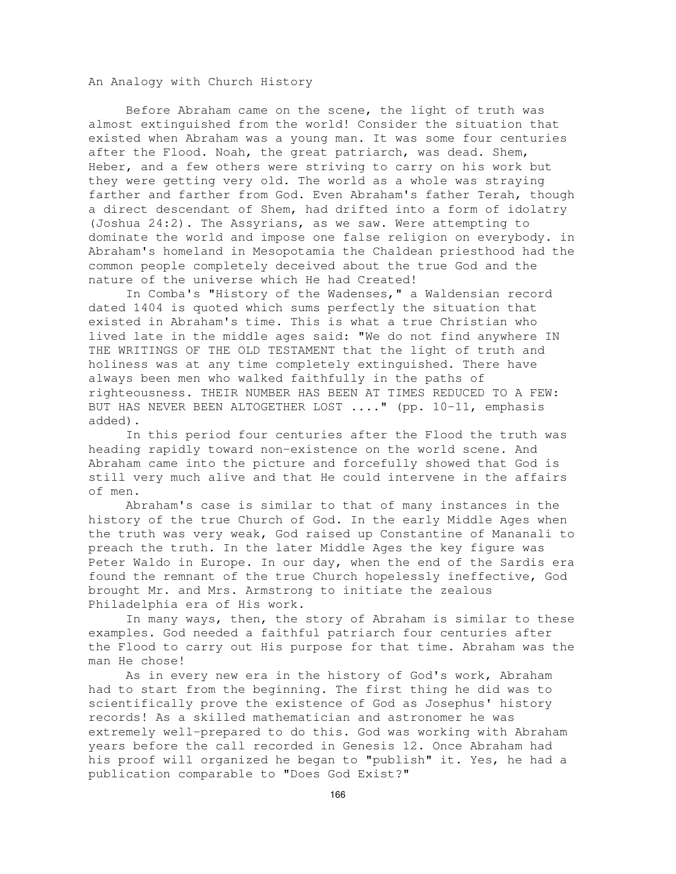An Analogy with Church History

Before Abraham came on the scene, the light of truth was almost extinguished from the world! Consider the situation that existed when Abraham was a young man. It was some four centuries after the Flood. Noah, the great patriarch, was dead. Shem, Heber, and a few others were striving to carry on his work but they were getting very old. The world as a whole was straying farther and farther from God. Even Abraham's father Terah, though a direct descendant of Shem, had drifted into a form of idolatry (Joshua 24:2). The Assyrians, as we saw. Were attempting to dominate the world and impose one false religion on everybody. in Abraham's homeland in Mesopotamia the Chaldean priesthood had the common people completely deceived about the true God and the nature of the universe which He had Created!

In Comba's "History of the Wadenses," a Waldensian record dated 1404 is quoted which sums perfectly the situation that existed in Abraham's time. This is what a true Christian who lived late in the middle ages said: "We do not find anywhere IN THE WRITINGS OF THE OLD TESTAMENT that the light of truth and holiness was at any time completely extinguished. There have always been men who walked faithfully in the paths of righteousness. THEIR NUMBER HAS BEEN AT TIMES REDUCED TO A FEW: BUT HAS NEVER BEEN ALTOGETHER LOST ...." (pp. 10-11, emphasis added).

In this period four centuries after the Flood the truth was heading rapidly toward non-existence on the world scene. And Abraham came into the picture and forcefully showed that God is still very much alive and that He could intervene in the affairs of men.

Abraham's case is similar to that of many instances in the history of the true Church of God. In the early Middle Ages when the truth was very weak, God raised up Constantine of Mananali to preach the truth. In the later Middle Ages the key figure was Peter Waldo in Europe. In our day, when the end of the Sardis era found the remnant of the true Church hopelessly ineffective, God brought Mr. and Mrs. Armstrong to initiate the zealous Philadelphia era of His work.

In many ways, then, the story of Abraham is similar to these examples. God needed a faithful patriarch four centuries after the Flood to carry out His purpose for that time. Abraham was the man He chose!

As in every new era in the history of God's work, Abraham had to start from the beginning. The first thing he did was to scientifically prove the existence of God as Josephus' history records! As a skilled mathematician and astronomer he was extremely well-prepared to do this. God was working with Abraham years before the call recorded in Genesis 12. Once Abraham had his proof will organized he began to "publish" it. Yes, he had a publication comparable to "Does God Exist?"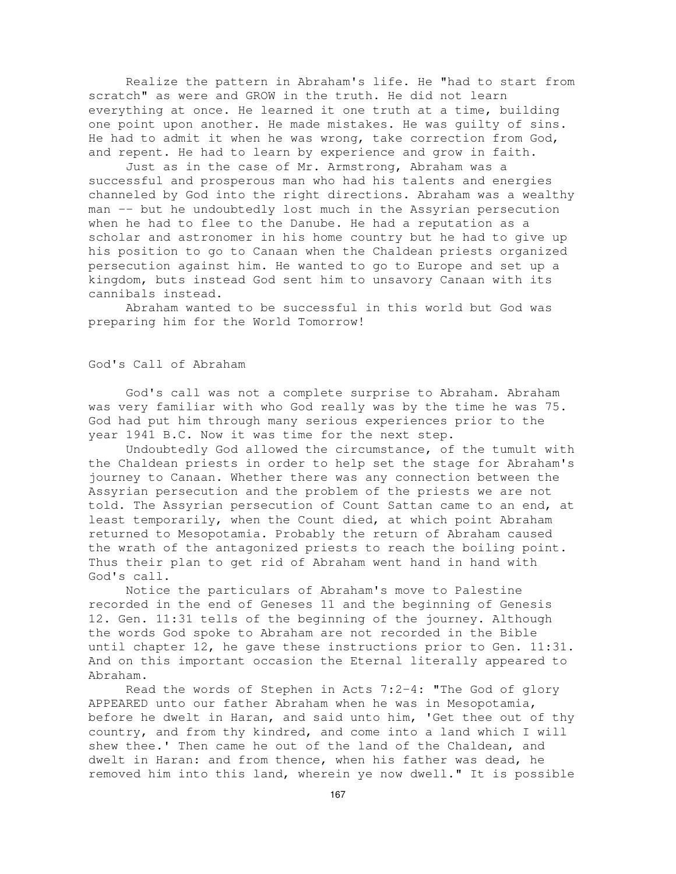Realize the pattern in Abraham's life. He "had to start from scratch" as were and GROW in the truth. He did not learn everything at once. He learned it one truth at a time, building one point upon another. He made mistakes. He was guilty of sins. He had to admit it when he was wrong, take correction from God, and repent. He had to learn by experience and grow in faith.

Just as in the case of Mr. Armstrong, Abraham was a successful and prosperous man who had his talents and energies channeled by God into the right directions. Abraham was a wealthy man -- but he undoubtedly lost much in the Assyrian persecution when he had to flee to the Danube. He had a reputation as a scholar and astronomer in his home country but he had to give up his position to go to Canaan when the Chaldean priests organized persecution against him. He wanted to go to Europe and set up a kingdom, buts instead God sent him to unsavory Canaan with its cannibals instead.

Abraham wanted to be successful in this world but God was preparing him for the World Tomorrow!

## God's Call of Abraham

God's call was not a complete surprise to Abraham. Abraham was very familiar with who God really was by the time he was 75. God had put him through many serious experiences prior to the year 1941 B.C. Now it was time for the next step.

Undoubtedly God allowed the circumstance, of the tumult with the Chaldean priests in order to help set the stage for Abraham's journey to Canaan. Whether there was any connection between the Assyrian persecution and the problem of the priests we are not told. The Assyrian persecution of Count Sattan came to an end, at least temporarily, when the Count died, at which point Abraham returned to Mesopotamia. Probably the return of Abraham caused the wrath of the antagonized priests to reach the boiling point. Thus their plan to get rid of Abraham went hand in hand with God's call.

Notice the particulars of Abraham's move to Palestine recorded in the end of Geneses 11 and the beginning of Genesis 12. Gen. 11:31 tells of the beginning of the journey. Although the words God spoke to Abraham are not recorded in the Bible until chapter 12, he gave these instructions prior to Gen. 11:31. And on this important occasion the Eternal literally appeared to Abraham.

Read the words of Stephen in Acts 7:2-4: "The God of glory APPEARED unto our father Abraham when he was in Mesopotamia, before he dwelt in Haran, and said unto him, 'Get thee out of thy country, and from thy kindred, and come into a land which I will shew thee.' Then came he out of the land of the Chaldean, and dwelt in Haran: and from thence, when his father was dead, he removed him into this land, wherein ye now dwell." It is possible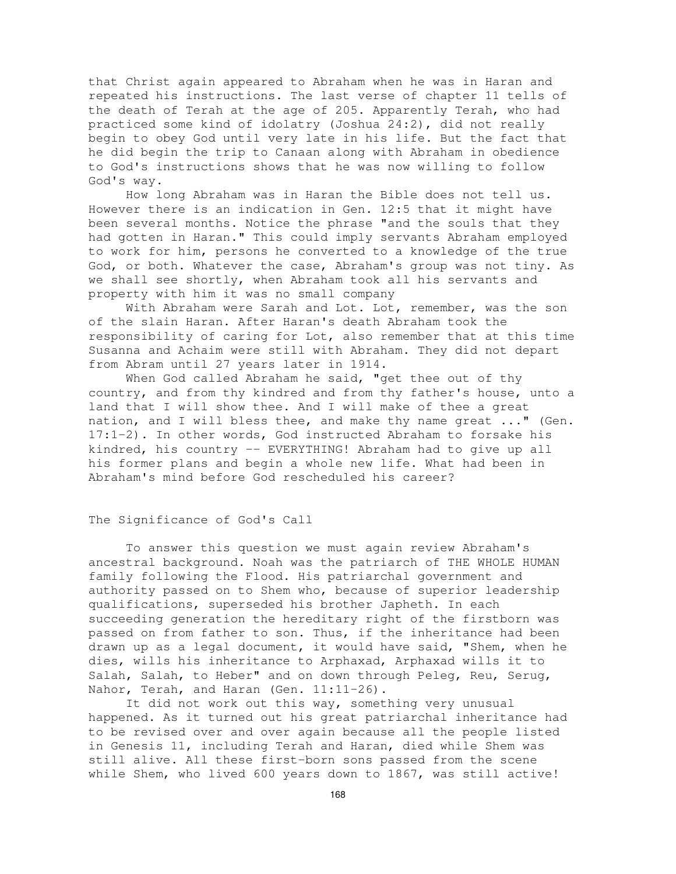that Christ again appeared to Abraham when he was in Haran and repeated his instructions. The last verse of chapter 11 tells of the death of Terah at the age of 205. Apparently Terah, who had practiced some kind of idolatry (Joshua 24:2), did not really begin to obey God until very late in his life. But the fact that he did begin the trip to Canaan along with Abraham in obedience to God's instructions shows that he was now willing to follow God's way.

How long Abraham was in Haran the Bible does not tell us. However there is an indication in Gen. 12:5 that it might have been several months. Notice the phrase "and the souls that they had gotten in Haran." This could imply servants Abraham employed to work for him, persons he converted to a knowledge of the true God, or both. Whatever the case, Abraham's group was not tiny. As we shall see shortly, when Abraham took all his servants and property with him it was no small company

With Abraham were Sarah and Lot. Lot, remember, was the son of the slain Haran. After Haran's death Abraham took the responsibility of caring for Lot, also remember that at this time Susanna and Achaim were still with Abraham. They did not depart from Abram until 27 years later in 1914.

When God called Abraham he said, "get thee out of thy country, and from thy kindred and from thy father's house, unto a land that I will show thee. And I will make of thee a great nation, and I will bless thee, and make thy name great ..." (Gen. 17:1-2). In other words, God instructed Abraham to forsake his kindred, his country -- EVERYTHING! Abraham had to give up all his former plans and begin a whole new life. What had been in Abraham's mind before God rescheduled his career?

### The Significance of God's Call

To answer this question we must again review Abraham's ancestral background. Noah was the patriarch of THE WHOLE HUMAN family following the Flood. His patriarchal government and authority passed on to Shem who, because of superior leadership qualifications, superseded his brother Japheth. In each succeeding generation the hereditary right of the firstborn was passed on from father to son. Thus, if the inheritance had been drawn up as a legal document, it would have said, "Shem, when he dies, wills his inheritance to Arphaxad, Arphaxad wills it to Salah, Salah, to Heber" and on down through Peleg, Reu, Serug, Nahor, Terah, and Haran (Gen. 11:11-26).

It did not work out this way, something very unusual happened. As it turned out his great patriarchal inheritance had to be revised over and over again because all the people listed in Genesis 11, including Terah and Haran, died while Shem was still alive. All these first-born sons passed from the scene while Shem, who lived 600 years down to 1867, was still active!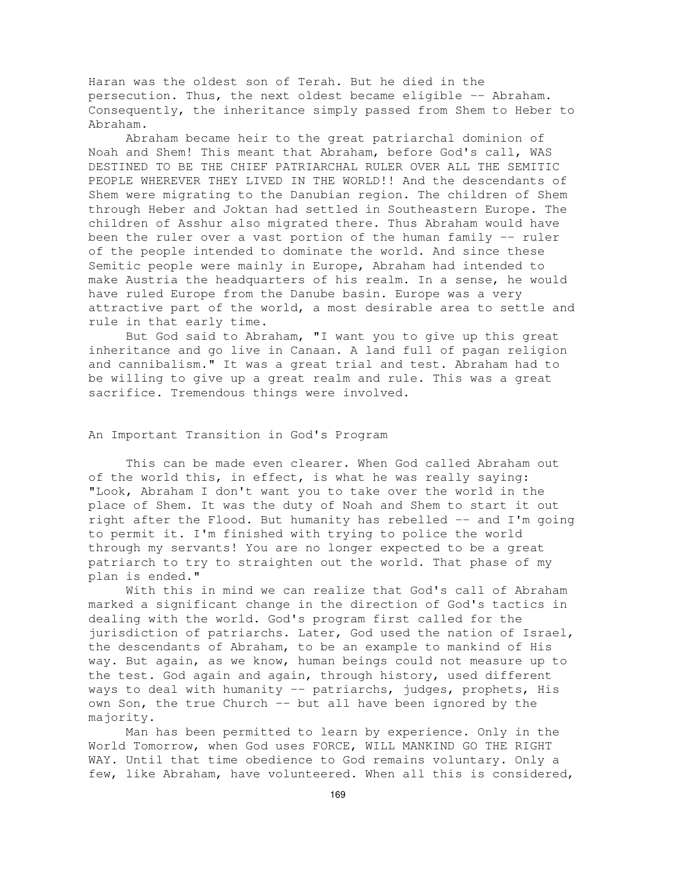Haran was the oldest son of Terah. But he died in the persecution. Thus, the next oldest became eligible -- Abraham. Consequently, the inheritance simply passed from Shem to Heber to Abraham.

Abraham became heir to the great patriarchal dominion of Noah and Shem! This meant that Abraham, before God's call, WAS DESTINED TO BE THE CHIEF PATRIARCHAL RULER OVER ALL THE SEMITIC PEOPLE WHEREVER THEY LIVED IN THE WORLD!! And the descendants of Shem were migrating to the Danubian region. The children of Shem through Heber and Joktan had settled in Southeastern Europe. The children of Asshur also migrated there. Thus Abraham would have been the ruler over a vast portion of the human family -- ruler of the people intended to dominate the world. And since these Semitic people were mainly in Europe, Abraham had intended to make Austria the headquarters of his realm. In a sense, he would have ruled Europe from the Danube basin. Europe was a very attractive part of the world, a most desirable area to settle and rule in that early time.

But God said to Abraham, "I want you to give up this great inheritance and go live in Canaan. A land full of pagan religion and cannibalism." It was a great trial and test. Abraham had to be willing to give up a great realm and rule. This was a great sacrifice. Tremendous things were involved.

#### An Important Transition in God's Program

This can be made even clearer. When God called Abraham out of the world this, in effect, is what he was really saying: "Look, Abraham I don't want you to take over the world in the place of Shem. It was the duty of Noah and Shem to start it out right after the Flood. But humanity has rebelled -- and I'm going to permit it. I'm finished with trying to police the world through my servants! You are no longer expected to be a great patriarch to try to straighten out the world. That phase of my plan is ended."

With this in mind we can realize that God's call of Abraham marked a significant change in the direction of God's tactics in dealing with the world. God's program first called for the jurisdiction of patriarchs. Later, God used the nation of Israel, the descendants of Abraham, to be an example to mankind of His way. But again, as we know, human beings could not measure up to the test. God again and again, through history, used different ways to deal with humanity -- patriarchs, judges, prophets, His own Son, the true Church -- but all have been ignored by the majority.

Man has been permitted to learn by experience. Only in the World Tomorrow, when God uses FORCE, WILL MANKIND GO THE RIGHT WAY. Until that time obedience to God remains voluntary. Only a few, like Abraham, have volunteered. When all this is considered,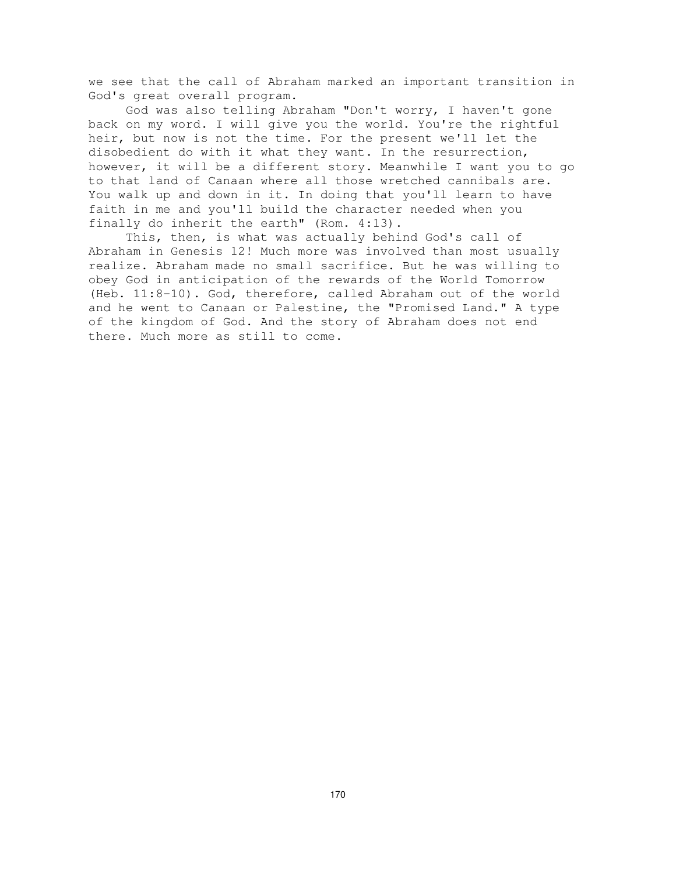we see that the call of Abraham marked an important transition in God's great overall program.

God was also telling Abraham "Don't worry, I haven't gone back on my word. I will give you the world. You're the rightful heir, but now is not the time. For the present we'll let the disobedient do with it what they want. In the resurrection, however, it will be a different story. Meanwhile I want you to go to that land of Canaan where all those wretched cannibals are. You walk up and down in it. In doing that you'll learn to have faith in me and you'll build the character needed when you finally do inherit the earth" (Rom. 4:13).

This, then, is what was actually behind God's call of Abraham in Genesis 12! Much more was involved than most usually realize. Abraham made no small sacrifice. But he was willing to obey God in anticipation of the rewards of the World Tomorrow (Heb. 11:8-10). God, therefore, called Abraham out of the world and he went to Canaan or Palestine, the "Promised Land." A type of the kingdom of God. And the story of Abraham does not end there. Much more as still to come.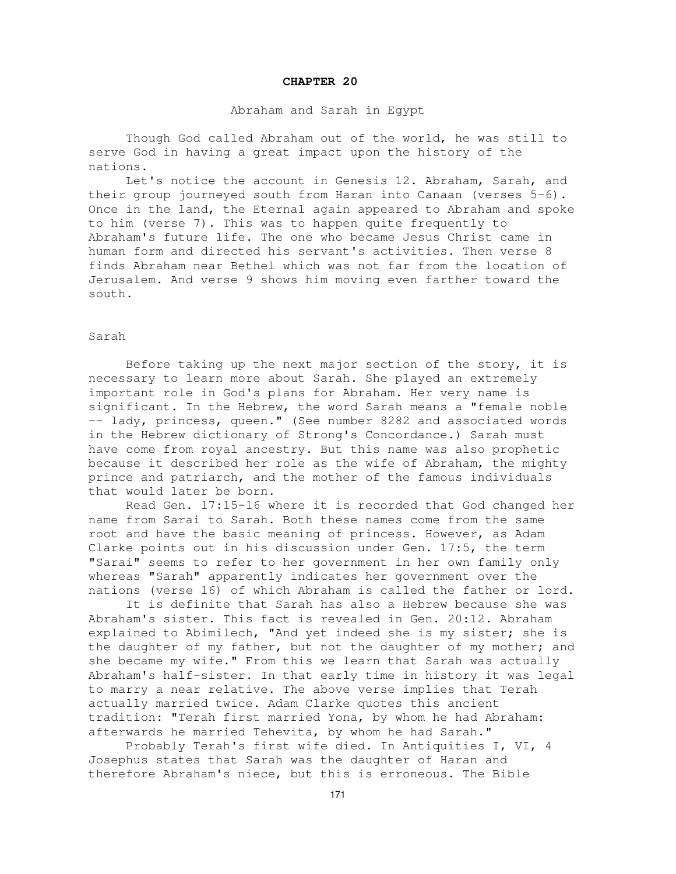#### **CHAPTER 20**

### Abraham and Sarah in Egypt

Though God called Abraham out of the world, he was still to serve God in having a great impact upon the history of the nations.

Let's notice the account in Genesis 12. Abraham, Sarah, and their group journeyed south from Haran into Canaan (verses 5-6). Once in the land, the Eternal again appeared to Abraham and spoke to him (verse 7). This was to happen quite frequently to Abraham's future life. The one who became Jesus Christ came in human form and directed his servant's activities. Then verse 8 finds Abraham near Bethel which was not far from the location of Jerusalem. And verse 9 shows him moving even farther toward the south.

## Sarah

Before taking up the next major section of the story, it is necessary to learn more about Sarah. She played an extremely important role in God's plans for Abraham. Her very name is significant. In the Hebrew, the word Sarah means a "female noble -- lady, princess, queen." (See number 8282 and associated words in the Hebrew dictionary of Strong's Concordance.) Sarah must have come from royal ancestry. But this name was also prophetic because it described her role as the wife of Abraham, the mighty prince and patriarch, and the mother of the famous individuals that would later be born.

Read Gen. 17:15-16 where it is recorded that God changed her name from Sarai to Sarah. Both these names come from the same root and have the basic meaning of princess. However, as Adam Clarke points out in his discussion under Gen. 17:5, the term "Sarai" seems to refer to her government in her own family only whereas "Sarah" apparently indicates her government over the nations (verse 16) of which Abraham is called the father or lord.

It is definite that Sarah has also a Hebrew because she was Abraham's sister. This fact is revealed in Gen. 20:12. Abraham explained to Abimilech, "And yet indeed she is my sister; she is the daughter of my father, but not the daughter of my mother; and she became my wife." From this we learn that Sarah was actually Abraham's half-sister. In that early time in history it was legal to marry a near relative. The above verse implies that Terah actually married twice. Adam Clarke quotes this ancient tradition: "Terah first married Yona, by whom he had Abraham: afterwards he married Tehevita, by whom he had Sarah."

Probably Terah's first wife died. In Antiquities I, VI, 4 Josephus states that Sarah was the daughter of Haran and therefore Abraham's niece, but this is erroneous. The Bible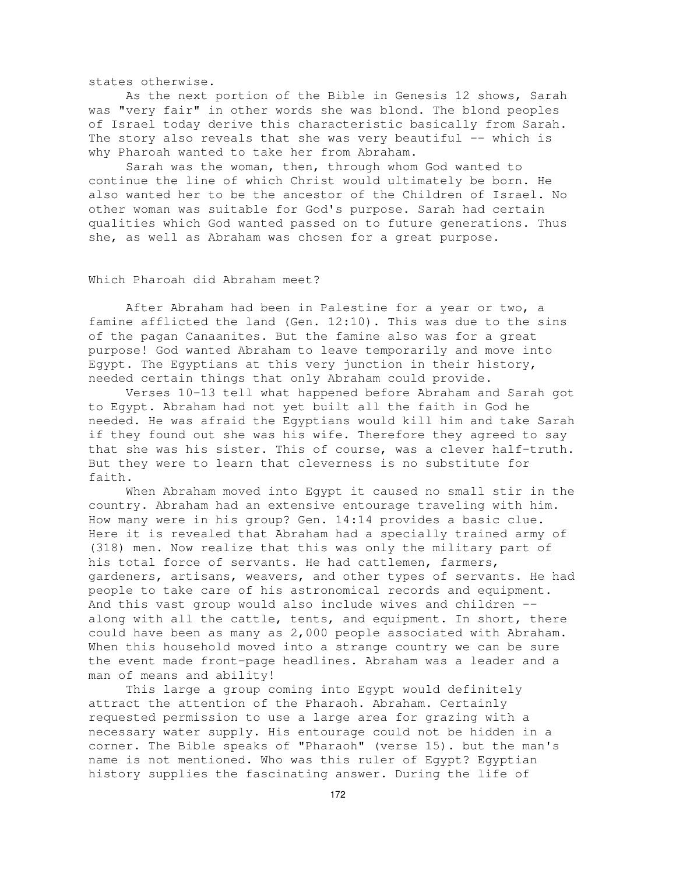states otherwise.

As the next portion of the Bible in Genesis 12 shows, Sarah was "very fair" in other words she was blond. The blond peoples of Israel today derive this characteristic basically from Sarah. The story also reveals that she was very beautiful -- which is why Pharoah wanted to take her from Abraham.

Sarah was the woman, then, through whom God wanted to continue the line of which Christ would ultimately be born. He also wanted her to be the ancestor of the Children of Israel. No other woman was suitable for God's purpose. Sarah had certain qualities which God wanted passed on to future generations. Thus she, as well as Abraham was chosen for a great purpose.

## Which Pharoah did Abraham meet?

After Abraham had been in Palestine for a year or two, a famine afflicted the land (Gen. 12:10). This was due to the sins of the pagan Canaanites. But the famine also was for a great purpose! God wanted Abraham to leave temporarily and move into Egypt. The Egyptians at this very junction in their history, needed certain things that only Abraham could provide.

Verses 10-13 tell what happened before Abraham and Sarah got to Egypt. Abraham had not yet built all the faith in God he needed. He was afraid the Egyptians would kill him and take Sarah if they found out she was his wife. Therefore they agreed to say that she was his sister. This of course, was a clever half-truth. But they were to learn that cleverness is no substitute for faith.

When Abraham moved into Egypt it caused no small stir in the country. Abraham had an extensive entourage traveling with him. How many were in his group? Gen. 14:14 provides a basic clue. Here it is revealed that Abraham had a specially trained army of (318) men. Now realize that this was only the military part of his total force of servants. He had cattlemen, farmers, gardeners, artisans, weavers, and other types of servants. He had people to take care of his astronomical records and equipment. And this vast group would also include wives and children - along with all the cattle, tents, and equipment. In short, there could have been as many as 2,000 people associated with Abraham. When this household moved into a strange country we can be sure the event made front-page headlines. Abraham was a leader and a man of means and ability!

This large a group coming into Egypt would definitely attract the attention of the Pharaoh. Abraham. Certainly requested permission to use a large area for grazing with a necessary water supply. His entourage could not be hidden in a corner. The Bible speaks of "Pharaoh" (verse 15). but the man's name is not mentioned. Who was this ruler of Egypt? Egyptian history supplies the fascinating answer. During the life of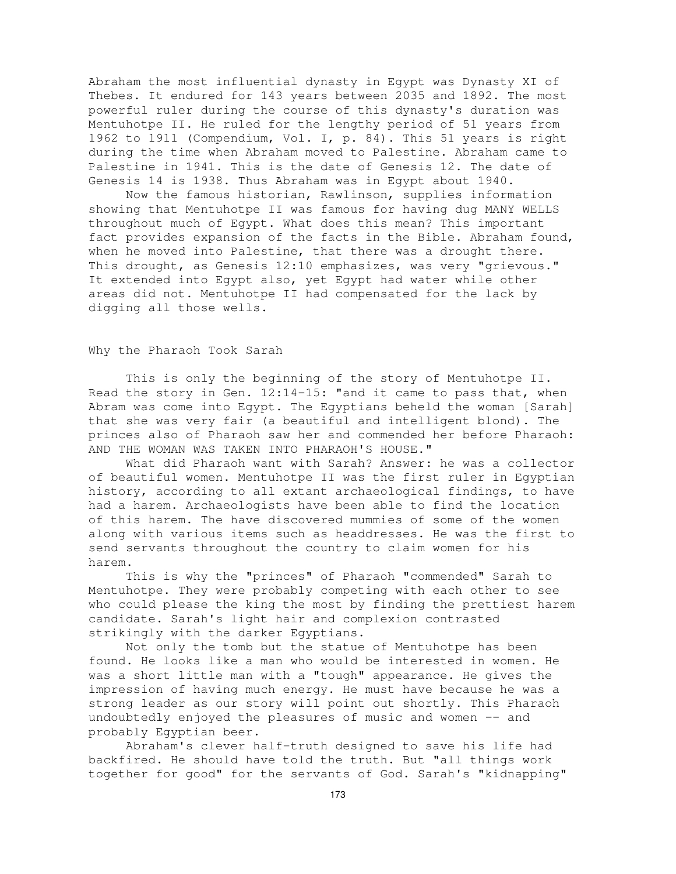Abraham the most influential dynasty in Egypt was Dynasty XI of Thebes. It endured for 143 years between 2035 and 1892. The most powerful ruler during the course of this dynasty's duration was Mentuhotpe II. He ruled for the lengthy period of 51 years from 1962 to 1911 (Compendium, Vol. I, p. 84). This 51 years is right during the time when Abraham moved to Palestine. Abraham came to Palestine in 1941. This is the date of Genesis 12. The date of Genesis 14 is 1938. Thus Abraham was in Egypt about 1940.

Now the famous historian, Rawlinson, supplies information showing that Mentuhotpe II was famous for having dug MANY WELLS throughout much of Egypt. What does this mean? This important fact provides expansion of the facts in the Bible. Abraham found, when he moved into Palestine, that there was a drought there. This drought, as Genesis 12:10 emphasizes, was very "grievous." It extended into Egypt also, yet Egypt had water while other areas did not. Mentuhotpe II had compensated for the lack by digging all those wells.

#### Why the Pharaoh Took Sarah

This is only the beginning of the story of Mentuhotpe II. Read the story in Gen. 12:14-15: "and it came to pass that, when Abram was come into Egypt. The Egyptians beheld the woman [Sarah] that she was very fair (a beautiful and intelligent blond). The princes also of Pharaoh saw her and commended her before Pharaoh: AND THE WOMAN WAS TAKEN INTO PHARAOH'S HOUSE."

What did Pharaoh want with Sarah? Answer: he was a collector of beautiful women. Mentuhotpe II was the first ruler in Egyptian history, according to all extant archaeological findings, to have had a harem. Archaeologists have been able to find the location of this harem. The have discovered mummies of some of the women along with various items such as headdresses. He was the first to send servants throughout the country to claim women for his harem.

This is why the "princes" of Pharaoh "commended" Sarah to Mentuhotpe. They were probably competing with each other to see who could please the king the most by finding the prettiest harem candidate. Sarah's light hair and complexion contrasted strikingly with the darker Egyptians.

Not only the tomb but the statue of Mentuhotpe has been found. He looks like a man who would be interested in women. He was a short little man with a "tough" appearance. He gives the impression of having much energy. He must have because he was a strong leader as our story will point out shortly. This Pharaoh undoubtedly enjoyed the pleasures of music and women -- and probably Egyptian beer.

Abraham's clever half-truth designed to save his life had backfired. He should have told the truth. But "all things work together for good" for the servants of God. Sarah's "kidnapping"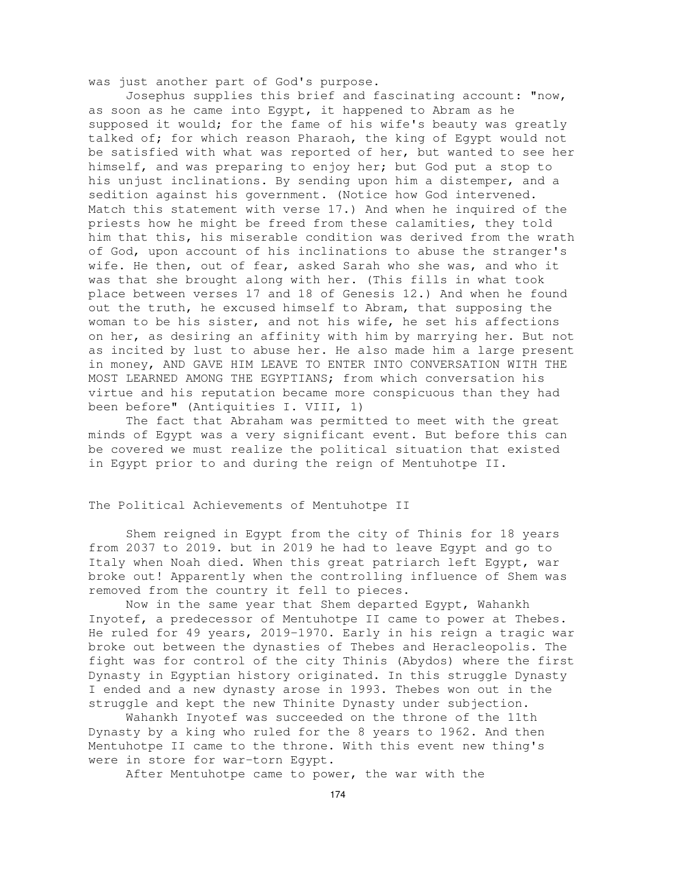was just another part of God's purpose.

Josephus supplies this brief and fascinating account: "now, as soon as he came into Egypt, it happened to Abram as he supposed it would; for the fame of his wife's beauty was greatly talked of; for which reason Pharaoh, the king of Egypt would not be satisfied with what was reported of her, but wanted to see her himself, and was preparing to enjoy her; but God put a stop to his unjust inclinations. By sending upon him a distemper, and a sedition against his government. (Notice how God intervened. Match this statement with verse 17.) And when he inquired of the priests how he might be freed from these calamities, they told him that this, his miserable condition was derived from the wrath of God, upon account of his inclinations to abuse the stranger's wife. He then, out of fear, asked Sarah who she was, and who it was that she brought along with her. (This fills in what took place between verses 17 and 18 of Genesis 12.) And when he found out the truth, he excused himself to Abram, that supposing the woman to be his sister, and not his wife, he set his affections on her, as desiring an affinity with him by marrying her. But not as incited by lust to abuse her. He also made him a large present in money, AND GAVE HIM LEAVE TO ENTER INTO CONVERSATION WITH THE MOST LEARNED AMONG THE EGYPTIANS; from which conversation his virtue and his reputation became more conspicuous than they had been before" (Antiquities I. VIII, 1)

The fact that Abraham was permitted to meet with the great minds of Egypt was a very significant event. But before this can be covered we must realize the political situation that existed in Egypt prior to and during the reign of Mentuhotpe II.

## The Political Achievements of Mentuhotpe II

Shem reigned in Egypt from the city of Thinis for 18 years from 2037 to 2019. but in 2019 he had to leave Egypt and go to Italy when Noah died. When this great patriarch left Egypt, war broke out! Apparently when the controlling influence of Shem was removed from the country it fell to pieces.

Now in the same year that Shem departed Egypt, Wahankh Inyotef, a predecessor of Mentuhotpe II came to power at Thebes. He ruled for 49 years, 2019-1970. Early in his reign a tragic war broke out between the dynasties of Thebes and Heracleopolis. The fight was for control of the city Thinis (Abydos) where the first Dynasty in Egyptian history originated. In this struggle Dynasty I ended and a new dynasty arose in 1993. Thebes won out in the struggle and kept the new Thinite Dynasty under subjection.

Wahankh Inyotef was succeeded on the throne of the 11th Dynasty by a king who ruled for the 8 years to 1962. And then Mentuhotpe II came to the throne. With this event new thing's were in store for war-torn Egypt.

After Mentuhotpe came to power, the war with the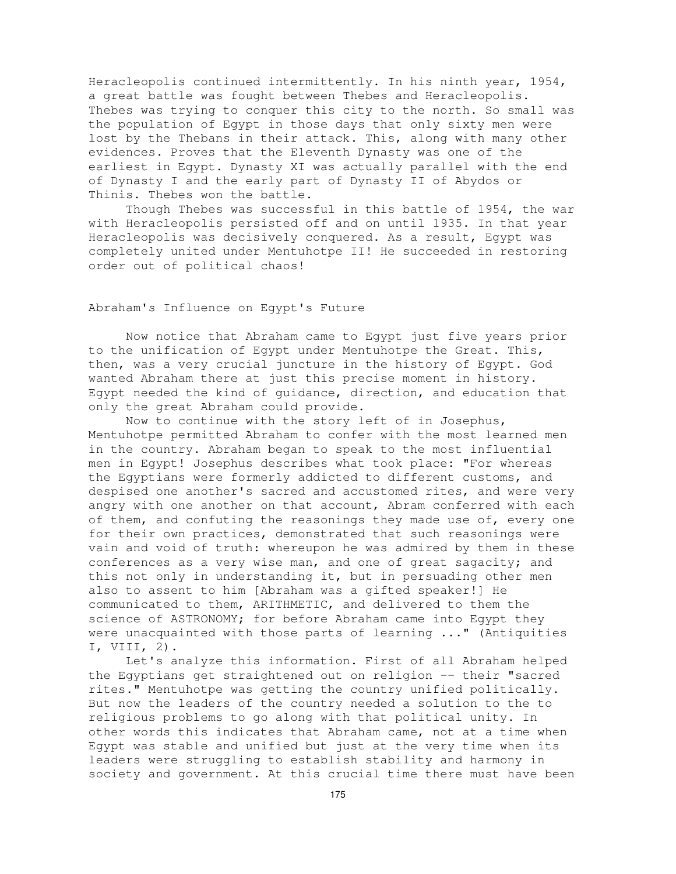Heracleopolis continued intermittently. In his ninth year, 1954, a great battle was fought between Thebes and Heracleopolis. Thebes was trying to conquer this city to the north. So small was the population of Egypt in those days that only sixty men were lost by the Thebans in their attack. This, along with many other evidences. Proves that the Eleventh Dynasty was one of the earliest in Egypt. Dynasty XI was actually parallel with the end of Dynasty I and the early part of Dynasty II of Abydos or Thinis. Thebes won the battle.

Though Thebes was successful in this battle of 1954, the war with Heracleopolis persisted off and on until 1935. In that year Heracleopolis was decisively conquered. As a result, Egypt was completely united under Mentuhotpe II! He succeeded in restoring order out of political chaos!

## Abraham's Influence on Egypt's Future

Now notice that Abraham came to Egypt just five years prior to the unification of Egypt under Mentuhotpe the Great. This, then, was a very crucial juncture in the history of Egypt. God wanted Abraham there at just this precise moment in history. Egypt needed the kind of guidance, direction, and education that only the great Abraham could provide.

Now to continue with the story left of in Josephus, Mentuhotpe permitted Abraham to confer with the most learned men in the country. Abraham began to speak to the most influential men in Egypt! Josephus describes what took place: "For whereas the Egyptians were formerly addicted to different customs, and despised one another's sacred and accustomed rites, and were very angry with one another on that account, Abram conferred with each of them, and confuting the reasonings they made use of, every one for their own practices, demonstrated that such reasonings were vain and void of truth: whereupon he was admired by them in these conferences as a very wise man, and one of great sagacity; and this not only in understanding it, but in persuading other men also to assent to him [Abraham was a gifted speaker!] He communicated to them, ARITHMETIC, and delivered to them the science of ASTRONOMY; for before Abraham came into Egypt they were unacquainted with those parts of learning ..." (Antiquities I, VIII, 2).

Let's analyze this information. First of all Abraham helped the Egyptians get straightened out on religion -- their "sacred rites." Mentuhotpe was getting the country unified politically. But now the leaders of the country needed a solution to the to religious problems to go along with that political unity. In other words this indicates that Abraham came, not at a time when Egypt was stable and unified but just at the very time when its leaders were struggling to establish stability and harmony in society and government. At this crucial time there must have been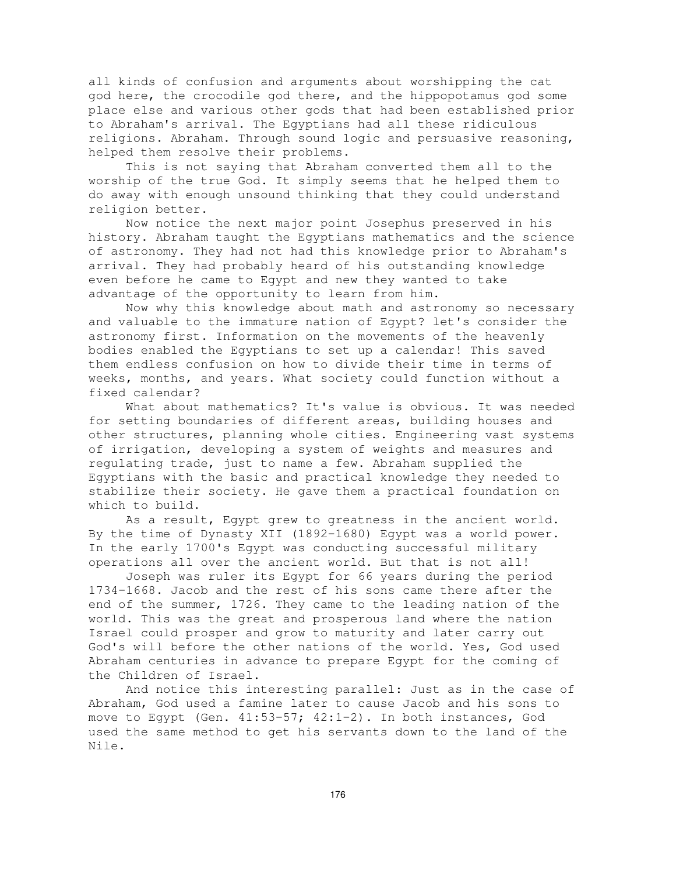all kinds of confusion and arguments about worshipping the cat god here, the crocodile god there, and the hippopotamus god some place else and various other gods that had been established prior to Abraham's arrival. The Egyptians had all these ridiculous religions. Abraham. Through sound logic and persuasive reasoning, helped them resolve their problems.

This is not saying that Abraham converted them all to the worship of the true God. It simply seems that he helped them to do away with enough unsound thinking that they could understand religion better.

Now notice the next major point Josephus preserved in his history. Abraham taught the Egyptians mathematics and the science of astronomy. They had not had this knowledge prior to Abraham's arrival. They had probably heard of his outstanding knowledge even before he came to Egypt and new they wanted to take advantage of the opportunity to learn from him.

Now why this knowledge about math and astronomy so necessary and valuable to the immature nation of Egypt? let's consider the astronomy first. Information on the movements of the heavenly bodies enabled the Egyptians to set up a calendar! This saved them endless confusion on how to divide their time in terms of weeks, months, and years. What society could function without a fixed calendar?

What about mathematics? It's value is obvious. It was needed for setting boundaries of different areas, building houses and other structures, planning whole cities. Engineering vast systems of irrigation, developing a system of weights and measures and regulating trade, just to name a few. Abraham supplied the Egyptians with the basic and practical knowledge they needed to stabilize their society. He gave them a practical foundation on which to build.

As a result, Egypt grew to greatness in the ancient world. By the time of Dynasty XII (1892-1680) Egypt was a world power. In the early 1700's Egypt was conducting successful military operations all over the ancient world. But that is not all!

Joseph was ruler its Egypt for 66 years during the period 1734-1668. Jacob and the rest of his sons came there after the end of the summer, 1726. They came to the leading nation of the world. This was the great and prosperous land where the nation Israel could prosper and grow to maturity and later carry out God's will before the other nations of the world. Yes, God used Abraham centuries in advance to prepare Egypt for the coming of the Children of Israel.

And notice this interesting parallel: Just as in the case of Abraham, God used a famine later to cause Jacob and his sons to move to Eqypt (Gen.  $41:53-57$ ;  $42:1-2$ ). In both instances, God used the same method to get his servants down to the land of the Nile.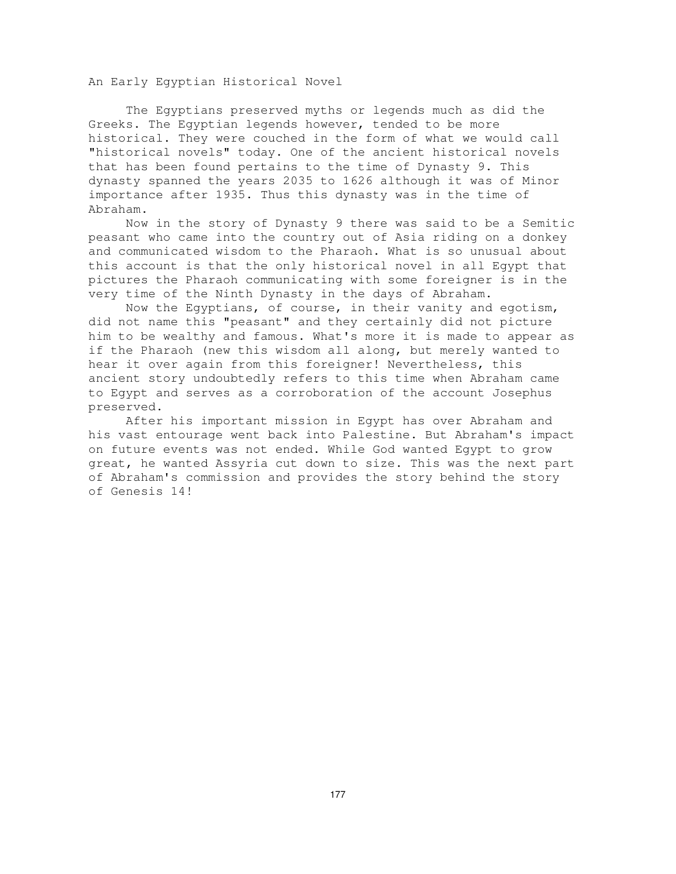An Early Egyptian Historical Novel

The Egyptians preserved myths or legends much as did the Greeks. The Egyptian legends however, tended to be more historical. They were couched in the form of what we would call "historical novels" today. One of the ancient historical novels that has been found pertains to the time of Dynasty 9. This dynasty spanned the years 2035 to 1626 although it was of Minor importance after 1935. Thus this dynasty was in the time of Abraham.

Now in the story of Dynasty 9 there was said to be a Semitic peasant who came into the country out of Asia riding on a donkey and communicated wisdom to the Pharaoh. What is so unusual about this account is that the only historical novel in all Egypt that pictures the Pharaoh communicating with some foreigner is in the very time of the Ninth Dynasty in the days of Abraham.

Now the Egyptians, of course, in their vanity and egotism, did not name this "peasant" and they certainly did not picture him to be wealthy and famous. What's more it is made to appear as if the Pharaoh (new this wisdom all along, but merely wanted to hear it over again from this foreigner! Nevertheless, this ancient story undoubtedly refers to this time when Abraham came to Egypt and serves as a corroboration of the account Josephus preserved.

After his important mission in Egypt has over Abraham and his vast entourage went back into Palestine. But Abraham's impact on future events was not ended. While God wanted Egypt to grow great, he wanted Assyria cut down to size. This was the next part of Abraham's commission and provides the story behind the story of Genesis 14!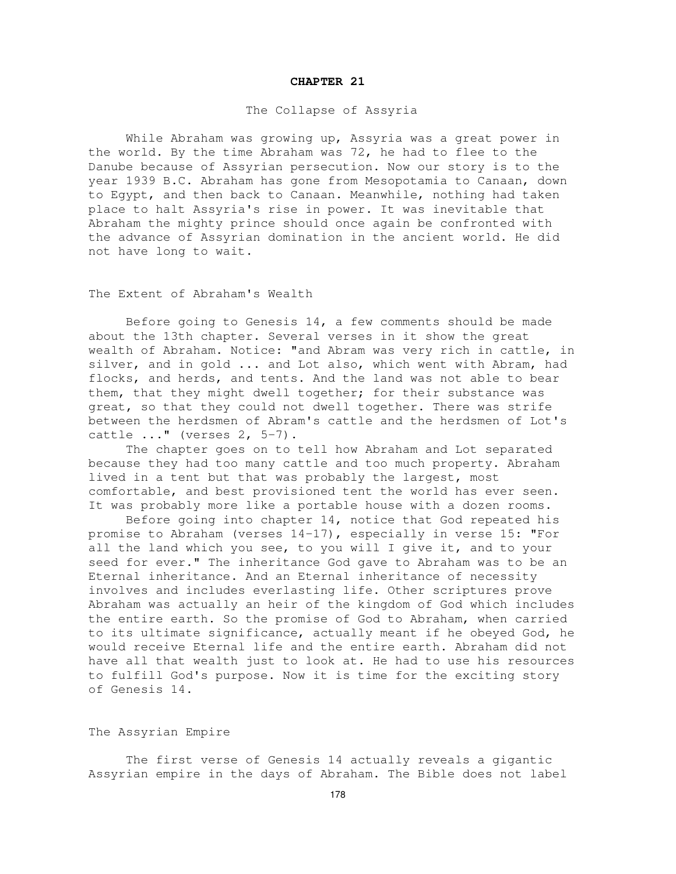#### **CHAPTER 21**

#### The Collapse of Assyria

While Abraham was growing up, Assyria was a great power in the world. By the time Abraham was 72, he had to flee to the Danube because of Assyrian persecution. Now our story is to the year 1939 B.C. Abraham has gone from Mesopotamia to Canaan, down to Egypt, and then back to Canaan. Meanwhile, nothing had taken place to halt Assyria's rise in power. It was inevitable that Abraham the mighty prince should once again be confronted with the advance of Assyrian domination in the ancient world. He did not have long to wait.

The Extent of Abraham's Wealth

Before going to Genesis 14, a few comments should be made about the 13th chapter. Several verses in it show the great wealth of Abraham. Notice: "and Abram was very rich in cattle, in silver, and in gold ... and Lot also, which went with Abram, had flocks, and herds, and tents. And the land was not able to bear them, that they might dwell together; for their substance was great, so that they could not dwell together. There was strife between the herdsmen of Abram's cattle and the herdsmen of Lot's cattle ..." (verses 2, 5-7).

The chapter goes on to tell how Abraham and Lot separated because they had too many cattle and too much property. Abraham lived in a tent but that was probably the largest, most comfortable, and best provisioned tent the world has ever seen. It was probably more like a portable house with a dozen rooms.

Before going into chapter 14, notice that God repeated his promise to Abraham (verses 14-17), especially in verse 15: "For all the land which you see, to you will I give it, and to your seed for ever." The inheritance God gave to Abraham was to be an Eternal inheritance. And an Eternal inheritance of necessity involves and includes everlasting life. Other scriptures prove Abraham was actually an heir of the kingdom of God which includes the entire earth. So the promise of God to Abraham, when carried to its ultimate significance, actually meant if he obeyed God, he would receive Eternal life and the entire earth. Abraham did not have all that wealth just to look at. He had to use his resources to fulfill God's purpose. Now it is time for the exciting story of Genesis 14.

## The Assyrian Empire

The first verse of Genesis 14 actually reveals a gigantic Assyrian empire in the days of Abraham. The Bible does not label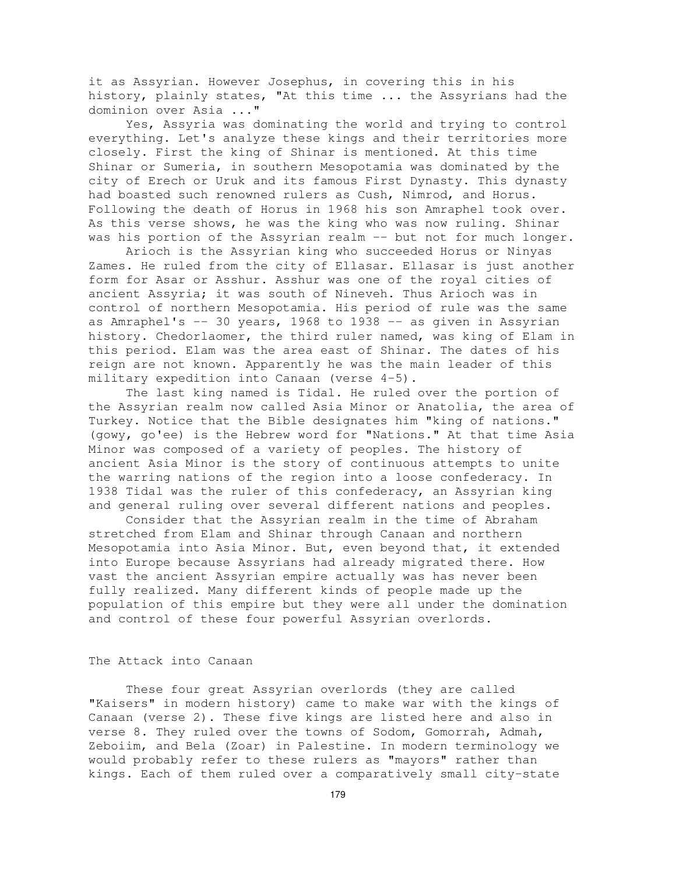it as Assyrian. However Josephus, in covering this in his history, plainly states, "At this time ... the Assyrians had the dominion over Asia ..."

Yes, Assyria was dominating the world and trying to control everything. Let's analyze these kings and their territories more closely. First the king of Shinar is mentioned. At this time Shinar or Sumeria, in southern Mesopotamia was dominated by the city of Erech or Uruk and its famous First Dynasty. This dynasty had boasted such renowned rulers as Cush, Nimrod, and Horus. Following the death of Horus in 1968 his son Amraphel took over. As this verse shows, he was the king who was now ruling. Shinar was his portion of the Assyrian realm -- but not for much longer.

Arioch is the Assyrian king who succeeded Horus or Ninyas Zames. He ruled from the city of Ellasar. Ellasar is just another form for Asar or Asshur. Asshur was one of the royal cities of ancient Assyria; it was south of Nineveh. Thus Arioch was in control of northern Mesopotamia. His period of rule was the same as Amraphel's -- 30 years, 1968 to 1938 -- as given in Assyrian history. Chedorlaomer, the third ruler named, was king of Elam in this period. Elam was the area east of Shinar. The dates of his reign are not known. Apparently he was the main leader of this military expedition into Canaan (verse 4-5).

The last king named is Tidal. He ruled over the portion of the Assyrian realm now called Asia Minor or Anatolia, the area of Turkey. Notice that the Bible designates him "king of nations." (gowy, go'ee) is the Hebrew word for "Nations." At that time Asia Minor was composed of a variety of peoples. The history of ancient Asia Minor is the story of continuous attempts to unite the warring nations of the region into a loose confederacy. In 1938 Tidal was the ruler of this confederacy, an Assyrian king and general ruling over several different nations and peoples.

Consider that the Assyrian realm in the time of Abraham stretched from Elam and Shinar through Canaan and northern Mesopotamia into Asia Minor. But, even beyond that, it extended into Europe because Assyrians had already migrated there. How vast the ancient Assyrian empire actually was has never been fully realized. Many different kinds of people made up the population of this empire but they were all under the domination and control of these four powerful Assyrian overlords.

## The Attack into Canaan

These four great Assyrian overlords (they are called "Kaisers" in modern history) came to make war with the kings of Canaan (verse 2). These five kings are listed here and also in verse 8. They ruled over the towns of Sodom, Gomorrah, Admah, Zeboiim, and Bela (Zoar) in Palestine. In modern terminology we would probably refer to these rulers as "mayors" rather than kings. Each of them ruled over a comparatively small city-state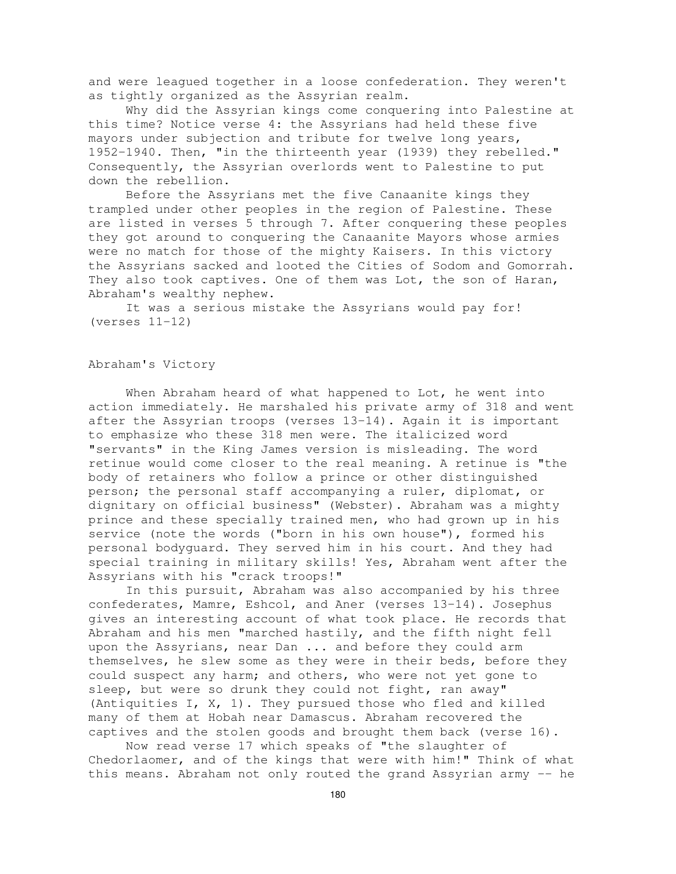and were leagued together in a loose confederation. They weren't as tightly organized as the Assyrian realm.

Why did the Assyrian kings come conquering into Palestine at this time? Notice verse 4: the Assyrians had held these five mayors under subjection and tribute for twelve long years, 1952-1940. Then, "in the thirteenth year (1939) they rebelled." Consequently, the Assyrian overlords went to Palestine to put down the rebellion.

Before the Assyrians met the five Canaanite kings they trampled under other peoples in the region of Palestine. These are listed in verses 5 through 7. After conquering these peoples they got around to conquering the Canaanite Mayors whose armies were no match for those of the mighty Kaisers. In this victory the Assyrians sacked and looted the Cities of Sodom and Gomorrah. They also took captives. One of them was Lot, the son of Haran, Abraham's wealthy nephew.

It was a serious mistake the Assyrians would pay for! (verses 11-12)

## Abraham's Victory

When Abraham heard of what happened to Lot, he went into action immediately. He marshaled his private army of 318 and went after the Assyrian troops (verses 13-14). Again it is important to emphasize who these 318 men were. The italicized word "servants" in the King James version is misleading. The word retinue would come closer to the real meaning. A retinue is "the body of retainers who follow a prince or other distinguished person; the personal staff accompanying a ruler, diplomat, or dignitary on official business" (Webster). Abraham was a mighty prince and these specially trained men, who had grown up in his service (note the words ("born in his own house"), formed his personal bodyguard. They served him in his court. And they had special training in military skills! Yes, Abraham went after the Assyrians with his "crack troops!"

In this pursuit, Abraham was also accompanied by his three confederates, Mamre, Eshcol, and Aner (verses 13-14). Josephus gives an interesting account of what took place. He records that Abraham and his men "marched hastily, and the fifth night fell upon the Assyrians, near Dan ... and before they could arm themselves, he slew some as they were in their beds, before they could suspect any harm; and others, who were not yet gone to sleep, but were so drunk they could not fight, ran away" (Antiquities I, X, 1). They pursued those who fled and killed many of them at Hobah near Damascus. Abraham recovered the captives and the stolen goods and brought them back (verse 16).

Now read verse 17 which speaks of "the slaughter of Chedorlaomer, and of the kings that were with him!" Think of what this means. Abraham not only routed the grand Assyrian army -- he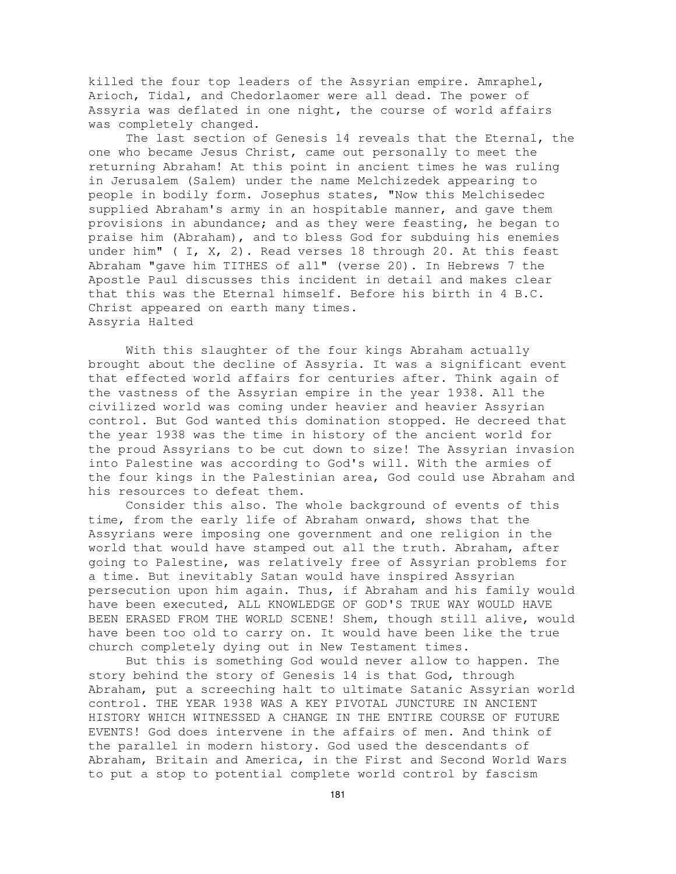killed the four top leaders of the Assyrian empire. Amraphel, Arioch, Tidal, and Chedorlaomer were all dead. The power of Assyria was deflated in one night, the course of world affairs was completely changed.

The last section of Genesis 14 reveals that the Eternal, the one who became Jesus Christ, came out personally to meet the returning Abraham! At this point in ancient times he was ruling in Jerusalem (Salem) under the name Melchizedek appearing to people in bodily form. Josephus states, "Now this Melchisedec supplied Abraham's army in an hospitable manner, and gave them provisions in abundance; and as they were feasting, he began to praise him (Abraham), and to bless God for subduing his enemies under him" (  $I$ ,  $X$ ,  $2$ ). Read verses 18 through 20. At this feast Abraham "gave him TITHES of all" (verse 20). In Hebrews 7 the Apostle Paul discusses this incident in detail and makes clear that this was the Eternal himself. Before his birth in 4 B.C. Christ appeared on earth many times. Assyria Halted

With this slaughter of the four kings Abraham actually brought about the decline of Assyria. It was a significant event that effected world affairs for centuries after. Think again of the vastness of the Assyrian empire in the year 1938. All the civilized world was coming under heavier and heavier Assyrian control. But God wanted this domination stopped. He decreed that the year 1938 was the time in history of the ancient world for the proud Assyrians to be cut down to size! The Assyrian invasion into Palestine was according to God's will. With the armies of the four kings in the Palestinian area, God could use Abraham and his resources to defeat them.

Consider this also. The whole background of events of this time, from the early life of Abraham onward, shows that the Assyrians were imposing one government and one religion in the world that would have stamped out all the truth. Abraham, after going to Palestine, was relatively free of Assyrian problems for a time. But inevitably Satan would have inspired Assyrian persecution upon him again. Thus, if Abraham and his family would have been executed, ALL KNOWLEDGE OF GOD'S TRUE WAY WOULD HAVE BEEN ERASED FROM THE WORLD SCENE! Shem, though still alive, would have been too old to carry on. It would have been like the true church completely dying out in New Testament times.

But this is something God would never allow to happen. The story behind the story of Genesis 14 is that God, through Abraham, put a screeching halt to ultimate Satanic Assyrian world control. THE YEAR 1938 WAS A KEY PIVOTAL JUNCTURE IN ANCIENT HISTORY WHICH WITNESSED A CHANGE IN THE ENTIRE COURSE OF FUTURE EVENTS! God does intervene in the affairs of men. And think of the parallel in modern history. God used the descendants of Abraham, Britain and America, in the First and Second World Wars to put a stop to potential complete world control by fascism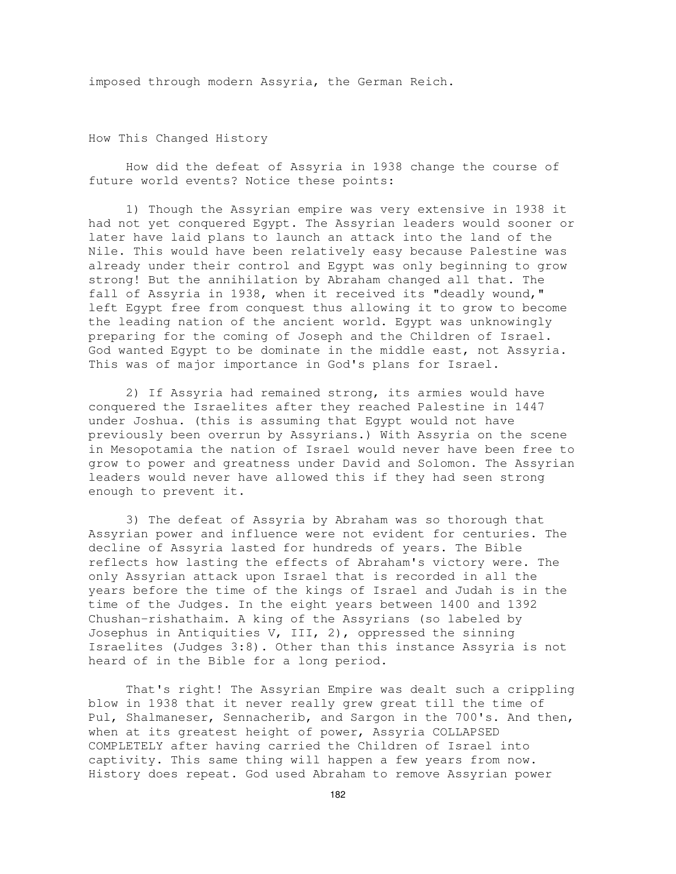imposed through modern Assyria, the German Reich.

How This Changed History

How did the defeat of Assyria in 1938 change the course of future world events? Notice these points:

1) Though the Assyrian empire was very extensive in 1938 it had not yet conquered Egypt. The Assyrian leaders would sooner or later have laid plans to launch an attack into the land of the Nile. This would have been relatively easy because Palestine was already under their control and Egypt was only beginning to grow strong! But the annihilation by Abraham changed all that. The fall of Assyria in 1938, when it received its "deadly wound," left Egypt free from conquest thus allowing it to grow to become the leading nation of the ancient world. Egypt was unknowingly preparing for the coming of Joseph and the Children of Israel. God wanted Egypt to be dominate in the middle east, not Assyria. This was of major importance in God's plans for Israel.

2) If Assyria had remained strong, its armies would have conquered the Israelites after they reached Palestine in 1447 under Joshua. (this is assuming that Egypt would not have previously been overrun by Assyrians.) With Assyria on the scene in Mesopotamia the nation of Israel would never have been free to grow to power and greatness under David and Solomon. The Assyrian leaders would never have allowed this if they had seen strong enough to prevent it.

3) The defeat of Assyria by Abraham was so thorough that Assyrian power and influence were not evident for centuries. The decline of Assyria lasted for hundreds of years. The Bible reflects how lasting the effects of Abraham's victory were. The only Assyrian attack upon Israel that is recorded in all the years before the time of the kings of Israel and Judah is in the time of the Judges. In the eight years between 1400 and 1392 Chushan-rishathaim. A king of the Assyrians (so labeled by Josephus in Antiquities V, III, 2), oppressed the sinning Israelites (Judges 3:8). Other than this instance Assyria is not heard of in the Bible for a long period.

That's right! The Assyrian Empire was dealt such a crippling blow in 1938 that it never really grew great till the time of Pul, Shalmaneser, Sennacherib, and Sargon in the 700's. And then, when at its greatest height of power, Assyria COLLAPSED COMPLETELY after having carried the Children of Israel into captivity. This same thing will happen a few years from now. History does repeat. God used Abraham to remove Assyrian power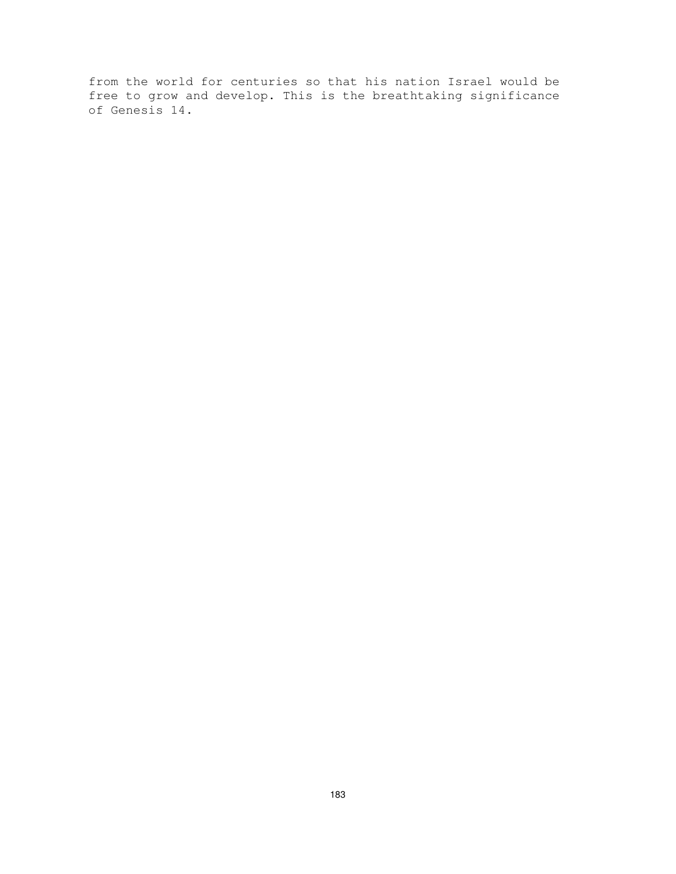from the world for centuries so that his nation Israel would be free to grow and develop. This is the breathtaking significance of Genesis 14.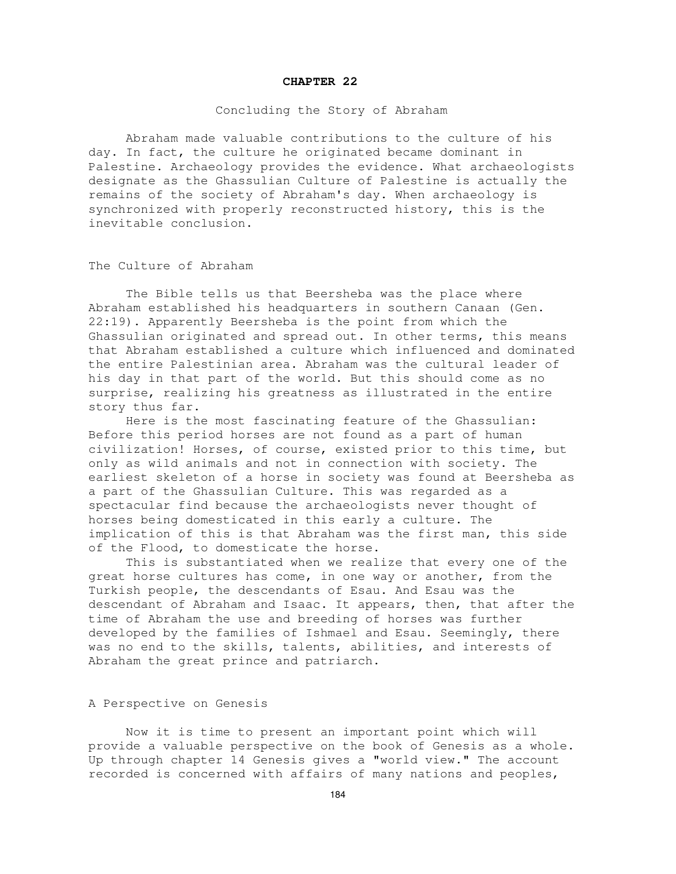#### **CHAPTER 22**

### Concluding the Story of Abraham

Abraham made valuable contributions to the culture of his day. In fact, the culture he originated became dominant in Palestine. Archaeology provides the evidence. What archaeologists designate as the Ghassulian Culture of Palestine is actually the remains of the society of Abraham's day. When archaeology is synchronized with properly reconstructed history, this is the inevitable conclusion.

The Culture of Abraham

The Bible tells us that Beersheba was the place where Abraham established his headquarters in southern Canaan (Gen. 22:19). Apparently Beersheba is the point from which the Ghassulian originated and spread out. In other terms, this means that Abraham established a culture which influenced and dominated the entire Palestinian area. Abraham was the cultural leader of his day in that part of the world. But this should come as no surprise, realizing his greatness as illustrated in the entire story thus far.

Here is the most fascinating feature of the Ghassulian: Before this period horses are not found as a part of human civilization! Horses, of course, existed prior to this time, but only as wild animals and not in connection with society. The earliest skeleton of a horse in society was found at Beersheba as a part of the Ghassulian Culture. This was regarded as a spectacular find because the archaeologists never thought of horses being domesticated in this early a culture. The implication of this is that Abraham was the first man, this side of the Flood, to domesticate the horse.

This is substantiated when we realize that every one of the great horse cultures has come, in one way or another, from the Turkish people, the descendants of Esau. And Esau was the descendant of Abraham and Isaac. It appears, then, that after the time of Abraham the use and breeding of horses was further developed by the families of Ishmael and Esau. Seemingly, there was no end to the skills, talents, abilities, and interests of Abraham the great prince and patriarch.

## A Perspective on Genesis

Now it is time to present an important point which will provide a valuable perspective on the book of Genesis as a whole. Up through chapter 14 Genesis gives a "world view." The account recorded is concerned with affairs of many nations and peoples,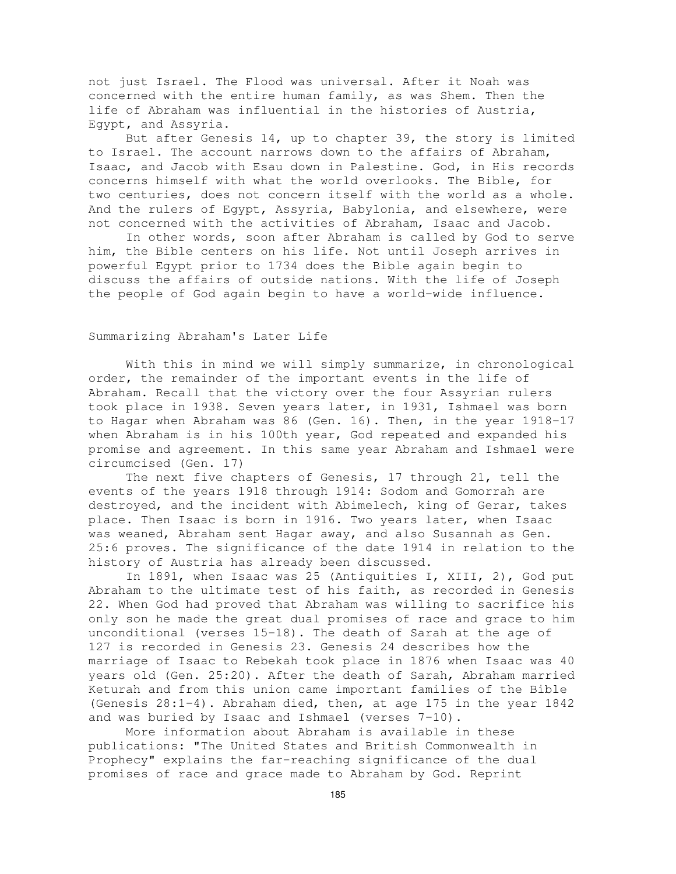not just Israel. The Flood was universal. After it Noah was concerned with the entire human family, as was Shem. Then the life of Abraham was influential in the histories of Austria, Egypt, and Assyria.

But after Genesis 14, up to chapter 39, the story is limited to Israel. The account narrows down to the affairs of Abraham, Isaac, and Jacob with Esau down in Palestine. God, in His records concerns himself with what the world overlooks. The Bible, for two centuries, does not concern itself with the world as a whole. And the rulers of Egypt, Assyria, Babylonia, and elsewhere, were not concerned with the activities of Abraham, Isaac and Jacob.

In other words, soon after Abraham is called by God to serve him, the Bible centers on his life. Not until Joseph arrives in powerful Egypt prior to 1734 does the Bible again begin to discuss the affairs of outside nations. With the life of Joseph the people of God again begin to have a world-wide influence.

### Summarizing Abraham's Later Life

With this in mind we will simply summarize, in chronological order, the remainder of the important events in the life of Abraham. Recall that the victory over the four Assyrian rulers took place in 1938. Seven years later, in 1931, Ishmael was born to Hagar when Abraham was 86 (Gen. 16). Then, in the year 1918-17 when Abraham is in his 100th year, God repeated and expanded his promise and agreement. In this same year Abraham and Ishmael were circumcised (Gen. 17)

The next five chapters of Genesis, 17 through 21, tell the events of the years 1918 through 1914: Sodom and Gomorrah are destroyed, and the incident with Abimelech, king of Gerar, takes place. Then Isaac is born in 1916. Two years later, when Isaac was weaned, Abraham sent Hagar away, and also Susannah as Gen. 25:6 proves. The significance of the date 1914 in relation to the history of Austria has already been discussed.

In 1891, when Isaac was 25 (Antiquities I, XIII, 2), God put Abraham to the ultimate test of his faith, as recorded in Genesis 22. When God had proved that Abraham was willing to sacrifice his only son he made the great dual promises of race and grace to him unconditional (verses 15-18). The death of Sarah at the age of 127 is recorded in Genesis 23. Genesis 24 describes how the marriage of Isaac to Rebekah took place in 1876 when Isaac was 40 years old (Gen. 25:20). After the death of Sarah, Abraham married Keturah and from this union came important families of the Bible (Genesis 28:1-4). Abraham died, then, at age 175 in the year 1842 and was buried by Isaac and Ishmael (verses 7-10).

More information about Abraham is available in these publications: "The United States and British Commonwealth in Prophecy" explains the far-reaching significance of the dual promises of race and grace made to Abraham by God. Reprint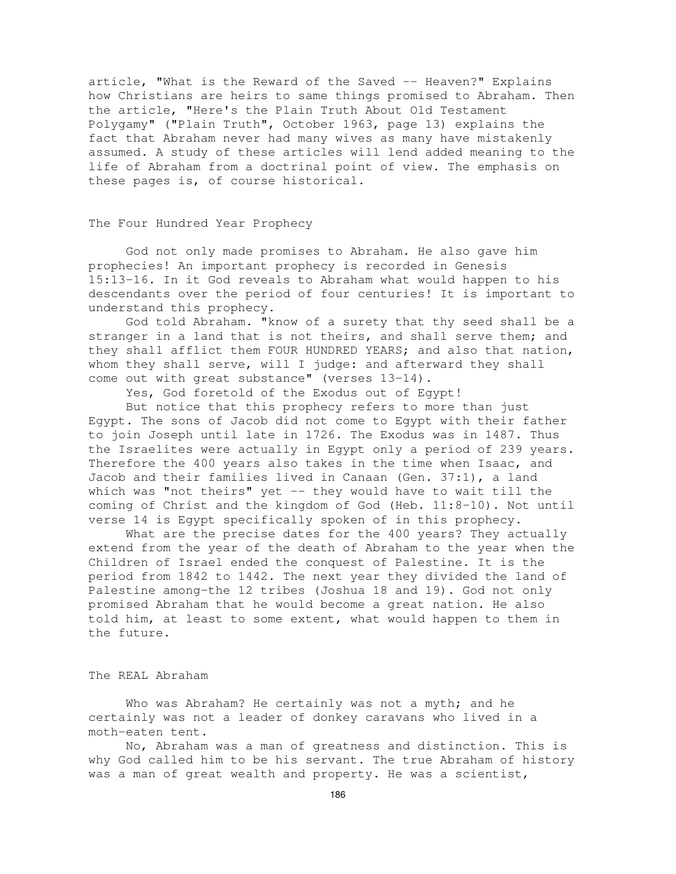article, "What is the Reward of the Saved -- Heaven?" Explains how Christians are heirs to same things promised to Abraham. Then the article, "Here's the Plain Truth About Old Testament Polygamy" ("Plain Truth", October 1963, page 13) explains the fact that Abraham never had many wives as many have mistakenly assumed. A study of these articles will lend added meaning to the life of Abraham from a doctrinal point of view. The emphasis on these pages is, of course historical.

### The Four Hundred Year Prophecy

God not only made promises to Abraham. He also gave him prophecies! An important prophecy is recorded in Genesis 15:13-16. In it God reveals to Abraham what would happen to his descendants over the period of four centuries! It is important to understand this prophecy.

God told Abraham. "know of a surety that thy seed shall be a stranger in a land that is not theirs, and shall serve them; and they shall afflict them FOUR HUNDRED YEARS; and also that nation, whom they shall serve, will I judge: and afterward they shall come out with great substance" (verses 13-14).

Yes, God foretold of the Exodus out of Egypt!

But notice that this prophecy refers to more than just Egypt. The sons of Jacob did not come to Egypt with their father to join Joseph until late in 1726. The Exodus was in 1487. Thus the Israelites were actually in Egypt only a period of 239 years. Therefore the 400 years also takes in the time when Isaac, and Jacob and their families lived in Canaan (Gen. 37:1), a land which was "not theirs" yet -- they would have to wait till the coming of Christ and the kingdom of God (Heb. 11:8-10). Not until verse 14 is Egypt specifically spoken of in this prophecy.

What are the precise dates for the 400 years? They actually extend from the year of the death of Abraham to the year when the Children of Israel ended the conquest of Palestine. It is the period from 1842 to 1442. The next year they divided the land of Palestine among-the 12 tribes (Joshua 18 and 19). God not only promised Abraham that he would become a great nation. He also told him, at least to some extent, what would happen to them in the future.

## The REAL Abraham

Who was Abraham? He certainly was not a myth; and he certainly was not a leader of donkey caravans who lived in a moth-eaten tent.

No, Abraham was a man of greatness and distinction. This is why God called him to be his servant. The true Abraham of history was a man of great wealth and property. He was a scientist,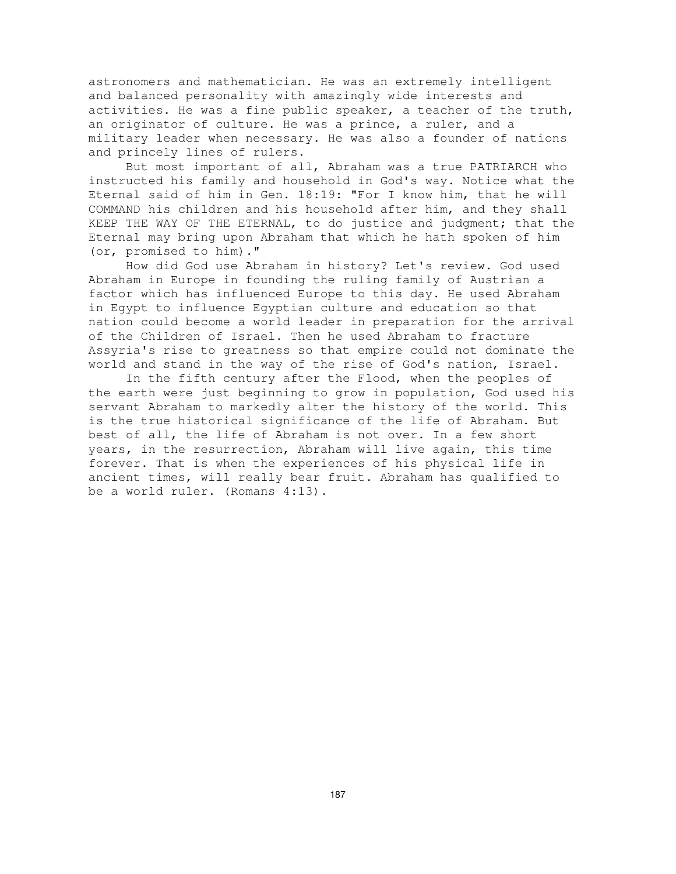astronomers and mathematician. He was an extremely intelligent and balanced personality with amazingly wide interests and activities. He was a fine public speaker, a teacher of the truth, an originator of culture. He was a prince, a ruler, and a military leader when necessary. He was also a founder of nations and princely lines of rulers.

But most important of all, Abraham was a true PATRIARCH who instructed his family and household in God's way. Notice what the Eternal said of him in Gen. 18:19: "For I know him, that he will COMMAND his children and his household after him, and they shall KEEP THE WAY OF THE ETERNAL, to do justice and judgment; that the Eternal may bring upon Abraham that which he hath spoken of him (or, promised to him)."

How did God use Abraham in history? Let's review. God used Abraham in Europe in founding the ruling family of Austrian a factor which has influenced Europe to this day. He used Abraham in Egypt to influence Egyptian culture and education so that nation could become a world leader in preparation for the arrival of the Children of Israel. Then he used Abraham to fracture Assyria's rise to greatness so that empire could not dominate the world and stand in the way of the rise of God's nation, Israel.

In the fifth century after the Flood, when the peoples of the earth were just beginning to grow in population, God used his servant Abraham to markedly alter the history of the world. This is the true historical significance of the life of Abraham. But best of all, the life of Abraham is not over. In a few short years, in the resurrection, Abraham will live again, this time forever. That is when the experiences of his physical life in ancient times, will really bear fruit. Abraham has qualified to be a world ruler. (Romans 4:13).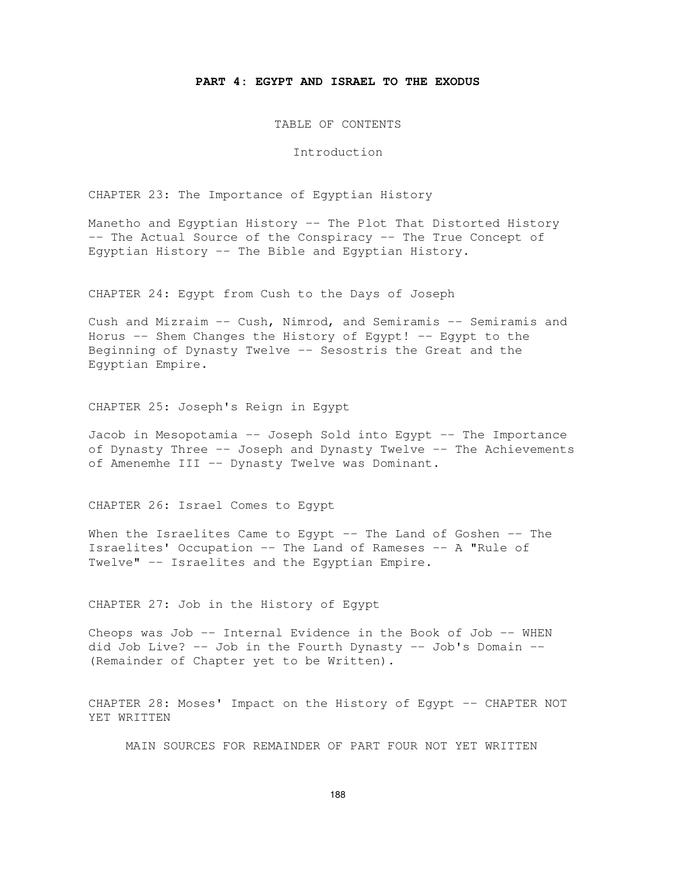### **PART 4: EGYPT AND ISRAEL TO THE EXODUS**

TABLE OF CONTENTS

Introduction

CHAPTER 23: The Importance of Egyptian History

Manetho and Egyptian History -- The Plot That Distorted History -- The Actual Source of the Conspiracy -- The True Concept of Egyptian History -- The Bible and Egyptian History.

CHAPTER 24: Egypt from Cush to the Days of Joseph

Cush and Mizraim -- Cush, Nimrod, and Semiramis -- Semiramis and Horus -- Shem Changes the History of Egypt! -- Egypt to the Beginning of Dynasty Twelve -- Sesostris the Great and the Egyptian Empire.

CHAPTER 25: Joseph's Reign in Egypt

Jacob in Mesopotamia -- Joseph Sold into Egypt -- The Importance of Dynasty Three -- Joseph and Dynasty Twelve -- The Achievements of Amenemhe III -- Dynasty Twelve was Dominant.

CHAPTER 26: Israel Comes to Egypt

When the Israelites Came to Egypt -- The Land of Goshen -- The Israelites' Occupation -- The Land of Rameses -- A "Rule of Twelve" -- Israelites and the Egyptian Empire.

CHAPTER 27: Job in the History of Egypt

Cheops was Job -- Internal Evidence in the Book of Job -- WHEN did Job Live? -- Job in the Fourth Dynasty -- Job's Domain -- (Remainder of Chapter yet to be Written).

CHAPTER 28: Moses' Impact on the History of Egypt -- CHAPTER NOT YET WRITTEN

MAIN SOURCES FOR REMAINDER OF PART FOUR NOT YET WRITTEN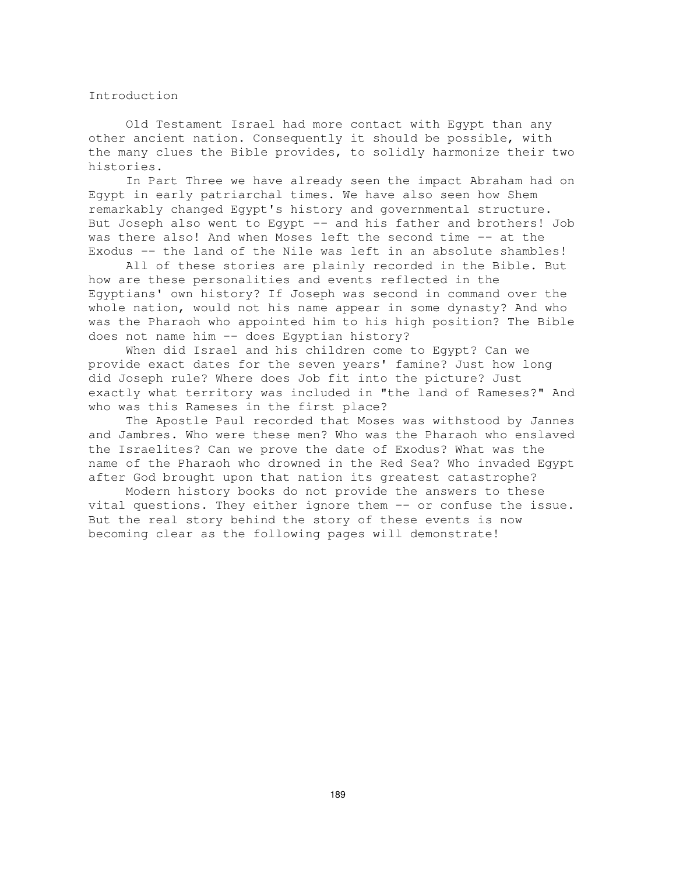### Introduction

Old Testament Israel had more contact with Egypt than any other ancient nation. Consequently it should be possible, with the many clues the Bible provides, to solidly harmonize their two histories.

In Part Three we have already seen the impact Abraham had on Egypt in early patriarchal times. We have also seen how Shem remarkably changed Egypt's history and governmental structure. But Joseph also went to Egypt -- and his father and brothers! Job was there also! And when Moses left the second time -- at the Exodus -- the land of the Nile was left in an absolute shambles!

All of these stories are plainly recorded in the Bible. But how are these personalities and events reflected in the Egyptians' own history? If Joseph was second in command over the whole nation, would not his name appear in some dynasty? And who was the Pharaoh who appointed him to his high position? The Bible does not name him -- does Egyptian history?

When did Israel and his children come to Egypt? Can we provide exact dates for the seven years' famine? Just how long did Joseph rule? Where does Job fit into the picture? Just exactly what territory was included in "the land of Rameses?" And who was this Rameses in the first place?

The Apostle Paul recorded that Moses was withstood by Jannes and Jambres. Who were these men? Who was the Pharaoh who enslaved the Israelites? Can we prove the date of Exodus? What was the name of the Pharaoh who drowned in the Red Sea? Who invaded Egypt after God brought upon that nation its greatest catastrophe?

Modern history books do not provide the answers to these vital questions. They either ignore them -- or confuse the issue. But the real story behind the story of these events is now becoming clear as the following pages will demonstrate!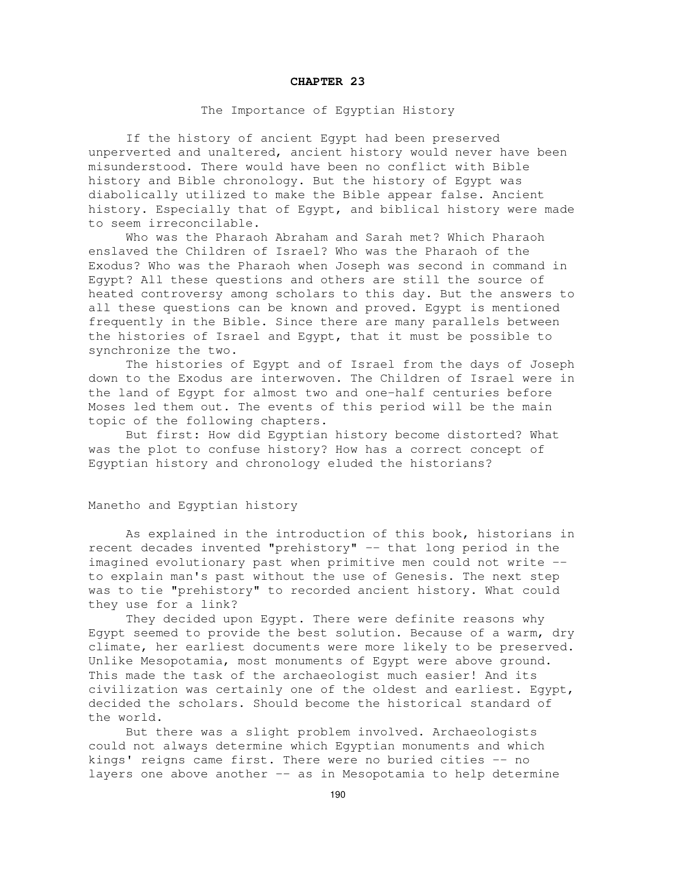### **CHAPTER 23**

### The Importance of Egyptian History

If the history of ancient Egypt had been preserved unperverted and unaltered, ancient history would never have been misunderstood. There would have been no conflict with Bible history and Bible chronology. But the history of Egypt was diabolically utilized to make the Bible appear false. Ancient history. Especially that of Egypt, and biblical history were made to seem irreconcilable.

Who was the Pharaoh Abraham and Sarah met? Which Pharaoh enslaved the Children of Israel? Who was the Pharaoh of the Exodus? Who was the Pharaoh when Joseph was second in command in Egypt? All these questions and others are still the source of heated controversy among scholars to this day. But the answers to all these questions can be known and proved. Egypt is mentioned frequently in the Bible. Since there are many parallels between the histories of Israel and Egypt, that it must be possible to synchronize the two.

The histories of Egypt and of Israel from the days of Joseph down to the Exodus are interwoven. The Children of Israel were in the land of Egypt for almost two and one-half centuries before Moses led them out. The events of this period will be the main topic of the following chapters.

But first: How did Egyptian history become distorted? What was the plot to confuse history? How has a correct concept of Egyptian history and chronology eluded the historians?

# Manetho and Egyptian history

As explained in the introduction of this book, historians in recent decades invented "prehistory" -- that long period in the imagined evolutionary past when primitive men could not write - to explain man's past without the use of Genesis. The next step was to tie "prehistory" to recorded ancient history. What could they use for a link?

They decided upon Egypt. There were definite reasons why Egypt seemed to provide the best solution. Because of a warm, dry climate, her earliest documents were more likely to be preserved. Unlike Mesopotamia, most monuments of Egypt were above ground. This made the task of the archaeologist much easier! And its civilization was certainly one of the oldest and earliest. Egypt, decided the scholars. Should become the historical standard of the world.

But there was a slight problem involved. Archaeologists could not always determine which Egyptian monuments and which kings' reigns came first. There were no buried cities -- no layers one above another -- as in Mesopotamia to help determine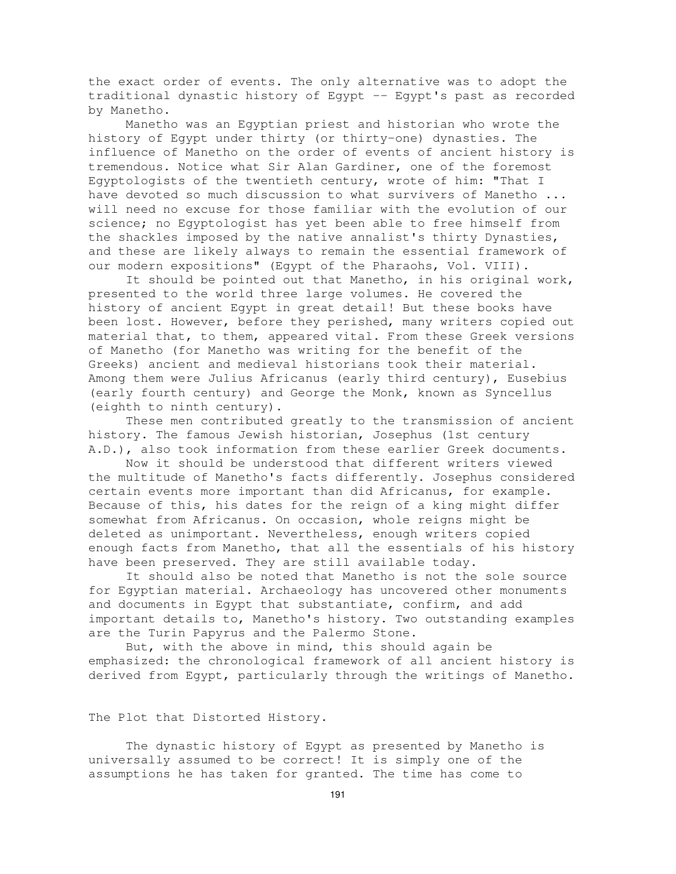the exact order of events. The only alternative was to adopt the traditional dynastic history of Egypt -- Egypt's past as recorded by Manetho.

Manetho was an Egyptian priest and historian who wrote the history of Egypt under thirty (or thirty-one) dynasties. The influence of Manetho on the order of events of ancient history is tremendous. Notice what Sir Alan Gardiner, one of the foremost Egyptologists of the twentieth century, wrote of him: "That I have devoted so much discussion to what survivers of Manetho ... will need no excuse for those familiar with the evolution of our science; no Egyptologist has yet been able to free himself from the shackles imposed by the native annalist's thirty Dynasties, and these are likely always to remain the essential framework of our modern expositions" (Egypt of the Pharaohs, Vol. VIII).

It should be pointed out that Manetho, in his original work, presented to the world three large volumes. He covered the history of ancient Egypt in great detail! But these books have been lost. However, before they perished, many writers copied out material that, to them, appeared vital. From these Greek versions of Manetho (for Manetho was writing for the benefit of the Greeks) ancient and medieval historians took their material. Among them were Julius Africanus (early third century), Eusebius (early fourth century) and George the Monk, known as Syncellus (eighth to ninth century).

These men contributed greatly to the transmission of ancient history. The famous Jewish historian, Josephus (1st century A.D.), also took information from these earlier Greek documents.

Now it should be understood that different writers viewed the multitude of Manetho's facts differently. Josephus considered certain events more important than did Africanus, for example. Because of this, his dates for the reign of a king might differ somewhat from Africanus. On occasion, whole reigns might be deleted as unimportant. Nevertheless, enough writers copied enough facts from Manetho, that all the essentials of his history have been preserved. They are still available today.

It should also be noted that Manetho is not the sole source for Egyptian material. Archaeology has uncovered other monuments and documents in Egypt that substantiate, confirm, and add important details to, Manetho's history. Two outstanding examples are the Turin Papyrus and the Palermo Stone.

But, with the above in mind, this should again be emphasized: the chronological framework of all ancient history is derived from Egypt, particularly through the writings of Manetho.

## The Plot that Distorted History.

The dynastic history of Egypt as presented by Manetho is universally assumed to be correct! It is simply one of the assumptions he has taken for granted. The time has come to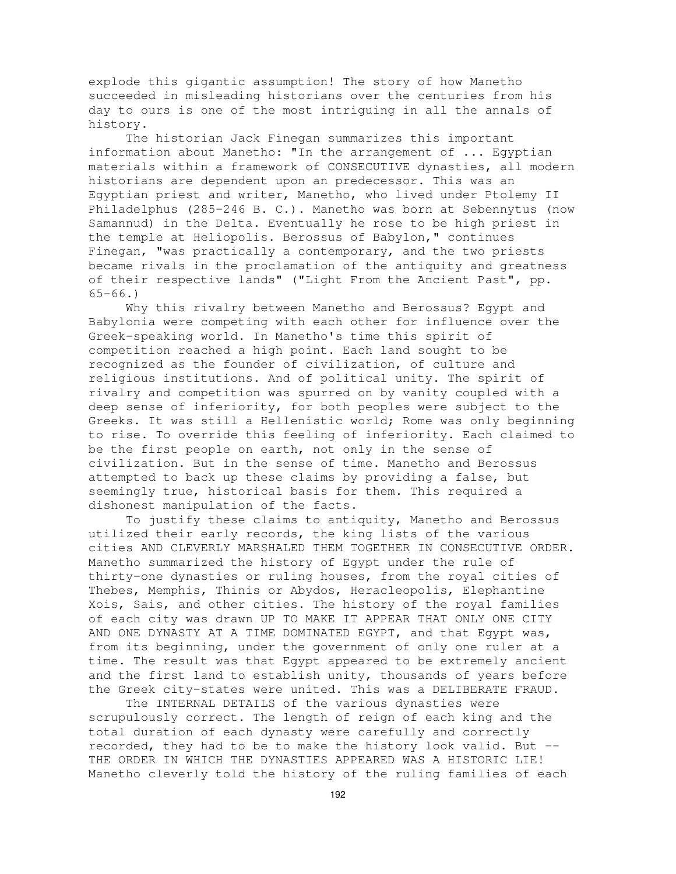explode this gigantic assumption! The story of how Manetho succeeded in misleading historians over the centuries from his day to ours is one of the most intriguing in all the annals of history.

The historian Jack Finegan summarizes this important information about Manetho: "In the arrangement of ... Egyptian materials within a framework of CONSECUTIVE dynasties, all modern historians are dependent upon an predecessor. This was an Egyptian priest and writer, Manetho, who lived under Ptolemy II Philadelphus (285-246 B. C.). Manetho was born at Sebennytus (now Samannud) in the Delta. Eventually he rose to be high priest in the temple at Heliopolis. Berossus of Babylon," continues Finegan, "was practically a contemporary, and the two priests became rivals in the proclamation of the antiquity and greatness of their respective lands" ("Light From the Ancient Past", pp. 65-66.)

Why this rivalry between Manetho and Berossus? Egypt and Babylonia were competing with each other for influence over the Greek-speaking world. In Manetho's time this spirit of competition reached a high point. Each land sought to be recognized as the founder of civilization, of culture and religious institutions. And of political unity. The spirit of rivalry and competition was spurred on by vanity coupled with a deep sense of inferiority, for both peoples were subject to the Greeks. It was still a Hellenistic world; Rome was only beginning to rise. To override this feeling of inferiority. Each claimed to be the first people on earth, not only in the sense of civilization. But in the sense of time. Manetho and Berossus attempted to back up these claims by providing a false, but seemingly true, historical basis for them. This required a dishonest manipulation of the facts.

To justify these claims to antiquity, Manetho and Berossus utilized their early records, the king lists of the various cities AND CLEVERLY MARSHALED THEM TOGETHER IN CONSECUTIVE ORDER. Manetho summarized the history of Egypt under the rule of thirty-one dynasties or ruling houses, from the royal cities of Thebes, Memphis, Thinis or Abydos, Heracleopolis, Elephantine Xois, Sais, and other cities. The history of the royal families of each city was drawn UP TO MAKE IT APPEAR THAT ONLY ONE CITY AND ONE DYNASTY AT A TIME DOMINATED EGYPT, and that Egypt was, from its beginning, under the government of only one ruler at a time. The result was that Egypt appeared to be extremely ancient and the first land to establish unity, thousands of years before the Greek city-states were united. This was a DELIBERATE FRAUD.

The INTERNAL DETAILS of the various dynasties were scrupulously correct. The length of reign of each king and the total duration of each dynasty were carefully and correctly recorded, they had to be to make the history look valid. But -- THE ORDER IN WHICH THE DYNASTIES APPEARED WAS A HISTORIC LIE! Manetho cleverly told the history of the ruling families of each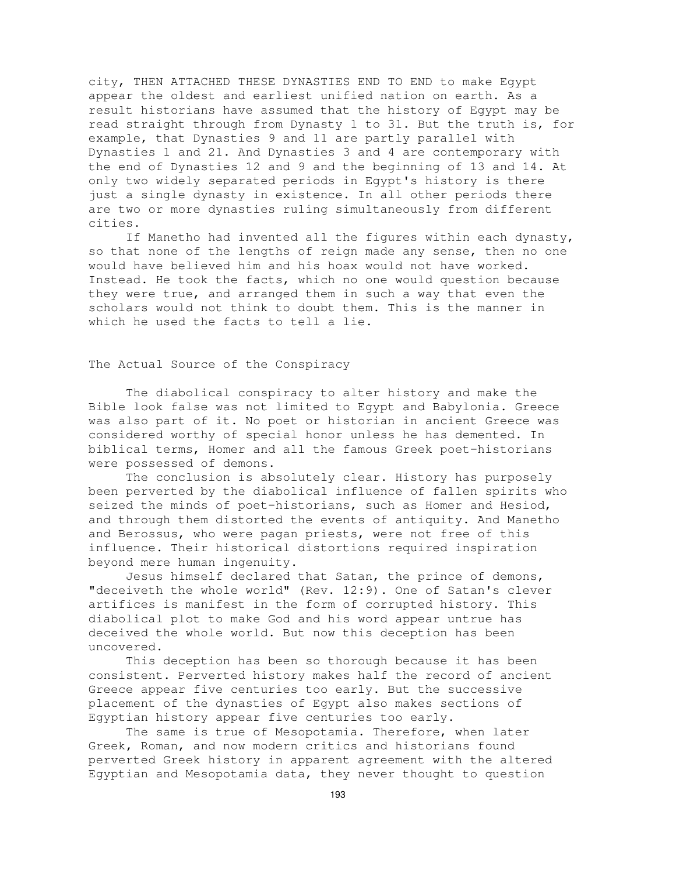city, THEN ATTACHED THESE DYNASTIES END TO END to make Egypt appear the oldest and earliest unified nation on earth. As a result historians have assumed that the history of Egypt may be read straight through from Dynasty 1 to 31. But the truth is, for example, that Dynasties 9 and 11 are partly parallel with Dynasties 1 and 21. And Dynasties 3 and 4 are contemporary with the end of Dynasties 12 and 9 and the beginning of 13 and 14. At only two widely separated periods in Egypt's history is there just a single dynasty in existence. In all other periods there are two or more dynasties ruling simultaneously from different cities.

If Manetho had invented all the figures within each dynasty, so that none of the lengths of reign made any sense, then no one would have believed him and his hoax would not have worked. Instead. He took the facts, which no one would question because they were true, and arranged them in such a way that even the scholars would not think to doubt them. This is the manner in which he used the facts to tell a lie.

## The Actual Source of the Conspiracy

The diabolical conspiracy to alter history and make the Bible look false was not limited to Egypt and Babylonia. Greece was also part of it. No poet or historian in ancient Greece was considered worthy of special honor unless he has demented. In biblical terms, Homer and all the famous Greek poet-historians were possessed of demons.

The conclusion is absolutely clear. History has purposely been perverted by the diabolical influence of fallen spirits who seized the minds of poet-historians, such as Homer and Hesiod, and through them distorted the events of antiquity. And Manetho and Berossus, who were pagan priests, were not free of this influence. Their historical distortions required inspiration beyond mere human ingenuity.

Jesus himself declared that Satan, the prince of demons, "deceiveth the whole world" (Rev. 12:9). One of Satan's clever artifices is manifest in the form of corrupted history. This diabolical plot to make God and his word appear untrue has deceived the whole world. But now this deception has been uncovered.

This deception has been so thorough because it has been consistent. Perverted history makes half the record of ancient Greece appear five centuries too early. But the successive placement of the dynasties of Egypt also makes sections of Egyptian history appear five centuries too early.

The same is true of Mesopotamia. Therefore, when later Greek, Roman, and now modern critics and historians found perverted Greek history in apparent agreement with the altered Egyptian and Mesopotamia data, they never thought to question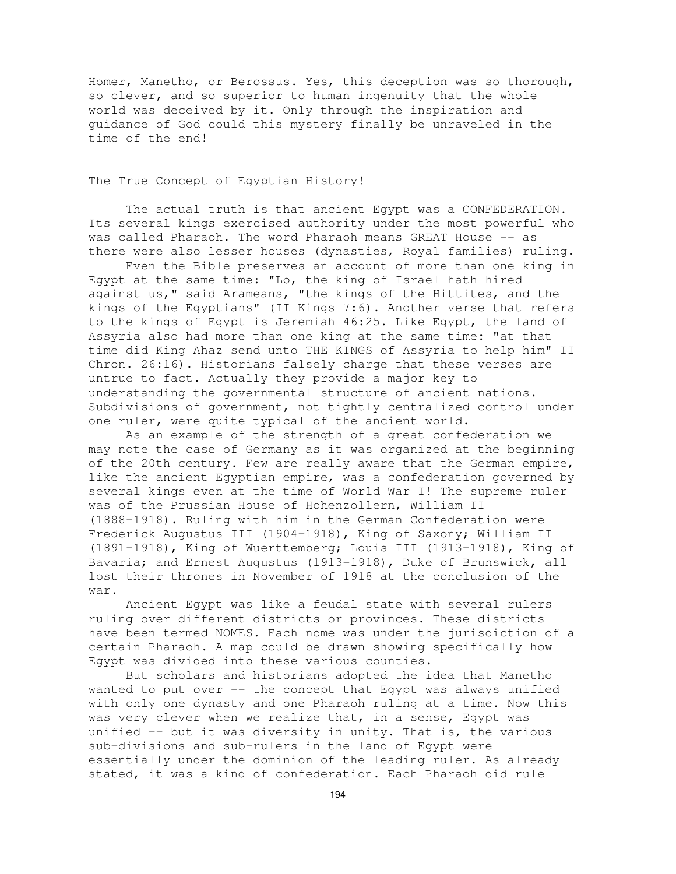Homer, Manetho, or Berossus. Yes, this deception was so thorough, so clever, and so superior to human ingenuity that the whole world was deceived by it. Only through the inspiration and guidance of God could this mystery finally be unraveled in the time of the end!

## The True Concept of Egyptian History!

The actual truth is that ancient Egypt was a CONFEDERATION. Its several kings exercised authority under the most powerful who was called Pharaoh. The word Pharaoh means GREAT House -- as there were also lesser houses (dynasties, Royal families) ruling.

Even the Bible preserves an account of more than one king in Egypt at the same time: "Lo, the king of Israel hath hired against us," said Arameans, "the kings of the Hittites, and the kings of the Egyptians" (II Kings 7:6). Another verse that refers to the kings of Egypt is Jeremiah 46:25. Like Egypt, the land of Assyria also had more than one king at the same time: "at that time did King Ahaz send unto THE KINGS of Assyria to help him" II Chron. 26:16). Historians falsely charge that these verses are untrue to fact. Actually they provide a major key to understanding the governmental structure of ancient nations. Subdivisions of government, not tightly centralized control under one ruler, were quite typical of the ancient world.

As an example of the strength of a great confederation we may note the case of Germany as it was organized at the beginning of the 20th century. Few are really aware that the German empire, like the ancient Egyptian empire, was a confederation governed by several kings even at the time of World War I! The supreme ruler was of the Prussian House of Hohenzollern, William II (1888-1918). Ruling with him in the German Confederation were Frederick Augustus III (1904-1918), King of Saxony; William II (1891-1918), King of Wuerttemberg; Louis III (1913-1918), King of Bavaria; and Ernest Augustus (1913-1918), Duke of Brunswick, all lost their thrones in November of 1918 at the conclusion of the war.

Ancient Egypt was like a feudal state with several rulers ruling over different districts or provinces. These districts have been termed NOMES. Each nome was under the jurisdiction of a certain Pharaoh. A map could be drawn showing specifically how Egypt was divided into these various counties.

But scholars and historians adopted the idea that Manetho wanted to put over -- the concept that Egypt was always unified with only one dynasty and one Pharaoh ruling at a time. Now this was very clever when we realize that, in a sense, Egypt was unified -- but it was diversity in unity. That is, the various sub-divisions and sub-rulers in the land of Egypt were essentially under the dominion of the leading ruler. As already stated, it was a kind of confederation. Each Pharaoh did rule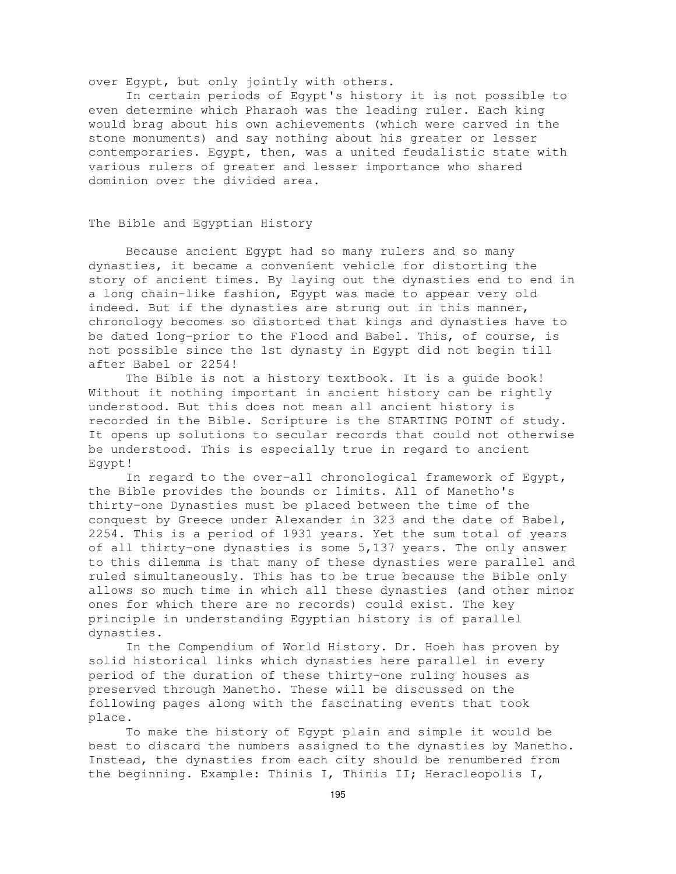over Egypt, but only jointly with others.

In certain periods of Egypt's history it is not possible to even determine which Pharaoh was the leading ruler. Each king would brag about his own achievements (which were carved in the stone monuments) and say nothing about his greater or lesser contemporaries. Egypt, then, was a united feudalistic state with various rulers of greater and lesser importance who shared dominion over the divided area.

### The Bible and Egyptian History

Because ancient Egypt had so many rulers and so many dynasties, it became a convenient vehicle for distorting the story of ancient times. By laying out the dynasties end to end in a long chain-like fashion, Egypt was made to appear very old indeed. But if the dynasties are strung out in this manner, chronology becomes so distorted that kings and dynasties have to be dated long-prior to the Flood and Babel. This, of course, is not possible since the 1st dynasty in Egypt did not begin till after Babel or 2254!

The Bible is not a history textbook. It is a guide book! Without it nothing important in ancient history can be rightly understood. But this does not mean all ancient history is recorded in the Bible. Scripture is the STARTING POINT of study. It opens up solutions to secular records that could not otherwise be understood. This is especially true in regard to ancient Egypt!

In regard to the over-all chronological framework of Egypt, the Bible provides the bounds or limits. All of Manetho's thirty-one Dynasties must be placed between the time of the conquest by Greece under Alexander in 323 and the date of Babel, 2254. This is a period of 1931 years. Yet the sum total of years of all thirty-one dynasties is some 5,137 years. The only answer to this dilemma is that many of these dynasties were parallel and ruled simultaneously. This has to be true because the Bible only allows so much time in which all these dynasties (and other minor ones for which there are no records) could exist. The key principle in understanding Egyptian history is of parallel dynasties.

In the Compendium of World History. Dr. Hoeh has proven by solid historical links which dynasties here parallel in every period of the duration of these thirty-one ruling houses as preserved through Manetho. These will be discussed on the following pages along with the fascinating events that took place.

To make the history of Egypt plain and simple it would be best to discard the numbers assigned to the dynasties by Manetho. Instead, the dynasties from each city should be renumbered from the beginning. Example: Thinis I, Thinis II; Heracleopolis I,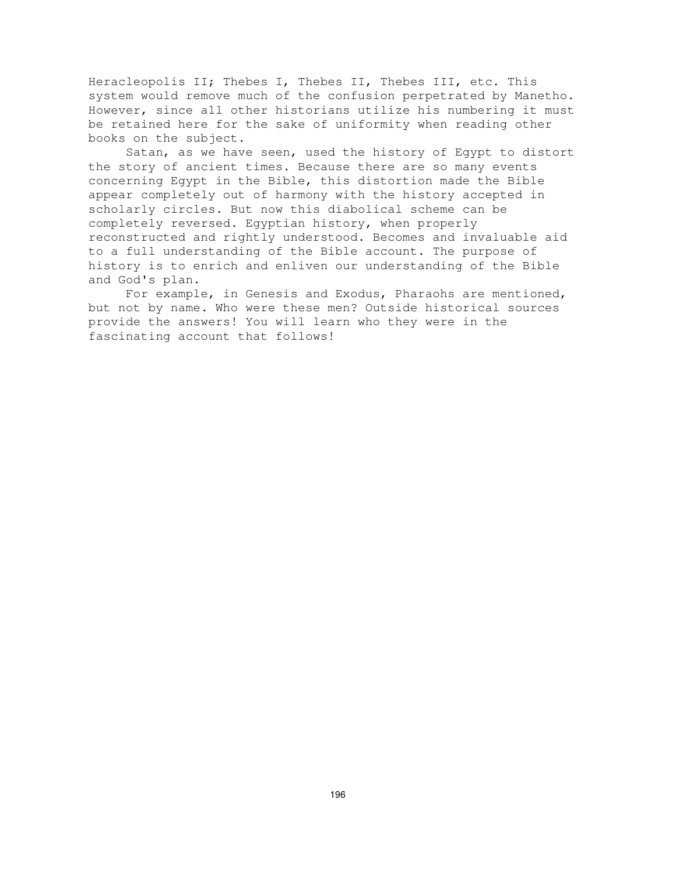Heracleopolis II; Thebes I, Thebes II, Thebes III, etc. This system would remove much of the confusion perpetrated by Manetho. However, since all other historians utilize his numbering it must be retained here for the sake of uniformity when reading other books on the subject.

Satan, as we have seen, used the history of Egypt to distort the story of ancient times. Because there are so many events concerning Egypt in the Bible, this distortion made the Bible appear completely out of harmony with the history accepted in scholarly circles. But now this diabolical scheme can be completely reversed. Egyptian history, when properly reconstructed and rightly understood. Becomes and invaluable aid to a full understanding of the Bible account. The purpose of history is to enrich and enliven our understanding of the Bible and God's plan.

For example, in Genesis and Exodus, Pharaohs are mentioned, but not by name. Who were these men? Outside historical sources provide the answers! You will learn who they were in the fascinating account that follows!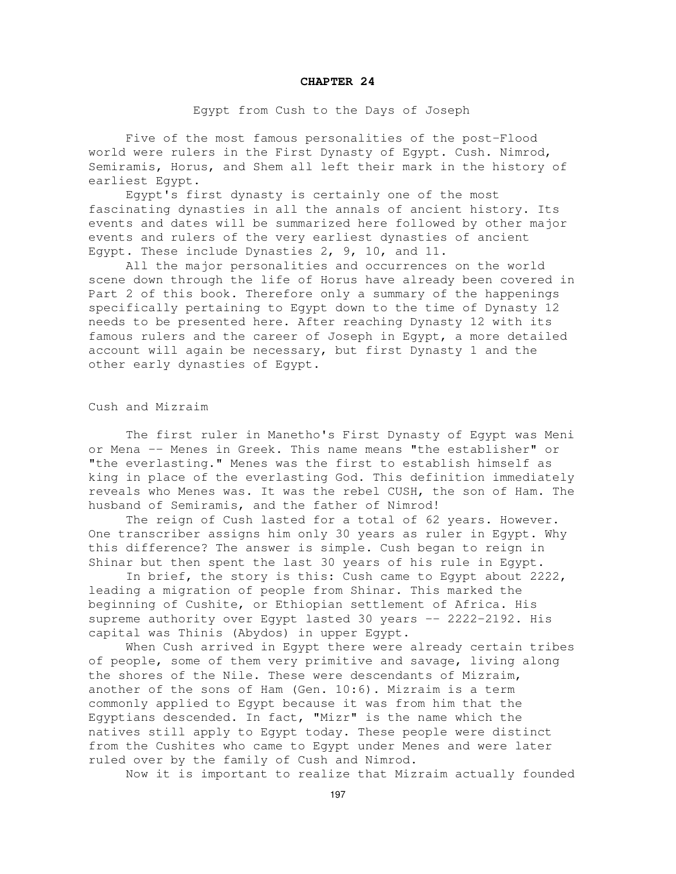#### **CHAPTER 24**

### Egypt from Cush to the Days of Joseph

Five of the most famous personalities of the post-Flood world were rulers in the First Dynasty of Egypt. Cush. Nimrod, Semiramis, Horus, and Shem all left their mark in the history of earliest Egypt.

Egypt's first dynasty is certainly one of the most fascinating dynasties in all the annals of ancient history. Its events and dates will be summarized here followed by other major events and rulers of the very earliest dynasties of ancient Egypt. These include Dynasties 2, 9, 10, and 11.

All the major personalities and occurrences on the world scene down through the life of Horus have already been covered in Part 2 of this book. Therefore only a summary of the happenings specifically pertaining to Egypt down to the time of Dynasty 12 needs to be presented here. After reaching Dynasty 12 with its famous rulers and the career of Joseph in Egypt, a more detailed account will again be necessary, but first Dynasty 1 and the other early dynasties of Egypt.

Cush and Mizraim

The first ruler in Manetho's First Dynasty of Egypt was Meni or Mena -- Menes in Greek. This name means "the establisher" or "the everlasting." Menes was the first to establish himself as king in place of the everlasting God. This definition immediately reveals who Menes was. It was the rebel CUSH, the son of Ham. The husband of Semiramis, and the father of Nimrod!

The reign of Cush lasted for a total of 62 years. However. One transcriber assigns him only 30 years as ruler in Egypt. Why this difference? The answer is simple. Cush began to reign in Shinar but then spent the last 30 years of his rule in Egypt.

In brief, the story is this: Cush came to Egypt about 2222, leading a migration of people from Shinar. This marked the beginning of Cushite, or Ethiopian settlement of Africa. His supreme authority over Egypt lasted 30 years -- 2222-2192. His capital was Thinis (Abydos) in upper Egypt.

When Cush arrived in Egypt there were already certain tribes of people, some of them very primitive and savage, living along the shores of the Nile. These were descendants of Mizraim, another of the sons of Ham (Gen. 10:6). Mizraim is a term commonly applied to Egypt because it was from him that the Egyptians descended. In fact, "Mizr" is the name which the natives still apply to Egypt today. These people were distinct from the Cushites who came to Egypt under Menes and were later ruled over by the family of Cush and Nimrod.

Now it is important to realize that Mizraim actually founded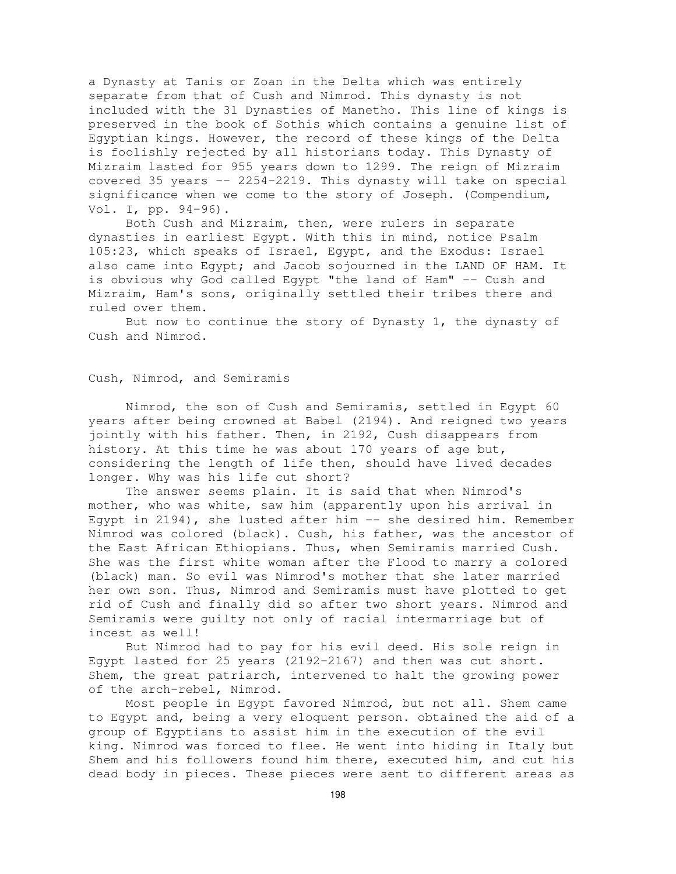a Dynasty at Tanis or Zoan in the Delta which was entirely separate from that of Cush and Nimrod. This dynasty is not included with the 31 Dynasties of Manetho. This line of kings is preserved in the book of Sothis which contains a genuine list of Egyptian kings. However, the record of these kings of the Delta is foolishly rejected by all historians today. This Dynasty of Mizraim lasted for 955 years down to 1299. The reign of Mizraim covered 35 years -- 2254-2219. This dynasty will take on special significance when we come to the story of Joseph. (Compendium, Vol. I, pp. 94-96).

Both Cush and Mizraim, then, were rulers in separate dynasties in earliest Egypt. With this in mind, notice Psalm 105:23, which speaks of Israel, Egypt, and the Exodus: Israel also came into Egypt; and Jacob sojourned in the LAND OF HAM. It is obvious why God called Egypt "the land of Ham" -- Cush and Mizraim, Ham's sons, originally settled their tribes there and ruled over them.

But now to continue the story of Dynasty 1, the dynasty of Cush and Nimrod.

### Cush, Nimrod, and Semiramis

Nimrod, the son of Cush and Semiramis, settled in Egypt 60 years after being crowned at Babel (2194). And reigned two years jointly with his father. Then, in 2192, Cush disappears from history. At this time he was about 170 years of age but, considering the length of life then, should have lived decades longer. Why was his life cut short?

The answer seems plain. It is said that when Nimrod's mother, who was white, saw him (apparently upon his arrival in Egypt in 2194), she lusted after him -- she desired him. Remember Nimrod was colored (black). Cush, his father, was the ancestor of the East African Ethiopians. Thus, when Semiramis married Cush. She was the first white woman after the Flood to marry a colored (black) man. So evil was Nimrod's mother that she later married her own son. Thus, Nimrod and Semiramis must have plotted to get rid of Cush and finally did so after two short years. Nimrod and Semiramis were guilty not only of racial intermarriage but of incest as well!

But Nimrod had to pay for his evil deed. His sole reign in Egypt lasted for 25 years (2192-2167) and then was cut short. Shem, the great patriarch, intervened to halt the growing power of the arch-rebel, Nimrod.

Most people in Egypt favored Nimrod, but not all. Shem came to Egypt and, being a very eloquent person. obtained the aid of a group of Egyptians to assist him in the execution of the evil king. Nimrod was forced to flee. He went into hiding in Italy but Shem and his followers found him there, executed him, and cut his dead body in pieces. These pieces were sent to different areas as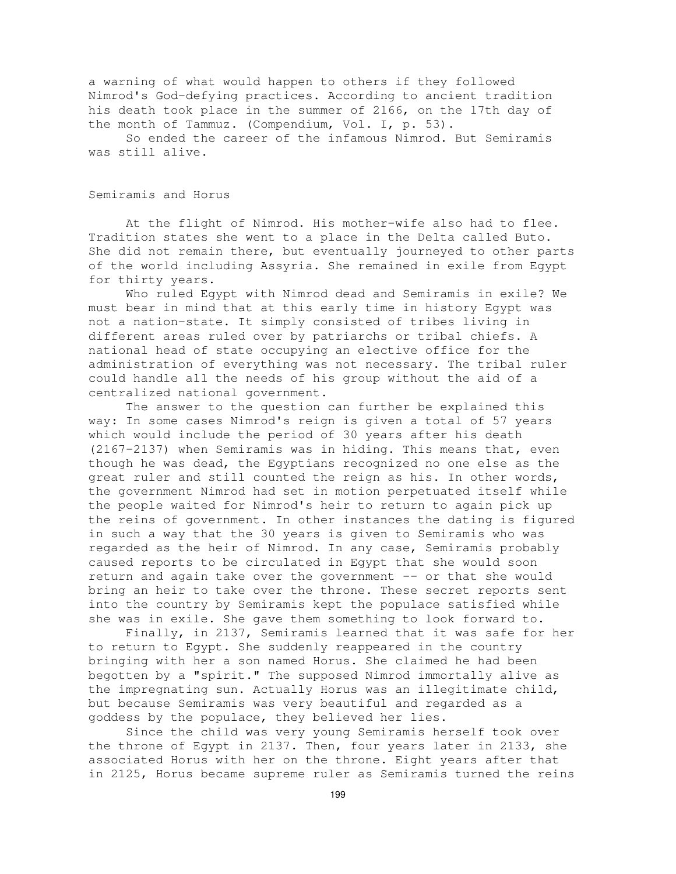a warning of what would happen to others if they followed Nimrod's God-defying practices. According to ancient tradition his death took place in the summer of 2166, on the 17th day of the month of Tammuz. (Compendium, Vol. I, p. 53).

So ended the career of the infamous Nimrod. But Semiramis was still alive.

## Semiramis and Horus

At the flight of Nimrod. His mother-wife also had to flee. Tradition states she went to a place in the Delta called Buto. She did not remain there, but eventually journeyed to other parts of the world including Assyria. She remained in exile from Egypt for thirty years.

Who ruled Egypt with Nimrod dead and Semiramis in exile? We must bear in mind that at this early time in history Egypt was not a nation-state. It simply consisted of tribes living in different areas ruled over by patriarchs or tribal chiefs. A national head of state occupying an elective office for the administration of everything was not necessary. The tribal ruler could handle all the needs of his group without the aid of a centralized national government.

The answer to the question can further be explained this way: In some cases Nimrod's reign is given a total of 57 years which would include the period of 30 years after his death (2167-2137) when Semiramis was in hiding. This means that, even though he was dead, the Egyptians recognized no one else as the great ruler and still counted the reign as his. In other words, the government Nimrod had set in motion perpetuated itself while the people waited for Nimrod's heir to return to again pick up the reins of government. In other instances the dating is figured in such a way that the 30 years is given to Semiramis who was regarded as the heir of Nimrod. In any case, Semiramis probably caused reports to be circulated in Egypt that she would soon return and again take over the government -- or that she would bring an heir to take over the throne. These secret reports sent into the country by Semiramis kept the populace satisfied while she was in exile. She gave them something to look forward to.

Finally, in 2137, Semiramis learned that it was safe for her to return to Egypt. She suddenly reappeared in the country bringing with her a son named Horus. She claimed he had been begotten by a "spirit." The supposed Nimrod immortally alive as the impregnating sun. Actually Horus was an illegitimate child, but because Semiramis was very beautiful and regarded as a goddess by the populace, they believed her lies.

Since the child was very young Semiramis herself took over the throne of Egypt in 2137. Then, four years later in 2133, she associated Horus with her on the throne. Eight years after that in 2125, Horus became supreme ruler as Semiramis turned the reins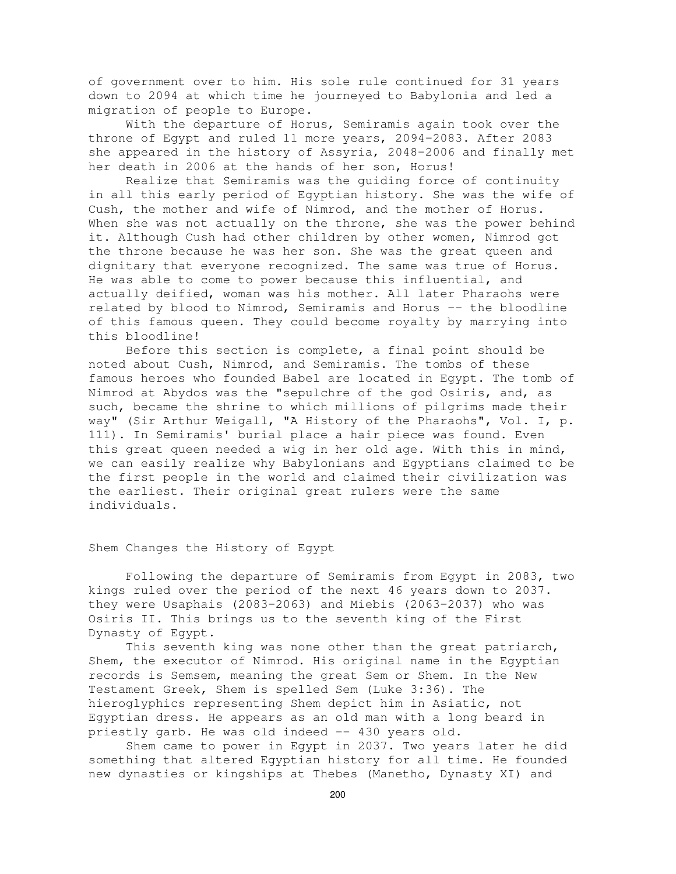of government over to him. His sole rule continued for 31 years down to 2094 at which time he journeyed to Babylonia and led a migration of people to Europe.

With the departure of Horus, Semiramis again took over the throne of Egypt and ruled 11 more years, 2094-2083. After 2083 she appeared in the history of Assyria, 2048-2006 and finally met her death in 2006 at the hands of her son, Horus!

Realize that Semiramis was the guiding force of continuity in all this early period of Egyptian history. She was the wife of Cush, the mother and wife of Nimrod, and the mother of Horus. When she was not actually on the throne, she was the power behind it. Although Cush had other children by other women, Nimrod got the throne because he was her son. She was the great queen and dignitary that everyone recognized. The same was true of Horus. He was able to come to power because this influential, and actually deified, woman was his mother. All later Pharaohs were related by blood to Nimrod, Semiramis and Horus -- the bloodline of this famous queen. They could become royalty by marrying into this bloodline!

Before this section is complete, a final point should be noted about Cush, Nimrod, and Semiramis. The tombs of these famous heroes who founded Babel are located in Egypt. The tomb of Nimrod at Abydos was the "sepulchre of the god Osiris, and, as such, became the shrine to which millions of pilgrims made their way" (Sir Arthur Weigall, "A History of the Pharaohs", Vol. I, p. 111). In Semiramis' burial place a hair piece was found. Even this great queen needed a wig in her old age. With this in mind, we can easily realize why Babylonians and Egyptians claimed to be the first people in the world and claimed their civilization was the earliest. Their original great rulers were the same individuals.

Shem Changes the History of Egypt

Following the departure of Semiramis from Egypt in 2083, two kings ruled over the period of the next 46 years down to 2037. they were Usaphais (2083-2063) and Miebis (2063-2037) who was Osiris II. This brings us to the seventh king of the First Dynasty of Egypt.

This seventh king was none other than the great patriarch, Shem, the executor of Nimrod. His original name in the Egyptian records is Semsem, meaning the great Sem or Shem. In the New Testament Greek, Shem is spelled Sem (Luke 3:36). The hieroglyphics representing Shem depict him in Asiatic, not Egyptian dress. He appears as an old man with a long beard in priestly garb. He was old indeed -- 430 years old.

Shem came to power in Egypt in 2037. Two years later he did something that altered Egyptian history for all time. He founded new dynasties or kingships at Thebes (Manetho, Dynasty XI) and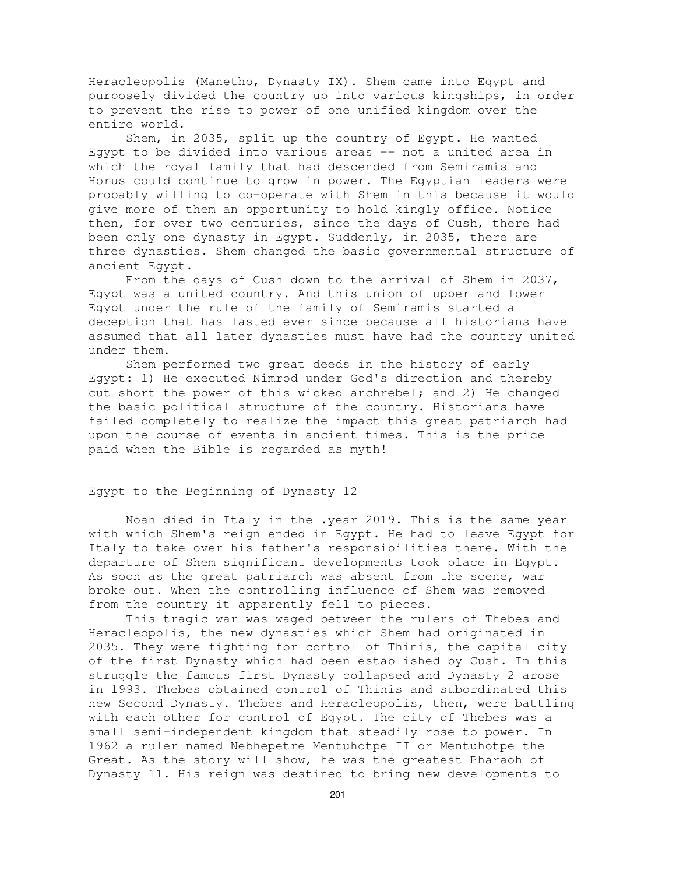Heracleopolis (Manetho, Dynasty IX). Shem came into Egypt and purposely divided the country up into various kingships, in order to prevent the rise to power of one unified kingdom over the entire world.

Shem, in 2035, split up the country of Egypt. He wanted Egypt to be divided into various areas  $-$  not a united area in which the royal family that had descended from Semiramis and Horus could continue to grow in power. The Egyptian leaders were probably willing to co-operate with Shem in this because it would give more of them an opportunity to hold kingly office. Notice then, for over two centuries, since the days of Cush, there had been only one dynasty in Egypt. Suddenly, in 2035, there are three dynasties. Shem changed the basic governmental structure of ancient Egypt.

From the days of Cush down to the arrival of Shem in 2037, Egypt was a united country. And this union of upper and lower Egypt under the rule of the family of Semiramis started a deception that has lasted ever since because all historians have assumed that all later dynasties must have had the country united under them.

Shem performed two great deeds in the history of early Egypt: 1) He executed Nimrod under God's direction and thereby cut short the power of this wicked archrebel; and 2) He changed the basic political structure of the country. Historians have failed completely to realize the impact this great patriarch had upon the course of events in ancient times. This is the price paid when the Bible is regarded as myth!

# Egypt to the Beginning of Dynasty 12

Noah died in Italy in the .year 2019. This is the same year with which Shem's reign ended in Egypt. He had to leave Egypt for Italy to take over his father's responsibilities there. With the departure of Shem significant developments took place in Egypt. As soon as the great patriarch was absent from the scene, war broke out. When the controlling influence of Shem was removed from the country it apparently fell to pieces.

This tragic war was waged between the rulers of Thebes and Heracleopolis, the new dynasties which Shem had originated in 2035. They were fighting for control of Thinis, the capital city of the first Dynasty which had been established by Cush. In this struggle the famous first Dynasty collapsed and Dynasty 2 arose in 1993. Thebes obtained control of Thinis and subordinated this new Second Dynasty. Thebes and Heracleopolis, then, were battling with each other for control of Egypt. The city of Thebes was a small semi-independent kingdom that steadily rose to power. In 1962 a ruler named Nebhepetre Mentuhotpe II or Mentuhotpe the Great. As the story will show, he was the greatest Pharaoh of Dynasty 11. His reign was destined to bring new developments to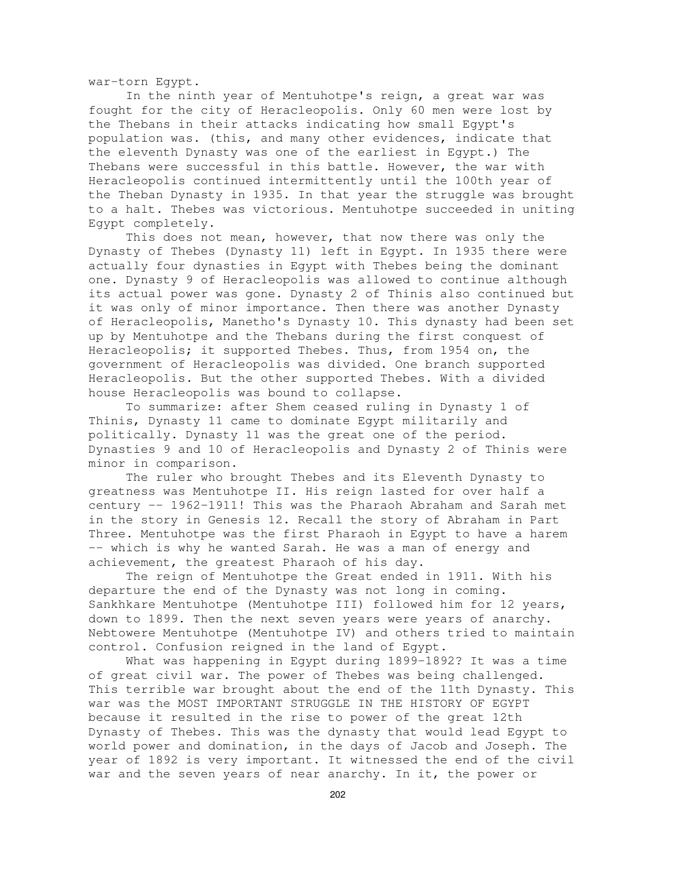war-torn Egypt.

In the ninth year of Mentuhotpe's reign, a great war was fought for the city of Heracleopolis. Only 60 men were lost by the Thebans in their attacks indicating how small Egypt's population was. (this, and many other evidences, indicate that the eleventh Dynasty was one of the earliest in Egypt.) The Thebans were successful in this battle. However, the war with Heracleopolis continued intermittently until the 100th year of the Theban Dynasty in 1935. In that year the struggle was brought to a halt. Thebes was victorious. Mentuhotpe succeeded in uniting Egypt completely.

This does not mean, however, that now there was only the Dynasty of Thebes (Dynasty 11) left in Egypt. In 1935 there were actually four dynasties in Egypt with Thebes being the dominant one. Dynasty 9 of Heracleopolis was allowed to continue although its actual power was gone. Dynasty 2 of Thinis also continued but it was only of minor importance. Then there was another Dynasty of Heracleopolis, Manetho's Dynasty 10. This dynasty had been set up by Mentuhotpe and the Thebans during the first conquest of Heracleopolis; it supported Thebes. Thus, from 1954 on, the government of Heracleopolis was divided. One branch supported Heracleopolis. But the other supported Thebes. With a divided house Heracleopolis was bound to collapse.

To summarize: after Shem ceased ruling in Dynasty 1 of Thinis, Dynasty 11 came to dominate Egypt militarily and politically. Dynasty 11 was the great one of the period. Dynasties 9 and 10 of Heracleopolis and Dynasty 2 of Thinis were minor in comparison.

The ruler who brought Thebes and its Eleventh Dynasty to greatness was Mentuhotpe II. His reign lasted for over half a century -- 1962-1911! This was the Pharaoh Abraham and Sarah met in the story in Genesis 12. Recall the story of Abraham in Part Three. Mentuhotpe was the first Pharaoh in Egypt to have a harem -- which is why he wanted Sarah. He was a man of energy and achievement, the greatest Pharaoh of his day.

The reign of Mentuhotpe the Great ended in 1911. With his departure the end of the Dynasty was not long in coming. Sankhkare Mentuhotpe (Mentuhotpe III) followed him for 12 years, down to 1899. Then the next seven years were years of anarchy. Nebtowere Mentuhotpe (Mentuhotpe IV) and others tried to maintain control. Confusion reigned in the land of Egypt.

What was happening in Egypt during 1899-1892? It was a time of great civil war. The power of Thebes was being challenged. This terrible war brought about the end of the 11th Dynasty. This war was the MOST IMPORTANT STRUGGLE IN THE HISTORY OF EGYPT because it resulted in the rise to power of the great 12th Dynasty of Thebes. This was the dynasty that would lead Egypt to world power and domination, in the days of Jacob and Joseph. The year of 1892 is very important. It witnessed the end of the civil war and the seven years of near anarchy. In it, the power or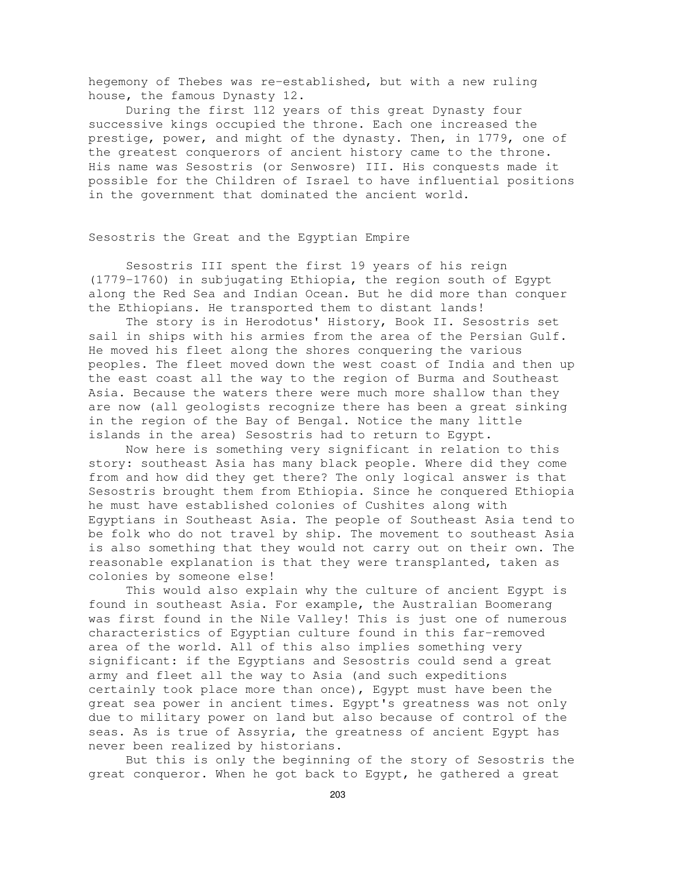hegemony of Thebes was re-established, but with a new ruling house, the famous Dynasty 12.

During the first 112 years of this great Dynasty four successive kings occupied the throne. Each one increased the prestige, power, and might of the dynasty. Then, in 1779, one of the greatest conquerors of ancient history came to the throne. His name was Sesostris (or Senwosre) III. His conquests made it possible for the Children of Israel to have influential positions in the government that dominated the ancient world.

## Sesostris the Great and the Egyptian Empire

Sesostris III spent the first 19 years of his reign (1779-1760) in subjugating Ethiopia, the region south of Egypt along the Red Sea and Indian Ocean. But he did more than conquer the Ethiopians. He transported them to distant lands!

The story is in Herodotus' History, Book II. Sesostris set sail in ships with his armies from the area of the Persian Gulf. He moved his fleet along the shores conquering the various peoples. The fleet moved down the west coast of India and then up the east coast all the way to the region of Burma and Southeast Asia. Because the waters there were much more shallow than they are now (all geologists recognize there has been a great sinking in the region of the Bay of Bengal. Notice the many little islands in the area) Sesostris had to return to Egypt.

Now here is something very significant in relation to this story: southeast Asia has many black people. Where did they come from and how did they get there? The only logical answer is that Sesostris brought them from Ethiopia. Since he conquered Ethiopia he must have established colonies of Cushites along with Egyptians in Southeast Asia. The people of Southeast Asia tend to be folk who do not travel by ship. The movement to southeast Asia is also something that they would not carry out on their own. The reasonable explanation is that they were transplanted, taken as colonies by someone else!

This would also explain why the culture of ancient Egypt is found in southeast Asia. For example, the Australian Boomerang was first found in the Nile Valley! This is just one of numerous characteristics of Egyptian culture found in this far-removed area of the world. All of this also implies something very significant: if the Egyptians and Sesostris could send a great army and fleet all the way to Asia (and such expeditions certainly took place more than once), Egypt must have been the great sea power in ancient times. Egypt's greatness was not only due to military power on land but also because of control of the seas. As is true of Assyria, the greatness of ancient Egypt has never been realized by historians.

But this is only the beginning of the story of Sesostris the great conqueror. When he got back to Egypt, he gathered a great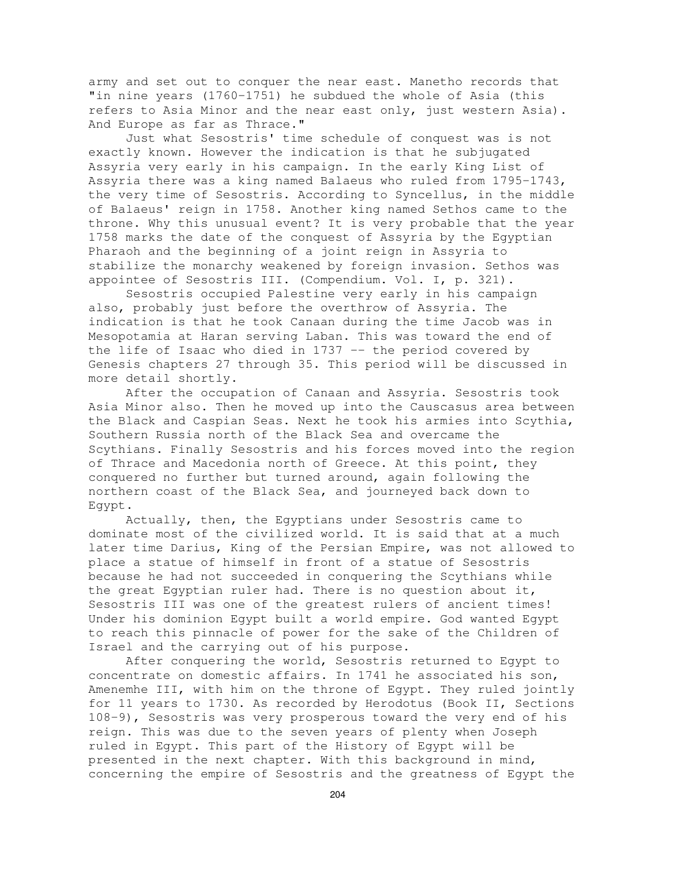army and set out to conquer the near east. Manetho records that "in nine years (1760-1751) he subdued the whole of Asia (this refers to Asia Minor and the near east only, just western Asia). And Europe as far as Thrace."

Just what Sesostris' time schedule of conquest was is not exactly known. However the indication is that he subjugated Assyria very early in his campaign. In the early King List of Assyria there was a king named Balaeus who ruled from 1795-1743, the very time of Sesostris. According to Syncellus, in the middle of Balaeus' reign in 1758. Another king named Sethos came to the throne. Why this unusual event? It is very probable that the year 1758 marks the date of the conquest of Assyria by the Egyptian Pharaoh and the beginning of a joint reign in Assyria to stabilize the monarchy weakened by foreign invasion. Sethos was appointee of Sesostris III. (Compendium. Vol. I, p. 321).

Sesostris occupied Palestine very early in his campaign also, probably just before the overthrow of Assyria. The indication is that he took Canaan during the time Jacob was in Mesopotamia at Haran serving Laban. This was toward the end of the life of Isaac who died in 1737 -- the period covered by Genesis chapters 27 through 35. This period will be discussed in more detail shortly.

After the occupation of Canaan and Assyria. Sesostris took Asia Minor also. Then he moved up into the Causcasus area between the Black and Caspian Seas. Next he took his armies into Scythia, Southern Russia north of the Black Sea and overcame the Scythians. Finally Sesostris and his forces moved into the region of Thrace and Macedonia north of Greece. At this point, they conquered no further but turned around, again following the northern coast of the Black Sea, and journeyed back down to Egypt.

Actually, then, the Egyptians under Sesostris came to dominate most of the civilized world. It is said that at a much later time Darius, King of the Persian Empire, was not allowed to place a statue of himself in front of a statue of Sesostris because he had not succeeded in conquering the Scythians while the great Egyptian ruler had. There is no question about it, Sesostris III was one of the greatest rulers of ancient times! Under his dominion Egypt built a world empire. God wanted Egypt to reach this pinnacle of power for the sake of the Children of Israel and the carrying out of his purpose.

After conquering the world, Sesostris returned to Egypt to concentrate on domestic affairs. In 1741 he associated his son, Amenemhe III, with him on the throne of Egypt. They ruled jointly for 11 years to 1730. As recorded by Herodotus (Book II, Sections 108-9), Sesostris was very prosperous toward the very end of his reign. This was due to the seven years of plenty when Joseph ruled in Egypt. This part of the History of Egypt will be presented in the next chapter. With this background in mind, concerning the empire of Sesostris and the greatness of Egypt the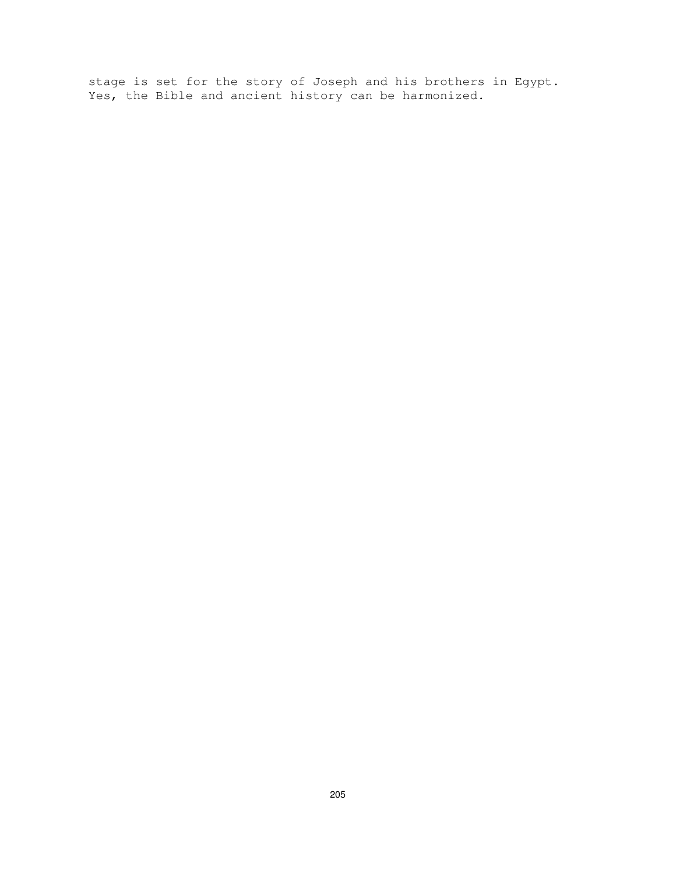stage is set for the story of Joseph and his brothers in Egypt. Yes, the Bible and ancient history can be harmonized.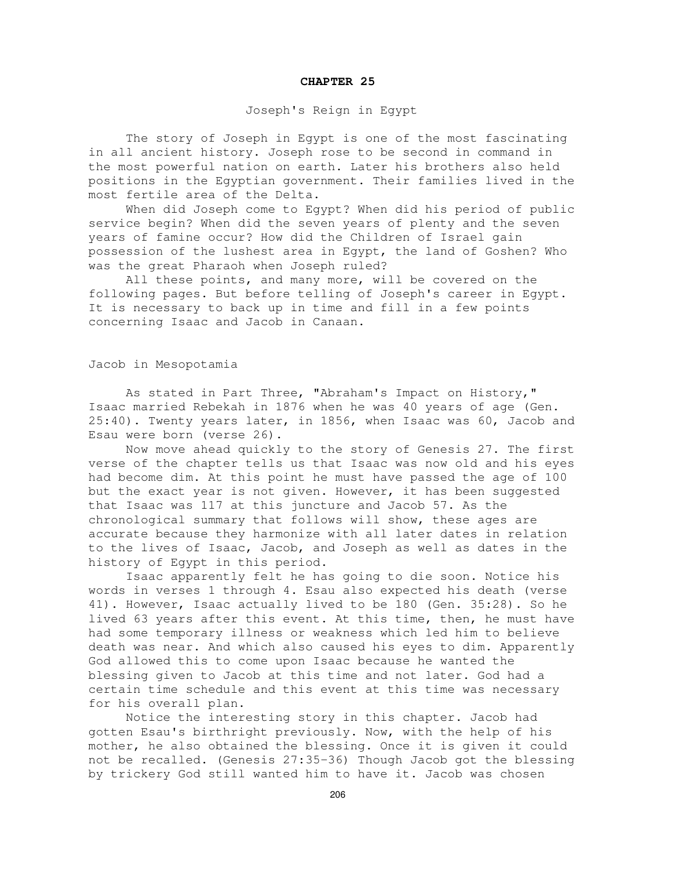#### **CHAPTER 25**

## Joseph's Reign in Egypt

The story of Joseph in Egypt is one of the most fascinating in all ancient history. Joseph rose to be second in command in the most powerful nation on earth. Later his brothers also held positions in the Egyptian government. Their families lived in the most fertile area of the Delta.

When did Joseph come to Egypt? When did his period of public service begin? When did the seven years of plenty and the seven years of famine occur? How did the Children of Israel gain possession of the lushest area in Egypt, the land of Goshen? Who was the great Pharaoh when Joseph ruled?

All these points, and many more, will be covered on the following pages. But before telling of Joseph's career in Egypt. It is necessary to back up in time and fill in a few points concerning Isaac and Jacob in Canaan.

## Jacob in Mesopotamia

As stated in Part Three, "Abraham's Impact on History," Isaac married Rebekah in 1876 when he was 40 years of age (Gen. 25:40). Twenty years later, in 1856, when Isaac was 60, Jacob and Esau were born (verse 26).

Now move ahead quickly to the story of Genesis 27. The first verse of the chapter tells us that Isaac was now old and his eyes had become dim. At this point he must have passed the age of 100 but the exact year is not given. However, it has been suggested that Isaac was 117 at this juncture and Jacob 57. As the chronological summary that follows will show, these ages are accurate because they harmonize with all later dates in relation to the lives of Isaac, Jacob, and Joseph as well as dates in the history of Egypt in this period.

Isaac apparently felt he has going to die soon. Notice his words in verses 1 through 4. Esau also expected his death (verse 41). However, Isaac actually lived to be 180 (Gen. 35:28). So he lived 63 years after this event. At this time, then, he must have had some temporary illness or weakness which led him to believe death was near. And which also caused his eyes to dim. Apparently God allowed this to come upon Isaac because he wanted the blessing given to Jacob at this time and not later. God had a certain time schedule and this event at this time was necessary for his overall plan.

Notice the interesting story in this chapter. Jacob had gotten Esau's birthright previously. Now, with the help of his mother, he also obtained the blessing. Once it is given it could not be recalled. (Genesis 27:35-36) Though Jacob got the blessing by trickery God still wanted him to have it. Jacob was chosen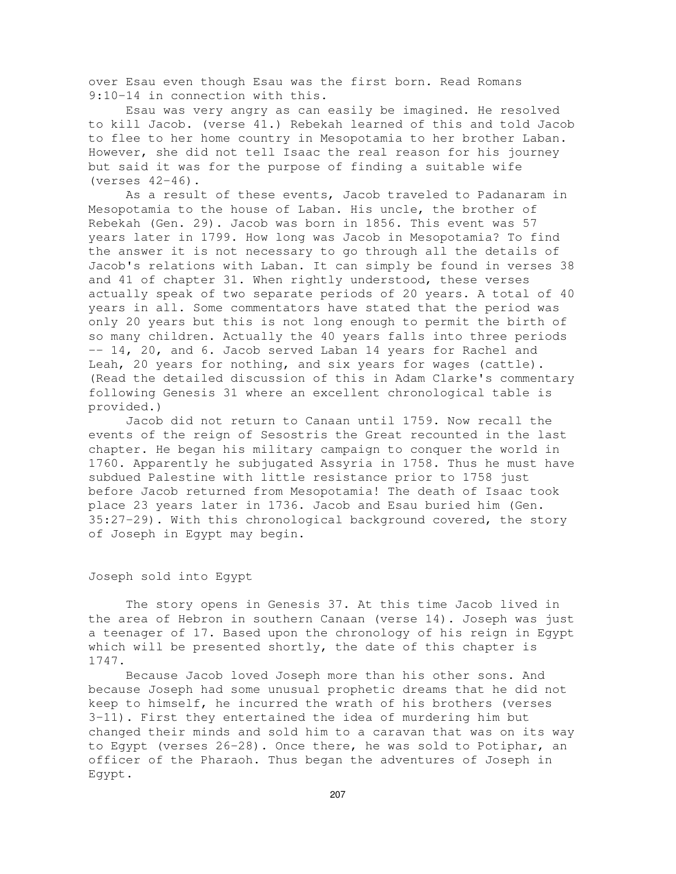over Esau even though Esau was the first born. Read Romans 9:10-14 in connection with this.

Esau was very angry as can easily be imagined. He resolved to kill Jacob. (verse 41.) Rebekah learned of this and told Jacob to flee to her home country in Mesopotamia to her brother Laban. However, she did not tell Isaac the real reason for his journey but said it was for the purpose of finding a suitable wife (verses 42-46).

As a result of these events, Jacob traveled to Padanaram in Mesopotamia to the house of Laban. His uncle, the brother of Rebekah (Gen. 29). Jacob was born in 1856. This event was 57 years later in 1799. How long was Jacob in Mesopotamia? To find the answer it is not necessary to go through all the details of Jacob's relations with Laban. It can simply be found in verses 38 and 41 of chapter 31. When rightly understood, these verses actually speak of two separate periods of 20 years. A total of 40 years in all. Some commentators have stated that the period was only 20 years but this is not long enough to permit the birth of so many children. Actually the 40 years falls into three periods -- 14, 20, and 6. Jacob served Laban 14 years for Rachel and Leah, 20 years for nothing, and six years for wages (cattle). (Read the detailed discussion of this in Adam Clarke's commentary following Genesis 31 where an excellent chronological table is provided.)

Jacob did not return to Canaan until 1759. Now recall the events of the reign of Sesostris the Great recounted in the last chapter. He began his military campaign to conquer the world in 1760. Apparently he subjugated Assyria in 1758. Thus he must have subdued Palestine with little resistance prior to 1758 just before Jacob returned from Mesopotamia! The death of Isaac took place 23 years later in 1736. Jacob and Esau buried him (Gen. 35:27-29). With this chronological background covered, the story of Joseph in Egypt may begin.

# Joseph sold into Egypt

The story opens in Genesis 37. At this time Jacob lived in the area of Hebron in southern Canaan (verse 14). Joseph was just a teenager of 17. Based upon the chronology of his reign in Egypt which will be presented shortly, the date of this chapter is 1747.

Because Jacob loved Joseph more than his other sons. And because Joseph had some unusual prophetic dreams that he did not keep to himself, he incurred the wrath of his brothers (verses 3-11). First they entertained the idea of murdering him but changed their minds and sold him to a caravan that was on its way to Egypt (verses 26-28). Once there, he was sold to Potiphar, an officer of the Pharaoh. Thus began the adventures of Joseph in Egypt.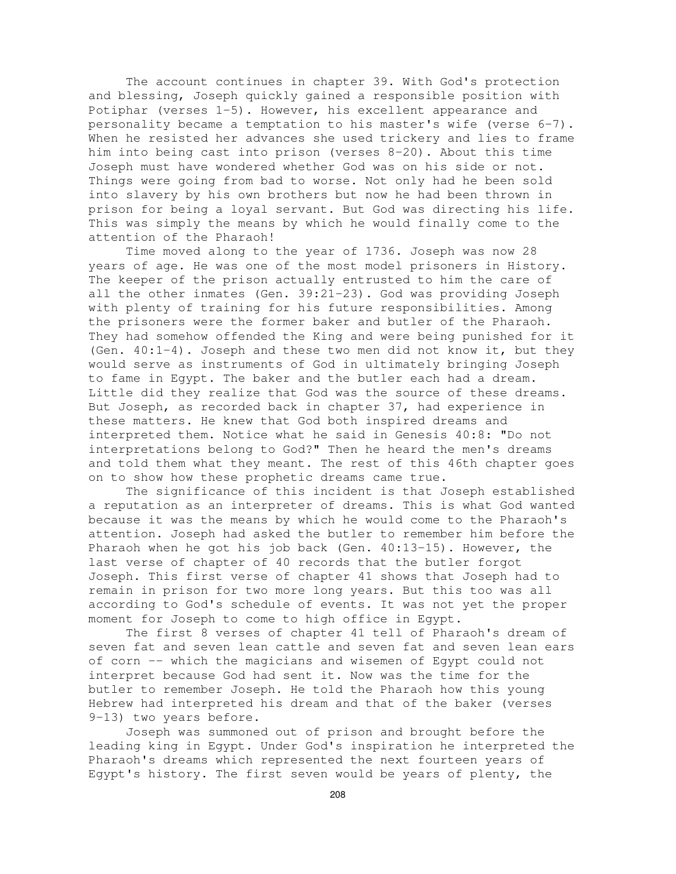The account continues in chapter 39. With God's protection and blessing, Joseph quickly gained a responsible position with Potiphar (verses 1-5). However, his excellent appearance and personality became a temptation to his master's wife (verse 6-7). When he resisted her advances she used trickery and lies to frame him into being cast into prison (verses 8-20). About this time Joseph must have wondered whether God was on his side or not. Things were going from bad to worse. Not only had he been sold into slavery by his own brothers but now he had been thrown in prison for being a loyal servant. But God was directing his life. This was simply the means by which he would finally come to the attention of the Pharaoh!

Time moved along to the year of 1736. Joseph was now 28 years of age. He was one of the most model prisoners in History. The keeper of the prison actually entrusted to him the care of all the other inmates (Gen. 39:21-23). God was providing Joseph with plenty of training for his future responsibilities. Among the prisoners were the former baker and butler of the Pharaoh. They had somehow offended the King and were being punished for it (Gen. 40:1-4). Joseph and these two men did not know it, but they would serve as instruments of God in ultimately bringing Joseph to fame in Egypt. The baker and the butler each had a dream. Little did they realize that God was the source of these dreams. But Joseph, as recorded back in chapter 37, had experience in these matters. He knew that God both inspired dreams and interpreted them. Notice what he said in Genesis 40:8: "Do not interpretations belong to God?" Then he heard the men's dreams and told them what they meant. The rest of this 46th chapter goes on to show how these prophetic dreams came true.

The significance of this incident is that Joseph established a reputation as an interpreter of dreams. This is what God wanted because it was the means by which he would come to the Pharaoh's attention. Joseph had asked the butler to remember him before the Pharaoh when he got his job back (Gen. 40:13-15). However, the last verse of chapter of 40 records that the butler forgot Joseph. This first verse of chapter 41 shows that Joseph had to remain in prison for two more long years. But this too was all according to God's schedule of events. It was not yet the proper moment for Joseph to come to high office in Egypt.

The first 8 verses of chapter 41 tell of Pharaoh's dream of seven fat and seven lean cattle and seven fat and seven lean ears of corn -- which the magicians and wisemen of Egypt could not interpret because God had sent it. Now was the time for the butler to remember Joseph. He told the Pharaoh how this young Hebrew had interpreted his dream and that of the baker (verses 9-13) two years before.

Joseph was summoned out of prison and brought before the leading king in Egypt. Under God's inspiration he interpreted the Pharaoh's dreams which represented the next fourteen years of Egypt's history. The first seven would be years of plenty, the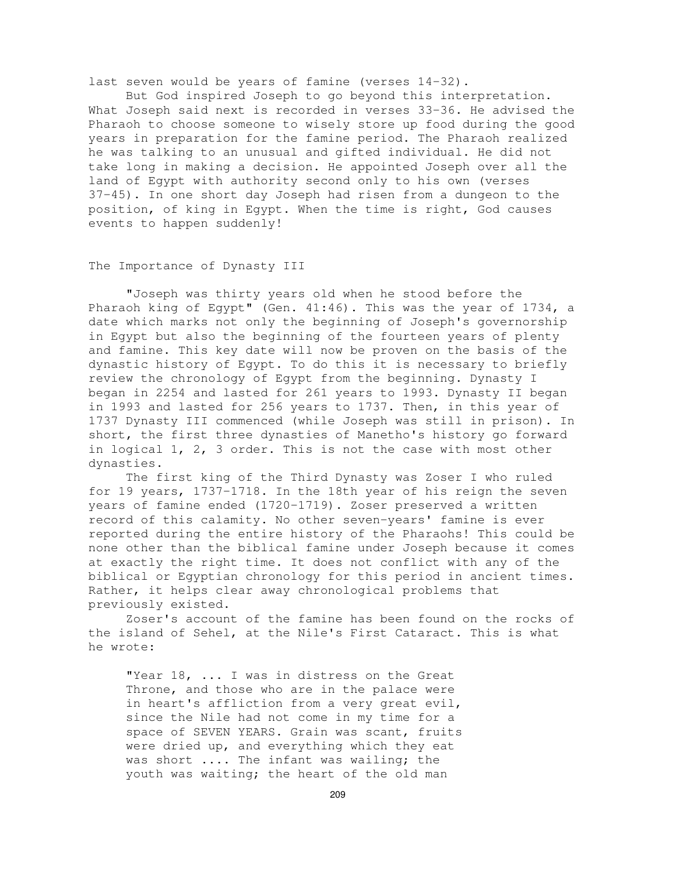last seven would be years of famine (verses 14-32).

But God inspired Joseph to go beyond this interpretation. What Joseph said next is recorded in verses 33-36. He advised the Pharaoh to choose someone to wisely store up food during the good years in preparation for the famine period. The Pharaoh realized he was talking to an unusual and gifted individual. He did not take long in making a decision. He appointed Joseph over all the land of Egypt with authority second only to his own (verses 37-45). In one short day Joseph had risen from a dungeon to the position, of king in Egypt. When the time is right, God causes events to happen suddenly!

### The Importance of Dynasty III

"Joseph was thirty years old when he stood before the Pharaoh king of Egypt" (Gen. 41:46). This was the year of 1734, a date which marks not only the beginning of Joseph's governorship in Egypt but also the beginning of the fourteen years of plenty and famine. This key date will now be proven on the basis of the dynastic history of Egypt. To do this it is necessary to briefly review the chronology of Egypt from the beginning. Dynasty I began in 2254 and lasted for 261 years to 1993. Dynasty II began in 1993 and lasted for 256 years to 1737. Then, in this year of 1737 Dynasty III commenced (while Joseph was still in prison). In short, the first three dynasties of Manetho's history go forward in logical 1, 2, 3 order. This is not the case with most other dynasties.

The first king of the Third Dynasty was Zoser I who ruled for 19 years, 1737-1718. In the 18th year of his reign the seven years of famine ended (1720-1719). Zoser preserved a written record of this calamity. No other seven-years' famine is ever reported during the entire history of the Pharaohs! This could be none other than the biblical famine under Joseph because it comes at exactly the right time. It does not conflict with any of the biblical or Egyptian chronology for this period in ancient times. Rather, it helps clear away chronological problems that previously existed.

Zoser's account of the famine has been found on the rocks of the island of Sehel, at the Nile's First Cataract. This is what he wrote:

"Year 18, ... I was in distress on the Great Throne, and those who are in the palace were in heart's affliction from a very great evil, since the Nile had not come in my time for a space of SEVEN YEARS. Grain was scant, fruits were dried up, and everything which they eat was short .... The infant was wailing; the youth was waiting; the heart of the old man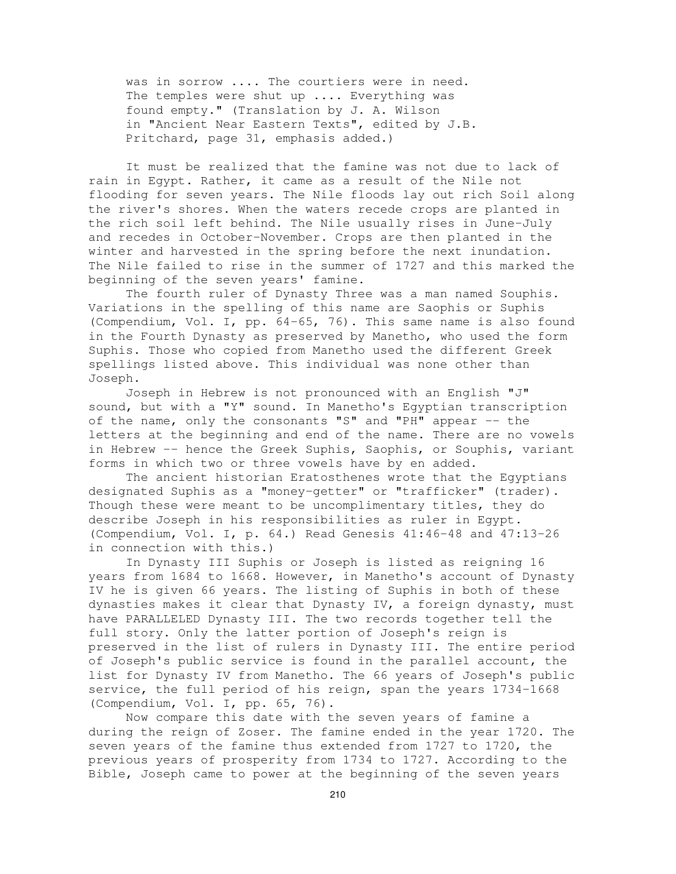was in sorrow .... The courtiers were in need. The temples were shut up .... Everything was found empty." (Translation by J. A. Wilson in "Ancient Near Eastern Texts", edited by J.B. Pritchard, page 31, emphasis added.)

It must be realized that the famine was not due to lack of rain in Egypt. Rather, it came as a result of the Nile not flooding for seven years. The Nile floods lay out rich Soil along the river's shores. When the waters recede crops are planted in the rich soil left behind. The Nile usually rises in June-July and recedes in October-November. Crops are then planted in the winter and harvested in the spring before the next inundation. The Nile failed to rise in the summer of 1727 and this marked the beginning of the seven years' famine.

The fourth ruler of Dynasty Three was a man named Souphis. Variations in the spelling of this name are Saophis or Suphis (Compendium, Vol. I, pp. 64-65, 76). This same name is also found in the Fourth Dynasty as preserved by Manetho, who used the form Suphis. Those who copied from Manetho used the different Greek spellings listed above. This individual was none other than Joseph.

Joseph in Hebrew is not pronounced with an English "J" sound, but with a "Y" sound. In Manetho's Egyptian transcription of the name, only the consonants "S" and "PH" appear  $-$  the letters at the beginning and end of the name. There are no vowels in Hebrew -- hence the Greek Suphis, Saophis, or Souphis, variant forms in which two or three vowels have by en added.

The ancient historian Eratosthenes wrote that the Egyptians designated Suphis as a "money-getter" or "trafficker" (trader). Though these were meant to be uncomplimentary titles, they do describe Joseph in his responsibilities as ruler in Egypt. (Compendium, Vol. I, p. 64.) Read Genesis 41:46-48 and 47:13-26 in connection with this.)

In Dynasty III Suphis or Joseph is listed as reigning 16 years from 1684 to 1668. However, in Manetho's account of Dynasty IV he is given 66 years. The listing of Suphis in both of these dynasties makes it clear that Dynasty IV, a foreign dynasty, must have PARALLELED Dynasty III. The two records together tell the full story. Only the latter portion of Joseph's reign is preserved in the list of rulers in Dynasty III. The entire period of Joseph's public service is found in the parallel account, the list for Dynasty IV from Manetho. The 66 years of Joseph's public service, the full period of his reign, span the years 1734-1668 (Compendium, Vol. I, pp. 65, 76).

Now compare this date with the seven years of famine a during the reign of Zoser. The famine ended in the year 1720. The seven years of the famine thus extended from 1727 to 1720, the previous years of prosperity from 1734 to 1727. According to the Bible, Joseph came to power at the beginning of the seven years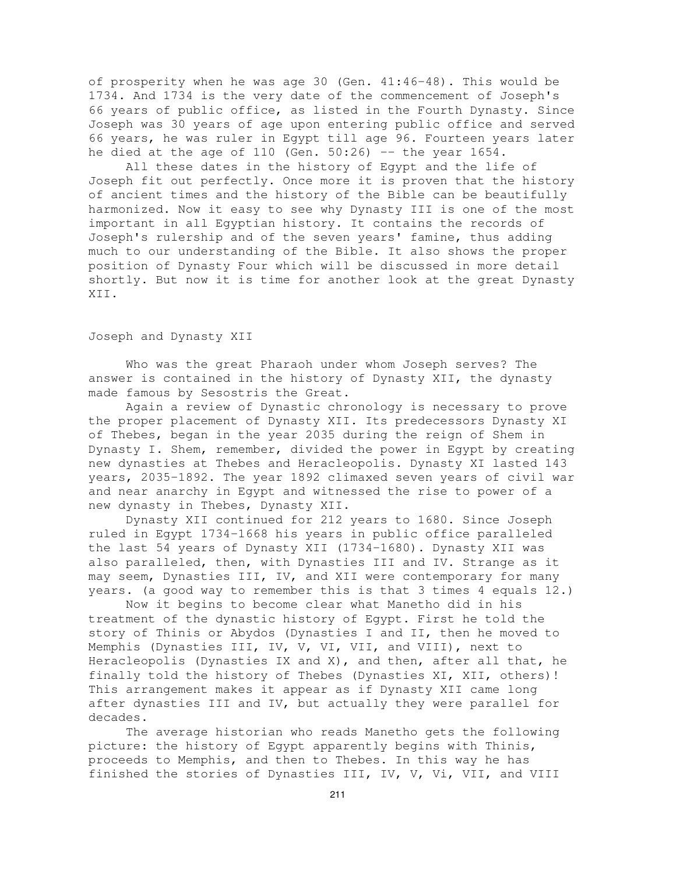of prosperity when he was age 30 (Gen. 41:46-48). This would be 1734. And 1734 is the very date of the commencement of Joseph's 66 years of public office, as listed in the Fourth Dynasty. Since Joseph was 30 years of age upon entering public office and served 66 years, he was ruler in Egypt till age 96. Fourteen years later he died at the age of  $110$  (Gen. 50:26) -- the year  $1654$ .

All these dates in the history of Egypt and the life of Joseph fit out perfectly. Once more it is proven that the history of ancient times and the history of the Bible can be beautifully harmonized. Now it easy to see why Dynasty III is one of the most important in all Egyptian history. It contains the records of Joseph's rulership and of the seven years' famine, thus adding much to our understanding of the Bible. It also shows the proper position of Dynasty Four which will be discussed in more detail shortly. But now it is time for another look at the great Dynasty XII.

# Joseph and Dynasty XII

Who was the great Pharaoh under whom Joseph serves? The answer is contained in the history of Dynasty XII, the dynasty made famous by Sesostris the Great.

Again a review of Dynastic chronology is necessary to prove the proper placement of Dynasty XII. Its predecessors Dynasty XI of Thebes, began in the year 2035 during the reign of Shem in Dynasty I. Shem, remember, divided the power in Egypt by creating new dynasties at Thebes and Heracleopolis. Dynasty XI lasted 143 years, 2035-1892. The year 1892 climaxed seven years of civil war and near anarchy in Egypt and witnessed the rise to power of a new dynasty in Thebes, Dynasty XII.

Dynasty XII continued for 212 years to 1680. Since Joseph ruled in Egypt 1734-1668 his years in public office paralleled the last 54 years of Dynasty XII (1734-1680). Dynasty XII was also paralleled, then, with Dynasties III and IV. Strange as it may seem, Dynasties III, IV, and XII were contemporary for many years. (a good way to remember this is that 3 times 4 equals 12.)

Now it begins to become clear what Manetho did in his treatment of the dynastic history of Egypt. First he told the story of Thinis or Abydos (Dynasties I and II, then he moved to Memphis (Dynasties III, IV, V, VI, VII, and VIII), next to Heracleopolis (Dynasties IX and X), and then, after all that, he finally told the history of Thebes (Dynasties XI, XII, others)! This arrangement makes it appear as if Dynasty XII came long after dynasties III and IV, but actually they were parallel for decades.

The average historian who reads Manetho gets the following picture: the history of Egypt apparently begins with Thinis, proceeds to Memphis, and then to Thebes. In this way he has finished the stories of Dynasties III, IV, V, Vi, VII, and VIII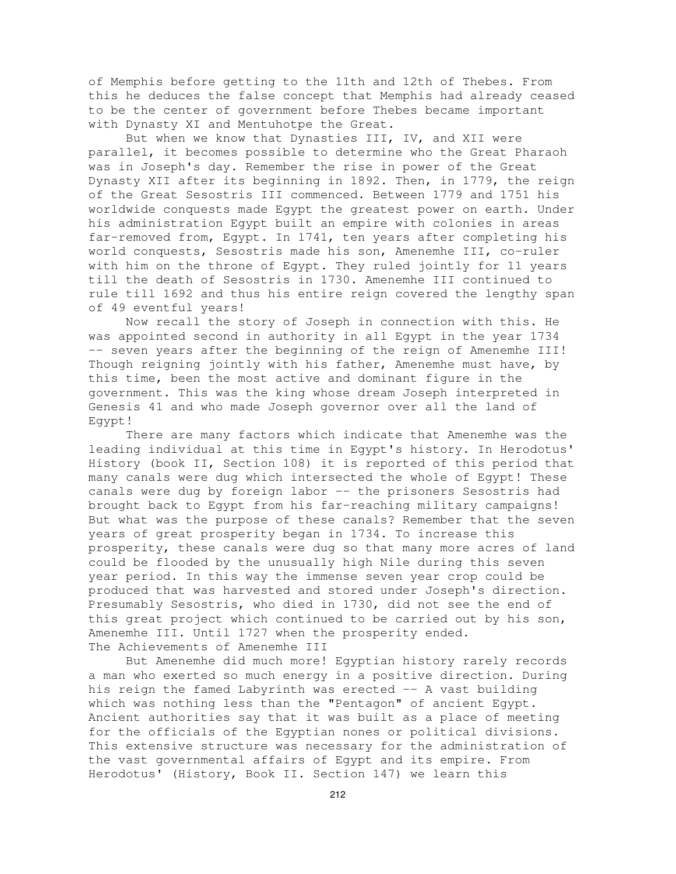of Memphis before getting to the 11th and 12th of Thebes. From this he deduces the false concept that Memphis had already ceased to be the center of government before Thebes became important with Dynasty XI and Mentuhotpe the Great.

But when we know that Dynasties III, IV, and XII were parallel, it becomes possible to determine who the Great Pharaoh was in Joseph's day. Remember the rise in power of the Great Dynasty XII after its beginning in 1892. Then, in 1779, the reign of the Great Sesostris III commenced. Between 1779 and 1751 his worldwide conquests made Egypt the greatest power on earth. Under his administration Egypt built an empire with colonies in areas far-removed from, Egypt. In 1741, ten years after completing his world conquests, Sesostris made his son, Amenemhe III, co-ruler with him on the throne of Egypt. They ruled jointly for 11 years till the death of Sesostris in 1730. Amenemhe III continued to rule till 1692 and thus his entire reign covered the lengthy span of 49 eventful years!

Now recall the story of Joseph in connection with this. He was appointed second in authority in all Egypt in the year 1734 -- seven years after the beginning of the reign of Amenemhe III! Though reigning jointly with his father, Amenemhe must have, by this time, been the most active and dominant figure in the government. This was the king whose dream Joseph interpreted in Genesis 41 and who made Joseph governor over all the land of Egypt!

There are many factors which indicate that Amenemhe was the leading individual at this time in Egypt's history. In Herodotus' History (book II, Section 108) it is reported of this period that many canals were dug which intersected the whole of Egypt! These canals were dug by foreign labor -- the prisoners Sesostris had brought back to Egypt from his far-reaching military campaigns! But what was the purpose of these canals? Remember that the seven years of great prosperity began in 1734. To increase this prosperity, these canals were dug so that many more acres of land could be flooded by the unusually high Nile during this seven year period. In this way the immense seven year crop could be produced that was harvested and stored under Joseph's direction. Presumably Sesostris, who died in 1730, did not see the end of this great project which continued to be carried out by his son, Amenemhe III. Until 1727 when the prosperity ended. The Achievements of Amenemhe III

But Amenemhe did much more! Egyptian history rarely records a man who exerted so much energy in a positive direction. During his reign the famed Labyrinth was erected -- A vast building which was nothing less than the "Pentagon" of ancient Egypt. Ancient authorities say that it was built as a place of meeting for the officials of the Egyptian nones or political divisions. This extensive structure was necessary for the administration of the vast governmental affairs of Egypt and its empire. From Herodotus' (History, Book II. Section 147) we learn this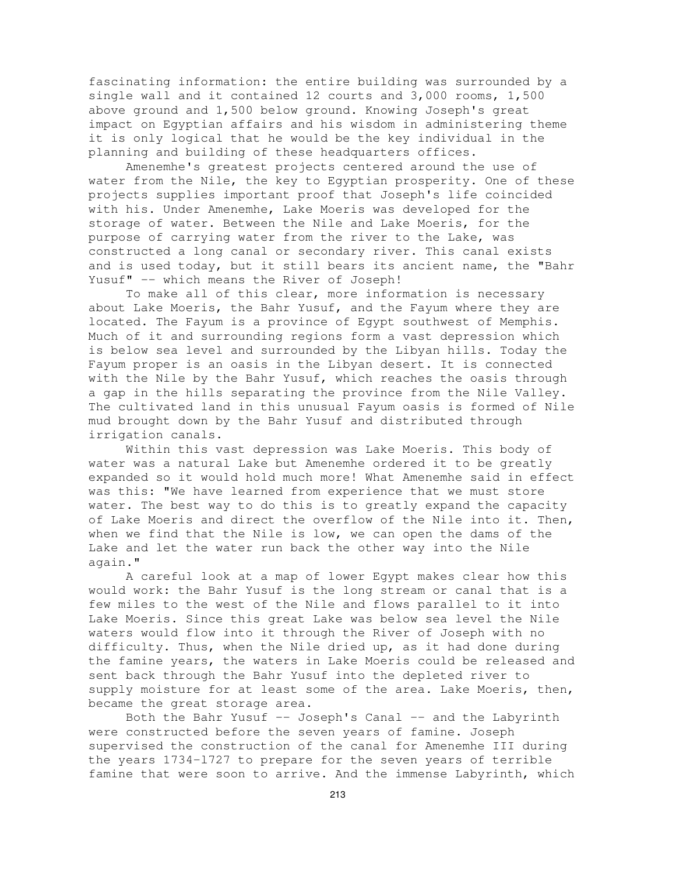fascinating information: the entire building was surrounded by a single wall and it contained 12 courts and 3,000 rooms, 1,500 above ground and 1,500 below ground. Knowing Joseph's great impact on Egyptian affairs and his wisdom in administering theme it is only logical that he would be the key individual in the planning and building of these headquarters offices.

Amenemhe's greatest projects centered around the use of water from the Nile, the key to Egyptian prosperity. One of these projects supplies important proof that Joseph's life coincided with his. Under Amenemhe, Lake Moeris was developed for the storage of water. Between the Nile and Lake Moeris, for the purpose of carrying water from the river to the Lake, was constructed a long canal or secondary river. This canal exists and is used today, but it still bears its ancient name, the "Bahr Yusuf" -- which means the River of Joseph!

To make all of this clear, more information is necessary about Lake Moeris, the Bahr Yusuf, and the Fayum where they are located. The Fayum is a province of Egypt southwest of Memphis. Much of it and surrounding regions form a vast depression which is below sea level and surrounded by the Libyan hills. Today the Fayum proper is an oasis in the Libyan desert. It is connected with the Nile by the Bahr Yusuf, which reaches the oasis through a gap in the hills separating the province from the Nile Valley. The cultivated land in this unusual Fayum oasis is formed of Nile mud brought down by the Bahr Yusuf and distributed through irrigation canals.

Within this vast depression was Lake Moeris. This body of water was a natural Lake but Amenemhe ordered it to be greatly expanded so it would hold much more! What Amenemhe said in effect was this: "We have learned from experience that we must store water. The best way to do this is to greatly expand the capacity of Lake Moeris and direct the overflow of the Nile into it. Then, when we find that the Nile is low, we can open the dams of the Lake and let the water run back the other way into the Nile again."

A careful look at a map of lower Egypt makes clear how this would work: the Bahr Yusuf is the long stream or canal that is a few miles to the west of the Nile and flows parallel to it into Lake Moeris. Since this great Lake was below sea level the Nile waters would flow into it through the River of Joseph with no difficulty. Thus, when the Nile dried up, as it had done during the famine years, the waters in Lake Moeris could be released and sent back through the Bahr Yusuf into the depleted river to supply moisture for at least some of the area. Lake Moeris, then, became the great storage area.

Both the Bahr Yusuf -- Joseph's Canal -- and the Labyrinth were constructed before the seven years of famine. Joseph supervised the construction of the canal for Amenemhe III during the years 1734-l727 to prepare for the seven years of terrible famine that were soon to arrive. And the immense Labyrinth, which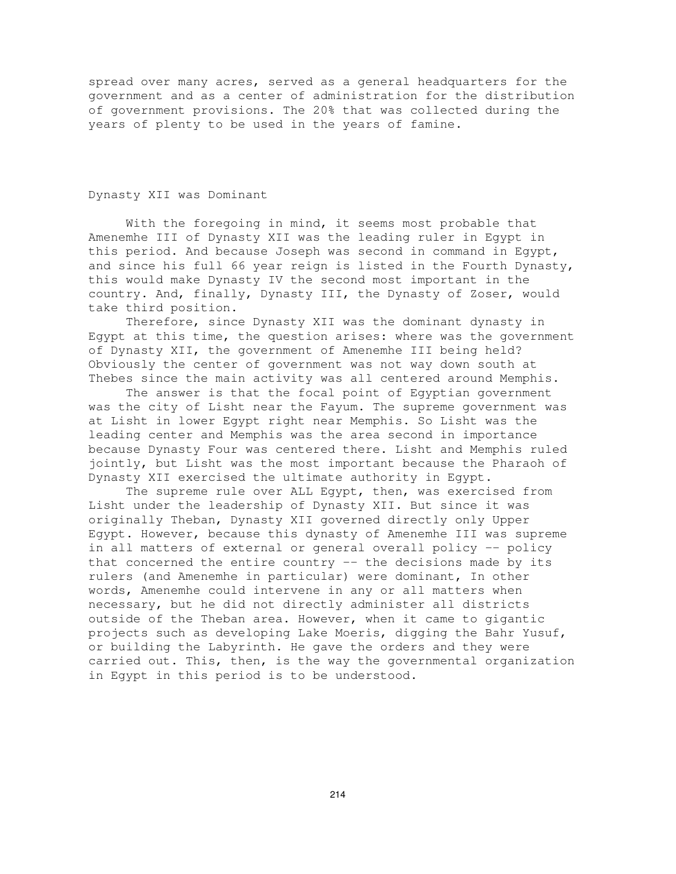spread over many acres, served as a general headquarters for the government and as a center of administration for the distribution of government provisions. The 20% that was collected during the years of plenty to be used in the years of famine.

## Dynasty XII was Dominant

With the foregoing in mind, it seems most probable that Amenemhe III of Dynasty XII was the leading ruler in Egypt in this period. And because Joseph was second in command in Egypt, and since his full 66 year reign is listed in the Fourth Dynasty, this would make Dynasty IV the second most important in the country. And, finally, Dynasty III, the Dynasty of Zoser, would take third position.

Therefore, since Dynasty XII was the dominant dynasty in Egypt at this time, the question arises: where was the government of Dynasty XII, the government of Amenemhe III being held? Obviously the center of government was not way down south at Thebes since the main activity was all centered around Memphis.

The answer is that the focal point of Egyptian government was the city of Lisht near the Fayum. The supreme government was at Lisht in lower Egypt right near Memphis. So Lisht was the leading center and Memphis was the area second in importance because Dynasty Four was centered there. Lisht and Memphis ruled jointly, but Lisht was the most important because the Pharaoh of Dynasty XII exercised the ultimate authority in Egypt.

The supreme rule over ALL Egypt, then, was exercised from Lisht under the leadership of Dynasty XII. But since it was originally Theban, Dynasty XII governed directly only Upper Egypt. However, because this dynasty of Amenemhe III was supreme in all matters of external or general overall policy -- policy that concerned the entire country -- the decisions made by its rulers (and Amenemhe in particular) were dominant, In other words, Amenemhe could intervene in any or all matters when necessary, but he did not directly administer all districts outside of the Theban area. However, when it came to gigantic projects such as developing Lake Moeris, digging the Bahr Yusuf, or building the Labyrinth. He gave the orders and they were carried out. This, then, is the way the governmental organization in Egypt in this period is to be understood.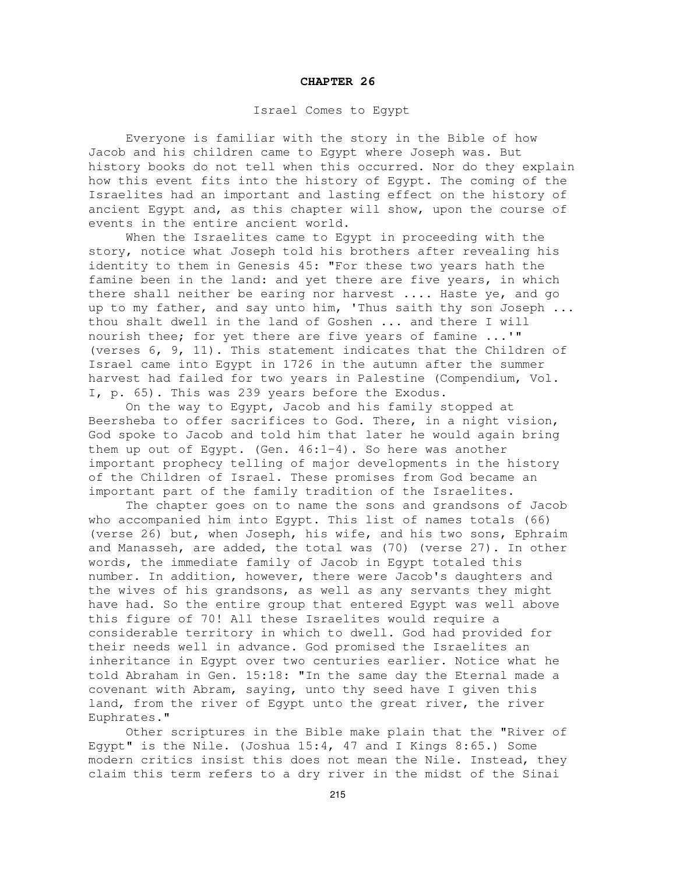#### **CHAPTER 26**

## Israel Comes to Egypt

Everyone is familiar with the story in the Bible of how Jacob and his children came to Egypt where Joseph was. But history books do not tell when this occurred. Nor do they explain how this event fits into the history of Egypt. The coming of the Israelites had an important and lasting effect on the history of ancient Egypt and, as this chapter will show, upon the course of events in the entire ancient world.

When the Israelites came to Egypt in proceeding with the story, notice what Joseph told his brothers after revealing his identity to them in Genesis 45: "For these two years hath the famine been in the land: and yet there are five years, in which there shall neither be earing nor harvest .... Haste ye, and go up to my father, and say unto him, 'Thus saith thy son Joseph ... thou shalt dwell in the land of Goshen ... and there I will nourish thee; for yet there are five years of famine ...'" (verses 6, 9, 11). This statement indicates that the Children of Israel came into Egypt in 1726 in the autumn after the summer harvest had failed for two years in Palestine (Compendium, Vol. I, p. 65). This was 239 years before the Exodus.

On the way to Egypt, Jacob and his family stopped at Beersheba to offer sacrifices to God. There, in a night vision, God spoke to Jacob and told him that later he would again bring them up out of Egypt. (Gen. 46:1-4). So here was another important prophecy telling of major developments in the history of the Children of Israel. These promises from God became an important part of the family tradition of the Israelites.

The chapter goes on to name the sons and grandsons of Jacob who accompanied him into Egypt. This list of names totals (66) (verse 26) but, when Joseph, his wife, and his two sons, Ephraim and Manasseh, are added, the total was (70) (verse 27). In other words, the immediate family of Jacob in Egypt totaled this number. In addition, however, there were Jacob's daughters and the wives of his grandsons, as well as any servants they might have had. So the entire group that entered Egypt was well above this figure of 70! All these Israelites would require a considerable territory in which to dwell. God had provided for their needs well in advance. God promised the Israelites an inheritance in Egypt over two centuries earlier. Notice what he told Abraham in Gen. 15:18: "In the same day the Eternal made a covenant with Abram, saying, unto thy seed have I given this land, from the river of Egypt unto the great river, the river Euphrates."

Other scriptures in the Bible make plain that the "River of Egypt" is the Nile. (Joshua 15:4, 47 and I Kings 8:65.) Some modern critics insist this does not mean the Nile. Instead, they claim this term refers to a dry river in the midst of the Sinai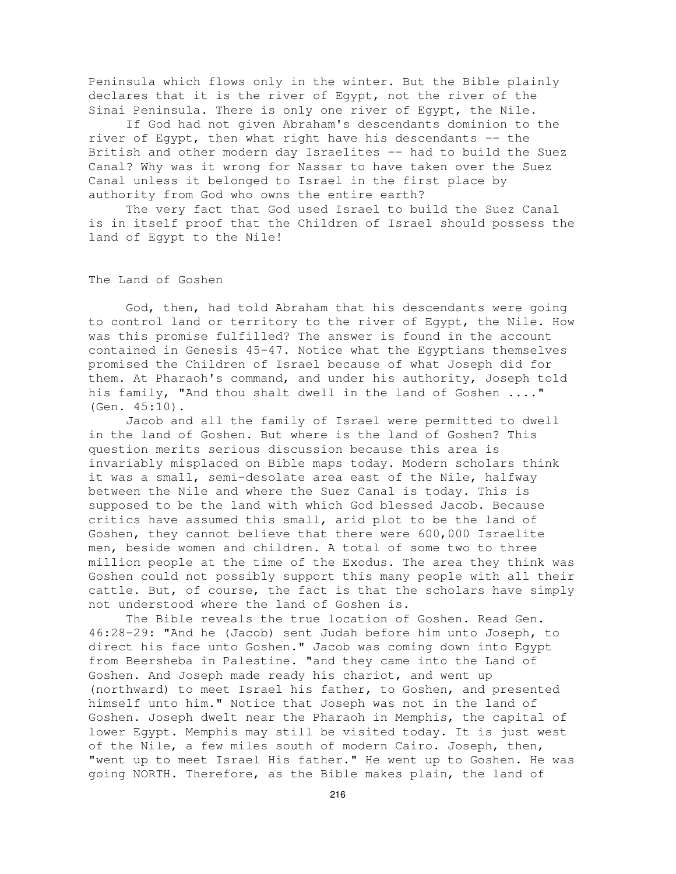Peninsula which flows only in the winter. But the Bible plainly declares that it is the river of Egypt, not the river of the Sinai Peninsula. There is only one river of Egypt, the Nile.

If God had not given Abraham's descendants dominion to the river of Egypt, then what right have his descendants -- the British and other modern day Israelites -- had to build the Suez Canal? Why was it wrong for Nassar to have taken over the Suez Canal unless it belonged to Israel in the first place by authority from God who owns the entire earth?

The very fact that God used Israel to build the Suez Canal is in itself proof that the Children of Israel should possess the land of Egypt to the Nile!

The Land of Goshen

God, then, had told Abraham that his descendants were going to control land or territory to the river of Egypt, the Nile. How was this promise fulfilled? The answer is found in the account contained in Genesis 45-47. Notice what the Egyptians themselves promised the Children of Israel because of what Joseph did for them. At Pharaoh's command, and under his authority, Joseph told his family, "And thou shalt dwell in the land of Goshen ...." (Gen. 45:10).

Jacob and all the family of Israel were permitted to dwell in the land of Goshen. But where is the land of Goshen? This question merits serious discussion because this area is invariably misplaced on Bible maps today. Modern scholars think it was a small, semi-desolate area east of the Nile, halfway between the Nile and where the Suez Canal is today. This is supposed to be the land with which God blessed Jacob. Because critics have assumed this small, arid plot to be the land of Goshen, they cannot believe that there were 600,000 Israelite men, beside women and children. A total of some two to three million people at the time of the Exodus. The area they think was Goshen could not possibly support this many people with all their cattle. But, of course, the fact is that the scholars have simply not understood where the land of Goshen is.

The Bible reveals the true location of Goshen. Read Gen. 46:28-29: "And he (Jacob) sent Judah before him unto Joseph, to direct his face unto Goshen." Jacob was coming down into Egypt from Beersheba in Palestine. "and they came into the Land of Goshen. And Joseph made ready his chariot, and went up (northward) to meet Israel his father, to Goshen, and presented himself unto him." Notice that Joseph was not in the land of Goshen. Joseph dwelt near the Pharaoh in Memphis, the capital of lower Egypt. Memphis may still be visited today. It is just west of the Nile, a few miles south of modern Cairo. Joseph, then, "went up to meet Israel His father." He went up to Goshen. He was going NORTH. Therefore, as the Bible makes plain, the land of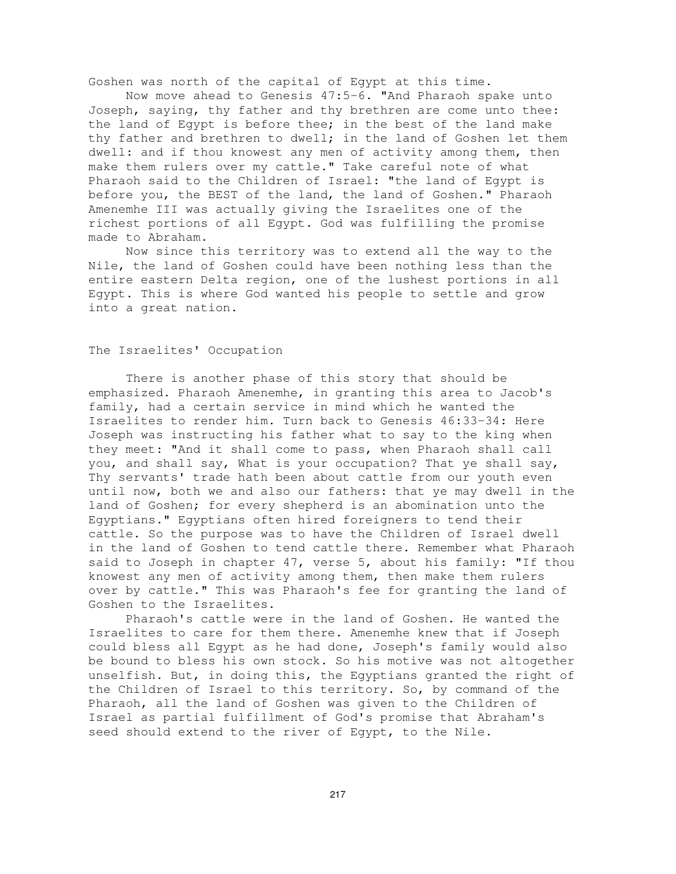Goshen was north of the capital of Egypt at this time.

Now move ahead to Genesis 47:5-6. "And Pharaoh spake unto Joseph, saying, thy father and thy brethren are come unto thee: the land of Egypt is before thee; in the best of the land make thy father and brethren to dwell; in the land of Goshen let them dwell: and if thou knowest any men of activity among them, then make them rulers over my cattle." Take careful note of what Pharaoh said to the Children of Israel: "the land of Egypt is before you, the BEST of the land, the land of Goshen." Pharaoh Amenemhe III was actually giving the Israelites one of the richest portions of all Egypt. God was fulfilling the promise made to Abraham.

Now since this territory was to extend all the way to the Nile, the land of Goshen could have been nothing less than the entire eastern Delta region, one of the lushest portions in all Egypt. This is where God wanted his people to settle and grow into a great nation.

### The Israelites' Occupation

There is another phase of this story that should be emphasized. Pharaoh Amenemhe, in granting this area to Jacob's family, had a certain service in mind which he wanted the Israelites to render him. Turn back to Genesis 46:33-34: Here Joseph was instructing his father what to say to the king when they meet: "And it shall come to pass, when Pharaoh shall call you, and shall say, What is your occupation? That ye shall say, Thy servants' trade hath been about cattle from our youth even until now, both we and also our fathers: that ye may dwell in the land of Goshen; for every shepherd is an abomination unto the Egyptians." Egyptians often hired foreigners to tend their cattle. So the purpose was to have the Children of Israel dwell in the land of Goshen to tend cattle there. Remember what Pharaoh said to Joseph in chapter 47, verse 5, about his family: "If thou knowest any men of activity among them, then make them rulers over by cattle." This was Pharaoh's fee for granting the land of Goshen to the Israelites.

Pharaoh's cattle were in the land of Goshen. He wanted the Israelites to care for them there. Amenemhe knew that if Joseph could bless all Egypt as he had done, Joseph's family would also be bound to bless his own stock. So his motive was not altogether unselfish. But, in doing this, the Egyptians granted the right of the Children of Israel to this territory. So, by command of the Pharaoh, all the land of Goshen was given to the Children of Israel as partial fulfillment of God's promise that Abraham's seed should extend to the river of Egypt, to the Nile.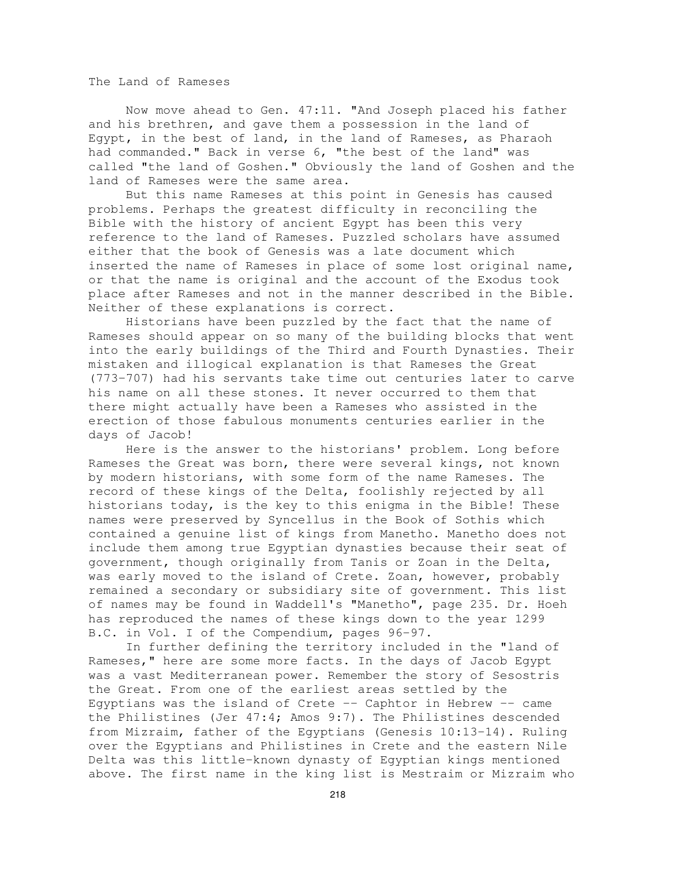The Land of Rameses

Now move ahead to Gen. 47:11. "And Joseph placed his father and his brethren, and gave them a possession in the land of Egypt, in the best of land, in the land of Rameses, as Pharaoh had commanded." Back in verse 6, "the best of the land" was called "the land of Goshen." Obviously the land of Goshen and the land of Rameses were the same area.

But this name Rameses at this point in Genesis has caused problems. Perhaps the greatest difficulty in reconciling the Bible with the history of ancient Egypt has been this very reference to the land of Rameses. Puzzled scholars have assumed either that the book of Genesis was a late document which inserted the name of Rameses in place of some lost original name, or that the name is original and the account of the Exodus took place after Rameses and not in the manner described in the Bible. Neither of these explanations is correct.

Historians have been puzzled by the fact that the name of Rameses should appear on so many of the building blocks that went into the early buildings of the Third and Fourth Dynasties. Their mistaken and illogical explanation is that Rameses the Great (773-707) had his servants take time out centuries later to carve his name on all these stones. It never occurred to them that there might actually have been a Rameses who assisted in the erection of those fabulous monuments centuries earlier in the days of Jacob!

Here is the answer to the historians' problem. Long before Rameses the Great was born, there were several kings, not known by modern historians, with some form of the name Rameses. The record of these kings of the Delta, foolishly rejected by all historians today, is the key to this enigma in the Bible! These names were preserved by Syncellus in the Book of Sothis which contained a genuine list of kings from Manetho. Manetho does not include them among true Egyptian dynasties because their seat of government, though originally from Tanis or Zoan in the Delta, was early moved to the island of Crete. Zoan, however, probably remained a secondary or subsidiary site of government. This list of names may be found in Waddell's "Manetho", page 235. Dr. Hoeh has reproduced the names of these kings down to the year 1299 B.C. in Vol. I of the Compendium, pages 96-97.

In further defining the territory included in the "land of Rameses," here are some more facts. In the days of Jacob Egypt was a vast Mediterranean power. Remember the story of Sesostris the Great. From one of the earliest areas settled by the Egyptians was the island of Crete -- Caphtor in Hebrew -- came the Philistines (Jer 47:4; Amos 9:7). The Philistines descended from Mizraim, father of the Egyptians (Genesis 10:13-14). Ruling over the Egyptians and Philistines in Crete and the eastern Nile Delta was this little-known dynasty of Egyptian kings mentioned above. The first name in the king list is Mestraim or Mizraim who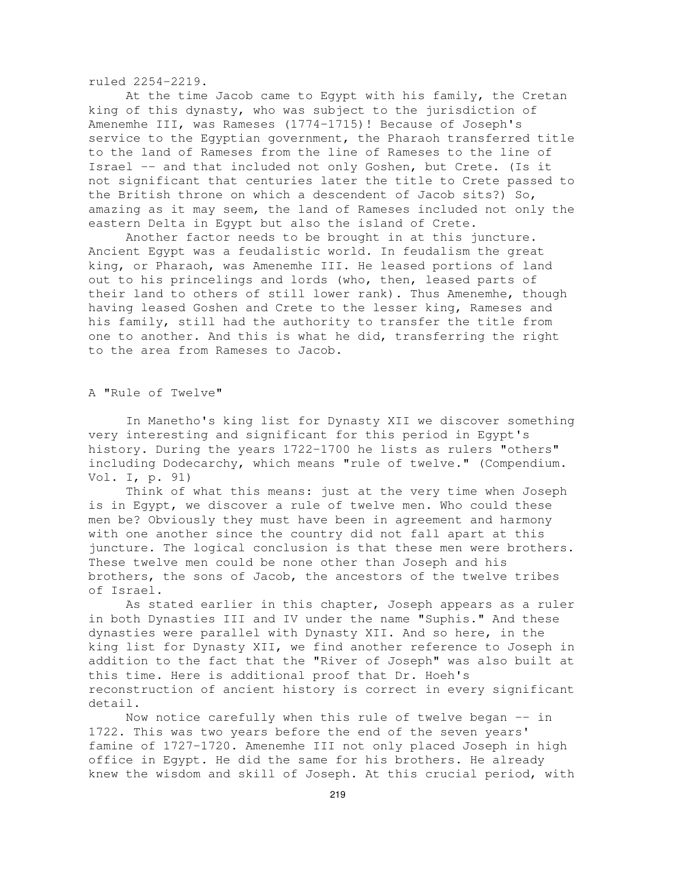ruled 2254-2219.

At the time Jacob came to Egypt with his family, the Cretan king of this dynasty, who was subject to the jurisdiction of Amenemhe III, was Rameses (1774-1715)! Because of Joseph's service to the Egyptian government, the Pharaoh transferred title to the land of Rameses from the line of Rameses to the line of Israel -- and that included not only Goshen, but Crete. (Is it not significant that centuries later the title to Crete passed to the British throne on which a descendent of Jacob sits?) So, amazing as it may seem, the land of Rameses included not only the eastern Delta in Egypt but also the island of Crete.

Another factor needs to be brought in at this juncture. Ancient Egypt was a feudalistic world. In feudalism the great king, or Pharaoh, was Amenemhe III. He leased portions of land out to his princelings and lords (who, then, leased parts of their land to others of still lower rank). Thus Amenemhe, though having leased Goshen and Crete to the lesser king, Rameses and his family, still had the authority to transfer the title from one to another. And this is what he did, transferring the right to the area from Rameses to Jacob.

#### A "Rule of Twelve"

In Manetho's king list for Dynasty XII we discover something very interesting and significant for this period in Egypt's history. During the years 1722-1700 he lists as rulers "others" including Dodecarchy, which means "rule of twelve." (Compendium. Vol. I, p. 91)

Think of what this means: just at the very time when Joseph is in Egypt, we discover a rule of twelve men. Who could these men be? Obviously they must have been in agreement and harmony with one another since the country did not fall apart at this juncture. The logical conclusion is that these men were brothers. These twelve men could be none other than Joseph and his brothers, the sons of Jacob, the ancestors of the twelve tribes of Israel.

As stated earlier in this chapter, Joseph appears as a ruler in both Dynasties III and IV under the name "Suphis." And these dynasties were parallel with Dynasty XII. And so here, in the king list for Dynasty XII, we find another reference to Joseph in addition to the fact that the "River of Joseph" was also built at this time. Here is additional proof that Dr. Hoeh's reconstruction of ancient history is correct in every significant detail.

Now notice carefully when this rule of twelve began -- in 1722. This was two years before the end of the seven years' famine of 1727-1720. Amenemhe III not only placed Joseph in high office in Egypt. He did the same for his brothers. He already knew the wisdom and skill of Joseph. At this crucial period, with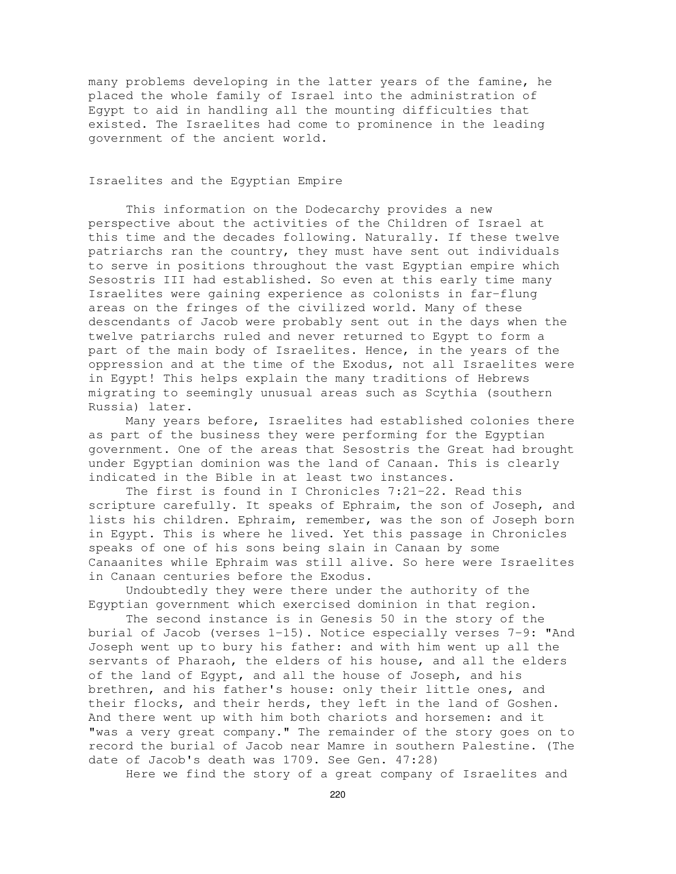many problems developing in the latter years of the famine, he placed the whole family of Israel into the administration of Egypt to aid in handling all the mounting difficulties that existed. The Israelites had come to prominence in the leading government of the ancient world.

# Israelites and the Egyptian Empire

This information on the Dodecarchy provides a new perspective about the activities of the Children of Israel at this time and the decades following. Naturally. If these twelve patriarchs ran the country, they must have sent out individuals to serve in positions throughout the vast Egyptian empire which Sesostris III had established. So even at this early time many Israelites were gaining experience as colonists in far-flung areas on the fringes of the civilized world. Many of these descendants of Jacob were probably sent out in the days when the twelve patriarchs ruled and never returned to Egypt to form a part of the main body of Israelites. Hence, in the years of the oppression and at the time of the Exodus, not all Israelites were in Egypt! This helps explain the many traditions of Hebrews migrating to seemingly unusual areas such as Scythia (southern Russia) later.

Many years before, Israelites had established colonies there as part of the business they were performing for the Egyptian government. One of the areas that Sesostris the Great had brought under Egyptian dominion was the land of Canaan. This is clearly indicated in the Bible in at least two instances.

The first is found in I Chronicles 7:21-22. Read this scripture carefully. It speaks of Ephraim, the son of Joseph, and lists his children. Ephraim, remember, was the son of Joseph born in Egypt. This is where he lived. Yet this passage in Chronicles speaks of one of his sons being slain in Canaan by some Canaanites while Ephraim was still alive. So here were Israelites in Canaan centuries before the Exodus.

Undoubtedly they were there under the authority of the Egyptian government which exercised dominion in that region.

The second instance is in Genesis 50 in the story of the burial of Jacob (verses 1-15). Notice especially verses 7-9: "And Joseph went up to bury his father: and with him went up all the servants of Pharaoh, the elders of his house, and all the elders of the land of Egypt, and all the house of Joseph, and his brethren, and his father's house: only their little ones, and their flocks, and their herds, they left in the land of Goshen. And there went up with him both chariots and horsemen: and it "was a very great company." The remainder of the story goes on to record the burial of Jacob near Mamre in southern Palestine. (The date of Jacob's death was 1709. See Gen. 47:28)

Here we find the story of a great company of Israelites and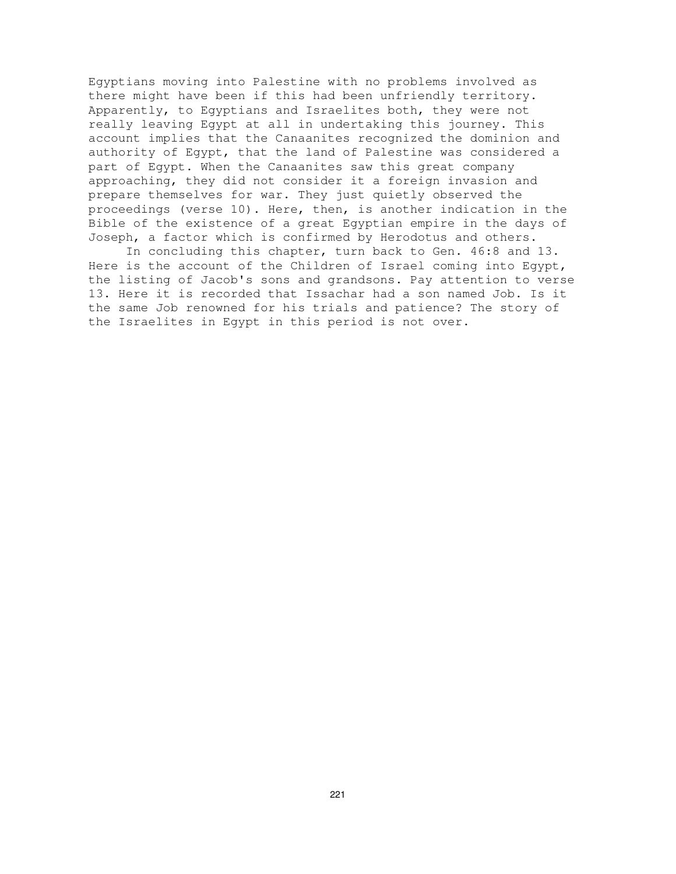Egyptians moving into Palestine with no problems involved as there might have been if this had been unfriendly territory. Apparently, to Egyptians and Israelites both, they were not really leaving Egypt at all in undertaking this journey. This account implies that the Canaanites recognized the dominion and authority of Egypt, that the land of Palestine was considered a part of Egypt. When the Canaanites saw this great company approaching, they did not consider it a foreign invasion and prepare themselves for war. They just quietly observed the proceedings (verse 10). Here, then, is another indication in the Bible of the existence of a great Egyptian empire in the days of Joseph, a factor which is confirmed by Herodotus and others.

In concluding this chapter, turn back to Gen. 46:8 and 13. Here is the account of the Children of Israel coming into Egypt, the listing of Jacob's sons and grandsons. Pay attention to verse 13. Here it is recorded that Issachar had a son named Job. Is it the same Job renowned for his trials and patience? The story of the Israelites in Egypt in this period is not over.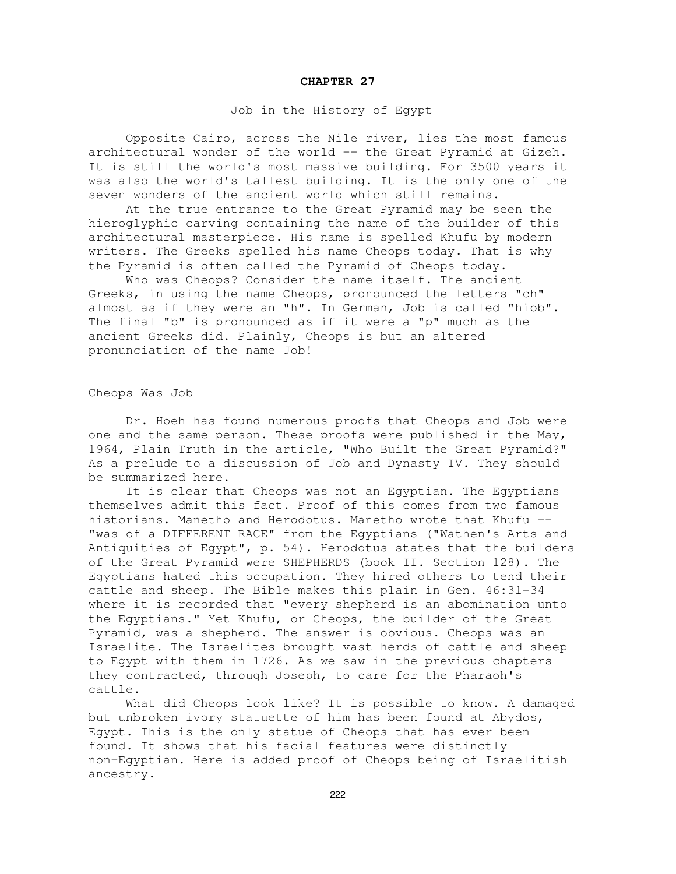#### **CHAPTER 27**

# Job in the History of Egypt

Opposite Cairo, across the Nile river, lies the most famous architectural wonder of the world -- the Great Pyramid at Gizeh. It is still the world's most massive building. For 3500 years it was also the world's tallest building. It is the only one of the seven wonders of the ancient world which still remains.

At the true entrance to the Great Pyramid may be seen the hieroglyphic carving containing the name of the builder of this architectural masterpiece. His name is spelled Khufu by modern writers. The Greeks spelled his name Cheops today. That is why the Pyramid is often called the Pyramid of Cheops today.

Who was Cheops? Consider the name itself. The ancient Greeks, in using the name Cheops, pronounced the letters "ch" almost as if they were an "h". In German, Job is called "hiob". The final "b" is pronounced as if it were a "p" much as the ancient Greeks did. Plainly, Cheops is but an altered pronunciation of the name Job!

### Cheops Was Job

Dr. Hoeh has found numerous proofs that Cheops and Job were one and the same person. These proofs were published in the May, 1964, Plain Truth in the article, "Who Built the Great Pyramid?" As a prelude to a discussion of Job and Dynasty IV. They should be summarized here.

It is clear that Cheops was not an Egyptian. The Egyptians themselves admit this fact. Proof of this comes from two famous historians. Manetho and Herodotus. Manetho wrote that Khufu -- "was of a DIFFERENT RACE" from the Egyptians ("Wathen's Arts and Antiquities of Egypt", p. 54). Herodotus states that the builders of the Great Pyramid were SHEPHERDS (book II. Section 128). The Egyptians hated this occupation. They hired others to tend their cattle and sheep. The Bible makes this plain in Gen. 46:31-34 where it is recorded that "every shepherd is an abomination unto the Egyptians." Yet Khufu, or Cheops, the builder of the Great Pyramid, was a shepherd. The answer is obvious. Cheops was an Israelite. The Israelites brought vast herds of cattle and sheep to Egypt with them in 1726. As we saw in the previous chapters they contracted, through Joseph, to care for the Pharaoh's cattle.

What did Cheops look like? It is possible to know. A damaged but unbroken ivory statuette of him has been found at Abydos, Egypt. This is the only statue of Cheops that has ever been found. It shows that his facial features were distinctly non-Egyptian. Here is added proof of Cheops being of Israelitish ancestry.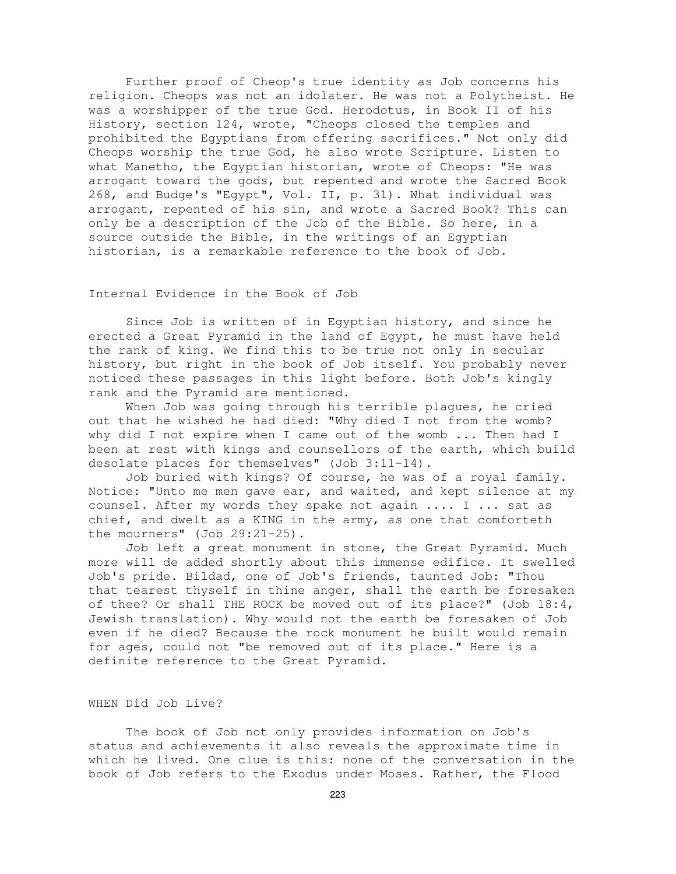Further proof of Cheop's true identity as Job concerns his religion. Cheops was not an idolater. He was not a Polytheist. He was a worshipper of the true God. Herodotus, in Book II of his History, section 124, wrote, "Cheops closed the temples and prohibited the Egyptians from offering sacrifices." Not only did Cheops worship the true God, he also wrote Scripture. Listen to what Manetho, the Egyptian historian, wrote of Cheops: "He was arrogant toward the gods, but repented and wrote the Sacred Book 268, and Budge's "Egypt", Vol. II, p. 31). What individual was arrogant, repented of his sin, and wrote a Sacred Book? This can only be a description of the Job of the Bible. So here, in a source outside the Bible, in the writings of an Egyptian historian, is a remarkable reference to the book of Job.

# Internal Evidence in the Book of Job

Since Job is written of in Egyptian history, and since he erected a Great Pyramid in the land of Egypt, he must have held the rank of king. We find this to be true not only in secular history, but right in the book of Job itself. You probably never noticed these passages in this light before. Both Job's kingly rank and the Pyramid are mentioned.

When Job was going through his terrible plagues, he cried out that he wished he had died: "Why died I not from the womb? why did I not expire when I came out of the womb ... Then had I been at rest with kings and counsellors of the earth, which build desolate places for themselves" (Job 3:11-14).

Job buried with kings? Of course, he was of a royal family. Notice: "Unto me men gave ear, and waited, and kept silence at my counsel. After my words they spake not again .... I ... sat as chief, and dwelt as a KING in the army, as one that comforteth the mourners" (Job 29:21-25).

Job left a great monument in stone, the Great Pyramid. Much more will de added shortly about this immense edifice. It swelled Job's pride. Bildad, one of Job's friends, taunted Job: "Thou that tearest thyself in thine anger, shall the earth be foresaken of thee? Or shall THE ROCK be moved out of its place?" (Job 18:4, Jewish translation). Why would not the earth be foresaken of Job even if he died? Because the rock monument he built would remain for ages, could not "be removed out of its place." Here is a definite reference to the Great Pyramid.

# WHEN Did Job Live?

The book of Job not only provides information on Job's status and achievements it also reveals the approximate time in which he lived. One clue is this: none of the conversation in the book of Job refers to the Exodus under Moses. Rather, the Flood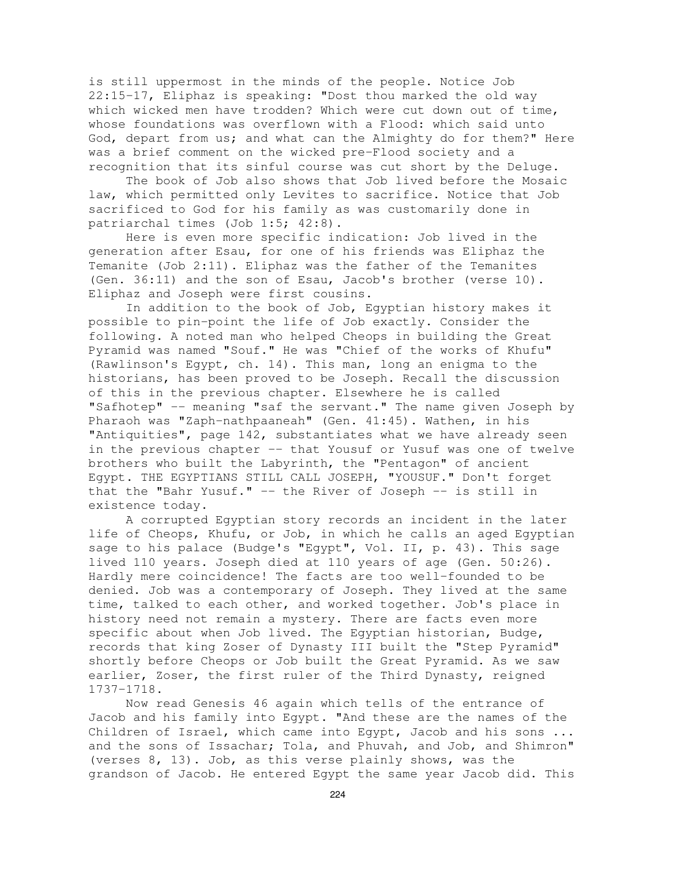is still uppermost in the minds of the people. Notice Job 22:15-17, Eliphaz is speaking: "Dost thou marked the old way which wicked men have trodden? Which were cut down out of time, whose foundations was overflown with a Flood: which said unto God, depart from us; and what can the Almighty do for them?" Here was a brief comment on the wicked pre-Flood society and a recognition that its sinful course was cut short by the Deluge.

The book of Job also shows that Job lived before the Mosaic law, which permitted only Levites to sacrifice. Notice that Job sacrificed to God for his family as was customarily done in patriarchal times (Job 1:5; 42:8).

Here is even more specific indication: Job lived in the generation after Esau, for one of his friends was Eliphaz the Temanite (Job 2:11). Eliphaz was the father of the Temanites (Gen. 36:11) and the son of Esau, Jacob's brother (verse 10). Eliphaz and Joseph were first cousins.

In addition to the book of Job, Egyptian history makes it possible to pin-point the life of Job exactly. Consider the following. A noted man who helped Cheops in building the Great Pyramid was named "Souf." He was "Chief of the works of Khufu" (Rawlinson's Egypt, ch. 14). This man, long an enigma to the historians, has been proved to be Joseph. Recall the discussion of this in the previous chapter. Elsewhere he is called "Safhotep" -- meaning "saf the servant." The name given Joseph by Pharaoh was "Zaph-nathpaaneah" (Gen. 41:45). Wathen, in his "Antiquities", page 142, substantiates what we have already seen in the previous chapter -- that Yousuf or Yusuf was one of twelve brothers who built the Labyrinth, the "Pentagon" of ancient Egypt. THE EGYPTIANS STILL CALL JOSEPH, "YOUSUF." Don't forget that the "Bahr Yusuf." -- the River of Joseph -- is still in existence today.

A corrupted Egyptian story records an incident in the later life of Cheops, Khufu, or Job, in which he calls an aged Egyptian sage to his palace (Budge's "Egypt", Vol. II, p. 43). This sage lived 110 years. Joseph died at 110 years of age (Gen. 50:26). Hardly mere coincidence! The facts are too well-founded to be denied. Job was a contemporary of Joseph. They lived at the same time, talked to each other, and worked together. Job's place in history need not remain a mystery. There are facts even more specific about when Job lived. The Egyptian historian, Budge, records that king Zoser of Dynasty III built the "Step Pyramid" shortly before Cheops or Job built the Great Pyramid. As we saw earlier, Zoser, the first ruler of the Third Dynasty, reigned 1737-1718.

Now read Genesis 46 again which tells of the entrance of Jacob and his family into Egypt. "And these are the names of the Children of Israel, which came into Egypt, Jacob and his sons ... and the sons of Issachar; Tola, and Phuvah, and Job, and Shimron" (verses 8, 13). Job, as this verse plainly shows, was the grandson of Jacob. He entered Egypt the same year Jacob did. This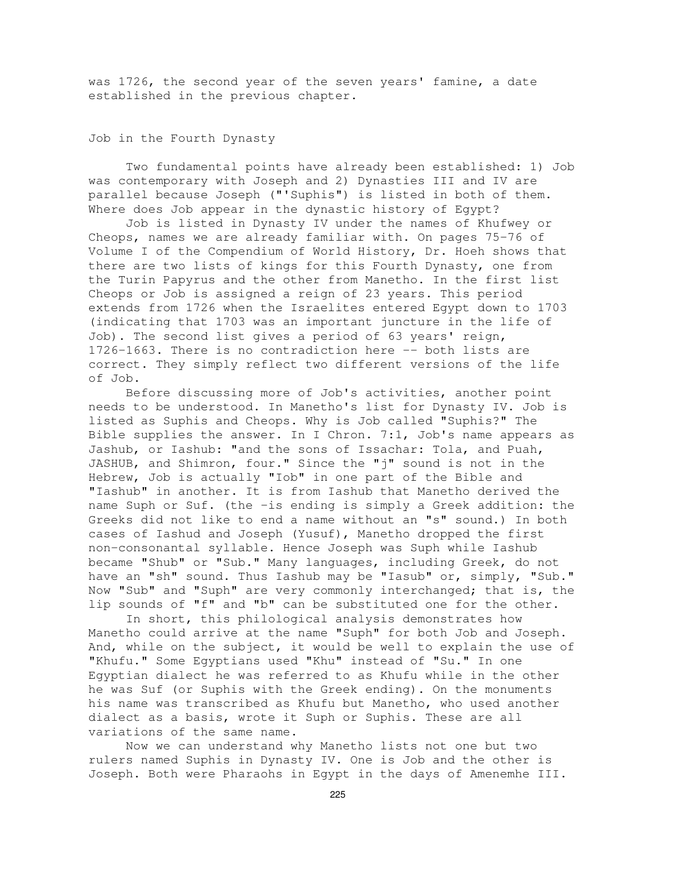was 1726, the second year of the seven years' famine, a date established in the previous chapter.

Job in the Fourth Dynasty

Two fundamental points have already been established: 1) Job was contemporary with Joseph and 2) Dynasties III and IV are parallel because Joseph ("'Suphis") is listed in both of them. Where does Job appear in the dynastic history of Egypt?

Job is listed in Dynasty IV under the names of Khufwey or Cheops, names we are already familiar with. On pages 75-76 of Volume I of the Compendium of World History, Dr. Hoeh shows that there are two lists of kings for this Fourth Dynasty, one from the Turin Papyrus and the other from Manetho. In the first list Cheops or Job is assigned a reign of 23 years. This period extends from 1726 when the Israelites entered Egypt down to 1703 (indicating that 1703 was an important juncture in the life of Job). The second list gives a period of 63 years' reign, 1726-1663. There is no contradiction here -- both lists are correct. They simply reflect two different versions of the life of Job.

Before discussing more of Job's activities, another point needs to be understood. In Manetho's list for Dynasty IV. Job is listed as Suphis and Cheops. Why is Job called "Suphis?" The Bible supplies the answer. In I Chron. 7:1, Job's name appears as Jashub, or Iashub: "and the sons of Issachar: Tola, and Puah, JASHUB, and Shimron, four." Since the "j" sound is not in the Hebrew, Job is actually "Iob" in one part of the Bible and "Iashub" in another. It is from Iashub that Manetho derived the name Suph or Suf. (the -is ending is simply a Greek addition: the Greeks did not like to end a name without an "s" sound.) In both cases of Iashud and Joseph (Yusuf), Manetho dropped the first non-consonantal syllable. Hence Joseph was Suph while Iashub became "Shub" or "Sub." Many languages, including Greek, do not have an "sh" sound. Thus Iashub may be "Iasub" or, simply, "Sub." Now "Sub" and "Suph" are very commonly interchanged; that is, the lip sounds of "f" and "b" can be substituted one for the other.

In short, this philological analysis demonstrates how Manetho could arrive at the name "Suph" for both Job and Joseph. And, while on the subject, it would be well to explain the use of "Khufu." Some Egyptians used "Khu" instead of "Su." In one Egyptian dialect he was referred to as Khufu while in the other he was Suf (or Suphis with the Greek ending). On the monuments his name was transcribed as Khufu but Manetho, who used another dialect as a basis, wrote it Suph or Suphis. These are all variations of the same name.

Now we can understand why Manetho lists not one but two rulers named Suphis in Dynasty IV. One is Job and the other is Joseph. Both were Pharaohs in Egypt in the days of Amenemhe III.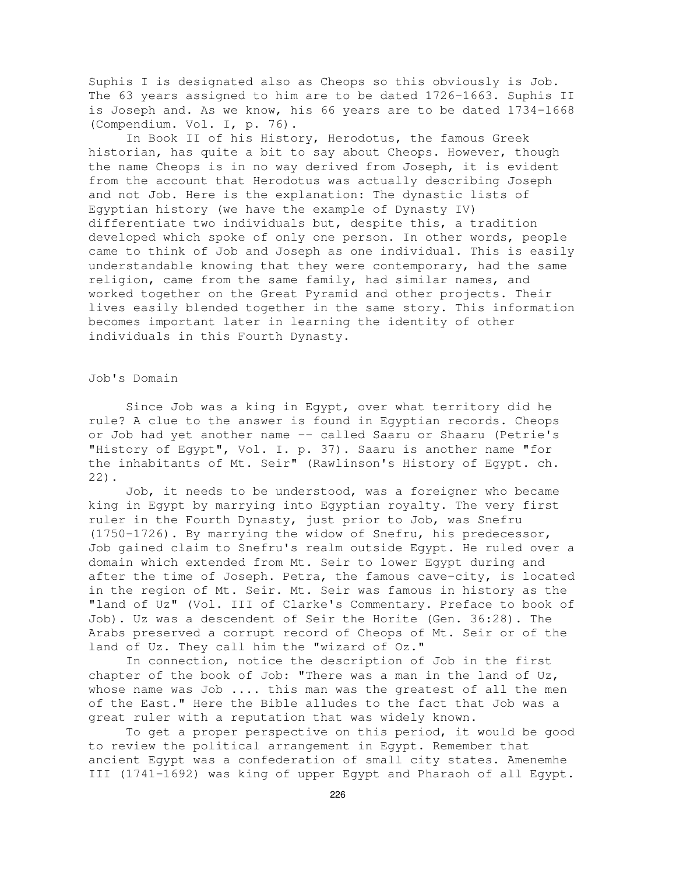Suphis I is designated also as Cheops so this obviously is Job. The 63 years assigned to him are to be dated 1726-1663. Suphis II is Joseph and. As we know, his 66 years are to be dated 1734-1668 (Compendium. Vol. I, p. 76).

In Book II of his History, Herodotus, the famous Greek historian, has quite a bit to say about Cheops. However, though the name Cheops is in no way derived from Joseph, it is evident from the account that Herodotus was actually describing Joseph and not Job. Here is the explanation: The dynastic lists of Egyptian history (we have the example of Dynasty IV) differentiate two individuals but, despite this, a tradition developed which spoke of only one person. In other words, people came to think of Job and Joseph as one individual. This is easily understandable knowing that they were contemporary, had the same religion, came from the same family, had similar names, and worked together on the Great Pyramid and other projects. Their lives easily blended together in the same story. This information becomes important later in learning the identity of other individuals in this Fourth Dynasty.

#### Job's Domain

Since Job was a king in Egypt, over what territory did he rule? A clue to the answer is found in Egyptian records. Cheops or Job had yet another name -- called Saaru or Shaaru (Petrie's "History of Egypt", Vol. I. p. 37). Saaru is another name "for the inhabitants of Mt. Seir" (Rawlinson's History of Egypt. ch. 22).

Job, it needs to be understood, was a foreigner who became king in Egypt by marrying into Egyptian royalty. The very first ruler in the Fourth Dynasty, just prior to Job, was Snefru (1750-1726). By marrying the widow of Snefru, his predecessor, Job gained claim to Snefru's realm outside Egypt. He ruled over a domain which extended from Mt. Seir to lower Egypt during and after the time of Joseph. Petra, the famous cave-city, is located in the region of Mt. Seir. Mt. Seir was famous in history as the "land of Uz" (Vol. III of Clarke's Commentary. Preface to book of Job). Uz was a descendent of Seir the Horite (Gen. 36:28). The Arabs preserved a corrupt record of Cheops of Mt. Seir or of the land of Uz. They call him the "wizard of Oz."

In connection, notice the description of Job in the first chapter of the book of Job: "There was a man in the land of Uz, whose name was Job .... this man was the greatest of all the men of the East." Here the Bible alludes to the fact that Job was a great ruler with a reputation that was widely known.

To get a proper perspective on this period, it would be good to review the political arrangement in Egypt. Remember that ancient Egypt was a confederation of small city states. Amenemhe III (1741-1692) was king of upper Egypt and Pharaoh of all Egypt.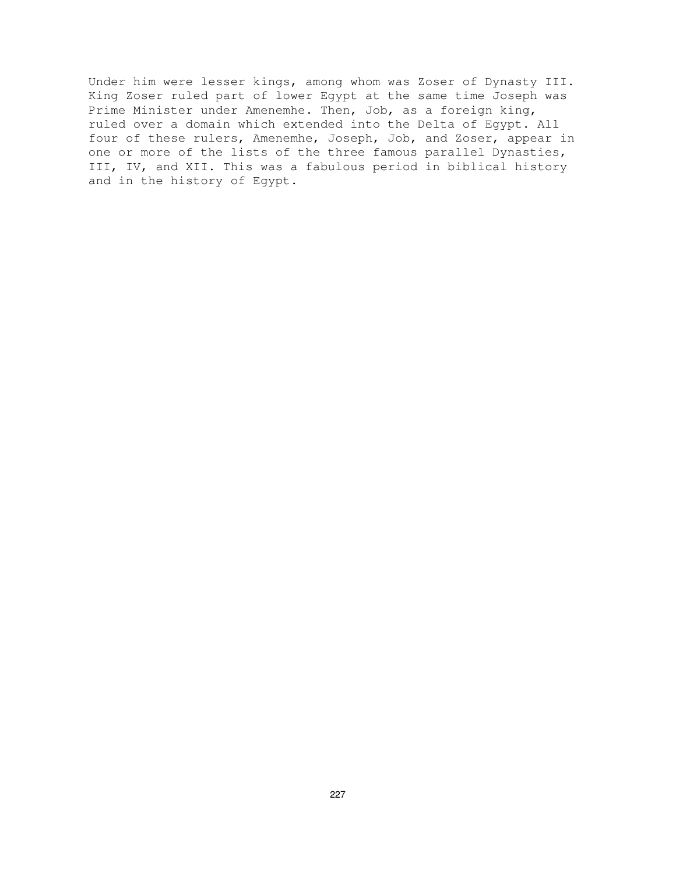Under him were lesser kings, among whom was Zoser of Dynasty III. King Zoser ruled part of lower Egypt at the same time Joseph was Prime Minister under Amenemhe. Then, Job, as a foreign king, ruled over a domain which extended into the Delta of Egypt. All four of these rulers, Amenemhe, Joseph, Job, and Zoser, appear in one or more of the lists of the three famous parallel Dynasties, III, IV, and XII. This was a fabulous period in biblical history and in the history of Egypt.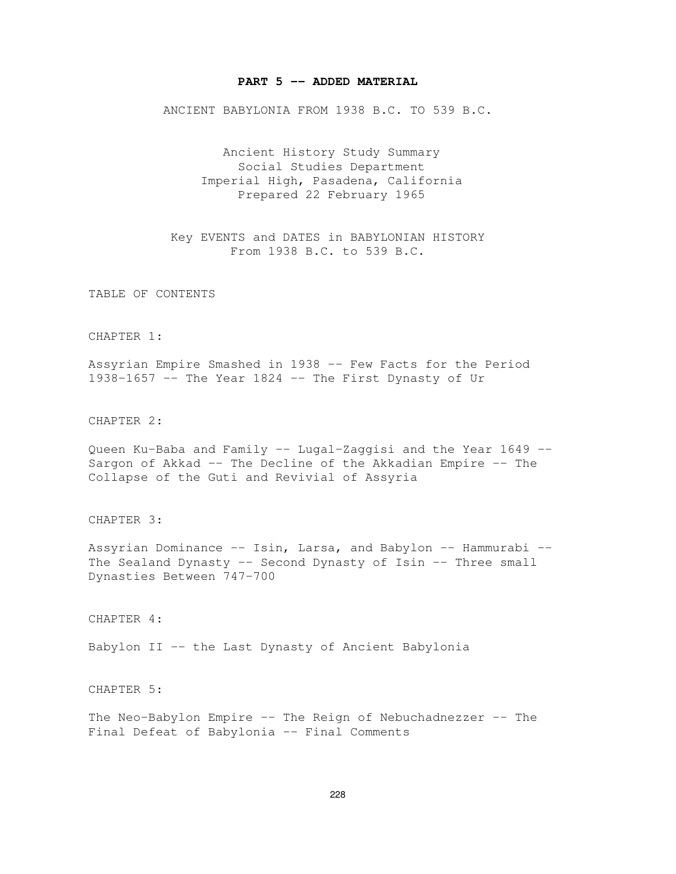#### **PART 5 -- ADDED MATERIAL**

ANCIENT BABYLONIA FROM 1938 B.C. TO 539 B.C.

Ancient History Study Summary Social Studies Department Imperial High, Pasadena, California Prepared 22 February 1965

Key EVENTS and DATES in BABYLONIAN HISTORY From 1938 B.C. to 539 B.C.

TABLE OF CONTENTS

CHAPTER 1:

Assyrian Empire Smashed in 1938 -- Few Facts for the Period 1938-1657 -- The Year 1824 -- The First Dynasty of Ur

CHAPTER 2:

Queen Ku-Baba and Family -- Lugal-Zaggisi and the Year 1649 -- Sargon of Akkad -- The Decline of the Akkadian Empire -- The Collapse of the Guti and Revivial of Assyria

CHAPTER 3:

Assyrian Dominance -- Isin, Larsa, and Babylon -- Hammurabi -- The Sealand Dynasty -- Second Dynasty of Isin -- Three small Dynasties Between 747-700

CHAPTER 4:

Babylon II -- the Last Dynasty of Ancient Babylonia

CHAPTER 5:

The Neo-Babylon Empire -- The Reign of Nebuchadnezzer -- The Final Defeat of Babylonia -- Final Comments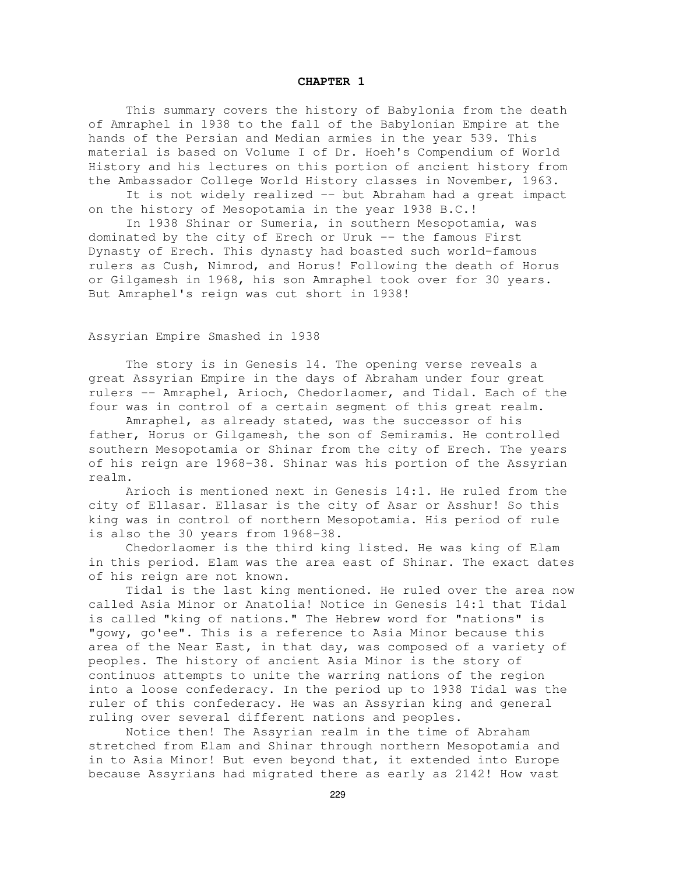#### **CHAPTER 1**

This summary covers the history of Babylonia from the death of Amraphel in 1938 to the fall of the Babylonian Empire at the hands of the Persian and Median armies in the year 539. This material is based on Volume I of Dr. Hoeh's Compendium of World History and his lectures on this portion of ancient history from the Ambassador College World History classes in November, 1963.

It is not widely realized -- but Abraham had a great impact on the history of Mesopotamia in the year 1938 B.C.!

In 1938 Shinar or Sumeria, in southern Mesopotamia, was dominated by the city of Erech or Uruk -- the famous First Dynasty of Erech. This dynasty had boasted such world-famous rulers as Cush, Nimrod, and Horus! Following the death of Horus or Gilgamesh in 1968, his son Amraphel took over for 30 years. But Amraphel's reign was cut short in 1938!

Assyrian Empire Smashed in 1938

The story is in Genesis 14. The opening verse reveals a great Assyrian Empire in the days of Abraham under four great rulers -- Amraphel, Arioch, Chedorlaomer, and Tidal. Each of the four was in control of a certain segment of this great realm.

Amraphel, as already stated, was the successor of his father, Horus or Gilgamesh, the son of Semiramis. He controlled southern Mesopotamia or Shinar from the city of Erech. The years of his reign are 1968-38. Shinar was his portion of the Assyrian realm.

Arioch is mentioned next in Genesis 14:1. He ruled from the city of Ellasar. Ellasar is the city of Asar or Asshur! So this king was in control of northern Mesopotamia. His period of rule is also the 30 years from 1968-38.

Chedorlaomer is the third king listed. He was king of Elam in this period. Elam was the area east of Shinar. The exact dates of his reign are not known.

Tidal is the last king mentioned. He ruled over the area now called Asia Minor or Anatolia! Notice in Genesis 14:1 that Tidal is called "king of nations." The Hebrew word for "nations" is "gowy, go'ee". This is a reference to Asia Minor because this area of the Near East, in that day, was composed of a variety of peoples. The history of ancient Asia Minor is the story of continuos attempts to unite the warring nations of the region into a loose confederacy. In the period up to 1938 Tidal was the ruler of this confederacy. He was an Assyrian king and general ruling over several different nations and peoples.

Notice then! The Assyrian realm in the time of Abraham stretched from Elam and Shinar through northern Mesopotamia and in to Asia Minor! But even beyond that, it extended into Europe because Assyrians had migrated there as early as 2142! How vast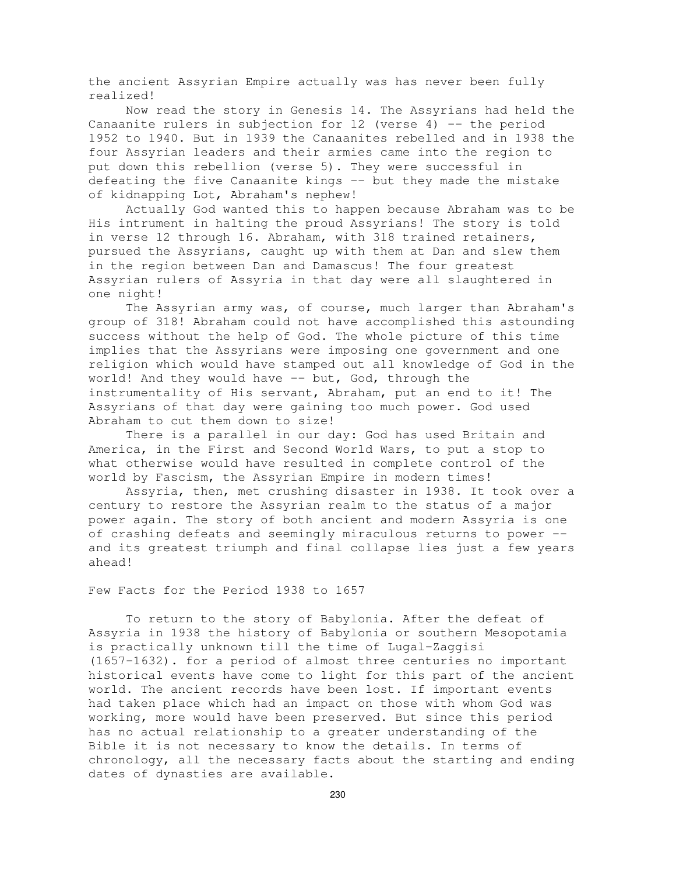the ancient Assyrian Empire actually was has never been fully realized!

Now read the story in Genesis 14. The Assyrians had held the Canaanite rulers in subjection for  $12$  (verse 4) -- the period 1952 to 1940. But in 1939 the Canaanites rebelled and in 1938 the four Assyrian leaders and their armies came into the region to put down this rebellion (verse 5). They were successful in defeating the five Canaanite kings -- but they made the mistake of kidnapping Lot, Abraham's nephew!

Actually God wanted this to happen because Abraham was to be His intrument in halting the proud Assyrians! The story is told in verse 12 through 16. Abraham, with 318 trained retainers, pursued the Assyrians, caught up with them at Dan and slew them in the region between Dan and Damascus! The four greatest Assyrian rulers of Assyria in that day were all slaughtered in one night!

The Assyrian army was, of course, much larger than Abraham's group of 318! Abraham could not have accomplished this astounding success without the help of God. The whole picture of this time implies that the Assyrians were imposing one government and one religion which would have stamped out all knowledge of God in the world! And they would have -- but, God, through the instrumentality of His servant, Abraham, put an end to it! The Assyrians of that day were gaining too much power. God used Abraham to cut them down to size!

There is a parallel in our day: God has used Britain and America, in the First and Second World Wars, to put a stop to what otherwise would have resulted in complete control of the world by Fascism, the Assyrian Empire in modern times!

Assyria, then, met crushing disaster in 1938. It took over a century to restore the Assyrian realm to the status of a major power again. The story of both ancient and modern Assyria is one of crashing defeats and seemingly miraculous returns to power - and its greatest triumph and final collapse lies just a few years ahead!

Few Facts for the Period 1938 to 1657

To return to the story of Babylonia. After the defeat of Assyria in 1938 the history of Babylonia or southern Mesopotamia is practically unknown till the time of Lugal-Zaggisi (1657-1632). for a period of almost three centuries no important historical events have come to light for this part of the ancient world. The ancient records have been lost. If important events had taken place which had an impact on those with whom God was working, more would have been preserved. But since this period has no actual relationship to a greater understanding of the Bible it is not necessary to know the details. In terms of chronology, all the necessary facts about the starting and ending dates of dynasties are available.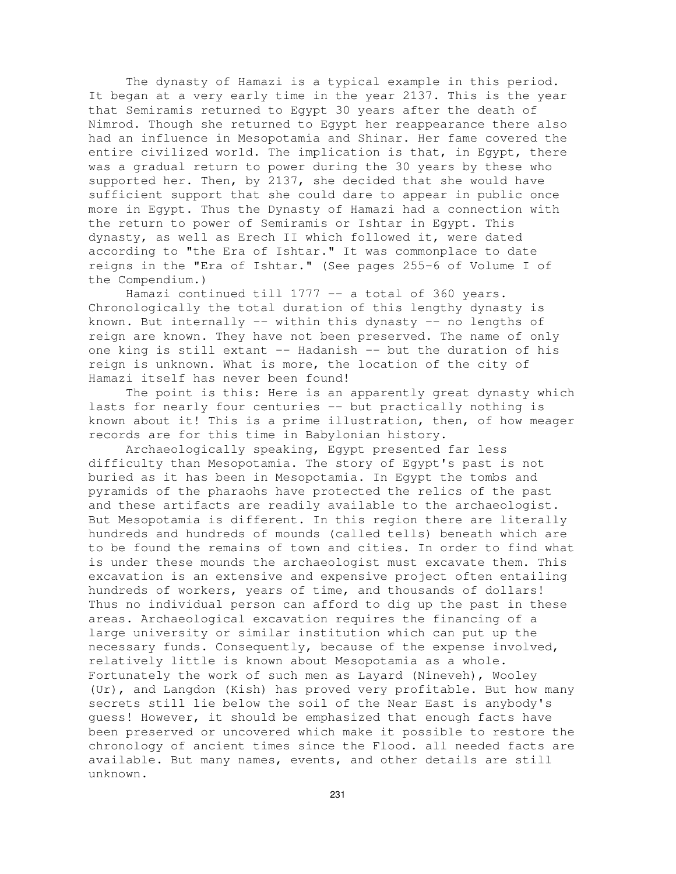The dynasty of Hamazi is a typical example in this period. It began at a very early time in the year 2137. This is the year that Semiramis returned to Egypt 30 years after the death of Nimrod. Though she returned to Egypt her reappearance there also had an influence in Mesopotamia and Shinar. Her fame covered the entire civilized world. The implication is that, in Egypt, there was a gradual return to power during the 30 years by these who supported her. Then, by 2137, she decided that she would have sufficient support that she could dare to appear in public once more in Egypt. Thus the Dynasty of Hamazi had a connection with the return to power of Semiramis or Ishtar in Egypt. This dynasty, as well as Erech II which followed it, were dated according to "the Era of Ishtar." It was commonplace to date reigns in the "Era of Ishtar." (See pages 255-6 of Volume I of the Compendium.)

Hamazi continued till 1777 -- a total of 360 years. Chronologically the total duration of this lengthy dynasty is known. But internally -- within this dynasty -- no lengths of reign are known. They have not been preserved. The name of only one king is still extant -- Hadanish -- but the duration of his reign is unknown. What is more, the location of the city of Hamazi itself has never been found!

The point is this: Here is an apparently great dynasty which lasts for nearly four centuries -- but practically nothing is known about it! This is a prime illustration, then, of how meager records are for this time in Babylonian history.

Archaeologically speaking, Egypt presented far less difficulty than Mesopotamia. The story of Egypt's past is not buried as it has been in Mesopotamia. In Egypt the tombs and pyramids of the pharaohs have protected the relics of the past and these artifacts are readily available to the archaeologist. But Mesopotamia is different. In this region there are literally hundreds and hundreds of mounds (called tells) beneath which are to be found the remains of town and cities. In order to find what is under these mounds the archaeologist must excavate them. This excavation is an extensive and expensive project often entailing hundreds of workers, years of time, and thousands of dollars! Thus no individual person can afford to dig up the past in these areas. Archaeological excavation requires the financing of a large university or similar institution which can put up the necessary funds. Consequently, because of the expense involved, relatively little is known about Mesopotamia as a whole. Fortunately the work of such men as Layard (Nineveh), Wooley (Ur), and Langdon (Kish) has proved very profitable. But how many secrets still lie below the soil of the Near East is anybody's guess! However, it should be emphasized that enough facts have been preserved or uncovered which make it possible to restore the chronology of ancient times since the Flood. all needed facts are available. But many names, events, and other details are still unknown.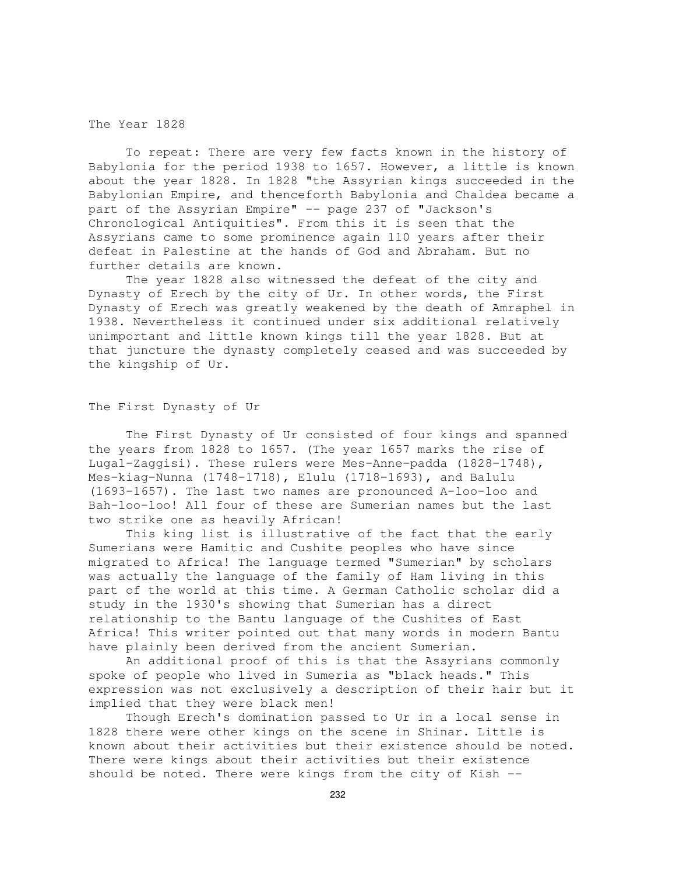#### The Year 1828

To repeat: There are very few facts known in the history of Babylonia for the period 1938 to 1657. However, a little is known about the year 1828. In 1828 "the Assyrian kings succeeded in the Babylonian Empire, and thenceforth Babylonia and Chaldea became a part of the Assyrian Empire" -- page 237 of "Jackson's Chronological Antiquities". From this it is seen that the Assyrians came to some prominence again 110 years after their defeat in Palestine at the hands of God and Abraham. But no further details are known.

The year 1828 also witnessed the defeat of the city and Dynasty of Erech by the city of Ur. In other words, the First Dynasty of Erech was greatly weakened by the death of Amraphel in 1938. Nevertheless it continued under six additional relatively unimportant and little known kings till the year 1828. But at that juncture the dynasty completely ceased and was succeeded by the kingship of Ur.

# The First Dynasty of Ur

The First Dynasty of Ur consisted of four kings and spanned the years from 1828 to 1657. (The year 1657 marks the rise of Lugal-Zaggisi). These rulers were Mes-Anne-padda (1828-1748), Mes-kiag-Nunna (1748-1718), Elulu (1718-1693), and Balulu (1693-1657). The last two names are pronounced A-loo-loo and Bah-loo-loo! All four of these are Sumerian names but the last two strike one as heavily African!

This king list is illustrative of the fact that the early Sumerians were Hamitic and Cushite peoples who have since migrated to Africa! The language termed "Sumerian" by scholars was actually the language of the family of Ham living in this part of the world at this time. A German Catholic scholar did a study in the 1930's showing that Sumerian has a direct relationship to the Bantu language of the Cushites of East Africa! This writer pointed out that many words in modern Bantu have plainly been derived from the ancient Sumerian.

An additional proof of this is that the Assyrians commonly spoke of people who lived in Sumeria as "black heads." This expression was not exclusively a description of their hair but it implied that they were black men!

Though Erech's domination passed to Ur in a local sense in 1828 there were other kings on the scene in Shinar. Little is known about their activities but their existence should be noted. There were kings about their activities but their existence should be noted. There were kings from the city of Kish --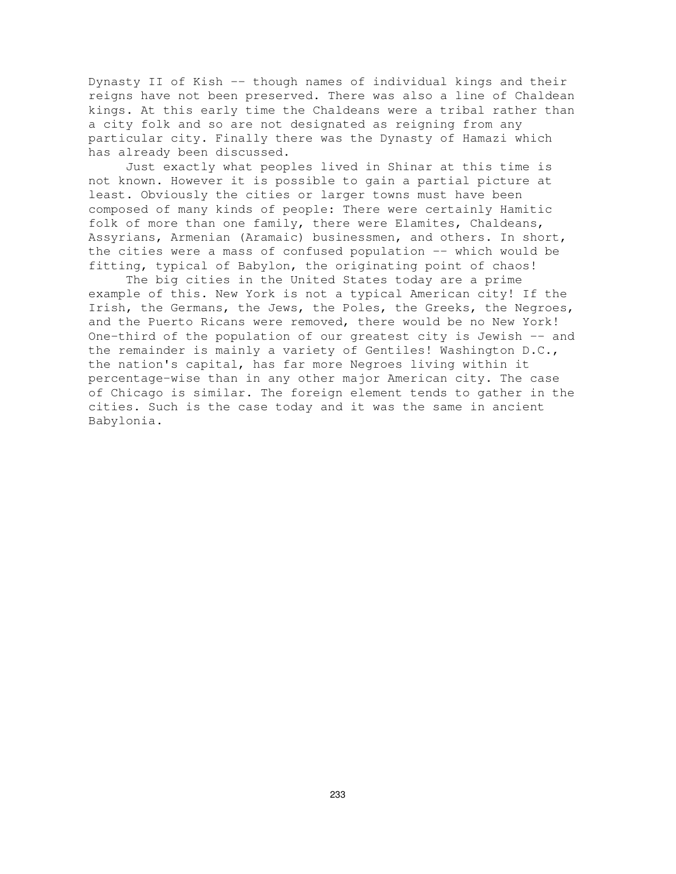Dynasty II of Kish -- though names of individual kings and their reigns have not been preserved. There was also a line of Chaldean kings. At this early time the Chaldeans were a tribal rather than a city folk and so are not designated as reigning from any particular city. Finally there was the Dynasty of Hamazi which has already been discussed.

Just exactly what peoples lived in Shinar at this time is not known. However it is possible to gain a partial picture at least. Obviously the cities or larger towns must have been composed of many kinds of people: There were certainly Hamitic folk of more than one family, there were Elamites, Chaldeans, Assyrians, Armenian (Aramaic) businessmen, and others. In short, the cities were a mass of confused population -- which would be fitting, typical of Babylon, the originating point of chaos!

The big cities in the United States today are a prime example of this. New York is not a typical American city! If the Irish, the Germans, the Jews, the Poles, the Greeks, the Negroes, and the Puerto Ricans were removed, there would be no New York! One-third of the population of our greatest city is Jewish -- and the remainder is mainly a variety of Gentiles! Washington D.C., the nation's capital, has far more Negroes living within it percentage-wise than in any other major American city. The case of Chicago is similar. The foreign element tends to gather in the cities. Such is the case today and it was the same in ancient Babylonia.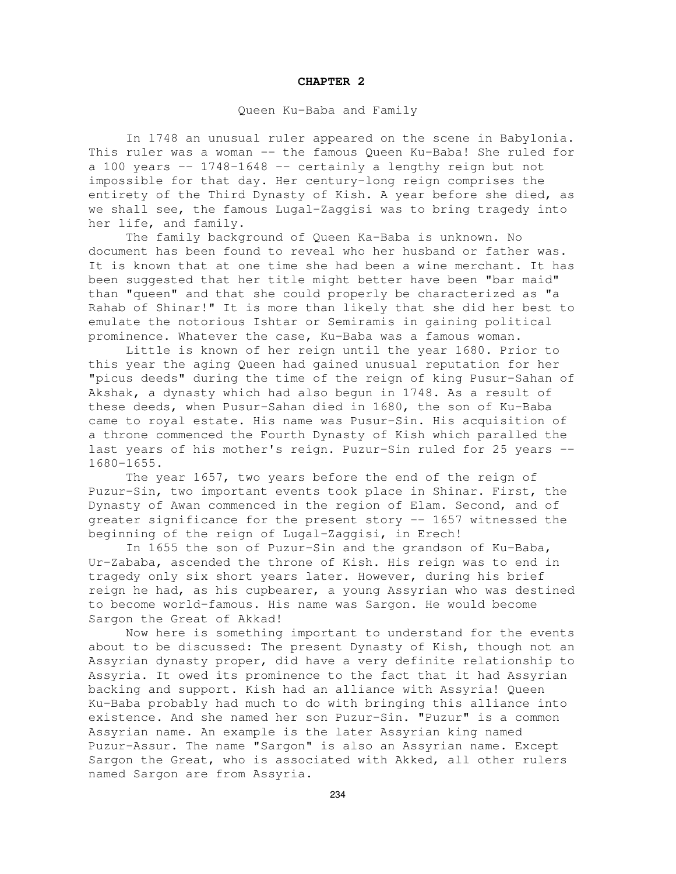#### **CHAPTER 2**

# Queen Ku-Baba and Family

In 1748 an unusual ruler appeared on the scene in Babylonia. This ruler was a woman -- the famous Queen Ku-Baba! She ruled for a 100 years  $-$  1748-1648  $-$  certainly a lengthy reign but not impossible for that day. Her century-long reign comprises the entirety of the Third Dynasty of Kish. A year before she died, as we shall see, the famous Lugal-Zaggisi was to bring tragedy into her life, and family.

The family background of Queen Ka-Baba is unknown. No document has been found to reveal who her husband or father was. It is known that at one time she had been a wine merchant. It has been suggested that her title might better have been "bar maid" than "queen" and that she could properly be characterized as "a Rahab of Shinar!" It is more than likely that she did her best to emulate the notorious Ishtar or Semiramis in gaining political prominence. Whatever the case, Ku-Baba was a famous woman.

Little is known of her reign until the year 1680. Prior to this year the aging Queen had gained unusual reputation for her "picus deeds" during the time of the reign of king Pusur-Sahan of Akshak, a dynasty which had also begun in 1748. As a result of these deeds, when Pusur-Sahan died in 1680, the son of Ku-Baba came to royal estate. His name was Pusur-Sin. His acquisition of a throne commenced the Fourth Dynasty of Kish which paralled the last years of his mother's reign. Puzur-Sin ruled for 25 years -- 1680-1655.

The year 1657, two years before the end of the reign of Puzur-Sin, two important events took place in Shinar. First, the Dynasty of Awan commenced in the region of Elam. Second, and of greater significance for the present story -- 1657 witnessed the beginning of the reign of Lugal-Zaggisi, in Erech!

In 1655 the son of Puzur-Sin and the grandson of Ku-Baba, Ur-Zababa, ascended the throne of Kish. His reign was to end in tragedy only six short years later. However, during his brief reign he had, as his cupbearer, a young Assyrian who was destined to become world-famous. His name was Sargon. He would become Sargon the Great of Akkad!

Now here is something important to understand for the events about to be discussed: The present Dynasty of Kish, though not an Assyrian dynasty proper, did have a very definite relationship to Assyria. It owed its prominence to the fact that it had Assyrian backing and support. Kish had an alliance with Assyria! Queen Ku-Baba probably had much to do with bringing this alliance into existence. And she named her son Puzur-Sin. "Puzur" is a common Assyrian name. An example is the later Assyrian king named Puzur-Assur. The name "Sargon" is also an Assyrian name. Except Sargon the Great, who is associated with Akked, all other rulers named Sargon are from Assyria.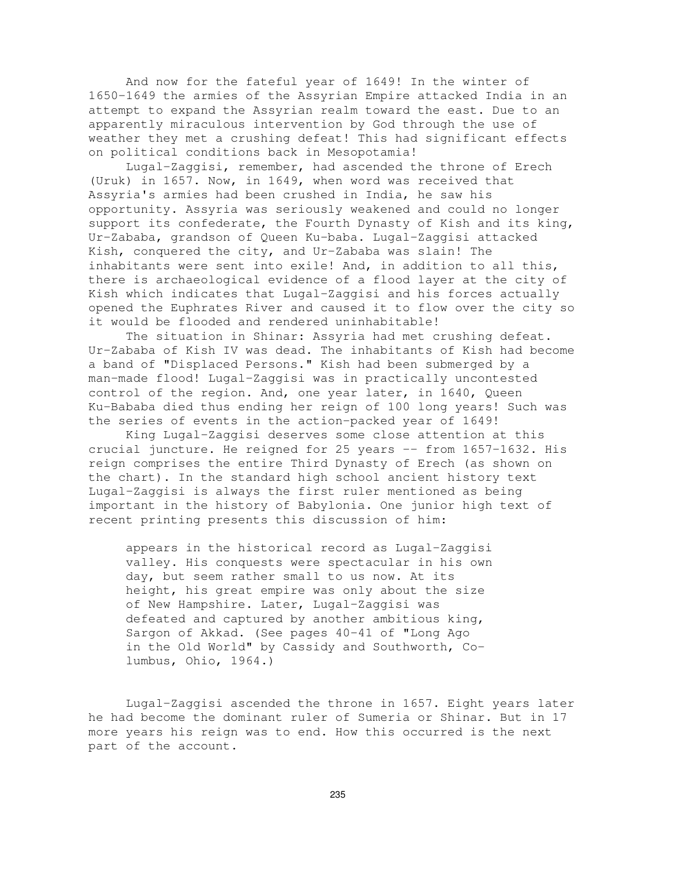And now for the fateful year of 1649! In the winter of 1650-1649 the armies of the Assyrian Empire attacked India in an attempt to expand the Assyrian realm toward the east. Due to an apparently miraculous intervention by God through the use of weather they met a crushing defeat! This had significant effects on political conditions back in Mesopotamia!

Lugal-Zaggisi, remember, had ascended the throne of Erech (Uruk) in 1657. Now, in 1649, when word was received that Assyria's armies had been crushed in India, he saw his opportunity. Assyria was seriously weakened and could no longer support its confederate, the Fourth Dynasty of Kish and its king, Ur-Zababa, grandson of Queen Ku-baba. Lugal-Zaggisi attacked Kish, conquered the city, and Ur-Zababa was slain! The inhabitants were sent into exile! And, in addition to all this, there is archaeological evidence of a flood layer at the city of Kish which indicates that Lugal-Zaggisi and his forces actually opened the Euphrates River and caused it to flow over the city so it would be flooded and rendered uninhabitable!

The situation in Shinar: Assyria had met crushing defeat. Ur-Zababa of Kish IV was dead. The inhabitants of Kish had become a band of "Displaced Persons." Kish had been submerged by a man-made flood! Lugal-Zaggisi was in practically uncontested control of the region. And, one year later, in 1640, Queen Ku-Bababa died thus ending her reign of 100 long years! Such was the series of events in the action-packed year of 1649!

King Lugal-Zaggisi deserves some close attention at this crucial juncture. He reigned for 25 years -- from 1657-1632. His reign comprises the entire Third Dynasty of Erech (as shown on the chart). In the standard high school ancient history text Lugal-Zaggisi is always the first ruler mentioned as being important in the history of Babylonia. One junior high text of recent printing presents this discussion of him:

appears in the historical record as Lugal-Zaggisi valley. His conquests were spectacular in his own day, but seem rather small to us now. At its height, his great empire was only about the size of New Hampshire. Later, Lugal-Zaggisi was defeated and captured by another ambitious king, Sargon of Akkad. (See pages 40-41 of "Long Ago in the Old World" by Cassidy and Southworth, Columbus, Ohio, 1964.)

Lugal-Zaggisi ascended the throne in 1657. Eight years later he had become the dominant ruler of Sumeria or Shinar. But in 17 more years his reign was to end. How this occurred is the next part of the account.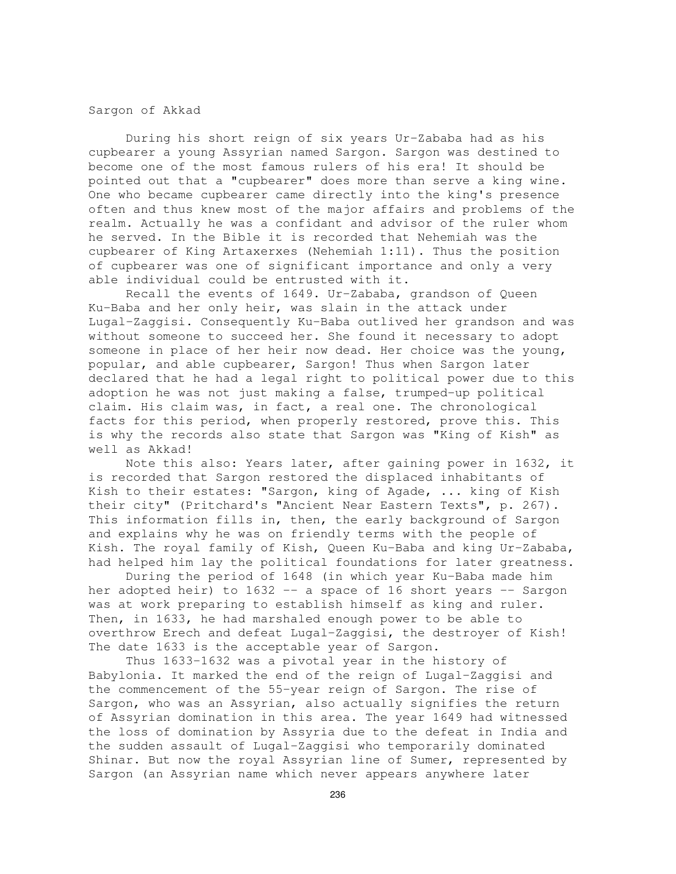Sargon of Akkad

During his short reign of six years Ur-Zababa had as his cupbearer a young Assyrian named Sargon. Sargon was destined to become one of the most famous rulers of his era! It should be pointed out that a "cupbearer" does more than serve a king wine. One who became cupbearer came directly into the king's presence often and thus knew most of the major affairs and problems of the realm. Actually he was a confidant and advisor of the ruler whom he served. In the Bible it is recorded that Nehemiah was the cupbearer of King Artaxerxes (Nehemiah 1:11). Thus the position of cupbearer was one of significant importance and only a very able individual could be entrusted with it.

Recall the events of 1649. Ur-Zababa, grandson of Queen Ku-Baba and her only heir, was slain in the attack under Lugal-Zaggisi. Consequently Ku-Baba outlived her grandson and was without someone to succeed her. She found it necessary to adopt someone in place of her heir now dead. Her choice was the young, popular, and able cupbearer, Sargon! Thus when Sargon later declared that he had a legal right to political power due to this adoption he was not just making a false, trumped-up political claim. His claim was, in fact, a real one. The chronological facts for this period, when properly restored, prove this. This is why the records also state that Sargon was "King of Kish" as well as Akkad!

Note this also: Years later, after gaining power in 1632, it is recorded that Sargon restored the displaced inhabitants of Kish to their estates: "Sargon, king of Agade, ... king of Kish their city" (Pritchard's "Ancient Near Eastern Texts", p. 267). This information fills in, then, the early background of Sargon and explains why he was on friendly terms with the people of Kish. The royal family of Kish, Queen Ku-Baba and king Ur-Zababa, had helped him lay the political foundations for later greatness.

During the period of 1648 (in which year Ku-Baba made him her adopted heir) to 1632 -- a space of 16 short years -- Sargon was at work preparing to establish himself as king and ruler. Then, in 1633, he had marshaled enough power to be able to overthrow Erech and defeat Lugal-Zaggisi, the destroyer of Kish! The date 1633 is the acceptable year of Sargon.

Thus 1633-1632 was a pivotal year in the history of Babylonia. It marked the end of the reign of Lugal-Zaggisi and the commencement of the 55-year reign of Sargon. The rise of Sargon, who was an Assyrian, also actually signifies the return of Assyrian domination in this area. The year 1649 had witnessed the loss of domination by Assyria due to the defeat in India and the sudden assault of Lugal-Zaggisi who temporarily dominated Shinar. But now the royal Assyrian line of Sumer, represented by Sargon (an Assyrian name which never appears anywhere later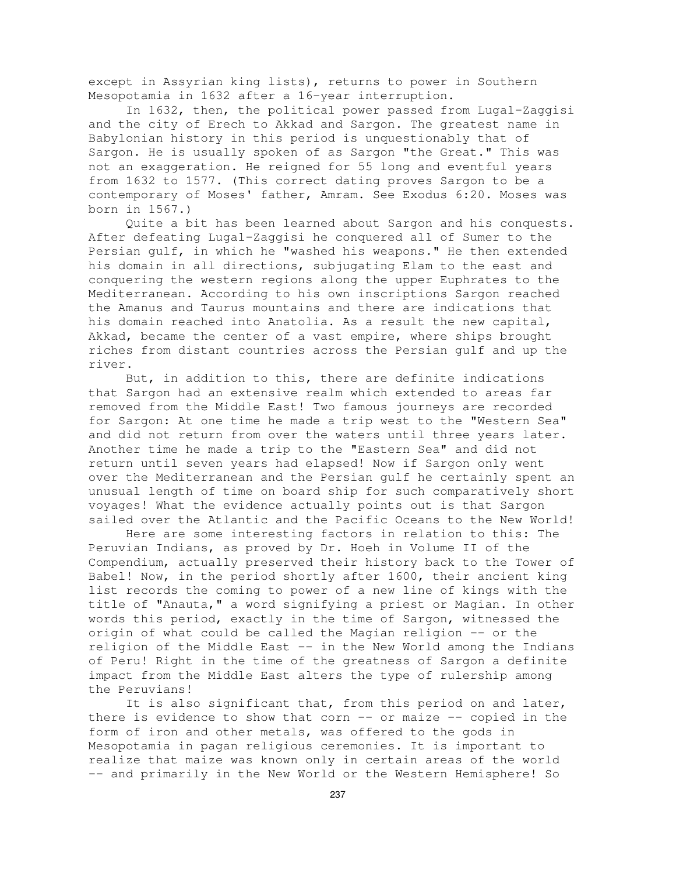except in Assyrian king lists), returns to power in Southern Mesopotamia in 1632 after a 16-year interruption.

In 1632, then, the political power passed from Lugal-Zaggisi and the city of Erech to Akkad and Sargon. The greatest name in Babylonian history in this period is unquestionably that of Sargon. He is usually spoken of as Sargon "the Great." This was not an exaggeration. He reigned for 55 long and eventful years from 1632 to 1577. (This correct dating proves Sargon to be a contemporary of Moses' father, Amram. See Exodus 6:20. Moses was born in 1567.)

Quite a bit has been learned about Sargon and his conquests. After defeating Lugal-Zaggisi he conquered all of Sumer to the Persian gulf, in which he "washed his weapons." He then extended his domain in all directions, subjugating Elam to the east and conquering the western regions along the upper Euphrates to the Mediterranean. According to his own inscriptions Sargon reached the Amanus and Taurus mountains and there are indications that his domain reached into Anatolia. As a result the new capital, Akkad, became the center of a vast empire, where ships brought riches from distant countries across the Persian gulf and up the river.

But, in addition to this, there are definite indications that Sargon had an extensive realm which extended to areas far removed from the Middle East! Two famous journeys are recorded for Sargon: At one time he made a trip west to the "Western Sea" and did not return from over the waters until three years later. Another time he made a trip to the "Eastern Sea" and did not return until seven years had elapsed! Now if Sargon only went over the Mediterranean and the Persian gulf he certainly spent an unusual length of time on board ship for such comparatively short voyages! What the evidence actually points out is that Sargon sailed over the Atlantic and the Pacific Oceans to the New World!

Here are some interesting factors in relation to this: The Peruvian Indians, as proved by Dr. Hoeh in Volume II of the Compendium, actually preserved their history back to the Tower of Babel! Now, in the period shortly after 1600, their ancient king list records the coming to power of a new line of kings with the title of "Anauta," a word signifying a priest or Magian. In other words this period, exactly in the time of Sargon, witnessed the origin of what could be called the Magian religion -- or the religion of the Middle East -- in the New World among the Indians of Peru! Right in the time of the greatness of Sargon a definite impact from the Middle East alters the type of rulership among the Peruvians!

It is also significant that, from this period on and later, there is evidence to show that corn  $-$  or maize  $-$  copied in the form of iron and other metals, was offered to the gods in Mesopotamia in pagan religious ceremonies. It is important to realize that maize was known only in certain areas of the world -- and primarily in the New World or the Western Hemisphere! So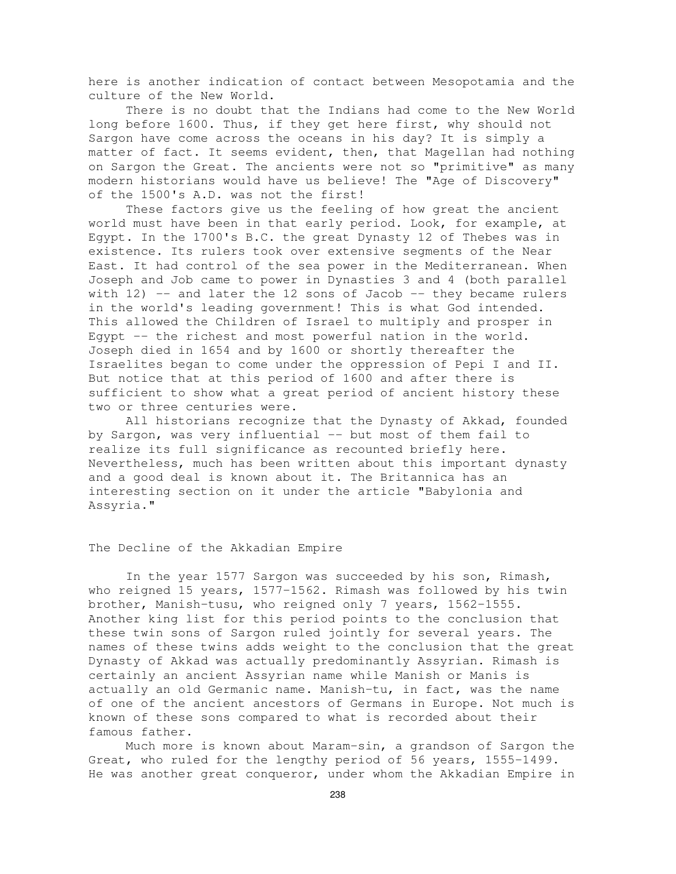here is another indication of contact between Mesopotamia and the culture of the New World.

There is no doubt that the Indians had come to the New World long before 1600. Thus, if they get here first, why should not Sargon have come across the oceans in his day? It is simply a matter of fact. It seems evident, then, that Magellan had nothing on Sargon the Great. The ancients were not so "primitive" as many modern historians would have us believe! The "Age of Discovery" of the 1500's A.D. was not the first!

These factors give us the feeling of how great the ancient world must have been in that early period. Look, for example, at Egypt. In the 1700's B.C. the great Dynasty 12 of Thebes was in existence. Its rulers took over extensive segments of the Near East. It had control of the sea power in the Mediterranean. When Joseph and Job came to power in Dynasties 3 and 4 (both parallel with  $12$ ) -- and later the  $12$  sons of Jacob -- they became rulers in the world's leading government! This is what God intended. This allowed the Children of Israel to multiply and prosper in Egypt -- the richest and most powerful nation in the world. Joseph died in 1654 and by 1600 or shortly thereafter the Israelites began to come under the oppression of Pepi I and II. But notice that at this period of 1600 and after there is sufficient to show what a great period of ancient history these two or three centuries were.

All historians recognize that the Dynasty of Akkad, founded by Sargon, was very influential -- but most of them fail to realize its full significance as recounted briefly here. Nevertheless, much has been written about this important dynasty and a good deal is known about it. The Britannica has an interesting section on it under the article "Babylonia and Assyria."

### The Decline of the Akkadian Empire

In the year 1577 Sargon was succeeded by his son, Rimash, who reigned 15 years, 1577-1562. Rimash was followed by his twin brother, Manish-tusu, who reigned only 7 years, 1562-1555. Another king list for this period points to the conclusion that these twin sons of Sargon ruled jointly for several years. The names of these twins adds weight to the conclusion that the great Dynasty of Akkad was actually predominantly Assyrian. Rimash is certainly an ancient Assyrian name while Manish or Manis is actually an old Germanic name. Manish-tu, in fact, was the name of one of the ancient ancestors of Germans in Europe. Not much is known of these sons compared to what is recorded about their famous father.

Much more is known about Maram-sin, a grandson of Sargon the Great, who ruled for the lengthy period of 56 years, 1555-1499. He was another great conqueror, under whom the Akkadian Empire in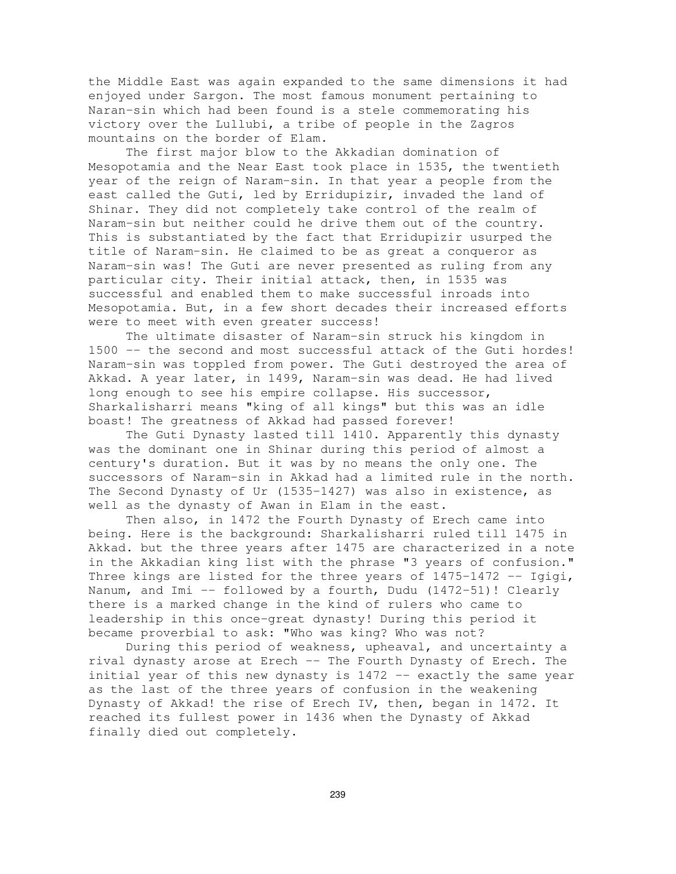the Middle East was again expanded to the same dimensions it had enjoyed under Sargon. The most famous monument pertaining to Naran-sin which had been found is a stele commemorating his victory over the Lullubi, a tribe of people in the Zagros mountains on the border of Elam.

The first major blow to the Akkadian domination of Mesopotamia and the Near East took place in 1535, the twentieth year of the reign of Naram-sin. In that year a people from the east called the Guti, led by Erridupizir, invaded the land of Shinar. They did not completely take control of the realm of Naram-sin but neither could he drive them out of the country. This is substantiated by the fact that Erridupizir usurped the title of Naram-sin. He claimed to be as great a conqueror as Naram-sin was! The Guti are never presented as ruling from any particular city. Their initial attack, then, in 1535 was successful and enabled them to make successful inroads into Mesopotamia. But, in a few short decades their increased efforts were to meet with even greater success!

The ultimate disaster of Naram-sin struck his kingdom in 1500 -- the second and most successful attack of the Guti hordes! Naram-sin was toppled from power. The Guti destroyed the area of Akkad. A year later, in 1499, Naram-sin was dead. He had lived long enough to see his empire collapse. His successor, Sharkalisharri means "king of all kings" but this was an idle boast! The greatness of Akkad had passed forever!

The Guti Dynasty lasted till 1410. Apparently this dynasty was the dominant one in Shinar during this period of almost a century's duration. But it was by no means the only one. The successors of Naram-sin in Akkad had a limited rule in the north. The Second Dynasty of Ur (1535-1427) was also in existence, as well as the dynasty of Awan in Elam in the east.

Then also, in 1472 the Fourth Dynasty of Erech came into being. Here is the background: Sharkalisharri ruled till 1475 in Akkad. but the three years after 1475 are characterized in a note in the Akkadian king list with the phrase "3 years of confusion." Three kings are listed for the three years of 1475-1472 -- Igigi, Nanum, and Imi  $-$  followed by a fourth, Dudu (1472-51)! Clearly there is a marked change in the kind of rulers who came to leadership in this once-great dynasty! During this period it became proverbial to ask: "Who was king? Who was not?

During this period of weakness, upheaval, and uncertainty a rival dynasty arose at Erech -- The Fourth Dynasty of Erech. The initial year of this new dynasty is 1472 -- exactly the same year as the last of the three years of confusion in the weakening Dynasty of Akkad! the rise of Erech IV, then, began in 1472. It reached its fullest power in 1436 when the Dynasty of Akkad finally died out completely.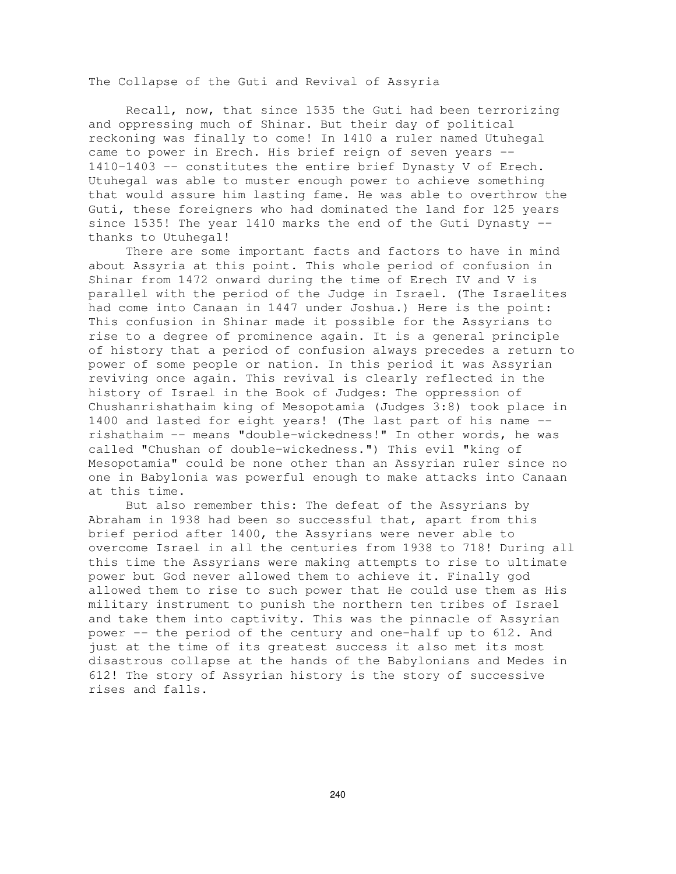The Collapse of the Guti and Revival of Assyria

Recall, now, that since 1535 the Guti had been terrorizing and oppressing much of Shinar. But their day of political reckoning was finally to come! In 1410 a ruler named Utuhegal came to power in Erech. His brief reign of seven years -- 1410-1403 -- constitutes the entire brief Dynasty V of Erech. Utuhegal was able to muster enough power to achieve something that would assure him lasting fame. He was able to overthrow the Guti, these foreigners who had dominated the land for 125 years since 1535! The year 1410 marks the end of the Guti Dynasty - thanks to Utuhegal!

There are some important facts and factors to have in mind about Assyria at this point. This whole period of confusion in Shinar from 1472 onward during the time of Erech IV and V is parallel with the period of the Judge in Israel. (The Israelites had come into Canaan in 1447 under Joshua.) Here is the point: This confusion in Shinar made it possible for the Assyrians to rise to a degree of prominence again. It is a general principle of history that a period of confusion always precedes a return to power of some people or nation. In this period it was Assyrian reviving once again. This revival is clearly reflected in the history of Israel in the Book of Judges: The oppression of Chushanrishathaim king of Mesopotamia (Judges 3:8) took place in 1400 and lasted for eight years! (The last part of his name - rishathaim -- means "double-wickedness!" In other words, he was called "Chushan of double-wickedness.") This evil "king of Mesopotamia" could be none other than an Assyrian ruler since no one in Babylonia was powerful enough to make attacks into Canaan at this time.

But also remember this: The defeat of the Assyrians by Abraham in 1938 had been so successful that, apart from this brief period after 1400, the Assyrians were never able to overcome Israel in all the centuries from 1938 to 718! During all this time the Assyrians were making attempts to rise to ultimate power but God never allowed them to achieve it. Finally god allowed them to rise to such power that He could use them as His military instrument to punish the northern ten tribes of Israel and take them into captivity. This was the pinnacle of Assyrian power -- the period of the century and one-half up to 612. And just at the time of its greatest success it also met its most disastrous collapse at the hands of the Babylonians and Medes in 612! The story of Assyrian history is the story of successive rises and falls.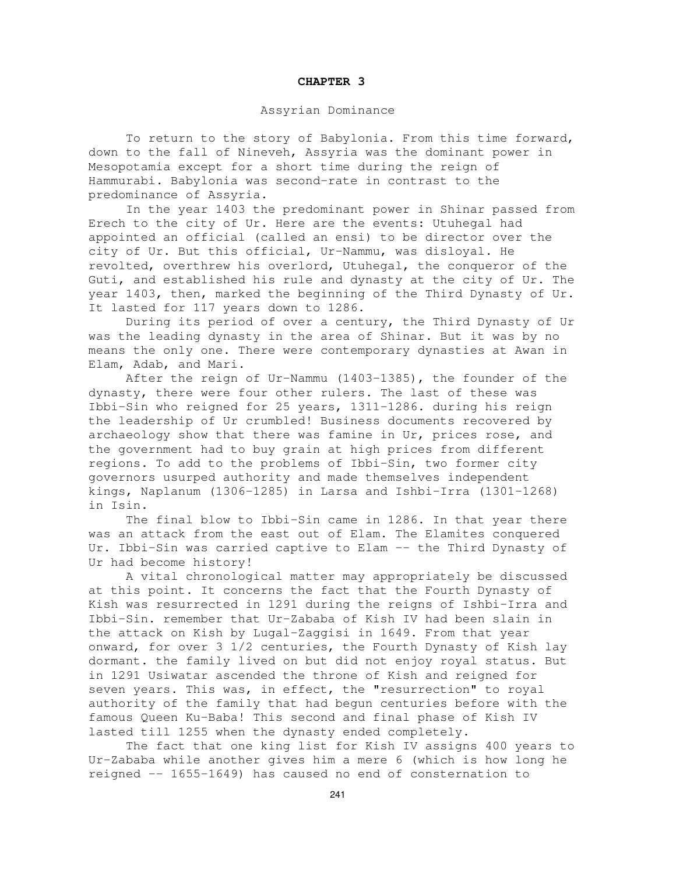### **CHAPTER 3**

# Assyrian Dominance

To return to the story of Babylonia. From this time forward, down to the fall of Nineveh, Assyria was the dominant power in Mesopotamia except for a short time during the reign of Hammurabi. Babylonia was second-rate in contrast to the predominance of Assyria.

In the year 1403 the predominant power in Shinar passed from Erech to the city of Ur. Here are the events: Utuhegal had appointed an official (called an ensi) to be director over the city of Ur. But this official, Ur-Nammu, was disloyal. He revolted, overthrew his overlord, Utuhegal, the conqueror of the Guti, and established his rule and dynasty at the city of Ur. The year 1403, then, marked the beginning of the Third Dynasty of Ur. It lasted for 117 years down to 1286.

During its period of over a century, the Third Dynasty of Ur was the leading dynasty in the area of Shinar. But it was by no means the only one. There were contemporary dynasties at Awan in Elam, Adab, and Mari.

After the reign of Ur-Nammu (1403-1385), the founder of the dynasty, there were four other rulers. The last of these was Ibbi-Sin who reigned for 25 years, 1311-1286. during his reign the leadership of Ur crumbled! Business documents recovered by archaeology show that there was famine in Ur, prices rose, and the government had to buy grain at high prices from different regions. To add to the problems of Ibbi-Sin, two former city governors usurped authority and made themselves independent kings, Naplanum (1306-1285) in Larsa and Ishbi-Irra (1301-1268) in Isin.

The final blow to Ibbi-Sin came in 1286. In that year there was an attack from the east out of Elam. The Elamites conquered Ur. Ibbi-Sin was carried captive to Elam -- the Third Dynasty of Ur had become history!

A vital chronological matter may appropriately be discussed at this point. It concerns the fact that the Fourth Dynasty of Kish was resurrected in 1291 during the reigns of Ishbi-Irra and Ibbi-Sin. remember that Ur-Zababa of Kish IV had been slain in the attack on Kish by Lugal-Zaggisi in 1649. From that year onward, for over 3 1/2 centuries, the Fourth Dynasty of Kish lay dormant. the family lived on but did not enjoy royal status. But in 1291 Usiwatar ascended the throne of Kish and reigned for seven years. This was, in effect, the "resurrection" to royal authority of the family that had begun centuries before with the famous Queen Ku-Baba! This second and final phase of Kish IV lasted till 1255 when the dynasty ended completely.

The fact that one king list for Kish IV assigns 400 years to Ur-Zababa while another gives him a mere 6 (which is how long he reigned -- 1655-1649) has caused no end of consternation to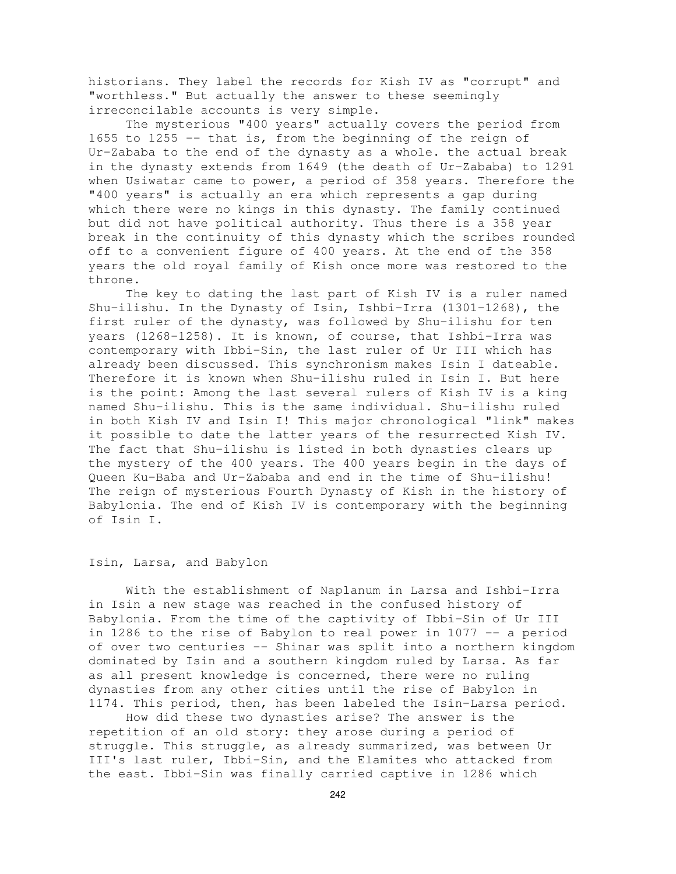historians. They label the records for Kish IV as "corrupt" and "worthless." But actually the answer to these seemingly irreconcilable accounts is very simple.

The mysterious "400 years" actually covers the period from 1655 to 1255 -- that is, from the beginning of the reign of Ur-Zababa to the end of the dynasty as a whole. the actual break in the dynasty extends from 1649 (the death of Ur-Zababa) to 1291 when Usiwatar came to power, a period of 358 years. Therefore the "400 years" is actually an era which represents a gap during which there were no kings in this dynasty. The family continued but did not have political authority. Thus there is a 358 year break in the continuity of this dynasty which the scribes rounded off to a convenient figure of 400 years. At the end of the 358 years the old royal family of Kish once more was restored to the throne.

The key to dating the last part of Kish IV is a ruler named Shu-ilishu. In the Dynasty of Isin, Ishbi-Irra (1301-1268), the first ruler of the dynasty, was followed by Shu-ilishu for ten years (1268-1258). It is known, of course, that Ishbi-Irra was contemporary with Ibbi-Sin, the last ruler of Ur III which has already been discussed. This synchronism makes Isin I dateable. Therefore it is known when Shu-ilishu ruled in Isin I. But here is the point: Among the last several rulers of Kish IV is a king named Shu-ilishu. This is the same individual. Shu-ilishu ruled in both Kish IV and Isin I! This major chronological "link" makes it possible to date the latter years of the resurrected Kish IV. The fact that Shu-ilishu is listed in both dynasties clears up the mystery of the 400 years. The 400 years begin in the days of Queen Ku-Baba and Ur-Zababa and end in the time of Shu-ilishu! The reign of mysterious Fourth Dynasty of Kish in the history of Babylonia. The end of Kish IV is contemporary with the beginning of Isin I.

## Isin, Larsa, and Babylon

With the establishment of Naplanum in Larsa and Ishbi-Irra in Isin a new stage was reached in the confused history of Babylonia. From the time of the captivity of Ibbi-Sin of Ur III in 1286 to the rise of Babylon to real power in 1077 -- a period of over two centuries -- Shinar was split into a northern kingdom dominated by Isin and a southern kingdom ruled by Larsa. As far as all present knowledge is concerned, there were no ruling dynasties from any other cities until the rise of Babylon in 1174. This period, then, has been labeled the Isin-Larsa period.

How did these two dynasties arise? The answer is the repetition of an old story: they arose during a period of struggle. This struggle, as already summarized, was between Ur III's last ruler, Ibbi-Sin, and the Elamites who attacked from the east. Ibbi-Sin was finally carried captive in 1286 which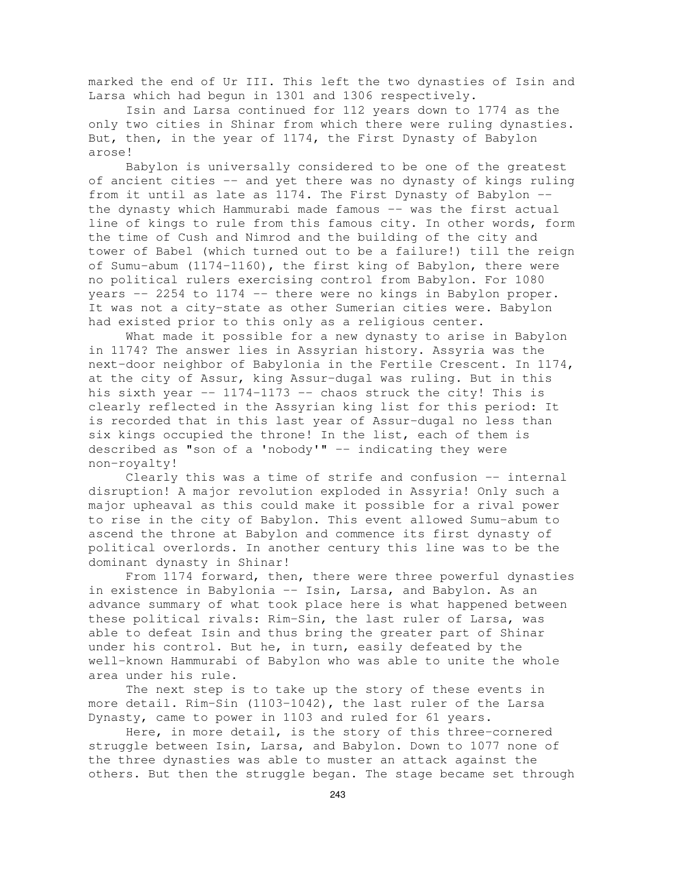marked the end of Ur III. This left the two dynasties of Isin and Larsa which had begun in 1301 and 1306 respectively.

Isin and Larsa continued for 112 years down to 1774 as the only two cities in Shinar from which there were ruling dynasties. But, then, in the year of 1174, the First Dynasty of Babylon arose!

Babylon is universally considered to be one of the greatest of ancient cities -- and yet there was no dynasty of kings ruling from it until as late as 1174. The First Dynasty of Babylon - the dynasty which Hammurabi made famous -- was the first actual line of kings to rule from this famous city. In other words, form the time of Cush and Nimrod and the building of the city and tower of Babel (which turned out to be a failure!) till the reign of Sumu-abum (1174-1160), the first king of Babylon, there were no political rulers exercising control from Babylon. For 1080 years -- 2254 to 1174 -- there were no kings in Babylon proper. It was not a city-state as other Sumerian cities were. Babylon had existed prior to this only as a religious center.

What made it possible for a new dynasty to arise in Babylon in 1174? The answer lies in Assyrian history. Assyria was the next-door neighbor of Babylonia in the Fertile Crescent. In 1174, at the city of Assur, king Assur-dugal was ruling. But in this his sixth year -- 1174-1173 -- chaos struck the city! This is clearly reflected in the Assyrian king list for this period: It is recorded that in this last year of Assur-dugal no less than six kings occupied the throne! In the list, each of them is described as "son of a 'nobody'" -- indicating they were non-royalty!

Clearly this was a time of strife and confusion -- internal disruption! A major revolution exploded in Assyria! Only such a major upheaval as this could make it possible for a rival power to rise in the city of Babylon. This event allowed Sumu-abum to ascend the throne at Babylon and commence its first dynasty of political overlords. In another century this line was to be the dominant dynasty in Shinar!

From 1174 forward, then, there were three powerful dynasties in existence in Babylonia -- Isin, Larsa, and Babylon. As an advance summary of what took place here is what happened between these political rivals: Rim-Sin, the last ruler of Larsa, was able to defeat Isin and thus bring the greater part of Shinar under his control. But he, in turn, easily defeated by the well-known Hammurabi of Babylon who was able to unite the whole area under his rule.

The next step is to take up the story of these events in more detail. Rim-Sin (1103-1042), the last ruler of the Larsa Dynasty, came to power in 1103 and ruled for 61 years.

Here, in more detail, is the story of this three-cornered struggle between Isin, Larsa, and Babylon. Down to 1077 none of the three dynasties was able to muster an attack against the others. But then the struggle began. The stage became set through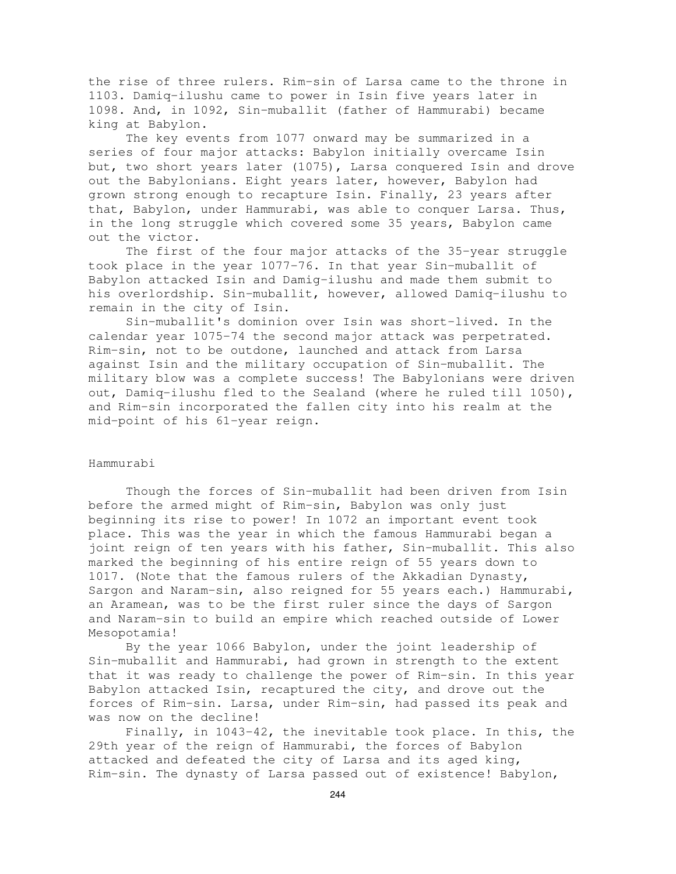the rise of three rulers. Rim-sin of Larsa came to the throne in 1103. Damiq-ilushu came to power in Isin five years later in 1098. And, in 1092, Sin-muballit (father of Hammurabi) became king at Babylon.

The key events from 1077 onward may be summarized in a series of four major attacks: Babylon initially overcame Isin but, two short years later (1075), Larsa conquered Isin and drove out the Babylonians. Eight years later, however, Babylon had grown strong enough to recapture Isin. Finally, 23 years after that, Babylon, under Hammurabi, was able to conquer Larsa. Thus, in the long struggle which covered some 35 years, Babylon came out the victor.

The first of the four major attacks of the 35-year struggle took place in the year 1077-76. In that year Sin-muballit of Babylon attacked Isin and Damig-ilushu and made them submit to his overlordship. Sin-muballit, however, allowed Damiq-ilushu to remain in the city of Isin.

Sin-muballit's dominion over Isin was short-lived. In the calendar year 1075-74 the second major attack was perpetrated. Rim-sin, not to be outdone, launched and attack from Larsa against Isin and the military occupation of Sin-muballit. The military blow was a complete success! The Babylonians were driven out, Damiq-ilushu fled to the Sealand (where he ruled till 1050), and Rim-sin incorporated the fallen city into his realm at the mid-point of his 61-year reign.

### Hammurabi

Though the forces of Sin-muballit had been driven from Isin before the armed might of Rim-sin, Babylon was only just beginning its rise to power! In 1072 an important event took place. This was the year in which the famous Hammurabi began a joint reign of ten years with his father, Sin-muballit. This also marked the beginning of his entire reign of 55 years down to 1017. (Note that the famous rulers of the Akkadian Dynasty, Sargon and Naram-sin, also reigned for 55 years each.) Hammurabi, an Aramean, was to be the first ruler since the days of Sargon and Naram-sin to build an empire which reached outside of Lower Mesopotamia!

By the year 1066 Babylon, under the joint leadership of Sin-muballit and Hammurabi, had grown in strength to the extent that it was ready to challenge the power of Rim-sin. In this year Babylon attacked Isin, recaptured the city, and drove out the forces of Rim-sin. Larsa, under Rim-sin, had passed its peak and was now on the decline!

Finally, in 1043-42, the inevitable took place. In this, the 29th year of the reign of Hammurabi, the forces of Babylon attacked and defeated the city of Larsa and its aged king, Rim-sin. The dynasty of Larsa passed out of existence! Babylon,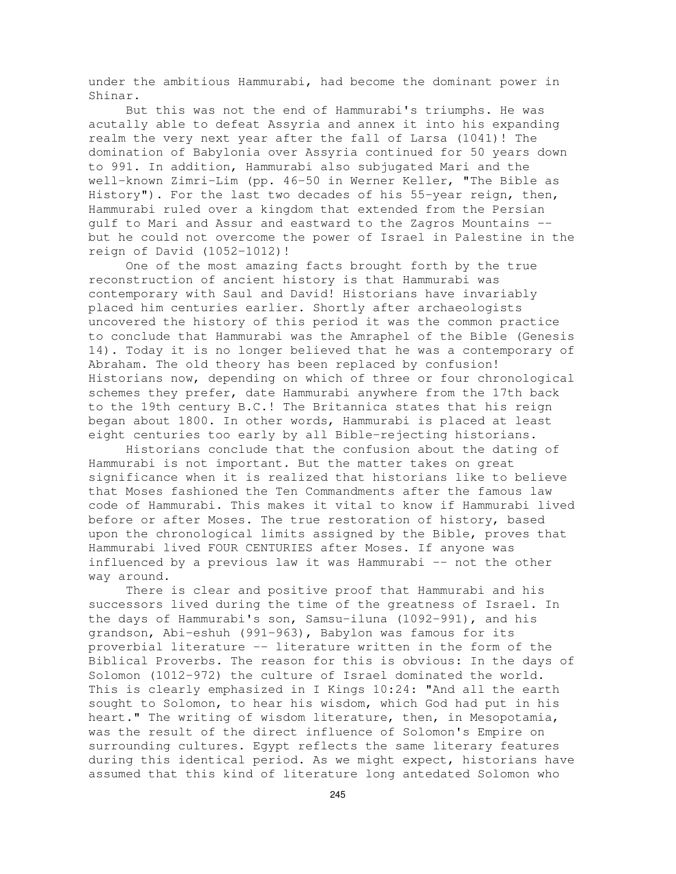under the ambitious Hammurabi, had become the dominant power in Shinar.

But this was not the end of Hammurabi's triumphs. He was acutally able to defeat Assyria and annex it into his expanding realm the very next year after the fall of Larsa (1041)! The domination of Babylonia over Assyria continued for 50 years down to 991. In addition, Hammurabi also subjugated Mari and the well-known Zimri-Lim (pp. 46-50 in Werner Keller, "The Bible as History"). For the last two decades of his 55-year reign, then, Hammurabi ruled over a kingdom that extended from the Persian gulf to Mari and Assur and eastward to the Zagros Mountains - but he could not overcome the power of Israel in Palestine in the reign of David (1052-1012)!

One of the most amazing facts brought forth by the true reconstruction of ancient history is that Hammurabi was contemporary with Saul and David! Historians have invariably placed him centuries earlier. Shortly after archaeologists uncovered the history of this period it was the common practice to conclude that Hammurabi was the Amraphel of the Bible (Genesis 14). Today it is no longer believed that he was a contemporary of Abraham. The old theory has been replaced by confusion! Historians now, depending on which of three or four chronological schemes they prefer, date Hammurabi anywhere from the 17th back to the 19th century B.C.! The Britannica states that his reign began about 1800. In other words, Hammurabi is placed at least eight centuries too early by all Bible-rejecting historians.

Historians conclude that the confusion about the dating of Hammurabi is not important. But the matter takes on great significance when it is realized that historians like to believe that Moses fashioned the Ten Commandments after the famous law code of Hammurabi. This makes it vital to know if Hammurabi lived before or after Moses. The true restoration of history, based upon the chronological limits assigned by the Bible, proves that Hammurabi lived FOUR CENTURIES after Moses. If anyone was influenced by a previous law it was Hammurabi -- not the other way around.

There is clear and positive proof that Hammurabi and his successors lived during the time of the greatness of Israel. In the days of Hammurabi's son, Samsu-iluna (1092-991), and his grandson, Abi-eshuh (991-963), Babylon was famous for its proverbial literature -- literature written in the form of the Biblical Proverbs. The reason for this is obvious: In the days of Solomon (1012-972) the culture of Israel dominated the world. This is clearly emphasized in I Kings 10:24: "And all the earth sought to Solomon, to hear his wisdom, which God had put in his heart." The writing of wisdom literature, then, in Mesopotamia, was the result of the direct influence of Solomon's Empire on surrounding cultures. Egypt reflects the same literary features during this identical period. As we might expect, historians have assumed that this kind of literature long antedated Solomon who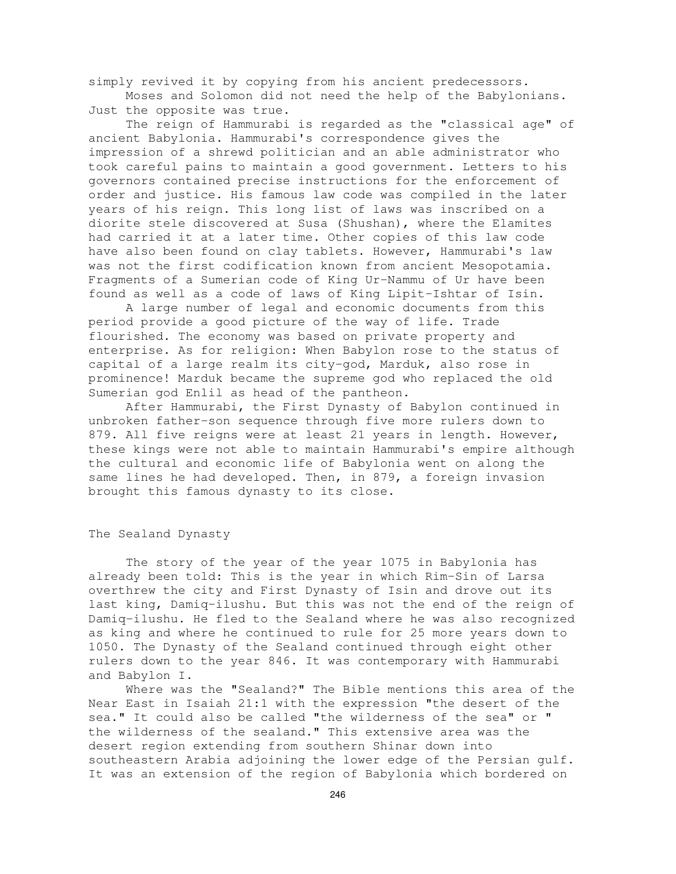simply revived it by copying from his ancient predecessors. Moses and Solomon did not need the help of the Babylonians.

Just the opposite was true.

The reign of Hammurabi is regarded as the "classical age" of ancient Babylonia. Hammurabi's correspondence gives the impression of a shrewd politician and an able administrator who took careful pains to maintain a good government. Letters to his governors contained precise instructions for the enforcement of order and justice. His famous law code was compiled in the later years of his reign. This long list of laws was inscribed on a diorite stele discovered at Susa (Shushan), where the Elamites had carried it at a later time. Other copies of this law code have also been found on clay tablets. However, Hammurabi's law was not the first codification known from ancient Mesopotamia. Fragments of a Sumerian code of King Ur-Nammu of Ur have been found as well as a code of laws of King Lipit-Ishtar of Isin.

A large number of legal and economic documents from this period provide a good picture of the way of life. Trade flourished. The economy was based on private property and enterprise. As for religion: When Babylon rose to the status of capital of a large realm its city-god, Marduk, also rose in prominence! Marduk became the supreme god who replaced the old Sumerian god Enlil as head of the pantheon.

After Hammurabi, the First Dynasty of Babylon continued in unbroken father-son sequence through five more rulers down to 879. All five reigns were at least 21 years in length. However, these kings were not able to maintain Hammurabi's empire although the cultural and economic life of Babylonia went on along the same lines he had developed. Then, in 879, a foreign invasion brought this famous dynasty to its close.

# The Sealand Dynasty

The story of the year of the year 1075 in Babylonia has already been told: This is the year in which Rim-Sin of Larsa overthrew the city and First Dynasty of Isin and drove out its last king, Damiq-ilushu. But this was not the end of the reign of Damiq-ilushu. He fled to the Sealand where he was also recognized as king and where he continued to rule for 25 more years down to 1050. The Dynasty of the Sealand continued through eight other rulers down to the year 846. It was contemporary with Hammurabi and Babylon I.

Where was the "Sealand?" The Bible mentions this area of the Near East in Isaiah 21:1 with the expression "the desert of the sea." It could also be called "the wilderness of the sea" or " the wilderness of the sealand." This extensive area was the desert region extending from southern Shinar down into southeastern Arabia adjoining the lower edge of the Persian gulf. It was an extension of the region of Babylonia which bordered on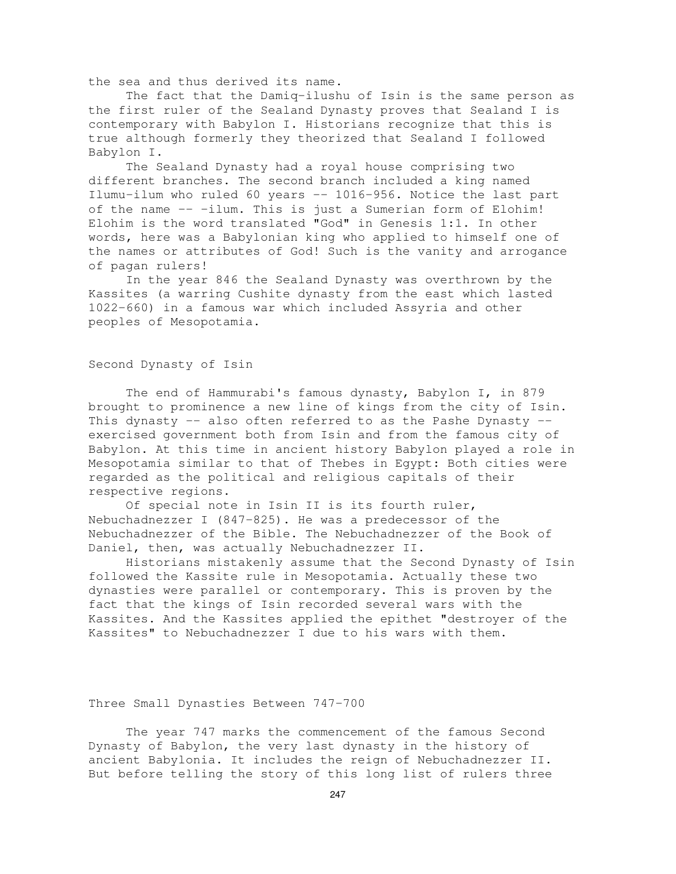the sea and thus derived its name.

The fact that the Damiq-ilushu of Isin is the same person as the first ruler of the Sealand Dynasty proves that Sealand I is contemporary with Babylon I. Historians recognize that this is true although formerly they theorized that Sealand I followed Babylon I.

The Sealand Dynasty had a royal house comprising two different branches. The second branch included a king named Ilumu-ilum who ruled 60 years -- 1016-956. Notice the last part of the name -- -ilum. This is just a Sumerian form of Elohim! Elohim is the word translated "God" in Genesis 1:1. In other words, here was a Babylonian king who applied to himself one of the names or attributes of God! Such is the vanity and arrogance of pagan rulers!

In the year 846 the Sealand Dynasty was overthrown by the Kassites (a warring Cushite dynasty from the east which lasted 1022-660) in a famous war which included Assyria and other peoples of Mesopotamia.

# Second Dynasty of Isin

The end of Hammurabi's famous dynasty, Babylon I, in 879 brought to prominence a new line of kings from the city of Isin. This dynasty  $-$  also often referred to as the Pashe Dynasty  $$ exercised government both from Isin and from the famous city of Babylon. At this time in ancient history Babylon played a role in Mesopotamia similar to that of Thebes in Egypt: Both cities were regarded as the political and religious capitals of their respective regions.

Of special note in Isin II is its fourth ruler, Nebuchadnezzer I (847-825). He was a predecessor of the Nebuchadnezzer of the Bible. The Nebuchadnezzer of the Book of Daniel, then, was actually Nebuchadnezzer II.

Historians mistakenly assume that the Second Dynasty of Isin followed the Kassite rule in Mesopotamia. Actually these two dynasties were parallel or contemporary. This is proven by the fact that the kings of Isin recorded several wars with the Kassites. And the Kassites applied the epithet "destroyer of the Kassites" to Nebuchadnezzer I due to his wars with them.

# Three Small Dynasties Between 747-700

The year 747 marks the commencement of the famous Second Dynasty of Babylon, the very last dynasty in the history of ancient Babylonia. It includes the reign of Nebuchadnezzer II. But before telling the story of this long list of rulers three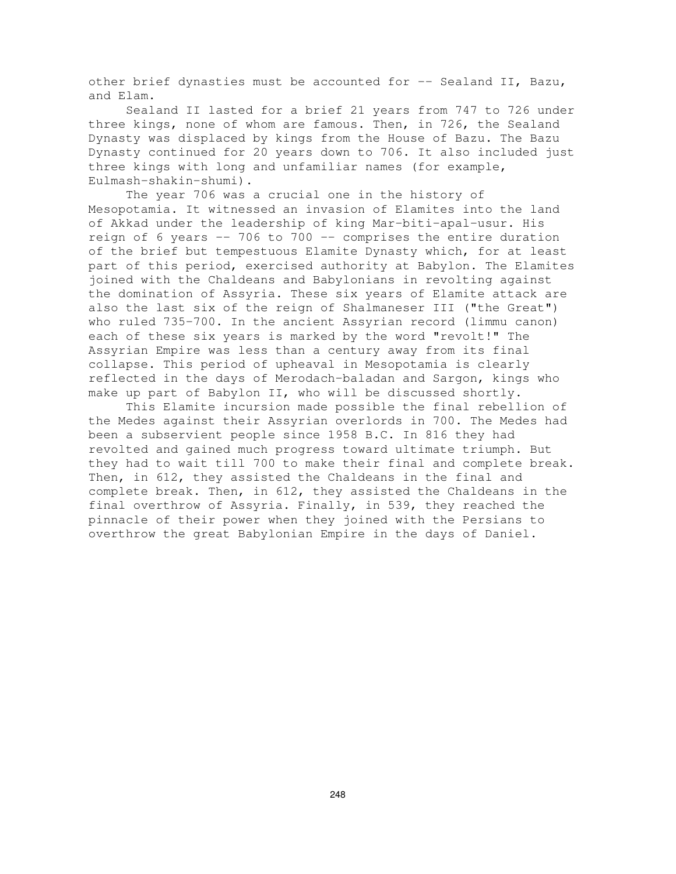other brief dynasties must be accounted for -- Sealand II, Bazu, and Elam.

Sealand II lasted for a brief 21 years from 747 to 726 under three kings, none of whom are famous. Then, in 726, the Sealand Dynasty was displaced by kings from the House of Bazu. The Bazu Dynasty continued for 20 years down to 706. It also included just three kings with long and unfamiliar names (for example, Eulmash-shakin-shumi).

The year 706 was a crucial one in the history of Mesopotamia. It witnessed an invasion of Elamites into the land of Akkad under the leadership of king Mar-biti-apal-usur. His reign of 6 years -- 706 to 700 -- comprises the entire duration of the brief but tempestuous Elamite Dynasty which, for at least part of this period, exercised authority at Babylon. The Elamites joined with the Chaldeans and Babylonians in revolting against the domination of Assyria. These six years of Elamite attack are also the last six of the reign of Shalmaneser III ("the Great") who ruled 735-700. In the ancient Assyrian record (limmu canon) each of these six years is marked by the word "revolt!" The Assyrian Empire was less than a century away from its final collapse. This period of upheaval in Mesopotamia is clearly reflected in the days of Merodach-baladan and Sargon, kings who make up part of Babylon II, who will be discussed shortly.

This Elamite incursion made possible the final rebellion of the Medes against their Assyrian overlords in 700. The Medes had been a subservient people since 1958 B.C. In 816 they had revolted and gained much progress toward ultimate triumph. But they had to wait till 700 to make their final and complete break. Then, in 612, they assisted the Chaldeans in the final and complete break. Then, in 612, they assisted the Chaldeans in the final overthrow of Assyria. Finally, in 539, they reached the pinnacle of their power when they joined with the Persians to overthrow the great Babylonian Empire in the days of Daniel.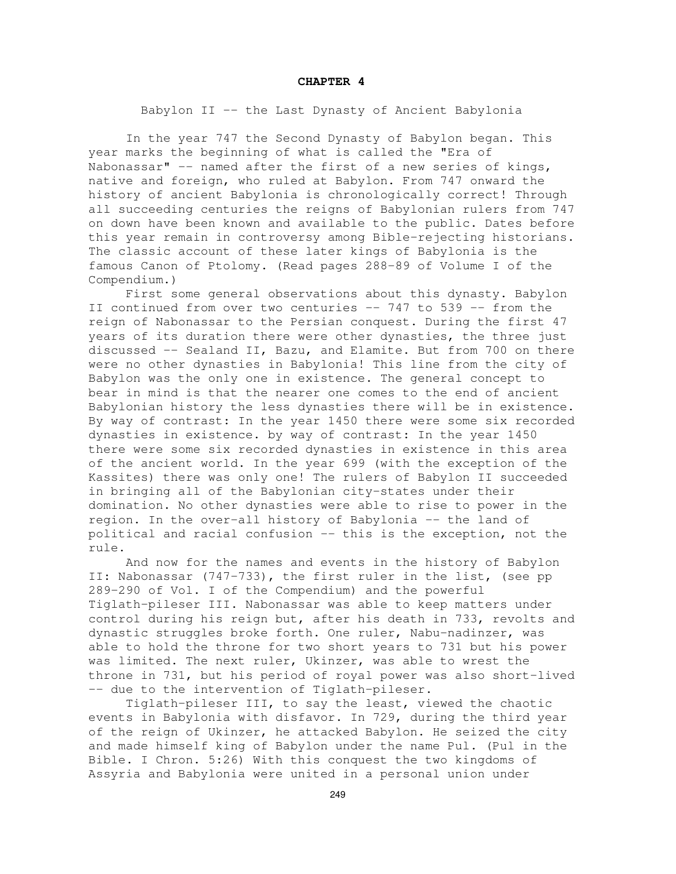#### **CHAPTER 4**

Babylon II -- the Last Dynasty of Ancient Babylonia

In the year 747 the Second Dynasty of Babylon began. This year marks the beginning of what is called the "Era of Nabonassar" -- named after the first of a new series of kings, native and foreign, who ruled at Babylon. From 747 onward the history of ancient Babylonia is chronologically correct! Through all succeeding centuries the reigns of Babylonian rulers from 747 on down have been known and available to the public. Dates before this year remain in controversy among Bible-rejecting historians. The classic account of these later kings of Babylonia is the famous Canon of Ptolomy. (Read pages 288-89 of Volume I of the Compendium.)

First some general observations about this dynasty. Babylon II continued from over two centuries -- 747 to 539 -- from the reign of Nabonassar to the Persian conquest. During the first 47 years of its duration there were other dynasties, the three just discussed -- Sealand II, Bazu, and Elamite. But from 700 on there were no other dynasties in Babylonia! This line from the city of Babylon was the only one in existence. The general concept to bear in mind is that the nearer one comes to the end of ancient Babylonian history the less dynasties there will be in existence. By way of contrast: In the year 1450 there were some six recorded dynasties in existence. by way of contrast: In the year 1450 there were some six recorded dynasties in existence in this area of the ancient world. In the year 699 (with the exception of the Kassites) there was only one! The rulers of Babylon II succeeded in bringing all of the Babylonian city-states under their domination. No other dynasties were able to rise to power in the region. In the over-all history of Babylonia -- the land of political and racial confusion -- this is the exception, not the rule.

And now for the names and events in the history of Babylon II: Nabonassar (747-733), the first ruler in the list, (see pp 289-290 of Vol. I of the Compendium) and the powerful Tiglath-pileser III. Nabonassar was able to keep matters under control during his reign but, after his death in 733, revolts and dynastic struggles broke forth. One ruler, Nabu-nadinzer, was able to hold the throne for two short years to 731 but his power was limited. The next ruler, Ukinzer, was able to wrest the throne in 731, but his period of royal power was also short-lived -- due to the intervention of Tiglath-pileser.

Tiglath-pileser III, to say the least, viewed the chaotic events in Babylonia with disfavor. In 729, during the third year of the reign of Ukinzer, he attacked Babylon. He seized the city and made himself king of Babylon under the name Pul. (Pul in the Bible. I Chron. 5:26) With this conquest the two kingdoms of Assyria and Babylonia were united in a personal union under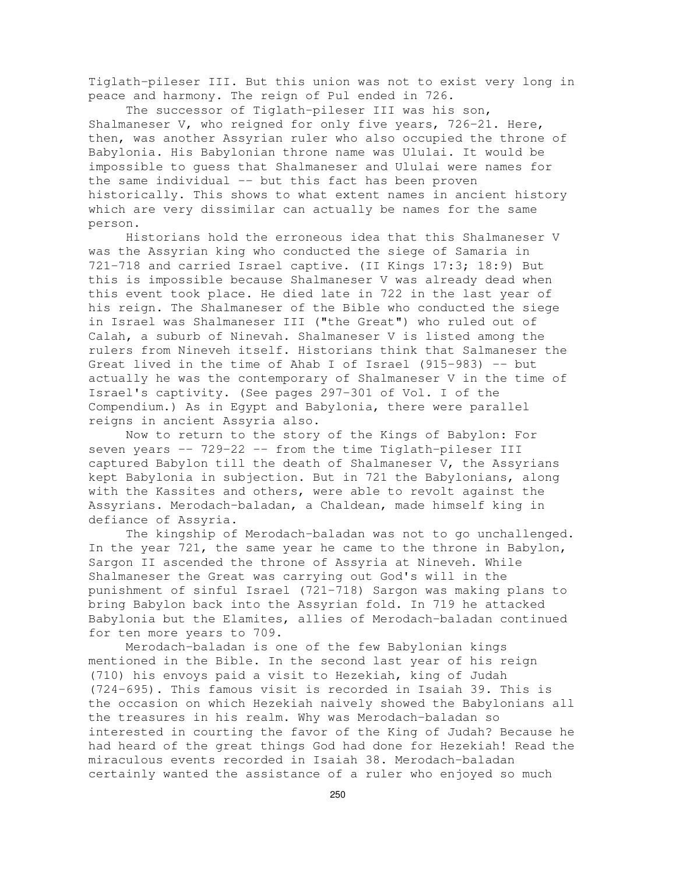Tiglath-pileser III. But this union was not to exist very long in peace and harmony. The reign of Pul ended in 726.

The successor of Tiglath-pileser III was his son, Shalmaneser V, who reigned for only five years, 726-21. Here, then, was another Assyrian ruler who also occupied the throne of Babylonia. His Babylonian throne name was Ululai. It would be impossible to guess that Shalmaneser and Ululai were names for the same individual -- but this fact has been proven historically. This shows to what extent names in ancient history which are very dissimilar can actually be names for the same person.

Historians hold the erroneous idea that this Shalmaneser V was the Assyrian king who conducted the siege of Samaria in 721-718 and carried Israel captive. (II Kings 17:3; 18:9) But this is impossible because Shalmaneser V was already dead when this event took place. He died late in 722 in the last year of his reign. The Shalmaneser of the Bible who conducted the siege in Israel was Shalmaneser III ("the Great") who ruled out of Calah, a suburb of Ninevah. Shalmaneser V is listed among the rulers from Nineveh itself. Historians think that Salmaneser the Great lived in the time of Ahab I of Israel (915-983) -- but actually he was the contemporary of Shalmaneser V in the time of Israel's captivity. (See pages 297-301 of Vol. I of the Compendium.) As in Egypt and Babylonia, there were parallel reigns in ancient Assyria also.

Now to return to the story of the Kings of Babylon: For seven years -- 729-22 -- from the time Tiglath-pileser III captured Babylon till the death of Shalmaneser V, the Assyrians kept Babylonia in subjection. But in 721 the Babylonians, along with the Kassites and others, were able to revolt against the Assyrians. Merodach-baladan, a Chaldean, made himself king in defiance of Assyria.

The kingship of Merodach-baladan was not to go unchallenged. In the year 721, the same year he came to the throne in Babylon, Sargon II ascended the throne of Assyria at Nineveh. While Shalmaneser the Great was carrying out God's will in the punishment of sinful Israel (721-718) Sargon was making plans to bring Babylon back into the Assyrian fold. In 719 he attacked Babylonia but the Elamites, allies of Merodach-baladan continued for ten more years to 709.

Merodach-baladan is one of the few Babylonian kings mentioned in the Bible. In the second last year of his reign (710) his envoys paid a visit to Hezekiah, king of Judah (724-695). This famous visit is recorded in Isaiah 39. This is the occasion on which Hezekiah naively showed the Babylonians all the treasures in his realm. Why was Merodach-baladan so interested in courting the favor of the King of Judah? Because he had heard of the great things God had done for Hezekiah! Read the miraculous events recorded in Isaiah 38. Merodach-baladan certainly wanted the assistance of a ruler who enjoyed so much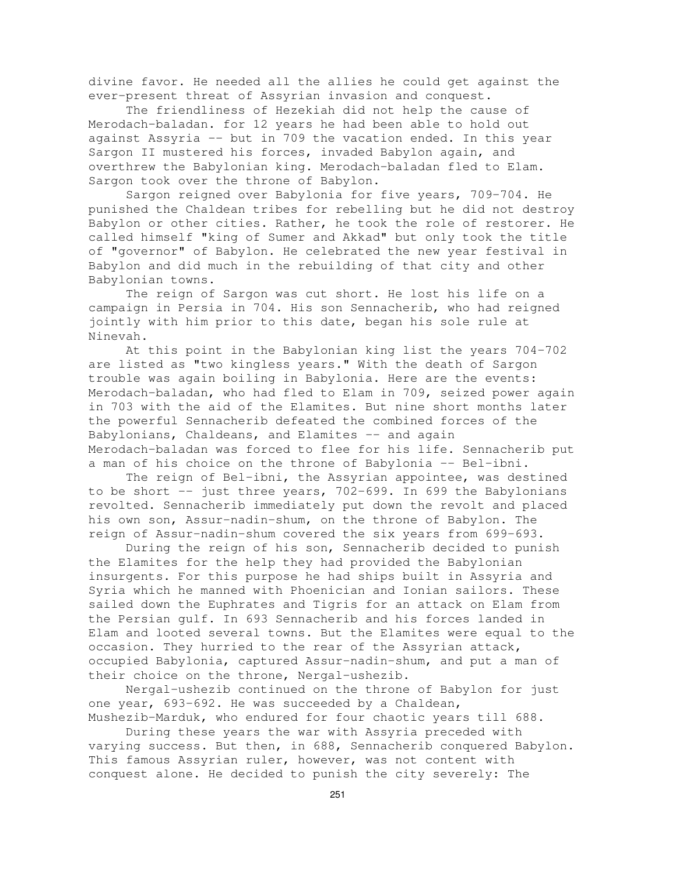divine favor. He needed all the allies he could get against the ever-present threat of Assyrian invasion and conquest.

The friendliness of Hezekiah did not help the cause of Merodach-baladan. for 12 years he had been able to hold out against Assyria -- but in 709 the vacation ended. In this year Sargon II mustered his forces, invaded Babylon again, and overthrew the Babylonian king. Merodach-baladan fled to Elam. Sargon took over the throne of Babylon.

Sargon reigned over Babylonia for five years, 709-704. He punished the Chaldean tribes for rebelling but he did not destroy Babylon or other cities. Rather, he took the role of restorer. He called himself "king of Sumer and Akkad" but only took the title of "governor" of Babylon. He celebrated the new year festival in Babylon and did much in the rebuilding of that city and other Babylonian towns.

The reign of Sargon was cut short. He lost his life on a campaign in Persia in 704. His son Sennacherib, who had reigned jointly with him prior to this date, began his sole rule at Ninevah.

At this point in the Babylonian king list the years 704-702 are listed as "two kingless years." With the death of Sargon trouble was again boiling in Babylonia. Here are the events: Merodach-baladan, who had fled to Elam in 709, seized power again in 703 with the aid of the Elamites. But nine short months later the powerful Sennacherib defeated the combined forces of the Babylonians, Chaldeans, and Elamites -- and again Merodach-baladan was forced to flee for his life. Sennacherib put a man of his choice on the throne of Babylonia -- Bel-ibni.

The reign of Bel-ibni, the Assyrian appointee, was destined to be short  $-$  just three years, 702-699. In 699 the Babylonians revolted. Sennacherib immediately put down the revolt and placed his own son, Assur-nadin-shum, on the throne of Babylon. The reign of Assur-nadin-shum covered the six years from 699-693.

During the reign of his son, Sennacherib decided to punish the Elamites for the help they had provided the Babylonian insurgents. For this purpose he had ships built in Assyria and Syria which he manned with Phoenician and Ionian sailors. These sailed down the Euphrates and Tigris for an attack on Elam from the Persian gulf. In 693 Sennacherib and his forces landed in Elam and looted several towns. But the Elamites were equal to the occasion. They hurried to the rear of the Assyrian attack, occupied Babylonia, captured Assur-nadin-shum, and put a man of their choice on the throne, Nergal-ushezib.

Nergal-ushezib continued on the throne of Babylon for just one year, 693-692. He was succeeded by a Chaldean, Mushezib-Marduk, who endured for four chaotic years till 688.

During these years the war with Assyria preceded with varying success. But then, in 688, Sennacherib conquered Babylon. This famous Assyrian ruler, however, was not content with conquest alone. He decided to punish the city severely: The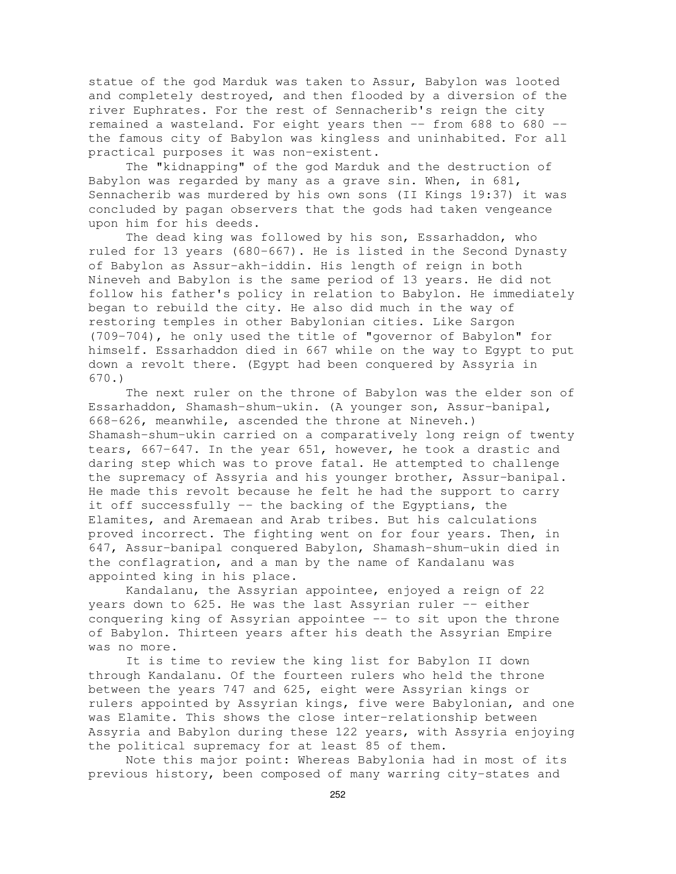statue of the god Marduk was taken to Assur, Babylon was looted and completely destroyed, and then flooded by a diversion of the river Euphrates. For the rest of Sennacherib's reign the city remained a wasteland. For eight years then -- from 688 to 680 - the famous city of Babylon was kingless and uninhabited. For all practical purposes it was non-existent.

The "kidnapping" of the god Marduk and the destruction of Babylon was regarded by many as a grave sin. When, in 681, Sennacherib was murdered by his own sons (II Kings 19:37) it was concluded by pagan observers that the gods had taken vengeance upon him for his deeds.

The dead king was followed by his son, Essarhaddon, who ruled for 13 years (680-667). He is listed in the Second Dynasty of Babylon as Assur-akh-iddin. His length of reign in both Nineveh and Babylon is the same period of 13 years. He did not follow his father's policy in relation to Babylon. He immediately began to rebuild the city. He also did much in the way of restoring temples in other Babylonian cities. Like Sargon (709-704), he only used the title of "governor of Babylon" for himself. Essarhaddon died in 667 while on the way to Egypt to put down a revolt there. (Egypt had been conquered by Assyria in 670.)

The next ruler on the throne of Babylon was the elder son of Essarhaddon, Shamash-shum-ukin. (A younger son, Assur-banipal, 668-626, meanwhile, ascended the throne at Nineveh.) Shamash-shum-ukin carried on a comparatively long reign of twenty tears, 667-647. In the year 651, however, he took a drastic and daring step which was to prove fatal. He attempted to challenge the supremacy of Assyria and his younger brother, Assur-banipal. He made this revolt because he felt he had the support to carry it off successfully -- the backing of the Egyptians, the Elamites, and Aremaean and Arab tribes. But his calculations proved incorrect. The fighting went on for four years. Then, in 647, Assur-banipal conquered Babylon, Shamash-shum-ukin died in the conflagration, and a man by the name of Kandalanu was appointed king in his place.

Kandalanu, the Assyrian appointee, enjoyed a reign of 22 years down to 625. He was the last Assyrian ruler -- either conquering king of Assyrian appointee -- to sit upon the throne of Babylon. Thirteen years after his death the Assyrian Empire was no more.

It is time to review the king list for Babylon II down through Kandalanu. Of the fourteen rulers who held the throne between the years 747 and 625, eight were Assyrian kings or rulers appointed by Assyrian kings, five were Babylonian, and one was Elamite. This shows the close inter-relationship between Assyria and Babylon during these 122 years, with Assyria enjoying the political supremacy for at least 85 of them.

Note this major point: Whereas Babylonia had in most of its previous history, been composed of many warring city-states and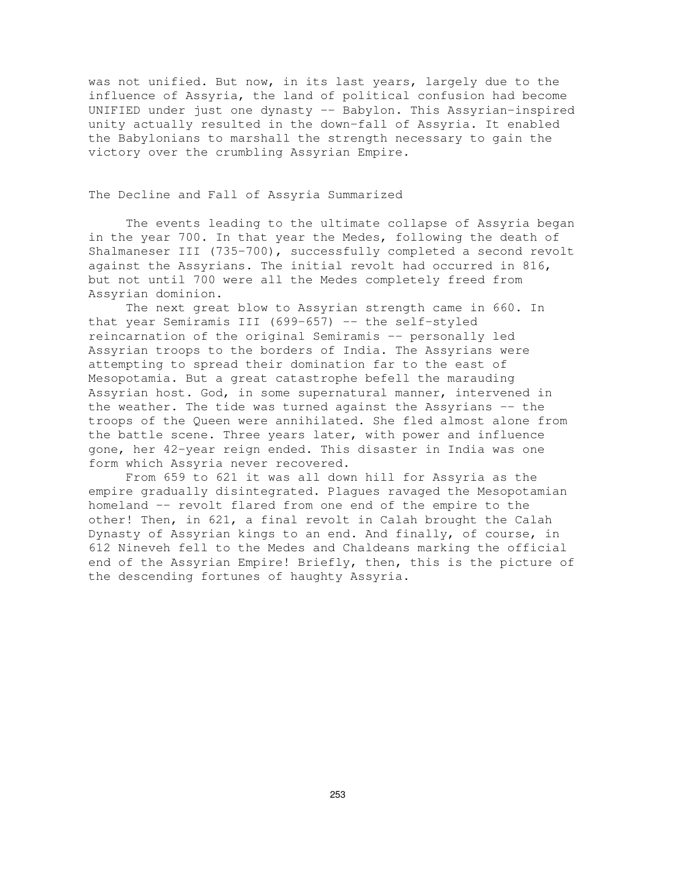was not unified. But now, in its last years, largely due to the influence of Assyria, the land of political confusion had become UNIFIED under just one dynasty -- Babylon. This Assyrian-inspired unity actually resulted in the down-fall of Assyria. It enabled the Babylonians to marshall the strength necessary to gain the victory over the crumbling Assyrian Empire.

### The Decline and Fall of Assyria Summarized

The events leading to the ultimate collapse of Assyria began in the year 700. In that year the Medes, following the death of Shalmaneser III (735-700), successfully completed a second revolt against the Assyrians. The initial revolt had occurred in 816, but not until 700 were all the Medes completely freed from Assyrian dominion.

The next great blow to Assyrian strength came in 660. In that year Semiramis III (699-657) -- the self-styled reincarnation of the original Semiramis -- personally led Assyrian troops to the borders of India. The Assyrians were attempting to spread their domination far to the east of Mesopotamia. But a great catastrophe befell the marauding Assyrian host. God, in some supernatural manner, intervened in the weather. The tide was turned against the Assyrians -- the troops of the Queen were annihilated. She fled almost alone from the battle scene. Three years later, with power and influence gone, her 42-year reign ended. This disaster in India was one form which Assyria never recovered.

From 659 to 621 it was all down hill for Assyria as the empire gradually disintegrated. Plagues ravaged the Mesopotamian homeland -- revolt flared from one end of the empire to the other! Then, in 621, a final revolt in Calah brought the Calah Dynasty of Assyrian kings to an end. And finally, of course, in 612 Nineveh fell to the Medes and Chaldeans marking the official end of the Assyrian Empire! Briefly, then, this is the picture of the descending fortunes of haughty Assyria.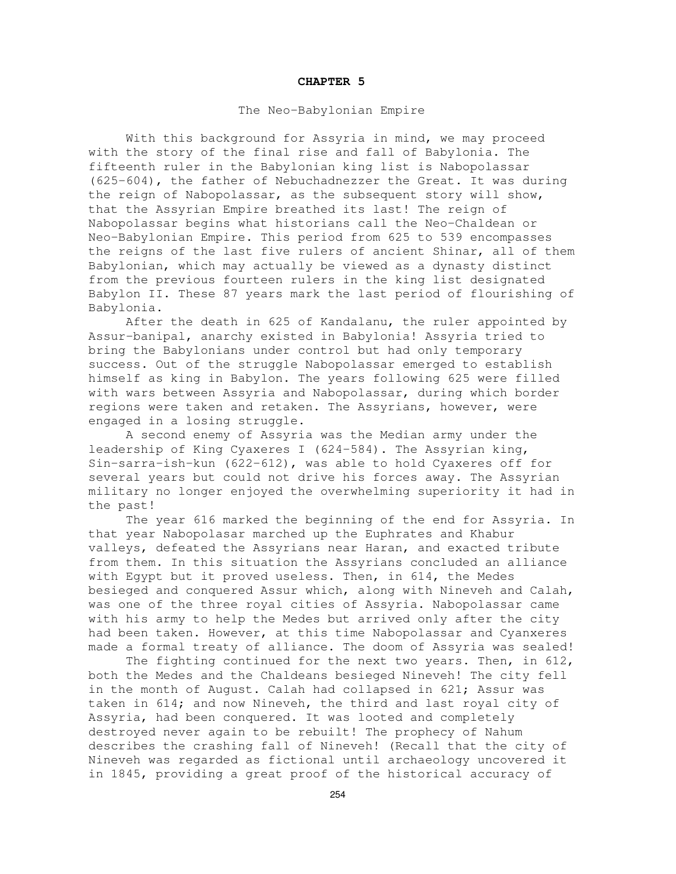#### **CHAPTER 5**

### The Neo-Babylonian Empire

With this background for Assyria in mind, we may proceed with the story of the final rise and fall of Babylonia. The fifteenth ruler in the Babylonian king list is Nabopolassar (625-604), the father of Nebuchadnezzer the Great. It was during the reign of Nabopolassar, as the subsequent story will show, that the Assyrian Empire breathed its last! The reign of Nabopolassar begins what historians call the Neo-Chaldean or Neo-Babylonian Empire. This period from 625 to 539 encompasses the reigns of the last five rulers of ancient Shinar, all of them Babylonian, which may actually be viewed as a dynasty distinct from the previous fourteen rulers in the king list designated Babylon II. These 87 years mark the last period of flourishing of Babylonia.

After the death in 625 of Kandalanu, the ruler appointed by Assur-banipal, anarchy existed in Babylonia! Assyria tried to bring the Babylonians under control but had only temporary success. Out of the struggle Nabopolassar emerged to establish himself as king in Babylon. The years following 625 were filled with wars between Assyria and Nabopolassar, during which border regions were taken and retaken. The Assyrians, however, were engaged in a losing struggle.

A second enemy of Assyria was the Median army under the leadership of King Cyaxeres I (624-584). The Assyrian king, Sin-sarra-ish-kun (622-612), was able to hold Cyaxeres off for several years but could not drive his forces away. The Assyrian military no longer enjoyed the overwhelming superiority it had in the past!

The year 616 marked the beginning of the end for Assyria. In that year Nabopolasar marched up the Euphrates and Khabur valleys, defeated the Assyrians near Haran, and exacted tribute from them. In this situation the Assyrians concluded an alliance with Egypt but it proved useless. Then, in 614, the Medes besieged and conquered Assur which, along with Nineveh and Calah, was one of the three royal cities of Assyria. Nabopolassar came with his army to help the Medes but arrived only after the city had been taken. However, at this time Nabopolassar and Cyanxeres made a formal treaty of alliance. The doom of Assyria was sealed!

The fighting continued for the next two years. Then, in 612, both the Medes and the Chaldeans besieged Nineveh! The city fell in the month of August. Calah had collapsed in 621; Assur was taken in 614; and now Nineveh, the third and last royal city of Assyria, had been conquered. It was looted and completely destroyed never again to be rebuilt! The prophecy of Nahum describes the crashing fall of Nineveh! (Recall that the city of Nineveh was regarded as fictional until archaeology uncovered it in 1845, providing a great proof of the historical accuracy of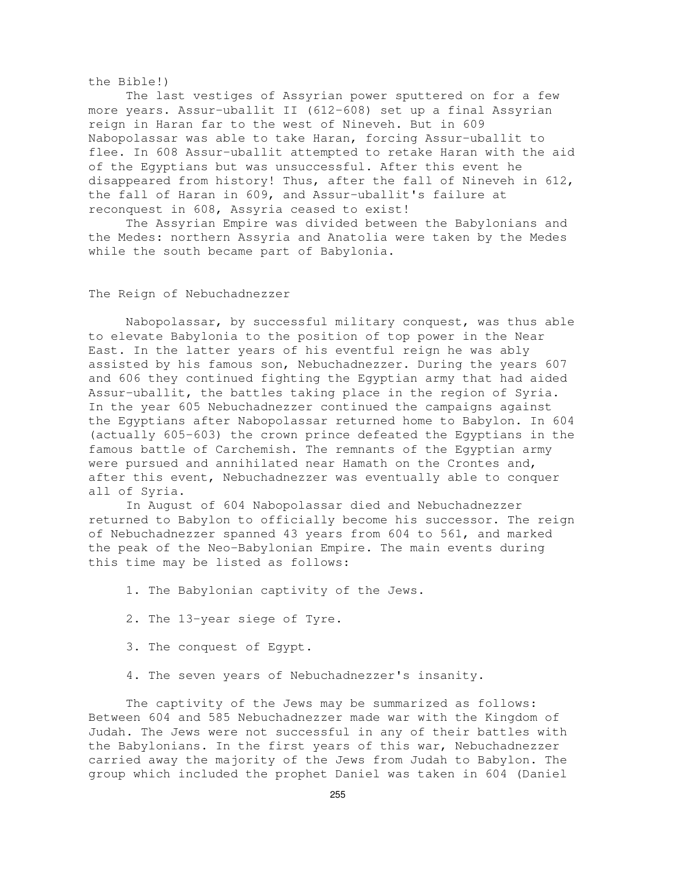#### the Bible!)

The last vestiges of Assyrian power sputtered on for a few more years. Assur-uballit II (612-608) set up a final Assyrian reign in Haran far to the west of Nineveh. But in 609 Nabopolassar was able to take Haran, forcing Assur-uballit to flee. In 608 Assur-uballit attempted to retake Haran with the aid of the Egyptians but was unsuccessful. After this event he disappeared from history! Thus, after the fall of Nineveh in 612, the fall of Haran in 609, and Assur-uballit's failure at reconquest in 608, Assyria ceased to exist!

The Assyrian Empire was divided between the Babylonians and the Medes: northern Assyria and Anatolia were taken by the Medes while the south became part of Babylonia.

# The Reign of Nebuchadnezzer

Nabopolassar, by successful military conquest, was thus able to elevate Babylonia to the position of top power in the Near East. In the latter years of his eventful reign he was ably assisted by his famous son, Nebuchadnezzer. During the years 607 and 606 they continued fighting the Egyptian army that had aided Assur-uballit, the battles taking place in the region of Syria. In the year 605 Nebuchadnezzer continued the campaigns against the Egyptians after Nabopolassar returned home to Babylon. In 604 (actually 605-603) the crown prince defeated the Egyptians in the famous battle of Carchemish. The remnants of the Egyptian army were pursued and annihilated near Hamath on the Crontes and, after this event, Nebuchadnezzer was eventually able to conquer all of Syria.

In August of 604 Nabopolassar died and Nebuchadnezzer returned to Babylon to officially become his successor. The reign of Nebuchadnezzer spanned 43 years from 604 to 561, and marked the peak of the Neo-Babylonian Empire. The main events during this time may be listed as follows:

- 1. The Babylonian captivity of the Jews.
- 2. The 13-year siege of Tyre.
- 3. The conquest of Egypt.
- 4. The seven years of Nebuchadnezzer's insanity.

The captivity of the Jews may be summarized as follows: Between 604 and 585 Nebuchadnezzer made war with the Kingdom of Judah. The Jews were not successful in any of their battles with the Babylonians. In the first years of this war, Nebuchadnezzer carried away the majority of the Jews from Judah to Babylon. The group which included the prophet Daniel was taken in 604 (Daniel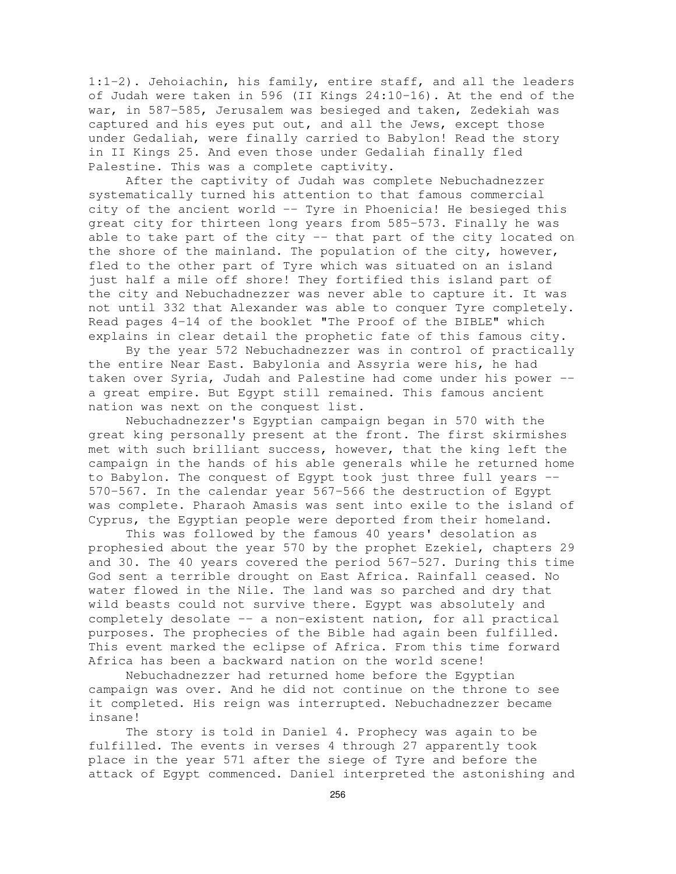1:1-2). Jehoiachin, his family, entire staff, and all the leaders of Judah were taken in 596 (II Kings 24:10-16). At the end of the war, in 587-585, Jerusalem was besieged and taken, Zedekiah was captured and his eyes put out, and all the Jews, except those under Gedaliah, were finally carried to Babylon! Read the story in II Kings 25. And even those under Gedaliah finally fled Palestine. This was a complete captivity.

After the captivity of Judah was complete Nebuchadnezzer systematically turned his attention to that famous commercial city of the ancient world -- Tyre in Phoenicia! He besieged this great city for thirteen long years from 585-573. Finally he was able to take part of the city -- that part of the city located on the shore of the mainland. The population of the city, however, fled to the other part of Tyre which was situated on an island just half a mile off shore! They fortified this island part of the city and Nebuchadnezzer was never able to capture it. It was not until 332 that Alexander was able to conquer Tyre completely. Read pages 4-14 of the booklet "The Proof of the BIBLE" which explains in clear detail the prophetic fate of this famous city.

By the year 572 Nebuchadnezzer was in control of practically the entire Near East. Babylonia and Assyria were his, he had taken over Syria, Judah and Palestine had come under his power - a great empire. But Egypt still remained. This famous ancient nation was next on the conquest list.

Nebuchadnezzer's Egyptian campaign began in 570 with the great king personally present at the front. The first skirmishes met with such brilliant success, however, that the king left the campaign in the hands of his able generals while he returned home to Babylon. The conquest of Egypt took just three full years -- 570-567. In the calendar year 567-566 the destruction of Egypt was complete. Pharaoh Amasis was sent into exile to the island of Cyprus, the Egyptian people were deported from their homeland.

This was followed by the famous 40 years' desolation as prophesied about the year 570 by the prophet Ezekiel, chapters 29 and 30. The 40 years covered the period 567-527. During this time God sent a terrible drought on East Africa. Rainfall ceased. No water flowed in the Nile. The land was so parched and dry that wild beasts could not survive there. Egypt was absolutely and completely desolate -- a non-existent nation, for all practical purposes. The prophecies of the Bible had again been fulfilled. This event marked the eclipse of Africa. From this time forward Africa has been a backward nation on the world scene!

Nebuchadnezzer had returned home before the Egyptian campaign was over. And he did not continue on the throne to see it completed. His reign was interrupted. Nebuchadnezzer became insane!

The story is told in Daniel 4. Prophecy was again to be fulfilled. The events in verses 4 through 27 apparently took place in the year 571 after the siege of Tyre and before the attack of Egypt commenced. Daniel interpreted the astonishing and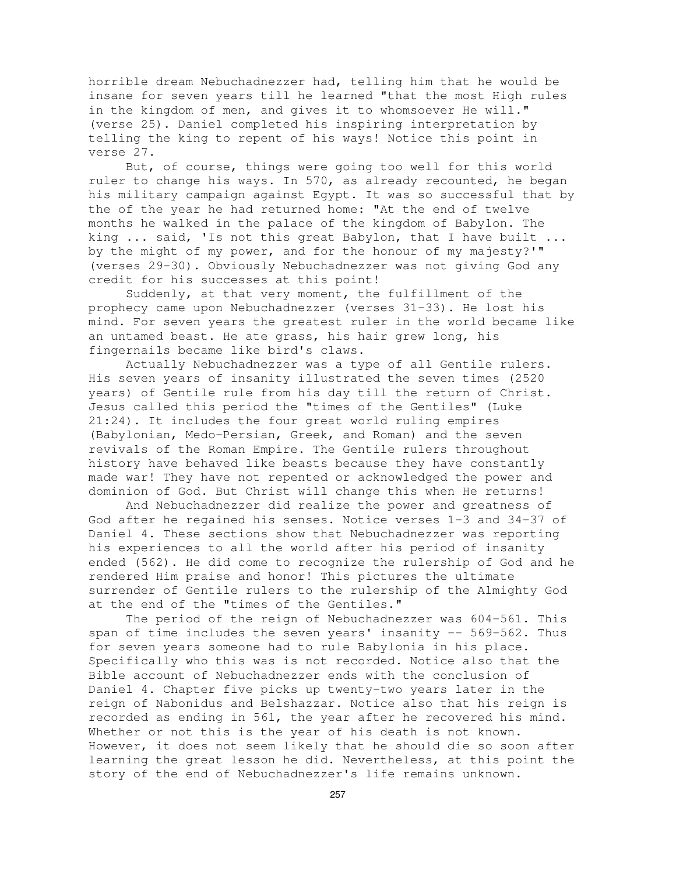horrible dream Nebuchadnezzer had, telling him that he would be insane for seven years till he learned "that the most High rules in the kingdom of men, and gives it to whomsoever He will." (verse 25). Daniel completed his inspiring interpretation by telling the king to repent of his ways! Notice this point in verse 27.

But, of course, things were going too well for this world ruler to change his ways. In 570, as already recounted, he began his military campaign against Egypt. It was so successful that by the of the year he had returned home: "At the end of twelve months he walked in the palace of the kingdom of Babylon. The king ... said, 'Is not this great Babylon, that I have built ... by the might of my power, and for the honour of my majesty?'" (verses 29-30). Obviously Nebuchadnezzer was not giving God any credit for his successes at this point!

Suddenly, at that very moment, the fulfillment of the prophecy came upon Nebuchadnezzer (verses 31-33). He lost his mind. For seven years the greatest ruler in the world became like an untamed beast. He ate grass, his hair grew long, his fingernails became like bird's claws.

Actually Nebuchadnezzer was a type of all Gentile rulers. His seven years of insanity illustrated the seven times (2520 years) of Gentile rule from his day till the return of Christ. Jesus called this period the "times of the Gentiles" (Luke 21:24). It includes the four great world ruling empires (Babylonian, Medo-Persian, Greek, and Roman) and the seven revivals of the Roman Empire. The Gentile rulers throughout history have behaved like beasts because they have constantly made war! They have not repented or acknowledged the power and dominion of God. But Christ will change this when He returns!

And Nebuchadnezzer did realize the power and greatness of God after he regained his senses. Notice verses 1-3 and 34-37 of Daniel 4. These sections show that Nebuchadnezzer was reporting his experiences to all the world after his period of insanity ended (562). He did come to recognize the rulership of God and he rendered Him praise and honor! This pictures the ultimate surrender of Gentile rulers to the rulership of the Almighty God at the end of the "times of the Gentiles."

The period of the reign of Nebuchadnezzer was 604-561. This span of time includes the seven years' insanity -- 569-562. Thus for seven years someone had to rule Babylonia in his place. Specifically who this was is not recorded. Notice also that the Bible account of Nebuchadnezzer ends with the conclusion of Daniel 4. Chapter five picks up twenty-two years later in the reign of Nabonidus and Belshazzar. Notice also that his reign is recorded as ending in 561, the year after he recovered his mind. Whether or not this is the year of his death is not known. However, it does not seem likely that he should die so soon after learning the great lesson he did. Nevertheless, at this point the story of the end of Nebuchadnezzer's life remains unknown.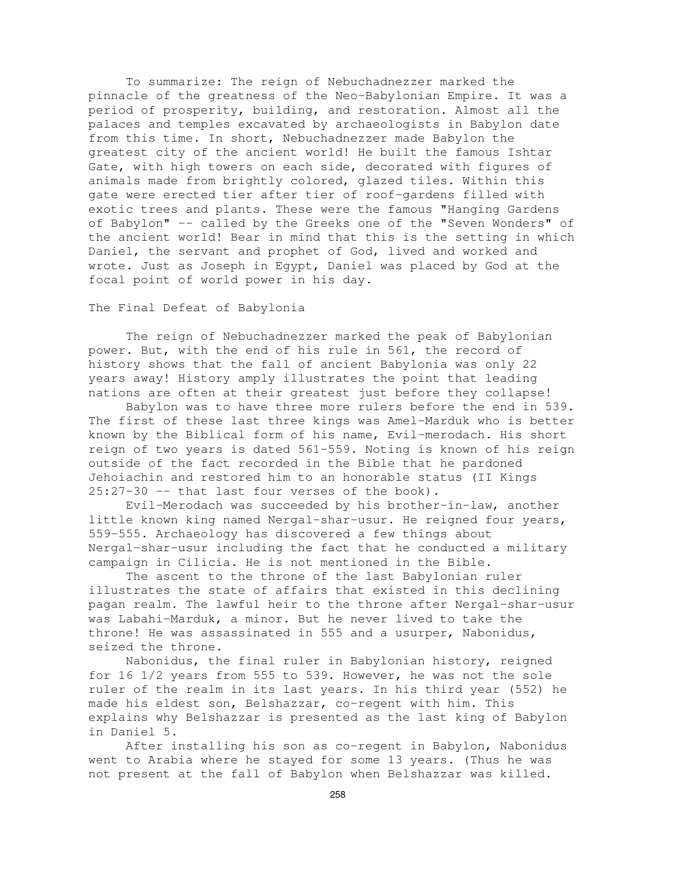To summarize: The reign of Nebuchadnezzer marked the pinnacle of the greatness of the Neo-Babylonian Empire. It was a period of prosperity, building, and restoration. Almost all the palaces and temples excavated by archaeologists in Babylon date from this time. In short, Nebuchadnezzer made Babylon the greatest city of the ancient world! He built the famous Ishtar Gate, with high towers on each side, decorated with figures of animals made from brightly colored, glazed tiles. Within this gate were erected tier after tier of roof-gardens filled with exotic trees and plants. These were the famous "Hanging Gardens of Babylon" -- called by the Greeks one of the "Seven Wonders" of the ancient world! Bear in mind that this is the setting in which Daniel, the servant and prophet of God, lived and worked and wrote. Just as Joseph in Egypt, Daniel was placed by God at the focal point of world power in his day.

# The Final Defeat of Babylonia

The reign of Nebuchadnezzer marked the peak of Babylonian power. But, with the end of his rule in 561, the record of history shows that the fall of ancient Babylonia was only 22 years away! History amply illustrates the point that leading nations are often at their greatest just before they collapse!

Babylon was to have three more rulers before the end in 539. The first of these last three kings was Amel-Marduk who is better known by the Biblical form of his name, Evil-merodach. His short reign of two years is dated 561-559. Noting is known of his reign outside of the fact recorded in the Bible that he pardoned Jehoiachin and restored him to an honorable status (II Kings 25:27-30 -- that last four verses of the book).

Evil-Merodach was succeeded by his brother-in-law, another little known king named Nergal-shar-usur. He reigned four years, 559-555. Archaeology has discovered a few things about Nergal-shar-usur including the fact that he conducted a military campaign in Cilicia. He is not mentioned in the Bible.

The ascent to the throne of the last Babylonian ruler illustrates the state of affairs that existed in this declining pagan realm. The lawful heir to the throne after Nergal-shar-usur was Labahi-Marduk, a minor. But he never lived to take the throne! He was assassinated in 555 and a usurper, Nabonidus, seized the throne.

Nabonidus, the final ruler in Babylonian history, reigned for 16 1/2 years from 555 to 539. However, he was not the sole ruler of the realm in its last years. In his third year (552) he made his eldest son, Belshazzar, co-regent with him. This explains why Belshazzar is presented as the last king of Babylon in Daniel 5.

After installing his son as co-regent in Babylon, Nabonidus went to Arabia where he stayed for some 13 years. (Thus he was not present at the fall of Babylon when Belshazzar was killed.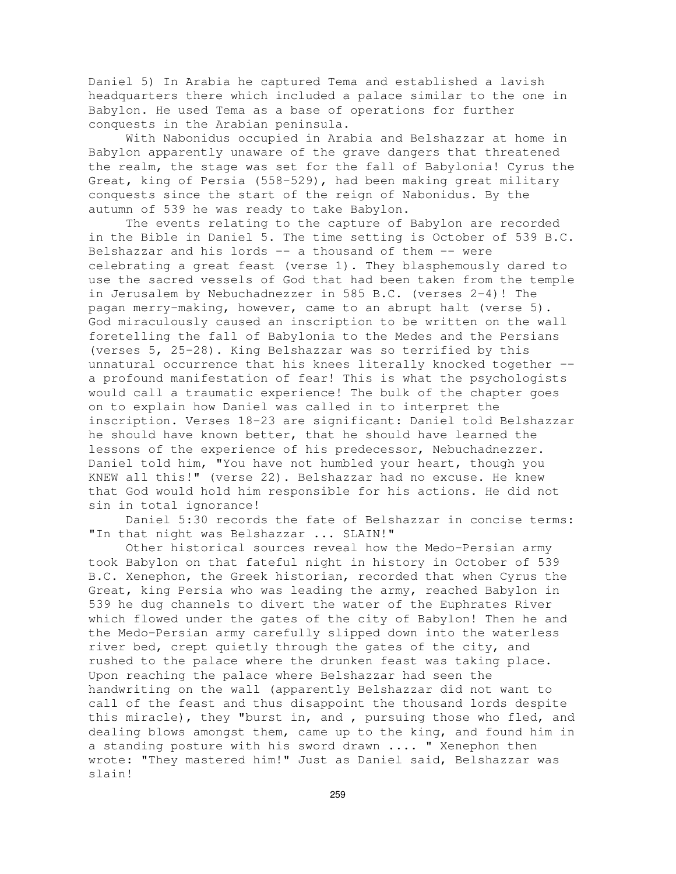Daniel 5) In Arabia he captured Tema and established a lavish headquarters there which included a palace similar to the one in Babylon. He used Tema as a base of operations for further conquests in the Arabian peninsula.

With Nabonidus occupied in Arabia and Belshazzar at home in Babylon apparently unaware of the grave dangers that threatened the realm, the stage was set for the fall of Babylonia! Cyrus the Great, king of Persia (558-529), had been making great military conquests since the start of the reign of Nabonidus. By the autumn of 539 he was ready to take Babylon.

The events relating to the capture of Babylon are recorded in the Bible in Daniel 5. The time setting is October of 539 B.C. Belshazzar and his lords  $--$  a thousand of them  $--$  were celebrating a great feast (verse 1). They blasphemously dared to use the sacred vessels of God that had been taken from the temple in Jerusalem by Nebuchadnezzer in 585 B.C. (verses 2-4)! The pagan merry-making, however, came to an abrupt halt (verse 5). God miraculously caused an inscription to be written on the wall foretelling the fall of Babylonia to the Medes and the Persians (verses 5, 25-28). King Belshazzar was so terrified by this unnatural occurrence that his knees literally knocked together - a profound manifestation of fear! This is what the psychologists would call a traumatic experience! The bulk of the chapter goes on to explain how Daniel was called in to interpret the inscription. Verses 18-23 are significant: Daniel told Belshazzar he should have known better, that he should have learned the lessons of the experience of his predecessor, Nebuchadnezzer. Daniel told him, "You have not humbled your heart, though you KNEW all this!" (verse 22). Belshazzar had no excuse. He knew that God would hold him responsible for his actions. He did not sin in total ignorance!

Daniel 5:30 records the fate of Belshazzar in concise terms: "In that night was Belshazzar ... SLAIN!"

Other historical sources reveal how the Medo-Persian army took Babylon on that fateful night in history in October of 539 B.C. Xenephon, the Greek historian, recorded that when Cyrus the Great, king Persia who was leading the army, reached Babylon in 539 he dug channels to divert the water of the Euphrates River which flowed under the gates of the city of Babylon! Then he and the Medo-Persian army carefully slipped down into the waterless river bed, crept quietly through the gates of the city, and rushed to the palace where the drunken feast was taking place. Upon reaching the palace where Belshazzar had seen the handwriting on the wall (apparently Belshazzar did not want to call of the feast and thus disappoint the thousand lords despite this miracle), they "burst in, and , pursuing those who fled, and dealing blows amongst them, came up to the king, and found him in a standing posture with his sword drawn .... " Xenephon then wrote: "They mastered him!" Just as Daniel said, Belshazzar was slain!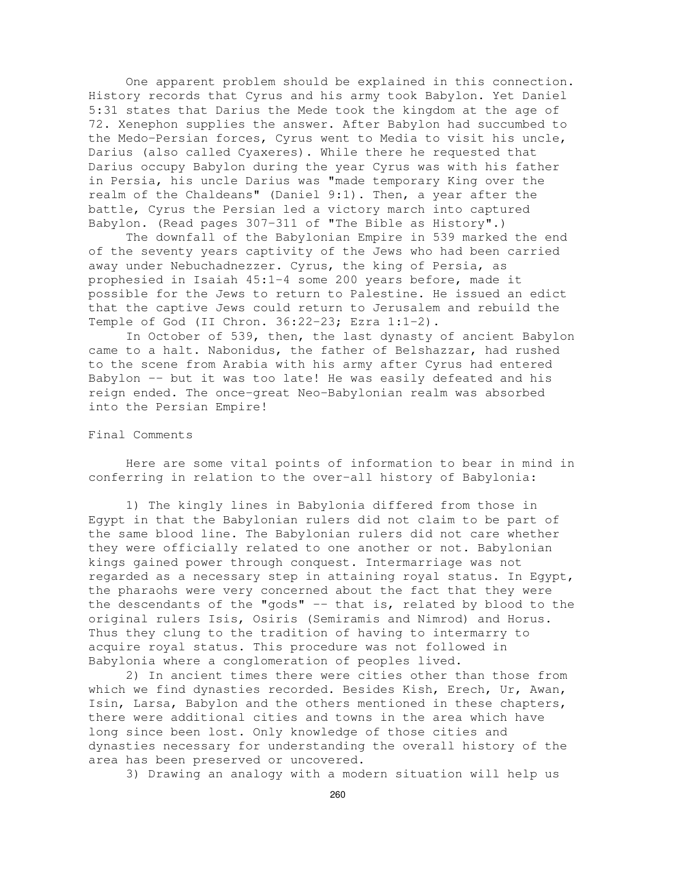One apparent problem should be explained in this connection. History records that Cyrus and his army took Babylon. Yet Daniel 5:31 states that Darius the Mede took the kingdom at the age of 72. Xenephon supplies the answer. After Babylon had succumbed to the Medo-Persian forces, Cyrus went to Media to visit his uncle, Darius (also called Cyaxeres). While there he requested that Darius occupy Babylon during the year Cyrus was with his father in Persia, his uncle Darius was "made temporary King over the realm of the Chaldeans" (Daniel 9:1). Then, a year after the battle, Cyrus the Persian led a victory march into captured Babylon. (Read pages 307-311 of "The Bible as History".)

The downfall of the Babylonian Empire in 539 marked the end of the seventy years captivity of the Jews who had been carried away under Nebuchadnezzer. Cyrus, the king of Persia, as prophesied in Isaiah 45:1-4 some 200 years before, made it possible for the Jews to return to Palestine. He issued an edict that the captive Jews could return to Jerusalem and rebuild the Temple of God (II Chron. 36:22-23; Ezra 1:1-2).

In October of 539, then, the last dynasty of ancient Babylon came to a halt. Nabonidus, the father of Belshazzar, had rushed to the scene from Arabia with his army after Cyrus had entered Babylon -- but it was too late! He was easily defeated and his reign ended. The once-great Neo-Babylonian realm was absorbed into the Persian Empire!

# Final Comments

Here are some vital points of information to bear in mind in conferring in relation to the over-all history of Babylonia:

1) The kingly lines in Babylonia differed from those in Egypt in that the Babylonian rulers did not claim to be part of the same blood line. The Babylonian rulers did not care whether they were officially related to one another or not. Babylonian kings gained power through conquest. Intermarriage was not regarded as a necessary step in attaining royal status. In Egypt, the pharaohs were very concerned about the fact that they were the descendants of the "gods" -- that is, related by blood to the original rulers Isis, Osiris (Semiramis and Nimrod) and Horus. Thus they clung to the tradition of having to intermarry to acquire royal status. This procedure was not followed in Babylonia where a conglomeration of peoples lived.

2) In ancient times there were cities other than those from which we find dynasties recorded. Besides Kish, Erech, Ur, Awan, Isin, Larsa, Babylon and the others mentioned in these chapters, there were additional cities and towns in the area which have long since been lost. Only knowledge of those cities and dynasties necessary for understanding the overall history of the area has been preserved or uncovered.

3) Drawing an analogy with a modern situation will help us